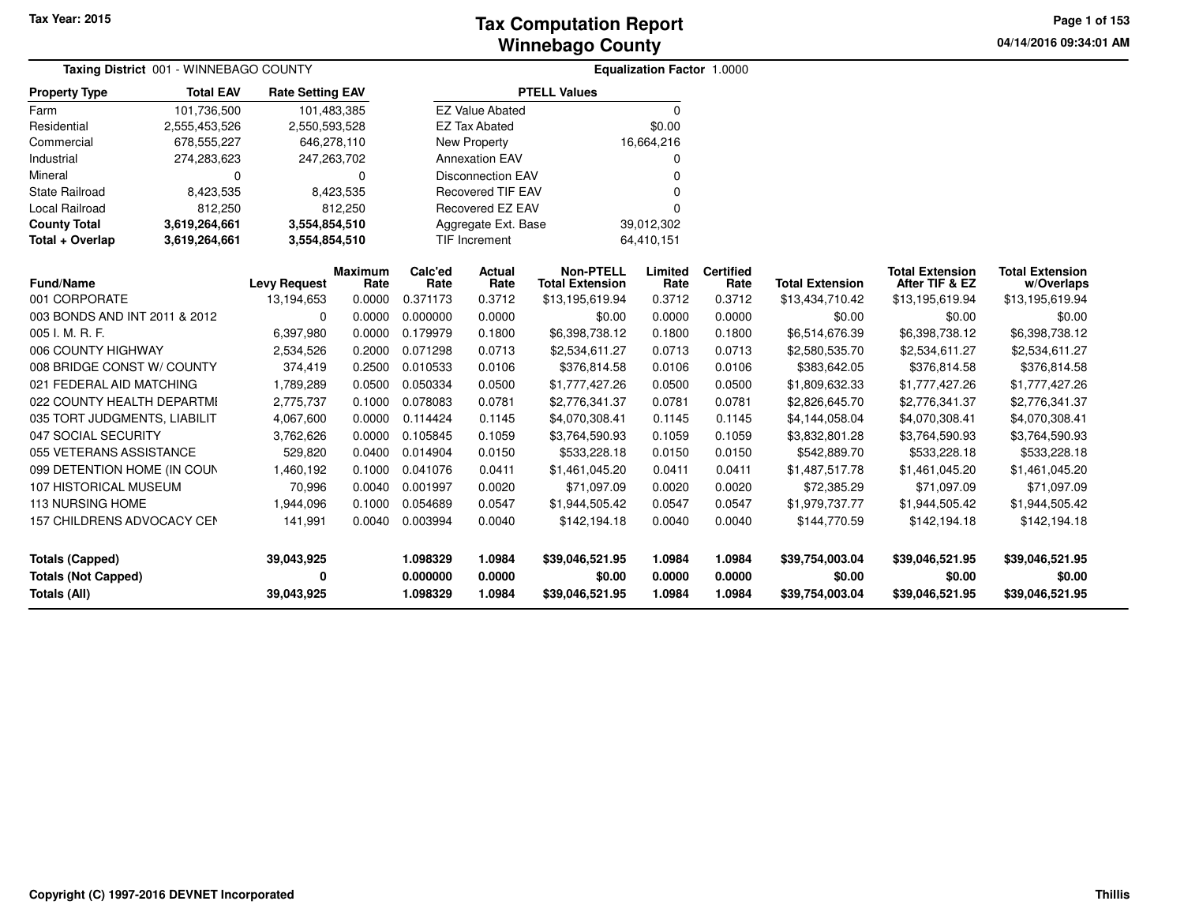**04/14/2016 09:34:01 AM Page 1 of 153**

| <b>Taxing District 001 - WINNEBAGO COUNTY</b> |                  |                         |                        |                 | <b>Equalization Factor 1.0000</b> |                                            |                 |                          |                        |                                          |                                      |
|-----------------------------------------------|------------------|-------------------------|------------------------|-----------------|-----------------------------------|--------------------------------------------|-----------------|--------------------------|------------------------|------------------------------------------|--------------------------------------|
| <b>Property Type</b>                          | <b>Total EAV</b> | <b>Rate Setting EAV</b> |                        |                 |                                   | <b>PTELL Values</b>                        |                 |                          |                        |                                          |                                      |
| Farm                                          | 101,736,500      | 101,483,385             |                        |                 | <b>EZ Value Abated</b>            |                                            | 0               |                          |                        |                                          |                                      |
| Residential                                   | 2,555,453,526    | 2,550,593,528           |                        |                 | <b>EZ Tax Abated</b>              |                                            | \$0.00          |                          |                        |                                          |                                      |
| Commercial                                    | 678,555,227      | 646,278,110             |                        |                 | New Property                      |                                            | 16,664,216      |                          |                        |                                          |                                      |
| Industrial                                    | 274,283,623      | 247,263,702             |                        |                 | <b>Annexation EAV</b>             |                                            | 0               |                          |                        |                                          |                                      |
| Mineral                                       | 0                |                         | $\Omega$               |                 | <b>Disconnection EAV</b>          |                                            | $\Omega$        |                          |                        |                                          |                                      |
| State Railroad                                | 8,423,535        |                         | 8,423,535              |                 | <b>Recovered TIF EAV</b>          |                                            |                 |                          |                        |                                          |                                      |
| Local Railroad                                | 812,250          |                         | 812,250                |                 | Recovered EZ EAV                  |                                            | n               |                          |                        |                                          |                                      |
| <b>County Total</b>                           | 3,619,264,661    | 3,554,854,510           |                        |                 | Aggregate Ext. Base               |                                            | 39,012,302      |                          |                        |                                          |                                      |
| Total + Overlap                               | 3,619,264,661    | 3,554,854,510           |                        |                 | TIF Increment                     |                                            | 64,410,151      |                          |                        |                                          |                                      |
| Fund/Name                                     |                  | <b>Levy Request</b>     | <b>Maximum</b><br>Rate | Calc'ed<br>Rate | <b>Actual</b><br>Rate             | <b>Non-PTELL</b><br><b>Total Extension</b> | Limited<br>Rate | <b>Certified</b><br>Rate | <b>Total Extension</b> | <b>Total Extension</b><br>After TIF & EZ | <b>Total Extension</b><br>w/Overlaps |
| 001 CORPORATE                                 |                  | 13,194,653              | 0.0000                 | 0.371173        | 0.3712                            | \$13,195,619.94                            | 0.3712          | 0.3712                   | \$13,434,710.42        | \$13,195,619.94                          | \$13,195,619.94                      |
| 003 BONDS AND INT 2011 & 2012                 |                  | 0                       | 0.0000                 | 0.000000        | 0.0000                            | \$0.00                                     | 0.0000          | 0.0000                   | \$0.00                 | \$0.00                                   | \$0.00                               |
| 005 I. M. R. F.                               |                  | 6,397,980               | 0.0000                 | 0.179979        | 0.1800                            | \$6,398,738.12                             | 0.1800          | 0.1800                   | \$6,514,676.39         | \$6,398,738.12                           | \$6,398,738.12                       |
| 006 COUNTY HIGHWAY                            |                  | 2,534,526               | 0.2000                 | 0.071298        | 0.0713                            | \$2,534,611.27                             | 0.0713          | 0.0713                   | \$2,580,535.70         | \$2,534,611.27                           | \$2,534,611.27                       |
| 008 BRIDGE CONST W/ COUNTY                    |                  | 374,419                 | 0.2500                 | 0.010533        | 0.0106                            | \$376,814.58                               | 0.0106          | 0.0106                   | \$383,642.05           | \$376,814.58                             | \$376,814.58                         |
| 021 FEDERAL AID MATCHING                      |                  | 1,789,289               | 0.0500                 | 0.050334        | 0.0500                            | \$1,777,427.26                             | 0.0500          | 0.0500                   | \$1,809,632.33         | \$1,777,427.26                           | \$1,777,427.26                       |
| 022 COUNTY HEALTH DEPARTMI                    |                  | 2,775,737               | 0.1000                 | 0.078083        | 0.0781                            | \$2,776,341.37                             | 0.0781          | 0.0781                   | \$2,826,645.70         | \$2,776,341.37                           | \$2,776,341.37                       |
| 035 TORT JUDGMENTS, LIABILIT                  |                  | 4,067,600               | 0.0000                 | 0.114424        | 0.1145                            | \$4,070,308.41                             | 0.1145          | 0.1145                   | \$4,144,058.04         | \$4,070,308.41                           | \$4,070,308.41                       |
| 047 SOCIAL SECURITY                           |                  | 3,762,626               | 0.0000                 | 0.105845        | 0.1059                            | \$3,764,590.93                             | 0.1059          | 0.1059                   | \$3,832,801.28         | \$3,764,590.93                           | \$3,764,590.93                       |
| 055 VETERANS ASSISTANCE                       |                  | 529,820                 | 0.0400                 | 0.014904        | 0.0150                            | \$533,228.18                               | 0.0150          | 0.0150                   | \$542,889.70           | \$533,228.18                             | \$533,228.18                         |
| 099 DETENTION HOME (IN COUN                   |                  | 1,460,192               | 0.1000                 | 0.041076        | 0.0411                            | \$1,461,045.20                             | 0.0411          | 0.0411                   | \$1,487,517.78         | \$1,461,045.20                           | \$1,461,045.20                       |
| 107 HISTORICAL MUSEUM                         |                  | 70,996                  | 0.0040                 | 0.001997        | 0.0020                            | \$71,097.09                                | 0.0020          | 0.0020                   | \$72,385.29            | \$71,097.09                              | \$71,097.09                          |
| <b>113 NURSING HOME</b>                       |                  | 1,944,096               | 0.1000                 | 0.054689        | 0.0547                            | \$1,944,505.42                             | 0.0547          | 0.0547                   | \$1,979,737.77         | \$1,944,505.42                           | \$1,944,505.42                       |
| 157 CHILDRENS ADVOCACY CEN                    |                  | 141,991                 | 0.0040                 | 0.003994        | 0.0040                            | \$142,194.18                               | 0.0040          | 0.0040                   | \$144,770.59           | \$142,194.18                             | \$142,194.18                         |
| <b>Totals (Capped)</b>                        |                  | 39,043,925              |                        | 1.098329        | 1.0984                            | \$39,046,521.95                            | 1.0984          | 1.0984                   | \$39,754,003.04        | \$39,046,521.95                          | \$39,046,521.95                      |
| <b>Totals (Not Capped)</b>                    |                  | 0                       |                        | 0.000000        | 0.0000                            | \$0.00                                     | 0.0000          | 0.0000                   | \$0.00                 | \$0.00                                   | \$0.00                               |
| Totals (All)                                  |                  | 39,043,925              |                        | 1.098329        | 1.0984                            | \$39,046,521.95                            | 1.0984          | 1.0984                   | \$39,754,003.04        | \$39,046,521.95                          | \$39,046,521.95                      |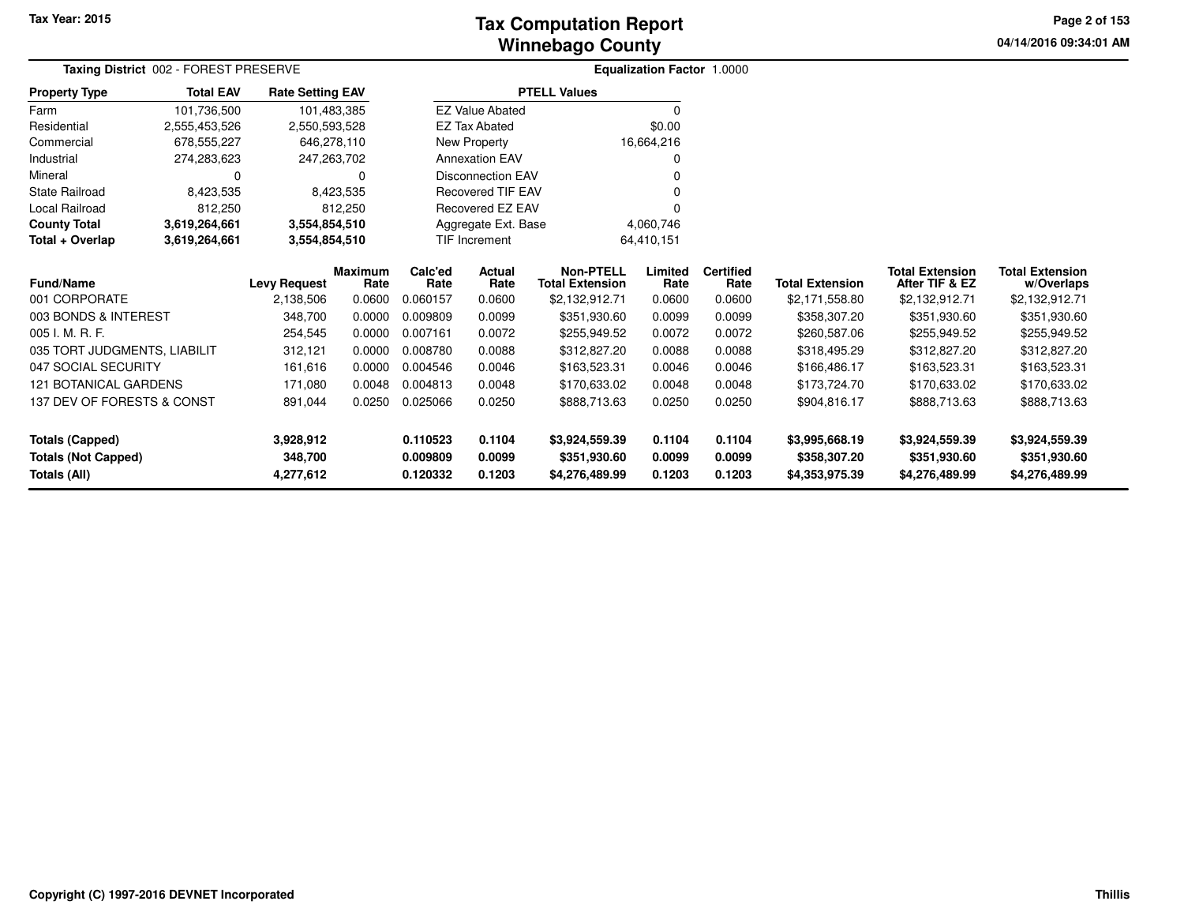# **Winnebago CountyTax Computation Report**

**04/14/2016 09:34:01 AM Page 2 of 153**

|                              | Taxing District 002 - FOREST PRESERVE |                         |                |          |                          |                        | Equalization Factor 1.0000 |                  |                        |                        |                        |  |
|------------------------------|---------------------------------------|-------------------------|----------------|----------|--------------------------|------------------------|----------------------------|------------------|------------------------|------------------------|------------------------|--|
| <b>Property Type</b>         | <b>Total EAV</b>                      | <b>Rate Setting EAV</b> |                |          |                          | <b>PTELL Values</b>    |                            |                  |                        |                        |                        |  |
| Farm                         | 101,736,500                           | 101,483,385             |                |          | <b>EZ Value Abated</b>   |                        |                            |                  |                        |                        |                        |  |
| Residential                  | 2,555,453,526                         | 2,550,593,528           |                |          | <b>EZ Tax Abated</b>     |                        | \$0.00                     |                  |                        |                        |                        |  |
| Commercial                   | 678,555,227                           | 646,278,110             |                |          | New Property             |                        | 16,664,216                 |                  |                        |                        |                        |  |
| Industrial                   | 274,283,623                           | 247,263,702             |                |          | <b>Annexation EAV</b>    |                        |                            |                  |                        |                        |                        |  |
| Mineral                      |                                       |                         | 0              |          | <b>Disconnection EAV</b> |                        |                            |                  |                        |                        |                        |  |
| State Railroad               | 8,423,535                             |                         | 8,423,535      |          | <b>Recovered TIF EAV</b> |                        |                            |                  |                        |                        |                        |  |
| Local Railroad               | 812,250                               |                         | 812,250        |          | Recovered EZ EAV         |                        |                            |                  |                        |                        |                        |  |
| <b>County Total</b>          | 3,619,264,661                         | 3,554,854,510           |                |          | Aggregate Ext. Base      |                        | 4,060,746                  |                  |                        |                        |                        |  |
| Total + Overlap              | 3,619,264,661                         | 3,554,854,510           |                |          | TIF Increment            |                        | 64,410,151                 |                  |                        |                        |                        |  |
|                              |                                       |                         | <b>Maximum</b> | Calc'ed  | <b>Actual</b>            | <b>Non-PTELL</b>       | Limited                    | <b>Certified</b> |                        | <b>Total Extension</b> | <b>Total Extension</b> |  |
| <b>Fund/Name</b>             |                                       | <b>Levy Request</b>     | Rate           | Rate     | Rate                     | <b>Total Extension</b> | Rate                       | Rate             | <b>Total Extension</b> | After TIF & EZ         | w/Overlaps             |  |
| 001 CORPORATE                |                                       | 2,138,506               | 0.0600         | 0.060157 | 0.0600                   | \$2,132,912.71         | 0.0600                     | 0.0600           | \$2,171,558.80         | \$2,132,912.71         | \$2,132,912.71         |  |
| 003 BONDS & INTEREST         |                                       | 348,700                 | 0.0000         | 0.009809 | 0.0099                   | \$351,930.60           | 0.0099                     | 0.0099           | \$358,307.20           | \$351,930.60           | \$351,930.60           |  |
| 005 I. M. R. F.              |                                       | 254,545                 | 0.0000         | 0.007161 | 0.0072                   | \$255,949.52           | 0.0072                     | 0.0072           | \$260,587.06           | \$255,949.52           | \$255,949.52           |  |
| 035 TORT JUDGMENTS, LIABILIT |                                       | 312,121                 | 0.0000         | 0.008780 | 0.0088                   | \$312,827.20           | 0.0088                     | 0.0088           | \$318,495.29           | \$312,827.20           | \$312,827.20           |  |
| 047 SOCIAL SECURITY          |                                       | 161,616                 | 0.0000         | 0.004546 | 0.0046                   | \$163,523.31           | 0.0046                     | 0.0046           | \$166,486.17           | \$163,523.31           | \$163,523.31           |  |
| 121 BOTANICAL GARDENS        |                                       | 171,080                 | 0.0048         | 0.004813 | 0.0048                   | \$170,633.02           | 0.0048                     | 0.0048           | \$173,724.70           | \$170,633.02           | \$170,633.02           |  |
| 137 DEV OF FORESTS & CONST   |                                       | 891,044                 | 0.0250         | 0.025066 | 0.0250                   | \$888,713.63           | 0.0250                     | 0.0250           | \$904,816.17           | \$888,713.63           | \$888,713.63           |  |
| <b>Totals (Capped)</b>       |                                       | 3,928,912               |                | 0.110523 | 0.1104                   | \$3,924,559.39         | 0.1104                     | 0.1104           | \$3,995,668.19         | \$3,924,559.39         | \$3,924,559.39         |  |
| <b>Totals (Not Capped)</b>   |                                       | 348,700                 |                | 0.009809 | 0.0099                   | \$351,930.60           | 0.0099                     | 0.0099           | \$358,307.20           | \$351,930.60           | \$351,930.60           |  |
| Totals (All)                 |                                       | 4,277,612               |                | 0.120332 | 0.1203                   | \$4,276,489.99         | 0.1203                     | 0.1203           | \$4,353,975.39         | \$4,276,489.99         | \$4,276,489.99         |  |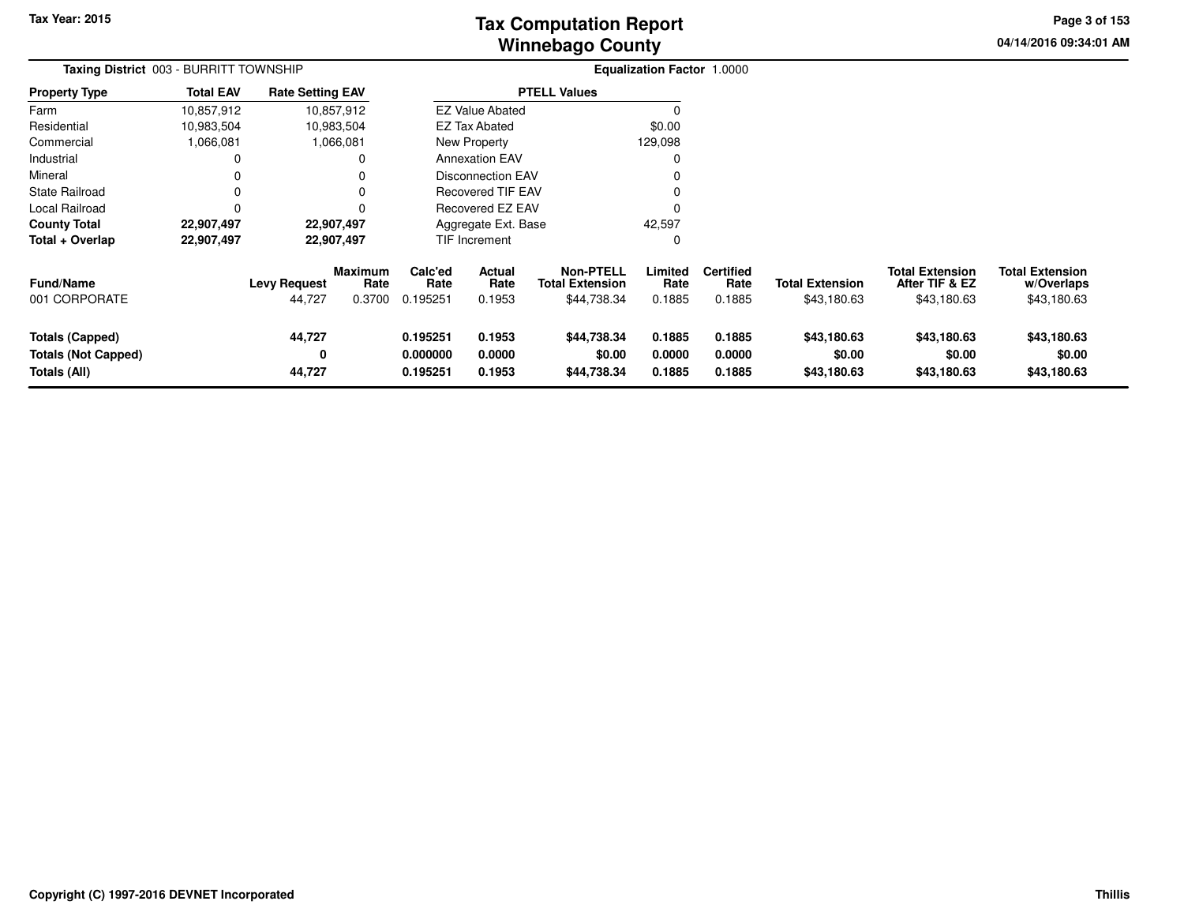# **Winnebago CountyTax Computation Report**

**04/14/2016 09:34:01 AM Page 3 of 153**

| Taxing District 003 - BURRITT TOWNSHIP                               |                  |                               |                                  |                                  |                                 |                                                           | <b>Equalization Factor 1.0000</b> |                                    |                                       |                                                         |                                                     |
|----------------------------------------------------------------------|------------------|-------------------------------|----------------------------------|----------------------------------|---------------------------------|-----------------------------------------------------------|-----------------------------------|------------------------------------|---------------------------------------|---------------------------------------------------------|-----------------------------------------------------|
| <b>Property Type</b>                                                 | <b>Total EAV</b> | <b>Rate Setting EAV</b>       |                                  |                                  |                                 | <b>PTELL Values</b>                                       |                                   |                                    |                                       |                                                         |                                                     |
| Farm                                                                 | 10,857,912       |                               | 10,857,912                       |                                  | <b>EZ Value Abated</b>          |                                                           |                                   |                                    |                                       |                                                         |                                                     |
| Residential                                                          | 10,983,504       |                               | 10,983,504                       |                                  | <b>EZ Tax Abated</b>            |                                                           | \$0.00                            |                                    |                                       |                                                         |                                                     |
| Commercial                                                           | 1,066,081        |                               | 1,066,081                        |                                  | New Property                    |                                                           | 129,098                           |                                    |                                       |                                                         |                                                     |
| Industrial                                                           |                  |                               |                                  |                                  | <b>Annexation EAV</b>           |                                                           |                                   |                                    |                                       |                                                         |                                                     |
| Mineral                                                              |                  |                               |                                  |                                  | <b>Disconnection EAV</b>        |                                                           |                                   |                                    |                                       |                                                         |                                                     |
| State Railroad                                                       |                  |                               | 0                                |                                  | <b>Recovered TIF EAV</b>        |                                                           |                                   |                                    |                                       |                                                         |                                                     |
| Local Railroad                                                       |                  |                               | 0                                |                                  | Recovered EZ EAV                |                                                           |                                   |                                    |                                       |                                                         |                                                     |
| <b>County Total</b>                                                  | 22,907,497       |                               | 22,907,497                       |                                  | Aggregate Ext. Base             |                                                           | 42,597                            |                                    |                                       |                                                         |                                                     |
| Total + Overlap                                                      | 22,907,497       |                               | 22,907,497                       |                                  | <b>TIF Increment</b>            |                                                           | 0                                 |                                    |                                       |                                                         |                                                     |
| <b>Fund/Name</b><br>001 CORPORATE                                    |                  | <b>Levy Request</b><br>44,727 | <b>Maximum</b><br>Rate<br>0.3700 | Calc'ed<br>Rate<br>0.195251      | <b>Actual</b><br>Rate<br>0.1953 | <b>Non-PTELL</b><br><b>Total Extension</b><br>\$44,738.34 | Limited<br>Rate<br>0.1885         | <b>Certified</b><br>Rate<br>0.1885 | <b>Total Extension</b><br>\$43,180.63 | <b>Total Extension</b><br>After TIF & EZ<br>\$43,180.63 | <b>Total Extension</b><br>w/Overlaps<br>\$43,180.63 |
| <b>Totals (Capped)</b><br><b>Totals (Not Capped)</b><br>Totals (All) |                  | 44,727<br>0<br>44,727         |                                  | 0.195251<br>0.000000<br>0.195251 | 0.1953<br>0.0000<br>0.1953      | \$44,738.34<br>\$0.00<br>\$44,738.34                      | 0.1885<br>0.0000<br>0.1885        | 0.1885<br>0.0000<br>0.1885         | \$43,180.63<br>\$0.00<br>\$43,180.63  | \$43,180.63<br>\$0.00<br>\$43,180.63                    | \$43,180.63<br>\$0.00<br>\$43,180.63                |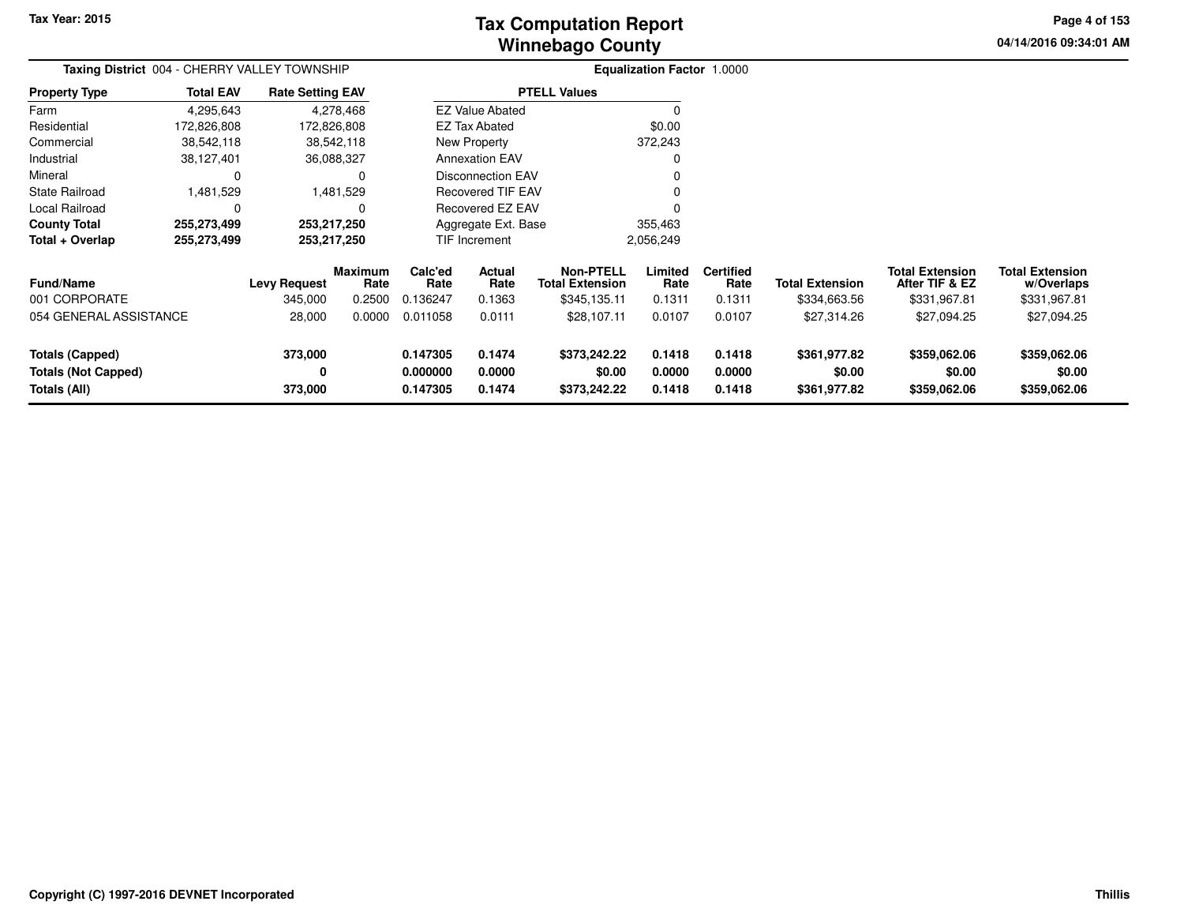# **Winnebago CountyTax Computation Report**

**04/14/2016 09:34:01 AM Page 4 of 153**

|                                                                      | Taxing District 004 - CHERRY VALLEY TOWNSHIP |                                |                                  |                                  |                            |                                                            | <b>Equalization Factor 1.0000</b> |                                    |                                        |                                                          |                                                      |
|----------------------------------------------------------------------|----------------------------------------------|--------------------------------|----------------------------------|----------------------------------|----------------------------|------------------------------------------------------------|-----------------------------------|------------------------------------|----------------------------------------|----------------------------------------------------------|------------------------------------------------------|
| <b>Property Type</b>                                                 | <b>Total EAV</b>                             | <b>Rate Setting EAV</b>        |                                  |                                  |                            | <b>PTELL Values</b>                                        |                                   |                                    |                                        |                                                          |                                                      |
| Farm                                                                 | 4,295,643                                    |                                | 4,278,468                        |                                  | <b>EZ Value Abated</b>     |                                                            |                                   |                                    |                                        |                                                          |                                                      |
| Residential                                                          | 172,826,808                                  | 172,826,808                    |                                  |                                  | <b>EZ Tax Abated</b>       |                                                            | \$0.00                            |                                    |                                        |                                                          |                                                      |
| Commercial                                                           | 38,542,118                                   |                                | 38,542,118                       |                                  | New Property               |                                                            | 372,243                           |                                    |                                        |                                                          |                                                      |
| Industrial                                                           | 38,127,401                                   | 36,088,327                     |                                  |                                  | <b>Annexation EAV</b>      |                                                            |                                   |                                    |                                        |                                                          |                                                      |
| Mineral                                                              | 0                                            |                                | 0                                |                                  | <b>Disconnection EAV</b>   |                                                            |                                   |                                    |                                        |                                                          |                                                      |
| <b>State Railroad</b>                                                | 1,481,529                                    |                                | 1,481,529                        |                                  | <b>Recovered TIF EAV</b>   |                                                            |                                   |                                    |                                        |                                                          |                                                      |
| Local Railroad                                                       | 0                                            |                                |                                  |                                  | Recovered EZ EAV           |                                                            |                                   |                                    |                                        |                                                          |                                                      |
| <b>County Total</b>                                                  | 255,273,499                                  | 253,217,250                    |                                  |                                  | Aggregate Ext. Base        |                                                            | 355,463                           |                                    |                                        |                                                          |                                                      |
| Total + Overlap                                                      | 255,273,499                                  | 253,217,250                    |                                  |                                  | <b>TIF Increment</b>       |                                                            | 2,056,249                         |                                    |                                        |                                                          |                                                      |
| <b>Fund/Name</b><br>001 CORPORATE                                    |                                              | <b>Levy Request</b><br>345,000 | <b>Maximum</b><br>Rate<br>0.2500 | Calc'ed<br>Rate<br>0.136247      | Actual<br>Rate<br>0.1363   | <b>Non-PTELL</b><br><b>Total Extension</b><br>\$345,135.11 | Limited<br>Rate<br>0.1311         | <b>Certified</b><br>Rate<br>0.1311 | <b>Total Extension</b><br>\$334,663.56 | <b>Total Extension</b><br>After TIF & EZ<br>\$331,967.81 | <b>Total Extension</b><br>w/Overlaps<br>\$331,967.81 |
| 054 GENERAL ASSISTANCE                                               |                                              | 28,000                         | 0.0000                           | 0.011058                         | 0.0111                     | \$28,107.11                                                | 0.0107                            | 0.0107                             | \$27,314.26                            | \$27,094.25                                              | \$27,094.25                                          |
| <b>Totals (Capped)</b><br><b>Totals (Not Capped)</b><br>Totals (All) |                                              | 373,000<br>0<br>373,000        |                                  | 0.147305<br>0.000000<br>0.147305 | 0.1474<br>0.0000<br>0.1474 | \$373,242.22<br>\$0.00<br>\$373,242.22                     | 0.1418<br>0.0000<br>0.1418        | 0.1418<br>0.0000<br>0.1418         | \$361,977.82<br>\$0.00<br>\$361,977.82 | \$359,062.06<br>\$0.00<br>\$359,062.06                   | \$359,062.06<br>\$0.00<br>\$359,062.06               |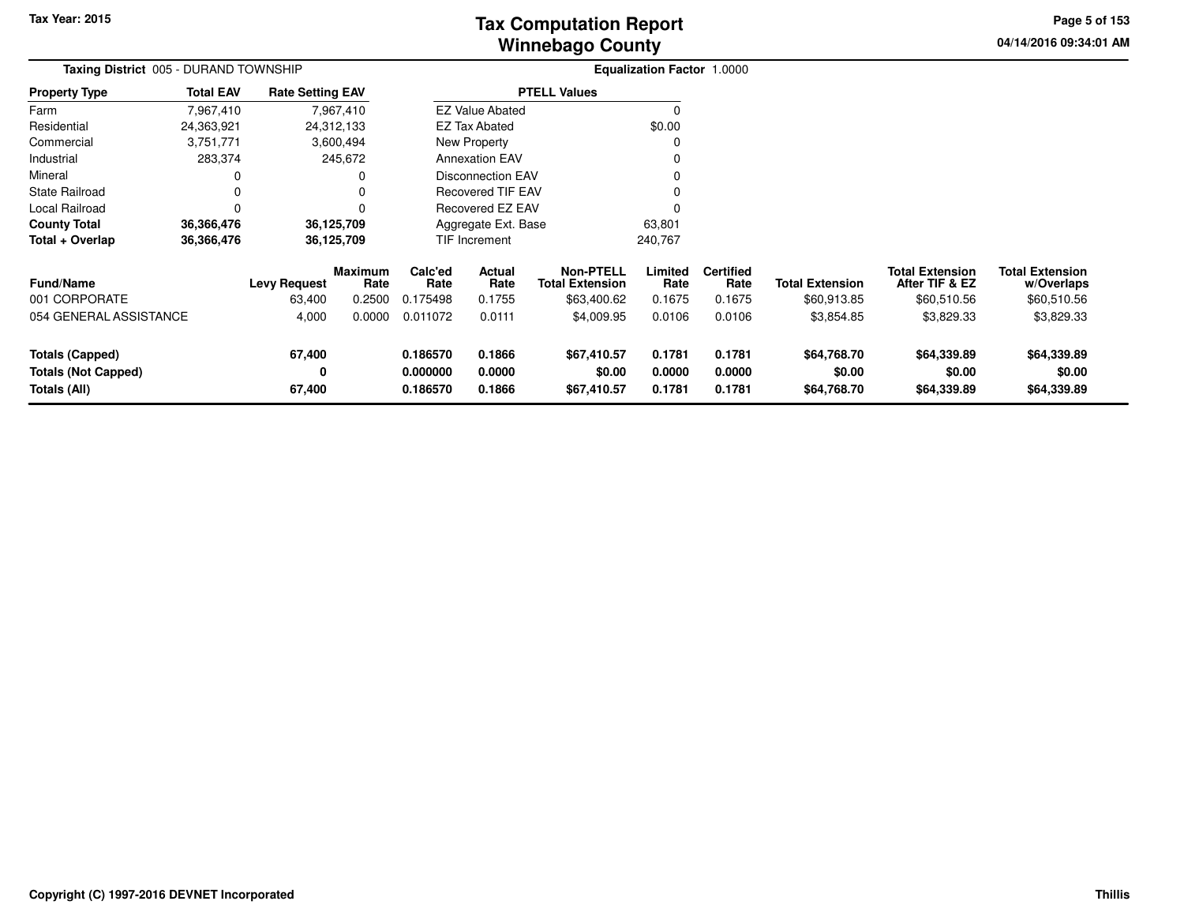# **Winnebago CountyTax Computation Report**

**04/14/2016 09:34:01 AM Page 5 of 153**

| Taxing District 005 - DURAND TOWNSHIP                         |                  |                               |                           |                                  |                                                                               |                                                           | Equalization Factor 1.0000 |                                    |                                       |                                                         |                                                     |
|---------------------------------------------------------------|------------------|-------------------------------|---------------------------|----------------------------------|-------------------------------------------------------------------------------|-----------------------------------------------------------|----------------------------|------------------------------------|---------------------------------------|---------------------------------------------------------|-----------------------------------------------------|
| <b>Property Type</b>                                          | <b>Total EAV</b> | <b>Rate Setting EAV</b>       |                           |                                  |                                                                               | <b>PTELL Values</b>                                       |                            |                                    |                                       |                                                         |                                                     |
| Farm                                                          | 7,967,410        |                               | 7,967,410                 |                                  | <b>EZ Value Abated</b>                                                        |                                                           |                            |                                    |                                       |                                                         |                                                     |
| Residential                                                   | 24,363,921       |                               | 24,312,133                |                                  | EZ Tax Abated                                                                 |                                                           | \$0.00                     |                                    |                                       |                                                         |                                                     |
| Commercial                                                    | 3,751,771        |                               | 3,600,494                 |                                  | New Property                                                                  |                                                           |                            |                                    |                                       |                                                         |                                                     |
| Industrial                                                    | 283,374          |                               | 245,672                   |                                  | <b>Annexation EAV</b><br><b>Disconnection EAV</b><br><b>Recovered TIF EAV</b> |                                                           |                            |                                    |                                       |                                                         |                                                     |
| Mineral                                                       | 0                |                               | 0                         |                                  | Recovered EZ EAV<br>Aggregate Ext. Base                                       |                                                           |                            |                                    |                                       |                                                         |                                                     |
| <b>State Railroad</b>                                         | 0                |                               | 0                         |                                  |                                                                               |                                                           |                            |                                    |                                       |                                                         |                                                     |
| Local Railroad                                                | $\Omega$         |                               | $\Omega$                  |                                  |                                                                               |                                                           |                            |                                    |                                       |                                                         |                                                     |
| <b>County Total</b>                                           | 36,366,476       |                               | 36,125,709                |                                  |                                                                               |                                                           | 63,801                     |                                    |                                       |                                                         |                                                     |
| Total + Overlap                                               | 36,366,476       |                               | 36,125,709                |                                  | <b>TIF Increment</b><br>240,767                                               |                                                           |                            |                                    |                                       |                                                         |                                                     |
| <b>Fund/Name</b><br>001 CORPORATE                             |                  | <b>Levy Request</b><br>63,400 | Maximum<br>Rate<br>0.2500 | Calc'ed<br>Rate<br>0.175498      | Actual<br>Rate<br>0.1755                                                      | <b>Non-PTELL</b><br><b>Total Extension</b><br>\$63,400.62 | Limited<br>Rate<br>0.1675  | <b>Certified</b><br>Rate<br>0.1675 | <b>Total Extension</b><br>\$60,913.85 | <b>Total Extension</b><br>After TIF & EZ<br>\$60,510.56 | <b>Total Extension</b><br>w/Overlaps<br>\$60,510.56 |
| 054 GENERAL ASSISTANCE                                        |                  | 4,000                         | 0.0000                    | 0.011072                         | 0.0111                                                                        | \$4,009.95                                                | 0.0106                     | 0.0106                             | \$3,854.85                            | \$3,829.33                                              | \$3,829.33                                          |
| Totals (Capped)<br><b>Totals (Not Capped)</b><br>Totals (All) |                  | 67,400<br>0<br>67,400         |                           | 0.186570<br>0.000000<br>0.186570 | 0.1866<br>0.0000<br>0.1866                                                    | \$67,410.57<br>\$0.00<br>\$67,410.57                      | 0.1781<br>0.0000<br>0.1781 | 0.1781<br>0.0000<br>0.1781         | \$64,768.70<br>\$0.00<br>\$64,768.70  | \$64,339.89<br>\$0.00<br>\$64,339.89                    | \$64,339.89<br>\$0.00<br>\$64,339.89                |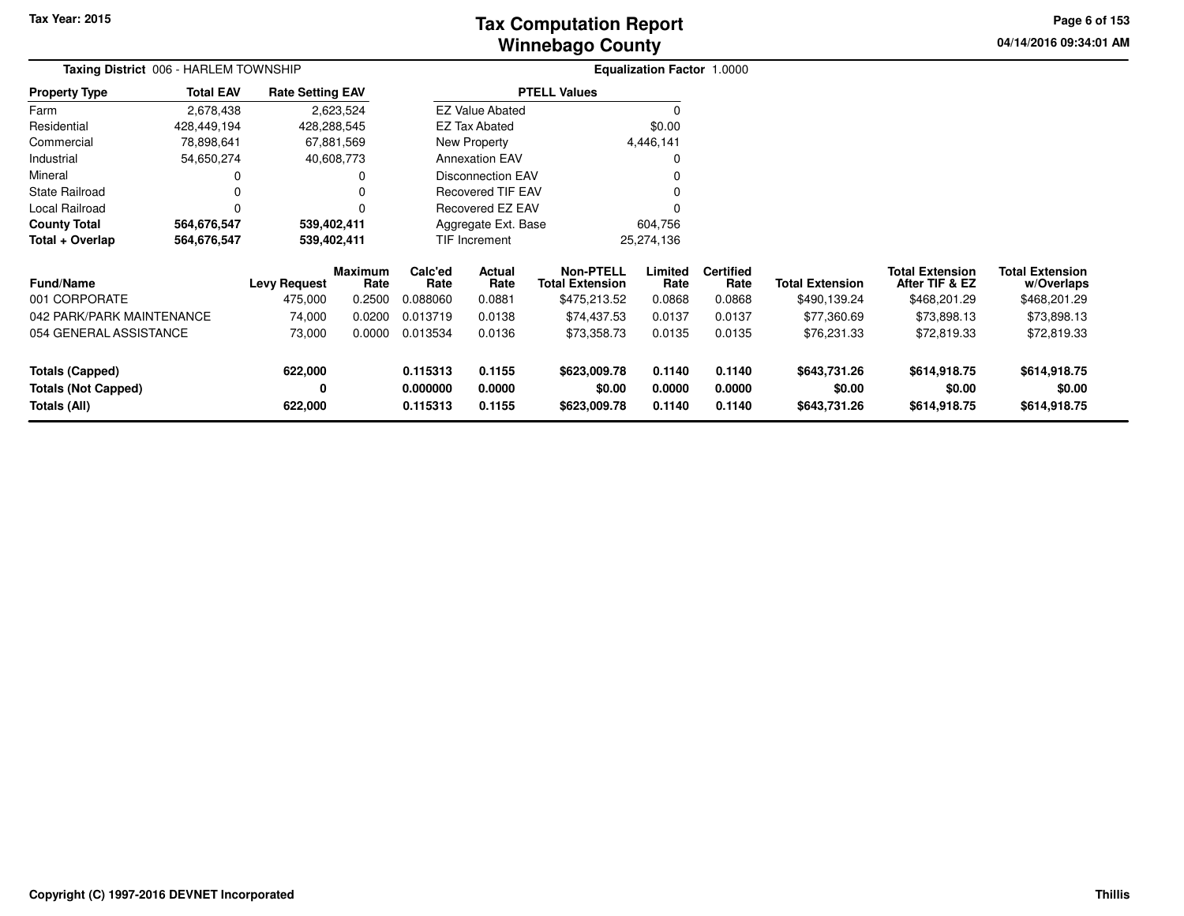# **Winnebago CountyTax Computation Report**

**04/14/2016 09:34:01 AM Page 6 of 153**

| Taxing District 006 - HARLEM TOWNSHIP |                     |                         |                        |                 |                          |                                            | <b>Equalization Factor 1.0000</b> |                          |                        |                                          |                                      |  |
|---------------------------------------|---------------------|-------------------------|------------------------|-----------------|--------------------------|--------------------------------------------|-----------------------------------|--------------------------|------------------------|------------------------------------------|--------------------------------------|--|
| <b>Property Type</b>                  | <b>Total EAV</b>    | <b>Rate Setting EAV</b> |                        |                 |                          | <b>PTELL Values</b>                        |                                   |                          |                        |                                          |                                      |  |
| Farm                                  | 2,678,438           |                         | 2,623,524              |                 | <b>EZ Value Abated</b>   |                                            |                                   |                          |                        |                                          |                                      |  |
| Residential                           | 428,449,194         |                         | 428,288,545            |                 | <b>EZ Tax Abated</b>     |                                            | \$0.00                            |                          |                        |                                          |                                      |  |
| Commercial                            | 78,898,641          |                         | 67,881,569             |                 | New Property             |                                            | 4,446,141                         |                          |                        |                                          |                                      |  |
| Industrial                            | 54,650,274          |                         | 40,608,773             |                 | <b>Annexation EAV</b>    |                                            |                                   |                          |                        |                                          |                                      |  |
| Mineral                               |                     |                         | 0                      |                 | <b>Disconnection EAV</b> |                                            |                                   |                          |                        |                                          |                                      |  |
| <b>State Railroad</b>                 | 0                   |                         | 0                      |                 | <b>Recovered TIF EAV</b> |                                            |                                   |                          |                        |                                          |                                      |  |
| Local Railroad                        | 0                   |                         | 0                      |                 | Recovered EZ EAV         |                                            |                                   |                          |                        |                                          |                                      |  |
| <b>County Total</b>                   | 564,676,547         |                         | 539,402,411            |                 | Aggregate Ext. Base      |                                            | 604,756                           |                          |                        |                                          |                                      |  |
| Total + Overlap                       | 564,676,547         |                         | 539,402,411            |                 | <b>TIF Increment</b>     |                                            | 25,274,136                        |                          |                        |                                          |                                      |  |
| <b>Fund/Name</b>                      | <b>Levy Request</b> |                         | <b>Maximum</b><br>Rate | Calc'ed<br>Rate | Actual<br>Rate           | <b>Non-PTELL</b><br><b>Total Extension</b> | Limited<br>Rate                   | <b>Certified</b><br>Rate | <b>Total Extension</b> | <b>Total Extension</b><br>After TIF & EZ | <b>Total Extension</b><br>w/Overlaps |  |
| 001 CORPORATE                         |                     | 475,000                 | 0.2500                 | 0.088060        | 0.0881                   | \$475,213.52                               | 0.0868                            | 0.0868                   | \$490,139.24           | \$468,201.29                             | \$468,201.29                         |  |
| 042 PARK/PARK MAINTENANCE             |                     | 74,000                  | 0.0200                 | 0.013719        | 0.0138                   | \$74,437.53                                | 0.0137                            | 0.0137                   | \$77,360.69            | \$73,898.13                              | \$73,898.13                          |  |
| 054 GENERAL ASSISTANCE                |                     | 73,000                  | 0.0000                 | 0.013534        | 0.0136                   | \$73,358.73                                | 0.0135                            | 0.0135                   | \$76,231.33            | \$72,819.33                              | \$72,819.33                          |  |
| Totals (Capped)                       |                     | 622,000                 |                        | 0.115313        | 0.1155                   | \$623,009.78                               | 0.1140                            | 0.1140                   | \$643,731.26           | \$614,918.75                             | \$614,918.75                         |  |
| <b>Totals (Not Capped)</b>            |                     | 0                       |                        | 0.000000        | 0.0000                   | \$0.00                                     | 0.0000                            | 0.0000                   | \$0.00                 | \$0.00                                   | \$0.00                               |  |
| Totals (All)                          |                     | 622,000                 |                        | 0.115313        | 0.1155                   | \$623,009.78                               | 0.1140                            | 0.1140                   | \$643,731.26           | \$614,918.75                             | \$614,918.75                         |  |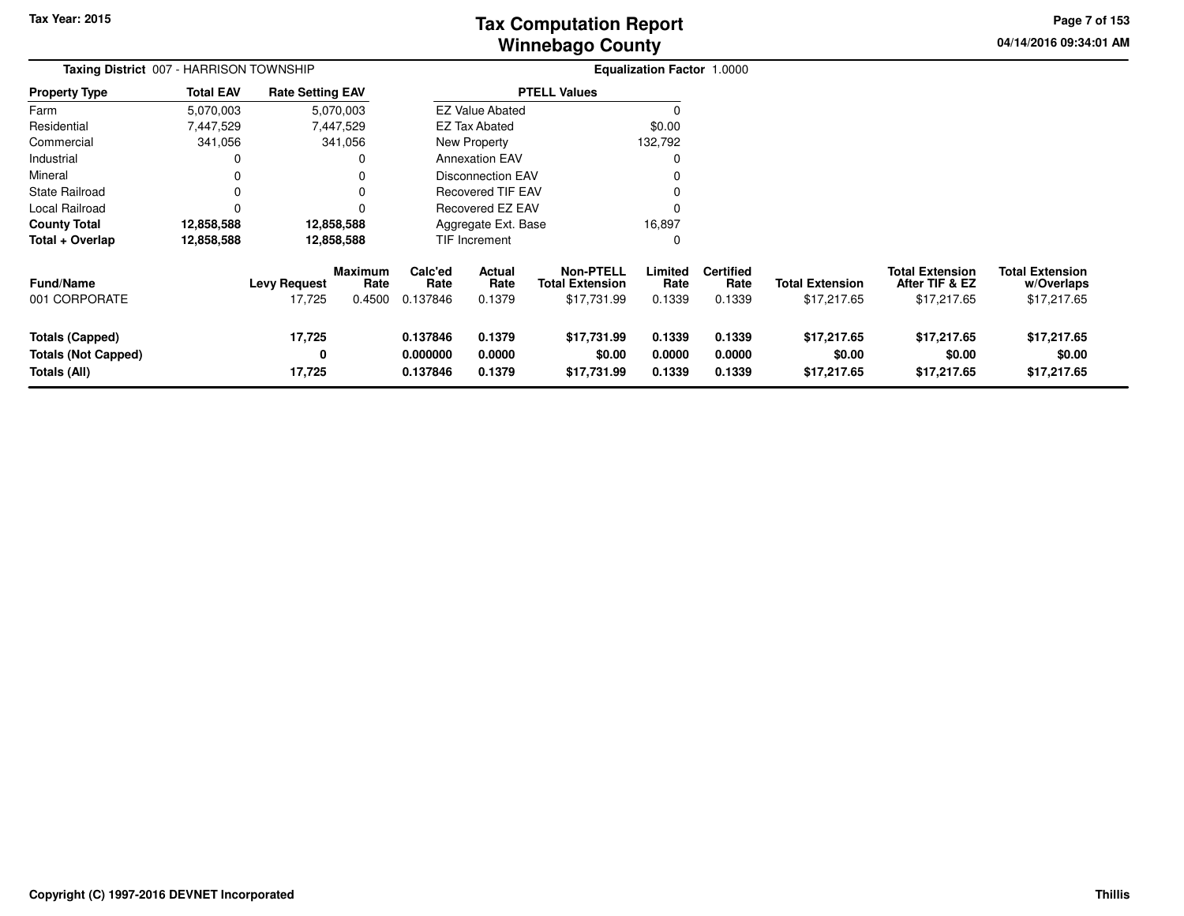# **Winnebago CountyTax Computation Report**

**04/14/2016 09:34:01 AM Page 7 of 153**

| Taxing District 007 - HARRISON TOWNSHIP                              |                  |                               |                                  |                                  |                                                                                                                                                                                                                                                                  |                                                           | <b>Equalization Factor 1.0000</b> |                                    |                                       |                                                         |                                                     |
|----------------------------------------------------------------------|------------------|-------------------------------|----------------------------------|----------------------------------|------------------------------------------------------------------------------------------------------------------------------------------------------------------------------------------------------------------------------------------------------------------|-----------------------------------------------------------|-----------------------------------|------------------------------------|---------------------------------------|---------------------------------------------------------|-----------------------------------------------------|
| <b>Property Type</b>                                                 | <b>Total EAV</b> | <b>Rate Setting EAV</b>       |                                  |                                  |                                                                                                                                                                                                                                                                  | <b>PTELL Values</b>                                       |                                   |                                    |                                       |                                                         |                                                     |
| Farm                                                                 | 5,070,003        |                               | 5,070,003                        |                                  |                                                                                                                                                                                                                                                                  |                                                           |                                   |                                    |                                       |                                                         |                                                     |
| Residential                                                          | 7,447,529        |                               | 7,447,529                        |                                  |                                                                                                                                                                                                                                                                  |                                                           | \$0.00                            |                                    |                                       |                                                         |                                                     |
| Commercial                                                           | 341,056          |                               | 341,056                          |                                  |                                                                                                                                                                                                                                                                  |                                                           | 132,792                           |                                    |                                       |                                                         |                                                     |
| Industrial                                                           | 0                |                               | 0                                |                                  | <b>EZ Value Abated</b><br><b>EZ Tax Abated</b><br>New Property<br><b>Annexation EAV</b><br><b>Disconnection EAV</b><br><b>Recovered TIF EAV</b><br>Recovered EZ EAV<br>Aggregate Ext. Base<br>TIF Increment<br><b>Actual</b><br>Rate<br>Rate<br>0.1379<br>0.1379 |                                                           |                                   |                                    |                                       |                                                         |                                                     |
| Mineral                                                              | 0                |                               | 0                                |                                  |                                                                                                                                                                                                                                                                  |                                                           |                                   |                                    |                                       |                                                         |                                                     |
| <b>State Railroad</b>                                                | 0                |                               | 0                                |                                  |                                                                                                                                                                                                                                                                  |                                                           |                                   |                                    |                                       |                                                         |                                                     |
| Local Railroad                                                       | $\Omega$         |                               | $\Omega$                         |                                  |                                                                                                                                                                                                                                                                  |                                                           |                                   |                                    |                                       |                                                         |                                                     |
| <b>County Total</b>                                                  | 12,858,588       |                               | 12,858,588                       |                                  |                                                                                                                                                                                                                                                                  |                                                           | 16,897                            |                                    |                                       |                                                         |                                                     |
| Total + Overlap                                                      | 12,858,588       |                               | 12,858,588                       |                                  |                                                                                                                                                                                                                                                                  |                                                           |                                   |                                    |                                       |                                                         |                                                     |
| <b>Fund/Name</b><br>001 CORPORATE                                    |                  | <b>Levy Request</b><br>17,725 | <b>Maximum</b><br>Rate<br>0.4500 | Calc'ed<br>0.137846              |                                                                                                                                                                                                                                                                  | <b>Non-PTELL</b><br><b>Total Extension</b><br>\$17,731.99 | Limited<br>Rate<br>0.1339         | <b>Certified</b><br>Rate<br>0.1339 | <b>Total Extension</b><br>\$17,217.65 | <b>Total Extension</b><br>After TIF & EZ<br>\$17,217.65 | <b>Total Extension</b><br>w/Overlaps<br>\$17,217.65 |
| <b>Totals (Capped)</b><br><b>Totals (Not Capped)</b><br>Totals (All) |                  | 17,725<br>0<br>17,725         |                                  | 0.137846<br>0.000000<br>0.137846 | 0.0000<br>0.1379                                                                                                                                                                                                                                                 | \$17,731.99<br>\$0.00<br>\$17,731.99                      | 0.1339<br>0.0000<br>0.1339        | 0.1339<br>0.0000<br>0.1339         | \$17,217.65<br>\$0.00<br>\$17,217.65  | \$17,217.65<br>\$0.00<br>\$17,217.65                    | \$17,217.65<br>\$0.00<br>\$17,217.65                |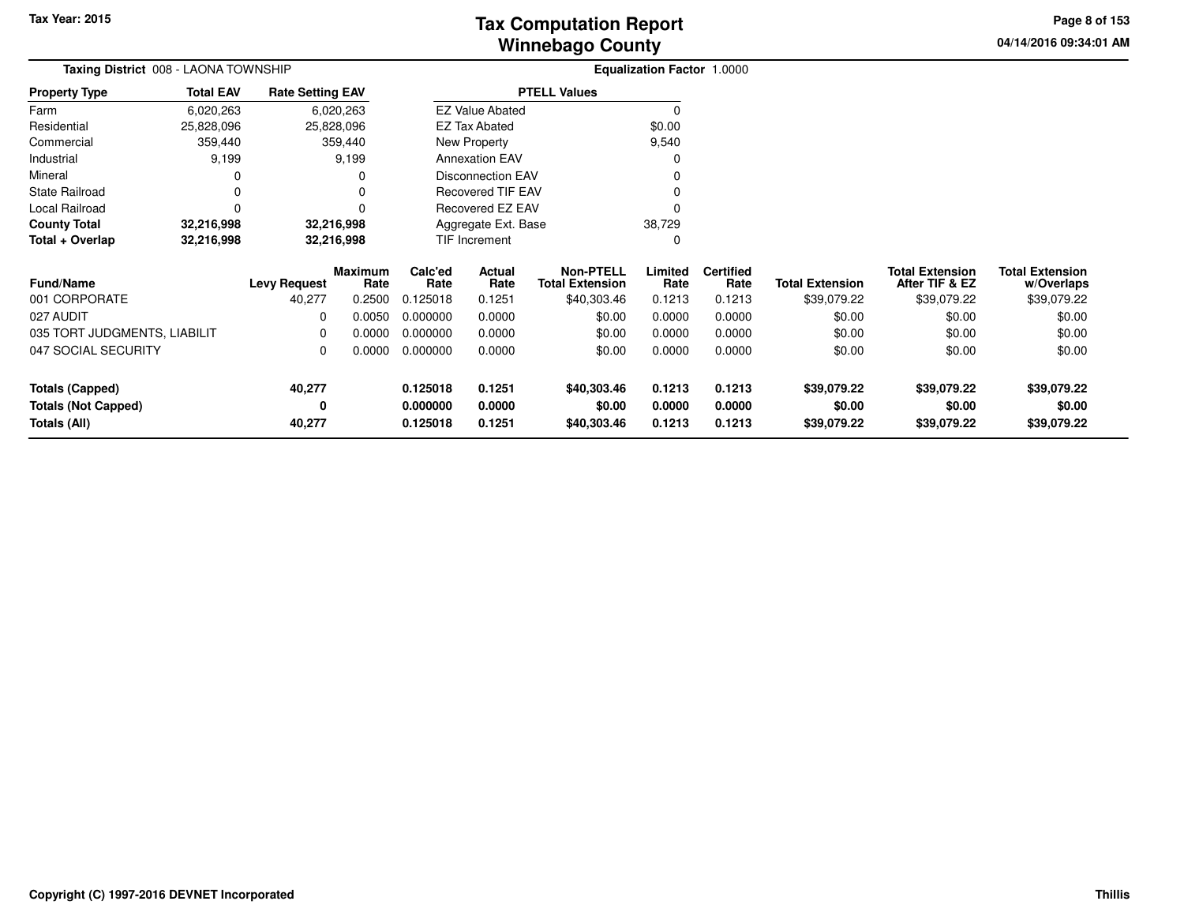**04/14/2016 09:34:01 AM Page 8 of 153**

| Taxing District 008 - LAONA TOWNSHIP |                  |                         |                 | Equalization Factor 1.0000 |                          |                                            |                 |                          |                        |                                          |                                      |
|--------------------------------------|------------------|-------------------------|-----------------|----------------------------|--------------------------|--------------------------------------------|-----------------|--------------------------|------------------------|------------------------------------------|--------------------------------------|
| <b>Property Type</b>                 | <b>Total EAV</b> | <b>Rate Setting EAV</b> |                 |                            |                          | <b>PTELL Values</b>                        |                 |                          |                        |                                          |                                      |
| Farm                                 | 6,020,263        |                         | 6,020,263       |                            | <b>EZ Value Abated</b>   |                                            | 0               |                          |                        |                                          |                                      |
| Residential                          | 25,828,096       | 25,828,096              |                 |                            | <b>EZ Tax Abated</b>     |                                            | \$0.00          |                          |                        |                                          |                                      |
| Commercial                           | 359,440          |                         | 359,440         |                            | New Property             |                                            | 9,540           |                          |                        |                                          |                                      |
| Industrial                           | 9,199            |                         | 9,199           |                            | <b>Annexation EAV</b>    |                                            | O               |                          |                        |                                          |                                      |
| Mineral                              |                  |                         | 0               |                            | <b>Disconnection EAV</b> |                                            |                 |                          |                        |                                          |                                      |
| <b>State Railroad</b>                | 0                |                         | 0               |                            | Recovered TIF EAV        |                                            |                 |                          |                        |                                          |                                      |
| Local Railroad                       | $\Omega$         |                         | O               |                            | Recovered EZ EAV         |                                            |                 |                          |                        |                                          |                                      |
| <b>County Total</b>                  | 32,216,998       | 32,216,998              |                 |                            | Aggregate Ext. Base      |                                            | 38,729          |                          |                        |                                          |                                      |
| Total + Overlap                      | 32,216,998       | 32,216,998              |                 |                            | TIF Increment            |                                            | 0               |                          |                        |                                          |                                      |
| <b>Fund/Name</b>                     |                  | <b>Levy Request</b>     | Maximum<br>Rate | Calc'ed<br>Rate            | Actual<br>Rate           | <b>Non-PTELL</b><br><b>Total Extension</b> | Limited<br>Rate | <b>Certified</b><br>Rate | <b>Total Extension</b> | <b>Total Extension</b><br>After TIF & EZ | <b>Total Extension</b><br>w/Overlaps |
| 001 CORPORATE                        |                  | 40,277                  | 0.2500          | 0.125018                   | 0.1251                   | \$40,303.46                                | 0.1213          | 0.1213                   | \$39,079.22            | \$39,079.22                              | \$39,079.22                          |
| 027 AUDIT                            |                  | $\Omega$                | 0.0050          | 0.000000                   | 0.0000                   | \$0.00                                     | 0.0000          | 0.0000                   | \$0.00                 | \$0.00                                   | \$0.00                               |
| 035 TORT JUDGMENTS, LIABILIT         |                  | 0                       | 0.0000          | 0.000000                   | 0.0000                   | \$0.00                                     | 0.0000          | 0.0000                   | \$0.00                 | \$0.00                                   | \$0.00                               |
| 047 SOCIAL SECURITY                  |                  | $\Omega$                | 0.0000          | 0.000000                   | 0.0000                   | \$0.00                                     | 0.0000          | 0.0000                   | \$0.00                 | \$0.00                                   | \$0.00                               |
| <b>Totals (Capped)</b>               |                  | 40,277                  |                 | 0.125018                   | 0.1251                   | \$40,303.46                                | 0.1213          | 0.1213                   | \$39,079.22            | \$39,079.22                              | \$39,079.22                          |
| <b>Totals (Not Capped)</b>           |                  | 0                       |                 | 0.000000                   | 0.0000                   | \$0.00                                     | 0.0000          | 0.0000                   | \$0.00                 | \$0.00                                   | \$0.00                               |
| Totals (All)                         |                  | 40,277                  |                 | 0.125018                   | 0.1251                   | \$40,303.46                                | 0.1213          | 0.1213                   | \$39,079.22            | \$39,079.22                              | \$39,079.22                          |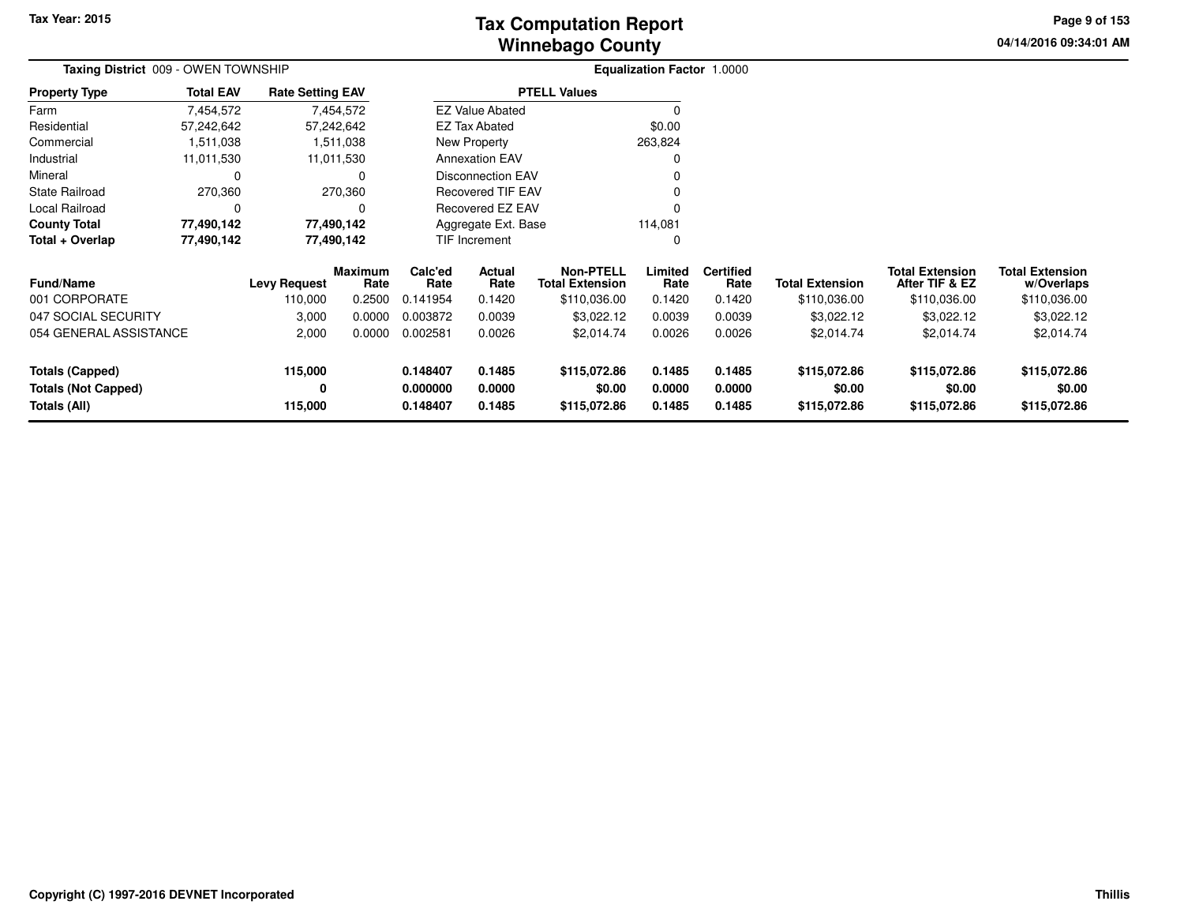# **Winnebago CountyTax Computation Report**

**04/14/2016 09:34:01 AM Page 9 of 153**

| Taxing District 009 - OWEN TOWNSHIP |                     |                         |                        |                    |                          |                                            | Equalization Factor 1.0000 |                          |                        |                                          |                                      |
|-------------------------------------|---------------------|-------------------------|------------------------|--------------------|--------------------------|--------------------------------------------|----------------------------|--------------------------|------------------------|------------------------------------------|--------------------------------------|
| <b>Property Type</b>                | <b>Total EAV</b>    | <b>Rate Setting EAV</b> |                        |                    |                          | <b>PTELL Values</b>                        |                            |                          |                        |                                          |                                      |
| Farm                                | 7,454,572           |                         | 7,454,572              |                    | <b>EZ Value Abated</b>   |                                            | 0                          |                          |                        |                                          |                                      |
| Residential                         | 57,242,642          |                         | 57,242,642             |                    | <b>EZ Tax Abated</b>     |                                            | \$0.00                     |                          |                        |                                          |                                      |
| Commercial                          | 1,511,038           |                         | 1,511,038              |                    | New Property             |                                            | 263,824                    |                          |                        |                                          |                                      |
| Industrial                          | 11,011,530          |                         | 11,011,530             |                    | <b>Annexation EAV</b>    |                                            | 0                          |                          |                        |                                          |                                      |
| Mineral                             | 0                   |                         | 0                      |                    | Disconnection EAV        |                                            | 0                          |                          |                        |                                          |                                      |
| <b>State Railroad</b>               | 270,360             |                         | 270,360                |                    | <b>Recovered TIF EAV</b> |                                            | 0                          |                          |                        |                                          |                                      |
| Local Railroad                      | 0                   |                         | 0                      |                    | Recovered EZ EAV         |                                            | $\Omega$                   |                          |                        |                                          |                                      |
| <b>County Total</b>                 | 77,490,142          |                         | 77,490,142             |                    | Aggregate Ext. Base      |                                            | 114,081                    |                          |                        |                                          |                                      |
| Total + Overlap                     | 77,490,142          |                         | 77,490,142             | TIF Increment<br>0 |                          |                                            |                            |                          |                        |                                          |                                      |
| <b>Fund/Name</b>                    | <b>Levy Request</b> |                         | <b>Maximum</b><br>Rate | Calc'ed<br>Rate    | Actual<br>Rate           | <b>Non-PTELL</b><br><b>Total Extension</b> | Limited<br>Rate            | <b>Certified</b><br>Rate | <b>Total Extension</b> | <b>Total Extension</b><br>After TIF & EZ | <b>Total Extension</b><br>w/Overlaps |
| 001 CORPORATE                       |                     | 110,000                 | 0.2500                 | 0.141954           | 0.1420                   | \$110,036.00                               | 0.1420                     | 0.1420                   | \$110,036.00           | \$110,036.00                             | \$110,036.00                         |
| 047 SOCIAL SECURITY                 |                     | 3,000                   | 0.0000                 | 0.003872           | 0.0039                   | \$3,022.12                                 | 0.0039                     | 0.0039                   | \$3,022.12             | \$3,022.12                               | \$3,022.12                           |
| 054 GENERAL ASSISTANCE              |                     | 2,000                   | 0.0000                 | 0.002581           | 0.0026                   | \$2,014.74                                 | 0.0026                     | 0.0026                   | \$2,014.74             | \$2,014.74                               | \$2,014.74                           |
| Totals (Capped)                     |                     | 115,000                 |                        | 0.148407           | 0.1485                   | \$115,072.86                               | 0.1485                     | 0.1485                   | \$115,072.86           | \$115,072.86                             | \$115,072.86                         |
| <b>Totals (Not Capped)</b>          |                     | 0                       |                        | 0.000000           | 0.0000                   | \$0.00                                     | 0.0000                     | 0.0000                   | \$0.00                 | \$0.00                                   | \$0.00                               |
| Totals (All)                        |                     | 115,000                 |                        | 0.148407           | 0.1485                   | \$115,072.86                               | 0.1485                     | 0.1485                   | \$115,072.86           | \$115,072.86                             | \$115,072.86                         |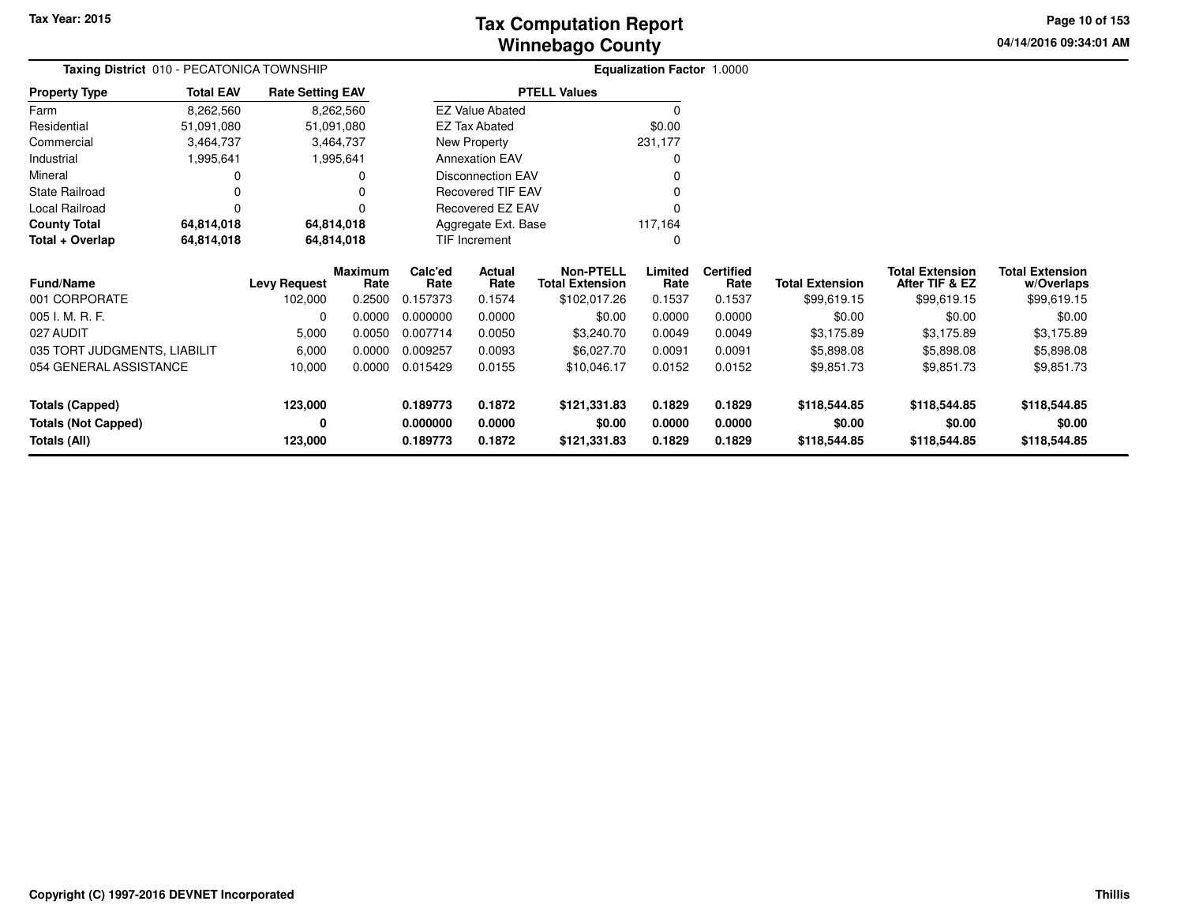**04/14/2016 09:34:01 AM Page 10 of 153**

|                              | Taxing District 010 - PECATONICA TOWNSHIP<br><b>Total EAV</b><br><b>Rate Setting EAV</b> |                     |                        |                 |                          |                                            | Equalization Factor 1.0000 |                          |                        |                                          |                                      |
|------------------------------|------------------------------------------------------------------------------------------|---------------------|------------------------|-----------------|--------------------------|--------------------------------------------|----------------------------|--------------------------|------------------------|------------------------------------------|--------------------------------------|
| <b>Property Type</b>         |                                                                                          |                     |                        |                 |                          | <b>PTELL Values</b>                        |                            |                          |                        |                                          |                                      |
| Farm                         | 8,262,560                                                                                |                     | 8,262,560              |                 | <b>EZ Value Abated</b>   |                                            |                            |                          |                        |                                          |                                      |
| Residential                  | 51,091,080                                                                               | 51,091,080          |                        |                 | <b>EZ Tax Abated</b>     |                                            | \$0.00                     |                          |                        |                                          |                                      |
| Commercial                   | 3,464,737                                                                                |                     | 3,464,737              |                 | New Property             |                                            | 231,177                    |                          |                        |                                          |                                      |
| Industrial                   | 1,995,641                                                                                |                     | 1,995,641              |                 | <b>Annexation EAV</b>    |                                            |                            |                          |                        |                                          |                                      |
| Mineral                      |                                                                                          |                     | O                      |                 | <b>Disconnection EAV</b> |                                            |                            |                          |                        |                                          |                                      |
| <b>State Railroad</b>        |                                                                                          |                     |                        |                 | <b>Recovered TIF EAV</b> |                                            |                            |                          |                        |                                          |                                      |
| Local Railroad               |                                                                                          |                     | 0                      |                 | Recovered EZ EAV         |                                            |                            |                          |                        |                                          |                                      |
| <b>County Total</b>          | 64,814,018                                                                               | 64,814,018          |                        |                 | Aggregate Ext. Base      |                                            | 117,164                    |                          |                        |                                          |                                      |
| Total + Overlap              | TIF Increment<br>64,814,018<br>64,814,018                                                |                     |                        |                 |                          |                                            |                            |                          |                        |                                          |                                      |
| <b>Fund/Name</b>             |                                                                                          | <b>Levy Request</b> | <b>Maximum</b><br>Rate | Calc'ed<br>Rate | Actual<br>Rate           | <b>Non-PTELL</b><br><b>Total Extension</b> | Limited<br>Rate            | <b>Certified</b><br>Rate | <b>Total Extension</b> | <b>Total Extension</b><br>After TIF & EZ | <b>Total Extension</b><br>w/Overlaps |
| 001 CORPORATE                |                                                                                          | 102,000             | 0.2500                 | 0.157373        | 0.1574                   | \$102,017.26                               | 0.1537                     | 0.1537                   | \$99,619.15            | \$99,619.15                              | \$99,619.15                          |
| 005 I. M. R. F.              |                                                                                          | 0                   | 0.0000                 | 0.000000        | 0.0000                   | \$0.00                                     | 0.0000                     | 0.0000                   | \$0.00                 | \$0.00                                   | \$0.00                               |
| 027 AUDIT                    |                                                                                          | 5,000               | 0.0050                 | 0.007714        | 0.0050                   | \$3,240.70                                 | 0.0049                     | 0.0049                   | \$3,175.89             | \$3,175.89                               | \$3,175.89                           |
| 035 TORT JUDGMENTS, LIABILIT |                                                                                          | 6,000               | 0.0000                 | 0.009257        | 0.0093                   | \$6,027.70                                 | 0.0091                     | 0.0091                   | \$5,898.08             | \$5,898.08                               | \$5,898.08                           |
| 054 GENERAL ASSISTANCE       |                                                                                          | 10,000              | 0.0000                 | 0.015429        | 0.0155                   | \$10,046.17                                | 0.0152                     | 0.0152                   | \$9,851.73             | \$9,851.73                               | \$9,851.73                           |
| <b>Totals (Capped)</b>       |                                                                                          | 123,000             |                        | 0.189773        | 0.1872                   | \$121,331.83                               | 0.1829                     | 0.1829                   | \$118,544.85           | \$118,544.85                             | \$118,544.85                         |
| <b>Totals (Not Capped)</b>   |                                                                                          | 0                   |                        | 0.000000        | 0.0000                   | \$0.00                                     | 0.0000                     | 0.0000                   | \$0.00                 | \$0.00                                   | \$0.00                               |
| <b>Totals (All)</b>          |                                                                                          | 123,000             |                        | 0.189773        | 0.1872                   | \$121,331.83                               | 0.1829                     | 0.1829                   | \$118,544.85           | \$118,544.85                             | \$118,544.85                         |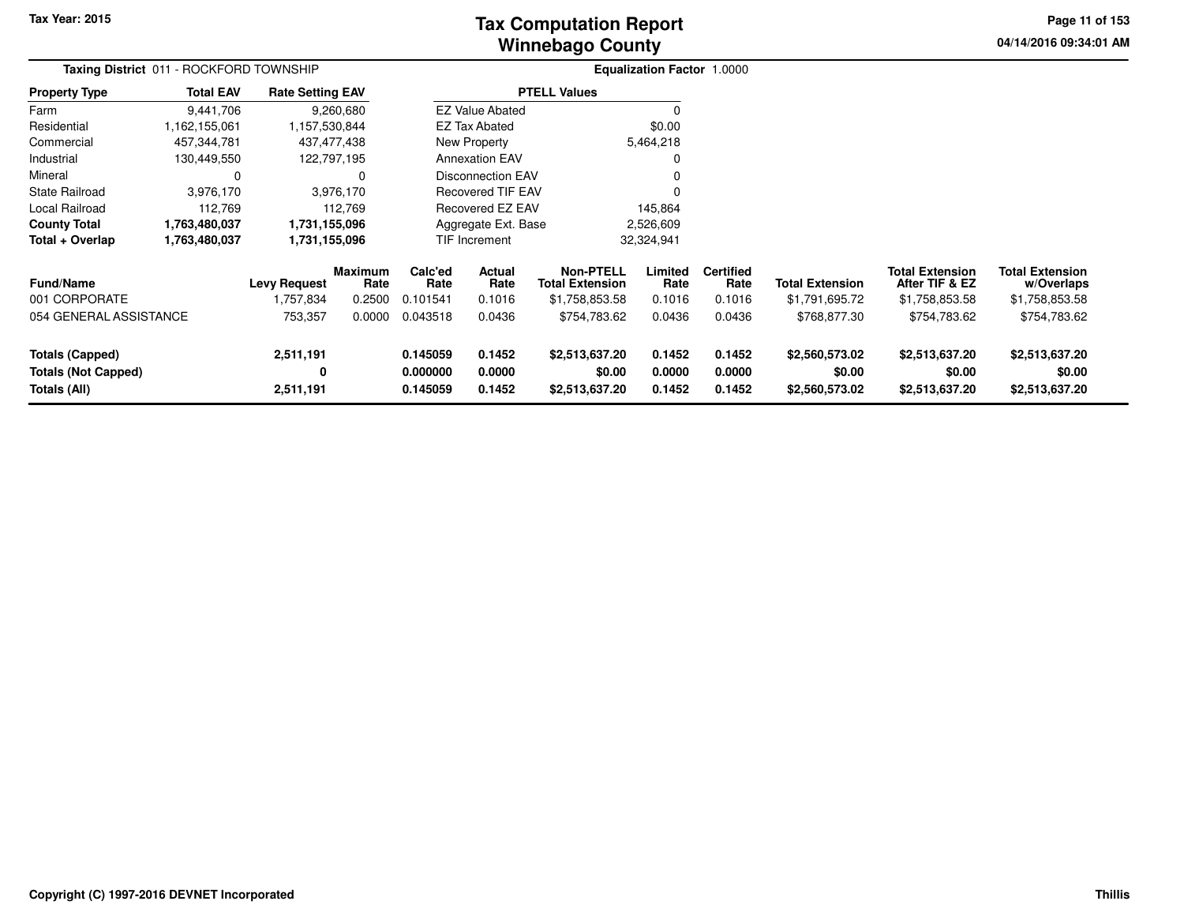# **Winnebago CountyTax Computation Report**

**04/14/2016 09:34:01 AM Page 11 of 153**

|                                                                      | Taxing District 011 - ROCKFORD TOWNSHIP |                                  |                                  |                                  |                             |                                                              | <b>Equalization Factor 1.0000</b> |                                    |                                            |                                                            |                                                        |  |
|----------------------------------------------------------------------|-----------------------------------------|----------------------------------|----------------------------------|----------------------------------|-----------------------------|--------------------------------------------------------------|-----------------------------------|------------------------------------|--------------------------------------------|------------------------------------------------------------|--------------------------------------------------------|--|
| <b>Property Type</b>                                                 | <b>Total EAV</b>                        | <b>Rate Setting EAV</b>          |                                  |                                  |                             | <b>PTELL Values</b>                                          |                                   |                                    |                                            |                                                            |                                                        |  |
| Farm                                                                 | 9,441,706                               |                                  | 9,260,680                        |                                  | <b>EZ Value Abated</b>      |                                                              |                                   |                                    |                                            |                                                            |                                                        |  |
| Residential                                                          | 1,162,155,061                           | 1,157,530,844                    |                                  |                                  | EZ Tax Abated               |                                                              | \$0.00                            |                                    |                                            |                                                            |                                                        |  |
| Commercial                                                           | 457,344,781                             |                                  | 437,477,438                      |                                  | New Property                |                                                              | 5,464,218                         |                                    |                                            |                                                            |                                                        |  |
| Industrial                                                           | 130,449,550                             |                                  | 122,797,195                      |                                  | <b>Annexation EAV</b>       |                                                              |                                   |                                    |                                            |                                                            |                                                        |  |
| Mineral                                                              | 0                                       |                                  | 0                                |                                  | Disconnection EAV           |                                                              |                                   |                                    |                                            |                                                            |                                                        |  |
| <b>State Railroad</b>                                                | 3,976,170                               |                                  | 3,976,170                        |                                  | Recovered TIF EAV           |                                                              |                                   |                                    |                                            |                                                            |                                                        |  |
| Local Railroad                                                       | 112,769                                 |                                  | 112,769                          |                                  | <b>Recovered EZ EAV</b>     |                                                              | 145,864                           |                                    |                                            |                                                            |                                                        |  |
| <b>County Total</b>                                                  | 1,763,480,037                           | 1,731,155,096                    |                                  |                                  | Aggregate Ext. Base         |                                                              | 2,526,609                         |                                    |                                            |                                                            |                                                        |  |
| Total + Overlap                                                      | 1,763,480,037                           | 1,731,155,096                    |                                  |                                  | 32,324,941<br>TIF Increment |                                                              |                                   |                                    |                                            |                                                            |                                                        |  |
| <b>Fund/Name</b><br>001 CORPORATE                                    |                                         | <b>Levy Request</b><br>1,757,834 | <b>Maximum</b><br>Rate<br>0.2500 | Calc'ed<br>Rate<br>0.101541      | Actual<br>Rate<br>0.1016    | <b>Non-PTELL</b><br><b>Total Extension</b><br>\$1,758,853.58 | Limited<br>Rate<br>0.1016         | <b>Certified</b><br>Rate<br>0.1016 | <b>Total Extension</b><br>\$1,791,695.72   | <b>Total Extension</b><br>After TIF & EZ<br>\$1,758,853.58 | <b>Total Extension</b><br>w/Overlaps<br>\$1,758,853.58 |  |
| 054 GENERAL ASSISTANCE                                               |                                         | 753,357                          | 0.0000                           | 0.043518                         | 0.0436                      | \$754,783.62                                                 | 0.0436                            | 0.0436                             | \$768,877.30                               | \$754,783.62                                               | \$754,783.62                                           |  |
| <b>Totals (Capped)</b><br><b>Totals (Not Capped)</b><br>Totals (All) |                                         | 2,511,191<br>0<br>2,511,191      |                                  | 0.145059<br>0.000000<br>0.145059 | 0.1452<br>0.0000<br>0.1452  | \$2,513,637.20<br>\$0.00<br>\$2,513,637.20                   | 0.1452<br>0.0000<br>0.1452        | 0.1452<br>0.0000<br>0.1452         | \$2,560,573.02<br>\$0.00<br>\$2,560,573.02 | \$2,513,637.20<br>\$0.00<br>\$2,513,637.20                 | \$2,513,637.20<br>\$0.00<br>\$2,513,637.20             |  |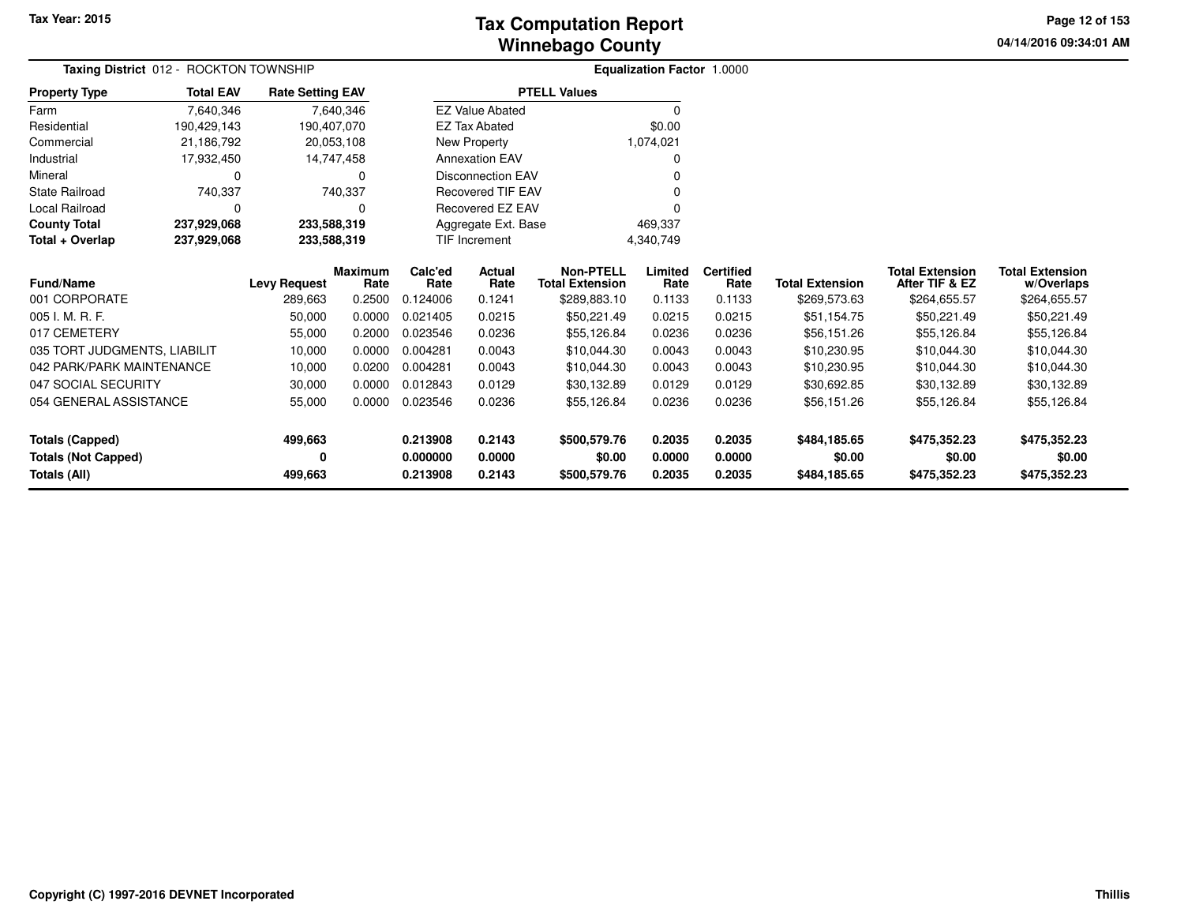**04/14/2016 09:34:01 AMPage 12 of 153**

|                              | Taxing District 012 - ROCKTON TOWNSHIP |                         |            |               |                          |                        | Equalization Factor 1.0000 |                  |                        |                        |                        |
|------------------------------|----------------------------------------|-------------------------|------------|---------------|--------------------------|------------------------|----------------------------|------------------|------------------------|------------------------|------------------------|
| <b>Property Type</b>         | <b>Total EAV</b>                       | <b>Rate Setting EAV</b> |            |               |                          | <b>PTELL Values</b>    |                            |                  |                        |                        |                        |
| Farm                         | 7,640,346                              |                         | 7,640,346  |               | <b>EZ Value Abated</b>   |                        | <sup>0</sup>               |                  |                        |                        |                        |
| Residential                  | 190,429,143                            | 190,407,070             |            |               | <b>EZ Tax Abated</b>     |                        | \$0.00                     |                  |                        |                        |                        |
| Commercial                   | 21,186,792                             | 20,053,108              |            |               | New Property             |                        | 1,074,021                  |                  |                        |                        |                        |
| Industrial                   | 17,932,450                             |                         | 14,747,458 |               | <b>Annexation EAV</b>    |                        | <sup>0</sup>               |                  |                        |                        |                        |
| Mineral                      | 0                                      |                         | 0          |               | <b>Disconnection EAV</b> |                        |                            |                  |                        |                        |                        |
| <b>State Railroad</b>        | 740,337                                |                         | 740,337    |               | <b>Recovered TIF EAV</b> |                        |                            |                  |                        |                        |                        |
| Local Railroad               | $\Omega$                               |                         |            |               | <b>Recovered EZ EAV</b>  |                        | <sup>0</sup>               |                  |                        |                        |                        |
| <b>County Total</b>          | 237,929,068                            | 233,588,319             |            |               | Aggregate Ext. Base      |                        | 469,337                    |                  |                        |                        |                        |
| Total + Overlap              | 237,929,068                            | 233,588,319             |            | TIF Increment |                          |                        | 4,340,749                  |                  |                        |                        |                        |
|                              |                                        |                         | Maximum    | Calc'ed       | Actual                   | <b>Non-PTELL</b>       | Limited                    | <b>Certified</b> |                        | <b>Total Extension</b> | <b>Total Extension</b> |
| Fund/Name                    |                                        | <b>Levy Request</b>     | Rate       | Rate          | Rate                     | <b>Total Extension</b> | Rate                       | Rate             | <b>Total Extension</b> | After TIF & EZ         | w/Overlaps             |
| 001 CORPORATE                |                                        | 289,663                 | 0.2500     | 0.124006      | 0.1241                   | \$289,883.10           | 0.1133                     | 0.1133           | \$269,573.63           | \$264,655.57           | \$264,655.57           |
| 005 I. M. R. F.              |                                        | 50,000                  | 0.0000     | 0.021405      | 0.0215                   | \$50,221.49            | 0.0215                     | 0.0215           | \$51,154.75            | \$50,221.49            | \$50,221.49            |
| 017 CEMETERY                 |                                        | 55,000                  | 0.2000     | 0.023546      | 0.0236                   | \$55,126.84            | 0.0236                     | 0.0236           | \$56,151.26            | \$55,126.84            | \$55,126.84            |
| 035 TORT JUDGMENTS, LIABILIT |                                        | 10,000                  | 0.0000     | 0.004281      | 0.0043                   | \$10,044.30            | 0.0043                     | 0.0043           | \$10,230.95            | \$10,044.30            | \$10,044.30            |
| 042 PARK/PARK MAINTENANCE    |                                        | 10,000                  | 0.0200     | 0.004281      | 0.0043                   | \$10,044.30            | 0.0043                     | 0.0043           | \$10,230.95            | \$10,044.30            | \$10,044.30            |
| 047 SOCIAL SECURITY          |                                        | 30,000                  | 0.0000     | 0.012843      | 0.0129                   | \$30,132.89            | 0.0129                     | 0.0129           | \$30,692.85            | \$30,132.89            | \$30,132.89            |
| 054 GENERAL ASSISTANCE       |                                        | 55,000                  | 0.0000     | 0.023546      | 0.0236                   | \$55,126.84            | 0.0236                     | 0.0236           | \$56,151.26            | \$55,126.84            | \$55,126.84            |
| <b>Totals (Capped)</b>       |                                        | 499,663                 |            | 0.213908      | 0.2143                   | \$500,579.76           | 0.2035                     | 0.2035           | \$484,185.65           | \$475,352.23           | \$475,352.23           |
| <b>Totals (Not Capped)</b>   |                                        | 0                       |            | 0.000000      | 0.0000                   | \$0.00                 | 0.0000                     | 0.0000           | \$0.00                 | \$0.00                 | \$0.00                 |
| Totals (All)                 |                                        | 499,663                 |            | 0.213908      | 0.2143                   | \$500,579.76           | 0.2035                     | 0.2035           | \$484,185.65           | \$475,352.23           | \$475,352.23           |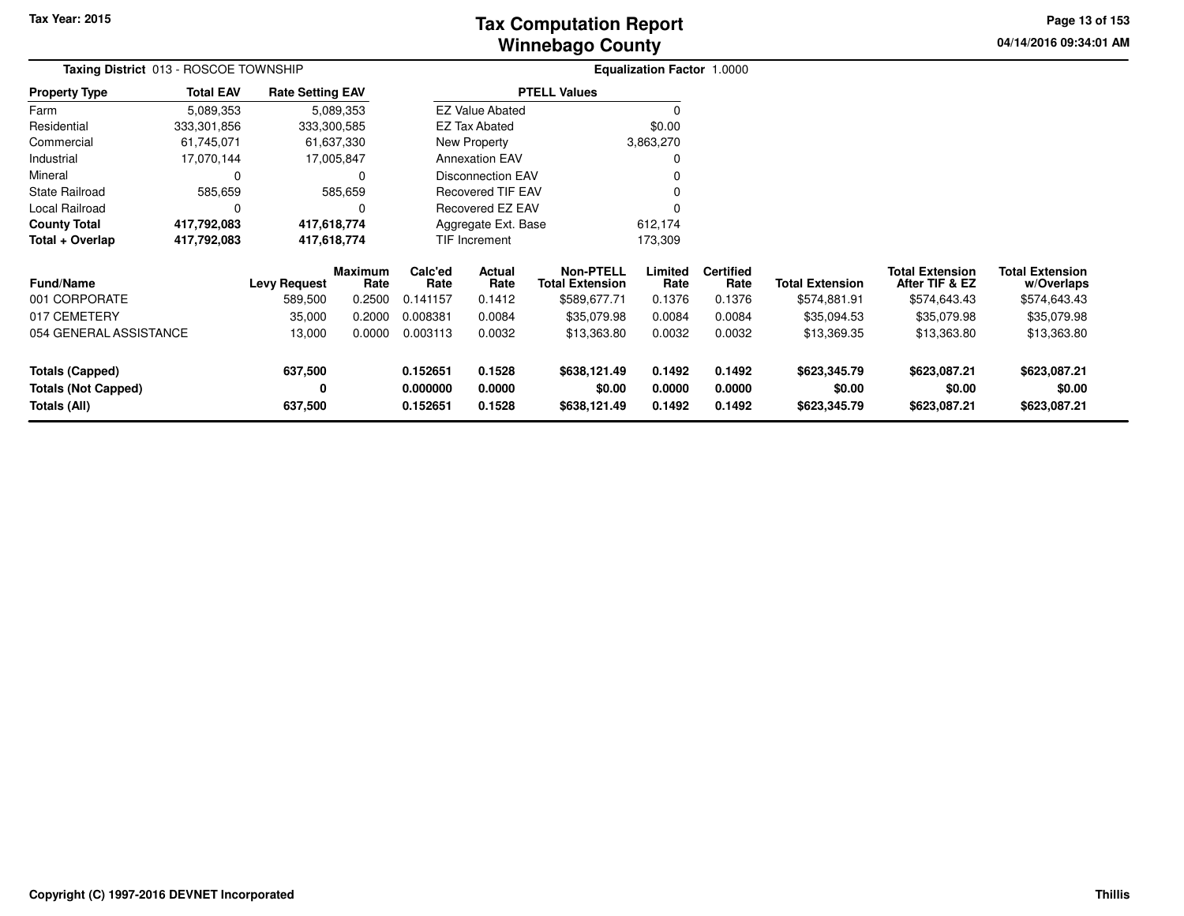# **Winnebago CountyTax Computation Report**

**04/14/2016 09:34:01 AM Page 13 of 153**

| Taxing District 013 - ROSCOE TOWNSHIP                                |                  |                         |                        | <b>Equalization Factor 1.0000</b> |                            |                                        |                            |                            |                                        |                                          |                                        |  |
|----------------------------------------------------------------------|------------------|-------------------------|------------------------|-----------------------------------|----------------------------|----------------------------------------|----------------------------|----------------------------|----------------------------------------|------------------------------------------|----------------------------------------|--|
| <b>Property Type</b>                                                 | <b>Total EAV</b> | <b>Rate Setting EAV</b> |                        |                                   |                            | <b>PTELL Values</b>                    |                            |                            |                                        |                                          |                                        |  |
| Farm                                                                 | 5,089,353        |                         | 5,089,353              |                                   | <b>EZ Value Abated</b>     |                                        |                            |                            |                                        |                                          |                                        |  |
| Residential                                                          | 333,301,856      | 333,300,585             |                        |                                   | EZ Tax Abated              |                                        | \$0.00                     |                            |                                        |                                          |                                        |  |
| Commercial                                                           | 61,745,071       |                         | 61,637,330             |                                   | New Property               |                                        | 3,863,270                  |                            |                                        |                                          |                                        |  |
| Industrial                                                           | 17,070,144       |                         | 17,005,847             |                                   | <b>Annexation EAV</b>      |                                        | 0                          |                            |                                        |                                          |                                        |  |
| Mineral                                                              | 0                |                         | 0                      |                                   | Disconnection EAV          |                                        | 0                          |                            |                                        |                                          |                                        |  |
| <b>State Railroad</b>                                                | 585,659          |                         | 585,659                |                                   | <b>Recovered TIF EAV</b>   |                                        |                            |                            |                                        |                                          |                                        |  |
| Local Railroad                                                       | 0                |                         | 0                      |                                   | Recovered EZ EAV           |                                        | 0                          |                            |                                        |                                          |                                        |  |
| <b>County Total</b>                                                  | 417,792,083      | 417,618,774             |                        |                                   | Aggregate Ext. Base        |                                        | 612,174                    |                            |                                        |                                          |                                        |  |
| Total + Overlap                                                      | 417,792,083      | 417,618,774             |                        |                                   | TIF Increment              |                                        | 173,309                    |                            |                                        |                                          |                                        |  |
| <b>Fund/Name</b>                                                     |                  | <b>Levy Request</b>     | <b>Maximum</b><br>Rate | Calc'ed<br>Rate                   | Actual<br>Rate             | Non-PTELL<br><b>Total Extension</b>    | Limited<br>Rate            | <b>Certified</b><br>Rate   | <b>Total Extension</b>                 | <b>Total Extension</b><br>After TIF & EZ | <b>Total Extension</b><br>w/Overlaps   |  |
| 001 CORPORATE                                                        |                  | 589,500                 | 0.2500                 | 0.141157                          | 0.1412                     | \$589,677.71                           | 0.1376                     | 0.1376                     | \$574,881.91                           | \$574,643.43                             | \$574,643.43                           |  |
| 017 CEMETERY                                                         |                  | 35,000                  | 0.2000                 | 0.008381                          | 0.0084                     | \$35,079.98                            | 0.0084                     | 0.0084                     | \$35,094.53                            | \$35,079.98                              | \$35,079.98                            |  |
| 054 GENERAL ASSISTANCE                                               |                  | 13,000                  | 0.0000                 | 0.003113                          | 0.0032                     | \$13,363.80                            | 0.0032                     | 0.0032                     | \$13,369.35                            | \$13,363.80                              | \$13,363.80                            |  |
| <b>Totals (Capped)</b><br><b>Totals (Not Capped)</b><br>Totals (All) |                  | 637,500<br>0<br>637,500 |                        | 0.152651<br>0.000000<br>0.152651  | 0.1528<br>0.0000<br>0.1528 | \$638,121.49<br>\$0.00<br>\$638,121.49 | 0.1492<br>0.0000<br>0.1492 | 0.1492<br>0.0000<br>0.1492 | \$623,345.79<br>\$0.00<br>\$623,345.79 | \$623,087.21<br>\$0.00<br>\$623,087.21   | \$623,087.21<br>\$0.00<br>\$623,087.21 |  |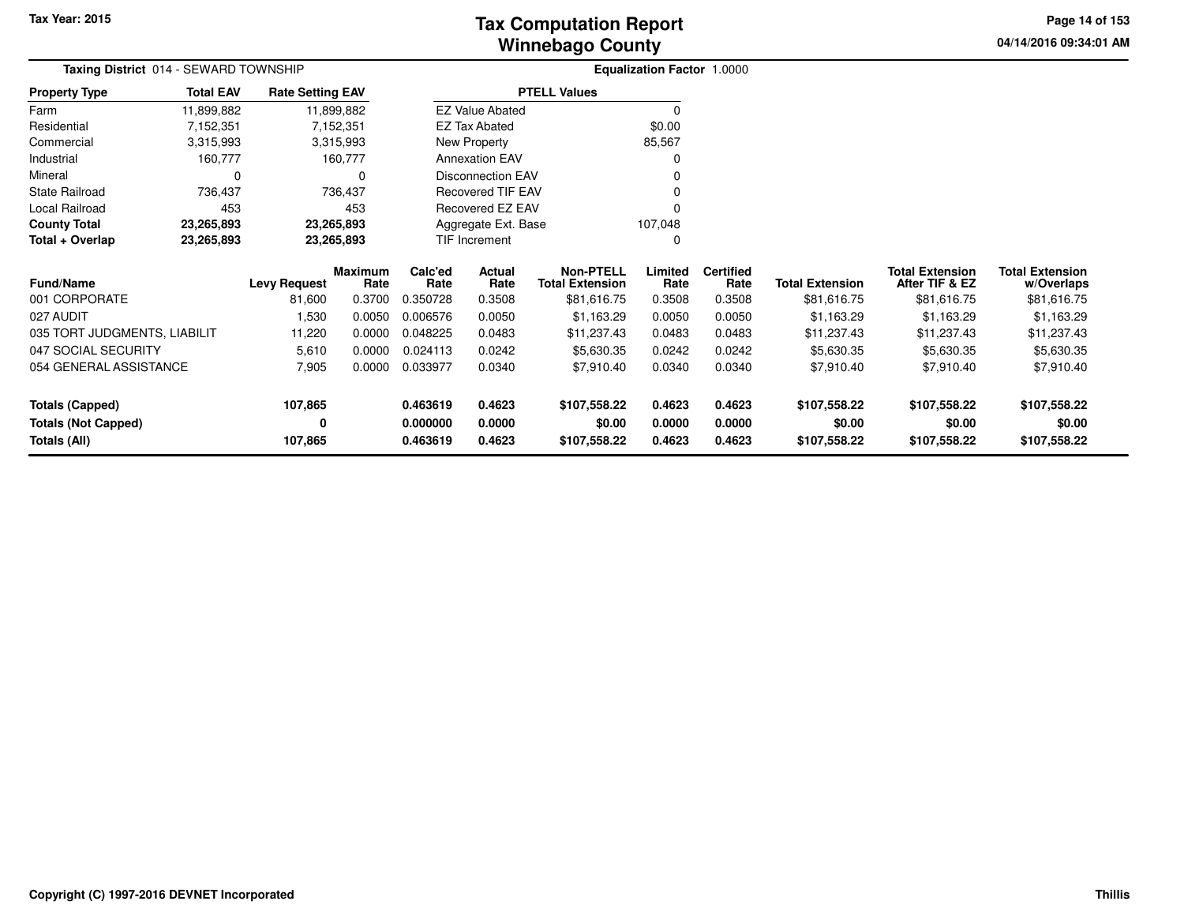**04/14/2016 09:34:01 AM Page 14 of 153**

| Taxing District 014 - SEWARD TOWNSHIP |                  |                         |                        |                 |                          |                                            | <b>Equalization Factor 1.0000</b> |                          |                        |                                          |                                      |
|---------------------------------------|------------------|-------------------------|------------------------|-----------------|--------------------------|--------------------------------------------|-----------------------------------|--------------------------|------------------------|------------------------------------------|--------------------------------------|
| <b>Property Type</b>                  | <b>Total EAV</b> | <b>Rate Setting EAV</b> |                        |                 |                          | <b>PTELL Values</b>                        |                                   |                          |                        |                                          |                                      |
| Farm                                  | 11,899,882       |                         | 11,899,882             |                 | <b>EZ Value Abated</b>   |                                            | 0                                 |                          |                        |                                          |                                      |
| Residential                           | 7,152,351        |                         | 7,152,351              |                 | <b>EZ Tax Abated</b>     |                                            | \$0.00                            |                          |                        |                                          |                                      |
| Commercial                            | 3,315,993        |                         | 3,315,993              |                 | New Property             |                                            | 85,567                            |                          |                        |                                          |                                      |
| Industrial                            | 160,777          |                         | 160,777                |                 | <b>Annexation EAV</b>    |                                            | $\Omega$                          |                          |                        |                                          |                                      |
| Mineral                               | 0                |                         | $\Omega$               |                 | <b>Disconnection EAV</b> |                                            |                                   |                          |                        |                                          |                                      |
| <b>State Railroad</b>                 | 736,437          |                         | 736,437                |                 | <b>Recovered TIF EAV</b> |                                            |                                   |                          |                        |                                          |                                      |
| Local Railroad                        | 453              |                         | 453                    |                 | Recovered EZ EAV         |                                            |                                   |                          |                        |                                          |                                      |
| <b>County Total</b>                   | 23,265,893       |                         | 23,265,893             |                 | Aggregate Ext. Base      |                                            | 107,048                           |                          |                        |                                          |                                      |
| Total + Overlap                       | 23,265,893       |                         | 23,265,893             |                 | TIF Increment            |                                            | 0                                 |                          |                        |                                          |                                      |
| <b>Fund/Name</b>                      |                  | <b>Levy Request</b>     | <b>Maximum</b><br>Rate | Calc'ed<br>Rate | Actual<br>Rate           | <b>Non-PTELL</b><br><b>Total Extension</b> | Limited<br>Rate                   | <b>Certified</b><br>Rate | <b>Total Extension</b> | <b>Total Extension</b><br>After TIF & EZ | <b>Total Extension</b><br>w/Overlaps |
| 001 CORPORATE                         |                  | 81,600                  | 0.3700                 | 0.350728        | 0.3508                   | \$81,616.75                                | 0.3508                            | 0.3508                   | \$81,616.75            | \$81,616.75                              | \$81,616.75                          |
| 027 AUDIT                             |                  | 1,530                   | 0.0050                 | 0.006576        | 0.0050                   | \$1,163.29                                 | 0.0050                            | 0.0050                   | \$1,163.29             | \$1,163.29                               | \$1,163.29                           |
| 035 TORT JUDGMENTS, LIABILIT          |                  | 11,220                  | 0.0000                 | 0.048225        | 0.0483                   | \$11,237.43                                | 0.0483                            | 0.0483                   | \$11,237.43            | \$11,237.43                              | \$11,237.43                          |
| 047 SOCIAL SECURITY                   |                  | 5,610                   | 0.0000                 | 0.024113        | 0.0242                   | \$5,630.35                                 | 0.0242                            | 0.0242                   | \$5,630.35             | \$5,630.35                               | \$5,630.35                           |
| 054 GENERAL ASSISTANCE                |                  | 7,905                   | 0.0000                 | 0.033977        | 0.0340                   | \$7,910.40                                 | 0.0340                            | 0.0340                   | \$7,910.40             | \$7,910.40                               | \$7,910.40                           |
| Totals (Capped)                       |                  | 107,865                 |                        | 0.463619        | 0.4623                   | \$107,558.22                               | 0.4623                            | 0.4623                   | \$107,558.22           | \$107,558.22                             | \$107,558.22                         |
| <b>Totals (Not Capped)</b>            |                  | 0                       |                        | 0.000000        | 0.0000                   | \$0.00                                     | 0.0000                            | 0.0000                   | \$0.00                 | \$0.00                                   | \$0.00                               |
| <b>Totals (All)</b>                   |                  | 107,865                 |                        | 0.463619        | 0.4623                   | \$107,558.22                               | 0.4623                            | 0.4623                   | \$107,558.22           | \$107,558.22                             | \$107,558.22                         |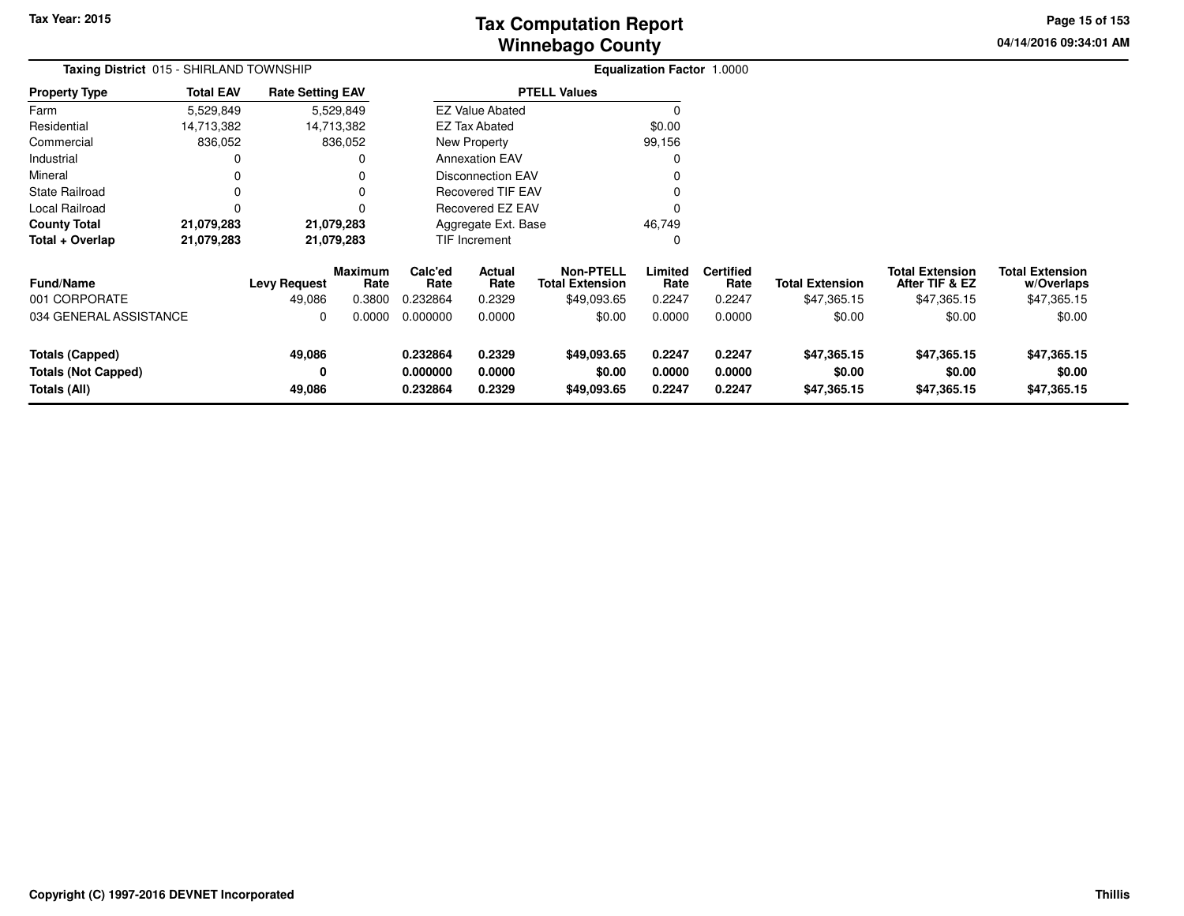# **Winnebago CountyTax Computation Report**

**04/14/2016 09:34:01 AM Page 15 of 153**

| Taxing District 015 - SHIRLAND TOWNSHIP                       |                  |                               |                           |                                  |                            |                                                           | <b>Equalization Factor 1.0000</b> |                                    |                                       |                                                         |                                                     |  |
|---------------------------------------------------------------|------------------|-------------------------------|---------------------------|----------------------------------|----------------------------|-----------------------------------------------------------|-----------------------------------|------------------------------------|---------------------------------------|---------------------------------------------------------|-----------------------------------------------------|--|
| <b>Property Type</b>                                          | <b>Total EAV</b> | <b>Rate Setting EAV</b>       |                           |                                  |                            | <b>PTELL Values</b>                                       |                                   |                                    |                                       |                                                         |                                                     |  |
| Farm                                                          | 5,529,849        |                               | 5,529,849                 |                                  | <b>EZ Value Abated</b>     |                                                           | 0                                 |                                    |                                       |                                                         |                                                     |  |
| Residential                                                   | 14,713,382       |                               | 14,713,382                |                                  | <b>EZ Tax Abated</b>       |                                                           | \$0.00                            |                                    |                                       |                                                         |                                                     |  |
| Commercial                                                    | 836,052          |                               | 836,052                   |                                  | New Property               |                                                           | 99,156                            |                                    |                                       |                                                         |                                                     |  |
| Industrial                                                    | 0                |                               |                           |                                  | <b>Annexation EAV</b>      |                                                           | 0                                 |                                    |                                       |                                                         |                                                     |  |
| Mineral                                                       |                  |                               |                           |                                  | <b>Disconnection EAV</b>   |                                                           | 0                                 |                                    |                                       |                                                         |                                                     |  |
| <b>State Railroad</b>                                         | 0                |                               |                           |                                  | <b>Recovered TIF EAV</b>   |                                                           |                                   |                                    |                                       |                                                         |                                                     |  |
| Local Railroad                                                | 0                |                               |                           |                                  | Recovered EZ EAV           |                                                           | $\Omega$                          |                                    |                                       |                                                         |                                                     |  |
| <b>County Total</b>                                           | 21,079,283       |                               | 21,079,283                |                                  | Aggregate Ext. Base        |                                                           | 46,749                            |                                    |                                       |                                                         |                                                     |  |
| Total + Overlap                                               | 21,079,283       |                               | 21,079,283                |                                  | <b>TIF Increment</b>       |                                                           | 0                                 |                                    |                                       |                                                         |                                                     |  |
| <b>Fund/Name</b><br>001 CORPORATE                             |                  | <b>Levy Request</b><br>49,086 | Maximum<br>Rate<br>0.3800 | Calc'ed<br>Rate<br>0.232864      | Actual<br>Rate<br>0.2329   | <b>Non-PTELL</b><br><b>Total Extension</b><br>\$49,093.65 | Limited<br>Rate<br>0.2247         | <b>Certified</b><br>Rate<br>0.2247 | <b>Total Extension</b><br>\$47,365.15 | <b>Total Extension</b><br>After TIF & EZ<br>\$47,365.15 | <b>Total Extension</b><br>w/Overlaps<br>\$47,365.15 |  |
| 034 GENERAL ASSISTANCE                                        |                  | 0                             | 0.0000                    | 0.000000                         | 0.0000                     | \$0.00                                                    | 0.0000                            | 0.0000                             | \$0.00                                | \$0.00                                                  | \$0.00                                              |  |
| Totals (Capped)<br><b>Totals (Not Capped)</b><br>Totals (All) |                  | 49,086<br>0<br>49,086         |                           | 0.232864<br>0.000000<br>0.232864 | 0.2329<br>0.0000<br>0.2329 | \$49,093.65<br>\$0.00<br>\$49,093.65                      | 0.2247<br>0.0000<br>0.2247        | 0.2247<br>0.0000<br>0.2247         | \$47,365.15<br>\$0.00<br>\$47,365.15  | \$47,365.15<br>\$0.00<br>\$47,365.15                    | \$47,365.15<br>\$0.00<br>\$47,365.15                |  |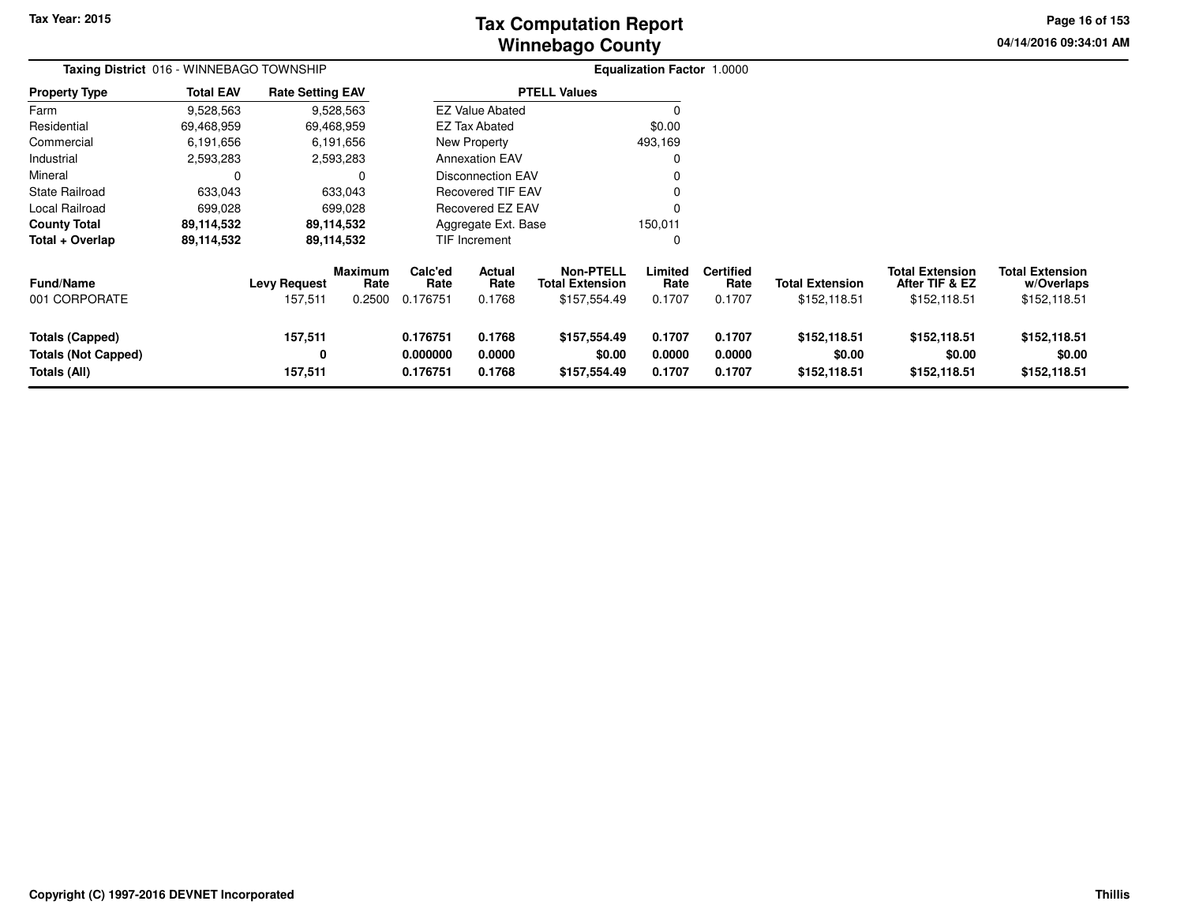# **Winnebago CountyTax Computation Report**

**04/14/2016 09:34:01 AM Page 16 of 153**

| Taxing District 016 - WINNEBAGO TOWNSHIP                      |                  |                                |                                  | <b>Equalization Factor 1.0000</b> |                            |                                                            |                            |                                    |                                        |                                                          |                                                      |
|---------------------------------------------------------------|------------------|--------------------------------|----------------------------------|-----------------------------------|----------------------------|------------------------------------------------------------|----------------------------|------------------------------------|----------------------------------------|----------------------------------------------------------|------------------------------------------------------|
| <b>Property Type</b>                                          | <b>Total EAV</b> | <b>Rate Setting EAV</b>        |                                  |                                   |                            | <b>PTELL Values</b>                                        |                            |                                    |                                        |                                                          |                                                      |
| Farm                                                          | 9,528,563        |                                | 9,528,563                        |                                   | <b>EZ Value Abated</b>     |                                                            |                            |                                    |                                        |                                                          |                                                      |
| Residential                                                   | 69,468,959       |                                | 69,468,959                       |                                   | <b>EZ Tax Abated</b>       |                                                            | \$0.00                     |                                    |                                        |                                                          |                                                      |
| Commercial                                                    | 6,191,656        |                                | 6,191,656                        |                                   | New Property               |                                                            | 493,169                    |                                    |                                        |                                                          |                                                      |
| Industrial                                                    | 2,593,283        |                                | 2,593,283                        |                                   | <b>Annexation EAV</b>      |                                                            |                            |                                    |                                        |                                                          |                                                      |
| Mineral                                                       | 0                |                                | 0                                |                                   | <b>Disconnection EAV</b>   |                                                            |                            |                                    |                                        |                                                          |                                                      |
| State Railroad                                                | 633,043          |                                | 633,043                          |                                   | <b>Recovered TIF EAV</b>   |                                                            |                            |                                    |                                        |                                                          |                                                      |
| Local Railroad                                                | 699,028          |                                | 699,028                          |                                   | Recovered EZ EAV           |                                                            |                            |                                    |                                        |                                                          |                                                      |
| <b>County Total</b>                                           | 89,114,532       |                                | 89,114,532                       |                                   | Aggregate Ext. Base        |                                                            | 150,011                    |                                    |                                        |                                                          |                                                      |
| Total + Overlap                                               | 89,114,532       |                                | 89,114,532                       |                                   | TIF Increment              |                                                            | 0                          |                                    |                                        |                                                          |                                                      |
| Fund/Name<br>001 CORPORATE                                    |                  | <b>Levy Request</b><br>157,511 | <b>Maximum</b><br>Rate<br>0.2500 | Calc'ed<br>Rate<br>0.176751       | Actual<br>Rate<br>0.1768   | <b>Non-PTELL</b><br><b>Total Extension</b><br>\$157,554.49 | Limited<br>Rate<br>0.1707  | <b>Certified</b><br>Rate<br>0.1707 | <b>Total Extension</b><br>\$152,118.51 | <b>Total Extension</b><br>After TIF & EZ<br>\$152,118.51 | <b>Total Extension</b><br>w/Overlaps<br>\$152,118.51 |
| Totals (Capped)<br><b>Totals (Not Capped)</b><br>Totals (All) |                  | 157,511<br>0<br>157,511        |                                  | 0.176751<br>0.000000<br>0.176751  | 0.1768<br>0.0000<br>0.1768 | \$157,554.49<br>\$0.00<br>\$157,554.49                     | 0.1707<br>0.0000<br>0.1707 | 0.1707<br>0.0000<br>0.1707         | \$152,118.51<br>\$0.00<br>\$152,118.51 | \$152,118.51<br>\$0.00<br>\$152,118.51                   | \$152,118.51<br>\$0.00<br>\$152,118.51               |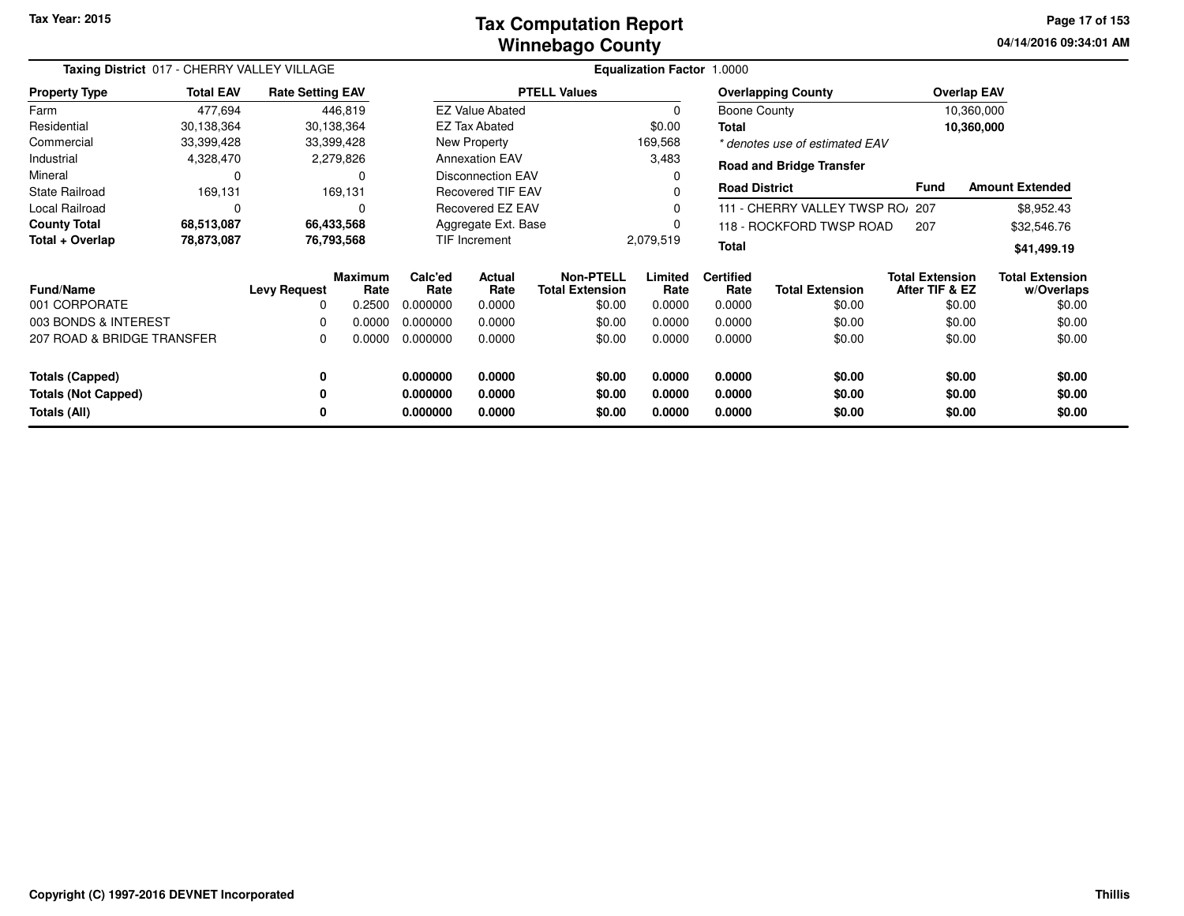#### **Winnebago CountyTax Computation Report**

**04/14/2016 09:34:01 AM Page 17 of 153**

| Taxing District 017 - CHERRY VALLEY VILLAGE |                  |                         |                        |                 |                          |                                            | Equalization Factor 1.0000 |                          |                                  |                                          |                                      |
|---------------------------------------------|------------------|-------------------------|------------------------|-----------------|--------------------------|--------------------------------------------|----------------------------|--------------------------|----------------------------------|------------------------------------------|--------------------------------------|
| <b>Property Type</b>                        | <b>Total EAV</b> | <b>Rate Setting EAV</b> |                        |                 |                          | <b>PTELL Values</b>                        |                            |                          | <b>Overlapping County</b>        |                                          | <b>Overlap EAV</b>                   |
| Farm                                        | 477,694          |                         | 446,819                |                 | <b>EZ Value Abated</b>   |                                            | $\mathbf 0$                | Boone County             |                                  |                                          | 10,360,000                           |
| Residential                                 | 30,138,364       |                         | 30,138,364             |                 | <b>EZ Tax Abated</b>     |                                            | \$0.00                     | Total                    |                                  |                                          | 10,360,000                           |
| Commercial                                  | 33,399,428       |                         | 33,399,428             |                 | New Property             |                                            | 169,568                    |                          | * denotes use of estimated EAV   |                                          |                                      |
| Industrial                                  | 4,328,470        |                         | 2,279,826              |                 | <b>Annexation EAV</b>    |                                            | 3,483                      |                          | <b>Road and Bridge Transfer</b>  |                                          |                                      |
| Mineral                                     | 0                |                         | 0                      |                 | <b>Disconnection EAV</b> |                                            | 0                          |                          |                                  |                                          |                                      |
| <b>State Railroad</b>                       | 169,131          |                         | 169,131                |                 | <b>Recovered TIF EAV</b> |                                            | 0                          | <b>Road District</b>     |                                  | <b>Fund</b>                              | <b>Amount Extended</b>               |
| Local Railroad                              | 0                |                         | $\Omega$               |                 | Recovered EZ EAV         |                                            | $\Omega$                   |                          | 111 - CHERRY VALLEY TWSP RO/ 207 |                                          | \$8,952.43                           |
| <b>County Total</b>                         | 68,513,087       |                         | 66,433,568             |                 | Aggregate Ext. Base      |                                            | 0                          |                          | 118 - ROCKFORD TWSP ROAD         | 207                                      | \$32,546.76                          |
| Total + Overlap                             | 78,873,087       |                         | 76,793,568             |                 | TIF Increment            |                                            | 2,079,519                  | <b>Total</b>             |                                  |                                          | \$41,499.19                          |
| <b>Fund/Name</b>                            |                  | <b>Levy Request</b>     | <b>Maximum</b><br>Rate | Calc'ed<br>Rate | <b>Actual</b><br>Rate    | <b>Non-PTELL</b><br><b>Total Extension</b> | Limited<br>Rate            | <b>Certified</b><br>Rate | <b>Total Extension</b>           | <b>Total Extension</b><br>After TIF & EZ | <b>Total Extension</b><br>w/Overlaps |
| 001 CORPORATE                               |                  | 0                       | 0.2500                 | 0.000000        | 0.0000                   | \$0.00                                     | 0.0000                     | 0.0000                   | \$0.00                           | \$0.00                                   | \$0.00                               |
| 003 BONDS & INTEREST                        |                  | 0                       | 0.0000                 | 0.000000        | 0.0000                   | \$0.00                                     | 0.0000                     | 0.0000                   | \$0.00                           | \$0.00                                   | \$0.00                               |
| 207 ROAD & BRIDGE TRANSFER                  |                  | 0                       | 0.0000                 | 0.000000        | 0.0000                   | \$0.00                                     | 0.0000                     | 0.0000                   | \$0.00                           | \$0.00                                   | \$0.00                               |
| <b>Totals (Capped)</b>                      |                  | 0                       |                        | 0.000000        | 0.0000                   | \$0.00                                     | 0.0000                     | 0.0000                   | \$0.00                           | \$0.00                                   | \$0.00                               |
| <b>Totals (Not Capped)</b>                  |                  | 0                       |                        | 0.000000        | 0.0000                   | \$0.00                                     | 0.0000                     | 0.0000                   | \$0.00                           | \$0.00                                   | \$0.00                               |
| Totals (All)                                |                  |                         |                        | 0.000000        | 0.0000                   | \$0.00                                     | 0.0000                     | 0.0000                   | \$0.00                           | \$0.00                                   | \$0.00                               |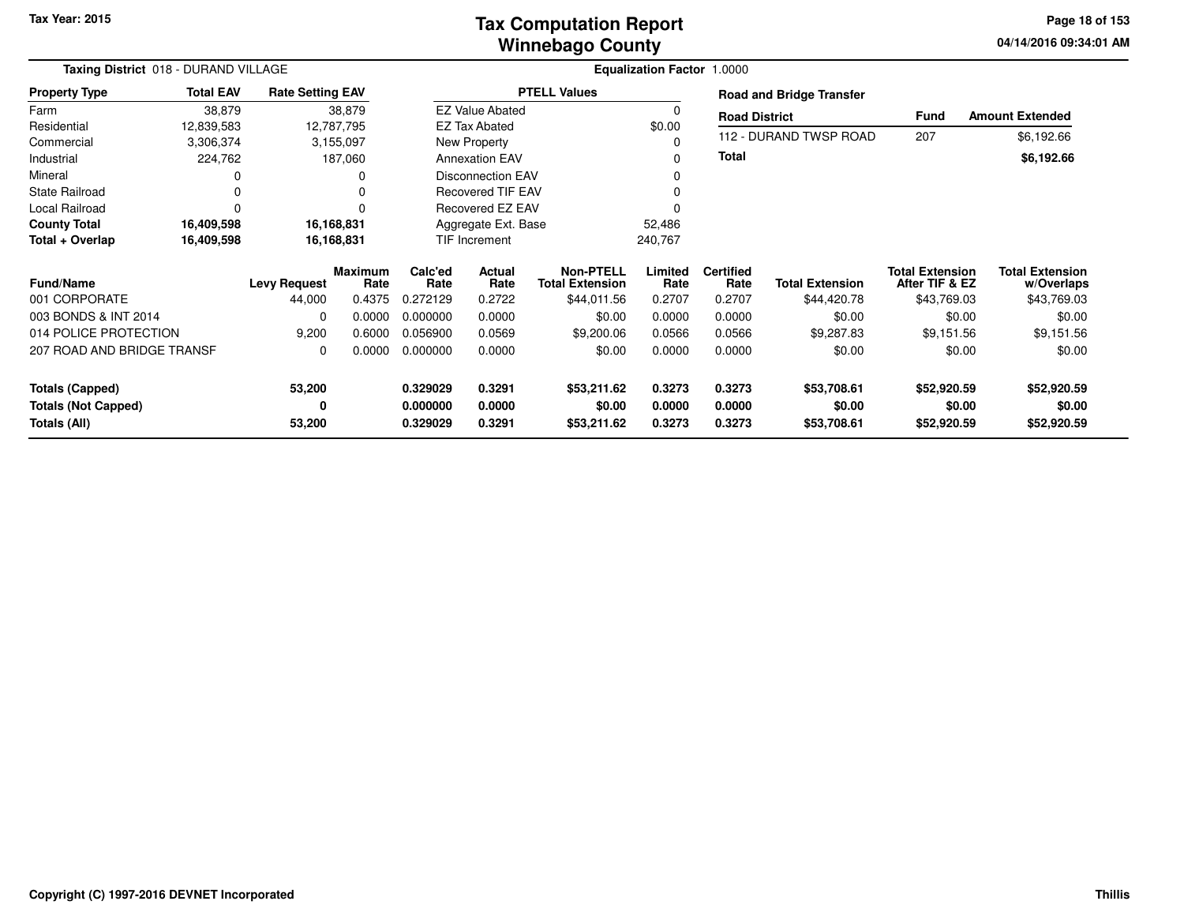## **Winnebago CountyTax Computation Report**

**04/14/2016 09:34:01 AM Page 18 of 153**

| Taxing District 018 - DURAND VILLAGE |                  |                         |                 | <b>Equalization Factor 1.0000</b> |                          |                                            |                 |                          |                                 |                                          |                                      |
|--------------------------------------|------------------|-------------------------|-----------------|-----------------------------------|--------------------------|--------------------------------------------|-----------------|--------------------------|---------------------------------|------------------------------------------|--------------------------------------|
| <b>Property Type</b>                 | <b>Total EAV</b> | <b>Rate Setting EAV</b> |                 |                                   |                          | <b>PTELL Values</b>                        |                 |                          | <b>Road and Bridge Transfer</b> |                                          |                                      |
| Farm                                 | 38,879           |                         | 38,879          |                                   | <b>EZ Value Abated</b>   |                                            |                 | <b>Road District</b>     |                                 | Fund                                     | <b>Amount Extended</b>               |
| Residential                          | 12,839,583       |                         | 12,787,795      |                                   | <b>EZ Tax Abated</b>     |                                            | \$0.00          |                          |                                 |                                          |                                      |
| Commercial                           | 3,306,374        |                         | 3,155,097       |                                   | New Property             |                                            |                 |                          | 112 - DURAND TWSP ROAD          | 207                                      | \$6,192.66                           |
| Industrial                           | 224,762          |                         | 187,060         |                                   | <b>Annexation EAV</b>    |                                            |                 | <b>Total</b>             |                                 |                                          | \$6,192.66                           |
| Mineral                              |                  |                         |                 |                                   | <b>Disconnection EAV</b> |                                            |                 |                          |                                 |                                          |                                      |
| <b>State Railroad</b>                | 0                |                         | O               |                                   | <b>Recovered TIF EAV</b> |                                            |                 |                          |                                 |                                          |                                      |
| Local Railroad                       | 0                |                         | O               |                                   | <b>Recovered EZ EAV</b>  |                                            |                 |                          |                                 |                                          |                                      |
| <b>County Total</b>                  | 16,409,598       | 16,168,831              |                 |                                   | Aggregate Ext. Base      |                                            | 52,486          |                          |                                 |                                          |                                      |
| Total + Overlap                      | 16,409,598       |                         | 16,168,831      |                                   | <b>TIF Increment</b>     |                                            | 240,767         |                          |                                 |                                          |                                      |
| <b>Fund/Name</b>                     |                  | <b>Levy Request</b>     | Maximum<br>Rate | Calc'ed<br>Rate                   | Actual<br>Rate           | <b>Non-PTELL</b><br><b>Total Extension</b> | Limited<br>Rate | <b>Certified</b><br>Rate | <b>Total Extension</b>          | <b>Total Extension</b><br>After TIF & EZ | <b>Total Extension</b><br>w/Overlaps |
| 001 CORPORATE                        |                  | 44,000                  | 0.4375          | 0.272129                          | 0.2722                   | \$44,011.56                                | 0.2707          | 0.2707                   | \$44,420.78                     | \$43,769.03                              | \$43,769.03                          |
| 003 BONDS & INT 2014                 |                  | 0                       | 0.0000          | 0.000000                          | 0.0000                   | \$0.00                                     | 0.0000          | 0.0000                   | \$0.00                          | \$0.00                                   | \$0.00                               |
| 014 POLICE PROTECTION                |                  | 9,200                   | 0.6000          | 0.056900                          | 0.0569                   | \$9,200.06                                 | 0.0566          | 0.0566                   | \$9,287.83                      | \$9,151.56                               | \$9,151.56                           |
| 207 ROAD AND BRIDGE TRANSF           |                  | 0                       | 0.0000          | 0.000000                          | 0.0000                   | \$0.00                                     | 0.0000          | 0.0000                   | \$0.00                          | \$0.00                                   | \$0.00                               |
| <b>Totals (Capped)</b>               |                  | 53,200                  |                 | 0.329029                          | 0.3291                   | \$53,211.62                                | 0.3273          | 0.3273                   | \$53,708.61                     | \$52,920.59                              | \$52,920.59                          |
| <b>Totals (Not Capped)</b>           |                  | 0                       |                 | 0.000000                          | 0.0000                   | \$0.00                                     | 0.0000          | 0.0000                   | \$0.00                          | \$0.00                                   | \$0.00                               |
| Totals (All)                         |                  | 53,200                  |                 | 0.329029                          | 0.3291                   | \$53,211.62                                | 0.3273          | 0.3273                   | \$53,708.61                     | \$52,920.59                              | \$52,920.59                          |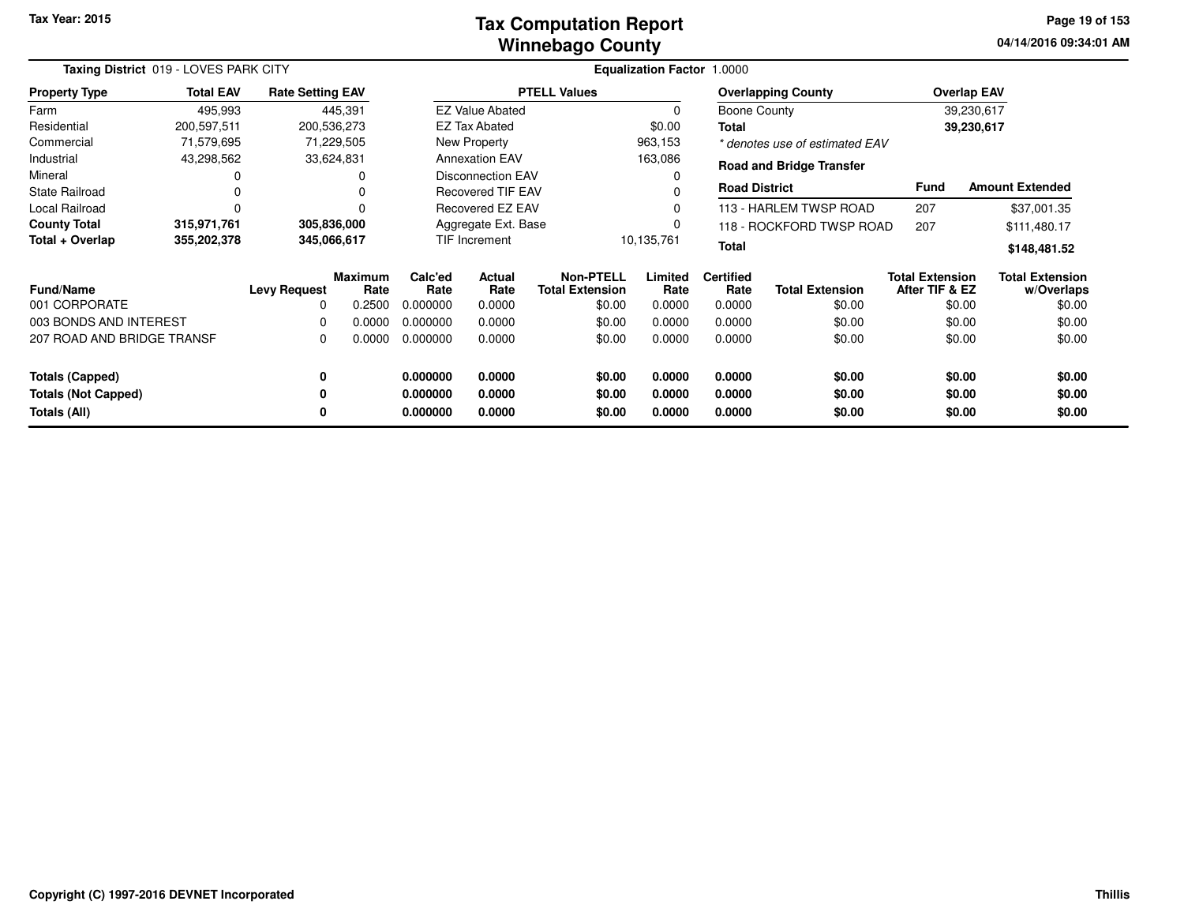#### **Winnebago CountyTax Computation Report**

**04/14/2016 09:34:01 AM Page 19 of 153**

| Taxing District 019 - LOVES PARK CITY |                  |                         |                        |                 |                          |                                            | Equalization Factor 1.0000 |                          |                                 |                                          |                                      |
|---------------------------------------|------------------|-------------------------|------------------------|-----------------|--------------------------|--------------------------------------------|----------------------------|--------------------------|---------------------------------|------------------------------------------|--------------------------------------|
| <b>Property Type</b>                  | <b>Total EAV</b> | <b>Rate Setting EAV</b> |                        |                 |                          | <b>PTELL Values</b>                        |                            |                          | <b>Overlapping County</b>       |                                          | <b>Overlap EAV</b>                   |
| Farm                                  | 495,993          |                         | 445,391                |                 | <b>EZ Value Abated</b>   |                                            | $\Omega$                   | <b>Boone County</b>      |                                 |                                          | 39,230,617                           |
| Residential                           | 200,597,511      | 200,536,273             |                        |                 | EZ Tax Abated            |                                            | \$0.00                     | Total                    |                                 |                                          | 39,230,617                           |
| Commercial                            | 71,579,695       |                         | 71,229,505             |                 | <b>New Property</b>      |                                            | 963,153                    |                          | * denotes use of estimated EAV  |                                          |                                      |
| Industrial                            | 43,298,562       |                         | 33,624,831             |                 | <b>Annexation EAV</b>    |                                            | 163,086                    |                          | <b>Road and Bridge Transfer</b> |                                          |                                      |
| Mineral                               | 0                |                         | 0                      |                 | <b>Disconnection EAV</b> |                                            | 0                          |                          |                                 |                                          |                                      |
| <b>State Railroad</b>                 | 0                |                         |                        |                 | <b>Recovered TIF EAV</b> |                                            |                            | <b>Road District</b>     |                                 | <b>Fund</b>                              | <b>Amount Extended</b>               |
| Local Railroad                        | 0                |                         |                        |                 | Recovered EZ EAV         |                                            | 0                          |                          | 113 - HARLEM TWSP ROAD          | 207                                      | \$37,001.35                          |
| <b>County Total</b>                   | 315,971,761      | 305,836,000             |                        |                 | Aggregate Ext. Base      |                                            | 0                          |                          | 118 - ROCKFORD TWSP ROAD        | 207                                      | \$111,480.17                         |
| Total + Overlap                       | 355,202,378      | 345,066,617             |                        |                 | TIF Increment            |                                            | 10,135,761                 | <b>Total</b>             |                                 |                                          | \$148,481.52                         |
| <b>Fund/Name</b>                      |                  | <b>Levy Request</b>     | <b>Maximum</b><br>Rate | Calc'ed<br>Rate | Actual<br>Rate           | <b>Non-PTELL</b><br><b>Total Extension</b> | Limited<br>Rate            | <b>Certified</b><br>Rate | <b>Total Extension</b>          | <b>Total Extension</b><br>After TIF & EZ | <b>Total Extension</b><br>w/Overlaps |
| 001 CORPORATE                         |                  | 0                       | 0.2500                 | 0.000000        | 0.0000                   | \$0.00                                     | 0.0000                     | 0.0000                   | \$0.00                          | \$0.00                                   | \$0.00                               |
| 003 BONDS AND INTEREST                |                  | 0                       | 0.0000                 | 0.000000        | 0.0000                   | \$0.00                                     | 0.0000                     | 0.0000                   | \$0.00                          | \$0.00                                   | \$0.00                               |
| 207 ROAD AND BRIDGE TRANSF            |                  | 0                       | 0.0000                 | 0.000000        | 0.0000                   | \$0.00                                     | 0.0000                     | 0.0000                   | \$0.00                          | \$0.00                                   | \$0.00                               |
| <b>Totals (Capped)</b>                |                  | 0                       |                        | 0.000000        | 0.0000                   | \$0.00                                     | 0.0000                     | 0.0000                   | \$0.00                          | \$0.00                                   | \$0.00                               |
| <b>Totals (Not Capped)</b>            |                  | 0                       |                        | 0.000000        | 0.0000                   | \$0.00                                     | 0.0000                     | 0.0000                   | \$0.00                          | \$0.00                                   | \$0.00                               |
| Totals (All)                          |                  | 0                       |                        | 0.000000        | 0.0000                   | \$0.00                                     | 0.0000                     | 0.0000                   | \$0.00                          | \$0.00                                   | \$0.00                               |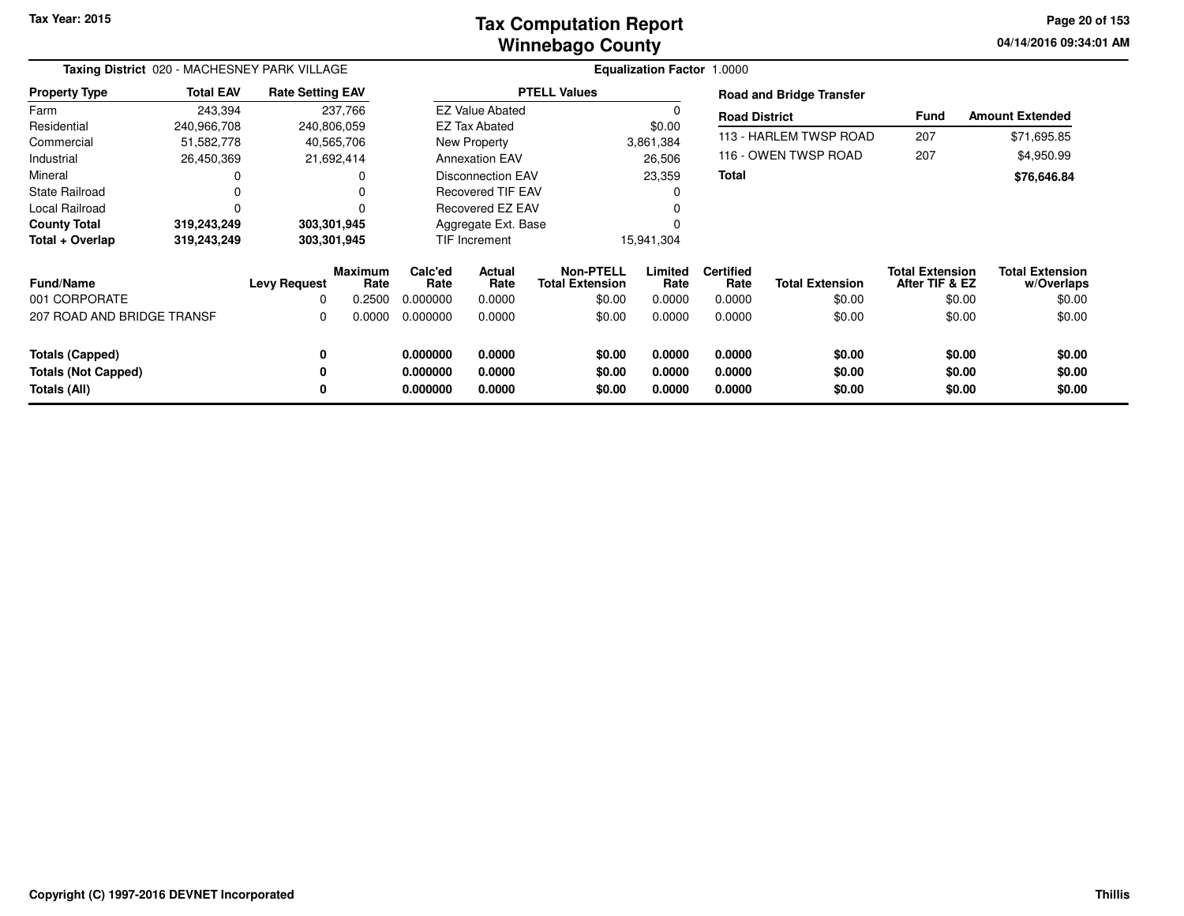## **Winnebago CountyTax Computation Report**

**04/14/2016 09:34:01 AM Page 20 of 153**

| Taxing District 020 - MACHESNEY PARK VILLAGE |                  |                         |                 |                 |                          | Equalization Factor 1.0000                 |                 |                          |                                 |                                          |                                      |
|----------------------------------------------|------------------|-------------------------|-----------------|-----------------|--------------------------|--------------------------------------------|-----------------|--------------------------|---------------------------------|------------------------------------------|--------------------------------------|
| <b>Property Type</b>                         | <b>Total EAV</b> | <b>Rate Setting EAV</b> |                 |                 |                          | <b>PTELL Values</b>                        |                 |                          | <b>Road and Bridge Transfer</b> |                                          |                                      |
| Farm                                         | 243,394          |                         | 237,766         |                 | <b>EZ Value Abated</b>   |                                            | 0               | <b>Road District</b>     |                                 | Fund                                     | <b>Amount Extended</b>               |
| Residential                                  | 240,966,708      | 240,806,059             |                 |                 | <b>EZ Tax Abated</b>     |                                            | \$0.00          |                          |                                 |                                          |                                      |
| Commercial                                   | 51,582,778       | 40,565,706              |                 |                 | New Property             |                                            | 3,861,384       |                          | 113 - HARLEM TWSP ROAD          | 207                                      | \$71,695.85                          |
| Industrial                                   | 26,450,369       | 21,692,414              |                 |                 | <b>Annexation EAV</b>    |                                            | 26,506          |                          | 116 - OWEN TWSP ROAD            | 207                                      | \$4,950.99                           |
| Mineral                                      |                  |                         |                 |                 | <b>Disconnection EAV</b> |                                            | 23,359          | <b>Total</b>             |                                 |                                          | \$76,646.84                          |
| State Railroad                               |                  |                         |                 |                 | <b>Recovered TIF EAV</b> |                                            | $\Omega$        |                          |                                 |                                          |                                      |
| <b>Local Railroad</b>                        |                  |                         | $\Omega$        |                 | Recovered EZ EAV         |                                            |                 |                          |                                 |                                          |                                      |
| <b>County Total</b>                          | 319,243,249      | 303,301,945             |                 |                 | Aggregate Ext. Base      |                                            |                 |                          |                                 |                                          |                                      |
| Total + Overlap                              | 319,243,249      | 303,301,945             |                 |                 | TIF Increment            |                                            | 15,941,304      |                          |                                 |                                          |                                      |
| <b>Fund/Name</b>                             |                  | <b>Levy Request</b>     | Maximum<br>Rate | Calc'ed<br>Rate | Actual<br>Rate           | <b>Non-PTELL</b><br><b>Total Extension</b> | Limited<br>Rate | <b>Certified</b><br>Rate | <b>Total Extension</b>          | <b>Total Extension</b><br>After TIF & EZ | <b>Total Extension</b><br>w/Overlaps |
| 001 CORPORATE                                |                  | 0                       | 0.2500          | 0.000000        | 0.0000                   | \$0.00                                     | 0.0000          | 0.0000                   | \$0.00                          | \$0.00                                   | \$0.00                               |
| 207 ROAD AND BRIDGE TRANSF                   |                  | 0                       | 0.0000          | 0.000000        | 0.0000                   | \$0.00                                     | 0.0000          | 0.0000                   | \$0.00                          | \$0.00                                   | \$0.00                               |
| <b>Totals (Capped)</b>                       |                  | 0                       |                 | 0.000000        | 0.0000                   | \$0.00                                     | 0.0000          | 0.0000                   | \$0.00                          | \$0.00                                   | \$0.00                               |
| <b>Totals (Not Capped)</b>                   |                  | 0                       |                 | 0.000000        | 0.0000                   | \$0.00                                     | 0.0000          | 0.0000                   | \$0.00                          | \$0.00                                   | \$0.00                               |
| Totals (All)                                 |                  | 0                       |                 | 0.000000        | 0.0000                   | \$0.00                                     | 0.0000          | 0.0000                   | \$0.00                          | \$0.00                                   | \$0.00                               |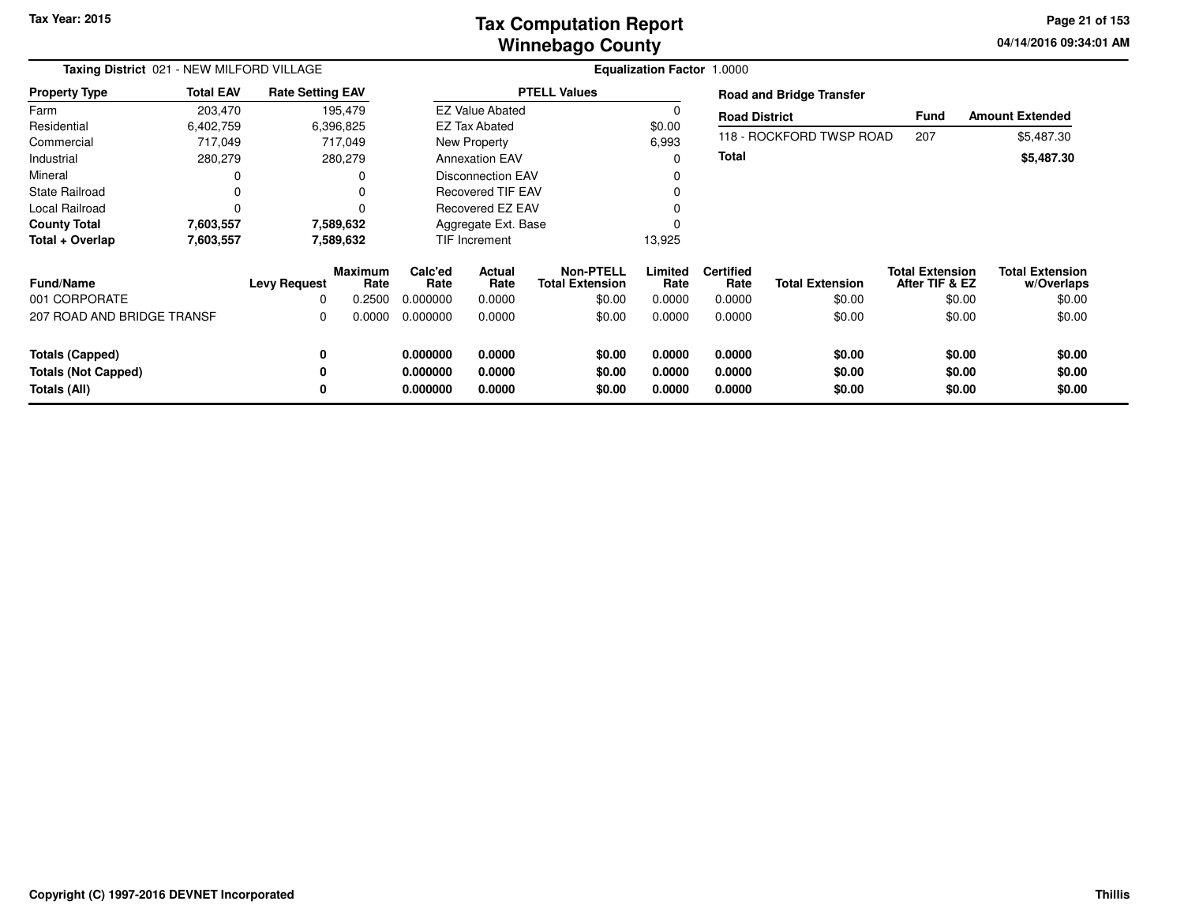## **Winnebago CountyTax Computation Report**

**04/14/2016 09:34:01 AM Page 21 of 153**

| Taxing District 021 - NEW MILFORD VILLAGE |                  |                         |                        |                             |                          |                                               |                 | <b>Equalization Factor 1.0000</b> |                                 |                                          |                                      |
|-------------------------------------------|------------------|-------------------------|------------------------|-----------------------------|--------------------------|-----------------------------------------------|-----------------|-----------------------------------|---------------------------------|------------------------------------------|--------------------------------------|
| <b>Property Type</b>                      | <b>Total EAV</b> | <b>Rate Setting EAV</b> |                        |                             | <b>PTELL Values</b>      |                                               |                 |                                   | <b>Road and Bridge Transfer</b> |                                          |                                      |
| Farm                                      | 203,470          |                         | 195,479                |                             | <b>EZ Value Abated</b>   |                                               |                 | <b>Road District</b>              |                                 | Fund                                     | <b>Amount Extended</b>               |
| Residential                               | 6,402,759        |                         | 6,396,825              |                             | EZ Tax Abated            |                                               | \$0.00          |                                   |                                 |                                          |                                      |
| Commercial                                | 717,049          |                         | 717,049                |                             | New Property             |                                               | 6,993           |                                   | 118 - ROCKFORD TWSP ROAD        | 207                                      | \$5,487.30                           |
| Industrial                                | 280,279          |                         | 280,279                |                             | <b>Annexation EAV</b>    |                                               | $\Omega$        | <b>Total</b>                      |                                 |                                          | \$5,487.30                           |
| Mineral                                   |                  |                         | ი                      |                             | <b>Disconnection EAV</b> |                                               |                 |                                   |                                 |                                          |                                      |
| State Railroad                            |                  |                         | 0                      |                             | Recovered TIF EAV        |                                               |                 |                                   |                                 |                                          |                                      |
| Local Railroad                            | 0                |                         | 0                      |                             | Recovered EZ EAV         |                                               |                 |                                   |                                 |                                          |                                      |
| <b>County Total</b>                       | 7,603,557        |                         | 7,589,632              |                             | Aggregate Ext. Base      |                                               |                 |                                   |                                 |                                          |                                      |
| Total + Overlap                           | 7,603,557        |                         | 7,589,632              |                             | TIF Increment            |                                               | 13,925          |                                   |                                 |                                          |                                      |
| <b>Fund/Name</b><br>001 CORPORATE         |                  | <b>Levy Request</b>     | <b>Maximum</b><br>Rate | Calc'ed<br>Rate<br>0.000000 | Actual<br>Rate           | Non-PTELL<br><b>Total Extension</b><br>\$0.00 | Limited<br>Rate | <b>Certified</b><br>Rate          | <b>Total Extension</b>          | <b>Total Extension</b><br>After TIF & EZ | <b>Total Extension</b><br>w/Overlaps |
|                                           |                  | 0                       | 0.2500                 |                             | 0.0000                   |                                               | 0.0000          | 0.0000                            | \$0.00                          | \$0.00                                   | \$0.00                               |
| 207 ROAD AND BRIDGE TRANSF                |                  | 0                       | 0.0000                 | 0.000000                    | 0.0000                   | \$0.00                                        | 0.0000          | 0.0000                            | \$0.00                          | \$0.00                                   | \$0.00                               |
| <b>Totals (Capped)</b>                    |                  | 0                       |                        | 0.000000                    | 0.0000                   | \$0.00                                        | 0.0000          | 0.0000                            | \$0.00                          | \$0.00                                   | \$0.00                               |
| <b>Totals (Not Capped)</b>                |                  | 0                       |                        | 0.000000                    | 0.0000                   | \$0.00                                        | 0.0000          | 0.0000                            | \$0.00                          | \$0.00                                   | \$0.00                               |
| Totals (All)                              |                  | 0                       |                        | 0.000000                    | 0.0000                   | \$0.00                                        | 0.0000          | 0.0000                            | \$0.00                          | \$0.00                                   | \$0.00                               |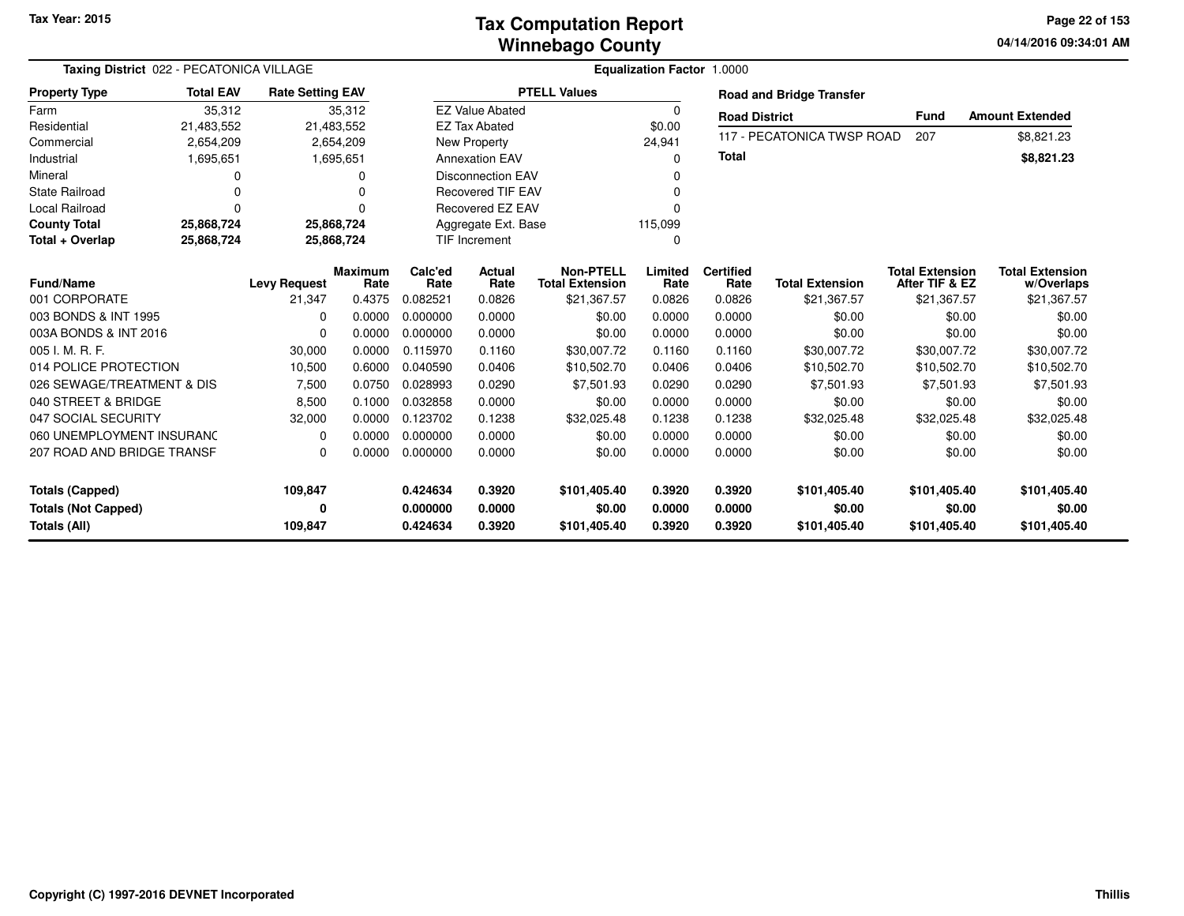## **Winnebago CountyTax Computation Report**

**04/14/2016 09:34:01 AM Page 22 of 153**

| Taxing District 022 - PECATONICA VILLAGE |                  |                         |                        |                 |                          |                                            | <b>Equalization Factor 1.0000</b> |                          |                                 |                                          |                                      |
|------------------------------------------|------------------|-------------------------|------------------------|-----------------|--------------------------|--------------------------------------------|-----------------------------------|--------------------------|---------------------------------|------------------------------------------|--------------------------------------|
| <b>Property Type</b>                     | <b>Total EAV</b> | <b>Rate Setting EAV</b> |                        |                 |                          | <b>PTELL Values</b>                        |                                   |                          | <b>Road and Bridge Transfer</b> |                                          |                                      |
| Farm                                     | 35,312           |                         | 35,312                 |                 | <b>EZ Value Abated</b>   |                                            | $\Omega$                          | <b>Road District</b>     |                                 | <b>Fund</b>                              | <b>Amount Extended</b>               |
| Residential                              | 21,483,552       | 21,483,552              |                        |                 | <b>EZ Tax Abated</b>     |                                            | \$0.00                            |                          |                                 |                                          |                                      |
| Commercial                               | 2,654,209        |                         | 2,654,209              |                 | New Property             |                                            | 24,941                            |                          | 117 - PECATONICA TWSP ROAD      | 207                                      | \$8,821.23                           |
| Industrial                               | 1,695,651        |                         | 1,695,651              |                 | <b>Annexation EAV</b>    |                                            | $\Omega$                          | <b>Total</b>             |                                 |                                          | \$8,821.23                           |
| Mineral                                  | $\Omega$         |                         | 0                      |                 | <b>Disconnection EAV</b> |                                            | <sup>0</sup>                      |                          |                                 |                                          |                                      |
| <b>State Railroad</b>                    | $\Omega$         |                         | O                      |                 | <b>Recovered TIF EAV</b> |                                            | n                                 |                          |                                 |                                          |                                      |
| <b>Local Railroad</b>                    | $\Omega$         |                         | $\Omega$               |                 | <b>Recovered EZ EAV</b>  |                                            | n                                 |                          |                                 |                                          |                                      |
| <b>County Total</b>                      | 25,868,724       | 25,868,724              |                        |                 | Aggregate Ext. Base      |                                            | 115,099                           |                          |                                 |                                          |                                      |
| Total + Overlap                          | 25,868,724       | 25,868,724              |                        |                 | <b>TIF Increment</b>     |                                            | 0                                 |                          |                                 |                                          |                                      |
| <b>Fund/Name</b>                         |                  | <b>Levy Request</b>     | <b>Maximum</b><br>Rate | Calc'ed<br>Rate | Actual<br>Rate           | <b>Non-PTELL</b><br><b>Total Extension</b> | Limited<br>Rate                   | <b>Certified</b><br>Rate | <b>Total Extension</b>          | <b>Total Extension</b><br>After TIF & EZ | <b>Total Extension</b><br>w/Overlaps |
| 001 CORPORATE                            |                  | 21,347                  | 0.4375                 | 0.082521        | 0.0826                   | \$21,367.57                                | 0.0826                            | 0.0826                   | \$21,367.57                     | \$21,367.57                              | \$21,367.57                          |
| 003 BONDS & INT 1995                     |                  | $\Omega$                | 0.0000                 | 0.000000        | 0.0000                   | \$0.00                                     | 0.0000                            | 0.0000                   | \$0.00                          | \$0.00                                   | \$0.00                               |
| 003A BONDS & INT 2016                    |                  | $\Omega$                | 0.0000                 | 0.000000        | 0.0000                   | \$0.00                                     | 0.0000                            | 0.0000                   | \$0.00                          | \$0.00                                   | \$0.00                               |
| 005 I. M. R. F.                          |                  | 30,000                  | 0.0000                 | 0.115970        | 0.1160                   | \$30,007.72                                | 0.1160                            | 0.1160                   | \$30,007.72                     | \$30,007.72                              | \$30,007.72                          |
| 014 POLICE PROTECTION                    |                  | 10,500                  | 0.6000                 | 0.040590        | 0.0406                   | \$10,502.70                                | 0.0406                            | 0.0406                   | \$10,502.70                     | \$10,502.70                              | \$10,502.70                          |
| 026 SEWAGE/TREATMENT & DIS               |                  | 7,500                   | 0.0750                 | 0.028993        | 0.0290                   | \$7,501.93                                 | 0.0290                            | 0.0290                   | \$7,501.93                      | \$7,501.93                               | \$7,501.93                           |
| 040 STREET & BRIDGE                      |                  | 8,500                   | 0.1000                 | 0.032858        | 0.0000                   | \$0.00                                     | 0.0000                            | 0.0000                   | \$0.00                          | \$0.00                                   | \$0.00                               |
| 047 SOCIAL SECURITY                      |                  | 32,000                  | 0.0000                 | 0.123702        | 0.1238                   | \$32,025.48                                | 0.1238                            | 0.1238                   | \$32,025.48                     | \$32,025.48                              | \$32,025.48                          |
| 060 UNEMPLOYMENT INSURANC                |                  | $\Omega$                | 0.0000                 | 0.000000        | 0.0000                   | \$0.00                                     | 0.0000                            | 0.0000                   | \$0.00                          | \$0.00                                   | \$0.00                               |
| 207 ROAD AND BRIDGE TRANSF               |                  | $\Omega$                | 0.0000                 | 0.000000        | 0.0000                   | \$0.00                                     | 0.0000                            | 0.0000                   | \$0.00                          | \$0.00                                   | \$0.00                               |
| <b>Totals (Capped)</b>                   |                  | 109,847                 |                        | 0.424634        | 0.3920                   | \$101,405.40                               | 0.3920                            | 0.3920                   | \$101.405.40                    | \$101,405.40                             | \$101,405.40                         |
| <b>Totals (Not Capped)</b>               |                  | 0                       |                        | 0.000000        | 0.0000                   | \$0.00                                     | 0.0000                            | 0.0000                   | \$0.00                          | \$0.00                                   | \$0.00                               |
| <b>Totals (All)</b>                      |                  | 109,847                 |                        | 0.424634        | 0.3920                   | \$101,405.40                               | 0.3920                            | 0.3920                   | \$101,405.40                    | \$101,405.40                             | \$101,405.40                         |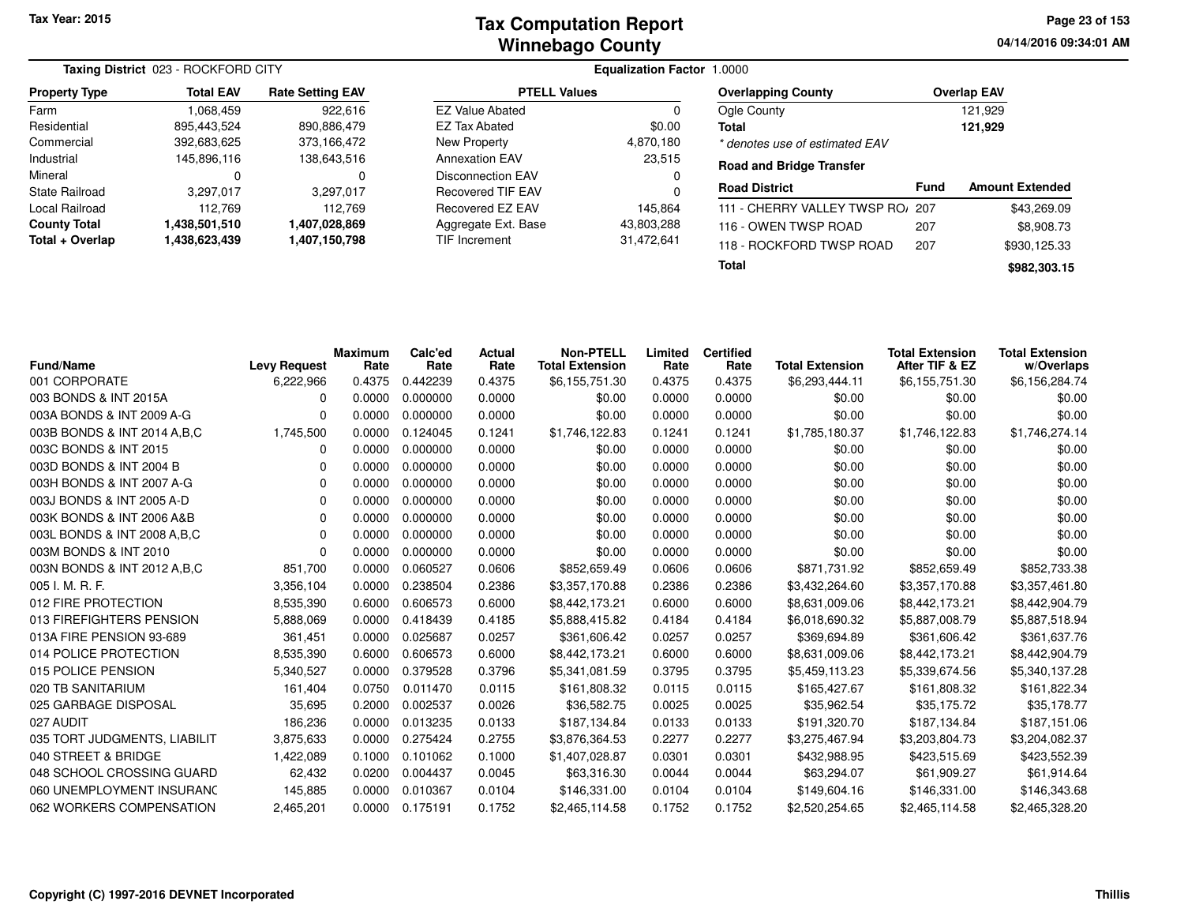|                       | <b>Taxing District 023 - ROCKFORD CITY</b> |                         |                          | <b>Equalization Factor 1.0000</b> |              |
|-----------------------|--------------------------------------------|-------------------------|--------------------------|-----------------------------------|--------------|
| <b>Property Type</b>  | <b>Total EAV</b>                           | <b>Rate Setting EAV</b> | <b>PTELL Values</b>      |                                   | <b>Over</b>  |
| Farm                  | 1,068,459                                  | 922.616                 | <b>EZ Value Abated</b>   | 0                                 | Ogle         |
| Residential           | 895.443.524                                | 890,886,479             | EZ Tax Abated            | \$0.00                            | <b>Total</b> |
| Commercial            | 392,683,625                                | 373,166,472             | New Property             | 4,870,180                         | * den        |
| Industrial            | 145,896,116                                | 138,643,516             | <b>Annexation EAV</b>    | 23,515                            | Road         |
| Mineral               | 0                                          | 0                       | <b>Disconnection EAV</b> |                                   |              |
| <b>State Railroad</b> | 3,297,017                                  | 3,297,017               | Recovered TIF EAV        | 0                                 | Road         |
| Local Railroad        | 112.769                                    | 112.769                 | Recovered EZ EAV         | 145.864                           | $111 -$      |
| <b>County Total</b>   | 1,438,501,510                              | 1,407,028,869           | Aggregate Ext. Base      | 43,803,288                        | $116 -$      |
| Total + Overlap       | 1,438,623,439                              | 1,407,150,798           | <b>TIF Increment</b>     | 31,472,641                        | $118 -$      |

| <b>PTELL Values</b>  |            |
|----------------------|------------|
| EZ Value Abated      | 0          |
| EZ Tax Abated        | \$0.00     |
| New Property         | 4,870,180  |
| Annexation EAV       | 23.515     |
| Disconnection EAV    | 0          |
| Recovered TIF EAV    | 0          |
| Recovered EZ EAV     | 145.864    |
| Aggregate Ext. Base  | 43,803,288 |
| <b>TIF Increment</b> | 31,472,641 |

| qualization Factor 1.0000 |  |  |
|---------------------------|--|--|
|---------------------------|--|--|

| <b>Overlapping County</b>      | <b>Overlap EAV</b> |
|--------------------------------|--------------------|
| Ogle County                    | 121.929            |
| Total                          | 121,929            |
| * denotes use of estimated EAV |                    |

#### **Road and Bridge Transfer**

| <b>Road District</b>             | Fund | <b>Amount Extended</b> |
|----------------------------------|------|------------------------|
| 111 - CHERRY VALLEY TWSP RO/ 207 |      | \$43,269.09            |
| 116 - OWEN TWSP ROAD             | 207  | \$8,908.73             |
| 118 - ROCKFORD TWSP ROAD         | 207  | \$930,125.33           |
| Total                            |      | \$982,303.15           |

| <b>Fund/Name</b>              | <b>Levy Request</b> | <b>Maximum</b><br>Rate | Calc'ed<br>Rate | Actual<br>Rate | <b>Non-PTELL</b><br><b>Total Extension</b> | Limited<br>Rate | <b>Certified</b><br>Rate | <b>Total Extension</b> | <b>Total Extension</b><br>After TIF & EZ | <b>Total Extension</b><br>w/Overlaps |
|-------------------------------|---------------------|------------------------|-----------------|----------------|--------------------------------------------|-----------------|--------------------------|------------------------|------------------------------------------|--------------------------------------|
| 001 CORPORATE                 | 6,222,966           | 0.4375                 | 0.442239        | 0.4375         | \$6,155,751.30                             | 0.4375          | 0.4375                   | \$6,293,444.11         | \$6,155,751.30                           | \$6,156,284.74                       |
| 003 BONDS & INT 2015A         | 0                   | 0.0000                 | 0.000000        | 0.0000         | \$0.00                                     | 0.0000          | 0.0000                   | \$0.00                 | \$0.00                                   | \$0.00                               |
| 003A BONDS & INT 2009 A-G     | $\Omega$            | 0.0000                 | 0.000000        | 0.0000         | \$0.00                                     | 0.0000          | 0.0000                   | \$0.00                 | \$0.00                                   | \$0.00                               |
| 003B BONDS & INT 2014 A, B, C | 1,745,500           | 0.0000                 | 0.124045        | 0.1241         | \$1,746,122.83                             | 0.1241          | 0.1241                   | \$1,785,180.37         | \$1,746,122.83                           | \$1,746,274.14                       |
| 003C BONDS & INT 2015         | 0                   | 0.0000                 | 0.000000        | 0.0000         | \$0.00                                     | 0.0000          | 0.0000                   | \$0.00                 | \$0.00                                   | \$0.00                               |
| 003D BONDS & INT 2004 B       | <sup>0</sup>        | 0.0000                 | 0.000000        | 0.0000         | \$0.00                                     | 0.0000          | 0.0000                   | \$0.00                 | \$0.00                                   | \$0.00                               |
| 003H BONDS & INT 2007 A-G     | $\Omega$            | 0.0000                 | 0.000000        | 0.0000         | \$0.00                                     | 0.0000          | 0.0000                   | \$0.00                 | \$0.00                                   | \$0.00                               |
| 003J BONDS & INT 2005 A-D     | $\Omega$            | 0.0000                 | 0.000000        | 0.0000         | \$0.00                                     | 0.0000          | 0.0000                   | \$0.00                 | \$0.00                                   | \$0.00                               |
| 003K BONDS & INT 2006 A&B     | 0                   | 0.0000                 | 0.000000        | 0.0000         | \$0.00                                     | 0.0000          | 0.0000                   | \$0.00                 | \$0.00                                   | \$0.00                               |
| 003L BONDS & INT 2008 A, B, C | $\Omega$            | 0.0000                 | 0.000000        | 0.0000         | \$0.00                                     | 0.0000          | 0.0000                   | \$0.00                 | \$0.00                                   | \$0.00                               |
| 003M BONDS & INT 2010         | 0                   | 0.0000                 | 0.000000        | 0.0000         | \$0.00                                     | 0.0000          | 0.0000                   | \$0.00                 | \$0.00                                   | \$0.00                               |
| 003N BONDS & INT 2012 A, B, C | 851,700             | 0.0000                 | 0.060527        | 0.0606         | \$852,659.49                               | 0.0606          | 0.0606                   | \$871,731.92           | \$852,659.49                             | \$852,733.38                         |
| 005 I. M. R. F.               | 3,356,104           | 0.0000                 | 0.238504        | 0.2386         | \$3,357,170.88                             | 0.2386          | 0.2386                   | \$3,432,264.60         | \$3,357,170.88                           | \$3,357,461.80                       |
| 012 FIRE PROTECTION           | 8,535,390           | 0.6000                 | 0.606573        | 0.6000         | \$8,442,173.21                             | 0.6000          | 0.6000                   | \$8,631,009.06         | \$8,442,173.21                           | \$8,442,904.79                       |
| 013 FIREFIGHTERS PENSION      | 5,888,069           | 0.0000                 | 0.418439        | 0.4185         | \$5,888,415.82                             | 0.4184          | 0.4184                   | \$6,018,690.32         | \$5,887,008.79                           | \$5,887,518.94                       |
| 013A FIRE PENSION 93-689      | 361,451             | 0.0000                 | 0.025687        | 0.0257         | \$361,606.42                               | 0.0257          | 0.0257                   | \$369,694.89           | \$361,606.42                             | \$361,637.76                         |
| 014 POLICE PROTECTION         | 8,535,390           | 0.6000                 | 0.606573        | 0.6000         | \$8,442,173.21                             | 0.6000          | 0.6000                   | \$8,631,009.06         | \$8,442,173.21                           | \$8,442,904.79                       |
| 015 POLICE PENSION            | 5,340,527           | 0.0000                 | 0.379528        | 0.3796         | \$5,341,081.59                             | 0.3795          | 0.3795                   | \$5,459,113.23         | \$5,339,674.56                           | \$5,340,137.28                       |
| 020 TB SANITARIUM             | 161,404             | 0.0750                 | 0.011470        | 0.0115         | \$161,808.32                               | 0.0115          | 0.0115                   | \$165,427.67           | \$161,808.32                             | \$161,822.34                         |
| 025 GARBAGE DISPOSAL          | 35,695              | 0.2000                 | 0.002537        | 0.0026         | \$36,582.75                                | 0.0025          | 0.0025                   | \$35,962.54            | \$35,175.72                              | \$35,178.77                          |
| 027 AUDIT                     | 186,236             | 0.0000                 | 0.013235        | 0.0133         | \$187,134.84                               | 0.0133          | 0.0133                   | \$191,320.70           | \$187.134.84                             | \$187,151.06                         |
| 035 TORT JUDGMENTS, LIABILIT  | 3,875,633           | 0.0000                 | 0.275424        | 0.2755         | \$3,876,364.53                             | 0.2277          | 0.2277                   | \$3,275,467.94         | \$3,203,804.73                           | \$3,204,082.37                       |
| 040 STREET & BRIDGE           | 1,422,089           | 0.1000                 | 0.101062        | 0.1000         | \$1,407,028.87                             | 0.0301          | 0.0301                   | \$432,988.95           | \$423,515.69                             | \$423,552.39                         |
| 048 SCHOOL CROSSING GUARD     | 62,432              | 0.0200                 | 0.004437        | 0.0045         | \$63,316.30                                | 0.0044          | 0.0044                   | \$63,294.07            | \$61,909.27                              | \$61,914.64                          |
| 060 UNEMPLOYMENT INSURANC     | 145,885             | 0.0000                 | 0.010367        | 0.0104         | \$146,331.00                               | 0.0104          | 0.0104                   | \$149,604.16           | \$146,331.00                             | \$146,343.68                         |
| 062 WORKERS COMPENSATION      | 2,465,201           | 0.0000                 | 0.175191        | 0.1752         | \$2,465,114.58                             | 0.1752          | 0.1752                   | \$2,520,254.65         | \$2,465,114.58                           | \$2,465,328.20                       |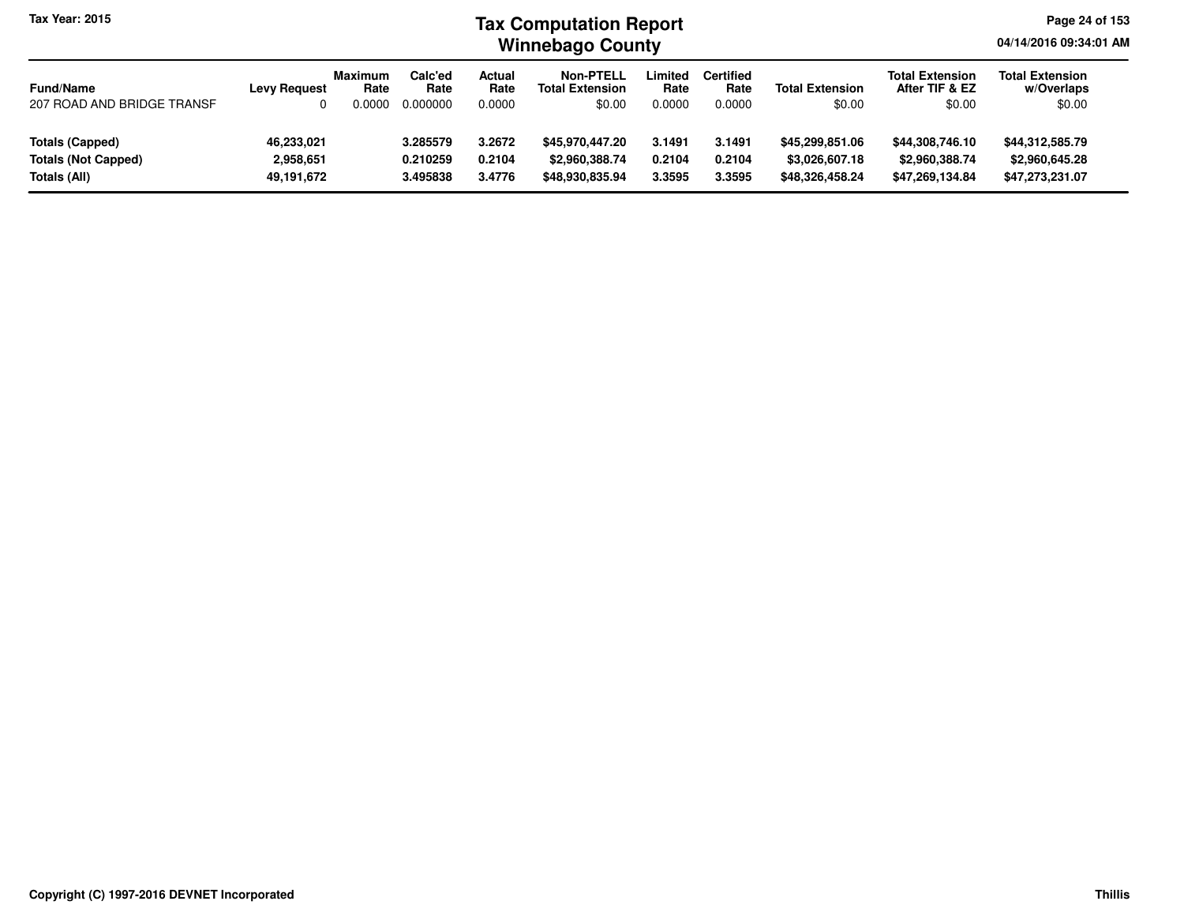#### **Winnebago CountyTax Computation Report**

**Page 24 of 153**

**04/14/2016 09:34:01 AM**

| <b>Fund/Name</b>           | <b>Levy Request</b> | <b>Maximum</b><br>Rate | Calc'ed<br>Rate | Actual<br>Rate | Non-PTELL<br><b>Total Extension</b> | Limited<br>Rate | <b>Certified</b><br>Rate | <b>Total Extension</b> | <b>Total Extension</b><br>After TIF & EZ | <b>Total Extension</b><br>w/Overlaps |
|----------------------------|---------------------|------------------------|-----------------|----------------|-------------------------------------|-----------------|--------------------------|------------------------|------------------------------------------|--------------------------------------|
| 207 ROAD AND BRIDGE TRANSF |                     | 0.0000                 | 0.000000        | 0.0000         | \$0.00                              | 0.0000          | 0.0000                   | \$0.00                 | \$0.00                                   | \$0.00                               |
|                            |                     |                        |                 |                |                                     |                 |                          |                        |                                          |                                      |
| Totals (Capped)            | 46,233,021          |                        | 3.285579        | 3.2672         | \$45,970,447.20                     | 3.1491          | 3.1491                   | \$45,299,851,06        | \$44,308,746.10                          | \$44,312,585.79                      |
| <b>Totals (Not Capped)</b> | 2,958,651           |                        | 0.210259        | 0.2104         | \$2,960,388,74                      | 0.2104          | 0.2104                   | \$3,026,607.18         | \$2,960,388,74                           | \$2,960,645.28                       |
| Totals (All)               | 49,191,672          |                        | 3.495838        | 3.4776         | \$48,930,835.94                     | 3.3595          | 3.3595                   | \$48,326,458.24        | \$47,269,134.84                          | \$47,273,231.07                      |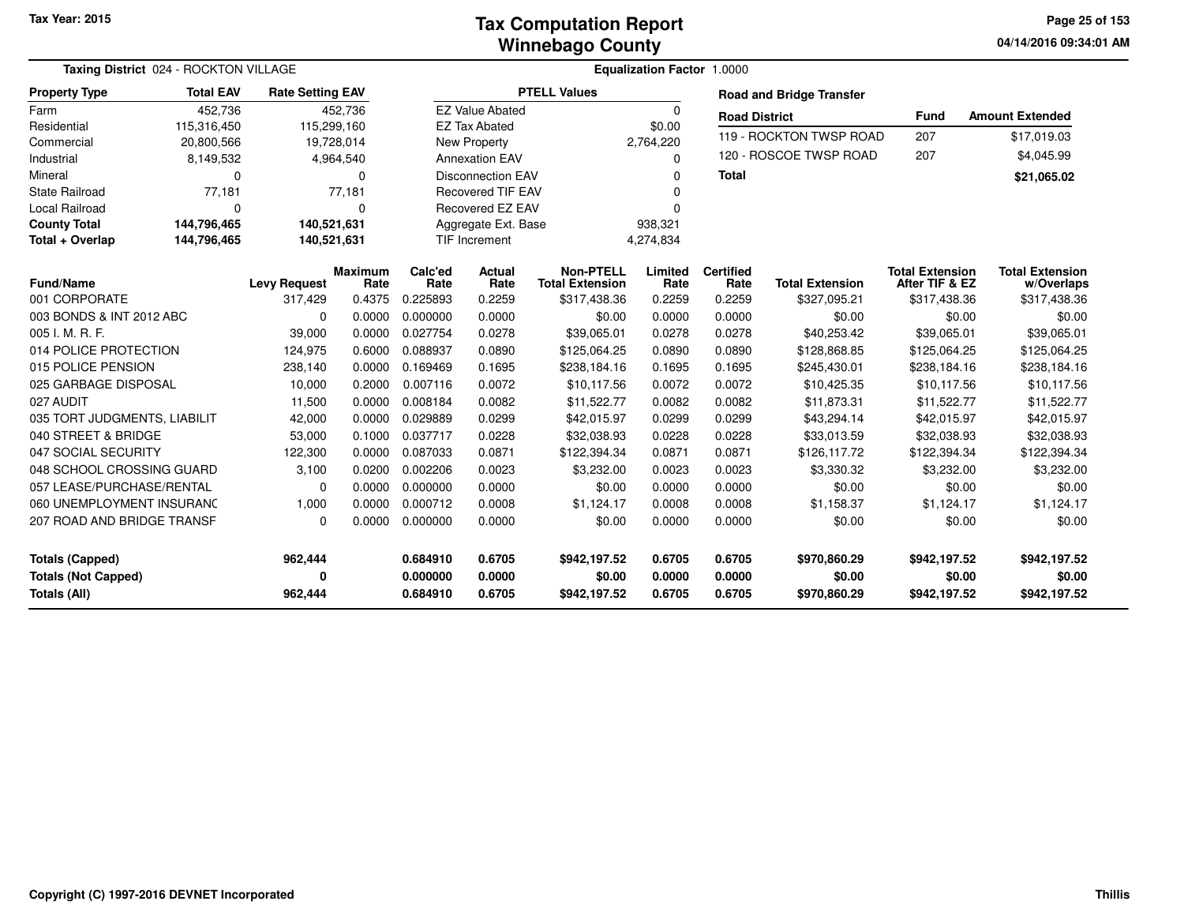**04/14/2016 09:34:01 AM Page 25 of 153**

|                              | Taxing District 024 - ROCKTON VILLAGE |                         | Equalization Factor 1.0000 |                 |                          |                                            |                 |                          |                                 |                                          |                                      |
|------------------------------|---------------------------------------|-------------------------|----------------------------|-----------------|--------------------------|--------------------------------------------|-----------------|--------------------------|---------------------------------|------------------------------------------|--------------------------------------|
| <b>Property Type</b>         | <b>Total EAV</b>                      | <b>Rate Setting EAV</b> |                            |                 |                          | <b>PTELL Values</b>                        |                 |                          | <b>Road and Bridge Transfer</b> |                                          |                                      |
| Farm                         | 452,736                               |                         | 452,736                    |                 | <b>EZ Value Abated</b>   |                                            | $\Omega$        | <b>Road District</b>     |                                 | Fund                                     | <b>Amount Extended</b>               |
| Residential                  | 115,316,450                           | 115,299,160             |                            |                 | <b>EZ Tax Abated</b>     |                                            | \$0.00          |                          |                                 |                                          |                                      |
| Commercial                   | 20,800,566                            | 19,728,014              |                            |                 | New Property             |                                            | 2,764,220       |                          | 119 - ROCKTON TWSP ROAD         | 207                                      | \$17,019.03                          |
| Industrial                   | 8,149,532                             |                         | 4,964,540                  |                 | <b>Annexation EAV</b>    |                                            | $\Omega$        |                          | 120 - ROSCOE TWSP ROAD          | 207                                      | \$4,045.99                           |
| Mineral                      | $\mathbf 0$                           |                         | $\Omega$                   |                 | <b>Disconnection EAV</b> |                                            | 0               | <b>Total</b>             |                                 |                                          | \$21,065.02                          |
| <b>State Railroad</b>        | 77,181                                |                         | 77,181                     |                 | <b>Recovered TIF EAV</b> |                                            |                 |                          |                                 |                                          |                                      |
| Local Railroad               | $\mathbf 0$                           |                         | $\Omega$                   |                 | Recovered EZ EAV         |                                            | 0               |                          |                                 |                                          |                                      |
| <b>County Total</b>          | 144,796,465                           | 140,521,631             |                            |                 | Aggregate Ext. Base      |                                            | 938,321         |                          |                                 |                                          |                                      |
| Total + Overlap              | 144,796,465                           | 140,521,631             |                            |                 | TIF Increment            |                                            | 4,274,834       |                          |                                 |                                          |                                      |
| <b>Fund/Name</b>             |                                       | <b>Levy Request</b>     | <b>Maximum</b><br>Rate     | Calc'ed<br>Rate | <b>Actual</b><br>Rate    | <b>Non-PTELL</b><br><b>Total Extension</b> | Limited<br>Rate | <b>Certified</b><br>Rate | <b>Total Extension</b>          | <b>Total Extension</b><br>After TIF & EZ | <b>Total Extension</b><br>w/Overlaps |
| 001 CORPORATE                |                                       | 317,429                 | 0.4375                     | 0.225893        | 0.2259                   | \$317,438.36                               | 0.2259          | 0.2259                   | \$327,095.21                    | \$317,438.36                             | \$317,438.36                         |
| 003 BONDS & INT 2012 ABC     |                                       | $\Omega$                | 0.0000                     | 0.000000        | 0.0000                   | \$0.00                                     | 0.0000          | 0.0000                   | \$0.00                          | \$0.00                                   | \$0.00                               |
| 005 I. M. R. F.              |                                       | 39,000                  | 0.0000                     | 0.027754        | 0.0278                   | \$39,065.01                                | 0.0278          | 0.0278                   | \$40,253.42                     | \$39,065.01                              | \$39,065.01                          |
| 014 POLICE PROTECTION        |                                       | 124,975                 | 0.6000                     | 0.088937        | 0.0890                   | \$125,064.25                               | 0.0890          | 0.0890                   | \$128,868.85                    | \$125,064.25                             | \$125,064.25                         |
| 015 POLICE PENSION           |                                       | 238,140                 | 0.0000                     | 0.169469        | 0.1695                   | \$238,184.16                               | 0.1695          | 0.1695                   | \$245,430.01                    | \$238,184.16                             | \$238,184.16                         |
| 025 GARBAGE DISPOSAL         |                                       | 10,000                  | 0.2000                     | 0.007116        | 0.0072                   | \$10,117.56                                | 0.0072          | 0.0072                   | \$10,425.35                     | \$10,117.56                              | \$10,117.56                          |
| 027 AUDIT                    |                                       | 11,500                  | 0.0000                     | 0.008184        | 0.0082                   | \$11,522.77                                | 0.0082          | 0.0082                   | \$11,873.31                     | \$11,522.77                              | \$11,522.77                          |
| 035 TORT JUDGMENTS, LIABILIT |                                       | 42,000                  | 0.0000                     | 0.029889        | 0.0299                   | \$42,015.97                                | 0.0299          | 0.0299                   | \$43,294.14                     | \$42,015.97                              | \$42,015.97                          |
| 040 STREET & BRIDGE          |                                       | 53,000                  | 0.1000                     | 0.037717        | 0.0228                   | \$32,038.93                                | 0.0228          | 0.0228                   | \$33,013.59                     | \$32,038.93                              | \$32,038.93                          |
| 047 SOCIAL SECURITY          |                                       | 122,300                 | 0.0000                     | 0.087033        | 0.0871                   | \$122,394.34                               | 0.0871          | 0.0871                   | \$126,117.72                    | \$122,394.34                             | \$122,394.34                         |
| 048 SCHOOL CROSSING GUARD    |                                       | 3,100                   | 0.0200                     | 0.002206        | 0.0023                   | \$3,232.00                                 | 0.0023          | 0.0023                   | \$3,330.32                      | \$3,232.00                               | \$3,232.00                           |
| 057 LEASE/PURCHASE/RENTAL    |                                       | $\Omega$                | 0.0000                     | 0.000000        | 0.0000                   | \$0.00                                     | 0.0000          | 0.0000                   | \$0.00                          | \$0.00                                   | \$0.00                               |
| 060 UNEMPLOYMENT INSURANC    |                                       | 1,000                   | 0.0000                     | 0.000712        | 0.0008                   | \$1,124.17                                 | 0.0008          | 0.0008                   | \$1,158.37                      | \$1,124.17                               | \$1,124.17                           |
| 207 ROAD AND BRIDGE TRANSF   |                                       | $\Omega$                | 0.0000                     | 0.000000        | 0.0000                   | \$0.00                                     | 0.0000          | 0.0000                   | \$0.00                          | \$0.00                                   | \$0.00                               |
| <b>Totals (Capped)</b>       |                                       | 962,444                 |                            | 0.684910        | 0.6705                   | \$942,197.52                               | 0.6705          | 0.6705                   | \$970,860.29                    | \$942,197.52                             | \$942,197.52                         |
| <b>Totals (Not Capped)</b>   |                                       | 0                       |                            | 0.000000        | 0.0000                   | \$0.00                                     | 0.0000          | 0.0000                   | \$0.00                          | \$0.00                                   | \$0.00                               |
| Totals (All)                 |                                       | 962,444                 |                            | 0.684910        | 0.6705                   | \$942,197.52                               | 0.6705          | 0.6705                   | \$970,860.29                    | \$942,197.52                             | \$942,197.52                         |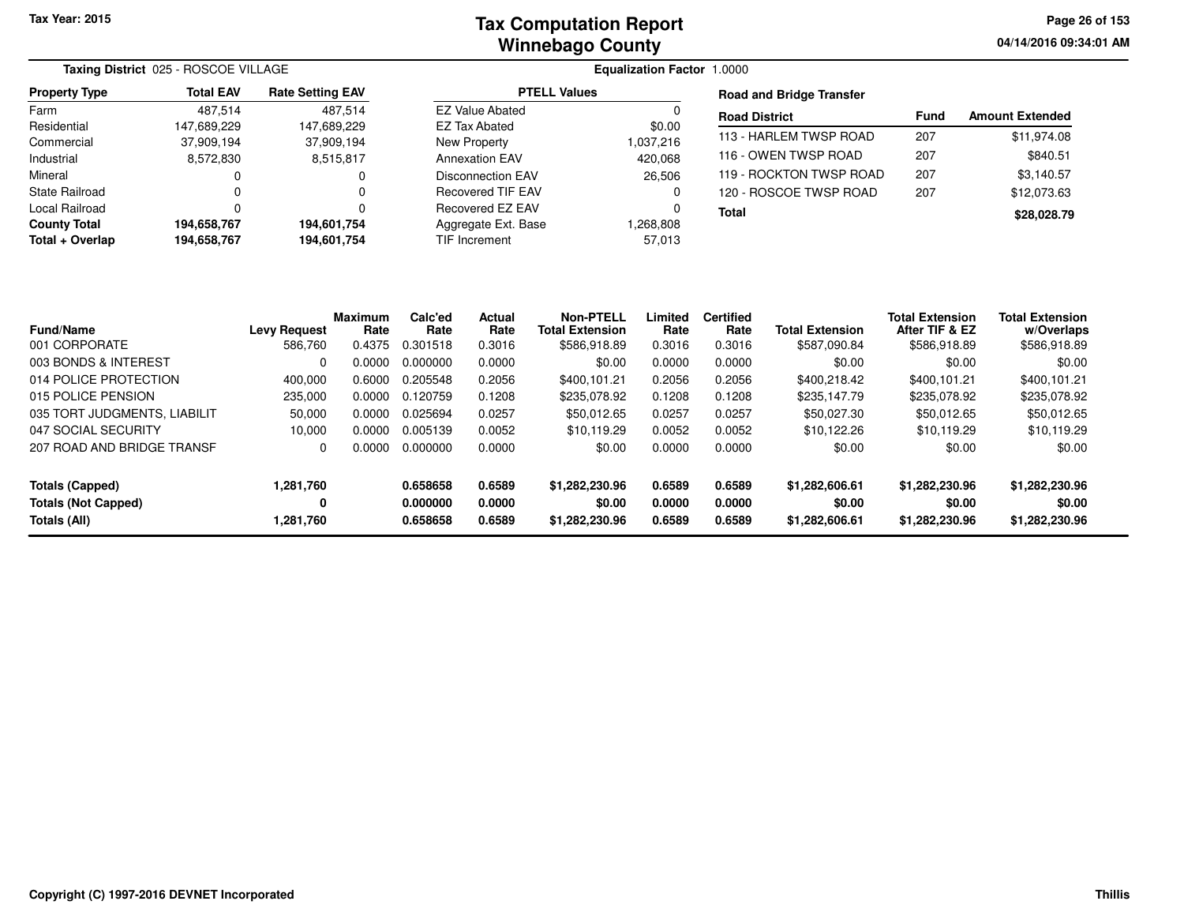**04/14/2016 09:34:01 AMPage 26 of 153**

|                           | Taxing District 025 - ROSCOE VILLAGE |                           |                               |                                 |                         |             |                        |
|---------------------------|--------------------------------------|---------------------------|-------------------------------|---------------------------------|-------------------------|-------------|------------------------|
| <b>Property Type</b>      | <b>Total EAV</b>                     | <b>Rate Setting EAV</b>   | <b>PTELL Values</b>           | <b>Road and Bridge Transfer</b> |                         |             |                        |
| Farm                      | 487.514                              | 487.514                   | <b>EZ Value Abated</b>        |                                 | <b>Road District</b>    | <b>Fund</b> | <b>Amount Extended</b> |
| Residential<br>Commercial | 147.689.229<br>37.909.194            | 147.689.229<br>37,909,194 | EZ Tax Abated<br>New Property | \$0.00<br>1,037,216             | 113 - HARLEM TWSP ROAD  | 207         | \$11,974.08            |
| Industrial                | 8,572,830                            | 8,515,817                 | <b>Annexation EAV</b>         | 420,068                         | 116 - OWEN TWSP ROAD    | 207         | \$840.51               |
| Mineral                   |                                      |                           | Disconnection EAV             | 26,506                          | 119 - ROCKTON TWSP ROAD | 207         | \$3,140.57             |
| State Railroad            |                                      | 0                         | <b>Recovered TIF EAV</b>      | 0                               | 120 - ROSCOE TWSP ROAD  | 207         | \$12,073.63            |
| Local Railroad            |                                      |                           | Recovered EZ EAV              | $\Omega$                        | <b>Total</b>            |             | \$28,028.79            |
| <b>County Total</b>       | 194,658,767                          | 194,601,754               | Aggregate Ext. Base           | 808,808.                        |                         |             |                        |
| Total + Overlap           | 194.658.767                          | 194,601,754               | TIF Increment                 | 57.013                          |                         |             |                        |

| <b>Fund/Name</b>             | <b>Levy Request</b> | <b>Maximum</b><br>Rate | Calc'ed<br>Rate | <b>Actual</b><br>Rate | <b>Non-PTELL</b><br><b>Total Extension</b> | Limited<br>Rate | <b>Certified</b><br>Rate | <b>Total Extension</b> | <b>Total Extension</b><br>After TIF & EZ | <b>Total Extension</b><br>w/Overlaps |
|------------------------------|---------------------|------------------------|-----------------|-----------------------|--------------------------------------------|-----------------|--------------------------|------------------------|------------------------------------------|--------------------------------------|
| 001 CORPORATE                | 586.760             | 0.4375                 | 0.301518        | 0.3016                | \$586,918.89                               | 0.3016          | 0.3016                   | \$587.090.84           | \$586,918.89                             | \$586,918.89                         |
| 003 BONDS & INTEREST         | 0                   | 0.0000                 | 0.000000        | 0.0000                | \$0.00                                     | 0.0000          | 0.0000                   | \$0.00                 | \$0.00                                   | \$0.00                               |
| 014 POLICE PROTECTION        | 400,000             | 0.6000                 | 0.205548        | 0.2056                | \$400,101.21                               | 0.2056          | 0.2056                   | \$400,218.42           | \$400,101.21                             | \$400,101.21                         |
| 015 POLICE PENSION           | 235,000             | 0.0000                 | 0.120759        | 0.1208                | \$235.078.92                               | 0.1208          | 0.1208                   | \$235.147.79           | \$235,078.92                             | \$235,078.92                         |
| 035 TORT JUDGMENTS, LIABILIT | 50,000              | 0.0000                 | 0.025694        | 0.0257                | \$50,012.65                                | 0.0257          | 0.0257                   | \$50.027.30            | \$50,012.65                              | \$50,012.65                          |
| 047 SOCIAL SECURITY          | 10,000              | 0.0000                 | 0.005139        | 0.0052                | \$10.119.29                                | 0.0052          | 0.0052                   | \$10,122.26            | \$10.119.29                              | \$10,119.29                          |
| 207 ROAD AND BRIDGE TRANSF   | 0                   | 0.0000                 | 0.000000        | 0.0000                | \$0.00                                     | 0.0000          | 0.0000                   | \$0.00                 | \$0.00                                   | \$0.00                               |
| Totals (Capped)              | 1,281,760           |                        | 0.658658        | 0.6589                | \$1,282,230.96                             | 0.6589          | 0.6589                   | \$1,282,606.61         | \$1,282,230.96                           | \$1,282,230.96                       |
| <b>Totals (Not Capped)</b>   | 0                   |                        | 0.000000        | 0.0000                | \$0.00                                     | 0.0000          | 0.0000                   | \$0.00                 | \$0.00                                   | \$0.00                               |
| Totals (All)                 | 1,281,760           |                        | 0.658658        | 0.6589                | \$1,282,230.96                             | 0.6589          | 0.6589                   | \$1,282,606.61         | \$1,282,230.96                           | \$1,282,230.96                       |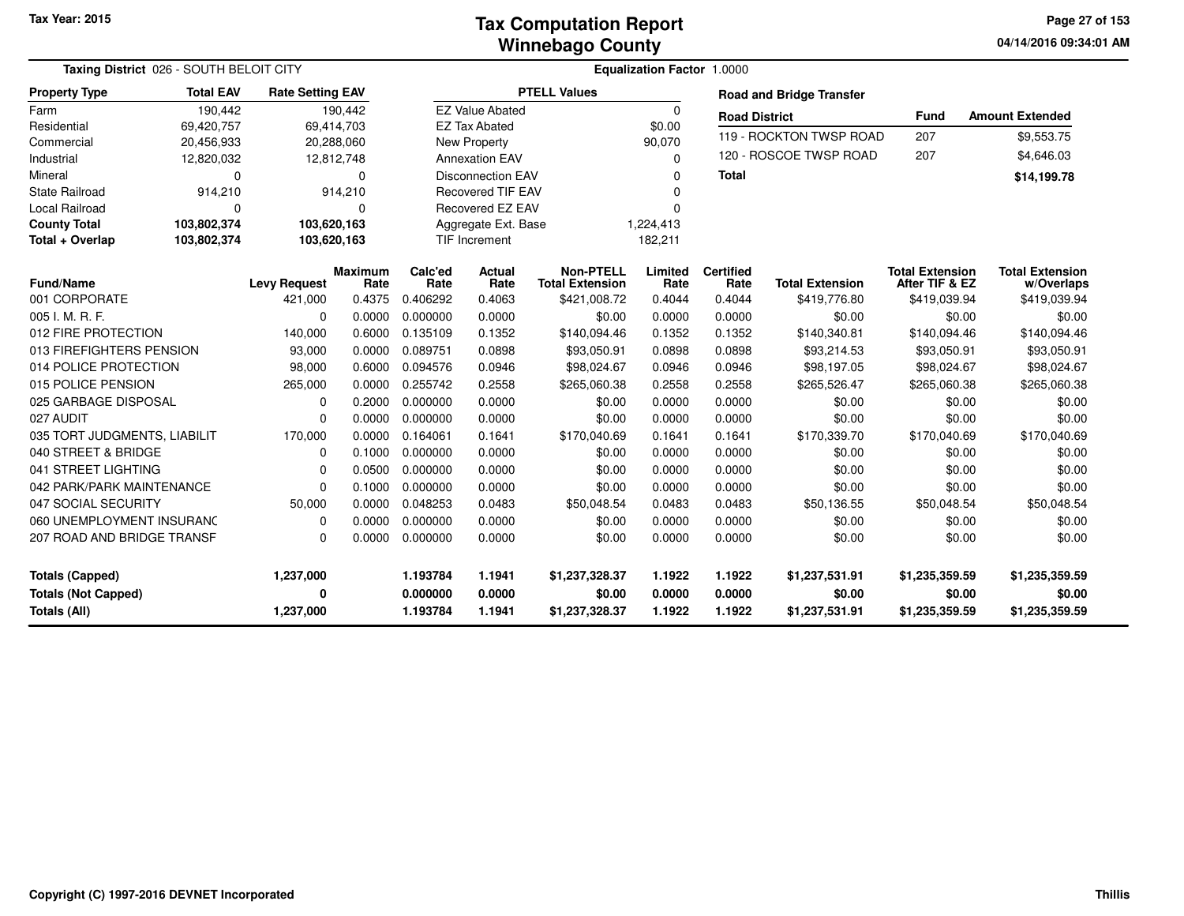**04/14/2016 09:34:01 AM Page 27 of 153**

|                              | <b>Taxing District</b> 026 - SOUTH BELOIT CITY |                         |                 |                          | <b>Equalization Factor 1.0000</b> |                                            |                 |                          |                                 |                                          |                                      |  |  |  |
|------------------------------|------------------------------------------------|-------------------------|-----------------|--------------------------|-----------------------------------|--------------------------------------------|-----------------|--------------------------|---------------------------------|------------------------------------------|--------------------------------------|--|--|--|
| <b>Property Type</b>         | <b>Total EAV</b>                               | <b>Rate Setting EAV</b> |                 |                          |                                   | <b>PTELL Values</b>                        |                 |                          | <b>Road and Bridge Transfer</b> |                                          |                                      |  |  |  |
| Farm                         | 190,442                                        |                         | 190,442         |                          | <b>EZ Value Abated</b>            |                                            | 0               | <b>Road District</b>     |                                 | <b>Fund</b>                              | <b>Amount Extended</b>               |  |  |  |
| Residential                  | 69,420,757                                     | 69,414,703              |                 |                          | <b>EZ Tax Abated</b>              |                                            | \$0.00          |                          |                                 |                                          |                                      |  |  |  |
| Commercial                   | 20,456,933                                     | 20,288,060              |                 |                          | <b>New Property</b>               |                                            | 90,070          |                          | 119 - ROCKTON TWSP ROAD         | 207<br>207                               | \$9,553.75                           |  |  |  |
| Industrial                   | 12,820,032                                     | 12,812,748              |                 |                          | <b>Annexation EAV</b>             |                                            | $\Omega$        |                          | 120 - ROSCOE TWSP ROAD          |                                          | \$4,646.03                           |  |  |  |
| Mineral                      | 0                                              |                         | 0               | <b>Disconnection EAV</b> |                                   |                                            | ∩               | <b>Total</b>             |                                 |                                          | \$14,199.78                          |  |  |  |
| State Railroad               | 914,210                                        |                         | 914,210         |                          | <b>Recovered TIF EAV</b>          |                                            |                 |                          |                                 |                                          |                                      |  |  |  |
| <b>Local Railroad</b>        | $\Omega$                                       |                         | $\Omega$        |                          | Recovered EZ EAV                  |                                            |                 |                          |                                 |                                          |                                      |  |  |  |
| <b>County Total</b>          | 103,802,374                                    | 103,620,163             |                 |                          | Aggregate Ext. Base               |                                            | 1,224,413       |                          |                                 |                                          |                                      |  |  |  |
| Total + Overlap              | 103,802,374                                    | 103,620,163             |                 |                          | <b>TIF Increment</b>              |                                            | 182,211         |                          |                                 |                                          |                                      |  |  |  |
| <b>Fund/Name</b>             |                                                | <b>Levy Request</b>     | Maximum<br>Rate | Calc'ed<br>Rate          | Actual<br>Rate                    | <b>Non-PTELL</b><br><b>Total Extension</b> | Limited<br>Rate | <b>Certified</b><br>Rate | <b>Total Extension</b>          | <b>Total Extension</b><br>After TIF & EZ | <b>Total Extension</b><br>w/Overlaps |  |  |  |
| 001 CORPORATE                |                                                | 421,000                 | 0.4375          | 0.406292                 | 0.4063                            | \$421,008.72                               | 0.4044          | 0.4044                   | \$419,776.80                    | \$419,039.94                             | \$419,039.94                         |  |  |  |
| 005 I. M. R. F.              |                                                | $\Omega$                | 0.0000          | 0.000000                 | 0.0000                            | \$0.00                                     | 0.0000          | 0.0000                   | \$0.00                          | \$0.00                                   | \$0.00                               |  |  |  |
| 012 FIRE PROTECTION          |                                                | 140,000                 | 0.6000          | 0.135109                 | 0.1352                            | \$140,094.46                               | 0.1352          | 0.1352                   | \$140,340.81                    | \$140,094.46                             | \$140,094.46                         |  |  |  |
| 013 FIREFIGHTERS PENSION     |                                                | 93,000                  | 0.0000          | 0.089751                 | 0.0898                            | \$93,050.91                                | 0.0898          | 0.0898                   | \$93,214.53                     | \$93,050.91                              | \$93,050.91                          |  |  |  |
| 014 POLICE PROTECTION        |                                                | 98,000                  | 0.6000          | 0.094576                 | 0.0946                            | \$98,024.67                                | 0.0946          | 0.0946                   | \$98,197.05                     | \$98,024.67                              | \$98,024.67                          |  |  |  |
| 015 POLICE PENSION           |                                                | 265,000                 | 0.0000          | 0.255742                 | 0.2558                            | \$265,060.38                               | 0.2558          | 0.2558                   | \$265,526.47                    | \$265,060.38                             | \$265,060.38                         |  |  |  |
| 025 GARBAGE DISPOSAL         |                                                | $\Omega$                | 0.2000          | 0.000000                 | 0.0000                            | \$0.00                                     | 0.0000          | 0.0000                   | \$0.00                          | \$0.00                                   | \$0.00                               |  |  |  |
| 027 AUDIT                    |                                                | $\Omega$                | 0.0000          | 0.000000                 | 0.0000                            | \$0.00                                     | 0.0000          | 0.0000                   | \$0.00                          | \$0.00                                   | \$0.00                               |  |  |  |
| 035 TORT JUDGMENTS, LIABILIT |                                                | 170,000                 | 0.0000          | 0.164061                 | 0.1641                            | \$170,040.69                               | 0.1641          | 0.1641                   | \$170,339.70                    | \$170,040.69                             | \$170,040.69                         |  |  |  |
| 040 STREET & BRIDGE          |                                                | $\Omega$                | 0.1000          | 0.000000                 | 0.0000                            | \$0.00                                     | 0.0000          | 0.0000                   | \$0.00                          | \$0.00                                   | \$0.00                               |  |  |  |
| 041 STREET LIGHTING          |                                                | $\Omega$                | 0.0500          | 0.000000                 | 0.0000                            | \$0.00                                     | 0.0000          | 0.0000                   | \$0.00                          | \$0.00                                   | \$0.00                               |  |  |  |
| 042 PARK/PARK MAINTENANCE    |                                                | $\Omega$                | 0.1000          | 0.000000                 | 0.0000                            | \$0.00                                     | 0.0000          | 0.0000                   | \$0.00                          | \$0.00                                   | \$0.00                               |  |  |  |
| 047 SOCIAL SECURITY          |                                                | 50,000                  | 0.0000          | 0.048253                 | 0.0483                            | \$50,048.54                                | 0.0483          | 0.0483                   | \$50,136.55                     | \$50,048.54                              | \$50,048.54                          |  |  |  |
| 060 UNEMPLOYMENT INSURANC    |                                                | $\Omega$                | 0.0000          | 0.000000                 | 0.0000                            | \$0.00                                     | 0.0000          | 0.0000                   | \$0.00                          | \$0.00                                   | \$0.00                               |  |  |  |
| 207 ROAD AND BRIDGE TRANSF   |                                                | $\Omega$                | 0.0000          | 0.000000                 | 0.0000                            | \$0.00                                     | 0.0000          | 0.0000                   | \$0.00                          | \$0.00                                   | \$0.00                               |  |  |  |
| <b>Totals (Capped)</b>       |                                                | 1,237,000               |                 | 1.193784                 | 1.1941                            | \$1,237,328.37                             | 1.1922          | 1.1922                   | \$1,237,531.91                  | \$1,235,359.59                           | \$1,235,359.59                       |  |  |  |
| <b>Totals (Not Capped)</b>   |                                                | 0                       |                 | 0.000000                 | 0.0000                            | \$0.00                                     | 0.0000          | 0.0000                   | \$0.00                          | \$0.00                                   | \$0.00                               |  |  |  |
| <b>Totals (All)</b>          |                                                | 1,237,000               |                 | 1.193784                 | 1.1941                            | \$1,237,328.37                             | 1.1922          | 1.1922                   | \$1,237,531.91                  | \$1,235,359.59                           | \$1,235,359.59                       |  |  |  |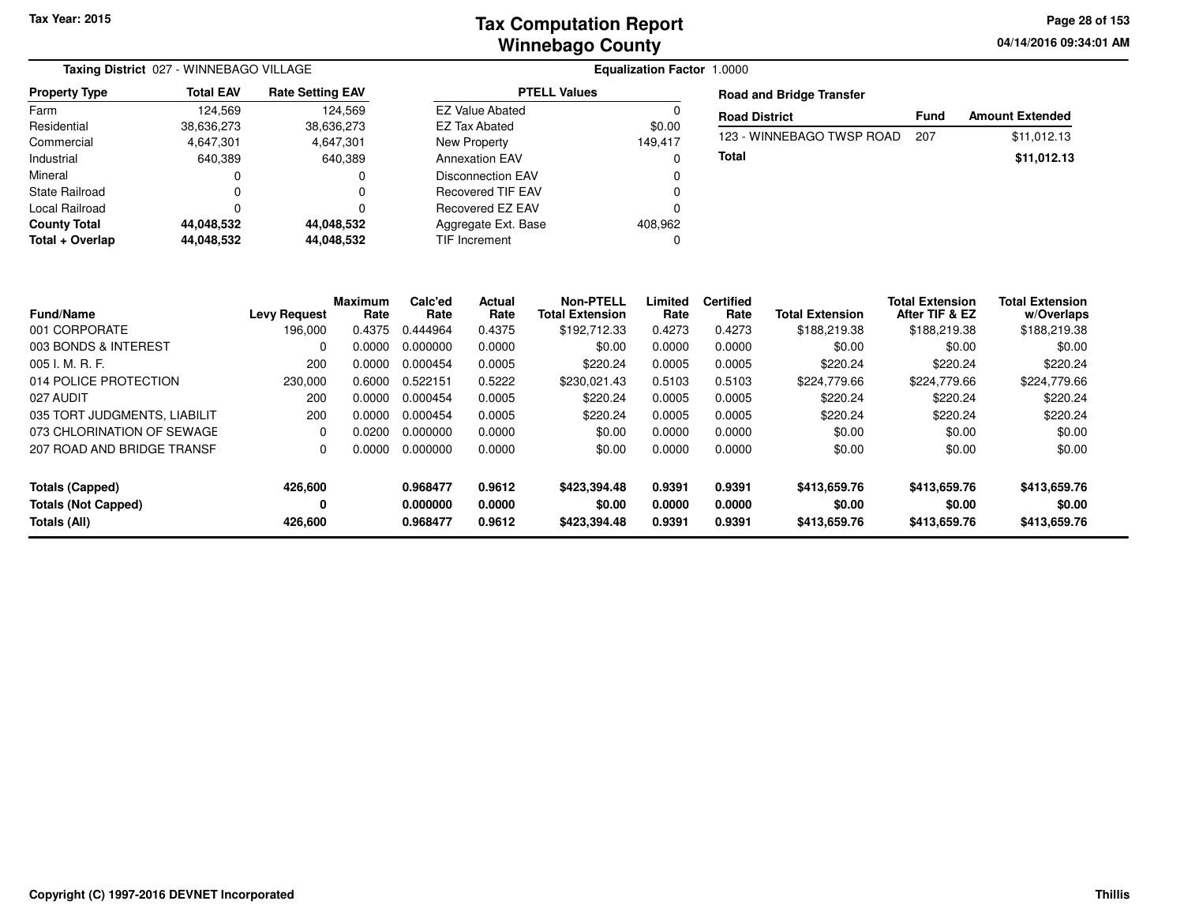**04/14/2016 09:34:01 AMPage 28 of 153**

| <b>Total EAV</b> | <b>Rate Setting EAV</b> |                                         |         | <b>Road and Bridge Transfer</b> |                                                                                        |                        |
|------------------|-------------------------|-----------------------------------------|---------|---------------------------------|----------------------------------------------------------------------------------------|------------------------|
| 124.569          | 124.569                 | <b>EZ Value Abated</b>                  | J.      |                                 |                                                                                        | <b>Amount Extended</b> |
| 38,636,273       | 38,636,273              | EZ Tax Abated                           | \$0.00  |                                 |                                                                                        |                        |
| 4,647,301        | 4,647,301               | New Property                            | 149,417 |                                 |                                                                                        | \$11.012.13            |
| 640.389          | 640,389                 | <b>Annexation EAV</b>                   | 0       | Total                           |                                                                                        | \$11,012.13            |
|                  | 0                       | <b>Disconnection EAV</b>                | 0       |                                 |                                                                                        |                        |
|                  | 0                       | Recovered TIF EAV                       | C       |                                 |                                                                                        |                        |
|                  |                         | Recovered EZ EAV                        |         |                                 |                                                                                        |                        |
| 44.048.532       | 44,048,532              | Aggregate Ext. Base                     | 408,962 |                                 |                                                                                        |                        |
| 44,048,532       | 44,048,532              | TIF Increment                           | C       |                                 |                                                                                        |                        |
|                  |                         | Taxing District 027 - WINNEBAGO VILLAGE |         | <b>PTELL Values</b>             | <b>Equalization Factor 1.0000</b><br><b>Road District</b><br>123 - WINNEBAGO TWSP ROAD | <b>Fund</b><br>207     |

| <b>Fund/Name</b><br>001 CORPORATE | <b>Levy Request</b><br>196.000 | <b>Maximum</b><br>Rate<br>0.4375 | Calc'ed<br>Rate<br>0.444964 | Actual<br>Rate<br>0.4375 | <b>Non-PTELL</b><br><b>Total Extension</b><br>\$192,712.33 | Limited<br>Rate<br>0.4273 | <b>Certified</b><br>Rate<br>0.4273 | <b>Total Extension</b><br>\$188,219.38 | <b>Total Extension</b><br>After TIF & EZ<br>\$188,219.38 | <b>Total Extension</b><br>w/Overlaps<br>\$188,219.38 |
|-----------------------------------|--------------------------------|----------------------------------|-----------------------------|--------------------------|------------------------------------------------------------|---------------------------|------------------------------------|----------------------------------------|----------------------------------------------------------|------------------------------------------------------|
| 003 BONDS & INTEREST              | $\Omega$                       | 0.0000                           | 0.000000                    | 0.0000                   | \$0.00                                                     | 0.0000                    | 0.0000                             | \$0.00                                 | \$0.00                                                   | \$0.00                                               |
| 005 I. M. R. F.                   | 200                            | 0.0000                           | 0.000454                    | 0.0005                   | \$220.24                                                   | 0.0005                    | 0.0005                             | \$220.24                               | \$220.24                                                 | \$220.24                                             |
| 014 POLICE PROTECTION             | 230,000                        | 0.6000                           | 0.522151                    | 0.5222                   | \$230.021.43                                               | 0.5103                    | 0.5103                             | \$224,779.66                           | \$224,779.66                                             | \$224,779.66                                         |
| 027 AUDIT                         | 200                            | 0.0000                           | 0.000454                    | 0.0005                   | \$220.24                                                   | 0.0005                    | 0.0005                             | \$220.24                               | \$220.24                                                 | \$220.24                                             |
| 035 TORT JUDGMENTS, LIABILIT      | 200                            | 0.0000                           | 0.000454                    | 0.0005                   | \$220.24                                                   | 0.0005                    | 0.0005                             | \$220.24                               | \$220.24                                                 | \$220.24                                             |
| 073 CHLORINATION OF SEWAGE        | 0                              | 0.0200                           | 0.000000                    | 0.0000                   | \$0.00                                                     | 0.0000                    | 0.0000                             | \$0.00                                 | \$0.00                                                   | \$0.00                                               |
| 207 ROAD AND BRIDGE TRANSF        | 0                              | 0.0000                           | 0.000000                    | 0.0000                   | \$0.00                                                     | 0.0000                    | 0.0000                             | \$0.00                                 | \$0.00                                                   | \$0.00                                               |
| Totals (Capped)                   | 426.600                        |                                  | 0.968477                    | 0.9612                   | \$423.394.48                                               | 0.9391                    | 0.9391                             | \$413,659.76                           | \$413,659.76                                             | \$413,659.76                                         |
| <b>Totals (Not Capped)</b>        | 0                              |                                  | 0.000000                    | 0.0000                   | \$0.00                                                     | 0.0000                    | 0.0000                             | \$0.00                                 | \$0.00                                                   | \$0.00                                               |
| Totals (All)                      | 426,600                        |                                  | 0.968477                    | 0.9612                   | \$423,394.48                                               | 0.9391                    | 0.9391                             | \$413,659.76                           | \$413,659.76                                             | \$413,659.76                                         |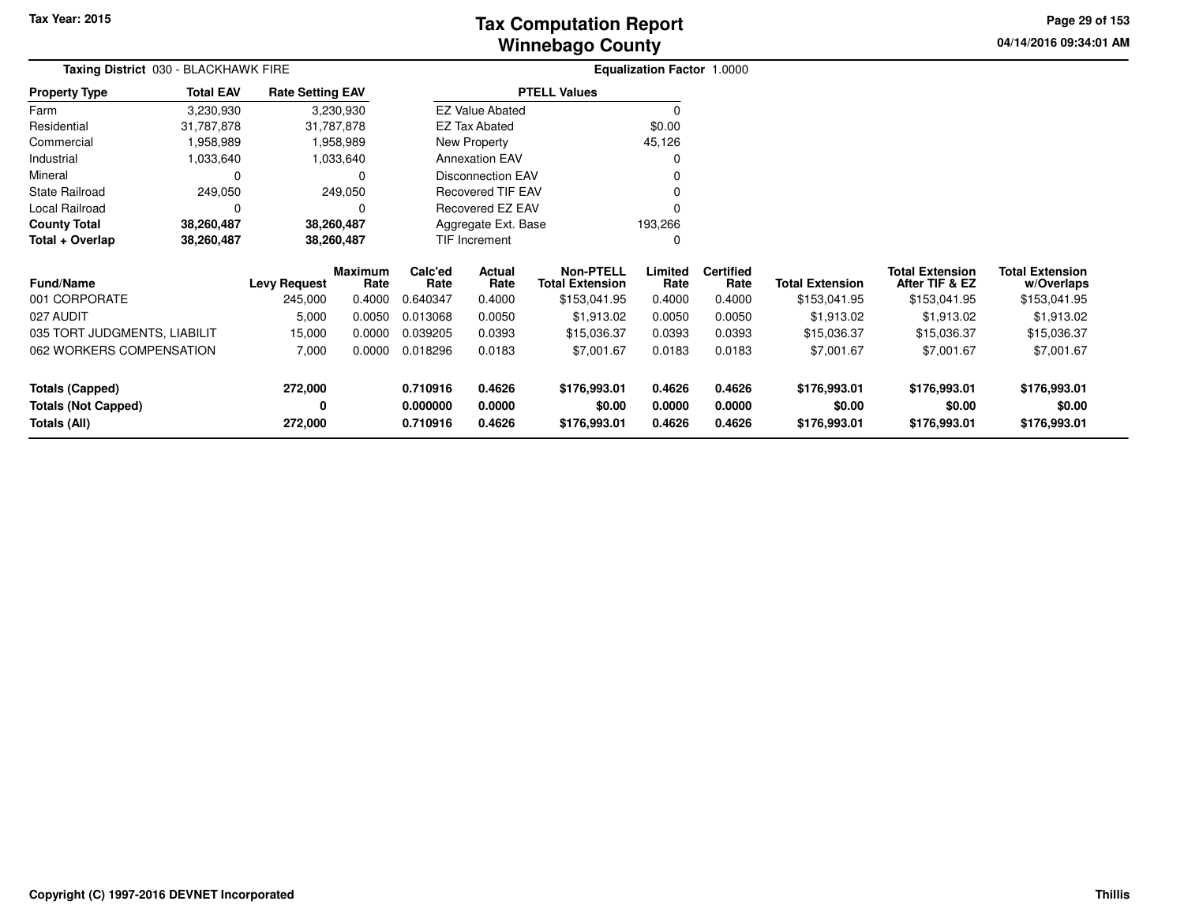**04/14/2016 09:34:01 AM Page 29 of 153**

|                                            | <b>Taxing District</b> 030 - BLACKHAWK FIRE |                                |                                  |                             |                          | <b>Equalization Factor 1.0000</b>                          |                           |                                    |                                        |                                                          |                                                      |  |  |
|--------------------------------------------|---------------------------------------------|--------------------------------|----------------------------------|-----------------------------|--------------------------|------------------------------------------------------------|---------------------------|------------------------------------|----------------------------------------|----------------------------------------------------------|------------------------------------------------------|--|--|
| <b>Property Type</b>                       | <b>Total EAV</b>                            | <b>Rate Setting EAV</b>        |                                  |                             |                          | <b>PTELL Values</b>                                        |                           |                                    |                                        |                                                          |                                                      |  |  |
| Farm                                       | 3,230,930                                   |                                | 3,230,930                        |                             | <b>EZ Value Abated</b>   |                                                            | $\Omega$                  |                                    |                                        |                                                          |                                                      |  |  |
| Residential                                | 31,787,878                                  | 31,787,878                     |                                  |                             | <b>EZ Tax Abated</b>     |                                                            | \$0.00                    |                                    |                                        |                                                          |                                                      |  |  |
| Commercial                                 | 1,958,989                                   |                                | 1,958,989                        |                             | New Property             |                                                            | 45,126                    |                                    |                                        |                                                          |                                                      |  |  |
| Industrial                                 | 1,033,640                                   |                                | 1,033,640                        |                             | <b>Annexation EAV</b>    |                                                            | $\Omega$                  |                                    |                                        |                                                          |                                                      |  |  |
| Mineral                                    | 0                                           |                                | 0                                |                             | <b>Disconnection EAV</b> |                                                            |                           |                                    |                                        |                                                          |                                                      |  |  |
| <b>State Railroad</b>                      | 249,050                                     |                                | 249,050                          |                             | <b>Recovered TIF EAV</b> |                                                            |                           |                                    |                                        |                                                          |                                                      |  |  |
| Local Railroad                             | $\Omega$                                    |                                |                                  |                             | <b>Recovered EZ EAV</b>  |                                                            | $\Omega$                  |                                    |                                        |                                                          |                                                      |  |  |
| <b>County Total</b>                        | 38,260,487                                  | 38,260,487                     |                                  |                             | Aggregate Ext. Base      |                                                            | 193,266                   |                                    |                                        |                                                          |                                                      |  |  |
| Total + Overlap                            | 38,260,487                                  | 38,260,487                     |                                  |                             | TIF Increment            |                                                            | 0                         |                                    |                                        |                                                          |                                                      |  |  |
| <b>Fund/Name</b><br>001 CORPORATE          |                                             | <b>Levy Request</b><br>245,000 | <b>Maximum</b><br>Rate<br>0.4000 | Calc'ed<br>Rate<br>0.640347 | Actual<br>Rate<br>0.4000 | <b>Non-PTELL</b><br><b>Total Extension</b><br>\$153,041.95 | Limited<br>Rate<br>0.4000 | <b>Certified</b><br>Rate<br>0.4000 | <b>Total Extension</b><br>\$153,041.95 | <b>Total Extension</b><br>After TIF & EZ<br>\$153,041.95 | <b>Total Extension</b><br>w/Overlaps<br>\$153,041.95 |  |  |
| 027 AUDIT                                  |                                             | 5,000                          | 0.0050                           | 0.013068                    | 0.0050                   | \$1,913.02                                                 | 0.0050                    | 0.0050                             | \$1,913.02                             | \$1,913.02                                               | \$1,913.02                                           |  |  |
| 035 TORT JUDGMENTS, LIABILIT               |                                             | 15,000                         | 0.0000                           | 0.039205                    | 0.0393                   | \$15,036.37                                                | 0.0393                    | 0.0393                             | \$15,036.37                            | \$15,036.37                                              | \$15,036.37                                          |  |  |
| 062 WORKERS COMPENSATION                   |                                             | 7,000                          | 0.0000                           | 0.018296                    | 0.0183                   | \$7,001.67                                                 | 0.0183                    | 0.0183                             | \$7,001.67                             | \$7,001.67                                               | \$7,001.67                                           |  |  |
| <b>Totals (Capped)</b>                     | 272,000                                     |                                |                                  | 0.710916                    | 0.4626                   | \$176,993.01                                               | 0.4626                    | 0.4626                             | \$176,993.01                           | \$176,993.01                                             | \$176,993.01                                         |  |  |
| <b>Totals (Not Capped)</b><br>Totals (All) |                                             | 0<br>272,000                   |                                  | 0.000000<br>0.710916        | 0.0000<br>0.4626         | \$0.00<br>\$176,993.01                                     | 0.0000<br>0.4626          | 0.0000<br>0.4626                   | \$0.00<br>\$176,993.01                 | \$0.00<br>\$176,993.01                                   | \$0.00<br>\$176,993.01                               |  |  |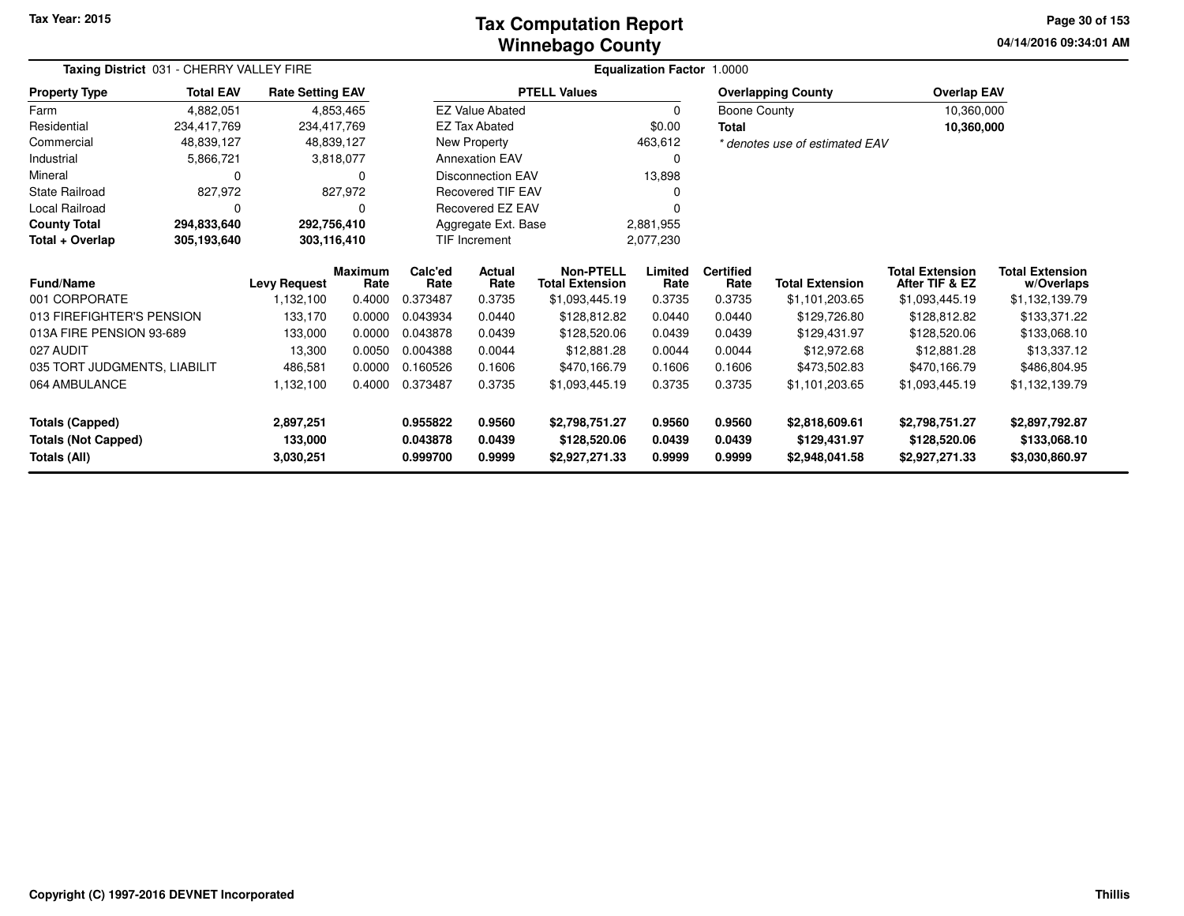## **Winnebago CountyTax Computation Report**

**04/14/2016 09:34:01 AM Page 30 of 153**

|                              | Taxing District 031 - CHERRY VALLEY FIRE |                         | <b>Equalization Factor 1.0000</b> |                      |                          |                                            |                 |                          |                                |                                          |                                      |  |
|------------------------------|------------------------------------------|-------------------------|-----------------------------------|----------------------|--------------------------|--------------------------------------------|-----------------|--------------------------|--------------------------------|------------------------------------------|--------------------------------------|--|
| <b>Property Type</b>         | <b>Total EAV</b>                         | <b>Rate Setting EAV</b> |                                   |                      |                          | <b>PTELL Values</b>                        |                 |                          | <b>Overlapping County</b>      | <b>Overlap EAV</b>                       |                                      |  |
| Farm                         | 4,882,051                                |                         | 4,853,465                         |                      | <b>EZ Value Abated</b>   |                                            | $\mathbf 0$     |                          | Boone County                   |                                          | 10,360,000                           |  |
| Residential                  | 234,417,769                              | 234,417,769             |                                   | <b>EZ Tax Abated</b> |                          |                                            | \$0.00          |                          |                                | 10,360,000                               |                                      |  |
| Commercial                   | 48,839,127                               |                         | 48,839,127                        |                      | <b>New Property</b>      |                                            | 463,612         |                          | * denotes use of estimated EAV |                                          |                                      |  |
| Industrial                   | 5,866,721                                |                         | 3,818,077                         |                      | <b>Annexation EAV</b>    |                                            | $\Omega$        |                          |                                |                                          |                                      |  |
| Mineral                      | 0                                        |                         |                                   |                      | <b>Disconnection EAV</b> |                                            | 13,898          |                          |                                |                                          |                                      |  |
| State Railroad               | 827,972                                  |                         | 827,972                           |                      | <b>Recovered TIF EAV</b> |                                            | n               |                          |                                |                                          |                                      |  |
| Local Railroad               |                                          |                         |                                   |                      | Recovered EZ EAV         |                                            |                 |                          |                                |                                          |                                      |  |
| <b>County Total</b>          | 294,833,640                              |                         | 292,756,410                       |                      | Aggregate Ext. Base      |                                            | 2,881,955       |                          |                                |                                          |                                      |  |
| Total + Overlap              | 305,193,640                              | 303,116,410             |                                   | TIF Increment        |                          |                                            | 2,077,230       |                          |                                |                                          |                                      |  |
| <b>Fund/Name</b>             |                                          | <b>Levy Request</b>     | <b>Maximum</b><br>Rate            | Calc'ed<br>Rate      | <b>Actual</b><br>Rate    | <b>Non-PTELL</b><br><b>Total Extension</b> | Limited<br>Rate | <b>Certified</b><br>Rate | <b>Total Extension</b>         | <b>Total Extension</b><br>After TIF & EZ | <b>Total Extension</b><br>w/Overlaps |  |
| 001 CORPORATE                |                                          | 1,132,100               | 0.4000                            | 0.373487             | 0.3735                   | \$1,093,445.19                             | 0.3735          | 0.3735                   | \$1,101,203.65                 | \$1,093,445.19                           | \$1,132,139.79                       |  |
| 013 FIREFIGHTER'S PENSION    |                                          | 133,170                 | 0.0000                            | 0.043934             | 0.0440                   | \$128,812.82                               | 0.0440          | 0.0440                   | \$129,726.80                   | \$128,812.82                             | \$133,371.22                         |  |
| 013A FIRE PENSION 93-689     |                                          | 133,000                 | 0.0000                            | 0.043878             | 0.0439                   | \$128,520.06                               | 0.0439          | 0.0439                   | \$129,431.97                   | \$128,520.06                             | \$133,068.10                         |  |
| 027 AUDIT                    |                                          | 13,300                  | 0.0050                            | 0.004388             | 0.0044                   | \$12,881.28                                | 0.0044          | 0.0044                   | \$12,972.68                    | \$12,881.28                              | \$13,337.12                          |  |
| 035 TORT JUDGMENTS, LIABILIT |                                          | 486,581                 | 0.0000                            | 0.160526             | 0.1606                   | \$470,166.79                               | 0.1606          | 0.1606                   | \$473,502.83                   | \$470,166.79                             | \$486,804.95                         |  |
| 064 AMBULANCE                |                                          | 1,132,100               | 0.4000                            | 0.373487             | 0.3735                   | \$1,093,445.19                             | 0.3735          | 0.3735                   | \$1,101,203.65                 | \$1,093,445.19                           | \$1,132,139.79                       |  |
| <b>Totals (Capped)</b>       |                                          | 2,897,251               |                                   | 0.955822             | 0.9560                   | \$2,798,751.27                             | 0.9560          | 0.9560                   | \$2,818,609.61                 | \$2,798,751.27                           | \$2,897,792.87                       |  |
| <b>Totals (Not Capped)</b>   |                                          | 133,000                 |                                   | 0.043878             | 0.0439                   | \$128,520.06                               | 0.0439          | 0.0439                   | \$129,431.97                   | \$128,520.06                             | \$133,068.10                         |  |
| Totals (All)                 |                                          | 3,030,251               |                                   | 0.999700             | 0.9999                   | \$2,927,271.33                             | 0.9999          | 0.9999                   | \$2,948,041.58                 | \$2,927,271.33                           | \$3,030,860.97                       |  |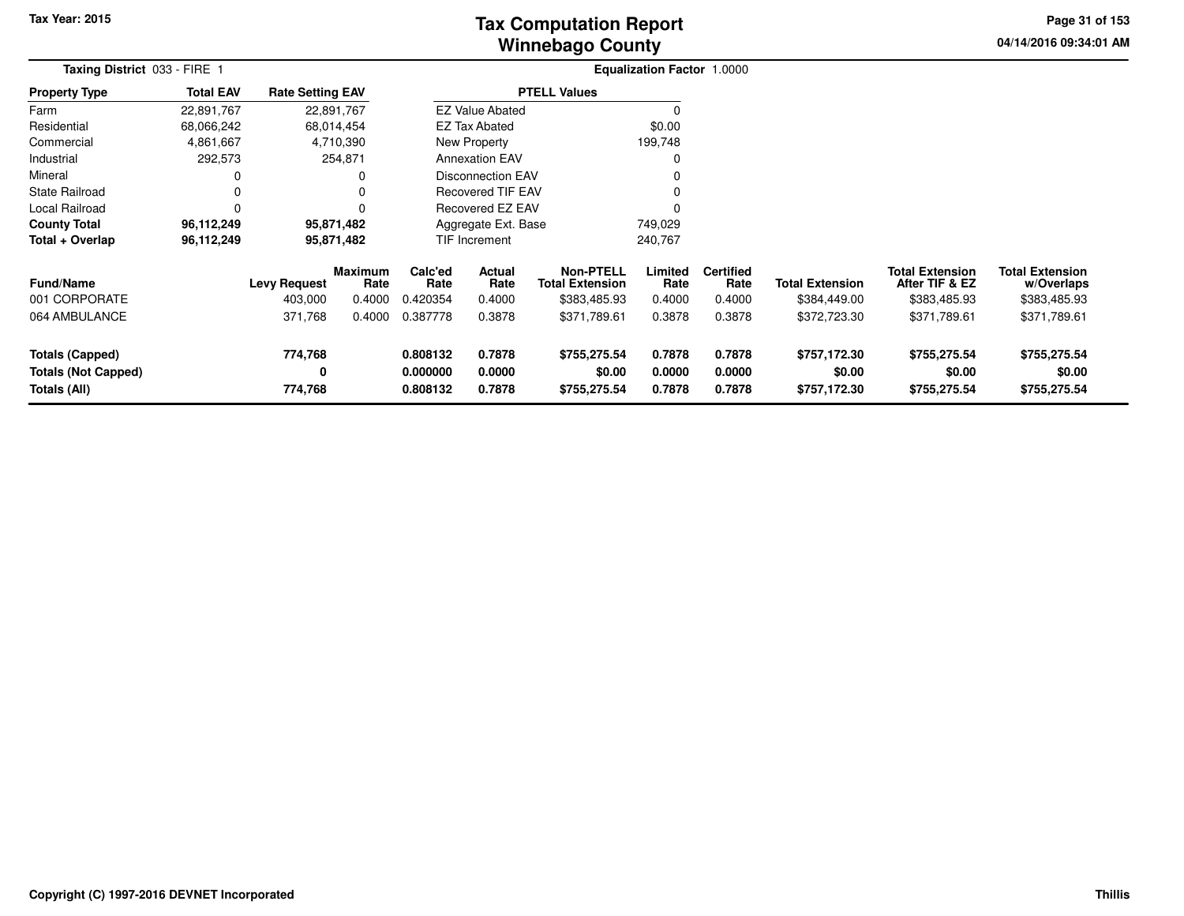## **Winnebago CountyTax Computation Report**

**04/14/2016 09:34:01 AM Page 31 of 153**

|                                                               | Taxing District 033 - FIRE 1 |                                |                                  |                                  |                            | <b>Equalization Factor 1.0000</b>                          |                            |                                    |                                        |                                                          |                                                      |  |
|---------------------------------------------------------------|------------------------------|--------------------------------|----------------------------------|----------------------------------|----------------------------|------------------------------------------------------------|----------------------------|------------------------------------|----------------------------------------|----------------------------------------------------------|------------------------------------------------------|--|
| <b>Property Type</b>                                          | <b>Total EAV</b>             | <b>Rate Setting EAV</b>        |                                  |                                  |                            | <b>PTELL Values</b>                                        |                            |                                    |                                        |                                                          |                                                      |  |
| Farm                                                          | 22,891,767                   | 22,891,767                     |                                  |                                  | <b>EZ Value Abated</b>     |                                                            |                            |                                    |                                        |                                                          |                                                      |  |
| Residential                                                   | 68,066,242                   |                                | 68,014,454                       |                                  | <b>EZ Tax Abated</b>       |                                                            | \$0.00                     |                                    |                                        |                                                          |                                                      |  |
| Commercial                                                    | 4,861,667                    |                                | 4,710,390                        |                                  | New Property               |                                                            | 199,748                    |                                    |                                        |                                                          |                                                      |  |
| Industrial                                                    | 292,573                      |                                | 254,871                          |                                  | <b>Annexation EAV</b>      |                                                            | 0                          |                                    |                                        |                                                          |                                                      |  |
| Mineral                                                       | 0                            |                                | 0                                |                                  | Disconnection EAV          |                                                            |                            |                                    |                                        |                                                          |                                                      |  |
| <b>State Railroad</b>                                         | 0                            |                                | $\Omega$                         |                                  | <b>Recovered TIF EAV</b>   |                                                            | 0                          |                                    |                                        |                                                          |                                                      |  |
| Local Railroad                                                | 0                            |                                | $\Omega$                         |                                  | Recovered EZ EAV           |                                                            | 0                          |                                    |                                        |                                                          |                                                      |  |
| <b>County Total</b>                                           | 96,112,249                   |                                | 95,871,482                       |                                  | Aggregate Ext. Base        |                                                            | 749,029                    |                                    |                                        |                                                          |                                                      |  |
| Total + Overlap                                               | 96,112,249                   |                                | 95,871,482                       |                                  | TIF Increment              |                                                            | 240,767                    |                                    |                                        |                                                          |                                                      |  |
| <b>Fund/Name</b><br>001 CORPORATE                             |                              | <b>Levy Request</b><br>403,000 | <b>Maximum</b><br>Rate<br>0.4000 | Calc'ed<br>Rate<br>0.420354      | Actual<br>Rate<br>0.4000   | <b>Non-PTELL</b><br><b>Total Extension</b><br>\$383,485.93 | Limited<br>Rate<br>0.4000  | <b>Certified</b><br>Rate<br>0.4000 | <b>Total Extension</b><br>\$384,449.00 | <b>Total Extension</b><br>After TIF & EZ<br>\$383,485.93 | <b>Total Extension</b><br>w/Overlaps<br>\$383,485.93 |  |
| 064 AMBULANCE                                                 |                              | 371,768                        | 0.4000                           | 0.387778                         | 0.3878                     | \$371,789.61                                               | 0.3878                     | 0.3878                             | \$372,723.30                           | \$371,789.61                                             | \$371,789.61                                         |  |
| Totals (Capped)<br><b>Totals (Not Capped)</b><br>Totals (All) |                              | 774,768<br>0<br>774,768        |                                  | 0.808132<br>0.000000<br>0.808132 | 0.7878<br>0.0000<br>0.7878 | \$755,275.54<br>\$0.00<br>\$755,275.54                     | 0.7878<br>0.0000<br>0.7878 | 0.7878<br>0.0000<br>0.7878         | \$757,172.30<br>\$0.00<br>\$757,172.30 | \$755,275.54<br>\$0.00<br>\$755,275.54                   | \$755,275.54<br>\$0.00<br>\$755,275.54               |  |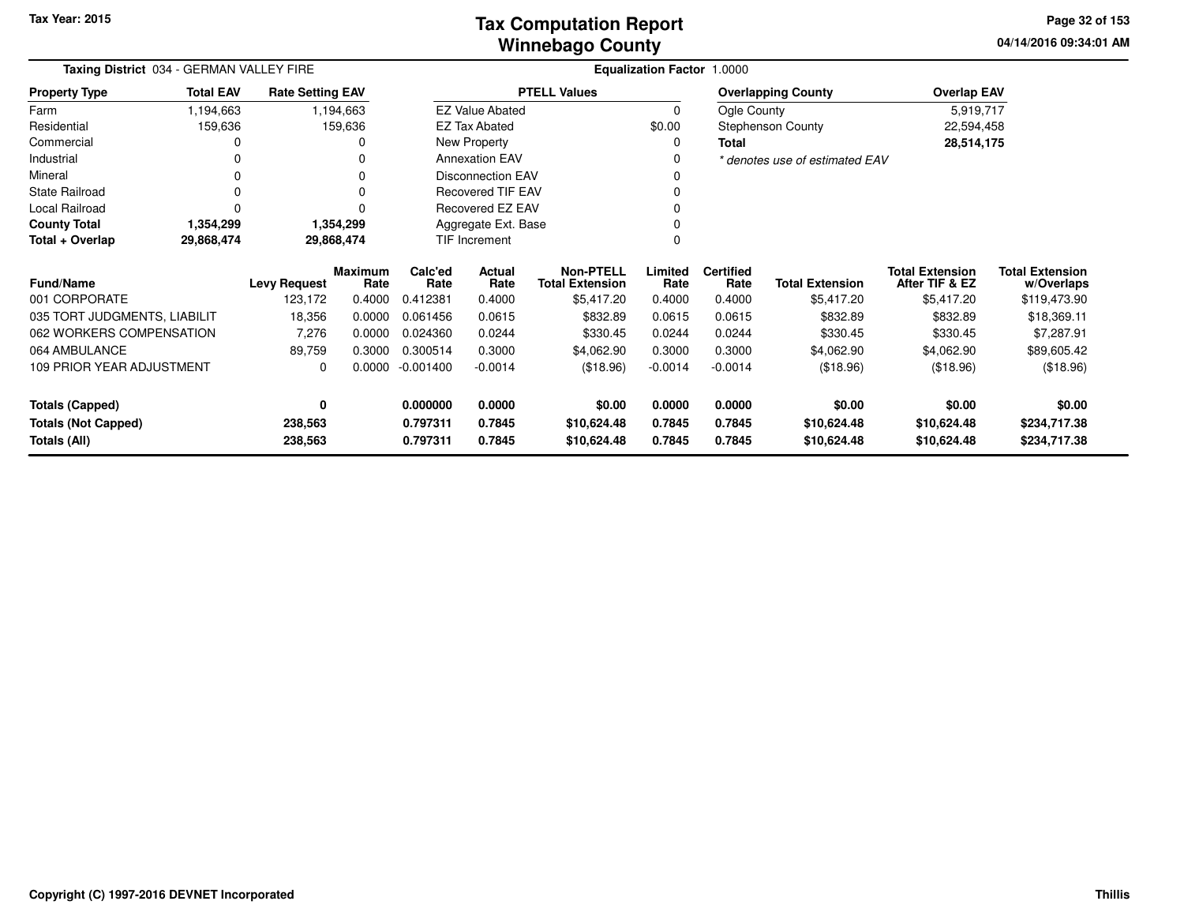**04/14/2016 09:34:01 AM Page 32 of 153**

| Taxing District 034 - GERMAN VALLEY FIRE |                  |                         |                        | Equalization Factor 1.0000 |                          |                                            |                 |                          |                                |                                          |                                      |  |  |  |
|------------------------------------------|------------------|-------------------------|------------------------|----------------------------|--------------------------|--------------------------------------------|-----------------|--------------------------|--------------------------------|------------------------------------------|--------------------------------------|--|--|--|
| <b>Property Type</b>                     | <b>Total EAV</b> | <b>Rate Setting EAV</b> |                        |                            |                          | <b>PTELL Values</b>                        |                 |                          | <b>Overlapping County</b>      | <b>Overlap EAV</b>                       |                                      |  |  |  |
| Farm                                     | 1,194,663        |                         | 1,194,663              |                            | <b>EZ Value Abated</b>   |                                            | $\Omega$        | Ogle County              |                                | 5,919,717                                |                                      |  |  |  |
| Residential                              | 159,636          |                         | 159,636                | <b>EZ Tax Abated</b>       |                          |                                            | \$0.00          |                          | <b>Stephenson County</b>       | 22,594,458                               |                                      |  |  |  |
| Commercial                               | 0                |                         | Ω                      | New Property               |                          |                                            | 0               | <b>Total</b>             |                                | 28,514,175                               |                                      |  |  |  |
| Industrial                               |                  |                         | 0                      |                            | <b>Annexation EAV</b>    |                                            | 0               |                          | * denotes use of estimated EAV |                                          |                                      |  |  |  |
| Mineral                                  | 0                |                         | 0                      |                            | <b>Disconnection EAV</b> |                                            | 0               |                          |                                |                                          |                                      |  |  |  |
| <b>State Railroad</b>                    | $\Omega$         |                         | 0                      |                            | <b>Recovered TIF EAV</b> |                                            |                 |                          |                                |                                          |                                      |  |  |  |
| Local Railroad                           | $\Omega$         |                         | 0                      |                            | Recovered EZ EAV         |                                            | O               |                          |                                |                                          |                                      |  |  |  |
| <b>County Total</b>                      | 1,354,299        |                         | 1,354,299              |                            | Aggregate Ext. Base      |                                            | O               |                          |                                |                                          |                                      |  |  |  |
| Total + Overlap                          | 29,868,474       |                         | 29,868,474             | TIF Increment              |                          |                                            | $\Omega$        |                          |                                |                                          |                                      |  |  |  |
| <b>Fund/Name</b>                         |                  | <b>Levy Request</b>     | <b>Maximum</b><br>Rate | Calc'ed<br>Rate            | <b>Actual</b><br>Rate    | <b>Non-PTELL</b><br><b>Total Extension</b> | Limited<br>Rate | <b>Certified</b><br>Rate | <b>Total Extension</b>         | <b>Total Extension</b><br>After TIF & EZ | <b>Total Extension</b><br>w/Overlaps |  |  |  |
| 001 CORPORATE                            |                  | 123,172                 | 0.4000                 | 0.412381                   | 0.4000                   | \$5,417.20                                 | 0.4000          | 0.4000                   | \$5,417.20                     | \$5,417.20                               | \$119,473.90                         |  |  |  |
| 035 TORT JUDGMENTS, LIABILIT             |                  | 18,356                  | 0.0000                 | 0.061456                   | 0.0615                   | \$832.89                                   | 0.0615          | 0.0615                   | \$832.89                       | \$832.89                                 | \$18,369.11                          |  |  |  |
| 062 WORKERS COMPENSATION                 |                  | 7,276                   | 0.0000                 | 0.024360                   | 0.0244                   | \$330.45                                   | 0.0244          | 0.0244                   | \$330.45                       | \$330.45                                 | \$7,287.91                           |  |  |  |
| 064 AMBULANCE                            |                  | 89,759                  | 0.3000                 | 0.300514                   | 0.3000                   | \$4,062.90                                 | 0.3000          | 0.3000                   | \$4,062.90                     | \$4,062.90                               | \$89,605.42                          |  |  |  |
| <b>109 PRIOR YEAR ADJUSTMENT</b>         |                  | 0                       | 0.0000                 | $-0.001400$                | $-0.0014$                | (\$18.96)                                  | $-0.0014$       | $-0.0014$                | (\$18.96)                      | (\$18.96)                                | (\$18.96)                            |  |  |  |
| <b>Totals (Capped)</b>                   |                  | 0                       |                        | 0.000000                   | 0.0000                   | \$0.00                                     | 0.0000          | 0.0000                   | \$0.00                         | \$0.00                                   | \$0.00                               |  |  |  |
| <b>Totals (Not Capped)</b>               |                  | 238,563                 |                        | 0.797311                   | 0.7845                   | \$10,624.48                                | 0.7845          | 0.7845                   | \$10,624.48                    | \$10,624.48                              | \$234,717.38                         |  |  |  |
| <b>Totals (All)</b>                      |                  | 238,563                 |                        | 0.797311                   | 0.7845                   | \$10,624.48                                | 0.7845          | 0.7845                   | \$10,624.48                    | \$10,624.48                              | \$234,717.38                         |  |  |  |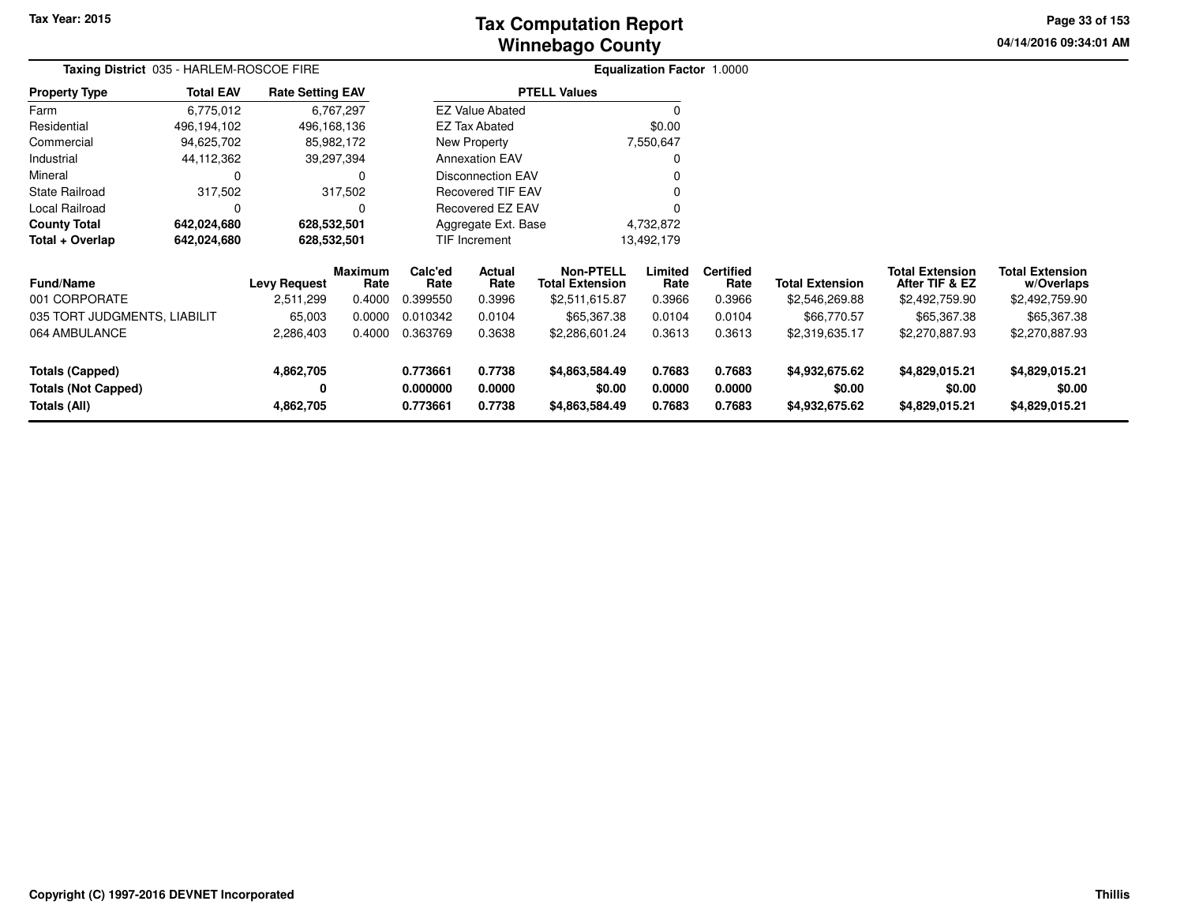# **Winnebago CountyTax Computation Report**

**04/14/2016 09:34:01 AM Page 33 of 153**

|                                   | Taxing District 035 - HARLEM-ROSCOE FIRE |                                  |                                  |                             |                          |                                                              | <b>Equalization Factor 1.0000</b> |                                    |                                          |                                                            |                                                        |  |
|-----------------------------------|------------------------------------------|----------------------------------|----------------------------------|-----------------------------|--------------------------|--------------------------------------------------------------|-----------------------------------|------------------------------------|------------------------------------------|------------------------------------------------------------|--------------------------------------------------------|--|
| <b>Property Type</b>              | <b>Total EAV</b>                         | <b>Rate Setting EAV</b>          |                                  |                             |                          | <b>PTELL Values</b>                                          |                                   |                                    |                                          |                                                            |                                                        |  |
| Farm                              | 6,775,012                                |                                  | 6,767,297                        |                             | <b>EZ Value Abated</b>   |                                                              | $\Omega$                          |                                    |                                          |                                                            |                                                        |  |
| Residential                       | 496,194,102                              | 496,168,136                      |                                  |                             | <b>EZ Tax Abated</b>     |                                                              | \$0.00                            |                                    |                                          |                                                            |                                                        |  |
| Commercial                        | 94,625,702                               |                                  | 85,982,172                       |                             | New Property             |                                                              | 7,550,647                         |                                    |                                          |                                                            |                                                        |  |
| Industrial                        | 44,112,362                               |                                  | 39,297,394                       |                             | <b>Annexation EAV</b>    |                                                              | 0                                 |                                    |                                          |                                                            |                                                        |  |
| Mineral                           | $\Omega$                                 |                                  | 0                                |                             | <b>Disconnection EAV</b> |                                                              | 0                                 |                                    |                                          |                                                            |                                                        |  |
| <b>State Railroad</b>             | 317,502                                  |                                  | 317,502                          |                             |                          | <b>Recovered TIF EAV</b><br>0                                |                                   |                                    |                                          |                                                            |                                                        |  |
| Local Railroad                    | 0                                        |                                  | 0                                |                             | <b>Recovered EZ EAV</b>  |                                                              | $\Omega$                          |                                    |                                          |                                                            |                                                        |  |
| <b>County Total</b>               | 642,024,680                              |                                  | 628,532,501                      |                             | Aggregate Ext. Base      |                                                              | 4,732,872                         |                                    |                                          |                                                            |                                                        |  |
| Total + Overlap                   | 642,024,680                              | 628,532,501                      |                                  | <b>TIF Increment</b>        |                          |                                                              | 13,492,179                        |                                    |                                          |                                                            |                                                        |  |
| <b>Fund/Name</b><br>001 CORPORATE |                                          | <b>Levy Request</b><br>2,511,299 | <b>Maximum</b><br>Rate<br>0.4000 | Calc'ed<br>Rate<br>0.399550 | Actual<br>Rate<br>0.3996 | <b>Non-PTELL</b><br><b>Total Extension</b><br>\$2,511,615.87 | Limited<br>Rate<br>0.3966         | <b>Certified</b><br>Rate<br>0.3966 | <b>Total Extension</b><br>\$2,546,269.88 | <b>Total Extension</b><br>After TIF & EZ<br>\$2,492,759.90 | <b>Total Extension</b><br>w/Overlaps<br>\$2,492,759.90 |  |
| 035 TORT JUDGMENTS, LIABILIT      |                                          | 65,003                           | 0.0000                           | 0.010342                    | 0.0104                   | \$65,367.38                                                  | 0.0104                            | 0.0104                             | \$66,770.57                              | \$65,367.38                                                | \$65,367.38                                            |  |
| 064 AMBULANCE                     |                                          | 2,286,403                        | 0.4000                           | 0.363769                    | 0.3638                   | \$2,286,601.24                                               | 0.3613                            | 0.3613                             | \$2,319,635.17                           | \$2,270,887.93                                             | \$2,270,887.93                                         |  |
| Totals (Capped)                   |                                          | 4,862,705                        |                                  | 0.773661                    | 0.7738                   | \$4,863,584.49                                               | 0.7683                            | 0.7683                             | \$4,932,675.62                           | \$4,829,015.21                                             | \$4,829,015.21                                         |  |
| <b>Totals (Not Capped)</b>        |                                          | 0                                |                                  | 0.000000                    | 0.0000                   | \$0.00                                                       | 0.0000                            | 0.0000                             | \$0.00                                   | \$0.00                                                     | \$0.00                                                 |  |
| Totals (All)                      |                                          | 4,862,705                        |                                  | 0.773661                    | 0.7738                   | \$4,863,584.49                                               | 0.7683                            | 0.7683                             | \$4,932,675.62                           | \$4,829,015.21                                             | \$4,829,015.21                                         |  |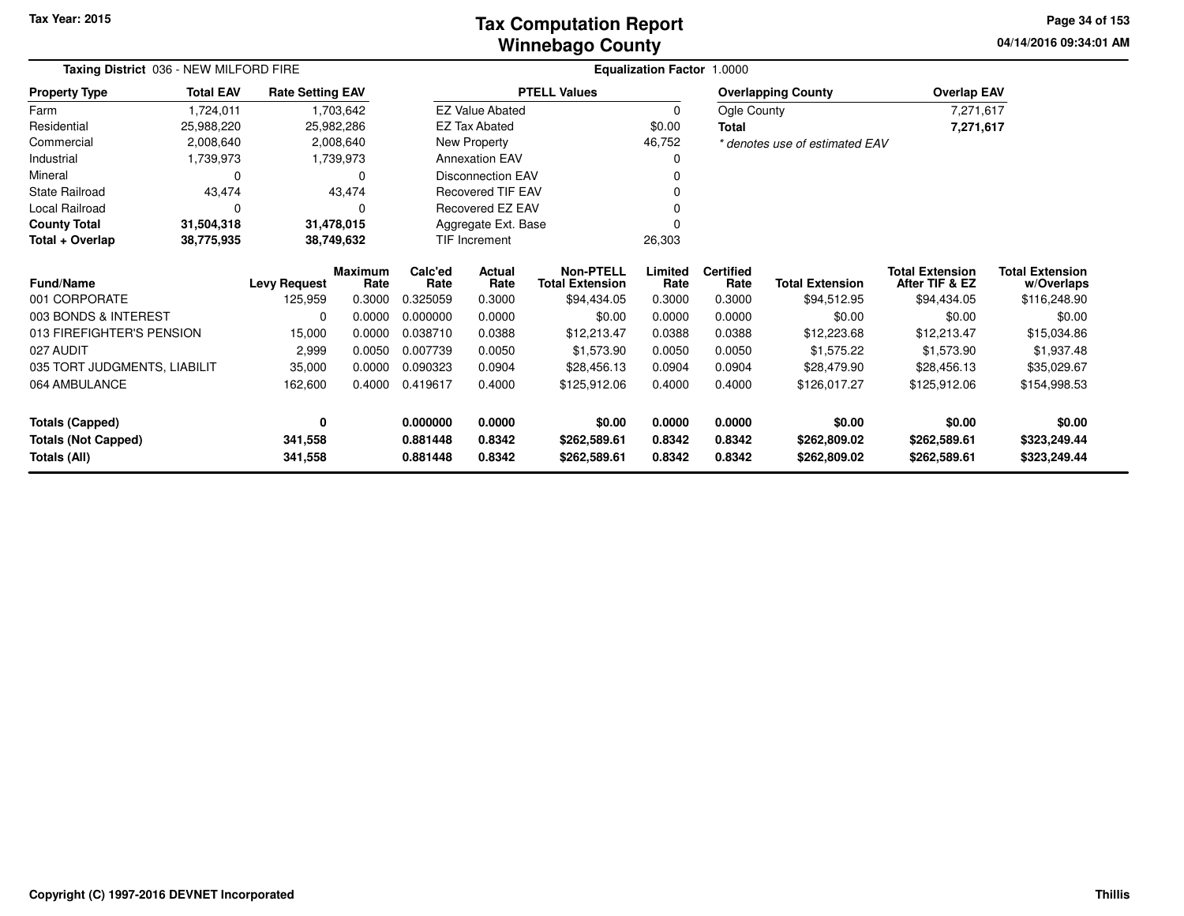## **Winnebago CountyTax Computation Report**

**04/14/2016 09:34:01 AMPage 34 of 153**

|                              | Taxing District 036 - NEW MILFORD FIRE |                         |                        |                 |                          | Equalization Factor 1.0000                 |                 |                          |                                |                                          |                                      |  |  |  |
|------------------------------|----------------------------------------|-------------------------|------------------------|-----------------|--------------------------|--------------------------------------------|-----------------|--------------------------|--------------------------------|------------------------------------------|--------------------------------------|--|--|--|
| <b>Property Type</b>         | <b>Total EAV</b>                       | <b>Rate Setting EAV</b> |                        |                 | <b>PTELL Values</b>      |                                            |                 |                          | <b>Overlapping County</b>      | <b>Overlap EAV</b>                       |                                      |  |  |  |
| Farm                         | 1,724,011                              |                         | 1,703,642              |                 | <b>EZ Value Abated</b>   |                                            | $\mathbf 0$     |                          | Ogle County                    | 7,271,617                                |                                      |  |  |  |
| Residential                  | 25,988,220                             |                         | 25,982,286             |                 | <b>EZ Tax Abated</b>     |                                            | \$0.00          | <b>Total</b>             |                                | 7,271,617                                |                                      |  |  |  |
| Commercial                   | 2,008,640                              |                         | 2,008,640              |                 | New Property             |                                            | 46,752          |                          | * denotes use of estimated EAV |                                          |                                      |  |  |  |
| Industrial                   | 1,739,973                              |                         | 1,739,973              |                 | <b>Annexation EAV</b>    |                                            | 0               |                          |                                |                                          |                                      |  |  |  |
| Mineral                      | 0                                      |                         | $\Omega$               |                 | <b>Disconnection EAV</b> |                                            |                 |                          |                                |                                          |                                      |  |  |  |
| <b>State Railroad</b>        | 43,474                                 |                         | 43,474                 |                 | <b>Recovered TIF EAV</b> |                                            |                 |                          |                                |                                          |                                      |  |  |  |
| Local Railroad               | 0                                      |                         | $\Omega$               |                 | Recovered EZ EAV         |                                            |                 |                          |                                |                                          |                                      |  |  |  |
| <b>County Total</b>          | 31,504,318                             |                         | 31,478,015             |                 | Aggregate Ext. Base      |                                            | $\Omega$        |                          |                                |                                          |                                      |  |  |  |
| Total + Overlap              | 38,775,935                             |                         | 38,749,632             | TIF Increment   |                          |                                            | 26,303          |                          |                                |                                          |                                      |  |  |  |
| Fund/Name                    |                                        | <b>Levy Request</b>     | <b>Maximum</b><br>Rate | Calc'ed<br>Rate | Actual<br>Rate           | <b>Non-PTELL</b><br><b>Total Extension</b> | Limited<br>Rate | <b>Certified</b><br>Rate | <b>Total Extension</b>         | <b>Total Extension</b><br>After TIF & EZ | <b>Total Extension</b><br>w/Overlaps |  |  |  |
| 001 CORPORATE                |                                        | 125,959                 | 0.3000                 | 0.325059        | 0.3000                   | \$94,434.05                                | 0.3000          | 0.3000                   | \$94,512.95                    | \$94,434.05                              | \$116,248.90                         |  |  |  |
| 003 BONDS & INTEREST         |                                        | 0                       | 0.0000                 | 0.000000        | 0.0000                   | \$0.00                                     | 0.0000          | 0.0000                   | \$0.00                         | \$0.00                                   | \$0.00                               |  |  |  |
| 013 FIREFIGHTER'S PENSION    |                                        | 15,000                  | 0.0000                 | 0.038710        | 0.0388                   | \$12,213.47                                | 0.0388          | 0.0388                   | \$12,223.68                    | \$12,213.47                              | \$15,034.86                          |  |  |  |
| 027 AUDIT                    |                                        | 2,999                   | 0.0050                 | 0.007739        | 0.0050                   | \$1,573.90                                 | 0.0050          | 0.0050                   | \$1,575.22                     | \$1,573.90                               | \$1,937.48                           |  |  |  |
| 035 TORT JUDGMENTS, LIABILIT |                                        | 35,000                  | 0.0000                 | 0.090323        | 0.0904                   | \$28,456.13                                | 0.0904          | 0.0904                   | \$28,479.90                    | \$28,456.13                              | \$35,029.67                          |  |  |  |
| 064 AMBULANCE                |                                        | 162,600                 | 0.4000                 | 0.419617        | 0.4000                   | \$125,912.06                               | 0.4000          | 0.4000                   | \$126,017.27                   | \$125,912.06                             | \$154,998.53                         |  |  |  |
| <b>Totals (Capped)</b>       |                                        | 0                       |                        | 0.000000        | 0.0000                   | \$0.00                                     | 0.0000          | 0.0000                   | \$0.00                         | \$0.00                                   | \$0.00                               |  |  |  |
| <b>Totals (Not Capped)</b>   |                                        | 341,558                 |                        | 0.881448        | 0.8342                   | \$262,589.61                               | 0.8342          | 0.8342                   | \$262,809.02                   | \$262,589.61                             | \$323,249.44                         |  |  |  |
| Totals (All)                 |                                        | 341,558                 |                        | 0.881448        | 0.8342                   | \$262,589.61                               | 0.8342          | 0.8342                   | \$262,809.02                   | \$262,589.61                             | \$323,249.44                         |  |  |  |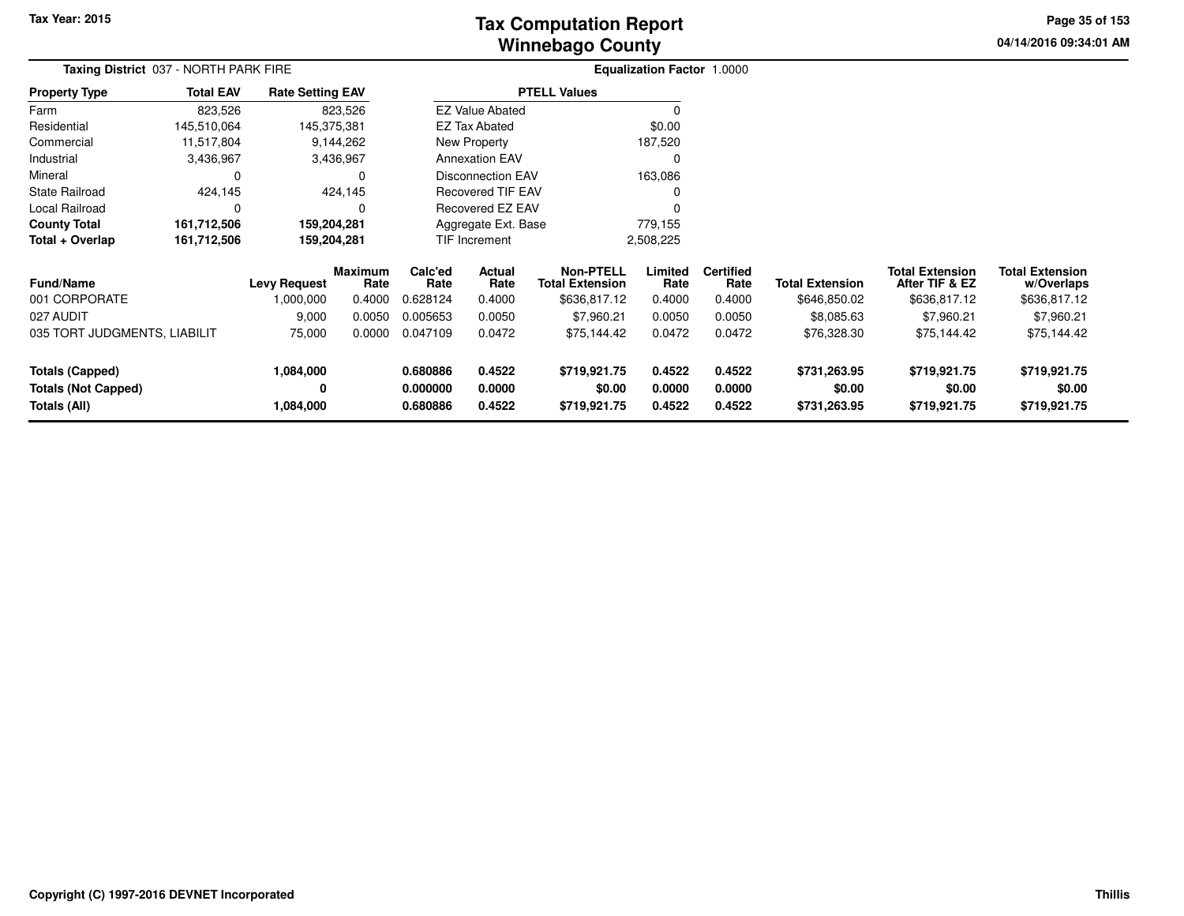# **Winnebago CountyTax Computation Report**

**04/14/2016 09:34:01 AM Page 35 of 153**

| Taxing District 037 - NORTH PARK FIRE |                  |                         |                        | <b>Equalization Factor 1.0000</b> |                        |                                            |                 |                          |                        |                                          |                                      |  |
|---------------------------------------|------------------|-------------------------|------------------------|-----------------------------------|------------------------|--------------------------------------------|-----------------|--------------------------|------------------------|------------------------------------------|--------------------------------------|--|
| <b>Property Type</b>                  | <b>Total EAV</b> | <b>Rate Setting EAV</b> |                        |                                   |                        | <b>PTELL Values</b>                        |                 |                          |                        |                                          |                                      |  |
| Farm                                  | 823,526          |                         | 823,526                |                                   | <b>EZ Value Abated</b> |                                            | $\Omega$        |                          |                        |                                          |                                      |  |
| Residential                           | 145,510,064      |                         | 145,375,381            |                                   | <b>EZ Tax Abated</b>   |                                            | \$0.00          |                          |                        |                                          |                                      |  |
| Commercial                            | 11,517,804       |                         | 9,144,262              |                                   | New Property           |                                            | 187,520         |                          |                        |                                          |                                      |  |
| Industrial                            | 3,436,967        |                         | 3,436,967              |                                   | <b>Annexation EAV</b>  |                                            | $\Omega$        |                          |                        |                                          |                                      |  |
| Mineral                               | 0                |                         | 0                      | <b>Disconnection EAV</b>          |                        |                                            | 163,086         |                          |                        |                                          |                                      |  |
| <b>State Railroad</b>                 | 424,145          |                         | 424,145                |                                   | Recovered TIF EAV      |                                            |                 |                          |                        |                                          |                                      |  |
| Local Railroad                        | $\Omega$         |                         | $\Omega$               |                                   | Recovered EZ EAV       |                                            |                 |                          |                        |                                          |                                      |  |
| <b>County Total</b>                   | 161,712,506      | 159,204,281             |                        |                                   | Aggregate Ext. Base    |                                            | 779,155         |                          |                        |                                          |                                      |  |
| Total + Overlap                       | 161,712,506      |                         | 159,204,281            | TIF Increment                     |                        |                                            | 2,508,225       |                          |                        |                                          |                                      |  |
| <b>Fund/Name</b>                      |                  | <b>Levy Request</b>     | <b>Maximum</b><br>Rate | Calc'ed<br>Rate                   | Actual<br>Rate         | <b>Non-PTELL</b><br><b>Total Extension</b> | Limited<br>Rate | <b>Certified</b><br>Rate | <b>Total Extension</b> | <b>Total Extension</b><br>After TIF & EZ | <b>Total Extension</b><br>w/Overlaps |  |
| 001 CORPORATE                         |                  | 000,000.1               | 0.4000                 | 0.628124                          | 0.4000                 | \$636,817.12                               | 0.4000          | 0.4000                   | \$646,850.02           | \$636,817.12                             | \$636,817.12                         |  |
| 027 AUDIT                             |                  | 9,000                   | 0.0050                 | 0.005653                          | 0.0050                 | \$7,960.21                                 | 0.0050          | 0.0050                   | \$8,085.63             | \$7,960.21                               | \$7,960.21                           |  |
| 035 TORT JUDGMENTS, LIABILIT          |                  | 75,000                  | 0.0000                 | 0.047109                          | 0.0472                 | \$75,144.42                                | 0.0472          | 0.0472                   | \$76,328.30            | \$75,144.42                              | \$75,144.42                          |  |
| Totals (Capped)                       |                  | 1,084,000               |                        | 0.680886                          | 0.4522                 | \$719,921.75                               | 0.4522          | 0.4522                   | \$731,263.95           | \$719,921.75                             | \$719,921.75                         |  |
| <b>Totals (Not Capped)</b>            |                  | 0                       |                        | 0.000000                          | 0.0000                 | \$0.00                                     | 0.0000          | 0.0000                   | \$0.00                 | \$0.00                                   | \$0.00                               |  |
| Totals (All)                          |                  | 1,084,000               |                        | 0.680886                          | 0.4522                 | \$719,921.75                               | 0.4522          | 0.4522                   | \$731,263.95           | \$719,921.75                             | \$719,921.75                         |  |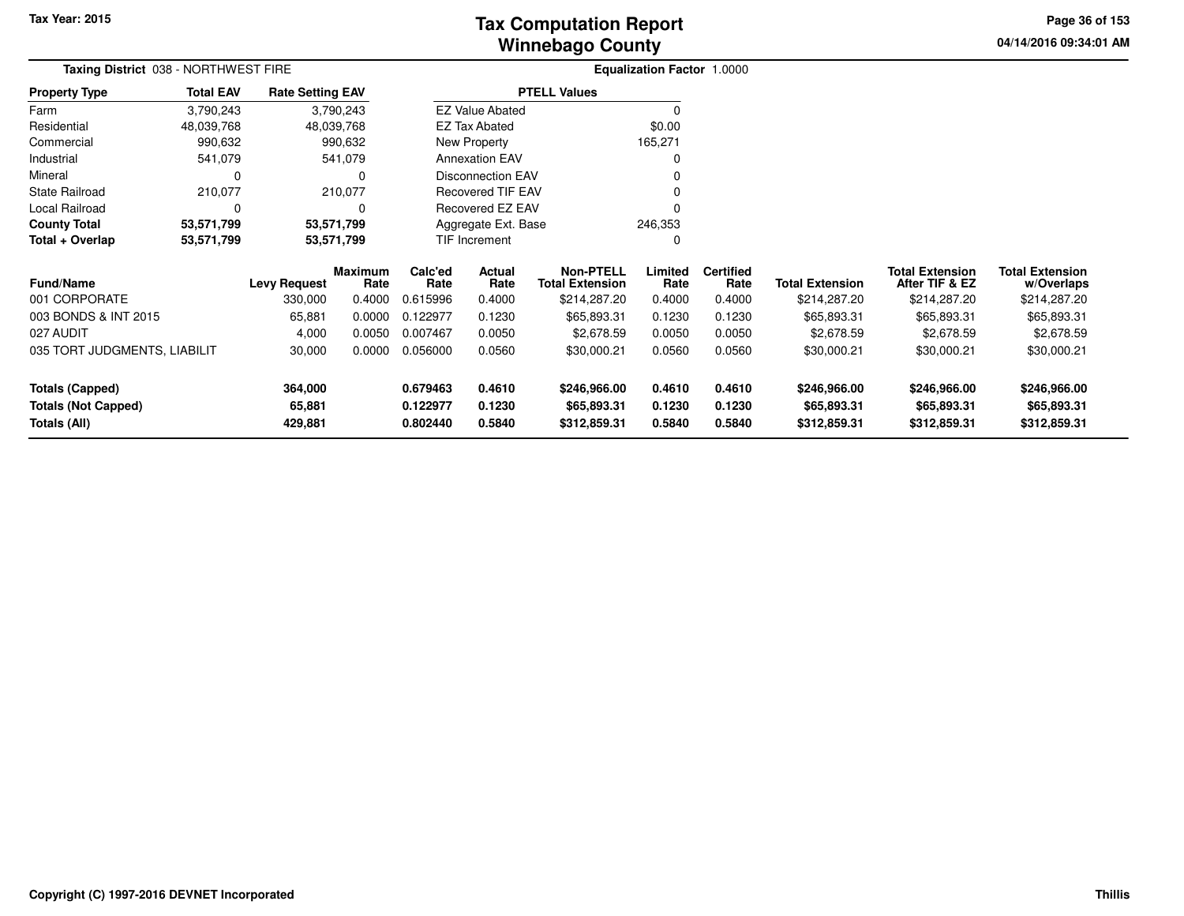# **Winnebago CountyTax Computation Report**

**04/14/2016 09:34:01 AM Page 36 of 153**

| Taxing District 038 - NORTHWEST FIRE                          |                  |                                          |                                     | Equalization Factor 1.0000              |                                    |                                                                           |                                     |                                              |                                                       |                                                                         |                                                                     |  |
|---------------------------------------------------------------|------------------|------------------------------------------|-------------------------------------|-----------------------------------------|------------------------------------|---------------------------------------------------------------------------|-------------------------------------|----------------------------------------------|-------------------------------------------------------|-------------------------------------------------------------------------|---------------------------------------------------------------------|--|
| <b>Property Type</b>                                          | <b>Total EAV</b> | <b>Rate Setting EAV</b>                  |                                     |                                         |                                    | <b>PTELL Values</b>                                                       |                                     |                                              |                                                       |                                                                         |                                                                     |  |
| Farm                                                          | 3,790,243        |                                          | 3,790,243                           |                                         | <b>EZ Value Abated</b>             |                                                                           | $\Omega$                            |                                              |                                                       |                                                                         |                                                                     |  |
| Residential                                                   | 48,039,768       | 48,039,768                               |                                     |                                         | <b>EZ Tax Abated</b>               |                                                                           | \$0.00                              |                                              |                                                       |                                                                         |                                                                     |  |
| Commercial                                                    | 990,632          |                                          | 990,632                             | New Property                            |                                    |                                                                           | 165,271                             |                                              |                                                       |                                                                         |                                                                     |  |
| Industrial                                                    | 541,079          |                                          | 541,079                             | <b>Annexation EAV</b>                   |                                    |                                                                           |                                     |                                              |                                                       |                                                                         |                                                                     |  |
| Mineral                                                       | $\Omega$         |                                          | 0                                   |                                         | Disconnection EAV                  |                                                                           |                                     |                                              |                                                       |                                                                         |                                                                     |  |
| <b>State Railroad</b>                                         | 210,077          |                                          | 210,077                             |                                         | <b>Recovered TIF EAV</b>           |                                                                           |                                     |                                              |                                                       |                                                                         |                                                                     |  |
| Local Railroad                                                | 0                |                                          | 0                                   |                                         | Recovered EZ EAV                   |                                                                           |                                     |                                              |                                                       |                                                                         |                                                                     |  |
| <b>County Total</b>                                           | 53,571,799       | 53,571,799                               |                                     | Aggregate Ext. Base                     |                                    |                                                                           | 246,353                             |                                              |                                                       |                                                                         |                                                                     |  |
| Total + Overlap                                               | 53,571,799       | 53,571,799                               |                                     | TIF Increment                           |                                    |                                                                           | 0                                   |                                              |                                                       |                                                                         |                                                                     |  |
| <b>Fund/Name</b><br>001 CORPORATE<br>003 BONDS & INT 2015     |                  | <b>Levy Request</b><br>330,000<br>65,881 | Maximum<br>Rate<br>0.4000<br>0.0000 | Calc'ed<br>Rate<br>0.615996<br>0.122977 | Actual<br>Rate<br>0.4000<br>0.1230 | <b>Non-PTELL</b><br><b>Total Extension</b><br>\$214,287.20<br>\$65,893.31 | Limited<br>Rate<br>0.4000<br>0.1230 | <b>Certified</b><br>Rate<br>0.4000<br>0.1230 | <b>Total Extension</b><br>\$214,287.20<br>\$65,893.31 | <b>Total Extension</b><br>After TIF & EZ<br>\$214,287.20<br>\$65,893.31 | <b>Total Extension</b><br>w/Overlaps<br>\$214,287.20<br>\$65,893.31 |  |
| 027 AUDIT                                                     |                  | 4,000                                    | 0.0050                              | 0.007467                                | 0.0050                             | \$2,678.59                                                                | 0.0050                              | 0.0050                                       | \$2,678.59                                            | \$2,678.59                                                              | \$2,678.59                                                          |  |
| 035 TORT JUDGMENTS, LIABILIT                                  |                  | 30,000                                   | 0.0000                              | 0.056000                                | 0.0560                             | \$30,000.21                                                               | 0.0560                              | 0.0560                                       | \$30,000.21                                           | \$30,000.21                                                             | \$30,000.21                                                         |  |
| Totals (Capped)<br><b>Totals (Not Capped)</b><br>Totals (All) |                  | 364,000<br>65,881<br>429,881             |                                     | 0.679463<br>0.122977<br>0.802440        | 0.4610<br>0.1230<br>0.5840         | \$246,966.00<br>\$65,893.31<br>\$312,859.31                               | 0.4610<br>0.1230<br>0.5840          | 0.4610<br>0.1230<br>0.5840                   | \$246,966.00<br>\$65,893.31<br>\$312,859.31           | \$246,966.00<br>\$65,893.31<br>\$312,859.31                             | \$246,966.00<br>\$65,893.31<br>\$312,859.31                         |  |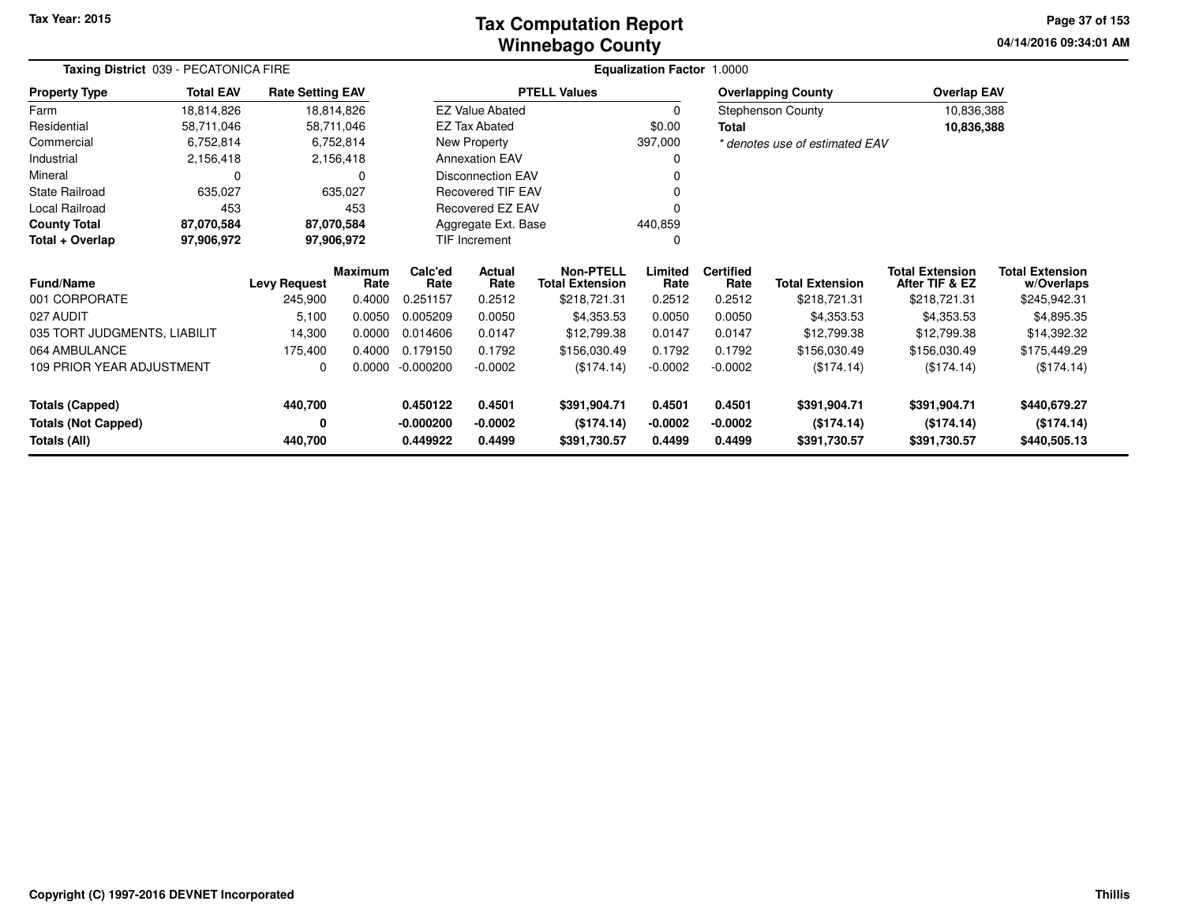### **Winnebago CountyTax Computation Report**

**04/14/2016 09:34:01 AM Page 37 of 153**

| Taxing District 039 - PECATONICA FIRE | <b>Equalization Factor 1.0000</b> |                         |                        |                 |                          |                                            |                 |                          |                                |                                          |                                      |
|---------------------------------------|-----------------------------------|-------------------------|------------------------|-----------------|--------------------------|--------------------------------------------|-----------------|--------------------------|--------------------------------|------------------------------------------|--------------------------------------|
| <b>Property Type</b>                  | <b>Total EAV</b>                  | <b>Rate Setting EAV</b> |                        |                 |                          | <b>PTELL Values</b>                        |                 |                          | <b>Overlapping County</b>      | <b>Overlap EAV</b>                       |                                      |
| Farm                                  | 18,814,826                        |                         | 18,814,826             |                 | <b>EZ Value Abated</b>   |                                            | 0               |                          | <b>Stephenson County</b>       | 10,836,388                               |                                      |
| Residential                           | 58,711,046                        |                         | 58,711,046             |                 | <b>EZ Tax Abated</b>     |                                            | \$0.00          | Total                    |                                | 10,836,388                               |                                      |
| Commercial                            | 6,752,814                         |                         | 6,752,814              |                 | New Property             |                                            | 397,000         |                          | * denotes use of estimated EAV |                                          |                                      |
| Industrial                            | 2,156,418                         |                         | 2,156,418              |                 | <b>Annexation EAV</b>    |                                            | 0               |                          |                                |                                          |                                      |
| Mineral                               | 0                                 |                         | 0                      |                 | <b>Disconnection EAV</b> |                                            | ŋ               |                          |                                |                                          |                                      |
| <b>State Railroad</b>                 | 635,027                           |                         | 635,027                |                 | Recovered TIF EAV        |                                            | ŋ               |                          |                                |                                          |                                      |
| Local Railroad                        | 453                               |                         | 453                    |                 | <b>Recovered EZ EAV</b>  |                                            | O               |                          |                                |                                          |                                      |
| <b>County Total</b>                   | 87,070,584                        |                         | 87,070,584             |                 | Aggregate Ext. Base      |                                            | 440,859         |                          |                                |                                          |                                      |
| Total + Overlap                       | 97,906,972                        |                         | 97,906,972             | TIF Increment   |                          |                                            | 0               |                          |                                |                                          |                                      |
| Fund/Name                             |                                   | <b>Levy Request</b>     | <b>Maximum</b><br>Rate | Calc'ed<br>Rate | Actual<br>Rate           | <b>Non-PTELL</b><br><b>Total Extension</b> | Limited<br>Rate | <b>Certified</b><br>Rate | <b>Total Extension</b>         | <b>Total Extension</b><br>After TIF & EZ | <b>Total Extension</b><br>w/Overlaps |
| 001 CORPORATE                         |                                   | 245,900                 | 0.4000                 | 0.251157        | 0.2512                   | \$218,721.31                               | 0.2512          | 0.2512                   | \$218,721.31                   | \$218,721.31                             | \$245,942.31                         |
| 027 AUDIT                             |                                   | 5,100                   | 0.0050                 | 0.005209        | 0.0050                   | \$4,353.53                                 | 0.0050          | 0.0050                   | \$4,353.53                     | \$4,353.53                               | \$4,895.35                           |
| 035 TORT JUDGMENTS, LIABILIT          |                                   | 14,300                  | 0.0000                 | 0.014606        | 0.0147                   | \$12,799.38                                | 0.0147          | 0.0147                   | \$12,799.38                    | \$12,799.38                              | \$14,392.32                          |
| 064 AMBULANCE                         |                                   | 175,400                 | 0.4000                 | 0.179150        | 0.1792                   | \$156,030.49                               | 0.1792          | 0.1792                   | \$156,030.49                   | \$156,030.49                             | \$175,449.29                         |
| 109 PRIOR YEAR ADJUSTMENT             |                                   | 0                       | 0.0000                 | $-0.000200$     | $-0.0002$                | (\$174.14)                                 | $-0.0002$       | $-0.0002$                | (\$174.14)                     | (\$174.14)                               | (\$174.14)                           |
| <b>Totals (Capped)</b>                |                                   | 440,700                 |                        | 0.450122        | 0.4501                   | \$391,904.71                               | 0.4501          | 0.4501                   | \$391,904.71                   | \$391,904.71                             | \$440,679.27                         |
| <b>Totals (Not Capped)</b>            |                                   | 0                       |                        | -0.000200       | $-0.0002$                | (\$174.14)                                 | $-0.0002$       | $-0.0002$                | (\$174.14)                     | (\$174.14)                               | (\$174.14)                           |
| Totals (All)                          |                                   | 440,700                 |                        | 0.449922        | 0.4499                   | \$391,730.57                               | 0.4499          | 0.4499                   | \$391,730.57                   | \$391,730.57                             | \$440,505.13                         |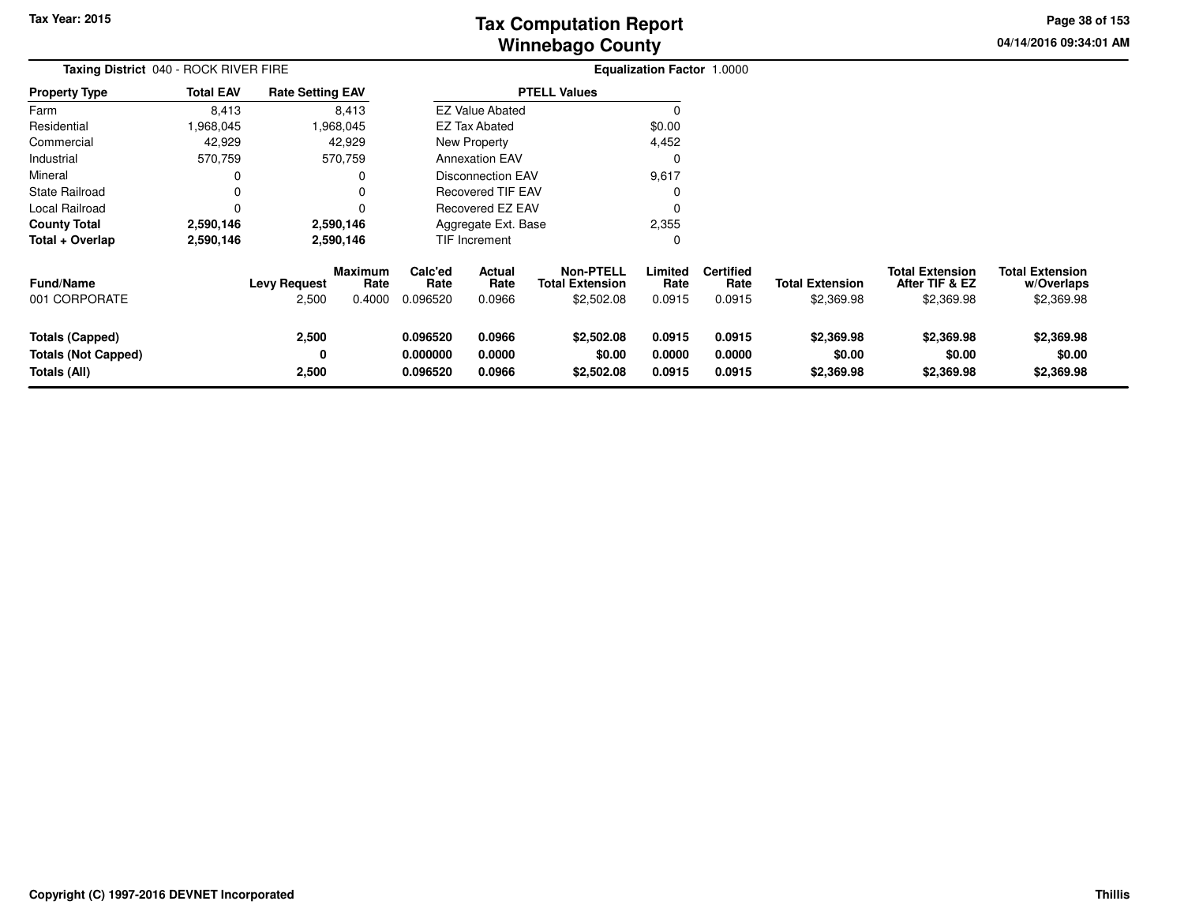**04/14/2016 09:34:01 AM Page 38 of 153**

| Taxing District 040 - ROCK RIVER FIRE                                |                  |                              |                                  | <b>Equalization Factor 1.0000</b> |                                 |                                                          |                            |                                    |                                      |                                                        |                                                    |
|----------------------------------------------------------------------|------------------|------------------------------|----------------------------------|-----------------------------------|---------------------------------|----------------------------------------------------------|----------------------------|------------------------------------|--------------------------------------|--------------------------------------------------------|----------------------------------------------------|
| <b>Property Type</b>                                                 | <b>Total EAV</b> | <b>Rate Setting EAV</b>      |                                  |                                   |                                 | <b>PTELL Values</b>                                      |                            |                                    |                                      |                                                        |                                                    |
| Farm                                                                 | 8,413            |                              | 8,413                            |                                   | <b>EZ Value Abated</b>          |                                                          | $\Omega$                   |                                    |                                      |                                                        |                                                    |
| Residential                                                          | 968,045,         |                              | 1,968,045                        |                                   | <b>EZ Tax Abated</b>            |                                                          | \$0.00                     |                                    |                                      |                                                        |                                                    |
| Commercial                                                           | 42,929           |                              | 42,929                           |                                   | New Property                    |                                                          | 4,452                      |                                    |                                      |                                                        |                                                    |
| Industrial                                                           | 570,759          |                              | 570,759                          |                                   | <b>Annexation EAV</b>           |                                                          | 0                          |                                    |                                      |                                                        |                                                    |
| Mineral                                                              |                  |                              |                                  |                                   | <b>Disconnection EAV</b>        |                                                          | 9,617                      |                                    |                                      |                                                        |                                                    |
| State Railroad                                                       |                  |                              |                                  |                                   | <b>Recovered TIF EAV</b>        |                                                          |                            |                                    |                                      |                                                        |                                                    |
| Local Railroad                                                       |                  |                              |                                  | <b>Recovered EZ EAV</b>           |                                 |                                                          |                            |                                    |                                      |                                                        |                                                    |
| <b>County Total</b>                                                  | 2,590,146        |                              | 2,590,146                        | 2,355<br>Aggregate Ext. Base      |                                 |                                                          |                            |                                    |                                      |                                                        |                                                    |
| Total + Overlap                                                      | 2,590,146        |                              | 2,590,146                        |                                   | TIF Increment                   |                                                          | 0                          |                                    |                                      |                                                        |                                                    |
| Fund/Name<br>001 CORPORATE                                           |                  | <b>Levy Request</b><br>2,500 | <b>Maximum</b><br>Rate<br>0.4000 | Calc'ed<br>Rate<br>0.096520       | <b>Actual</b><br>Rate<br>0.0966 | <b>Non-PTELL</b><br><b>Total Extension</b><br>\$2,502.08 | Limited<br>Rate<br>0.0915  | <b>Certified</b><br>Rate<br>0.0915 | <b>Total Extension</b><br>\$2,369.98 | <b>Total Extension</b><br>After TIF & EZ<br>\$2,369.98 | <b>Total Extension</b><br>w/Overlaps<br>\$2,369.98 |
| <b>Totals (Capped)</b><br><b>Totals (Not Capped)</b><br>Totals (All) |                  | 2,500<br>0<br>2,500          |                                  | 0.096520<br>0.000000<br>0.096520  | 0.0966<br>0.0000<br>0.0966      | \$2,502.08<br>\$0.00<br>\$2,502.08                       | 0.0915<br>0.0000<br>0.0915 | 0.0915<br>0.0000<br>0.0915         | \$2,369.98<br>\$0.00<br>\$2,369.98   | \$2,369.98<br>\$0.00<br>\$2,369.98                     | \$2,369.98<br>\$0.00<br>\$2,369.98                 |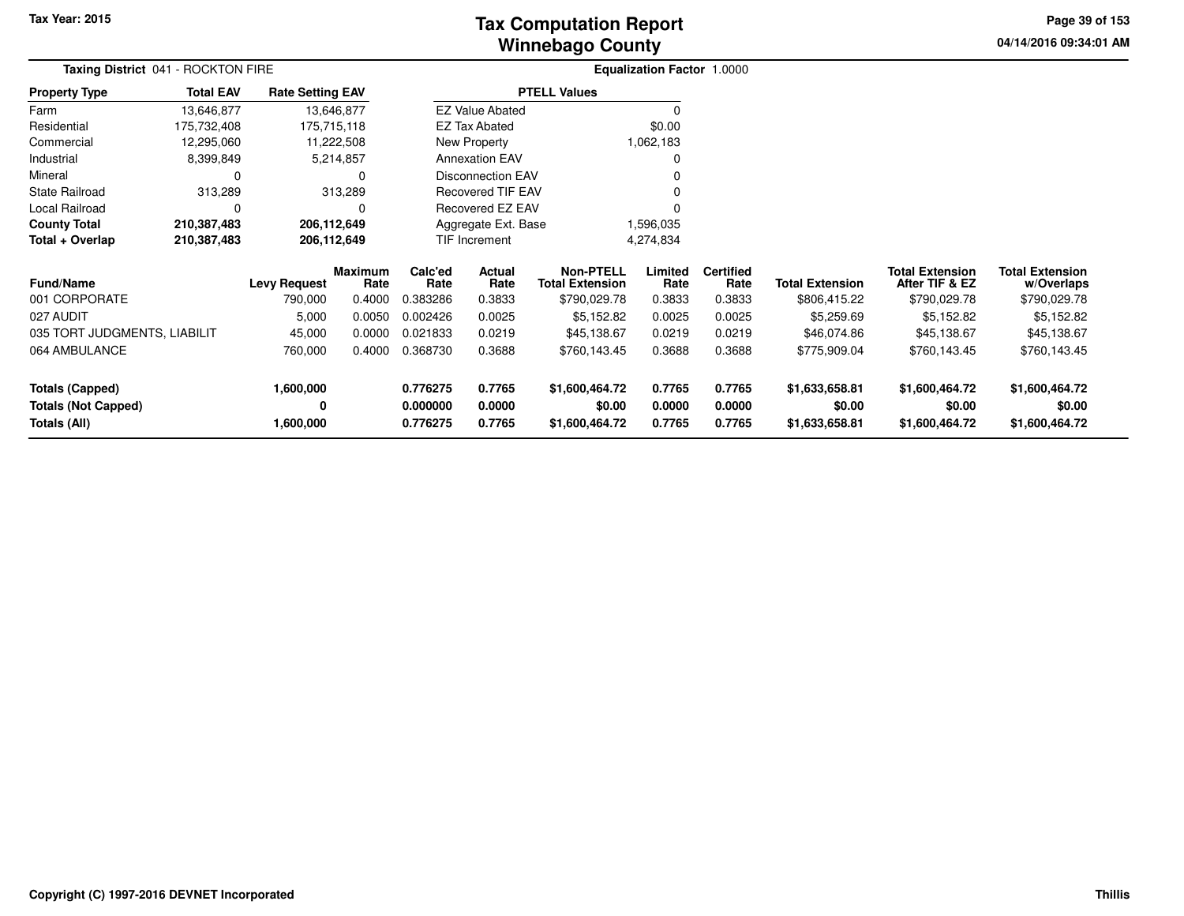# **Winnebago CountyTax Computation Report**

**04/14/2016 09:34:01 AM Page 39 of 153**

| Taxing District 041 - ROCKTON FIRE |                  |                         |                 |                                   |                          |                                            | Equalization Factor 1.0000 |                          |                        |                                          |                                      |
|------------------------------------|------------------|-------------------------|-----------------|-----------------------------------|--------------------------|--------------------------------------------|----------------------------|--------------------------|------------------------|------------------------------------------|--------------------------------------|
| <b>Property Type</b>               | <b>Total EAV</b> | <b>Rate Setting EAV</b> |                 |                                   |                          | <b>PTELL Values</b>                        |                            |                          |                        |                                          |                                      |
| Farm                               | 13,646,877       |                         | 13,646,877      |                                   | <b>EZ Value Abated</b>   |                                            |                            |                          |                        |                                          |                                      |
| Residential                        | 175,732,408      |                         | 175,715,118     |                                   | <b>EZ Tax Abated</b>     |                                            | \$0.00                     |                          |                        |                                          |                                      |
| Commercial                         | 12,295,060       |                         | 11,222,508      |                                   | New Property             |                                            | 1,062,183                  |                          |                        |                                          |                                      |
| Industrial                         | 8,399,849        |                         | 5,214,857       |                                   | <b>Annexation EAV</b>    |                                            |                            |                          |                        |                                          |                                      |
| Mineral                            | 0                |                         |                 |                                   | <b>Disconnection EAV</b> |                                            |                            |                          |                        |                                          |                                      |
| <b>State Railroad</b>              | 313,289          |                         | 313,289         |                                   | <b>Recovered TIF EAV</b> |                                            |                            |                          |                        |                                          |                                      |
| Local Railroad                     | 0                |                         |                 |                                   | <b>Recovered EZ EAV</b>  |                                            |                            |                          |                        |                                          |                                      |
| <b>County Total</b>                | 210,387,483      | 206,112,649             |                 | Aggregate Ext. Base<br>1,596,035  |                          |                                            |                            |                          |                        |                                          |                                      |
| Total + Overlap                    | 210,387,483      | 206,112,649             |                 | <b>TIF Increment</b><br>4,274,834 |                          |                                            |                            |                          |                        |                                          |                                      |
| <b>Fund/Name</b>                   |                  | <b>Levy Request</b>     | Maximum<br>Rate | Calc'ed<br>Rate                   | Actual<br>Rate           | <b>Non-PTELL</b><br><b>Total Extension</b> | Limited<br>Rate            | <b>Certified</b><br>Rate | <b>Total Extension</b> | <b>Total Extension</b><br>After TIF & EZ | <b>Total Extension</b><br>w/Overlaps |
| 001 CORPORATE                      |                  | 790,000                 | 0.4000          | 0.383286                          | 0.3833                   | \$790,029.78                               | 0.3833                     | 0.3833                   | \$806,415.22           | \$790,029.78                             | \$790,029.78                         |
| 027 AUDIT                          |                  | 5,000                   | 0.0050          | 0.002426                          | 0.0025                   | \$5,152.82                                 | 0.0025                     | 0.0025                   | \$5,259.69             | \$5,152.82                               | \$5,152.82                           |
| 035 TORT JUDGMENTS, LIABILIT       |                  | 45,000                  | 0.0000          | 0.021833                          | 0.0219                   | \$45,138.67                                | 0.0219                     | 0.0219                   | \$46,074.86            | \$45,138.67                              | \$45,138.67                          |
| 064 AMBULANCE                      |                  | 760,000                 | 0.4000          | 0.368730                          | 0.3688                   | \$760,143.45                               | 0.3688                     | 0.3688                   | \$775,909.04           | \$760,143.45                             | \$760,143.45                         |
| <b>Totals (Capped)</b>             |                  | 1,600,000               |                 | 0.776275                          | 0.7765                   | \$1,600,464.72                             | 0.7765                     | 0.7765                   | \$1,633,658.81         | \$1,600,464.72                           | \$1,600,464.72                       |
| <b>Totals (Not Capped)</b>         |                  | 0                       |                 | 0.000000                          | 0.0000                   | \$0.00                                     | 0.0000                     | 0.0000                   | \$0.00                 | \$0.00                                   | \$0.00                               |
| <b>Totals (All)</b>                |                  | 1,600,000               |                 | 0.776275                          | 0.7765                   | \$1,600,464.72                             | 0.7765                     | 0.7765                   | \$1,633,658.81         | \$1,600,464.72                           | \$1,600,464.72                       |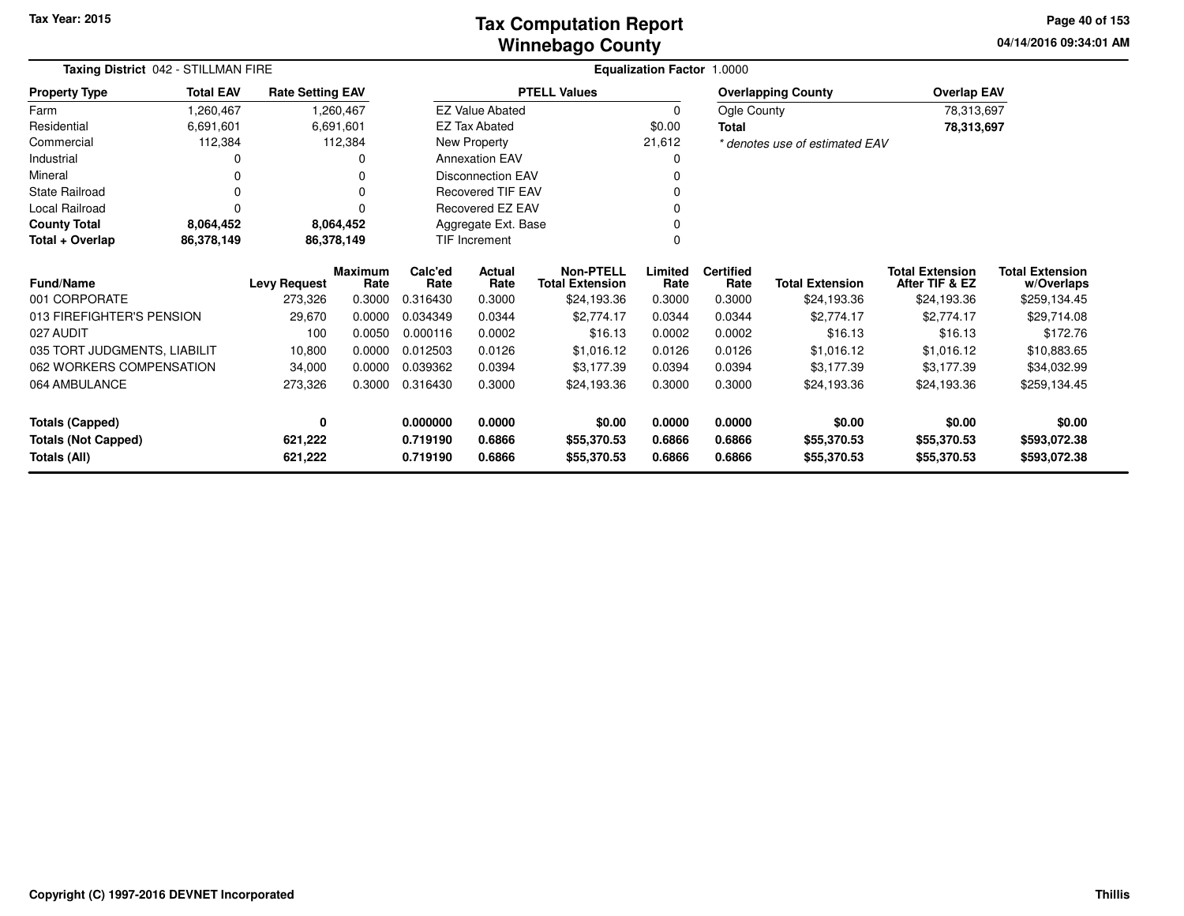### **Winnebago CountyTax Computation Report**

**04/14/2016 09:34:01 AM Page 40 of 153**

| Taxing District 042 - STILLMAN FIRE | <b>Equalization Factor 1.0000</b> |                         |                        |                 |                          |                                            |                        |                          |                                |                                          |                                      |
|-------------------------------------|-----------------------------------|-------------------------|------------------------|-----------------|--------------------------|--------------------------------------------|------------------------|--------------------------|--------------------------------|------------------------------------------|--------------------------------------|
| <b>Property Type</b>                | <b>Total EAV</b>                  | <b>Rate Setting EAV</b> |                        |                 |                          | <b>PTELL Values</b>                        |                        |                          | <b>Overlapping County</b>      | <b>Overlap EAV</b>                       |                                      |
| Farm                                | 1,260,467                         |                         | 1,260,467              |                 | <b>EZ Value Abated</b>   |                                            | 0                      | Ogle County              |                                | 78,313,697                               |                                      |
| Residential                         | 6,691,601                         |                         | 6,691,601              |                 | <b>EZ Tax Abated</b>     |                                            | \$0.00<br><b>Total</b> |                          |                                | 78,313,697                               |                                      |
| Commercial                          | 112,384                           |                         | 112,384                |                 | New Property             |                                            | 21,612                 |                          | * denotes use of estimated EAV |                                          |                                      |
| Industrial                          |                                   |                         |                        |                 | <b>Annexation EAV</b>    |                                            | 0                      |                          |                                |                                          |                                      |
| Mineral                             |                                   |                         |                        |                 | <b>Disconnection EAV</b> |                                            |                        |                          |                                |                                          |                                      |
| <b>State Railroad</b>               | 0                                 |                         |                        |                 | Recovered TIF EAV        |                                            |                        |                          |                                |                                          |                                      |
| Local Railroad                      | $\Omega$                          |                         |                        |                 | Recovered EZ EAV         |                                            |                        |                          |                                |                                          |                                      |
| <b>County Total</b>                 | 8,064,452                         |                         | 8,064,452              |                 | Aggregate Ext. Base      |                                            |                        |                          |                                |                                          |                                      |
| Total + Overlap                     | 86,378,149                        |                         | 86,378,149             |                 | TIF Increment            |                                            | $\Omega$               |                          |                                |                                          |                                      |
| <b>Fund/Name</b>                    |                                   | <b>Levy Request</b>     | <b>Maximum</b><br>Rate | Calc'ed<br>Rate | Actual<br>Rate           | <b>Non-PTELL</b><br><b>Total Extension</b> | Limited<br>Rate        | <b>Certified</b><br>Rate | <b>Total Extension</b>         | <b>Total Extension</b><br>After TIF & EZ | <b>Total Extension</b><br>w/Overlaps |
| 001 CORPORATE                       |                                   | 273,326                 | 0.3000                 | 0.316430        | 0.3000                   | \$24,193.36                                | 0.3000                 | 0.3000                   | \$24,193.36                    | \$24,193.36                              | \$259,134.45                         |
| 013 FIREFIGHTER'S PENSION           |                                   | 29,670                  | 0.0000                 | 0.034349        | 0.0344                   | \$2,774.17                                 | 0.0344                 | 0.0344                   | \$2,774.17                     | \$2,774.17                               | \$29,714.08                          |
| 027 AUDIT                           |                                   | 100                     | 0.0050                 | 0.000116        | 0.0002                   | \$16.13                                    | 0.0002                 | 0.0002                   | \$16.13                        | \$16.13                                  | \$172.76                             |
| 035 TORT JUDGMENTS, LIABILIT        |                                   | 10,800                  | 0.0000                 | 0.012503        | 0.0126                   | \$1,016.12                                 | 0.0126                 | 0.0126                   | \$1,016.12                     | \$1,016.12                               | \$10,883.65                          |
| 062 WORKERS COMPENSATION            |                                   | 34,000                  | 0.0000                 | 0.039362        | 0.0394                   | \$3,177.39                                 | 0.0394                 | 0.0394                   | \$3,177.39                     | \$3,177.39                               | \$34,032.99                          |
| 064 AMBULANCE                       |                                   | 273,326                 | 0.3000                 | 0.316430        | 0.3000                   | \$24,193.36                                | 0.3000                 | 0.3000                   | \$24,193.36                    | \$24,193.36                              | \$259,134.45                         |
| <b>Totals (Capped)</b>              |                                   | 0                       |                        | 0.000000        | 0.0000                   | \$0.00                                     | 0.0000                 | 0.0000                   | \$0.00                         | \$0.00                                   | \$0.00                               |
| <b>Totals (Not Capped)</b>          |                                   | 621,222                 |                        | 0.719190        | 0.6866                   | \$55,370.53                                | 0.6866                 | 0.6866                   | \$55,370.53                    | \$55,370.53                              | \$593,072.38                         |
| Totals (All)                        |                                   | 621,222                 |                        | 0.719190        | 0.6866                   | \$55,370.53                                | 0.6866                 | 0.6866                   | \$55,370.53                    | \$55,370.53                              | \$593,072.38                         |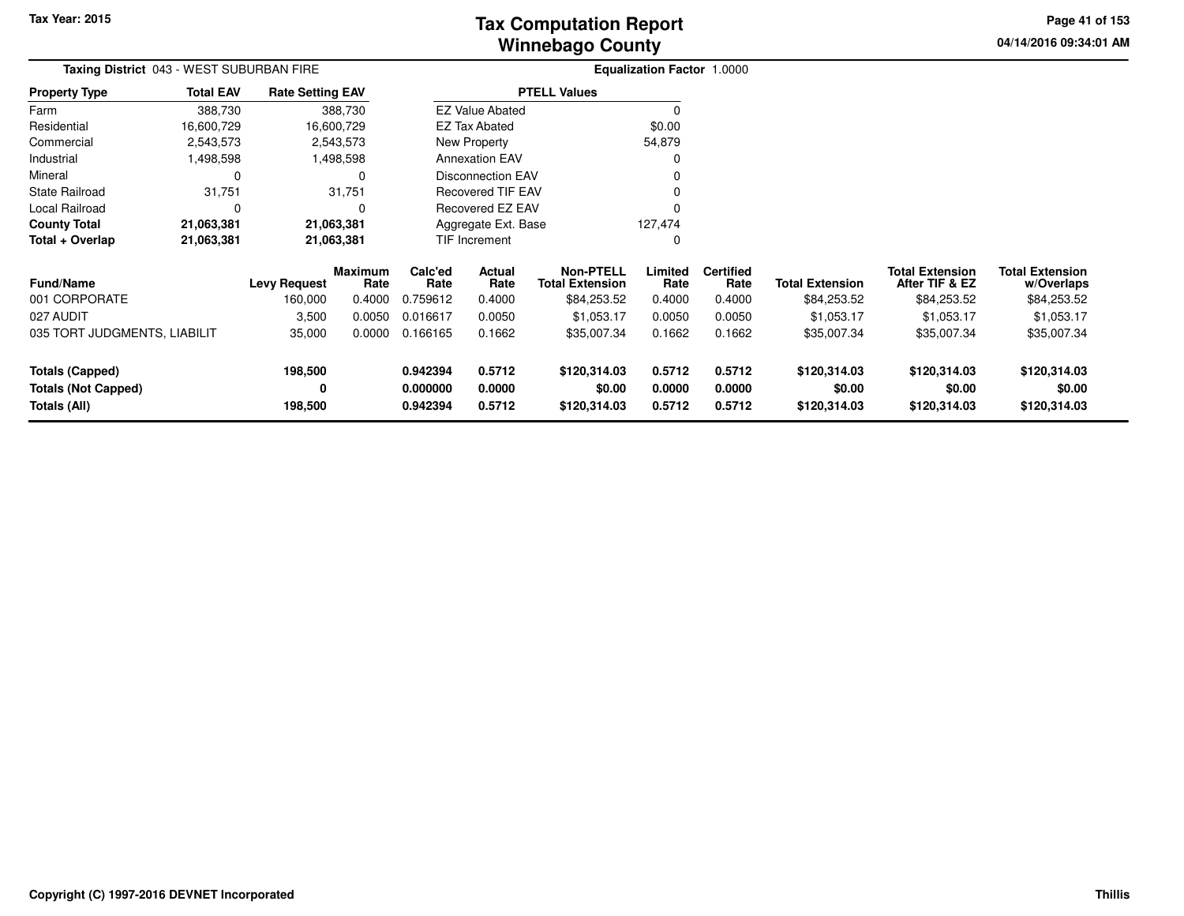**04/14/2016 09:34:01 AM Page 41 of 153**

| <b>Taxing District</b> 043 - WEST SUBURBAN FIRE |                  |                         |                 |                      |                          |                                            | <b>Equalization Factor 1.0000</b> |                          |                        |                                          |                                      |
|-------------------------------------------------|------------------|-------------------------|-----------------|----------------------|--------------------------|--------------------------------------------|-----------------------------------|--------------------------|------------------------|------------------------------------------|--------------------------------------|
| <b>Property Type</b>                            | <b>Total EAV</b> | <b>Rate Setting EAV</b> |                 |                      |                          | <b>PTELL Values</b>                        |                                   |                          |                        |                                          |                                      |
| Farm                                            | 388,730          |                         | 388,730         |                      | <b>EZ Value Abated</b>   |                                            |                                   |                          |                        |                                          |                                      |
| Residential                                     | 16,600,729       |                         | 16,600,729      |                      | <b>EZ Tax Abated</b>     |                                            | \$0.00                            |                          |                        |                                          |                                      |
| Commercial                                      | 2,543,573        |                         | 2,543,573       |                      | New Property             |                                            | 54,879                            |                          |                        |                                          |                                      |
| Industrial                                      | 1,498,598        |                         | 1,498,598       |                      | <b>Annexation EAV</b>    |                                            |                                   |                          |                        |                                          |                                      |
| Mineral                                         | 0                |                         | <sup>0</sup>    |                      | <b>Disconnection EAV</b> |                                            |                                   |                          |                        |                                          |                                      |
| <b>State Railroad</b>                           | 31,751           |                         | 31,751          |                      | <b>Recovered TIF EAV</b> |                                            |                                   |                          |                        |                                          |                                      |
| Local Railroad                                  | $\Omega$         |                         | O               |                      | Recovered EZ EAV         |                                            |                                   |                          |                        |                                          |                                      |
| <b>County Total</b>                             | 21,063,381       | 21,063,381              |                 |                      |                          | Aggregate Ext. Base<br>127,474             |                                   |                          |                        |                                          |                                      |
| Total + Overlap                                 | 21,063,381       | 21,063,381              |                 |                      | TIF Increment            |                                            | <sup>0</sup>                      |                          |                        |                                          |                                      |
| <b>Fund/Name</b>                                |                  | <b>Levy Request</b>     | Maximum<br>Rate | Calc'ed<br>Rate      | Actual<br>Rate           | <b>Non-PTELL</b><br><b>Total Extension</b> | Limited<br>Rate                   | <b>Certified</b><br>Rate | <b>Total Extension</b> | <b>Total Extension</b><br>After TIF & EZ | <b>Total Extension</b><br>w/Overlaps |
| 001 CORPORATE                                   |                  | 160,000                 | 0.4000          | 0.759612             | 0.4000                   | \$84,253.52                                | 0.4000                            | 0.4000                   | \$84,253.52            | \$84,253.52                              | \$84,253.52                          |
| 027 AUDIT                                       |                  | 3,500                   | 0.0050          | 0.016617             | 0.0050                   | \$1,053.17                                 | 0.0050                            | 0.0050                   | \$1,053.17             | \$1,053.17                               | \$1,053.17                           |
| 035 TORT JUDGMENTS, LIABILIT                    |                  | 35,000                  | 0.0000          | 0.166165             | 0.1662                   | \$35,007.34                                | 0.1662                            | 0.1662                   | \$35,007.34            | \$35,007.34                              | \$35,007.34                          |
| <b>Totals (Capped)</b>                          |                  | 198,500                 |                 | 0.942394             | 0.5712                   | \$120,314.03                               | 0.5712                            | 0.5712                   | \$120,314.03           | \$120,314.03                             | \$120,314.03                         |
| <b>Totals (Not Capped)</b><br>Totals (All)      |                  | 0<br>198,500            |                 | 0.000000<br>0.942394 | 0.0000<br>0.5712         | \$0.00<br>\$120,314.03                     | 0.0000<br>0.5712                  | 0.0000<br>0.5712         | \$0.00<br>\$120,314.03 | \$0.00<br>\$120,314.03                   | \$0.00<br>\$120,314.03               |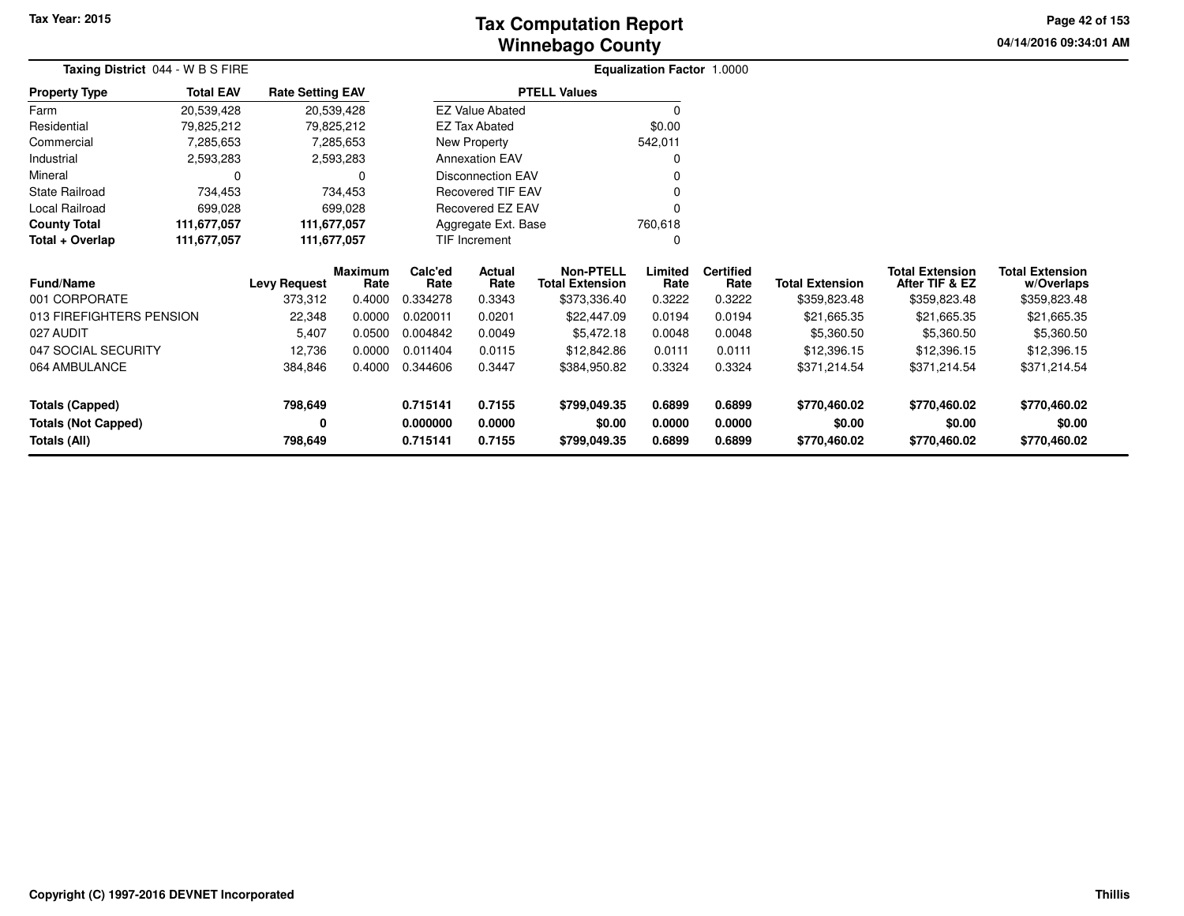# **Winnebago CountyTax Computation Report**

**04/14/2016 09:34:01 AM Page 42 of 153**

| Taxing District 044 - W B S FIRE                     |                  |                         |                        |                      |                          |                                            | Equalization Factor 1.0000 |                          |                           |                                          |                                      |
|------------------------------------------------------|------------------|-------------------------|------------------------|----------------------|--------------------------|--------------------------------------------|----------------------------|--------------------------|---------------------------|------------------------------------------|--------------------------------------|
| <b>Property Type</b>                                 | <b>Total EAV</b> | <b>Rate Setting EAV</b> |                        |                      |                          | <b>PTELL Values</b>                        |                            |                          |                           |                                          |                                      |
| Farm                                                 | 20,539,428       | 20,539,428              |                        |                      | <b>EZ Value Abated</b>   |                                            |                            |                          |                           |                                          |                                      |
| Residential                                          | 79,825,212       | 79,825,212              |                        |                      | EZ Tax Abated            |                                            | \$0.00                     |                          |                           |                                          |                                      |
| Commercial                                           | 7,285,653        |                         | 7,285,653              |                      | New Property             |                                            | 542,011                    |                          |                           |                                          |                                      |
| Industrial                                           | 2,593,283        |                         | 2,593,283              |                      | <b>Annexation EAV</b>    |                                            | 0                          |                          |                           |                                          |                                      |
| Mineral                                              | O                |                         | 0                      |                      | <b>Disconnection EAV</b> |                                            |                            |                          |                           |                                          |                                      |
| State Railroad                                       | 734,453          |                         | 734,453                |                      | Recovered TIF EAV        |                                            |                            |                          |                           |                                          |                                      |
| Local Railroad                                       | 699,028          |                         | 699,028                |                      | <b>Recovered EZ EAV</b>  |                                            |                            |                          |                           |                                          |                                      |
| <b>County Total</b>                                  | 111,677,057      | 111,677,057             |                        |                      | Aggregate Ext. Base      |                                            | 760,618                    |                          |                           |                                          |                                      |
| Total + Overlap                                      | 111,677,057      | 111,677,057             |                        |                      | TIF Increment            |                                            | <sup>0</sup>               |                          |                           |                                          |                                      |
| <b>Fund/Name</b>                                     |                  | <b>Levy Request</b>     | <b>Maximum</b><br>Rate | Calc'ed<br>Rate      | Actual<br>Rate           | <b>Non-PTELL</b><br><b>Total Extension</b> | Limited<br>Rate            | <b>Certified</b><br>Rate | <b>Total Extension</b>    | <b>Total Extension</b><br>After TIF & EZ | <b>Total Extension</b><br>w/Overlaps |
| 001 CORPORATE                                        |                  | 373,312                 | 0.4000                 | 0.334278             | 0.3343                   | \$373,336.40                               | 0.3222                     | 0.3222                   | \$359,823.48              | \$359,823.48                             | \$359,823.48                         |
| 013 FIREFIGHTERS PENSION<br>027 AUDIT                |                  | 22,348<br>5,407         | 0.0000<br>0.0500       | 0.020011<br>0.004842 | 0.0201<br>0.0049         | \$22,447.09<br>\$5,472.18                  | 0.0194<br>0.0048           | 0.0194<br>0.0048         | \$21,665.35<br>\$5,360.50 | \$21,665.35<br>\$5,360.50                | \$21,665.35<br>\$5,360.50            |
| 047 SOCIAL SECURITY                                  |                  | 12,736                  | 0.0000                 | 0.011404             | 0.0115                   | \$12,842.86                                | 0.0111                     | 0.0111                   | \$12,396.15               | \$12,396.15                              | \$12,396.15                          |
| 064 AMBULANCE                                        |                  | 384,846                 | 0.4000                 | 0.344606             | 0.3447                   | \$384,950.82                               | 0.3324                     | 0.3324                   | \$371,214.54              | \$371,214.54                             | \$371,214.54                         |
| <b>Totals (Capped)</b><br><b>Totals (Not Capped)</b> |                  | 798,649<br>0            |                        | 0.715141<br>0.000000 | 0.7155<br>0.0000         | \$799,049.35<br>\$0.00                     | 0.6899<br>0.0000           | 0.6899<br>0.0000         | \$770,460.02<br>\$0.00    | \$770,460.02<br>\$0.00                   | \$770,460.02<br>\$0.00               |
| <b>Totals (All)</b>                                  |                  | 798,649                 |                        | 0.715141             | 0.7155                   | \$799,049.35                               | 0.6899                     | 0.6899                   | \$770,460.02              | \$770,460.02                             | \$770,460.02                         |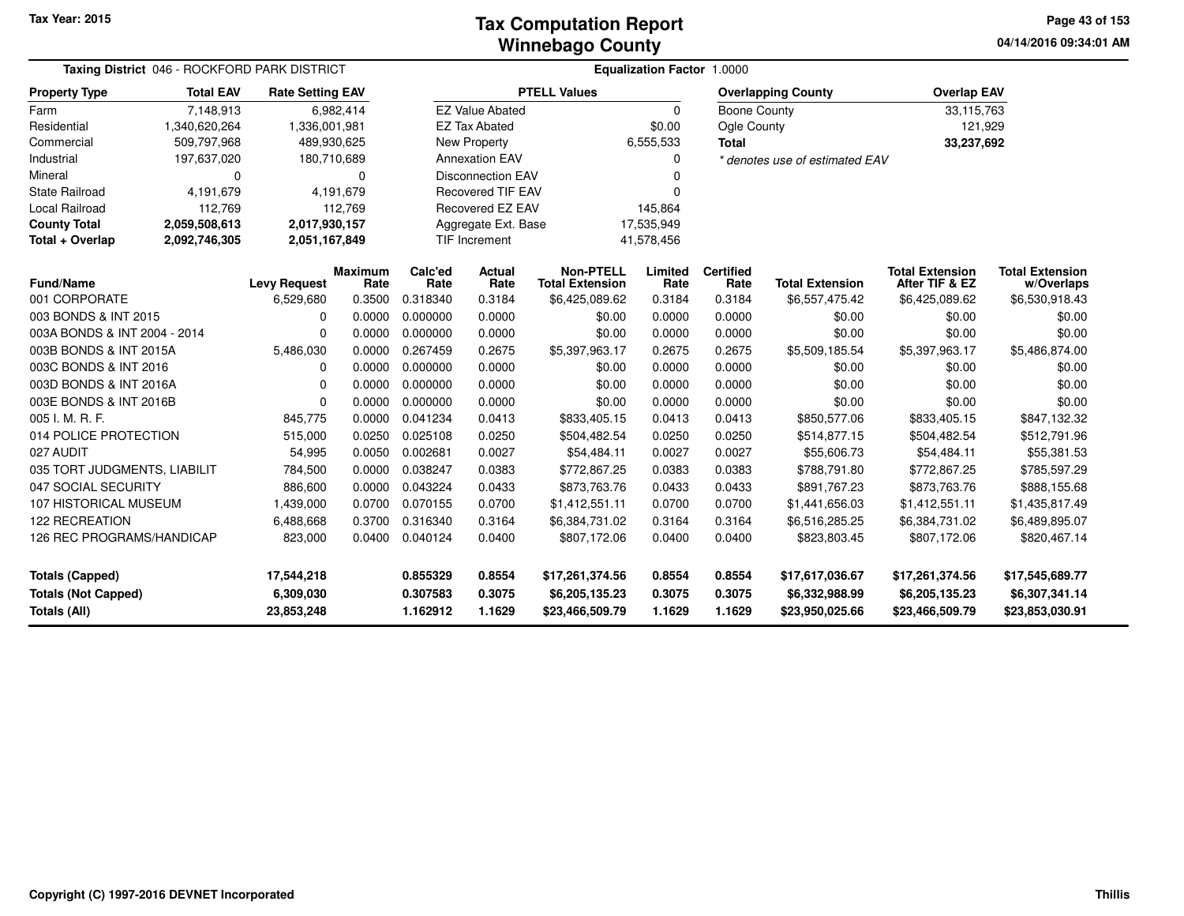#### **Winnebago CountyTax Computation Report**

**04/14/2016 09:34:01 AM Page 43 of 153**

| Taxing District 046 - ROCKFORD PARK DISTRICT                         |                  |                                       |                        | Equalization Factor 1.0000       |                             |                                                      |                                      |                            |                                                      |                                                      |                                                      |  |  |
|----------------------------------------------------------------------|------------------|---------------------------------------|------------------------|----------------------------------|-----------------------------|------------------------------------------------------|--------------------------------------|----------------------------|------------------------------------------------------|------------------------------------------------------|------------------------------------------------------|--|--|
| <b>Property Type</b>                                                 | <b>Total EAV</b> | <b>Rate Setting EAV</b>               |                        |                                  |                             | <b>PTELL Values</b>                                  |                                      |                            | <b>Overlapping County</b>                            | <b>Overlap EAV</b>                                   |                                                      |  |  |
| Farm                                                                 | 7,148,913        |                                       | 6,982,414              |                                  | <b>EZ Value Abated</b>      |                                                      | 0                                    | <b>Boone County</b>        |                                                      | 33,115,763                                           |                                                      |  |  |
| Residential                                                          | 1,340,620,264    | 1,336,001,981                         |                        |                                  | <b>EZ Tax Abated</b>        |                                                      | \$0.00                               | Ogle County                |                                                      | 121,929                                              |                                                      |  |  |
| Commercial                                                           | 509,797,968      | 489,930,625                           |                        |                                  | <b>New Property</b>         |                                                      | 6,555,533                            | <b>Total</b>               |                                                      | 33,237,692                                           |                                                      |  |  |
| Industrial                                                           | 197,637,020      | 180,710,689                           |                        |                                  | <b>Annexation EAV</b>       |                                                      | $\Omega$                             |                            | * denotes use of estimated EAV                       |                                                      |                                                      |  |  |
| Mineral                                                              | 0                |                                       | 0                      |                                  | <b>Disconnection EAV</b>    |                                                      |                                      |                            |                                                      |                                                      |                                                      |  |  |
| State Railroad                                                       | 4,191,679        | 4,191,679                             |                        |                                  | <b>Recovered TIF EAV</b>    |                                                      | 0                                    |                            |                                                      |                                                      |                                                      |  |  |
| Local Railroad                                                       | 112,769          |                                       | 112,769                |                                  | Recovered EZ EAV            |                                                      | 145,864                              |                            |                                                      |                                                      |                                                      |  |  |
| <b>County Total</b>                                                  | 2,059,508,613    | 2,017,930,157                         |                        |                                  | Aggregate Ext. Base         |                                                      | 17,535,949                           |                            |                                                      |                                                      |                                                      |  |  |
| Total + Overlap                                                      | 2,092,746,305    | 2,051,167,849                         |                        |                                  | TIF Increment<br>41,578,456 |                                                      |                                      |                            |                                                      |                                                      |                                                      |  |  |
| <b>Fund/Name</b>                                                     |                  | <b>Levy Request</b>                   | <b>Maximum</b><br>Rate | Calc'ed<br>Rate                  | Actual<br>Rate              | <b>Non-PTELL</b><br><b>Total Extension</b>           | Limited<br>Rate                      | <b>Certified</b><br>Rate   | <b>Total Extension</b>                               | <b>Total Extension</b><br>After TIF & EZ             | <b>Total Extension</b><br>w/Overlaps                 |  |  |
| 001 CORPORATE                                                        |                  | 6,529,680                             | 0.3500                 | 0.318340                         | 0.3184                      | \$6,425,089.62                                       | 0.3184                               | 0.3184                     | \$6,557,475.42                                       | \$6,425,089.62                                       | \$6,530,918.43                                       |  |  |
| 003 BONDS & INT 2015                                                 |                  |                                       | 0.0000                 | 0.000000                         | 0.0000                      | \$0.00                                               | 0.0000                               | 0.0000                     | \$0.00                                               | \$0.00                                               | \$0.00                                               |  |  |
| 003A BONDS & INT 2004 - 2014                                         |                  | 0                                     | 0.0000                 | 0.000000                         | 0.0000                      | \$0.00                                               | 0.0000<br>0.0000<br>\$0.00<br>\$0.00 |                            | \$0.00                                               |                                                      |                                                      |  |  |
| 003B BONDS & INT 2015A                                               |                  | 5,486,030                             | 0.0000                 | 0.267459                         | 0.2675                      | \$5,397,963.17                                       | 0.2675                               | 0.2675                     | \$5,509,185.54                                       | \$5,397,963.17                                       | \$5,486,874.00                                       |  |  |
| 003C BONDS & INT 2016                                                |                  | 0                                     | 0.0000                 | 0.000000                         | 0.0000                      | \$0.00                                               | 0.0000                               | 0.0000                     | \$0.00                                               | \$0.00                                               | \$0.00                                               |  |  |
| 003D BONDS & INT 2016A                                               |                  | 0                                     | 0.0000                 | 0.000000                         | 0.0000                      | \$0.00                                               | 0.0000                               | 0.0000                     | \$0.00                                               | \$0.00                                               | \$0.00                                               |  |  |
| 003E BONDS & INT 2016B                                               |                  | 0                                     | 0.0000                 | 0.000000                         | 0.0000                      | \$0.00                                               | 0.0000                               | 0.0000                     | \$0.00                                               | \$0.00                                               | \$0.00                                               |  |  |
| 005 I. M. R. F.                                                      |                  | 845,775                               | 0.0000                 | 0.041234                         | 0.0413                      | \$833,405.15                                         | 0.0413                               | 0.0413                     | \$850,577.06                                         | \$833,405.15                                         | \$847,132.32                                         |  |  |
| 014 POLICE PROTECTION                                                |                  | 515,000                               | 0.0250                 | 0.025108                         | 0.0250                      | \$504,482.54                                         | 0.0250                               | 0.0250                     | \$514,877.15                                         | \$504,482.54                                         | \$512,791.96                                         |  |  |
| 027 AUDIT                                                            |                  | 54,995                                | 0.0050                 | 0.002681                         | 0.0027                      | \$54,484.11                                          | 0.0027                               | 0.0027                     | \$55,606.73                                          | \$54,484.11                                          | \$55,381.53                                          |  |  |
| 035 TORT JUDGMENTS, LIABILIT                                         |                  | 784,500                               | 0.0000                 | 0.038247                         | 0.0383                      | \$772,867.25                                         | 0.0383                               | 0.0383                     | \$788,791.80                                         | \$772,867.25                                         | \$785,597.29                                         |  |  |
| 047 SOCIAL SECURITY                                                  |                  | 886,600                               | 0.0000                 | 0.043224                         | 0.0433                      | \$873,763.76                                         | 0.0433                               | 0.0433                     | \$891,767.23                                         | \$873,763.76                                         | \$888,155.68                                         |  |  |
| 107 HISTORICAL MUSEUM                                                |                  | 1,439,000                             | 0.0700                 | 0.070155                         | 0.0700                      | \$1,412,551.11                                       | 0.0700                               | 0.0700                     | \$1,441,656.03                                       | \$1,412,551.11                                       | \$1,435,817.49                                       |  |  |
| 122 RECREATION                                                       |                  | 6,488,668                             | 0.3700                 | 0.316340                         | 0.3164                      | \$6,384,731.02                                       | 0.3164                               | 0.3164                     | \$6,516,285.25                                       | \$6,384,731.02                                       | \$6,489,895.07                                       |  |  |
| 126 REC PROGRAMS/HANDICAP<br>823,000<br>0.040124<br>0.0400           |                  |                                       |                        | 0.0400                           | \$807,172.06                | 0.0400                                               | 0.0400                               | \$823,803.45               | \$807,172.06                                         | \$820,467.14                                         |                                                      |  |  |
| <b>Totals (Capped)</b><br><b>Totals (Not Capped)</b><br>Totals (All) |                  | 17,544,218<br>6,309,030<br>23,853,248 |                        | 0.855329<br>0.307583<br>1.162912 | 0.8554<br>0.3075<br>1.1629  | \$17,261,374.56<br>\$6,205,135.23<br>\$23,466,509.79 | 0.8554<br>0.3075<br>1.1629           | 0.8554<br>0.3075<br>1.1629 | \$17,617,036.67<br>\$6,332,988.99<br>\$23,950,025.66 | \$17,261,374.56<br>\$6,205,135.23<br>\$23,466,509.79 | \$17,545,689.77<br>\$6,307,341.14<br>\$23,853,030.91 |  |  |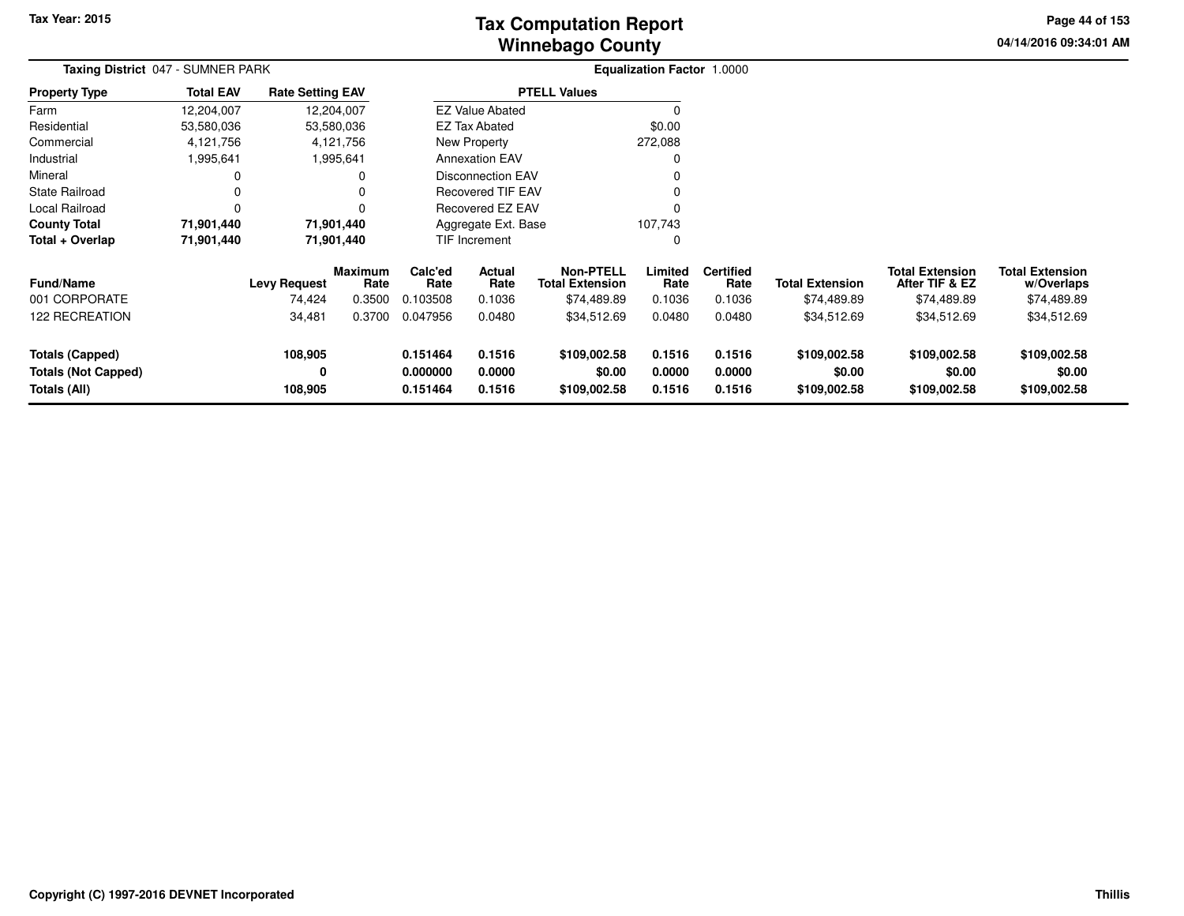# **Winnebago CountyTax Computation Report**

**04/14/2016 09:34:01 AM Page 44 of 153**

| Taxing District 047 - SUMNER PARK                             |                  | Equalization Factor 1.0000    |                                  |                                  |                            |                                                           |                            |                                    |                                        |                                                         |                                                     |  |
|---------------------------------------------------------------|------------------|-------------------------------|----------------------------------|----------------------------------|----------------------------|-----------------------------------------------------------|----------------------------|------------------------------------|----------------------------------------|---------------------------------------------------------|-----------------------------------------------------|--|
| <b>Property Type</b>                                          | <b>Total EAV</b> | <b>Rate Setting EAV</b>       |                                  |                                  |                            | <b>PTELL Values</b>                                       |                            |                                    |                                        |                                                         |                                                     |  |
| Farm                                                          | 12,204,007       | 12,204,007                    |                                  |                                  | <b>EZ Value Abated</b>     |                                                           |                            |                                    |                                        |                                                         |                                                     |  |
| Residential                                                   | 53,580,036       | 53,580,036                    |                                  |                                  | <b>EZ Tax Abated</b>       |                                                           | \$0.00                     |                                    |                                        |                                                         |                                                     |  |
| Commercial                                                    | 4,121,756        | 4,121,756                     |                                  |                                  | New Property               |                                                           | 272,088                    |                                    |                                        |                                                         |                                                     |  |
| Industrial                                                    | 1,995,641        | 1,995,641                     |                                  |                                  | <b>Annexation EAV</b>      |                                                           |                            |                                    |                                        |                                                         |                                                     |  |
| Mineral                                                       | 0                |                               | 0                                |                                  | <b>Disconnection EAV</b>   |                                                           |                            |                                    |                                        |                                                         |                                                     |  |
| <b>State Railroad</b>                                         | $\Omega$         |                               | 0                                |                                  | <b>Recovered TIF EAV</b>   |                                                           |                            |                                    |                                        |                                                         |                                                     |  |
| Local Railroad                                                | $\Omega$         |                               | 0                                |                                  | <b>Recovered EZ EAV</b>    |                                                           | $\Omega$                   |                                    |                                        |                                                         |                                                     |  |
| <b>County Total</b>                                           | 71,901,440       | 71,901,440                    |                                  |                                  | Aggregate Ext. Base        |                                                           | 107,743                    |                                    |                                        |                                                         |                                                     |  |
| Total + Overlap                                               | 71,901,440       | 71,901,440                    |                                  |                                  | <b>TIF Increment</b>       |                                                           | 0                          |                                    |                                        |                                                         |                                                     |  |
| <b>Fund/Name</b><br>001 CORPORATE                             |                  | <b>Levy Request</b><br>74,424 | <b>Maximum</b><br>Rate<br>0.3500 | Calc'ed<br>Rate<br>0.103508      | Actual<br>Rate<br>0.1036   | <b>Non-PTELL</b><br><b>Total Extension</b><br>\$74,489.89 | Limited<br>Rate<br>0.1036  | <b>Certified</b><br>Rate<br>0.1036 | <b>Total Extension</b><br>\$74,489.89  | <b>Total Extension</b><br>After TIF & EZ<br>\$74,489.89 | <b>Total Extension</b><br>w/Overlaps<br>\$74,489.89 |  |
| <b>122 RECREATION</b>                                         |                  | 34,481                        | 0.3700                           | 0.047956                         | 0.0480                     | \$34,512.69                                               | 0.0480                     | 0.0480                             | \$34,512.69                            | \$34,512.69                                             | \$34,512.69                                         |  |
| Totals (Capped)<br><b>Totals (Not Capped)</b><br>Totals (All) |                  | 108,905<br>0<br>108,905       |                                  | 0.151464<br>0.000000<br>0.151464 | 0.1516<br>0.0000<br>0.1516 | \$109,002.58<br>\$0.00<br>\$109,002.58                    | 0.1516<br>0.0000<br>0.1516 | 0.1516<br>0.0000<br>0.1516         | \$109,002.58<br>\$0.00<br>\$109,002.58 | \$109,002.58<br>\$0.00<br>\$109,002.58                  | \$109,002.58<br>\$0.00<br>\$109,002.58              |  |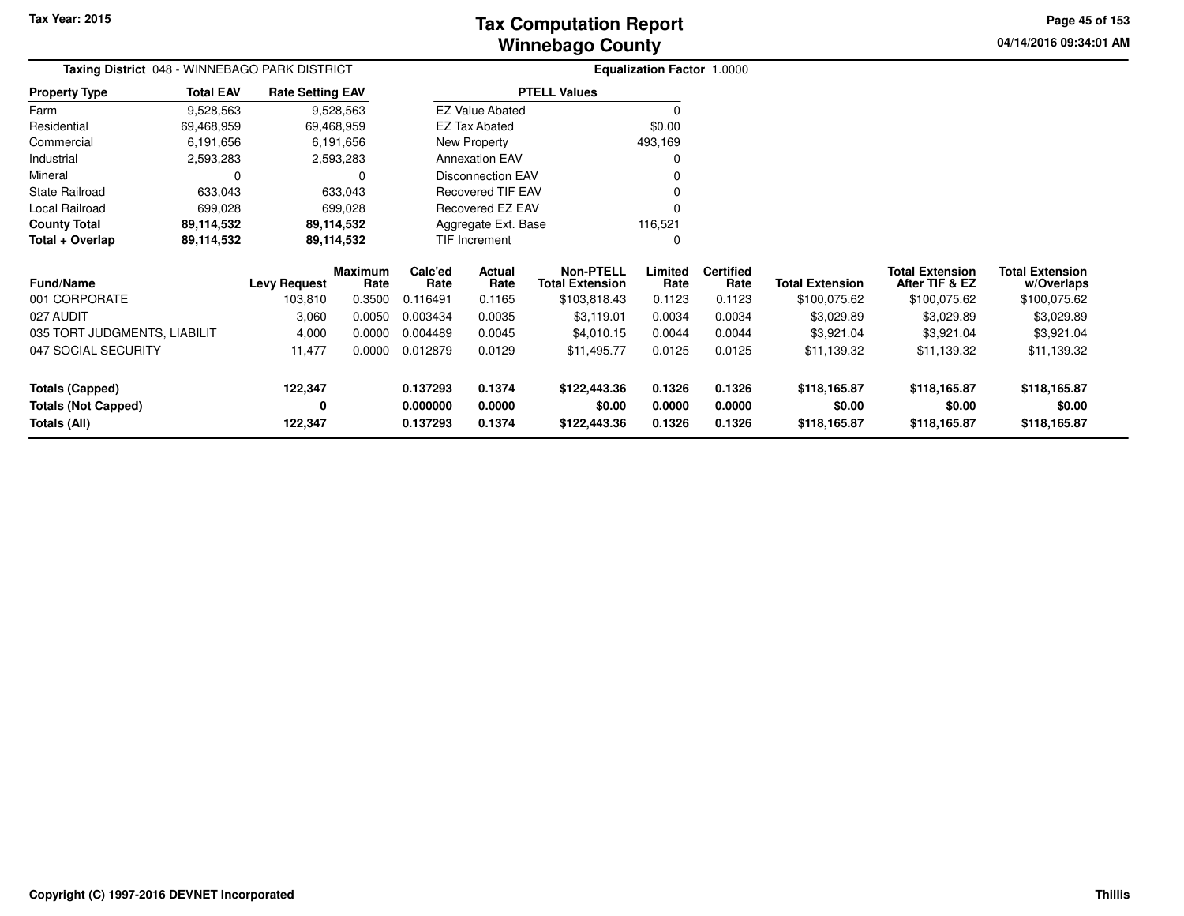**04/14/2016 09:34:01 AMPage 45 of 153**

**w/OverlapsTotal Extension**

|                              | Taxing District 048 - WINNEBAGO PARK DISTRICT |                         |                 | <b>Equalization Factor 1.0000</b> |                          |                                            |                 |                          |                        |                                          |  |
|------------------------------|-----------------------------------------------|-------------------------|-----------------|-----------------------------------|--------------------------|--------------------------------------------|-----------------|--------------------------|------------------------|------------------------------------------|--|
| <b>Property Type</b>         | <b>Total EAV</b>                              | <b>Rate Setting EAV</b> |                 |                                   |                          | <b>PTELL Values</b>                        |                 |                          |                        |                                          |  |
| Farm                         | 9,528,563                                     |                         | 9,528,563       |                                   | <b>EZ Value Abated</b>   |                                            | O               |                          |                        |                                          |  |
| Residential                  | 69,468,959                                    |                         | 69,468,959      |                                   | EZ Tax Abated            |                                            | \$0.00          |                          |                        |                                          |  |
| Commercial                   | 6,191,656                                     |                         | 6,191,656       |                                   | New Property             |                                            | 493,169         |                          |                        |                                          |  |
| Industrial                   | 2,593,283                                     |                         | 2,593,283       |                                   | <b>Annexation EAV</b>    |                                            | 0               |                          |                        |                                          |  |
| Mineral                      |                                               |                         | 0               |                                   | <b>Disconnection EAV</b> |                                            | 0               |                          |                        |                                          |  |
| <b>State Railroad</b>        | 633,043                                       |                         | 633,043         |                                   | <b>Recovered TIF EAV</b> |                                            | $\Omega$        |                          |                        |                                          |  |
| Local Railroad               | 699,028                                       |                         | 699.028         |                                   | <b>Recovered EZ EAV</b>  |                                            | 0               |                          |                        |                                          |  |
| <b>County Total</b>          | 89,114,532                                    |                         | 89,114,532      |                                   | Aggregate Ext. Base      |                                            | 116,521         |                          |                        |                                          |  |
| Total + Overlap              | 89,114,532                                    |                         | 89,114,532      |                                   | TIF Increment            |                                            | $\Omega$        |                          |                        |                                          |  |
| <b>Fund/Name</b>             |                                               | <b>Levy Request</b>     | Maximum<br>Rate | Calc'ed<br>Rate                   | Actual<br>Rate           | <b>Non-PTELL</b><br><b>Total Extension</b> | Limited<br>Rate | <b>Certified</b><br>Rate | <b>Total Extension</b> | <b>Total Extension</b><br>After TIF & EZ |  |
| 001 CORPORATE                |                                               | 103,810                 | 0.3500          | 0.116491                          | 0.1165                   | \$103,818.43                               | 0.1123          | 0.1123                   | \$100,075.62           | \$100,075.62                             |  |
| 027 AUDIT                    |                                               | 3,060                   | 0.0050          | 0.003434                          | 0.0035                   | \$3,119.01                                 | 0.0034          | 0.0034                   | \$3,029.89             | \$3,029.89                               |  |
| 035 TORT JUDGMENTS, LIABILIT |                                               | 4,000                   | 0.0000          | 0.004489                          | 0.0045                   | \$4,010.15                                 | 0.0044          | 0.0044                   | \$3,921.04             | \$3,921.04                               |  |
| 047 SOCIAL SECURITY          |                                               | 11,477                  | 0.0000          | 0.012879                          | 0.0129                   | \$11,495.77                                | 0.0125          | 0.0125                   | \$11,139.32            | \$11,139.32                              |  |

| Totals (All)                 | 122.347 |        | 0.137293 | 0.1374 | \$122,443,36 | 0.1326 | 0.1326 | \$118,165,87 | \$118,165.87 | \$118,165.87 |  |
|------------------------------|---------|--------|----------|--------|--------------|--------|--------|--------------|--------------|--------------|--|
| <b>Totals (Not Capped)</b>   | 0       |        | 0.000000 | 0.0000 | \$0.00       | 0.0000 | 0.0000 | \$0.00       | \$0.00       | \$0.00       |  |
| Totals (Capped)              | 122.347 |        | 0.137293 | 0.1374 | \$122,443,36 | 0.1326 | 0.1326 | \$118,165,87 | \$118,165.87 | \$118,165.87 |  |
| 047 SOCIAL SECURITY          | 11.477  | 0.0000 | 0.012879 | 0.0129 | \$11.495.77  | 0.0125 | 0.0125 | \$11,139.32  | \$11,139.32  | \$11,139.32  |  |
| 035 TORT JUDGMENTS, LIABILIT | 4.000   | 0.0000 | 0.004489 | 0.0045 | \$4,010.15   | 0.0044 | 0.0044 | \$3.921.04   | \$3.921.04   | \$3,921.04   |  |
| 027 AUDIT                    | 3,060   | 0.0050 | 0.003434 | 0.0035 | \$3.119.01   | 0.0034 | 0.0034 | \$3,029.89   | \$3,029.89   | \$3,029.89   |  |
| 001 CORPORATE                | 103.810 | 0.3500 | 0.116491 | 0.1165 | \$103.818.43 | 0.1123 | 0.1123 | \$100.075.62 | \$100.075.62 | \$100,075.62 |  |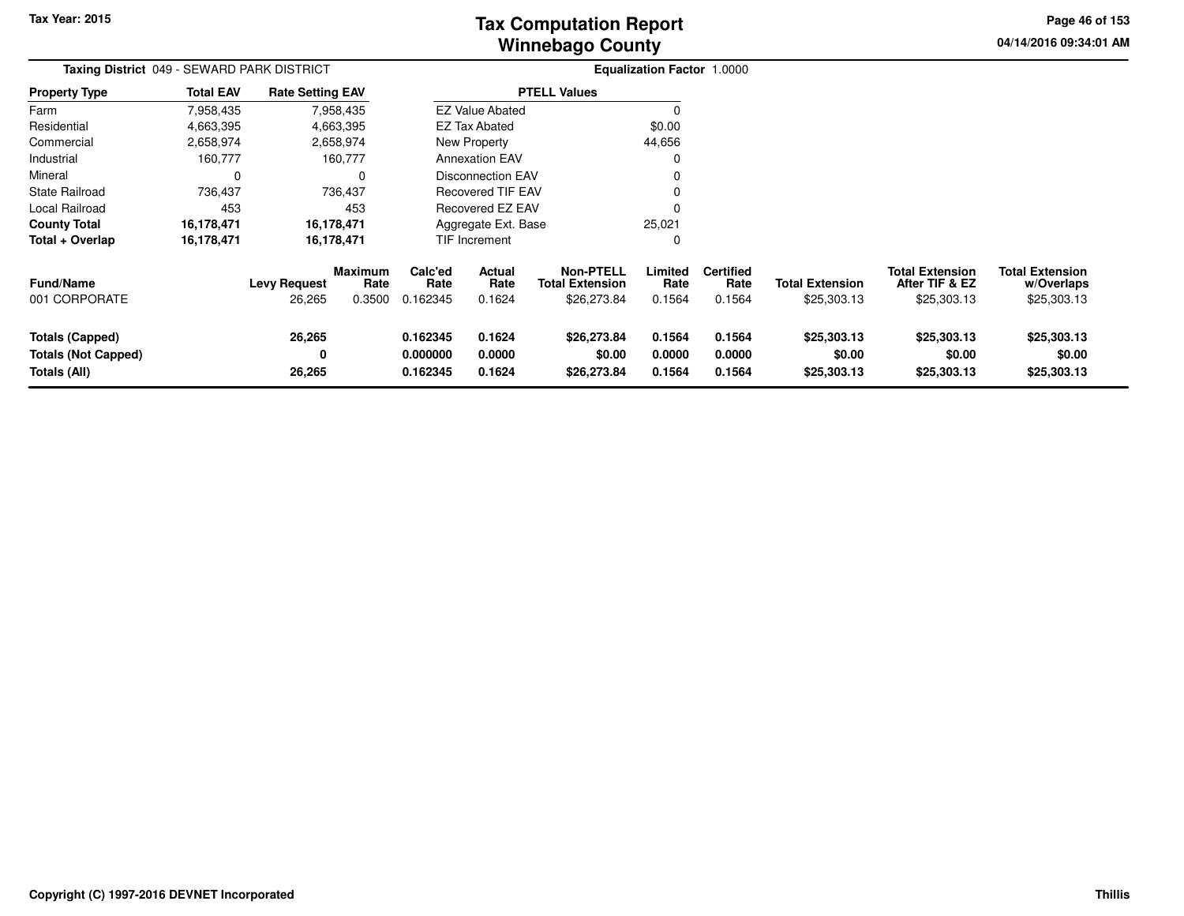**04/14/2016 09:34:01 AM Page 46 of 153**

| Taxing District 049 - SEWARD PARK DISTRICT                    |                  |                               |                           | <b>Equalization Factor 1.0000</b> |                            |                                                           |                            |                                    |                                       |                                                         |                                                     |
|---------------------------------------------------------------|------------------|-------------------------------|---------------------------|-----------------------------------|----------------------------|-----------------------------------------------------------|----------------------------|------------------------------------|---------------------------------------|---------------------------------------------------------|-----------------------------------------------------|
| <b>Property Type</b>                                          | <b>Total EAV</b> | <b>Rate Setting EAV</b>       |                           |                                   |                            | <b>PTELL Values</b>                                       |                            |                                    |                                       |                                                         |                                                     |
| Farm                                                          | 7,958,435        |                               | 7,958,435                 |                                   | <b>EZ Value Abated</b>     |                                                           | $\Omega$                   |                                    |                                       |                                                         |                                                     |
| Residential                                                   | 4,663,395        |                               | 4,663,395                 |                                   | <b>EZ Tax Abated</b>       |                                                           | \$0.00                     |                                    |                                       |                                                         |                                                     |
| Commercial                                                    | 2,658,974        |                               | 2,658,974                 |                                   | <b>New Property</b>        |                                                           | 44,656                     |                                    |                                       |                                                         |                                                     |
| Industrial                                                    | 160,777          |                               | 160,777                   |                                   | <b>Annexation EAV</b>      |                                                           |                            |                                    |                                       |                                                         |                                                     |
| Mineral                                                       |                  |                               | $\Omega$                  |                                   | <b>Disconnection EAV</b>   |                                                           |                            |                                    |                                       |                                                         |                                                     |
| <b>State Railroad</b>                                         | 736,437          |                               | 736,437                   |                                   | Recovered TIF EAV          |                                                           |                            |                                    |                                       |                                                         |                                                     |
| Local Railroad                                                | 453              |                               | 453                       | <b>Recovered EZ EAV</b>           |                            |                                                           |                            |                                    |                                       |                                                         |                                                     |
| <b>County Total</b>                                           | 16,178,471       |                               | 16,178,471                |                                   | Aggregate Ext. Base        |                                                           | 25,021                     |                                    |                                       |                                                         |                                                     |
| Total + Overlap                                               | 16,178,471       |                               | 16,178,471                |                                   | <b>TIF Increment</b>       |                                                           | 0                          |                                    |                                       |                                                         |                                                     |
| <b>Fund/Name</b><br>001 CORPORATE                             |                  | <b>Levy Request</b><br>26,265 | Maximum<br>Rate<br>0.3500 | Calc'ed<br>Rate<br>0.162345       | Actual<br>Rate<br>0.1624   | <b>Non-PTELL</b><br><b>Total Extension</b><br>\$26,273.84 | Limited<br>Rate<br>0.1564  | <b>Certified</b><br>Rate<br>0.1564 | <b>Total Extension</b><br>\$25,303.13 | <b>Total Extension</b><br>After TIF & EZ<br>\$25,303.13 | <b>Total Extension</b><br>w/Overlaps<br>\$25,303.13 |
| Totals (Capped)<br><b>Totals (Not Capped)</b><br>Totals (All) |                  | 26,265<br>0<br>26,265         |                           | 0.162345<br>0.000000<br>0.162345  | 0.1624<br>0.0000<br>0.1624 | \$26,273.84<br>\$0.00<br>\$26,273.84                      | 0.1564<br>0.0000<br>0.1564 | 0.1564<br>0.0000<br>0.1564         | \$25,303.13<br>\$0.00<br>\$25,303.13  | \$25,303.13<br>\$0.00<br>\$25,303.13                    | \$25,303.13<br>\$0.00<br>\$25,303.13                |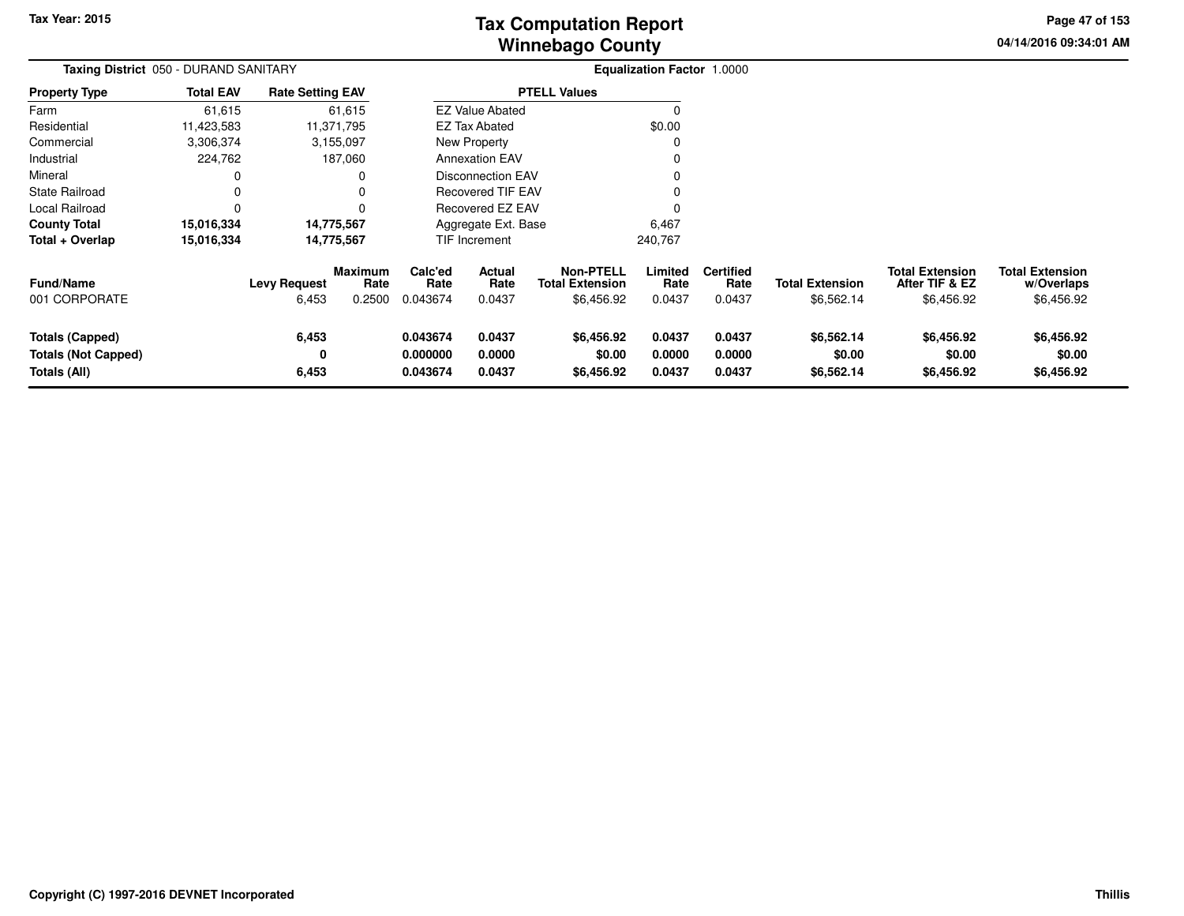# **Winnebago CountyTax Computation Report**

**04/14/2016 09:34:01 AMPage 47 of 153**

| Taxing District 050 - DURAND SANITARY                                |                  |                               |                                  | Equalization Factor 1.0000       |                            |                                                          |                            |                                    |                                      |                                                        |                                                    |
|----------------------------------------------------------------------|------------------|-------------------------------|----------------------------------|----------------------------------|----------------------------|----------------------------------------------------------|----------------------------|------------------------------------|--------------------------------------|--------------------------------------------------------|----------------------------------------------------|
| <b>Property Type</b>                                                 | <b>Total EAV</b> | <b>Rate Setting EAV</b>       |                                  |                                  |                            | <b>PTELL Values</b>                                      |                            |                                    |                                      |                                                        |                                                    |
| Farm                                                                 | 61,615           |                               | 61,615                           |                                  | <b>EZ Value Abated</b>     |                                                          |                            |                                    |                                      |                                                        |                                                    |
| Residential                                                          | 11,423,583       |                               | 11,371,795                       |                                  | <b>EZ Tax Abated</b>       |                                                          | \$0.00                     |                                    |                                      |                                                        |                                                    |
| Commercial                                                           | 3,306,374        |                               | 3,155,097                        |                                  | New Property               |                                                          |                            |                                    |                                      |                                                        |                                                    |
| Industrial                                                           | 224,762          |                               | 187,060                          |                                  | <b>Annexation EAV</b>      |                                                          |                            |                                    |                                      |                                                        |                                                    |
| Mineral                                                              | 0                |                               | 0                                |                                  | <b>Disconnection EAV</b>   |                                                          |                            |                                    |                                      |                                                        |                                                    |
| <b>State Railroad</b>                                                | 0                |                               | 0                                |                                  | Recovered TIF EAV          |                                                          |                            |                                    |                                      |                                                        |                                                    |
| Local Railroad                                                       | $\mathbf 0$      |                               |                                  |                                  | Recovered EZ EAV           |                                                          |                            |                                    |                                      |                                                        |                                                    |
| <b>County Total</b>                                                  | 15,016,334       |                               | 14,775,567                       |                                  | Aggregate Ext. Base        |                                                          | 6,467                      |                                    |                                      |                                                        |                                                    |
| Total + Overlap                                                      | 15,016,334       |                               | 14,775,567                       |                                  | TIF Increment              |                                                          | 240,767                    |                                    |                                      |                                                        |                                                    |
| Fund/Name<br>001 CORPORATE                                           |                  | <b>Levy Request</b><br>6,453  | <b>Maximum</b><br>Rate<br>0.2500 | Calc'ed<br>Rate<br>0.043674      | Actual<br>Rate<br>0.0437   | <b>Non-PTELL</b><br><b>Total Extension</b><br>\$6,456.92 | Limited<br>Rate<br>0.0437  | <b>Certified</b><br>Rate<br>0.0437 | <b>Total Extension</b><br>\$6,562.14 | <b>Total Extension</b><br>After TIF & EZ<br>\$6,456.92 | <b>Total Extension</b><br>w/Overlaps<br>\$6,456.92 |
| <b>Totals (Capped)</b><br><b>Totals (Not Capped)</b><br>Totals (All) |                  | 6,453<br>$\mathbf 0$<br>6,453 |                                  | 0.043674<br>0.000000<br>0.043674 | 0.0437<br>0.0000<br>0.0437 | \$6,456.92<br>\$0.00<br>\$6,456.92                       | 0.0437<br>0.0000<br>0.0437 | 0.0437<br>0.0000<br>0.0437         | \$6,562.14<br>\$0.00<br>\$6,562.14   | \$6,456.92<br>\$0.00<br>\$6,456.92                     | \$6,456.92<br>\$0.00<br>\$6,456.92                 |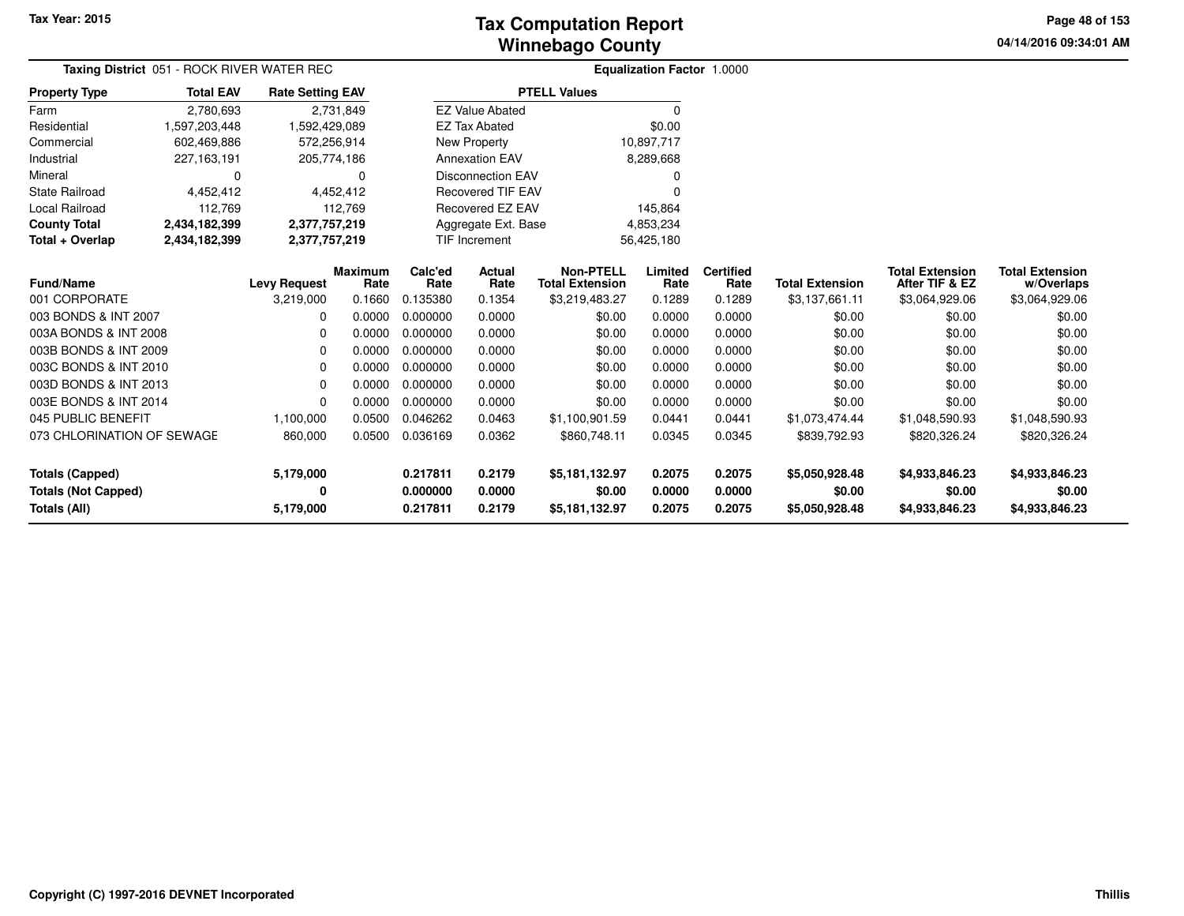# **Winnebago CountyTax Computation Report**

**04/14/2016 09:34:01 AMPage 48 of 153**

|                                   | Taxing District 051 - ROCK RIVER WATER REC |                         |                | <b>Equalization Factor 1.0000</b> |                          |                        |            |                  |                        |                        |                        |
|-----------------------------------|--------------------------------------------|-------------------------|----------------|-----------------------------------|--------------------------|------------------------|------------|------------------|------------------------|------------------------|------------------------|
| <b>Property Type</b>              | <b>Total EAV</b>                           | <b>Rate Setting EAV</b> |                |                                   | <b>PTELL Values</b>      |                        |            |                  |                        |                        |                        |
| Farm                              | 2,780,693                                  |                         | 2,731,849      |                                   | <b>EZ Value Abated</b>   |                        | 0          |                  |                        |                        |                        |
| Residential                       | 1,597,203,448                              | 1,592,429,089           |                |                                   | <b>EZ Tax Abated</b>     |                        | \$0.00     |                  |                        |                        |                        |
| Commercial                        | 602,469,886                                | 572,256,914             |                |                                   | New Property             |                        | 10,897,717 |                  |                        |                        |                        |
| Industrial                        | 227,163,191                                | 205,774,186             |                |                                   | <b>Annexation EAV</b>    |                        | 8,289,668  |                  |                        |                        |                        |
| Mineral                           | $\Omega$                                   |                         | 0              |                                   | <b>Disconnection EAV</b> |                        | 0          |                  |                        |                        |                        |
| <b>State Railroad</b>             | 4,452,412                                  |                         | 4,452,412      |                                   | <b>Recovered TIF EAV</b> |                        | $\Omega$   |                  |                        |                        |                        |
| Local Railroad                    | 112,769                                    |                         | 112,769        |                                   | Recovered EZ EAV         |                        | 145,864    |                  |                        |                        |                        |
| <b>County Total</b>               | 2,434,182,399                              | 2,377,757,219           |                |                                   | Aggregate Ext. Base      |                        | 4,853,234  |                  |                        |                        |                        |
| Total + Overlap                   | 2,434,182,399                              | 2,377,757,219           |                |                                   | <b>TIF Increment</b>     |                        | 56,425,180 |                  |                        |                        |                        |
|                                   |                                            |                         | <b>Maximum</b> | Calc'ed                           | Actual                   | <b>Non-PTELL</b>       | Limited    | <b>Certified</b> |                        | <b>Total Extension</b> | <b>Total Extension</b> |
| <b>Fund/Name</b><br>001 CORPORATE |                                            | <b>Levy Request</b>     | Rate           | Rate                              | Rate                     | <b>Total Extension</b> | Rate       | Rate             | <b>Total Extension</b> | After TIF & EZ         | w/Overlaps             |
|                                   |                                            | 3,219,000               | 0.1660         | 0.135380                          | 0.1354                   | \$3,219,483.27         | 0.1289     | 0.1289           | \$3,137,661.11         | \$3,064,929.06         | \$3,064,929.06         |
| 003 BONDS & INT 2007              |                                            | $\Omega$                | 0.0000         | 0.000000                          | 0.0000                   | \$0.00                 | 0.0000     | 0.0000           | \$0.00                 | \$0.00                 | \$0.00                 |
| 003A BONDS & INT 2008             |                                            | 0                       | 0.0000         | 0.000000                          | 0.0000                   | \$0.00                 | 0.0000     | 0.0000           | \$0.00                 | \$0.00                 | \$0.00                 |
| 003B BONDS & INT 2009             |                                            | 0                       | 0.0000         | 0.000000                          | 0.0000                   | \$0.00                 | 0.0000     | 0.0000           | \$0.00                 | \$0.00                 | \$0.00                 |
| 003C BONDS & INT 2010             |                                            | $\Omega$                | 0.0000         | 0.000000                          | 0.0000                   | \$0.00                 | 0.0000     | 0.0000           | \$0.00                 | \$0.00                 | \$0.00                 |
| 003D BONDS & INT 2013             |                                            | 0                       | 0.0000         | 0.000000                          | 0.0000                   | \$0.00                 | 0.0000     | 0.0000           | \$0.00                 | \$0.00                 | \$0.00                 |
| 003E BONDS & INT 2014             |                                            | 0                       | 0.0000         | 0.000000                          | 0.0000                   | \$0.00                 | 0.0000     | 0.0000           | \$0.00                 | \$0.00                 | \$0.00                 |
| 045 PUBLIC BENEFIT                |                                            | 1,100,000               | 0.0500         | 0.046262                          | 0.0463                   | \$1,100,901.59         | 0.0441     | 0.0441           | \$1,073,474.44         | \$1,048,590.93         | \$1,048,590.93         |
| 073 CHLORINATION OF SEWAGE        |                                            | 860,000                 | 0.0500         | 0.036169                          | 0.0362                   | \$860,748.11           | 0.0345     | 0.0345           | \$839,792.93           | \$820,326.24           | \$820,326.24           |
|                                   |                                            |                         |                |                                   |                          |                        |            |                  |                        |                        |                        |
| <b>Totals (Capped)</b>            |                                            | 5,179,000               |                | 0.217811                          | 0.2179                   | \$5,181,132.97         | 0.2075     | 0.2075           | \$5,050,928.48         | \$4,933,846.23         | \$4,933,846.23         |
| <b>Totals (Not Capped)</b>        |                                            | 0                       |                | 0.000000                          | 0.0000                   | \$0.00                 | 0.0000     | 0.0000           | \$0.00                 | \$0.00                 | \$0.00                 |
| Totals (All)                      |                                            | 5,179,000               |                | 0.217811                          | 0.2179                   | \$5,181,132.97         | 0.2075     | 0.2075           | \$5,050,928.48         | \$4,933,846.23         | \$4,933,846.23         |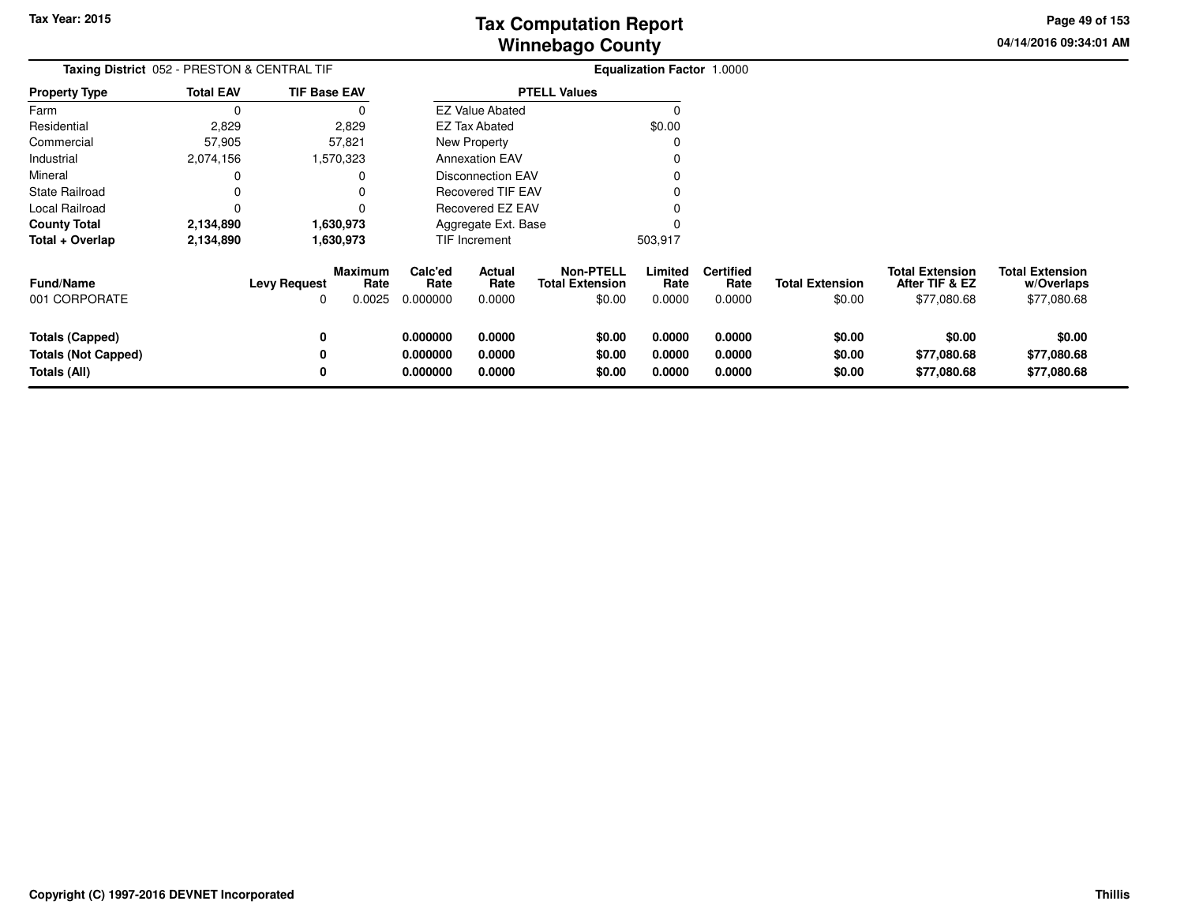**04/14/2016 09:34:01 AMPage 49 of 153**

| Taxing District 052 - PRESTON & CENTRAL TIF<br><b>TIF Base EAV</b>   |                  |                          |                           |                                                      |                            |                                                      | Equalization Factor 1.0000 |                                    |                                  |                                                         |                                                     |
|----------------------------------------------------------------------|------------------|--------------------------|---------------------------|------------------------------------------------------|----------------------------|------------------------------------------------------|----------------------------|------------------------------------|----------------------------------|---------------------------------------------------------|-----------------------------------------------------|
| <b>Property Type</b>                                                 | <b>Total EAV</b> |                          |                           |                                                      |                            | <b>PTELL Values</b>                                  |                            |                                    |                                  |                                                         |                                                     |
| Farm                                                                 | 0                |                          | 0                         |                                                      | <b>EZ Value Abated</b>     |                                                      | C                          |                                    |                                  |                                                         |                                                     |
| Residential                                                          | 2,829            |                          | 2,829                     |                                                      | EZ Tax Abated              |                                                      | \$0.00                     |                                    |                                  |                                                         |                                                     |
| Commercial                                                           | 57,905           |                          | 57,821                    |                                                      | <b>New Property</b>        |                                                      | 0                          |                                    |                                  |                                                         |                                                     |
| Industrial                                                           | 2,074,156        |                          | 570,323                   |                                                      | <b>Annexation EAV</b>      |                                                      |                            |                                    |                                  |                                                         |                                                     |
| Mineral                                                              | 0                |                          | 0                         | <b>Disconnection EAV</b><br><b>Recovered TIF EAV</b> |                            |                                                      |                            |                                    |                                  |                                                         |                                                     |
| <b>State Railroad</b>                                                |                  |                          |                           |                                                      |                            |                                                      |                            |                                    |                                  |                                                         |                                                     |
| Local Railroad                                                       | 0                |                          | ŋ                         | Recovered EZ EAV                                     |                            |                                                      |                            |                                    |                                  |                                                         |                                                     |
| <b>County Total</b>                                                  | 2,134,890        |                          | 1,630,973                 | Aggregate Ext. Base                                  |                            |                                                      |                            |                                    |                                  |                                                         |                                                     |
| Total + Overlap                                                      | 2,134,890        |                          | 1,630,973                 |                                                      | TIF Increment              |                                                      | 503,917                    |                                    |                                  |                                                         |                                                     |
| <b>Fund/Name</b><br>001 CORPORATE                                    |                  | <b>Levy Request</b><br>O | Maximum<br>Rate<br>0.0025 | Calc'ed<br>Rate<br>0.000000                          | Actual<br>Rate<br>0.0000   | <b>Non-PTELL</b><br><b>Total Extension</b><br>\$0.00 | Limited<br>Rate<br>0.0000  | <b>Certified</b><br>Rate<br>0.0000 | <b>Total Extension</b><br>\$0.00 | <b>Total Extension</b><br>After TIF & EZ<br>\$77,080.68 | <b>Total Extension</b><br>w/Overlaps<br>\$77,080.68 |
| <b>Totals (Capped)</b><br><b>Totals (Not Capped)</b><br>Totals (All) |                  | 0<br>0<br>0              |                           | 0.000000<br>0.000000<br>0.000000                     | 0.0000<br>0.0000<br>0.0000 | \$0.00<br>\$0.00<br>\$0.00                           | 0.0000<br>0.0000<br>0.0000 | 0.0000<br>0.0000<br>0.0000         | \$0.00<br>\$0.00<br>\$0.00       | \$0.00<br>\$77,080.68<br>\$77,080.68                    | \$0.00<br>\$77,080.68<br>\$77,080.68                |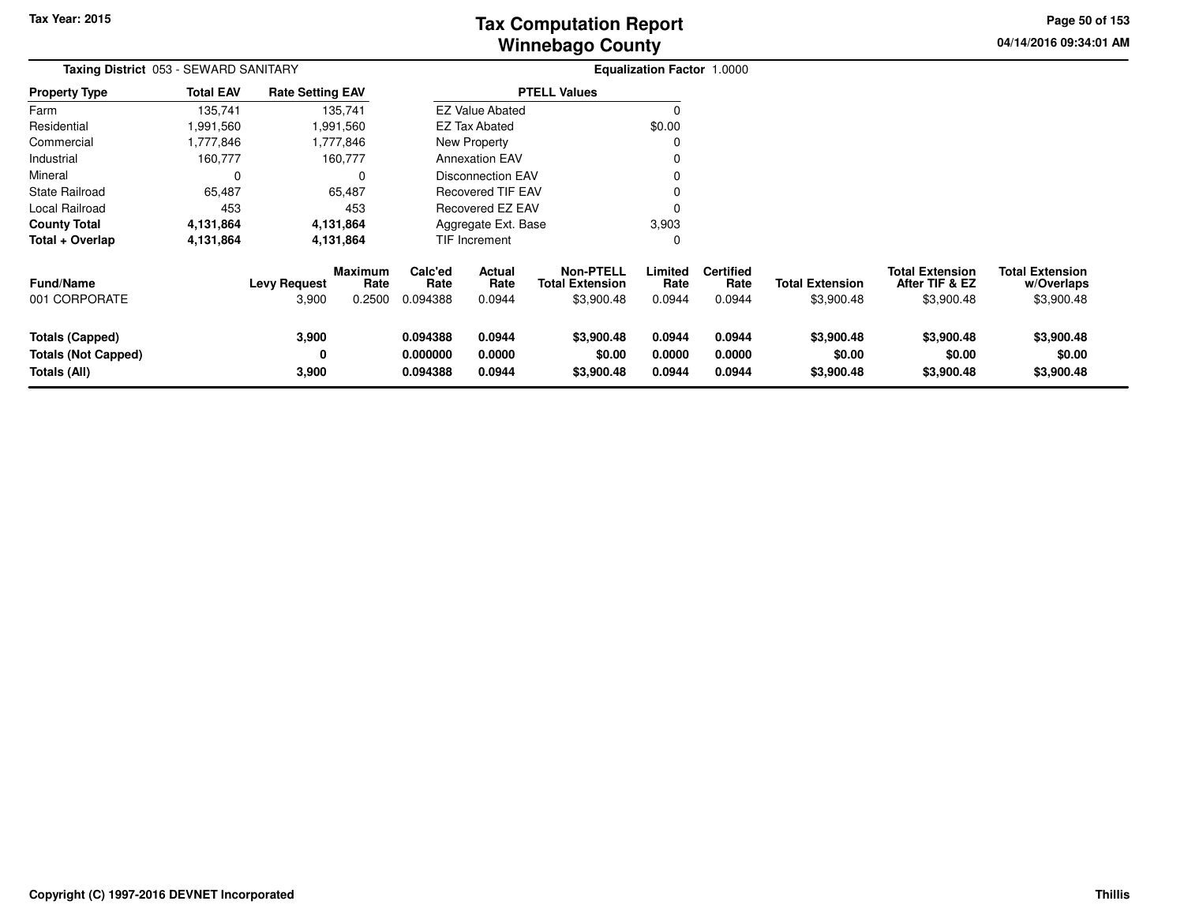**04/14/2016 09:34:01 AM Page 50 of 153**

| Taxing District 053 - SEWARD SANITARY                         |                  |                              |                                  |                                  |                                 |                                                          | Equalization Factor 1.0000 |                                    |                                      |                                                        |                                                    |
|---------------------------------------------------------------|------------------|------------------------------|----------------------------------|----------------------------------|---------------------------------|----------------------------------------------------------|----------------------------|------------------------------------|--------------------------------------|--------------------------------------------------------|----------------------------------------------------|
| <b>Property Type</b>                                          | <b>Total EAV</b> | <b>Rate Setting EAV</b>      |                                  |                                  |                                 | <b>PTELL Values</b>                                      |                            |                                    |                                      |                                                        |                                                    |
| Farm                                                          | 135,741          |                              | 135,741                          |                                  | <b>EZ Value Abated</b>          |                                                          |                            |                                    |                                      |                                                        |                                                    |
| Residential                                                   | 991,560          |                              | 1,991,560                        |                                  | <b>EZ Tax Abated</b>            |                                                          | \$0.00                     |                                    |                                      |                                                        |                                                    |
| Commercial                                                    | 1,777,846        |                              | 1,777,846                        |                                  | New Property                    |                                                          | 0                          |                                    |                                      |                                                        |                                                    |
| Industrial                                                    | 160,777          |                              | 160,777                          |                                  | <b>Annexation EAV</b>           |                                                          | 0                          |                                    |                                      |                                                        |                                                    |
| Mineral                                                       | 0                |                              | 0                                |                                  | <b>Disconnection EAV</b>        |                                                          | 0                          |                                    |                                      |                                                        |                                                    |
| <b>State Railroad</b>                                         | 65,487           |                              | 65,487                           |                                  | <b>Recovered TIF EAV</b>        |                                                          | 0                          |                                    |                                      |                                                        |                                                    |
| Local Railroad                                                | 453              |                              | 453                              |                                  | Recovered EZ EAV                |                                                          | 0                          |                                    |                                      |                                                        |                                                    |
| <b>County Total</b>                                           | 4,131,864        |                              | 4,131,864                        |                                  | Aggregate Ext. Base             |                                                          | 3,903                      |                                    |                                      |                                                        |                                                    |
| Total + Overlap                                               | 4,131,864        |                              | 4,131,864                        |                                  | TIF Increment                   |                                                          | 0                          |                                    |                                      |                                                        |                                                    |
| <b>Fund/Name</b><br>001 CORPORATE                             |                  | <b>Levy Request</b><br>3,900 | <b>Maximum</b><br>Rate<br>0.2500 | Calc'ed<br>Rate<br>0.094388      | <b>Actual</b><br>Rate<br>0.0944 | <b>Non-PTELL</b><br><b>Total Extension</b><br>\$3,900.48 | Limited<br>Rate<br>0.0944  | <b>Certified</b><br>Rate<br>0.0944 | <b>Total Extension</b><br>\$3,900.48 | <b>Total Extension</b><br>After TIF & EZ<br>\$3,900.48 | <b>Total Extension</b><br>w/Overlaps<br>\$3,900.48 |
| Totals (Capped)<br><b>Totals (Not Capped)</b><br>Totals (All) |                  | 3,900<br>0<br>3,900          |                                  | 0.094388<br>0.000000<br>0.094388 | 0.0944<br>0.0000<br>0.0944      | \$3,900.48<br>\$0.00<br>\$3,900.48                       | 0.0944<br>0.0000<br>0.0944 | 0.0944<br>0.0000<br>0.0944         | \$3,900.48<br>\$0.00<br>\$3,900.48   | \$3,900.48<br>\$0.00<br>\$3,900.48                     | \$3,900.48<br>\$0.00<br>\$3,900.48                 |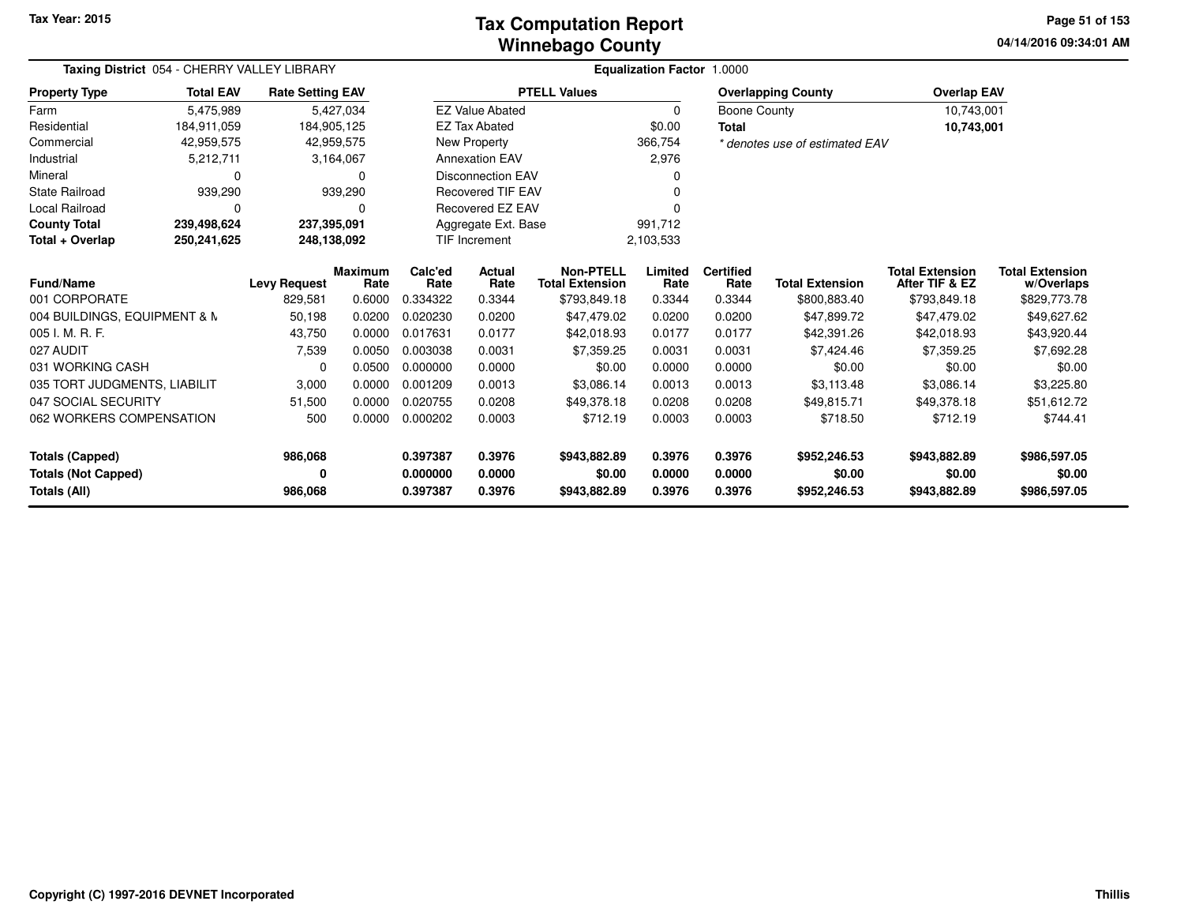### **Winnebago CountyTax Computation Report**

**04/14/2016 09:34:01 AM Page 51 of 153**

| Taxing District 054 - CHERRY VALLEY LIBRARY |                  |                         |                                                  |                 | Equalization Factor 1.0000     |                                            |                 |                          |                                |                                          |                                      |  |  |
|---------------------------------------------|------------------|-------------------------|--------------------------------------------------|-----------------|--------------------------------|--------------------------------------------|-----------------|--------------------------|--------------------------------|------------------------------------------|--------------------------------------|--|--|
| <b>Property Type</b>                        | <b>Total EAV</b> | <b>Rate Setting EAV</b> |                                                  |                 |                                | <b>PTELL Values</b>                        |                 |                          | <b>Overlapping County</b>      | <b>Overlap EAV</b>                       |                                      |  |  |
| Farm                                        | 5,475,989        |                         | 5,427,034                                        |                 | <b>EZ Value Abated</b>         |                                            | 0               | Boone County             |                                | 10,743,001                               |                                      |  |  |
| Residential                                 | 184.911.059      | 184,905,125             |                                                  |                 | <b>EZ Tax Abated</b>           |                                            | \$0.00          | <b>Total</b>             |                                | 10,743,001                               |                                      |  |  |
| Commercial                                  | 42,959,575       |                         | 42,959,575                                       |                 | New Property                   |                                            | 366,754         |                          | * denotes use of estimated EAV |                                          |                                      |  |  |
| Industrial                                  | 5,212,711        |                         | 3,164,067                                        |                 | <b>Annexation EAV</b>          |                                            | 2,976           |                          |                                |                                          |                                      |  |  |
| Mineral                                     | 0                |                         | O                                                |                 | <b>Disconnection EAV</b>       |                                            | O               |                          |                                |                                          |                                      |  |  |
| <b>State Railroad</b>                       | 939,290          |                         | 939,290                                          |                 | <b>Recovered TIF EAV</b>       |                                            |                 |                          |                                |                                          |                                      |  |  |
| Local Railroad                              | $\Omega$         |                         | O                                                |                 | Recovered EZ EAV               |                                            |                 |                          |                                |                                          |                                      |  |  |
| <b>County Total</b>                         | 239,498,624      | 237,395,091             |                                                  |                 | Aggregate Ext. Base<br>991,712 |                                            |                 |                          |                                |                                          |                                      |  |  |
| Total + Overlap                             | 250,241,625      |                         | <b>TIF Increment</b><br>248,138,092<br>2,103,533 |                 |                                |                                            |                 |                          |                                |                                          |                                      |  |  |
| Fund/Name                                   |                  | <b>Levy Request</b>     | <b>Maximum</b><br>Rate                           | Calc'ed<br>Rate | <b>Actual</b><br>Rate          | <b>Non-PTELL</b><br><b>Total Extension</b> | Limited<br>Rate | <b>Certified</b><br>Rate | <b>Total Extension</b>         | <b>Total Extension</b><br>After TIF & EZ | <b>Total Extension</b><br>w/Overlaps |  |  |
| 001 CORPORATE                               |                  | 829,581                 | 0.6000                                           | 0.334322        | 0.3344                         | \$793,849.18                               | 0.3344          | 0.3344                   | \$800,883.40                   | \$793,849.18                             | \$829,773.78                         |  |  |
| 004 BUILDINGS, EQUIPMENT & N                |                  | 50,198                  | 0.0200                                           | 0.020230        | 0.0200                         | \$47,479.02                                | 0.0200          | 0.0200                   | \$47,899.72                    | \$47,479.02                              | \$49,627.62                          |  |  |
| 005 I. M. R. F.                             |                  | 43,750                  | 0.0000                                           | 0.017631        | 0.0177                         | \$42,018.93                                | 0.0177          | 0.0177                   | \$42,391.26                    | \$42,018.93                              | \$43,920.44                          |  |  |
| 027 AUDIT                                   |                  | 7,539                   | 0.0050                                           | 0.003038        | 0.0031                         | \$7,359.25                                 | 0.0031          | 0.0031                   | \$7,424.46                     | \$7,359.25                               | \$7,692.28                           |  |  |
| 031 WORKING CASH                            |                  | 0                       | 0.0500                                           | 0.000000        | 0.0000                         | \$0.00                                     | 0.0000          | 0.0000                   | \$0.00                         | \$0.00                                   | \$0.00                               |  |  |
| 035 TORT JUDGMENTS, LIABILIT                |                  | 3,000                   | 0.0000                                           | 0.001209        | 0.0013                         | \$3,086.14                                 | 0.0013          | 0.0013                   | \$3,113.48                     | \$3,086.14                               | \$3,225.80                           |  |  |
| 047 SOCIAL SECURITY                         |                  | 51,500                  | 0.0000                                           | 0.020755        | 0.0208                         | \$49,378.18                                | 0.0208          | 0.0208                   | \$49,815.71                    | \$49,378.18                              | \$51,612.72                          |  |  |
| 062 WORKERS COMPENSATION                    |                  | 500                     | 0.0000                                           | 0.000202        | 0.0003                         | \$712.19                                   | 0.0003          | 0.0003                   | \$718.50                       | \$712.19                                 | \$744.41                             |  |  |
| Totals (Capped)                             |                  | 986,068                 |                                                  | 0.397387        | 0.3976                         | \$943,882.89                               | 0.3976          | 0.3976                   | \$952,246.53                   | \$943,882.89                             | \$986,597.05                         |  |  |
| <b>Totals (Not Capped)</b>                  |                  | 0                       |                                                  | 0.000000        | 0.0000                         | \$0.00                                     | 0.0000          | 0.0000                   | \$0.00                         | \$0.00                                   | \$0.00                               |  |  |
| Totals (All)                                |                  | 986,068                 |                                                  | 0.397387        | 0.3976                         | \$943,882.89                               | 0.3976          | 0.3976                   | \$952,246.53                   | \$943,882.89                             | \$986,597.05                         |  |  |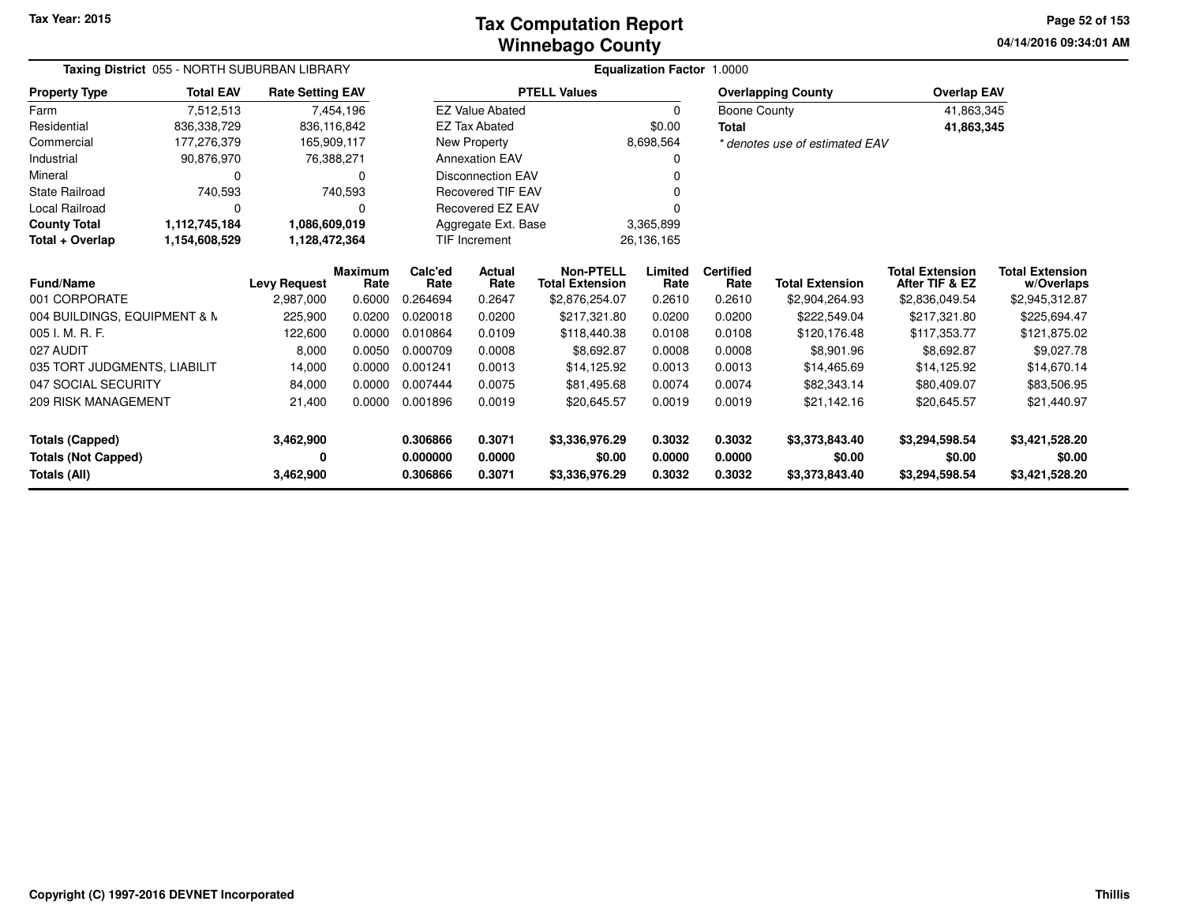#### **Winnebago CountyTax Computation Report**

**04/14/2016 09:34:01 AM Page 52 of 153**

| Taxing District 055 - NORTH SUBURBAN LIBRARY |                  | <b>Equalization Factor 1.0000</b> |                        |                 |                          |                                            |                 |                          |                                |                                          |                                      |
|----------------------------------------------|------------------|-----------------------------------|------------------------|-----------------|--------------------------|--------------------------------------------|-----------------|--------------------------|--------------------------------|------------------------------------------|--------------------------------------|
| <b>Property Type</b>                         | <b>Total EAV</b> | <b>Rate Setting EAV</b>           |                        |                 |                          | <b>PTELL Values</b>                        |                 |                          | <b>Overlapping County</b>      | <b>Overlap EAV</b>                       |                                      |
| Farm                                         | 7,512,513        |                                   | 7,454,196              |                 | <b>EZ Value Abated</b>   |                                            | 0               | Boone County             |                                | 41,863,345                               |                                      |
| Residential                                  | 836,338,729      |                                   | 836,116,842            |                 | <b>EZ Tax Abated</b>     |                                            | \$0.00          | <b>Total</b>             |                                | 41,863,345                               |                                      |
| Commercial                                   | 177,276,379      |                                   | 165,909,117            |                 | New Property             |                                            | 8,698,564       |                          | * denotes use of estimated EAV |                                          |                                      |
| Industrial                                   | 90,876,970       |                                   | 76,388,271             |                 | <b>Annexation EAV</b>    |                                            | 0               |                          |                                |                                          |                                      |
| Mineral                                      | 0                |                                   | 0                      |                 | <b>Disconnection EAV</b> |                                            |                 |                          |                                |                                          |                                      |
| State Railroad                               | 740,593          |                                   | 740,593                |                 | <b>Recovered TIF EAV</b> |                                            |                 |                          |                                |                                          |                                      |
| <b>Local Railroad</b>                        | 0                |                                   |                        |                 | Recovered EZ EAV         |                                            |                 |                          |                                |                                          |                                      |
| <b>County Total</b>                          | 1,112,745,184    | 1,086,609,019                     |                        |                 | Aggregate Ext. Base      |                                            | 3,365,899       |                          |                                |                                          |                                      |
| Total + Overlap                              | 1,154,608,529    | 1,128,472,364                     |                        |                 | <b>TIF Increment</b>     |                                            | 26,136,165      |                          |                                |                                          |                                      |
| Fund/Name                                    |                  | <b>Levy Request</b>               | <b>Maximum</b><br>Rate | Calc'ed<br>Rate | <b>Actual</b><br>Rate    | <b>Non-PTELL</b><br><b>Total Extension</b> | Limited<br>Rate | <b>Certified</b><br>Rate | <b>Total Extension</b>         | <b>Total Extension</b><br>After TIF & EZ | <b>Total Extension</b><br>w/Overlaps |
| 001 CORPORATE                                |                  | 2,987,000                         | 0.6000                 | 0.264694        | 0.2647                   | \$2,876,254.07                             | 0.2610          | 0.2610                   | \$2,904,264.93                 | \$2,836,049.54                           | \$2,945,312.87                       |
| 004 BUILDINGS, EQUIPMENT & N                 |                  | 225,900                           | 0.0200                 | 0.020018        | 0.0200                   | \$217,321.80                               | 0.0200          | 0.0200                   | \$222,549.04                   | \$217,321.80                             | \$225,694.47                         |
| 005 I. M. R. F.                              |                  | 122,600                           | 0.0000                 | 0.010864        | 0.0109                   | \$118,440.38                               | 0.0108          | 0.0108                   | \$120,176.48                   | \$117,353.77                             | \$121,875.02                         |
| 027 AUDIT                                    |                  | 8,000                             | 0.0050                 | 0.000709        | 0.0008                   | \$8,692.87                                 | 0.0008          | 0.0008                   | \$8,901.96                     | \$8,692.87                               | \$9,027.78                           |
| 035 TORT JUDGMENTS, LIABILIT                 |                  | 14,000                            | 0.0000                 | 0.001241        | 0.0013                   | \$14,125.92                                | 0.0013          | 0.0013                   | \$14,465.69                    | \$14,125.92                              | \$14,670.14                          |
| 047 SOCIAL SECURITY                          |                  | 84,000                            | 0.0000                 | 0.007444        | 0.0075                   | \$81,495.68                                | 0.0074          | 0.0074                   | \$82,343.14                    | \$80,409.07                              | \$83,506.95                          |
| 209 RISK MANAGEMENT                          |                  | 21,400                            | 0.0000                 | 0.001896        | 0.0019                   | \$20,645.57                                | 0.0019          | 0.0019                   | \$21,142.16                    | \$20,645.57                              | \$21,440.97                          |
| <b>Totals (Capped)</b>                       |                  | 3,462,900                         |                        | 0.306866        | 0.3071                   | \$3,336,976.29                             | 0.3032          | 0.3032                   | \$3,373,843.40                 | \$3,294,598.54                           | \$3,421,528.20                       |
| <b>Totals (Not Capped)</b>                   |                  | 0                                 |                        | 0.000000        | 0.0000                   | \$0.00                                     | 0.0000          | 0.0000                   | \$0.00                         | \$0.00                                   | \$0.00                               |
| Totals (All)<br>3,462,900                    |                  |                                   | 0.306866               | 0.3071          | \$3,336,976.29           | 0.3032                                     | 0.3032          | \$3,373,843.40           | \$3,294,598.54                 | \$3,421,528.20                           |                                      |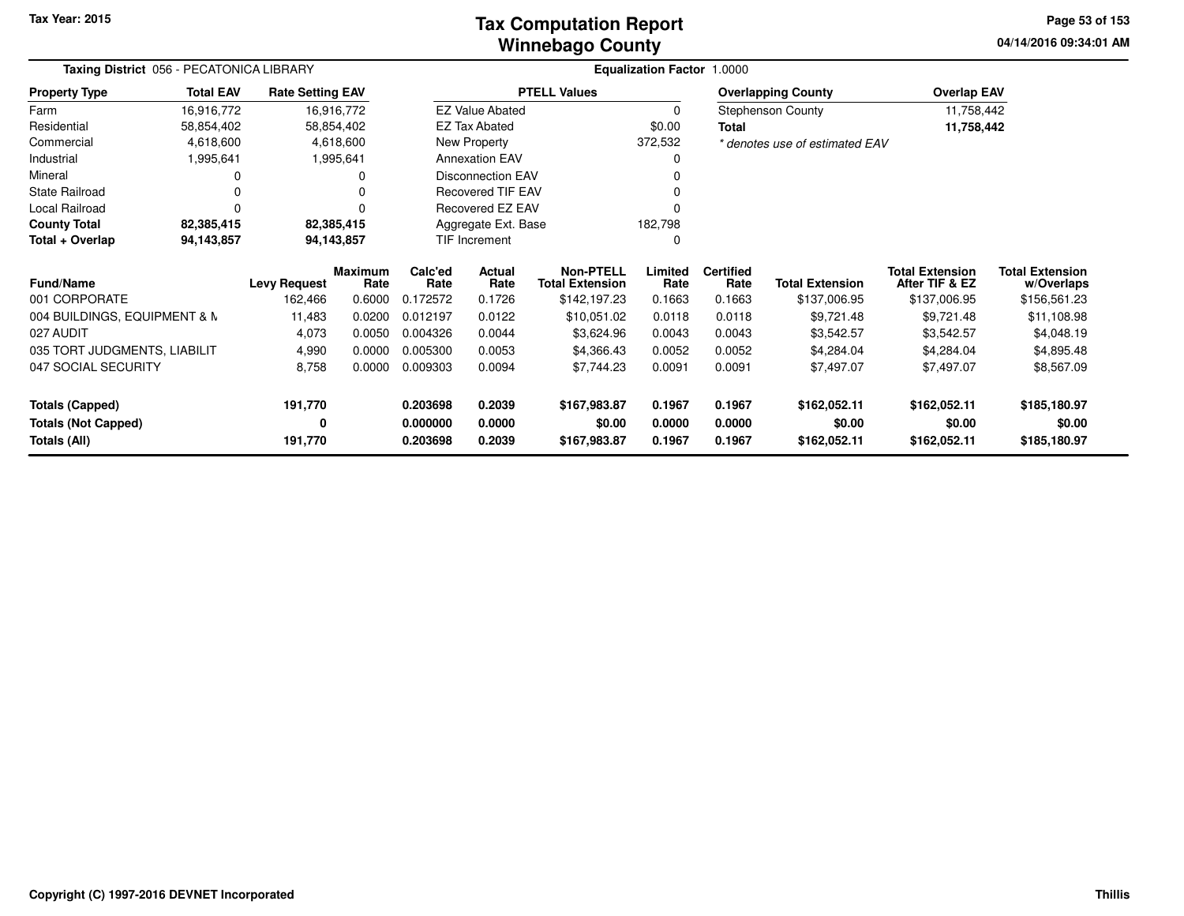### **Winnebago CountyTax Computation Report**

**04/14/2016 09:34:01 AM Page 53 of 153**

| Taxing District 056 - PECATONICA LIBRARY<br><b>Total EAV</b><br><b>Rate Setting EAV</b><br><b>Property Type</b> |                                                            |                     |                        |                 |                          |                                            | <b>Equalization Factor 1.0000</b> |                          |                                |                                          |                                      |
|-----------------------------------------------------------------------------------------------------------------|------------------------------------------------------------|---------------------|------------------------|-----------------|--------------------------|--------------------------------------------|-----------------------------------|--------------------------|--------------------------------|------------------------------------------|--------------------------------------|
|                                                                                                                 |                                                            |                     |                        |                 |                          | <b>PTELL Values</b>                        |                                   |                          | <b>Overlapping County</b>      | <b>Overlap EAV</b>                       |                                      |
| Farm                                                                                                            | 16,916,772                                                 |                     | 16,916,772             |                 | <b>EZ Value Abated</b>   |                                            | 0                                 |                          | <b>Stephenson County</b>       | 11,758,442                               |                                      |
| Residential                                                                                                     | 58,854,402                                                 |                     | 58,854,402             |                 | <b>EZ Tax Abated</b>     |                                            | \$0.00                            | <b>Total</b>             |                                | 11,758,442                               |                                      |
| Commercial                                                                                                      | 4,618,600                                                  |                     | 4,618,600              |                 | New Property             |                                            | 372,532                           |                          | * denotes use of estimated EAV |                                          |                                      |
| Industrial                                                                                                      | 1,995,641                                                  |                     | 1,995,641              |                 | <b>Annexation EAV</b>    |                                            |                                   |                          |                                |                                          |                                      |
| Mineral                                                                                                         |                                                            |                     | 0                      |                 | <b>Disconnection EAV</b> |                                            |                                   |                          |                                |                                          |                                      |
| <b>State Railroad</b>                                                                                           |                                                            |                     | 0                      |                 | <b>Recovered TIF EAV</b> |                                            |                                   |                          |                                |                                          |                                      |
| <b>Local Railroad</b>                                                                                           | Recovered EZ EAV<br>O                                      |                     |                        |                 |                          |                                            |                                   |                          |                                |                                          |                                      |
| <b>County Total</b>                                                                                             | 82,385,415<br>82,385,415<br>182,798<br>Aggregate Ext. Base |                     |                        |                 |                          |                                            |                                   |                          |                                |                                          |                                      |
| Total + Overlap                                                                                                 | 94,143,857                                                 |                     | 94,143,857             |                 | TIF Increment            |                                            |                                   |                          |                                |                                          |                                      |
| <b>Fund/Name</b>                                                                                                |                                                            | <b>Levy Request</b> | <b>Maximum</b><br>Rate | Calc'ed<br>Rate | Actual<br>Rate           | <b>Non-PTELL</b><br><b>Total Extension</b> | Limited<br>Rate                   | <b>Certified</b><br>Rate | <b>Total Extension</b>         | <b>Total Extension</b><br>After TIF & EZ | <b>Total Extension</b><br>w/Overlaps |
| 001 CORPORATE                                                                                                   |                                                            | 162,466             | 0.6000                 | 0.172572        | 0.1726                   | \$142,197.23                               | 0.1663                            | 0.1663                   | \$137,006.95                   | \$137,006.95                             | \$156,561.23                         |
| 004 BUILDINGS, EQUIPMENT & N                                                                                    |                                                            | 11,483              | 0.0200                 | 0.012197        | 0.0122                   | \$10,051.02                                | 0.0118                            | 0.0118                   | \$9,721.48                     | \$9,721.48                               | \$11,108.98                          |
| 027 AUDIT                                                                                                       |                                                            | 4,073               | 0.0050                 | 0.004326        | 0.0044                   | \$3,624.96                                 | 0.0043                            | 0.0043                   | \$3,542.57                     | \$3,542.57                               | \$4,048.19                           |
| 035 TORT JUDGMENTS, LIABILIT                                                                                    |                                                            | 4,990               | 0.0000                 | 0.005300        | 0.0053                   | \$4,366.43                                 | 0.0052                            | 0.0052                   | \$4,284.04                     | \$4,284.04                               | \$4,895.48                           |
| 047 SOCIAL SECURITY                                                                                             |                                                            | 8,758               | 0.0000                 | 0.009303        | 0.0094                   | \$7,744.23                                 | 0.0091                            | 0.0091                   | \$7,497.07                     | \$7,497.07                               | \$8,567.09                           |
| <b>Totals (Capped)</b>                                                                                          |                                                            | 191,770             |                        | 0.203698        | 0.2039                   | \$167,983.87                               | 0.1967                            | 0.1967                   | \$162,052.11                   | \$162,052.11                             | \$185,180.97                         |
| <b>Totals (Not Capped)</b>                                                                                      |                                                            | 0                   |                        | 0.000000        | 0.0000                   | \$0.00                                     | 0.0000                            | 0.0000                   | \$0.00                         | \$0.00                                   | \$0.00                               |
| Totals (All)                                                                                                    |                                                            | 191,770             |                        | 0.203698        | 0.2039                   | \$167,983.87                               | 0.1967                            | 0.1967                   | \$162,052.11                   | \$162,052.11                             | \$185,180.97                         |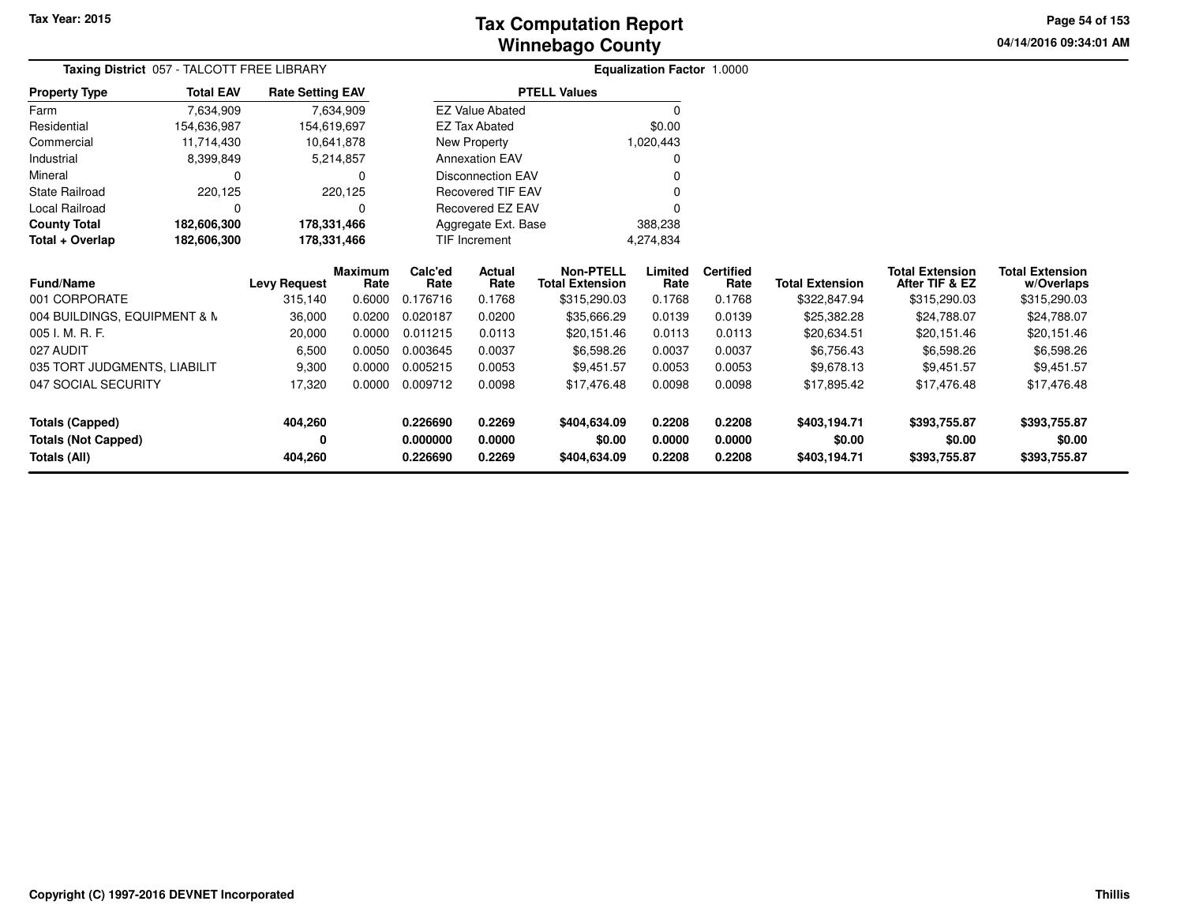**04/14/2016 09:34:01 AM Page 54 of 153**

| Taxing District 057 - TALCOTT FREE LIBRARY |                  |                         |            | <b>Equalization Factor 1.0000</b> |                          |                        |           |                  |                        |                        |                        |
|--------------------------------------------|------------------|-------------------------|------------|-----------------------------------|--------------------------|------------------------|-----------|------------------|------------------------|------------------------|------------------------|
| <b>Property Type</b>                       | <b>Total EAV</b> | <b>Rate Setting EAV</b> |            |                                   |                          | <b>PTELL Values</b>    |           |                  |                        |                        |                        |
| Farm                                       | 7,634,909        |                         | 7,634,909  |                                   | <b>EZ Value Abated</b>   |                        | 0         |                  |                        |                        |                        |
| Residential                                | 154,636,987      | 154,619,697             |            |                                   | <b>EZ Tax Abated</b>     |                        | \$0.00    |                  |                        |                        |                        |
| Commercial                                 | 11,714,430       |                         | 10,641,878 |                                   | New Property             |                        | 1,020,443 |                  |                        |                        |                        |
| Industrial                                 | 8,399,849        |                         | 5,214,857  |                                   | <b>Annexation EAV</b>    |                        | 0         |                  |                        |                        |                        |
| Mineral                                    |                  |                         | 0          |                                   | <b>Disconnection EAV</b> |                        |           |                  |                        |                        |                        |
| State Railroad                             | 220,125          |                         | 220,125    |                                   | Recovered TIF EAV        |                        |           |                  |                        |                        |                        |
| Local Railroad                             | O                |                         | 0          |                                   | Recovered EZ EAV         |                        |           |                  |                        |                        |                        |
| <b>County Total</b>                        | 182,606,300      | 178,331,466             |            |                                   | Aggregate Ext. Base      |                        | 388,238   |                  |                        |                        |                        |
| Total + Overlap                            | 182,606,300      | 178,331,466             |            |                                   | TIF Increment            |                        | 4,274,834 |                  |                        |                        |                        |
|                                            |                  |                         | Maximum    | Calc'ed                           | Actual                   | <b>Non-PTELL</b>       | Limited   | <b>Certified</b> |                        | <b>Total Extension</b> | <b>Total Extension</b> |
| Fund/Name                                  |                  | <b>Levy Request</b>     | Rate       | Rate                              | Rate                     | <b>Total Extension</b> | Rate      | Rate             | <b>Total Extension</b> | After TIF & EZ         | w/Overlaps             |
| 001 CORPORATE                              |                  | 315,140                 | 0.6000     | 0.176716                          | 0.1768                   | \$315,290.03           | 0.1768    | 0.1768           | \$322,847.94           | \$315,290.03           | \$315,290.03           |
| 004 BUILDINGS, EQUIPMENT & N               |                  | 36,000                  | 0.0200     | 0.020187                          | 0.0200                   | \$35,666.29            | 0.0139    | 0.0139           | \$25,382.28            | \$24,788.07            | \$24,788.07            |
| 005 I. M. R. F.                            |                  | 20,000                  | 0.0000     | 0.011215                          | 0.0113                   | \$20,151.46            | 0.0113    | 0.0113           | \$20,634.51            | \$20,151.46            | \$20,151.46            |
| 027 AUDIT                                  |                  | 6,500                   | 0.0050     | 0.003645                          | 0.0037                   | \$6,598.26             | 0.0037    | 0.0037           | \$6,756.43             | \$6,598.26             | \$6,598.26             |
| 035 TORT JUDGMENTS, LIABILIT               |                  | 9,300                   | 0.0000     | 0.005215                          | 0.0053                   | \$9,451.57             | 0.0053    | 0.0053           | \$9,678.13             | \$9,451.57             | \$9,451.57             |
| 047 SOCIAL SECURITY                        |                  | 17,320                  | 0.0000     | 0.009712                          | 0.0098                   | \$17,476.48            | 0.0098    | 0.0098           | \$17,895.42            | \$17,476.48            | \$17,476.48            |
| Totals (Capped)                            |                  | 404,260                 |            | 0.226690                          | 0.2269                   | \$404,634.09           | 0.2208    | 0.2208           | \$403,194.71           | \$393,755.87           | \$393,755.87           |
| <b>Totals (Not Capped)</b>                 |                  | 0                       |            | 0.000000                          | 0.0000                   | \$0.00                 | 0.0000    | 0.0000           | \$0.00                 | \$0.00                 | \$0.00                 |
| Totals (All)                               |                  | 404,260                 |            | 0.226690                          | 0.2269                   | \$404,634.09           | 0.2208    | 0.2208           | \$403,194.71           | \$393,755.87           | \$393,755.87           |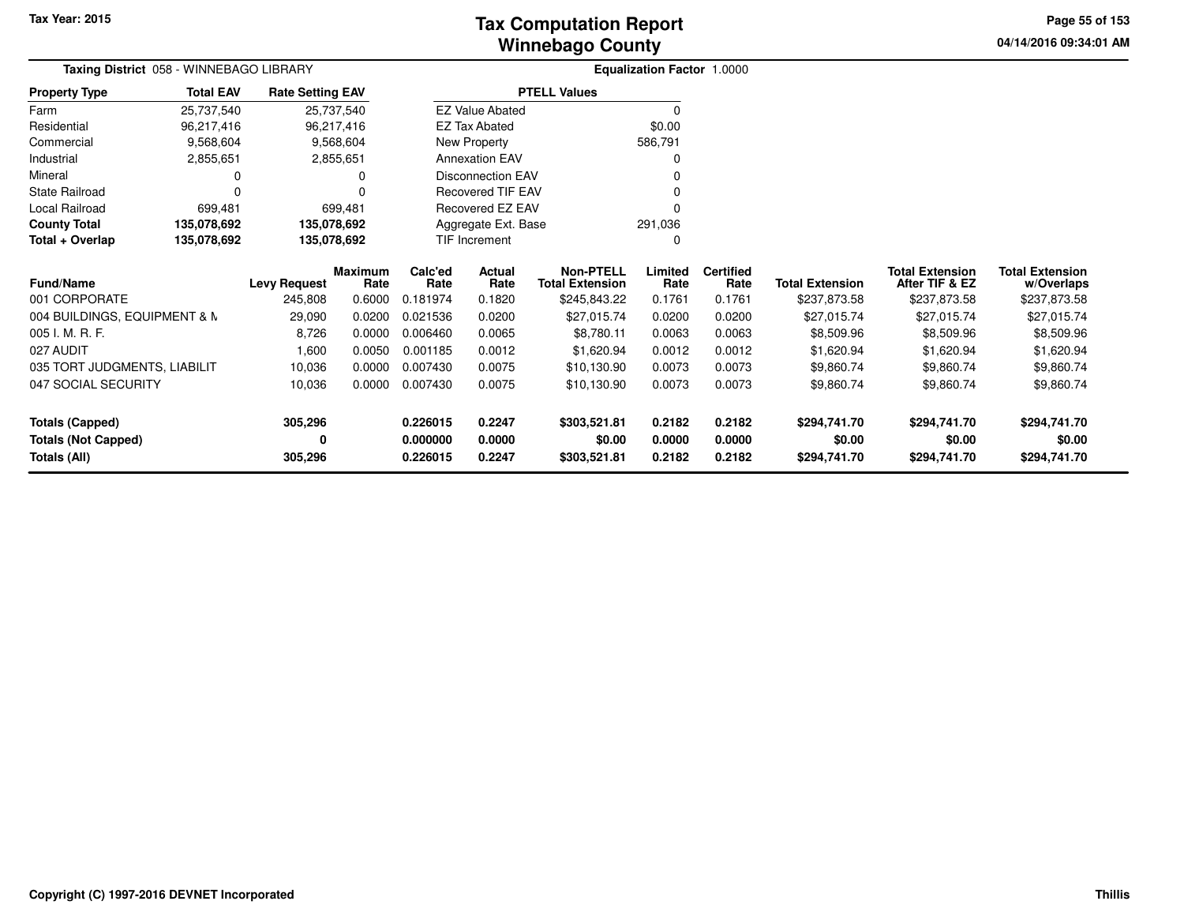# **Winnebago CountyTax Computation Report**

**04/14/2016 09:34:01 AMPage 55 of 153**

| Taxing District 058 - WINNEBAGO LIBRARY |                  |                                |                                  |                             | <b>Equalization Factor 1.0000</b>                                              |                                                            |                           |                                    |                                        |                                                          |                                                      |
|-----------------------------------------|------------------|--------------------------------|----------------------------------|-----------------------------|--------------------------------------------------------------------------------|------------------------------------------------------------|---------------------------|------------------------------------|----------------------------------------|----------------------------------------------------------|------------------------------------------------------|
| <b>Property Type</b>                    | <b>Total EAV</b> | <b>Rate Setting EAV</b>        |                                  |                             |                                                                                | <b>PTELL Values</b>                                        |                           |                                    |                                        |                                                          |                                                      |
| Farm                                    | 25,737,540       |                                | 25,737,540                       |                             | <b>EZ Value Abated</b>                                                         |                                                            | $\Omega$                  |                                    |                                        |                                                          |                                                      |
| Residential                             | 96,217,416       |                                | 96,217,416                       |                             | <b>EZ Tax Abated</b>                                                           |                                                            | \$0.00                    |                                    |                                        |                                                          |                                                      |
| Commercial                              | 9,568,604        |                                | 9,568,604                        |                             | New Property                                                                   |                                                            | 586,791                   |                                    |                                        |                                                          |                                                      |
| Industrial                              | 2,855,651        |                                | 2,855,651                        |                             | <b>Annexation EAV</b>                                                          |                                                            |                           |                                    |                                        |                                                          |                                                      |
| Mineral                                 | 0                |                                | 0                                |                             | <b>Disconnection EAV</b>                                                       |                                                            |                           |                                    |                                        |                                                          |                                                      |
| <b>State Railroad</b>                   | 0                |                                | $\Omega$                         |                             | <b>Recovered TIF EAV</b><br>Recovered EZ EAV<br>Aggregate Ext. Base<br>291,036 |                                                            |                           |                                    |                                        |                                                          |                                                      |
| Local Railroad                          | 699,481          |                                | 699.481                          |                             |                                                                                |                                                            |                           |                                    |                                        |                                                          |                                                      |
| <b>County Total</b>                     | 135,078,692      | 135,078,692                    |                                  |                             |                                                                                |                                                            |                           |                                    |                                        |                                                          |                                                      |
| Total + Overlap                         | 135,078,692      | 135,078,692                    |                                  |                             | <b>TIF Increment</b>                                                           |                                                            | $\Omega$                  |                                    |                                        |                                                          |                                                      |
| <b>Fund/Name</b><br>001 CORPORATE       |                  | <b>Levy Request</b><br>245,808 | <b>Maximum</b><br>Rate<br>0.6000 | Calc'ed<br>Rate<br>0.181974 | <b>Actual</b><br>Rate<br>0.1820                                                | <b>Non-PTELL</b><br><b>Total Extension</b><br>\$245,843.22 | Limited<br>Rate<br>0.1761 | <b>Certified</b><br>Rate<br>0.1761 | <b>Total Extension</b><br>\$237,873.58 | <b>Total Extension</b><br>After TIF & EZ<br>\$237,873.58 | <b>Total Extension</b><br>w/Overlaps<br>\$237,873.58 |
| 004 BUILDINGS, EQUIPMENT & N            |                  | 29,090                         | 0.0200                           | 0.021536                    | 0.0200                                                                         | \$27,015.74                                                | 0.0200                    | 0.0200                             | \$27,015.74                            | \$27,015.74                                              | \$27,015.74                                          |
| 005 I. M. R. F.                         |                  | 8,726                          | 0.0000                           | 0.006460                    | 0.0065                                                                         | \$8,780.11                                                 | 0.0063                    | 0.0063                             | \$8,509.96                             | \$8,509.96                                               | \$8,509.96                                           |
| 027 AUDIT                               |                  | 1,600                          | 0.0050                           | 0.001185                    | 0.0012                                                                         | \$1,620.94                                                 | 0.0012                    | 0.0012                             | \$1,620.94                             | \$1,620.94                                               | \$1,620.94                                           |
| 035 TORT JUDGMENTS, LIABILIT            |                  | 10,036                         | 0.0000                           | 0.007430                    | 0.0075                                                                         | \$10,130.90                                                | 0.0073                    | 0.0073                             | \$9,860.74                             | \$9,860.74                                               | \$9,860.74                                           |
| 047 SOCIAL SECURITY                     |                  | 10,036                         | 0.0000                           | 0.007430                    | 0.0075                                                                         | \$10,130.90                                                | 0.0073                    | 0.0073                             | \$9,860.74                             | \$9,860.74                                               | \$9,860.74                                           |
| <b>Totals (Capped)</b>                  |                  | 305,296                        |                                  | 0.226015                    | 0.2247                                                                         | \$303,521.81                                               | 0.2182                    | 0.2182                             | \$294,741.70                           | \$294,741.70                                             | \$294,741.70                                         |
| <b>Totals (Not Capped)</b>              |                  | 0                              |                                  | 0.000000                    | 0.0000                                                                         | \$0.00                                                     | 0.0000                    | 0.0000                             | \$0.00                                 | \$0.00                                                   | \$0.00                                               |
| Totals (All)                            |                  | 305,296                        |                                  | 0.226015                    | 0.2247                                                                         | \$303,521.81                                               | 0.2182                    | 0.2182                             | \$294,741.70                           | \$294,741.70                                             | \$294,741.70                                         |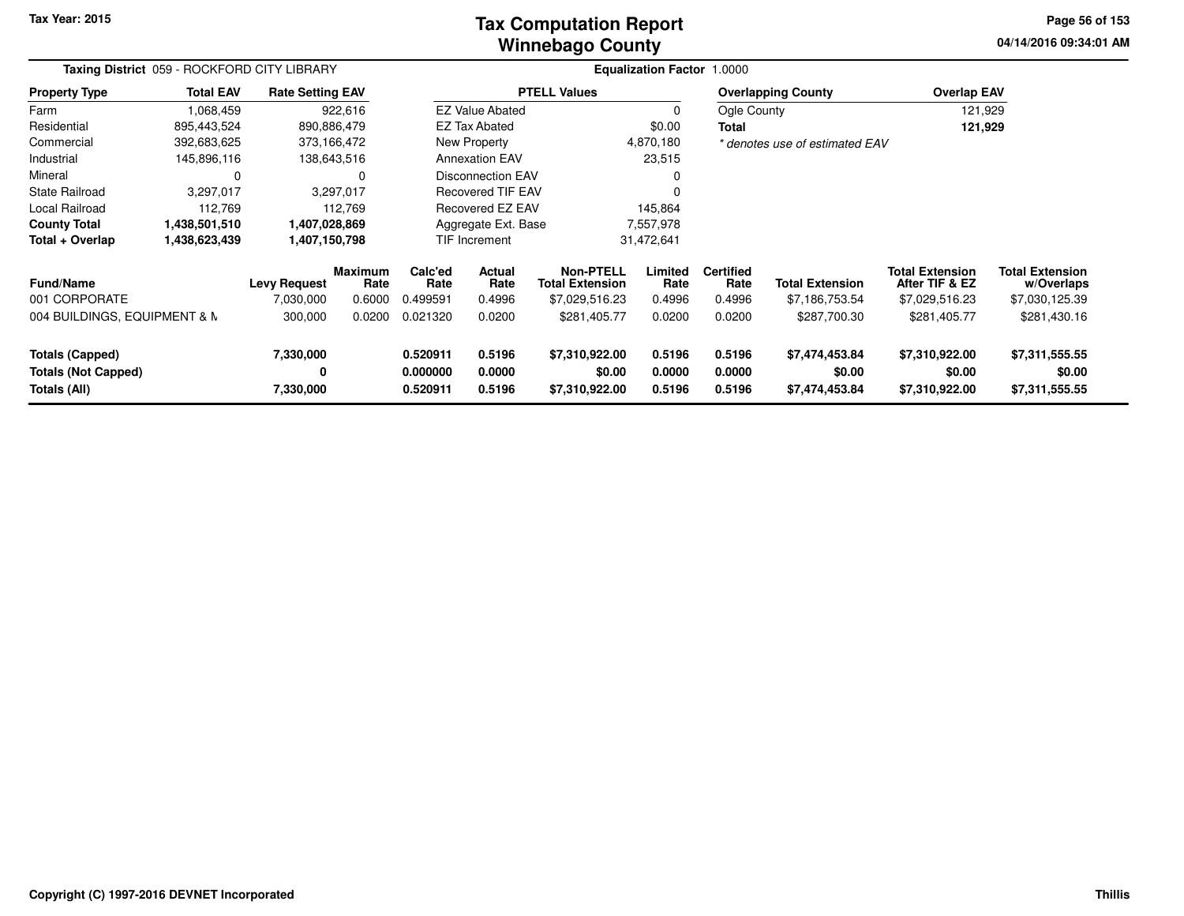### **Winnebago CountyTax Computation Report**

**04/14/2016 09:34:01 AM Page 56 of 153**

| Taxing District 059 - ROCKFORD CITY LIBRARY          |                                                               |                                  |                           | <b>Equalization Factor 1.0000</b> |                          |                                                              |                           |                                            |                                          |                                                            |                                                        |
|------------------------------------------------------|---------------------------------------------------------------|----------------------------------|---------------------------|-----------------------------------|--------------------------|--------------------------------------------------------------|---------------------------|--------------------------------------------|------------------------------------------|------------------------------------------------------------|--------------------------------------------------------|
| <b>Property Type</b>                                 | <b>Total EAV</b>                                              | <b>Rate Setting EAV</b>          |                           |                                   |                          | <b>PTELL Values</b>                                          |                           |                                            | <b>Overlapping County</b>                | <b>Overlap EAV</b>                                         |                                                        |
| Farm                                                 | 1,068,459                                                     |                                  | 922,616                   |                                   | <b>EZ Value Abated</b>   |                                                              | $\Omega$                  | Ogle County                                |                                          | 121,929                                                    |                                                        |
| Residential                                          | 895,443,524                                                   | 890,886,479                      |                           |                                   | EZ Tax Abated            |                                                              | \$0.00                    | Total                                      |                                          | 121,929                                                    |                                                        |
| Commercial                                           | 392,683,625                                                   | 373,166,472                      |                           |                                   | New Property             |                                                              | 4,870,180                 |                                            | * denotes use of estimated EAV           |                                                            |                                                        |
| Industrial                                           | 145,896,116                                                   |                                  | 138,643,516               |                                   | <b>Annexation EAV</b>    |                                                              | 23,515                    |                                            |                                          |                                                            |                                                        |
| Mineral                                              | 0                                                             |                                  |                           |                                   | <b>Disconnection EAV</b> |                                                              | $\Omega$                  |                                            |                                          |                                                            |                                                        |
| <b>State Railroad</b>                                | 3,297,017                                                     |                                  | 3,297,017                 |                                   | <b>Recovered TIF EAV</b> |                                                              | ŋ                         |                                            |                                          |                                                            |                                                        |
| Local Railroad                                       | 112,769                                                       |                                  | 112.769                   |                                   | Recovered EZ EAV         |                                                              | 145,864                   |                                            |                                          |                                                            |                                                        |
| <b>County Total</b>                                  | 1,438,501,510                                                 | 1,407,028,869                    |                           | Aggregate Ext. Base<br>7,557,978  |                          |                                                              |                           |                                            |                                          |                                                            |                                                        |
| Total + Overlap                                      | 31,472,641<br>1,438,623,439<br>1,407,150,798<br>TIF Increment |                                  |                           |                                   |                          |                                                              |                           |                                            |                                          |                                                            |                                                        |
| <b>Fund/Name</b><br>001 CORPORATE                    |                                                               | <b>Levy Request</b><br>7,030,000 | Maximum<br>Rate<br>0.6000 | Calc'ed<br>Rate<br>0.499591       | Actual<br>Rate<br>0.4996 | <b>Non-PTELL</b><br><b>Total Extension</b><br>\$7,029,516.23 | Limited<br>Rate<br>0.4996 | <b>Certified</b><br>Rate<br>0.4996         | <b>Total Extension</b><br>\$7,186,753.54 | <b>Total Extension</b><br>After TIF & EZ<br>\$7,029,516.23 | <b>Total Extension</b><br>w/Overlaps<br>\$7,030,125.39 |
| 004 BUILDINGS, EQUIPMENT & N                         |                                                               | 300,000                          | 0.0200                    | 0.021320                          | 0.0200                   | \$281,405.77                                                 | 0.0200                    | 0.0200                                     | \$287,700.30                             | \$281,405.77                                               | \$281,430.16                                           |
| <b>Totals (Capped)</b><br><b>Totals (Not Capped)</b> |                                                               | 7,330,000<br>0                   |                           | 0.520911<br>0.000000              | 0.5196<br>0.0000         | \$7,310,922.00<br>\$0.00                                     | 0.5196<br>0.0000          | 0.5196<br>0.0000                           | \$7,474,453.84<br>\$0.00                 | \$7,310,922.00<br>\$0.00                                   | \$7,311,555.55<br>\$0.00                               |
| Totals (All)                                         |                                                               | 7,330,000                        |                           | 0.520911                          | 0.5196                   | \$7,310,922.00                                               | 0.5196                    | \$7,310,922.00<br>0.5196<br>\$7,474,453.84 |                                          | \$7,311,555.55                                             |                                                        |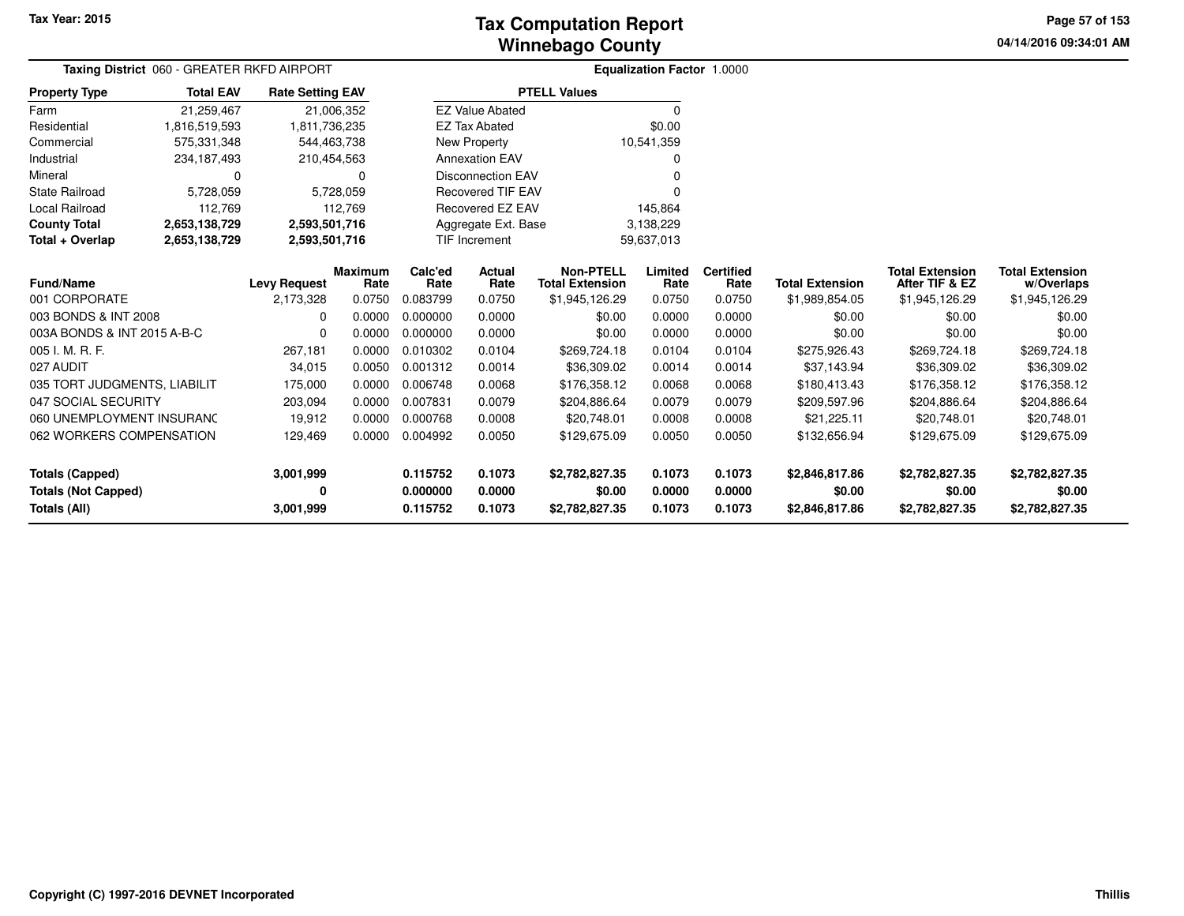# **Winnebago CountyTax Computation Report**

**04/14/2016 09:34:01 AM Page 57 of 153**

| Taxing District 060 - GREATER RKFD AIRPORT |                              |                         |                |                          |                                  |                        | <b>Equalization Factor 1.0000</b> |                  |                        |                        |                        |
|--------------------------------------------|------------------------------|-------------------------|----------------|--------------------------|----------------------------------|------------------------|-----------------------------------|------------------|------------------------|------------------------|------------------------|
| <b>Property Type</b>                       | <b>Total EAV</b>             | <b>Rate Setting EAV</b> |                |                          | <b>PTELL Values</b>              |                        |                                   |                  |                        |                        |                        |
| Farm                                       | 21,259,467                   |                         | 21,006,352     |                          | <b>EZ Value Abated</b>           |                        | $\Omega$                          |                  |                        |                        |                        |
| Residential                                | 1,816,519,593                | 1,811,736,235           |                |                          | <b>EZ Tax Abated</b>             |                        | \$0.00                            |                  |                        |                        |                        |
| Commercial                                 | 575,331,348                  | 544,463,738             |                |                          | New Property                     |                        | 10,541,359                        |                  |                        |                        |                        |
| Industrial                                 | 234, 187, 493<br>210,454,563 |                         |                | <b>Annexation EAV</b>    |                                  |                        |                                   |                  |                        |                        |                        |
| Mineral                                    | 0<br>0                       |                         |                | <b>Disconnection EAV</b> |                                  |                        |                                   |                  |                        |                        |                        |
| <b>State Railroad</b>                      | 5,728,059                    | 5,728,059               |                | <b>Recovered TIF EAV</b> |                                  |                        |                                   |                  |                        |                        |                        |
| Local Railroad                             | 112,769                      |                         | 112,769        |                          | Recovered EZ EAV                 |                        | 145,864                           |                  |                        |                        |                        |
| <b>County Total</b>                        | 2,653,138,729                | 2,593,501,716           |                |                          | Aggregate Ext. Base<br>3,138,229 |                        |                                   |                  |                        |                        |                        |
| Total + Overlap                            | 2,653,138,729                | 2,593,501,716           |                |                          | TIF Increment                    |                        | 59,637,013                        |                  |                        |                        |                        |
|                                            |                              |                         | <b>Maximum</b> | Calc'ed                  | Actual                           | <b>Non-PTELL</b>       | Limited                           | <b>Certified</b> |                        | <b>Total Extension</b> | <b>Total Extension</b> |
| <b>Fund/Name</b>                           |                              | <b>Levy Request</b>     | Rate           | Rate                     | Rate                             | <b>Total Extension</b> | Rate                              | Rate             | <b>Total Extension</b> | After TIF & EZ         | w/Overlaps             |
| 001 CORPORATE                              |                              | 2,173,328               | 0.0750         | 0.083799                 | 0.0750                           | \$1,945,126.29         | 0.0750                            | 0.0750           | \$1,989,854.05         | \$1,945,126.29         | \$1,945,126.29         |
| 003 BONDS & INT 2008                       |                              | $\Omega$                | 0.0000         | 0.000000                 | 0.0000                           | \$0.00                 | 0.0000                            | 0.0000           | \$0.00                 | \$0.00                 | \$0.00                 |
| 003A BONDS & INT 2015 A-B-C                |                              | $\mathbf 0$             | 0.0000         | 0.000000                 | 0.0000                           | \$0.00                 | 0.0000                            | 0.0000           | \$0.00                 | \$0.00                 | \$0.00                 |
| 005 I. M. R. F.                            |                              | 267,181                 | 0.0000         | 0.010302                 | 0.0104                           | \$269,724.18           | 0.0104                            | 0.0104           | \$275,926.43           | \$269,724.18           | \$269,724.18           |
| 027 AUDIT                                  |                              | 34,015                  | 0.0050         | 0.001312                 | 0.0014                           | \$36,309.02            | 0.0014                            | 0.0014           | \$37,143.94            | \$36,309.02            | \$36,309.02            |
| 035 TORT JUDGMENTS, LIABILIT               |                              | 175,000                 | 0.0000         | 0.006748                 | 0.0068                           | \$176,358.12           | 0.0068                            | 0.0068           | \$180,413.43           | \$176,358.12           | \$176,358.12           |
| 047 SOCIAL SECURITY                        |                              | 203,094                 | 0.0000         | 0.007831                 | 0.0079                           | \$204,886.64           | 0.0079                            | 0.0079           | \$209,597.96           | \$204,886.64           | \$204,886.64           |
| 060 UNEMPLOYMENT INSURANC                  |                              | 19,912                  | 0.0000         | 0.000768                 | 0.0008                           | \$20,748.01            | 0.0008                            | 0.0008           | \$21,225.11            | \$20,748.01            | \$20,748.01            |
| 062 WORKERS COMPENSATION                   |                              | 129,469                 | 0.0000         | 0.004992                 | 0.0050                           | \$129,675.09           | 0.0050                            | 0.0050           | \$132,656.94           | \$129,675.09           | \$129,675.09           |
| <b>Totals (Capped)</b>                     |                              | 3,001,999               |                | 0.115752                 | 0.1073                           | \$2,782,827.35         | 0.1073                            | 0.1073           | \$2,846,817.86         | \$2,782,827.35         | \$2,782,827.35         |
| <b>Totals (Not Capped)</b>                 |                              | 0                       |                | 0.000000                 | 0.0000                           | \$0.00                 | 0.0000                            | 0.0000           | \$0.00                 | \$0.00                 | \$0.00                 |
| Totals (All)                               |                              | 3,001,999               |                | 0.115752                 | 0.1073                           | \$2,782,827.35         | 0.1073                            | 0.1073           | \$2,846,817.86         | \$2,782,827.35         | \$2,782,827.35         |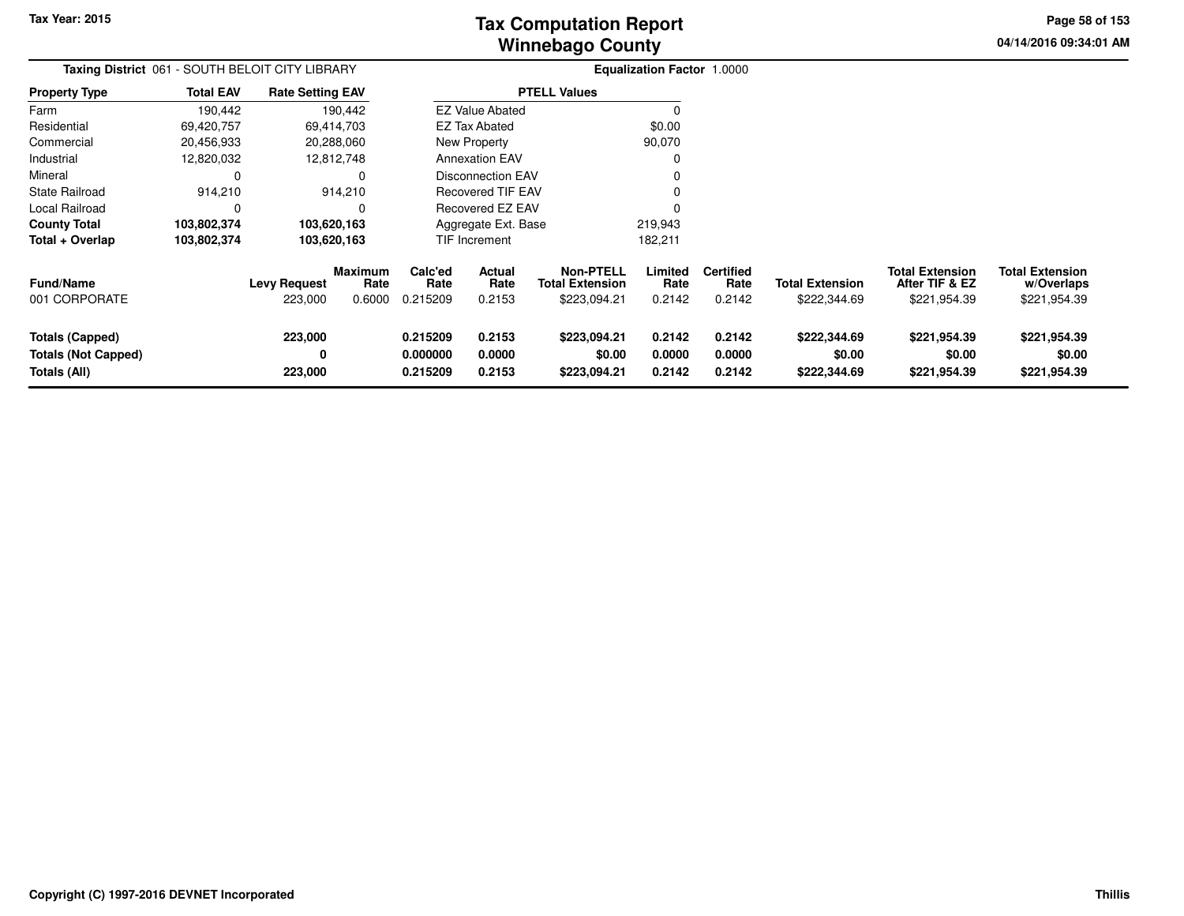**04/14/2016 09:34:01 AM Page 58 of 153**

| Taxing District 061 - SOUTH BELOIT CITY LIBRARY<br><b>Rate Setting EAV</b> |                  |                                |                                  |                                  |                                 |                                                            | <b>Equalization Factor 1.0000</b> |                                    |                                        |                                                          |                                                      |
|----------------------------------------------------------------------------|------------------|--------------------------------|----------------------------------|----------------------------------|---------------------------------|------------------------------------------------------------|-----------------------------------|------------------------------------|----------------------------------------|----------------------------------------------------------|------------------------------------------------------|
| <b>Property Type</b>                                                       | <b>Total EAV</b> |                                |                                  |                                  |                                 | <b>PTELL Values</b>                                        |                                   |                                    |                                        |                                                          |                                                      |
| Farm                                                                       | 190,442          |                                | 190,442                          |                                  | <b>EZ Value Abated</b>          |                                                            | 0                                 |                                    |                                        |                                                          |                                                      |
| Residential                                                                | 69,420,757       |                                | 69,414,703                       |                                  | <b>EZ Tax Abated</b>            |                                                            | \$0.00                            |                                    |                                        |                                                          |                                                      |
| Commercial                                                                 | 20,456,933       |                                | 20,288,060                       |                                  | New Property                    |                                                            | 90,070                            |                                    |                                        |                                                          |                                                      |
| Industrial                                                                 | 12,820,032       |                                | 12,812,748                       |                                  | <b>Annexation EAV</b>           |                                                            |                                   |                                    |                                        |                                                          |                                                      |
| Mineral                                                                    | 0                |                                |                                  |                                  | Disconnection EAV               |                                                            |                                   |                                    |                                        |                                                          |                                                      |
| <b>State Railroad</b>                                                      | 914,210          |                                | 914,210                          |                                  | <b>Recovered TIF EAV</b>        |                                                            |                                   |                                    |                                        |                                                          |                                                      |
| Local Railroad                                                             | $\Omega$         |                                | 0                                |                                  | Recovered EZ EAV                |                                                            |                                   |                                    |                                        |                                                          |                                                      |
| <b>County Total</b>                                                        | 103,802,374      |                                | 103,620,163                      |                                  | Aggregate Ext. Base             |                                                            | 219,943                           |                                    |                                        |                                                          |                                                      |
| Total + Overlap                                                            | 103,802,374      |                                | 103,620,163                      |                                  | TIF Increment                   |                                                            | 182,211                           |                                    |                                        |                                                          |                                                      |
| <b>Fund/Name</b><br>001 CORPORATE                                          |                  | <b>Levy Request</b><br>223,000 | <b>Maximum</b><br>Rate<br>0.6000 | Calc'ed<br>Rate<br>0.215209      | <b>Actual</b><br>Rate<br>0.2153 | <b>Non-PTELL</b><br><b>Total Extension</b><br>\$223,094.21 | Limited<br>Rate<br>0.2142         | <b>Certified</b><br>Rate<br>0.2142 | <b>Total Extension</b><br>\$222,344.69 | <b>Total Extension</b><br>After TIF & EZ<br>\$221,954.39 | <b>Total Extension</b><br>w/Overlaps<br>\$221,954.39 |
| <b>Totals (Capped)</b><br><b>Totals (Not Capped)</b><br>Totals (All)       |                  | 223,000<br>0<br>223,000        |                                  | 0.215209<br>0.000000<br>0.215209 | 0.2153<br>0.0000<br>0.2153      | \$223,094.21<br>\$0.00<br>\$223,094.21                     | 0.2142<br>0.0000<br>0.2142        | 0.2142<br>0.0000<br>0.2142         | \$222,344.69<br>\$0.00<br>\$222,344.69 | \$221,954.39<br>\$0.00<br>\$221,954.39                   | \$221,954.39<br>\$0.00<br>\$221,954.39               |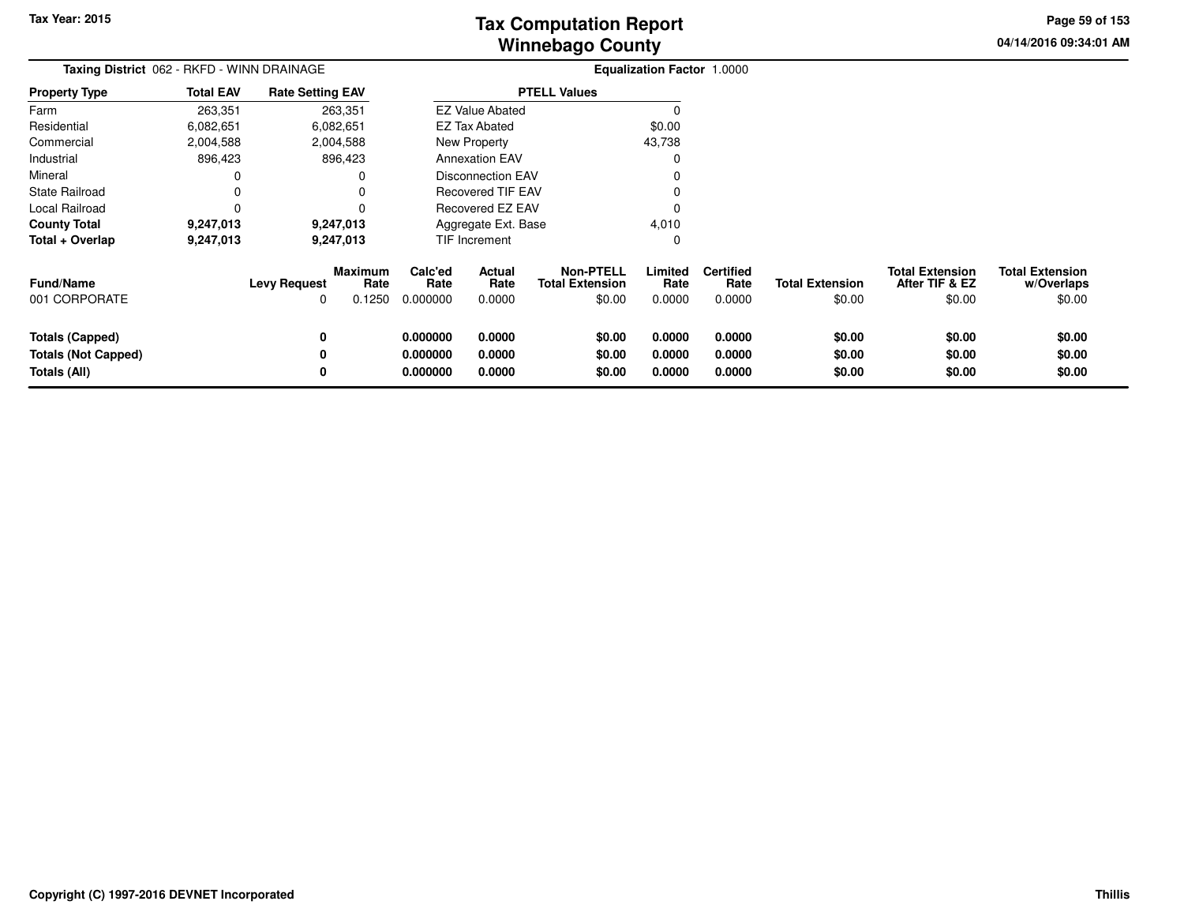# **Winnebago CountyTax Computation Report**

**04/14/2016 09:34:01 AM Page 59 of 153**

| Taxing District 062 - RKFD - WINN DRAINAGE                           |                  |                          |                                  |                                                      |                            |                                                      | <b>Equalization Factor 1.0000</b> |                                    |                                  |                                                    |                                                |
|----------------------------------------------------------------------|------------------|--------------------------|----------------------------------|------------------------------------------------------|----------------------------|------------------------------------------------------|-----------------------------------|------------------------------------|----------------------------------|----------------------------------------------------|------------------------------------------------|
| <b>Property Type</b>                                                 | <b>Total EAV</b> | <b>Rate Setting EAV</b>  |                                  |                                                      |                            | <b>PTELL Values</b>                                  |                                   |                                    |                                  |                                                    |                                                |
| Farm                                                                 | 263,351          |                          | 263,351                          |                                                      | <b>EZ Value Abated</b>     |                                                      |                                   |                                    |                                  |                                                    |                                                |
| Residential                                                          | 6,082,651        |                          | 6,082,651                        |                                                      | <b>EZ Tax Abated</b>       |                                                      | \$0.00                            |                                    |                                  |                                                    |                                                |
| Commercial                                                           | 2,004,588        |                          | 2,004,588                        |                                                      | New Property               |                                                      | 43,738                            |                                    |                                  |                                                    |                                                |
| Industrial                                                           | 896,423          |                          | 896,423                          |                                                      | <b>Annexation EAV</b>      |                                                      |                                   |                                    |                                  |                                                    |                                                |
| Mineral                                                              |                  |                          |                                  | <b>Disconnection EAV</b><br><b>Recovered TIF EAV</b> |                            |                                                      |                                   |                                    |                                  |                                                    |                                                |
| State Railroad                                                       |                  |                          |                                  |                                                      |                            |                                                      |                                   |                                    |                                  |                                                    |                                                |
| Local Railroad                                                       |                  |                          |                                  | Recovered EZ EAV                                     |                            |                                                      |                                   |                                    |                                  |                                                    |                                                |
| <b>County Total</b>                                                  | 9,247,013        |                          | 9,247,013                        |                                                      | Aggregate Ext. Base        |                                                      | 4,010                             |                                    |                                  |                                                    |                                                |
| Total + Overlap                                                      | 9,247,013        |                          | 9,247,013                        |                                                      | TIF Increment              |                                                      | 0                                 |                                    |                                  |                                                    |                                                |
| <b>Fund/Name</b><br>001 CORPORATE                                    |                  | <b>Levy Request</b><br>0 | <b>Maximum</b><br>Rate<br>0.1250 | Calc'ed<br>Rate<br>0.000000                          | Actual<br>Rate<br>0.0000   | <b>Non-PTELL</b><br><b>Total Extension</b><br>\$0.00 | Limited<br>Rate<br>0.0000         | <b>Certified</b><br>Rate<br>0.0000 | <b>Total Extension</b><br>\$0.00 | <b>Total Extension</b><br>After TIF & EZ<br>\$0.00 | <b>Total Extension</b><br>w/Overlaps<br>\$0.00 |
| <b>Totals (Capped)</b><br><b>Totals (Not Capped)</b><br>Totals (All) |                  | 0<br>0<br>0              |                                  | 0.000000<br>0.000000<br>0.000000                     | 0.0000<br>0.0000<br>0.0000 | \$0.00<br>\$0.00<br>\$0.00                           | 0.0000<br>0.0000<br>0.0000        | 0.0000<br>0.0000<br>0.0000         | \$0.00<br>\$0.00<br>\$0.00       | \$0.00<br>\$0.00<br>\$0.00                         | \$0.00<br>\$0.00<br>\$0.00                     |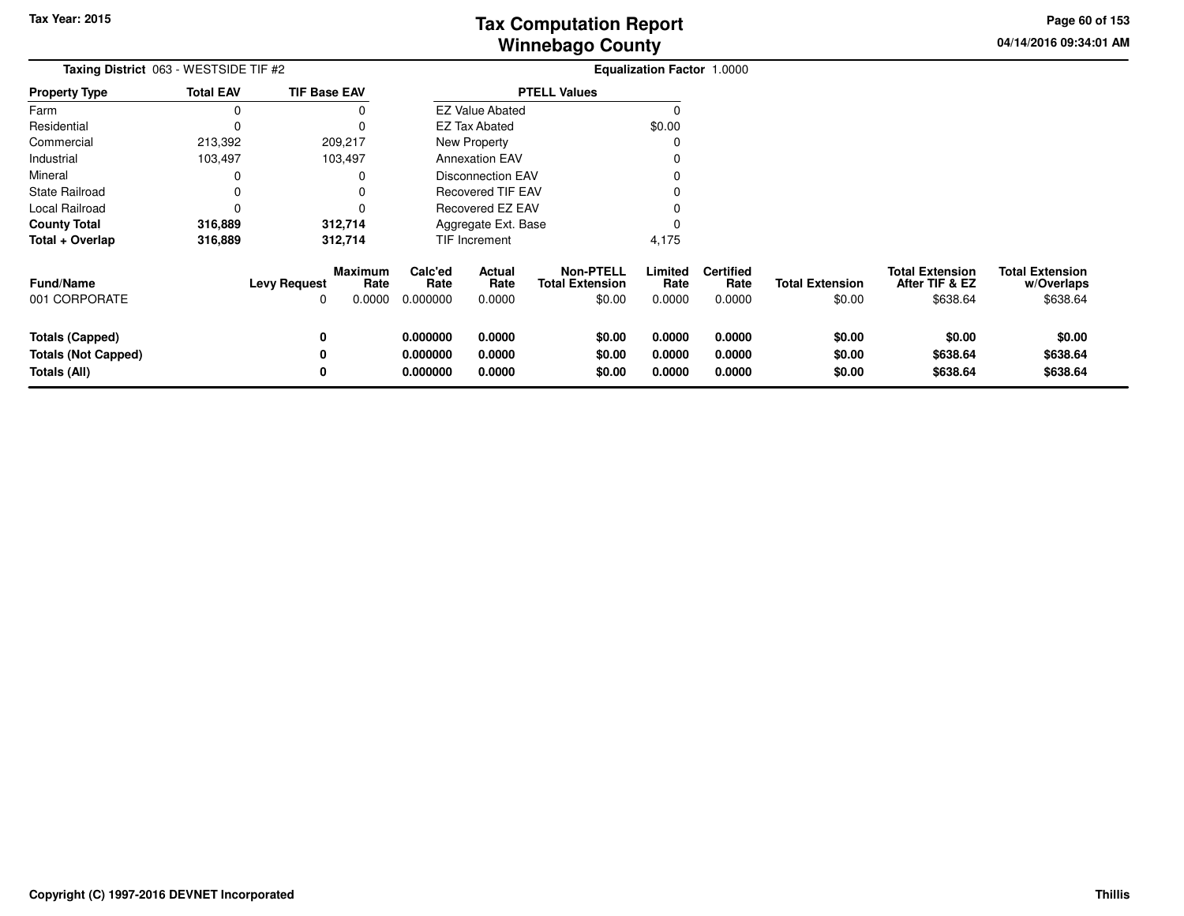**04/14/2016 09:34:01 AMPage 60 of 153**

> **w/Overlaps**\$638.64

| Taxing District 063 - WESTSIDE TIF #2                                |                  |                                                              |                                  |                            |                                                      | Equalization Factor 1.0000 |                                    |                                  |                                                      |                                                  |
|----------------------------------------------------------------------|------------------|--------------------------------------------------------------|----------------------------------|----------------------------|------------------------------------------------------|----------------------------|------------------------------------|----------------------------------|------------------------------------------------------|--------------------------------------------------|
| Property Type                                                        | <b>Total EAV</b> | <b>TIF Base EAV</b>                                          |                                  |                            | <b>PTELL Values</b>                                  |                            |                                    |                                  |                                                      |                                                  |
| Farm                                                                 | O                |                                                              |                                  | <b>EZ Value Abated</b>     |                                                      |                            |                                    |                                  |                                                      |                                                  |
| Residential                                                          |                  |                                                              |                                  | <b>EZ Tax Abated</b>       |                                                      | \$0.00                     |                                    |                                  |                                                      |                                                  |
| Commercial                                                           | 213,392          | 209,217                                                      |                                  | New Property               |                                                      |                            |                                    |                                  |                                                      |                                                  |
| Industrial                                                           | 103,497          | 103,497                                                      |                                  | <b>Annexation EAV</b>      |                                                      |                            |                                    |                                  |                                                      |                                                  |
| Mineral                                                              |                  |                                                              |                                  | <b>Disconnection EAV</b>   |                                                      |                            |                                    |                                  |                                                      |                                                  |
| State Railroad                                                       |                  |                                                              |                                  | <b>Recovered TIF EAV</b>   |                                                      |                            |                                    |                                  |                                                      |                                                  |
| Local Railroad                                                       |                  |                                                              |                                  | Recovered EZ EAV           |                                                      |                            |                                    |                                  |                                                      |                                                  |
| County Total                                                         | 316,889          | 312,714                                                      |                                  | Aggregate Ext. Base        |                                                      |                            |                                    |                                  |                                                      |                                                  |
| Total + Overlap                                                      | 316,889          | 312,714                                                      |                                  | TIF Increment              |                                                      | 4,175                      |                                    |                                  |                                                      |                                                  |
| Fund/Name<br>001 CORPORATE                                           |                  | <b>Maximum</b><br><b>Levy Request</b><br>Rate<br>0.0000<br>0 | Calc'ed<br>Rate<br>0.000000      | Actual<br>Rate<br>0.0000   | <b>Non-PTELL</b><br><b>Total Extension</b><br>\$0.00 | Limited<br>Rate<br>0.0000  | <b>Certified</b><br>Rate<br>0.0000 | <b>Total Extension</b><br>\$0.00 | <b>Total Extension</b><br>After TIF & EZ<br>\$638.64 | <b>Total Extension</b><br>w/Overlaps<br>\$638.64 |
| <b>Totals (Capped)</b><br><b>Totals (Not Capped)</b><br>Totals (All) |                  | 0<br>0<br>0                                                  | 0.000000<br>0.000000<br>0.000000 | 0.0000<br>0.0000<br>0.0000 | \$0.00<br>\$0.00<br>\$0.00                           | 0.0000<br>0.0000<br>0.0000 | 0.0000<br>0.0000<br>0.0000         | \$0.00<br>\$0.00<br>\$0.00       | \$0.00<br>\$638.64<br>\$638.64                       | \$0.00<br>\$638.64<br>\$638.64                   |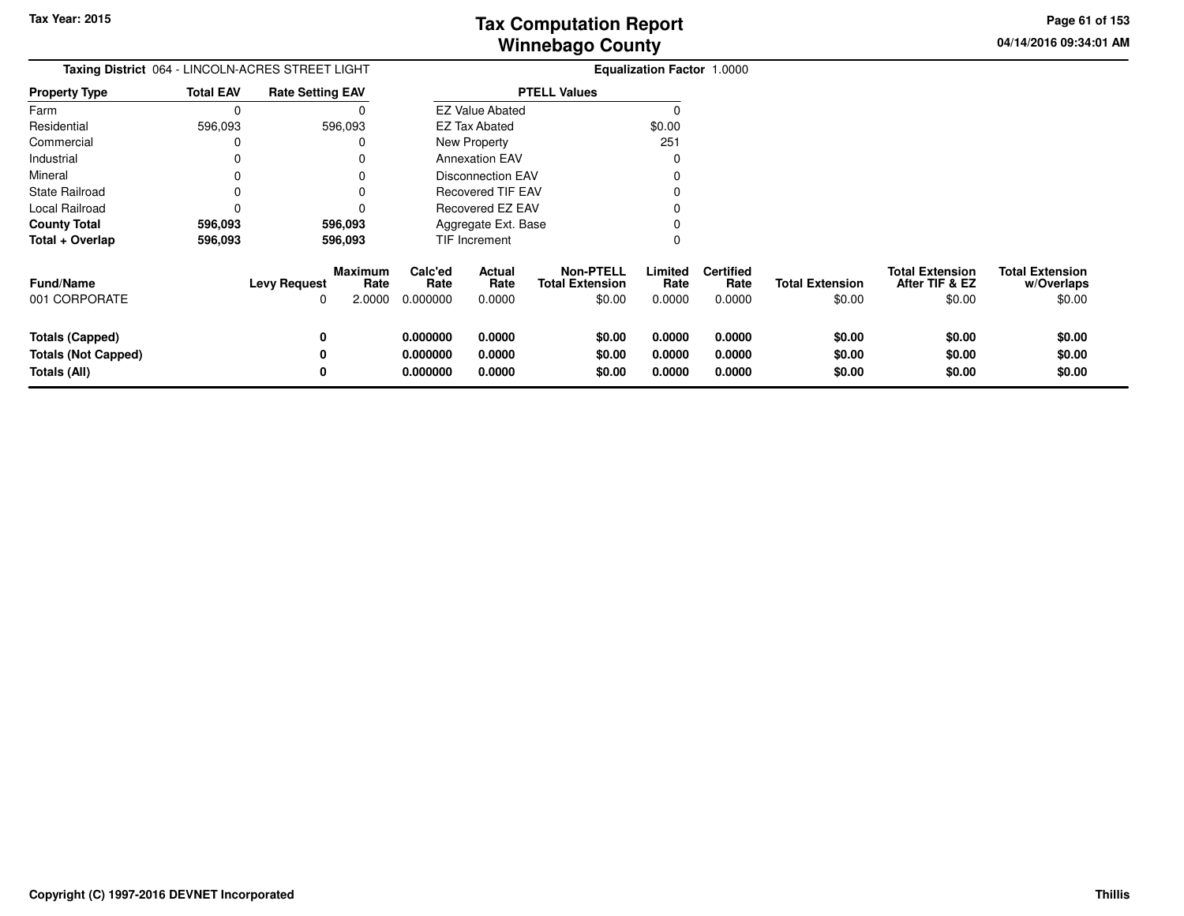**04/14/2016 09:34:01 AM Page 61 of 153**

| Taxing District 064 - LINCOLN-ACRES STREET LIGHT                     |                  |                                                       |                                  | <b>Equalization Factor 1.0000</b> |                                                      |                            |                                    |                                  |                                                    |                                                |
|----------------------------------------------------------------------|------------------|-------------------------------------------------------|----------------------------------|-----------------------------------|------------------------------------------------------|----------------------------|------------------------------------|----------------------------------|----------------------------------------------------|------------------------------------------------|
| <b>Property Type</b>                                                 | <b>Total EAV</b> | <b>Rate Setting EAV</b>                               |                                  |                                   | <b>PTELL Values</b>                                  |                            |                                    |                                  |                                                    |                                                |
| Farm                                                                 | $\Omega$         |                                                       |                                  | <b>EZ Value Abated</b>            |                                                      |                            |                                    |                                  |                                                    |                                                |
| Residential                                                          | 596,093          | 596,093                                               |                                  | <b>EZ Tax Abated</b>              |                                                      | \$0.00                     |                                    |                                  |                                                    |                                                |
| Commercial                                                           |                  |                                                       |                                  | New Property                      |                                                      |                            |                                    |                                  |                                                    |                                                |
| Industrial                                                           |                  |                                                       |                                  | <b>Annexation EAV</b>             |                                                      |                            |                                    |                                  |                                                    |                                                |
| Mineral                                                              |                  |                                                       |                                  | <b>Disconnection EAV</b>          |                                                      |                            |                                    |                                  |                                                    |                                                |
| State Railroad                                                       |                  |                                                       |                                  | <b>Recovered TIF EAV</b>          |                                                      |                            |                                    |                                  |                                                    |                                                |
| Local Railroad                                                       |                  |                                                       |                                  | Recovered EZ EAV                  |                                                      |                            |                                    |                                  |                                                    |                                                |
| <b>County Total</b>                                                  | 596,093          | 596,093                                               |                                  | Aggregate Ext. Base               |                                                      |                            |                                    |                                  |                                                    |                                                |
| Total + Overlap                                                      | 596,093          | 596,093                                               |                                  | <b>TIF Increment</b>              |                                                      |                            |                                    |                                  |                                                    |                                                |
| <b>Fund/Name</b><br>001 CORPORATE                                    |                  | Maximum<br>Rate<br><b>Levy Request</b><br>2.0000<br>0 | Calc'ed<br>Rate<br>0.000000      | Actual<br>Rate<br>0.0000          | <b>Non-PTELL</b><br><b>Total Extension</b><br>\$0.00 | Limited<br>Rate<br>0.0000  | <b>Certified</b><br>Rate<br>0.0000 | <b>Total Extension</b><br>\$0.00 | <b>Total Extension</b><br>After TIF & EZ<br>\$0.00 | <b>Total Extension</b><br>w/Overlaps<br>\$0.00 |
| <b>Totals (Capped)</b><br><b>Totals (Not Capped)</b><br>Totals (All) |                  | 0<br>0<br>0                                           | 0.000000<br>0.000000<br>0.000000 | 0.0000<br>0.0000<br>0.0000        | \$0.00<br>\$0.00<br>\$0.00                           | 0.0000<br>0.0000<br>0.0000 | 0.0000<br>0.0000<br>0.0000         | \$0.00<br>\$0.00<br>\$0.00       | \$0.00<br>\$0.00<br>\$0.00                         | \$0.00<br>\$0.00<br>\$0.00                     |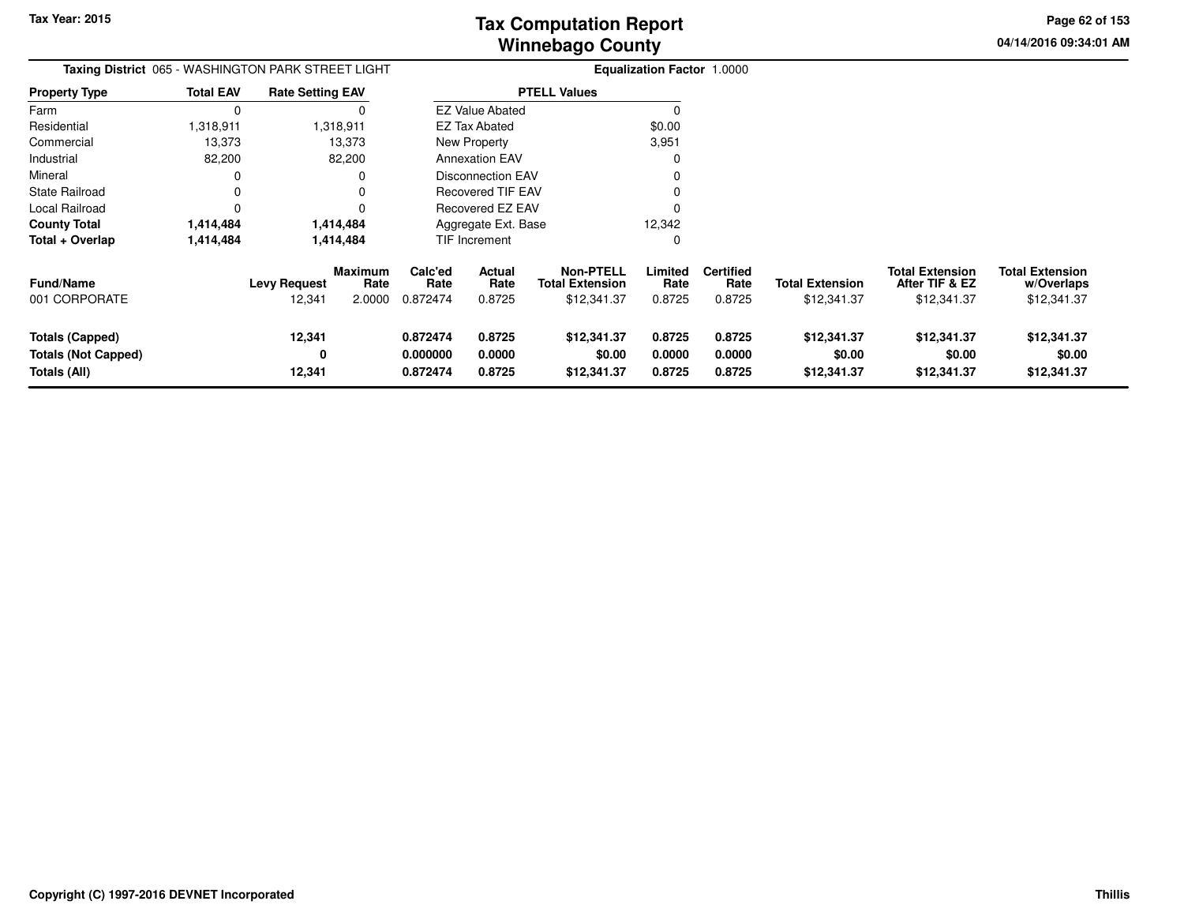**04/14/2016 09:34:01 AM Page 62 of 153**

| Taxing District 065 - WASHINGTON PARK STREET LIGHT                   | <b>Equalization Factor 1.0000</b> |                               |                                  |                                  |                                 |                                                           |                            |                                    |                                       |                                                         |                                                     |
|----------------------------------------------------------------------|-----------------------------------|-------------------------------|----------------------------------|----------------------------------|---------------------------------|-----------------------------------------------------------|----------------------------|------------------------------------|---------------------------------------|---------------------------------------------------------|-----------------------------------------------------|
| <b>Property Type</b>                                                 | <b>Total EAV</b>                  | <b>Rate Setting EAV</b>       |                                  |                                  |                                 | <b>PTELL Values</b>                                       |                            |                                    |                                       |                                                         |                                                     |
| Farm                                                                 | $\mathbf 0$                       |                               |                                  |                                  | <b>EZ Value Abated</b>          |                                                           | $\Omega$                   |                                    |                                       |                                                         |                                                     |
| Residential                                                          | 1,318,911                         |                               | 1,318,911                        |                                  | <b>EZ Tax Abated</b>            |                                                           | \$0.00                     |                                    |                                       |                                                         |                                                     |
| Commercial                                                           | 13,373                            |                               | 13,373                           |                                  | New Property<br>3,951           |                                                           |                            |                                    |                                       |                                                         |                                                     |
| Industrial                                                           | 82,200                            |                               | 82,200                           | <b>Annexation EAV</b><br>0       |                                 |                                                           |                            |                                    |                                       |                                                         |                                                     |
| Mineral                                                              |                                   |                               |                                  | <b>Disconnection EAV</b><br>0    |                                 |                                                           |                            |                                    |                                       |                                                         |                                                     |
| <b>State Railroad</b>                                                | 0                                 |                               |                                  |                                  | <b>Recovered TIF EAV</b>        |                                                           |                            |                                    |                                       |                                                         |                                                     |
| Local Railroad                                                       | $\Omega$                          |                               |                                  | Recovered EZ EAV                 |                                 |                                                           |                            |                                    |                                       |                                                         |                                                     |
| <b>County Total</b>                                                  | 1,414,484                         |                               | 1,414,484                        | 12,342<br>Aggregate Ext. Base    |                                 |                                                           |                            |                                    |                                       |                                                         |                                                     |
| Total + Overlap                                                      | 1,414,484                         |                               | 1,414,484                        |                                  | TIF Increment                   |                                                           | 0                          |                                    |                                       |                                                         |                                                     |
| <b>Fund/Name</b><br>001 CORPORATE                                    |                                   | <b>Levy Request</b><br>12,341 | <b>Maximum</b><br>Rate<br>2.0000 | Calc'ed<br>Rate<br>0.872474      | <b>Actual</b><br>Rate<br>0.8725 | <b>Non-PTELL</b><br><b>Total Extension</b><br>\$12,341.37 | Limited<br>Rate<br>0.8725  | <b>Certified</b><br>Rate<br>0.8725 | <b>Total Extension</b><br>\$12,341.37 | <b>Total Extension</b><br>After TIF & EZ<br>\$12,341.37 | <b>Total Extension</b><br>w/Overlaps<br>\$12,341.37 |
| <b>Totals (Capped)</b><br><b>Totals (Not Capped)</b><br>Totals (All) |                                   | 12,341<br>0<br>12,341         |                                  | 0.872474<br>0.000000<br>0.872474 | 0.8725<br>0.0000<br>0.8725      | \$12,341.37<br>\$0.00<br>\$12,341.37                      | 0.8725<br>0.0000<br>0.8725 | 0.8725<br>0.0000<br>0.8725         | \$12,341.37<br>\$0.00<br>\$12,341.37  | \$12,341.37<br>\$0.00<br>\$12,341.37                    | \$12,341.37<br>\$0.00<br>\$12,341.37                |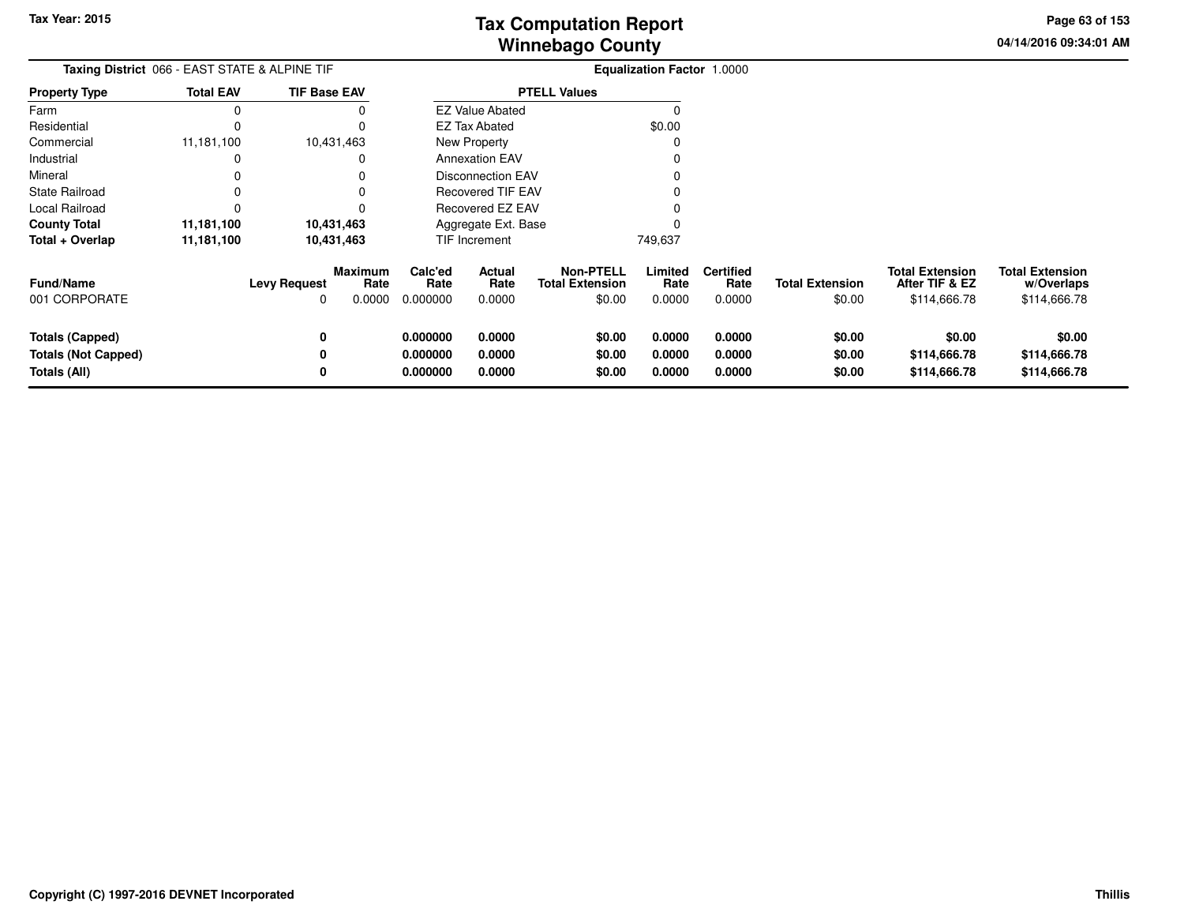**04/14/2016 09:34:01 AMPage 63 of 153**

| Taxing District 066 - EAST STATE & ALPINE TIF                        |                  |                          |                                  |                                  |                            |                                                      | <b>Equalization Factor 1.0000</b> |                                    |                                  |                                                          |                                                      |
|----------------------------------------------------------------------|------------------|--------------------------|----------------------------------|----------------------------------|----------------------------|------------------------------------------------------|-----------------------------------|------------------------------------|----------------------------------|----------------------------------------------------------|------------------------------------------------------|
| <b>Property Type</b>                                                 | <b>Total EAV</b> | <b>TIF Base EAV</b>      |                                  |                                  |                            | <b>PTELL Values</b>                                  |                                   |                                    |                                  |                                                          |                                                      |
| Farm                                                                 |                  |                          |                                  |                                  | <b>EZ Value Abated</b>     |                                                      |                                   |                                    |                                  |                                                          |                                                      |
| Residential                                                          |                  |                          |                                  |                                  | <b>EZ Tax Abated</b>       |                                                      | \$0.00                            |                                    |                                  |                                                          |                                                      |
| Commercial                                                           | 11,181,100       |                          | 10,431,463                       |                                  | New Property               |                                                      |                                   |                                    |                                  |                                                          |                                                      |
| Industrial                                                           |                  |                          |                                  |                                  | <b>Annexation EAV</b>      |                                                      |                                   |                                    |                                  |                                                          |                                                      |
| Mineral                                                              |                  |                          |                                  |                                  | <b>Disconnection EAV</b>   |                                                      |                                   |                                    |                                  |                                                          |                                                      |
| State Railroad                                                       |                  |                          |                                  | <b>Recovered TIF EAV</b>         |                            |                                                      |                                   |                                    |                                  |                                                          |                                                      |
| Local Railroad                                                       |                  |                          |                                  |                                  | Recovered EZ EAV           |                                                      |                                   |                                    |                                  |                                                          |                                                      |
| <b>County Total</b>                                                  | 11,181,100       |                          | 10,431,463                       |                                  | Aggregate Ext. Base        |                                                      |                                   |                                    |                                  |                                                          |                                                      |
| Total + Overlap                                                      | 11,181,100       |                          | 10,431,463                       |                                  | <b>TIF Increment</b>       |                                                      | 749,637                           |                                    |                                  |                                                          |                                                      |
| <b>Fund/Name</b><br>001 CORPORATE                                    |                  | <b>Levy Request</b><br>0 | <b>Maximum</b><br>Rate<br>0.0000 | Calc'ed<br>Rate<br>0.000000      | Actual<br>Rate<br>0.0000   | <b>Non-PTELL</b><br><b>Total Extension</b><br>\$0.00 | Limited<br>Rate<br>0.0000         | <b>Certified</b><br>Rate<br>0.0000 | <b>Total Extension</b><br>\$0.00 | <b>Total Extension</b><br>After TIF & EZ<br>\$114,666.78 | <b>Total Extension</b><br>w/Overlaps<br>\$114,666.78 |
| <b>Totals (Capped)</b><br><b>Totals (Not Capped)</b><br>Totals (All) |                  | 0<br>0<br>0              |                                  | 0.000000<br>0.000000<br>0.000000 | 0.0000<br>0.0000<br>0.0000 | \$0.00<br>\$0.00<br>\$0.00                           | 0.0000<br>0.0000<br>0.0000        | 0.0000<br>0.0000<br>0.0000         | \$0.00<br>\$0.00<br>\$0.00       | \$0.00<br>\$114,666.78<br>\$114,666.78                   | \$0.00<br>\$114,666.78<br>\$114,666.78               |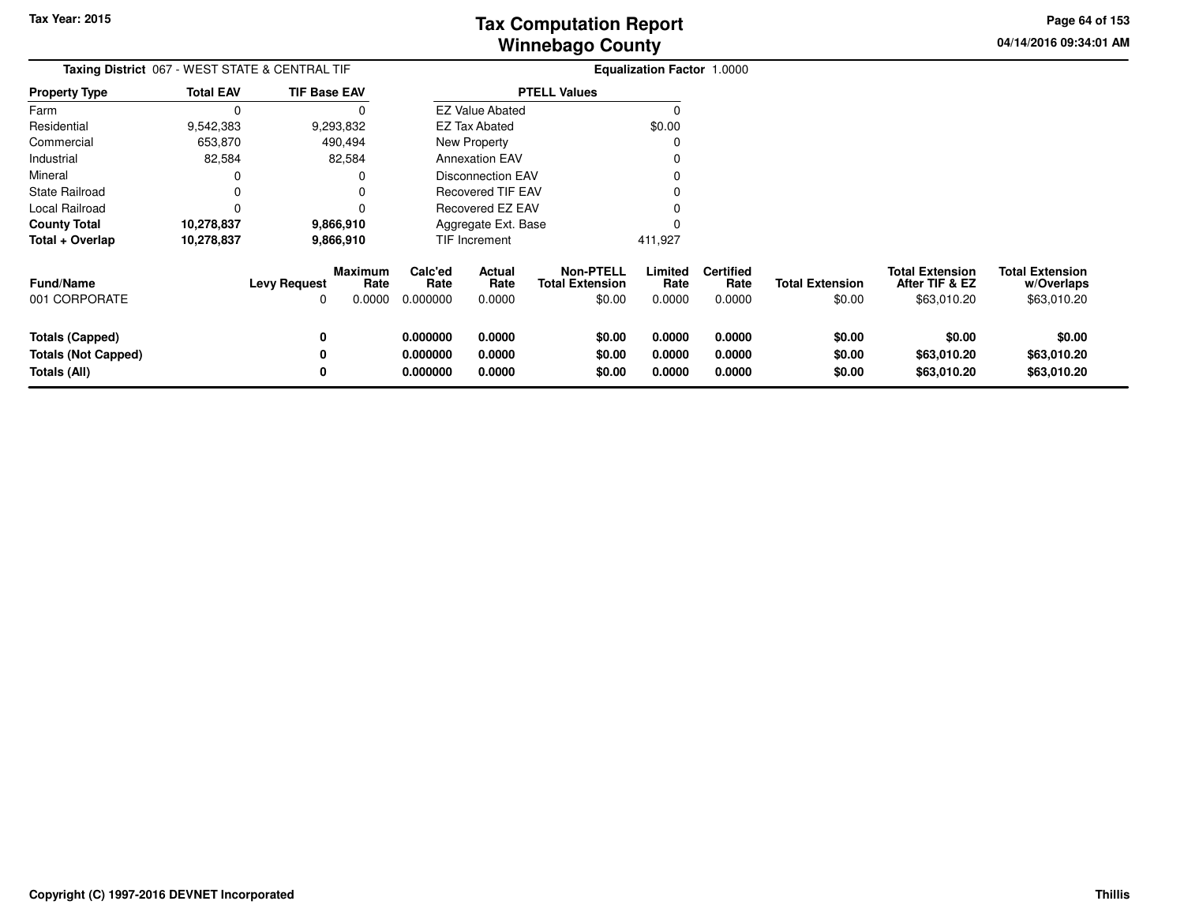**04/14/2016 09:34:01 AMPage 64 of 153**

> **w/Overlaps**\$63,010.20

| Taxing District 067 - WEST STATE & CENTRAL TIF |                  |                     |                                  |                             |                          |                                               | <b>Equalization Factor 1.0000</b> |                                    |                                  |                                                         |                                                     |
|------------------------------------------------|------------------|---------------------|----------------------------------|-----------------------------|--------------------------|-----------------------------------------------|-----------------------------------|------------------------------------|----------------------------------|---------------------------------------------------------|-----------------------------------------------------|
| <b>Property Type</b>                           | <b>Total EAV</b> | <b>TIF Base EAV</b> |                                  |                             |                          | <b>PTELL Values</b>                           |                                   |                                    |                                  |                                                         |                                                     |
| Farm                                           | 0                |                     | O                                |                             | <b>EZ Value Abated</b>   |                                               |                                   |                                    |                                  |                                                         |                                                     |
| Residential                                    | 9,542,383        |                     | 9,293,832                        |                             | <b>EZ Tax Abated</b>     |                                               | \$0.00                            |                                    |                                  |                                                         |                                                     |
| Commercial                                     | 653,870          |                     | 490,494                          |                             | New Property             |                                               |                                   |                                    |                                  |                                                         |                                                     |
| Industrial                                     | 82,584           |                     | 82,584                           |                             | <b>Annexation EAV</b>    |                                               |                                   |                                    |                                  |                                                         |                                                     |
| Mineral                                        | 0                |                     |                                  |                             | Disconnection EAV        |                                               |                                   |                                    |                                  |                                                         |                                                     |
| State Railroad                                 | 0                |                     |                                  |                             | Recovered TIF EAV        |                                               |                                   |                                    |                                  |                                                         |                                                     |
| Local Railroad                                 | $\Omega$         |                     |                                  |                             | Recovered EZ EAV         |                                               |                                   |                                    |                                  |                                                         |                                                     |
| 10,278,837<br>9,866,910<br><b>County Total</b> |                  |                     |                                  | Aggregate Ext. Base         |                          |                                               |                                   |                                    |                                  |                                                         |                                                     |
| Total + Overlap                                | 10,278,837       |                     | 9,866,910                        |                             | TIF Increment            |                                               | 411,927                           |                                    |                                  |                                                         |                                                     |
| <b>Fund/Name</b><br>001 CORPORATE              |                  | <b>Levy Request</b> | <b>Maximum</b><br>Rate<br>0.0000 | Calc'ed<br>Rate<br>0.000000 | Actual<br>Rate<br>0.0000 | Non-PTELL<br><b>Total Extension</b><br>\$0.00 | Limited<br>Rate<br>0.0000         | <b>Certified</b><br>Rate<br>0.0000 | <b>Total Extension</b><br>\$0.00 | <b>Total Extension</b><br>After TIF & EZ<br>\$63,010.20 | <b>Total Extension</b><br>w/Overlaps<br>\$63,010.20 |
|                                                |                  |                     |                                  |                             |                          |                                               |                                   |                                    |                                  |                                                         |                                                     |
| <b>Totals (Capped)</b>                         |                  |                     |                                  | 0.000000                    | 0.0000                   | \$0.00                                        | 0.0000                            | 0.0000                             | \$0.00                           | \$0.00                                                  | \$0.00                                              |
| <b>Totals (Not Capped)</b>                     |                  |                     |                                  | 0.000000                    | 0.0000                   | \$0.00                                        | 0.0000                            | 0.0000                             | \$0.00                           | \$63,010.20                                             | \$63,010.20                                         |
| Totals (All)                                   |                  |                     |                                  | 0.000000                    | 0.0000                   | \$0.00                                        | 0.0000                            | 0.0000                             | \$0.00                           | \$63,010.20                                             | \$63,010.20                                         |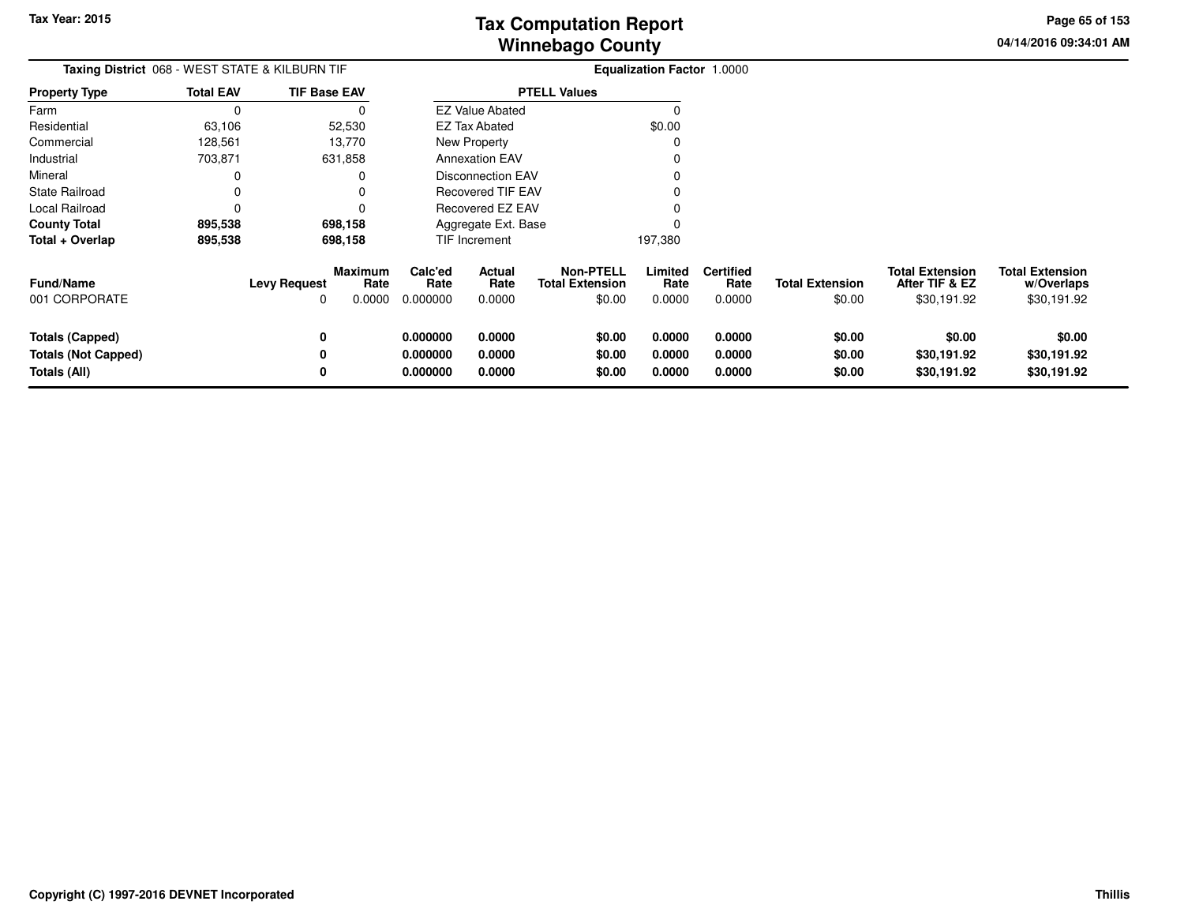**04/14/2016 09:34:01 AMPage 65 of 153**

| Taxing District 068 - WEST STATE & KILBURN TIF                       |                  |                          |                                  |                                  |                            |                                                      | <b>Equalization Factor 1.0000</b> |                                    |                                  |                                                         |                                                     |
|----------------------------------------------------------------------|------------------|--------------------------|----------------------------------|----------------------------------|----------------------------|------------------------------------------------------|-----------------------------------|------------------------------------|----------------------------------|---------------------------------------------------------|-----------------------------------------------------|
| <b>Property Type</b>                                                 | <b>Total EAV</b> | <b>TIF Base EAV</b>      |                                  |                                  |                            | <b>PTELL Values</b>                                  |                                   |                                    |                                  |                                                         |                                                     |
| Farm                                                                 |                  |                          |                                  |                                  | <b>EZ Value Abated</b>     |                                                      |                                   |                                    |                                  |                                                         |                                                     |
| Residential                                                          | 63,106           |                          | 52,530                           |                                  | <b>EZ Tax Abated</b>       |                                                      | \$0.00                            |                                    |                                  |                                                         |                                                     |
| Commercial                                                           | 128,561          |                          | 13,770                           |                                  | New Property               |                                                      |                                   |                                    |                                  |                                                         |                                                     |
| Industrial                                                           | 703,871          |                          | 631,858                          |                                  | <b>Annexation EAV</b>      |                                                      |                                   |                                    |                                  |                                                         |                                                     |
| Mineral                                                              |                  |                          |                                  |                                  | <b>Disconnection EAV</b>   |                                                      |                                   |                                    |                                  |                                                         |                                                     |
| <b>State Railroad</b>                                                |                  |                          |                                  | <b>Recovered TIF EAV</b>         |                            |                                                      |                                   |                                    |                                  |                                                         |                                                     |
| Local Railroad                                                       | $\Omega$         |                          |                                  | Recovered EZ EAV                 |                            |                                                      |                                   |                                    |                                  |                                                         |                                                     |
| <b>County Total</b>                                                  | 895,538          |                          | 698,158                          |                                  | Aggregate Ext. Base        |                                                      |                                   |                                    |                                  |                                                         |                                                     |
| Total + Overlap                                                      | 895,538          |                          | 698,158                          |                                  | TIF Increment              |                                                      | 197,380                           |                                    |                                  |                                                         |                                                     |
| <b>Fund/Name</b><br>001 CORPORATE                                    |                  | <b>Levy Request</b><br>0 | <b>Maximum</b><br>Rate<br>0.0000 | Calc'ed<br>Rate<br>0.000000      | Actual<br>Rate<br>0.0000   | <b>Non-PTELL</b><br><b>Total Extension</b><br>\$0.00 | Limited<br>Rate<br>0.0000         | <b>Certified</b><br>Rate<br>0.0000 | <b>Total Extension</b><br>\$0.00 | <b>Total Extension</b><br>After TIF & EZ<br>\$30,191.92 | <b>Total Extension</b><br>w/Overlaps<br>\$30,191.92 |
| <b>Totals (Capped)</b><br><b>Totals (Not Capped)</b><br>Totals (All) |                  | 0<br>0<br>0              |                                  | 0.000000<br>0.000000<br>0.000000 | 0.0000<br>0.0000<br>0.0000 | \$0.00<br>\$0.00<br>\$0.00                           | 0.0000<br>0.0000<br>0.0000        | 0.0000<br>0.0000<br>0.0000         | \$0.00<br>\$0.00<br>\$0.00       | \$0.00<br>\$30,191.92<br>\$30,191.92                    | \$0.00<br>\$30,191.92<br>\$30,191.92                |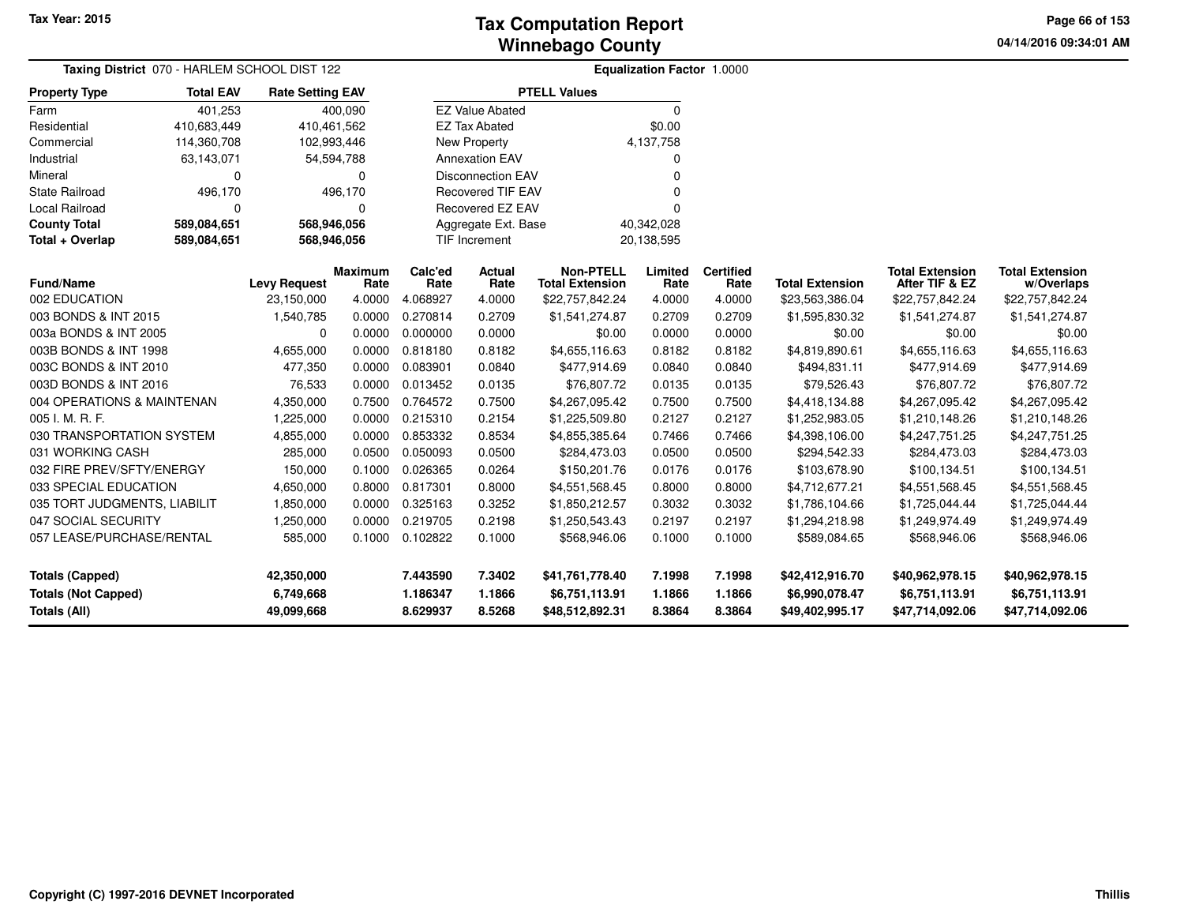**04/14/2016 09:34:01 AM Page 66 of 153**

| Taxing District 070 - HARLEM SCHOOL DIST 122 |                  |                         |                        |                                   |                          | <b>Equalization Factor 1.0000</b>          |                 |                          |                        |                                          |                                      |
|----------------------------------------------|------------------|-------------------------|------------------------|-----------------------------------|--------------------------|--------------------------------------------|-----------------|--------------------------|------------------------|------------------------------------------|--------------------------------------|
| <b>Property Type</b>                         | <b>Total EAV</b> | <b>Rate Setting EAV</b> |                        |                                   |                          | <b>PTELL Values</b>                        |                 |                          |                        |                                          |                                      |
| Farm                                         | 401,253          |                         | 400,090                |                                   | <b>EZ Value Abated</b>   |                                            | 0               |                          |                        |                                          |                                      |
| Residential                                  | 410,683,449      | 410,461,562             |                        |                                   | <b>EZ Tax Abated</b>     |                                            | \$0.00          |                          |                        |                                          |                                      |
| Commercial                                   | 114,360,708      | 102,993,446             |                        |                                   | <b>New Property</b>      |                                            | 4,137,758       |                          |                        |                                          |                                      |
| Industrial                                   | 63,143,071       | 54,594,788              |                        |                                   | <b>Annexation EAV</b>    |                                            | 0               |                          |                        |                                          |                                      |
| Mineral                                      | 0                |                         | 0                      |                                   | <b>Disconnection EAV</b> |                                            | O               |                          |                        |                                          |                                      |
| <b>State Railroad</b>                        | 496,170          |                         | 496,170                |                                   | <b>Recovered TIF EAV</b> |                                            | ŋ               |                          |                        |                                          |                                      |
| <b>Local Railroad</b>                        | $\Omega$         |                         | 0                      |                                   | Recovered EZ EAV         |                                            | 0               |                          |                        |                                          |                                      |
| <b>County Total</b>                          | 589,084,651      | 568,946,056             |                        | Aggregate Ext. Base<br>40,342,028 |                          |                                            |                 |                          |                        |                                          |                                      |
| Total + Overlap                              | 589,084,651      | 568,946,056             |                        |                                   | <b>TIF Increment</b>     | 20,138,595                                 |                 |                          |                        |                                          |                                      |
| <b>Fund/Name</b>                             |                  | <b>Levy Request</b>     | <b>Maximum</b><br>Rate | Calc'ed<br>Rate                   | <b>Actual</b><br>Rate    | <b>Non-PTELL</b><br><b>Total Extension</b> | Limited<br>Rate | <b>Certified</b><br>Rate | <b>Total Extension</b> | <b>Total Extension</b><br>After TIF & EZ | <b>Total Extension</b><br>w/Overlaps |
| 002 EDUCATION                                |                  | 23,150,000              | 4.0000                 | 4.068927                          | 4.0000                   | \$22,757,842.24                            | 4.0000          | 4.0000                   | \$23,563,386.04        | \$22,757,842.24                          | \$22,757,842.24                      |
| 003 BONDS & INT 2015                         |                  | 1,540,785               | 0.0000                 | 0.270814                          | 0.2709                   | \$1,541,274.87                             | 0.2709          | 0.2709                   | \$1,595,830.32         | \$1,541,274.87                           | \$1,541,274.87                       |
| 003a BONDS & INT 2005                        |                  | 0                       | 0.0000                 | 0.000000                          | 0.0000                   | \$0.00                                     | 0.0000          | 0.0000                   | \$0.00                 | \$0.00                                   | \$0.00                               |
| 003B BONDS & INT 1998                        |                  | 4,655,000               | 0.0000                 | 0.818180                          | 0.8182                   | \$4,655,116.63                             | 0.8182          | 0.8182                   | \$4,819,890.61         | \$4,655,116.63                           | \$4,655,116.63                       |
| 003C BONDS & INT 2010                        |                  | 477,350                 | 0.0000                 | 0.083901                          | 0.0840                   | \$477,914.69                               | 0.0840          | 0.0840                   | \$494,831.11           | \$477,914.69                             | \$477,914.69                         |
| 003D BONDS & INT 2016                        |                  | 76,533                  | 0.0000                 | 0.013452                          | 0.0135                   | \$76,807.72                                | 0.0135          | 0.0135                   | \$79,526.43            | \$76,807.72                              | \$76,807.72                          |
| 004 OPERATIONS & MAINTENAN                   |                  | 4,350,000               | 0.7500                 | 0.764572                          | 0.7500                   | \$4,267,095.42                             | 0.7500          | 0.7500                   | \$4,418,134.88         | \$4,267,095.42                           | \$4,267,095.42                       |
| 005 I. M. R. F.                              |                  | 1,225,000               | 0.0000                 | 0.215310                          | 0.2154                   | \$1,225,509.80                             | 0.2127          | 0.2127                   | \$1,252,983.05         | \$1,210,148.26                           | \$1,210,148.26                       |
| 030 TRANSPORTATION SYSTEM                    |                  | 4,855,000               | 0.0000                 | 0.853332                          | 0.8534                   | \$4,855,385.64                             | 0.7466          | 0.7466                   | \$4,398,106.00         | \$4,247,751.25                           | \$4,247,751.25                       |
| 031 WORKING CASH                             |                  | 285,000                 | 0.0500                 | 0.050093                          | 0.0500                   | \$284,473.03                               | 0.0500          | 0.0500                   | \$294,542.33           | \$284,473.03                             | \$284,473.03                         |
| 032 FIRE PREV/SFTY/ENERGY                    |                  | 150,000                 | 0.1000                 | 0.026365                          | 0.0264                   | \$150,201.76                               | 0.0176          | 0.0176                   | \$103,678.90           | \$100,134.51                             | \$100,134.51                         |
| 033 SPECIAL EDUCATION                        |                  | 4,650,000               | 0.8000                 | 0.817301                          | 0.8000                   | \$4,551,568.45                             | 0.8000          | 0.8000                   | \$4,712,677.21         | \$4,551,568.45                           | \$4,551,568.45                       |
| 035 TORT JUDGMENTS, LIABILIT                 |                  | 1,850,000               | 0.0000                 | 0.325163                          | 0.3252                   | \$1,850,212.57                             | 0.3032          | 0.3032                   | \$1,786,104.66         | \$1,725,044.44                           | \$1,725,044.44                       |
| 047 SOCIAL SECURITY                          |                  | 1,250,000               | 0.0000                 | 0.219705                          | 0.2198                   | \$1,250,543.43                             | 0.2197          | 0.2197                   | \$1,294,218.98         | \$1,249,974.49                           | \$1,249,974.49                       |
| 057 LEASE/PURCHASE/RENTAL                    |                  | 585,000                 | 0.1000                 | 0.102822                          | 0.1000                   | \$568,946.06                               | 0.1000          | 0.1000                   | \$589,084.65           | \$568,946.06                             | \$568,946.06                         |
| <b>Totals (Capped)</b>                       |                  | 42,350,000              |                        | 7.443590                          | 7.3402                   | \$41,761,778.40                            | 7.1998          | 7.1998                   | \$42,412,916.70        | \$40,962,978.15                          | \$40,962,978.15                      |
| <b>Totals (Not Capped)</b>                   |                  | 6,749,668               |                        | 1.186347                          | 1.1866                   | \$6,751,113.91                             | 1.1866          | 1.1866                   | \$6,990,078.47         | \$6,751,113.91                           | \$6,751,113.91                       |
| <b>Totals (All)</b>                          |                  | 49,099,668              |                        | 8.629937                          | 8.5268                   | \$48,512,892.31                            | 8.3864          | 8.3864                   | \$49,402,995.17        | \$47,714,092.06                          | \$47,714,092.06                      |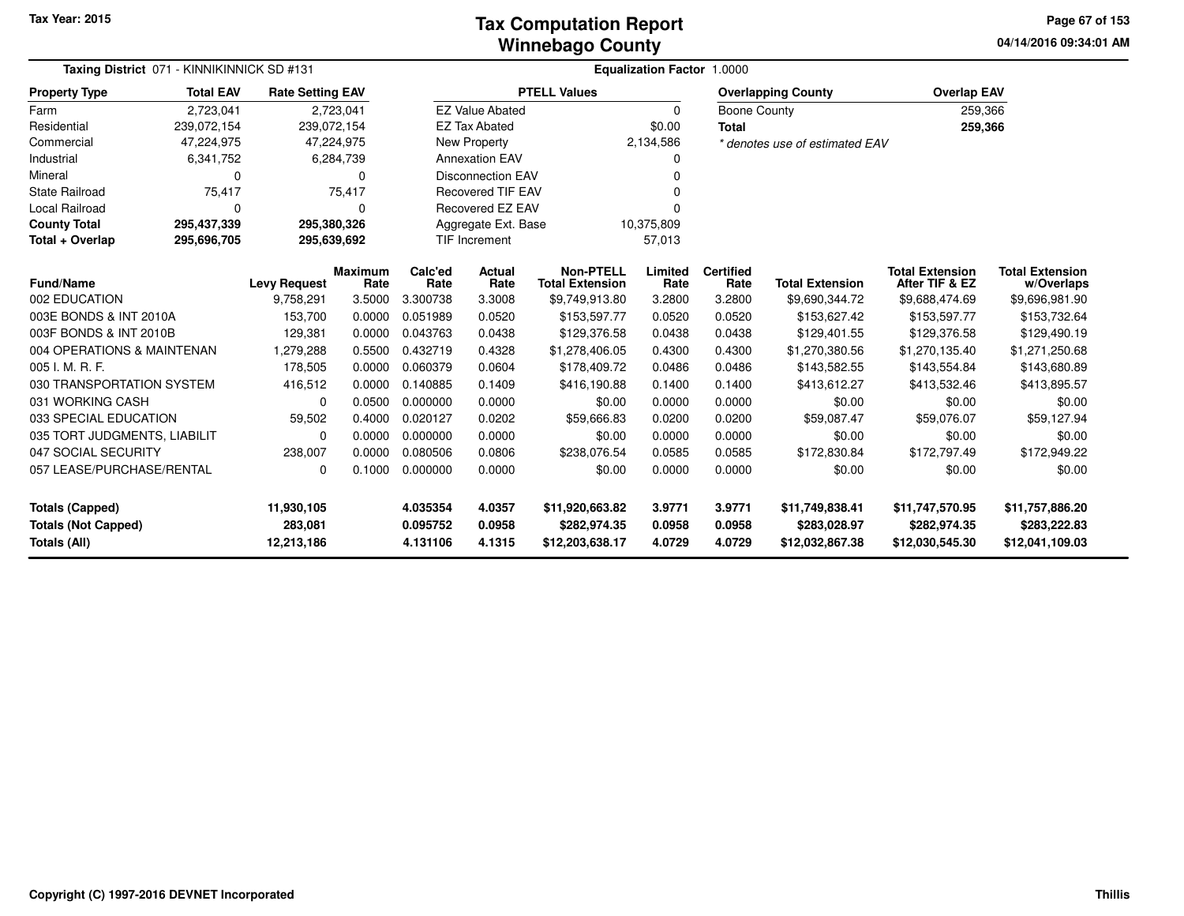#### **Winnebago CountyTax Computation Report**

**04/14/2016 09:34:01 AM Page 67 of 153**

| Taxing District 071 - KINNIKINNICK SD #131 |                  |                         |                 |                       | Equalization Factor 1.0000                 |                                 |                          |                        |                                          |                                      |                                 |  |  |  |
|--------------------------------------------|------------------|-------------------------|-----------------|-----------------------|--------------------------------------------|---------------------------------|--------------------------|------------------------|------------------------------------------|--------------------------------------|---------------------------------|--|--|--|
| <b>Property Type</b>                       | <b>Total EAV</b> | <b>Rate Setting EAV</b> |                 |                       |                                            | <b>PTELL Values</b>             |                          |                        | <b>Overlapping County</b>                | <b>Overlap EAV</b>                   |                                 |  |  |  |
| Farm                                       | 2,723,041        |                         | 2,723,041       |                       | <b>EZ Value Abated</b>                     |                                 | $\Omega$                 | <b>Boone County</b>    |                                          | 259,366                              |                                 |  |  |  |
| Residential                                | 239,072,154      | 239,072,154             |                 |                       | <b>EZ Tax Abated</b>                       |                                 | \$0.00                   | Total                  |                                          | 259,366                              |                                 |  |  |  |
| Commercial                                 | 47,224,975       | 47,224,975              |                 |                       | New Property                               |                                 | 2,134,586                |                        | * denotes use of estimated EAV           |                                      |                                 |  |  |  |
| Industrial                                 | 6,341,752        |                         | 6,284,739       |                       | <b>Annexation EAV</b><br>0                 |                                 |                          |                        |                                          |                                      |                                 |  |  |  |
| Mineral                                    | 0                |                         | $\Omega$        |                       | <b>Disconnection EAV</b>                   |                                 |                          |                        |                                          |                                      |                                 |  |  |  |
| <b>State Railroad</b>                      | 75,417           |                         | 75,417          |                       | <b>Recovered TIF EAV</b>                   |                                 | O                        |                        |                                          |                                      |                                 |  |  |  |
| Local Railroad                             | 0                |                         | 0               |                       | Recovered EZ EAV                           |                                 |                          |                        |                                          |                                      |                                 |  |  |  |
| <b>County Total</b>                        | 295,437,339      | 295,380,326             |                 |                       | Aggregate Ext. Base                        |                                 | 10,375,809               |                        |                                          |                                      |                                 |  |  |  |
| Total + Overlap                            | 295,696,705      | 295,639,692             |                 |                       | <b>TIF Increment</b>                       | 57,013                          |                          |                        |                                          |                                      |                                 |  |  |  |
| <b>Fund/Name</b><br><b>Levy Request</b>    |                  | <b>Maximum</b><br>Rate  | Calc'ed<br>Rate | <b>Actual</b><br>Rate | <b>Non-PTELL</b><br><b>Total Extension</b> | Limited<br>Rate                 | <b>Certified</b><br>Rate | <b>Total Extension</b> | <b>Total Extension</b><br>After TIF & EZ | <b>Total Extension</b><br>w/Overlaps |                                 |  |  |  |
| 002 EDUCATION                              |                  | 9,758,291               | 3.5000          | 3.300738              | 3.3008                                     | \$9,749,913.80                  | 3.2800                   | 3.2800                 | \$9,690,344.72                           | \$9,688,474.69                       | \$9,696,981.90                  |  |  |  |
| 003E BONDS & INT 2010A                     |                  | 153,700                 | 0.0000          | 0.051989              | 0.0520                                     | \$153,597.77                    | 0.0520                   | 0.0520                 | \$153,627.42                             | \$153,597.77                         | \$153,732.64                    |  |  |  |
| 003F BONDS & INT 2010B                     |                  | 129,381                 | 0.0000          | 0.043763              | 0.0438                                     | \$129,376.58                    | 0.0438                   | 0.0438                 | \$129,401.55                             | \$129,376.58                         | \$129,490.19                    |  |  |  |
| 004 OPERATIONS & MAINTENAN                 |                  | 1,279,288               | 0.5500          | 0.432719              | 0.4328                                     | \$1,278,406.05                  | 0.4300                   | 0.4300                 | \$1,270,380.56                           | \$1,270,135.40                       | \$1,271,250.68                  |  |  |  |
| 005 I. M. R. F.                            |                  | 178,505                 | 0.0000          | 0.060379              | 0.0604                                     | \$178,409.72                    | 0.0486                   | 0.0486                 | \$143,582.55                             | \$143,554.84                         | \$143,680.89                    |  |  |  |
| 030 TRANSPORTATION SYSTEM                  |                  | 416,512                 | 0.0000          | 0.140885              | 0.1409                                     | \$416,190.88                    | 0.1400                   | 0.1400                 | \$413,612.27                             | \$413,532.46                         | \$413,895.57                    |  |  |  |
| 031 WORKING CASH                           |                  | $\mathbf 0$             | 0.0500          | 0.000000              | 0.0000                                     | \$0.00                          | 0.0000                   | 0.0000                 | \$0.00                                   | \$0.00                               | \$0.00                          |  |  |  |
| 033 SPECIAL EDUCATION                      |                  | 59,502                  | 0.4000          | 0.020127              | 0.0202                                     | \$59,666.83                     | 0.0200                   | 0.0200                 | \$59,087.47                              | \$59,076.07                          | \$59,127.94                     |  |  |  |
| 035 TORT JUDGMENTS, LIABILIT               |                  | 0                       | 0.0000          | 0.000000              | 0.0000                                     | \$0.00                          | 0.0000                   | 0.0000                 | \$0.00                                   | \$0.00                               | \$0.00                          |  |  |  |
| 047 SOCIAL SECURITY                        |                  | 238,007                 | 0.0000          | 0.080506              | 0.0806                                     | \$238,076.54                    | 0.0585                   | 0.0585                 | \$172,830.84                             | \$172,797.49                         | \$172,949.22                    |  |  |  |
| 057 LEASE/PURCHASE/RENTAL                  |                  | 0                       | 0.1000          | 0.000000              | 0.0000                                     | \$0.00                          | 0.0000                   | 0.0000                 | \$0.00                                   | \$0.00                               | \$0.00                          |  |  |  |
| <b>Totals (Capped)</b>                     |                  | 11,930,105              |                 | 4.035354              | 4.0357                                     | \$11,920,663.82                 | 3.9771                   | 3.9771                 | \$11,749,838.41                          | \$11,747,570.95                      | \$11,757,886.20                 |  |  |  |
| <b>Totals (Not Capped)</b><br>Totals (All) |                  | 283,081<br>12,213,186   |                 | 0.095752<br>4.131106  | 0.0958<br>4.1315                           | \$282,974.35<br>\$12,203,638.17 | 0.0958<br>4.0729         | 0.0958<br>4.0729       | \$283,028.97<br>\$12,032,867.38          | \$282,974.35<br>\$12,030,545.30      | \$283,222.83<br>\$12,041,109.03 |  |  |  |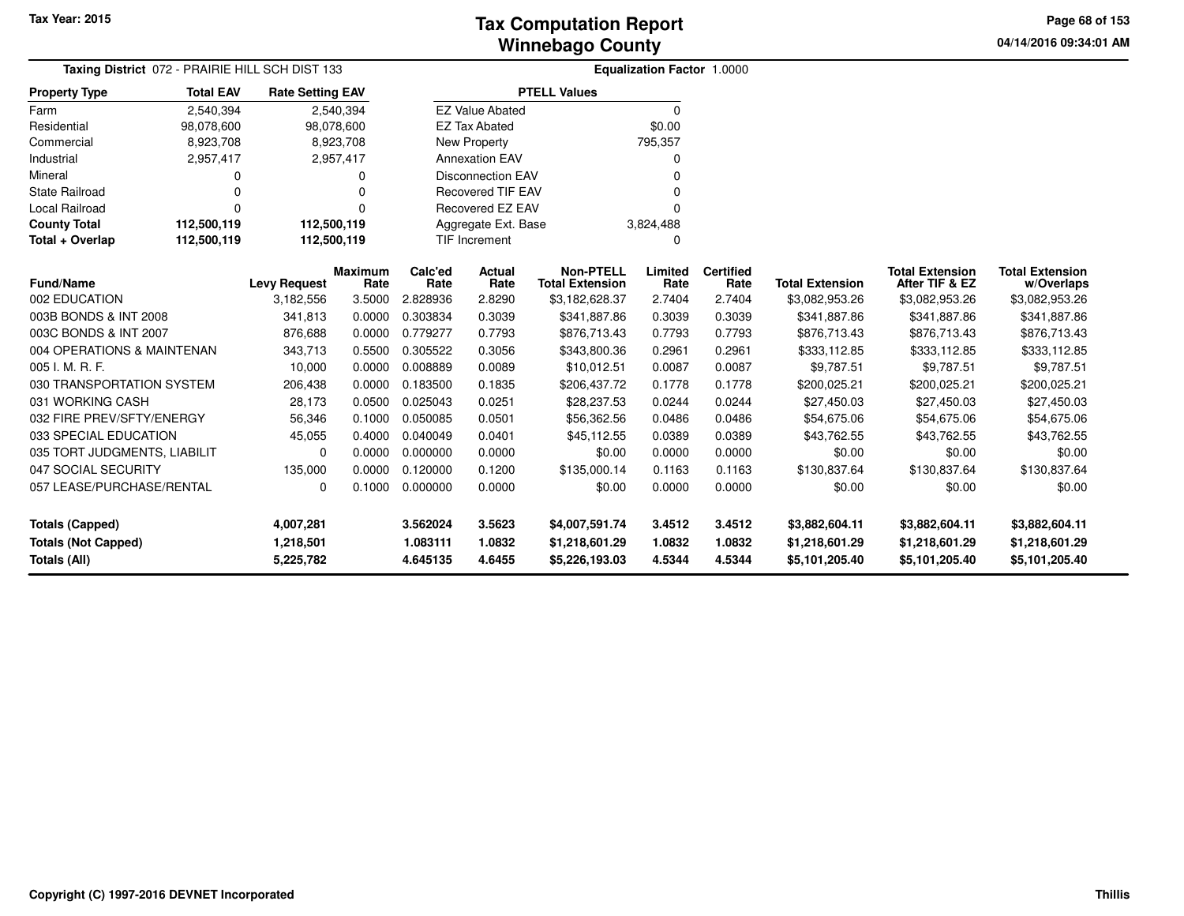**04/14/2016 09:34:01 AM Page 68 of 153**

| Taxing District 072 - PRAIRIE HILL SCH DIST 133<br>Equalization Factor 1.0000<br><b>PTELL Values</b> |                  |                         |                        |                 |                          |                                            |                 |                          |                        |                                          |                                      |  |
|------------------------------------------------------------------------------------------------------|------------------|-------------------------|------------------------|-----------------|--------------------------|--------------------------------------------|-----------------|--------------------------|------------------------|------------------------------------------|--------------------------------------|--|
| <b>Property Type</b>                                                                                 | <b>Total EAV</b> | <b>Rate Setting EAV</b> |                        |                 |                          |                                            |                 |                          |                        |                                          |                                      |  |
| Farm                                                                                                 | 2,540,394        |                         | 2,540,394              |                 | <b>EZ Value Abated</b>   |                                            | 0               |                          |                        |                                          |                                      |  |
| Residential                                                                                          | 98,078,600       |                         | 98,078,600             |                 | <b>EZ Tax Abated</b>     |                                            | \$0.00          |                          |                        |                                          |                                      |  |
| Commercial                                                                                           | 8,923,708        |                         | 8,923,708              |                 | <b>New Property</b>      |                                            | 795,357         |                          |                        |                                          |                                      |  |
| Industrial                                                                                           | 2,957,417        |                         | 2,957,417              |                 | <b>Annexation EAV</b>    |                                            | 0               |                          |                        |                                          |                                      |  |
| Mineral                                                                                              | 0                |                         |                        |                 | <b>Disconnection EAV</b> |                                            | $\Omega$        |                          |                        |                                          |                                      |  |
| <b>State Railroad</b>                                                                                | 0                |                         |                        |                 | <b>Recovered TIF EAV</b> |                                            | <sup>0</sup>    |                          |                        |                                          |                                      |  |
| Local Railroad                                                                                       | 0                |                         |                        |                 | Recovered EZ EAV         |                                            | $\Omega$        |                          |                        |                                          |                                      |  |
| <b>County Total</b>                                                                                  | 112,500,119      | 112,500,119             |                        |                 | Aggregate Ext. Base      |                                            | 3,824,488       |                          |                        |                                          |                                      |  |
| Total + Overlap                                                                                      | 112,500,119      | 112,500,119             |                        |                 | TIF Increment            |                                            | 0               |                          |                        |                                          |                                      |  |
| <b>Fund/Name</b>                                                                                     |                  | <b>Levy Request</b>     | <b>Maximum</b><br>Rate | Calc'ed<br>Rate | Actual<br>Rate           | <b>Non-PTELL</b><br><b>Total Extension</b> | Limited<br>Rate | <b>Certified</b><br>Rate | <b>Total Extension</b> | <b>Total Extension</b><br>After TIF & EZ | <b>Total Extension</b><br>w/Overlaps |  |
| 002 EDUCATION                                                                                        |                  | 3,182,556               | 3.5000                 | 2.828936        | 2.8290                   | \$3,182,628.37                             | 2.7404          | 2.7404                   | \$3,082,953.26         | \$3,082,953.26                           | \$3,082,953.26                       |  |
| 003B BONDS & INT 2008                                                                                |                  | 341,813                 | 0.0000                 | 0.303834        | 0.3039                   | \$341,887.86                               | 0.3039          | 0.3039                   | \$341,887.86           | \$341,887.86                             | \$341,887.86                         |  |
| 003C BONDS & INT 2007                                                                                |                  | 876,688                 | 0.0000                 | 0.779277        | 0.7793                   | \$876,713.43                               | 0.7793          | 0.7793                   | \$876,713.43           | \$876,713.43                             | \$876,713.43                         |  |
| 004 OPERATIONS & MAINTENAN                                                                           |                  | 343,713                 | 0.5500                 | 0.305522        | 0.3056                   | \$343,800.36                               | 0.2961          | 0.2961                   | \$333,112.85           | \$333,112.85                             | \$333,112.85                         |  |
| 005 I. M. R. F.                                                                                      |                  | 10,000                  | 0.0000                 | 0.008889        | 0.0089                   | \$10,012.51                                | 0.0087          | 0.0087                   | \$9,787.51             | \$9,787.51                               | \$9,787.51                           |  |
| 030 TRANSPORTATION SYSTEM                                                                            |                  | 206,438                 | 0.0000                 | 0.183500        | 0.1835                   | \$206,437.72                               | 0.1778          | 0.1778                   | \$200,025.21           | \$200,025.21                             | \$200,025.21                         |  |
| 031 WORKING CASH                                                                                     |                  | 28,173                  | 0.0500                 | 0.025043        | 0.0251                   | \$28,237.53                                | 0.0244          | 0.0244                   | \$27,450.03            | \$27,450.03                              | \$27,450.03                          |  |
| 032 FIRE PREV/SFTY/ENERGY                                                                            |                  | 56,346                  | 0.1000                 | 0.050085        | 0.0501                   | \$56,362.56                                | 0.0486          | 0.0486                   | \$54,675.06            | \$54,675.06                              | \$54,675.06                          |  |
| 033 SPECIAL EDUCATION                                                                                |                  | 45,055                  | 0.4000                 | 0.040049        | 0.0401                   | \$45,112.55                                | 0.0389          | 0.0389                   | \$43,762.55            | \$43,762.55                              | \$43,762.55                          |  |
| 035 TORT JUDGMENTS, LIABILIT                                                                         |                  | 0                       | 0.0000                 | 0.000000        | 0.0000                   | \$0.00                                     | 0.0000          | 0.0000                   | \$0.00                 | \$0.00                                   | \$0.00                               |  |
| 047 SOCIAL SECURITY                                                                                  |                  | 135,000                 | 0.0000                 | 0.120000        | 0.1200                   | \$135,000.14                               | 0.1163          | 0.1163                   | \$130,837.64           | \$130,837.64                             | \$130,837.64                         |  |
| 057 LEASE/PURCHASE/RENTAL                                                                            |                  | 0                       | 0.1000                 | 0.000000        | 0.0000                   | \$0.00                                     | 0.0000          | 0.0000                   | \$0.00                 | \$0.00                                   | \$0.00                               |  |
| 3.562024<br><b>Totals (Capped)</b><br>4,007,281                                                      |                  |                         |                        |                 | 3.5623                   | \$4,007,591.74                             | 3.4512          | 3.4512                   | \$3,882,604.11         | \$3,882,604.11                           | \$3,882,604.11                       |  |
| <b>Totals (Not Capped)</b>                                                                           |                  | 1,218,501               |                        | 1.083111        | 1.0832                   | \$1,218,601.29                             | 1.0832          | 1.0832                   | \$1,218,601.29         | \$1,218,601.29                           | \$1,218,601.29                       |  |
| <b>Totals (All)</b>                                                                                  |                  | 5,225,782               |                        | 4.645135        | 4.6455                   | \$5,226,193.03                             | 4.5344          | 4.5344                   | \$5,101,205.40         | \$5,101,205.40                           | \$5,101,205.40                       |  |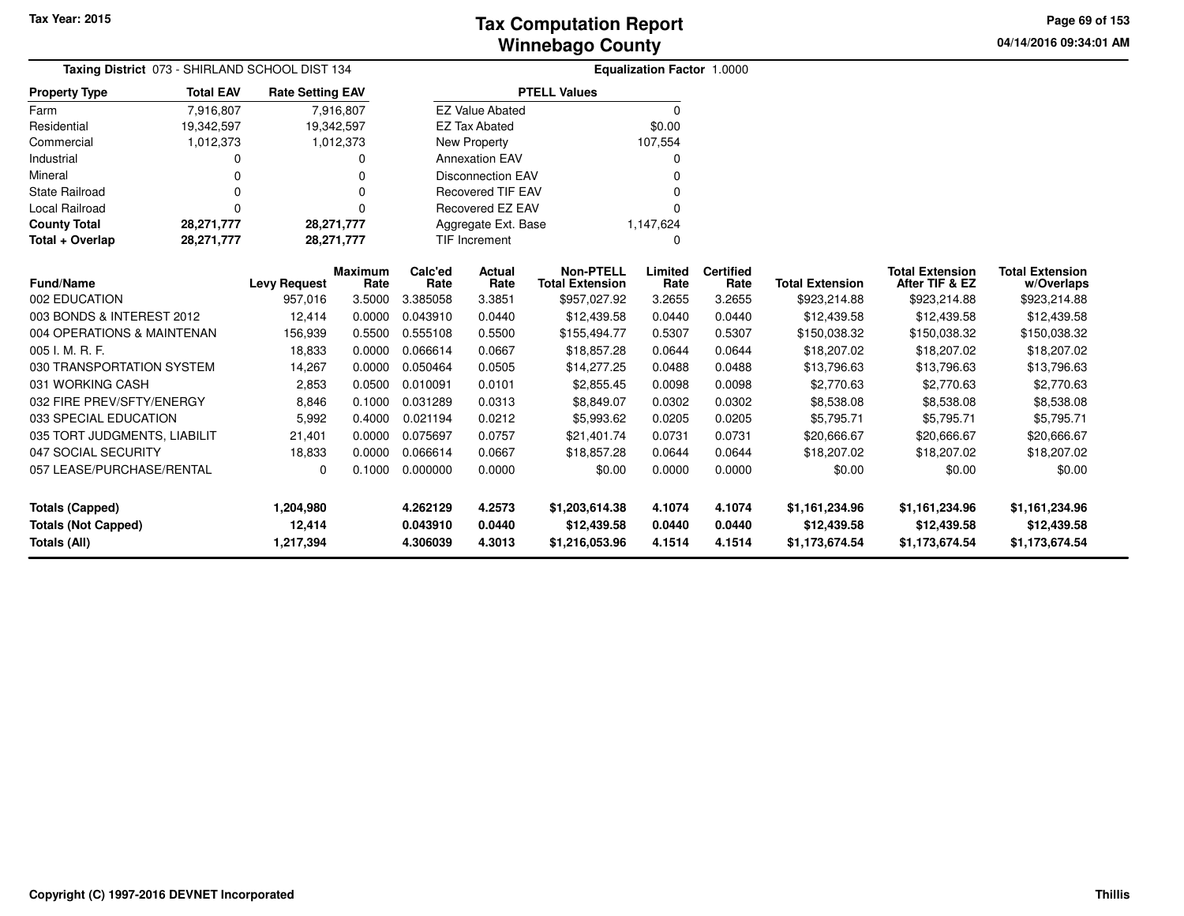**04/14/2016 09:34:01 AM Page 69 of 153**

| Taxing District 073 - SHIRLAND SCHOOL DIST 134 |                  |                         |                |                                  |                          |                        | Equalization Factor 1.0000 |                  |                        |                        |                        |
|------------------------------------------------|------------------|-------------------------|----------------|----------------------------------|--------------------------|------------------------|----------------------------|------------------|------------------------|------------------------|------------------------|
| <b>Property Type</b>                           | <b>Total EAV</b> | <b>Rate Setting EAV</b> |                |                                  |                          | <b>PTELL Values</b>    |                            |                  |                        |                        |                        |
| Farm                                           | 7,916,807        |                         | 7,916,807      |                                  | <b>EZ Value Abated</b>   |                        | $\Omega$                   |                  |                        |                        |                        |
| Residential                                    | 19,342,597       | 19,342,597              |                |                                  | <b>EZ Tax Abated</b>     |                        | \$0.00                     |                  |                        |                        |                        |
| Commercial                                     | 1,012,373        |                         | 1,012,373      |                                  | <b>New Property</b>      |                        | 107,554                    |                  |                        |                        |                        |
| Industrial                                     | $\Omega$         |                         | 0              |                                  | <b>Annexation EAV</b>    |                        |                            |                  |                        |                        |                        |
| Mineral                                        | $\Omega$         |                         | $\Omega$       |                                  | <b>Disconnection EAV</b> |                        | O                          |                  |                        |                        |                        |
| <b>State Railroad</b>                          | $\Omega$         |                         | $\Omega$       |                                  | <b>Recovered TIF EAV</b> |                        |                            |                  |                        |                        |                        |
| <b>Local Railroad</b>                          | $\Omega$         |                         | $\Omega$       |                                  | Recovered EZ EAV         |                        | O                          |                  |                        |                        |                        |
| <b>County Total</b>                            | 28,271,777       | 28,271,777              |                | Aggregate Ext. Base<br>1,147,624 |                          |                        |                            |                  |                        |                        |                        |
| Total + Overlap                                | 28,271,777       | 28,271,777              |                |                                  | <b>TIF Increment</b>     |                        | O                          |                  |                        |                        |                        |
|                                                |                  |                         | <b>Maximum</b> | Calc'ed                          | Actual                   | <b>Non-PTELL</b>       | Limited                    | <b>Certified</b> |                        | <b>Total Extension</b> | <b>Total Extension</b> |
| <b>Fund/Name</b>                               |                  | <b>Levy Request</b>     | Rate           | Rate                             | Rate                     | <b>Total Extension</b> | Rate                       | Rate             | <b>Total Extension</b> | After TIF & EZ         | w/Overlaps             |
| 002 EDUCATION                                  |                  | 957,016                 | 3.5000         | 3.385058                         | 3.3851                   | \$957,027.92           | 3.2655                     | 3.2655           | \$923,214.88           | \$923,214.88           | \$923,214.88           |
| 003 BONDS & INTEREST 2012                      |                  | 12,414                  | 0.0000         | 0.043910                         | 0.0440                   | \$12,439.58            | 0.0440                     | 0.0440           | \$12,439.58            | \$12,439.58            | \$12,439.58            |
| 004 OPERATIONS & MAINTENAN                     |                  | 156,939                 | 0.5500         | 0.555108                         | 0.5500                   | \$155,494.77           | 0.5307                     | 0.5307           | \$150,038.32           | \$150,038.32           | \$150,038.32           |
| 005 I. M. R. F.                                |                  | 18,833                  | 0.0000         | 0.066614                         | 0.0667                   | \$18,857.28            | 0.0644                     | 0.0644           | \$18,207.02            | \$18,207.02            | \$18,207.02            |
| 030 TRANSPORTATION SYSTEM                      |                  | 14,267                  | 0.0000         | 0.050464                         | 0.0505                   | \$14,277.25            | 0.0488                     | 0.0488           | \$13,796.63            | \$13,796.63            | \$13,796.63            |
| 031 WORKING CASH                               |                  | 2,853                   | 0.0500         | 0.010091                         | 0.0101                   | \$2,855.45             | 0.0098                     | 0.0098           | \$2,770.63             | \$2,770.63             | \$2,770.63             |
| 032 FIRE PREV/SFTY/ENERGY                      |                  | 8,846                   | 0.1000         | 0.031289                         | 0.0313                   | \$8,849.07             | 0.0302                     | 0.0302           | \$8,538.08             | \$8,538.08             | \$8,538.08             |
| 033 SPECIAL EDUCATION                          |                  | 5,992                   | 0.4000         | 0.021194                         | 0.0212                   | \$5,993.62             | 0.0205                     | 0.0205           | \$5,795.71             | \$5,795.71             | \$5,795.71             |
| 035 TORT JUDGMENTS, LIABILIT                   |                  | 21,401                  | 0.0000         | 0.075697                         | 0.0757                   | \$21,401.74            | 0.0731                     | 0.0731           | \$20,666.67            | \$20,666.67            | \$20,666.67            |
| 047 SOCIAL SECURITY                            |                  | 18,833                  | 0.0000         | 0.066614                         | 0.0667                   | \$18,857.28            | 0.0644                     | 0.0644           | \$18,207.02            | \$18,207.02            | \$18,207.02            |
| 057 LEASE/PURCHASE/RENTAL                      |                  | 0                       | 0.1000         | 0.000000                         | 0.0000                   | \$0.00                 | 0.0000                     | 0.0000           | \$0.00                 | \$0.00                 | \$0.00                 |
| <b>Totals (Capped)</b><br>1,204,980            |                  |                         |                | 4.262129                         | 4.2573                   | \$1,203,614.38         | 4.1074                     | 4.1074           | \$1,161,234.96         | \$1,161,234.96         | \$1,161,234.96         |
| <b>Totals (Not Capped)</b>                     |                  | 12,414                  |                | 0.043910                         | 0.0440                   | \$12,439.58            | 0.0440                     | 0.0440           | \$12,439.58            | \$12,439.58            | \$12,439.58            |
| Totals (All)                                   | 1,217,394        |                         | 4.306039       | 4.3013                           | \$1,216,053.96           | 4.1514                 | 4.1514                     | \$1,173,674.54   | \$1,173,674.54         | \$1,173,674.54         |                        |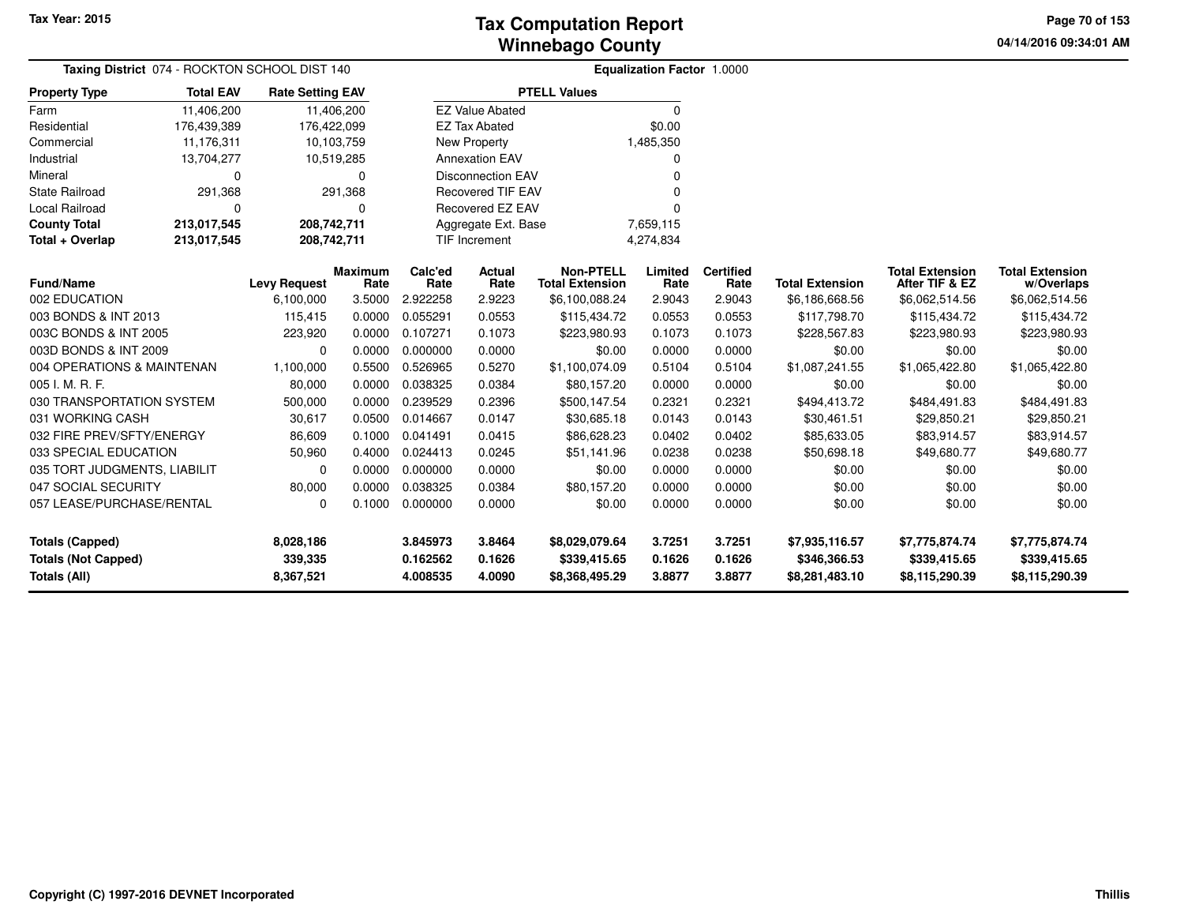**04/14/2016 09:34:01 AM Page 70 of 153**

| <b>Taxing District 074 - ROCKTON SCHOOL DIST 140</b> |                  | <b>Equalization Factor 1.0000</b> |                        |                 |                                   |                                            |                 |                          |                        |                                          |                                      |  |
|------------------------------------------------------|------------------|-----------------------------------|------------------------|-----------------|-----------------------------------|--------------------------------------------|-----------------|--------------------------|------------------------|------------------------------------------|--------------------------------------|--|
| <b>Property Type</b>                                 | <b>Total EAV</b> | <b>Rate Setting EAV</b>           |                        |                 |                                   | <b>PTELL Values</b>                        |                 |                          |                        |                                          |                                      |  |
| Farm                                                 | 11,406,200       |                                   | 11,406,200             |                 | <b>EZ Value Abated</b>            |                                            | $\Omega$        |                          |                        |                                          |                                      |  |
| Residential                                          | 176,439,389      | 176,422,099                       |                        |                 | <b>EZ Tax Abated</b>              |                                            | \$0.00          |                          |                        |                                          |                                      |  |
| Commercial                                           | 11,176,311       |                                   | 10,103,759             |                 | New Property                      |                                            | 1,485,350       |                          |                        |                                          |                                      |  |
| Industrial                                           | 13,704,277       |                                   | 10,519,285             |                 | <b>Annexation EAV</b>             |                                            | 0               |                          |                        |                                          |                                      |  |
| Mineral                                              | 0                |                                   | 0                      |                 | <b>Disconnection EAV</b>          |                                            | U               |                          |                        |                                          |                                      |  |
| <b>State Railroad</b>                                | 291,368          |                                   | 291,368                |                 | <b>Recovered TIF EAV</b>          |                                            | 0               |                          |                        |                                          |                                      |  |
| <b>Local Railroad</b>                                | $\Omega$         |                                   | 0                      |                 | Recovered EZ EAV                  |                                            | U               |                          |                        |                                          |                                      |  |
| <b>County Total</b>                                  | 213,017,545      | 208,742,711                       |                        |                 | Aggregate Ext. Base               |                                            | 7,659,115       |                          |                        |                                          |                                      |  |
| Total + Overlap                                      | 213,017,545      | 208,742,711                       |                        |                 | <b>TIF Increment</b><br>4,274,834 |                                            |                 |                          |                        |                                          |                                      |  |
| <b>Fund/Name</b>                                     |                  | <b>Levy Request</b>               | <b>Maximum</b><br>Rate | Calc'ed<br>Rate | <b>Actual</b><br>Rate             | <b>Non-PTELL</b><br><b>Total Extension</b> | Limited<br>Rate | <b>Certified</b><br>Rate | <b>Total Extension</b> | <b>Total Extension</b><br>After TIF & EZ | <b>Total Extension</b><br>w/Overlaps |  |
| 002 EDUCATION                                        |                  | 6,100,000                         | 3.5000                 | 2.922258        | 2.9223                            | \$6,100,088.24                             | 2.9043          | 2.9043                   | \$6,186,668.56         | \$6,062,514.56                           | \$6,062,514.56                       |  |
| 003 BONDS & INT 2013                                 |                  | 115,415                           | 0.0000                 | 0.055291        | 0.0553                            | \$115,434.72                               | 0.0553          | 0.0553                   | \$117,798.70           | \$115,434.72                             | \$115,434.72                         |  |
| 003C BONDS & INT 2005                                |                  | 223,920                           | 0.0000                 | 0.107271        | 0.1073                            | \$223,980.93                               | 0.1073          | 0.1073                   | \$228,567.83           | \$223,980.93                             | \$223,980.93                         |  |
| 003D BONDS & INT 2009                                |                  | 0                                 | 0.0000                 | 0.000000        | 0.0000                            | \$0.00                                     | 0.0000          | 0.0000                   | \$0.00                 | \$0.00                                   | \$0.00                               |  |
| 004 OPERATIONS & MAINTENAN                           |                  | 1,100,000                         | 0.5500                 | 0.526965        | 0.5270                            | \$1,100,074.09                             | 0.5104          | 0.5104                   | \$1,087,241.55         | \$1,065,422.80                           | \$1,065,422.80                       |  |
| 005 I. M. R. F.                                      |                  | 80,000                            | 0.0000                 | 0.038325        | 0.0384                            | \$80,157.20                                | 0.0000          | 0.0000                   | \$0.00                 | \$0.00                                   | \$0.00                               |  |
| 030 TRANSPORTATION SYSTEM                            |                  | 500,000                           | 0.0000                 | 0.239529        | 0.2396                            | \$500,147.54                               | 0.2321          | 0.2321                   | \$494,413.72           | \$484,491.83                             | \$484,491.83                         |  |
| 031 WORKING CASH                                     |                  | 30,617                            | 0.0500                 | 0.014667        | 0.0147                            | \$30,685.18                                | 0.0143          | 0.0143                   | \$30,461.51            | \$29,850.21                              | \$29,850.21                          |  |
| 032 FIRE PREV/SFTY/ENERGY                            |                  | 86,609                            | 0.1000                 | 0.041491        | 0.0415                            | \$86,628.23                                | 0.0402          | 0.0402                   | \$85,633.05            | \$83,914.57                              | \$83,914.57                          |  |
| 033 SPECIAL EDUCATION                                |                  | 50,960                            | 0.4000                 | 0.024413        | 0.0245                            | \$51,141.96                                | 0.0238          | 0.0238                   | \$50,698.18            | \$49,680.77                              | \$49,680.77                          |  |
| 035 TORT JUDGMENTS, LIABILIT                         |                  | 0                                 | 0.0000                 | 0.000000        | 0.0000                            | \$0.00                                     | 0.0000          | 0.0000                   | \$0.00                 | \$0.00                                   | \$0.00                               |  |
| 047 SOCIAL SECURITY                                  |                  | 80,000                            | 0.0000                 | 0.038325        | 0.0384                            | \$80,157.20                                | 0.0000          | 0.0000                   | \$0.00                 | \$0.00                                   | \$0.00                               |  |
| 057 LEASE/PURCHASE/RENTAL                            |                  | 0                                 | 0.1000                 | 0.000000        | 0.0000                            | \$0.00                                     | 0.0000          | 0.0000                   | \$0.00                 | \$0.00                                   | \$0.00                               |  |
| <b>Totals (Capped)</b>                               |                  | 8.028.186                         |                        | 3.845973        | 3.8464                            | \$8,029,079.64                             | 3.7251          | 3.7251                   | \$7,935,116.57         | \$7,775,874.74                           | \$7,775,874.74                       |  |
| <b>Totals (Not Capped)</b>                           |                  | 339,335                           |                        | 0.162562        | 0.1626                            | \$339,415.65                               | 0.1626          | 0.1626                   | \$346,366.53           | \$339,415.65                             | \$339,415.65                         |  |
| Totals (All)                                         |                  | 8,367,521                         |                        | 4.008535        | 4.0090                            | \$8,368,495.29                             | 3.8877          | 3.8877                   | \$8,281,483.10         | \$8,115,290.39                           | \$8,115,290.39                       |  |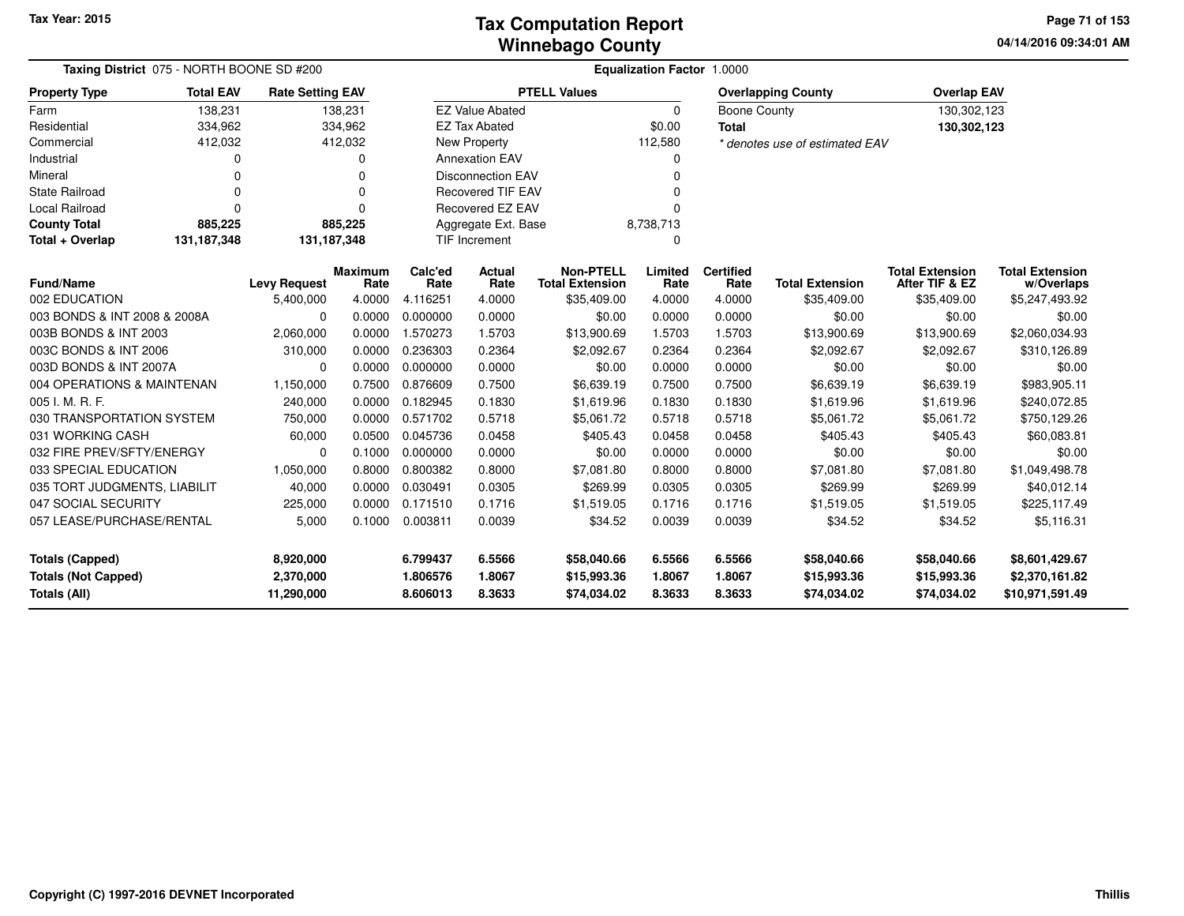**04/14/2016 09:34:01 AM Page 71 of 153**

| Taxing District 075 - NORTH BOONE SD #200  | <b>Equalization Factor 1.0000</b> |                         |                        |                      |                          |                                            |                  |                           |                                |                                          |                                      |
|--------------------------------------------|-----------------------------------|-------------------------|------------------------|----------------------|--------------------------|--------------------------------------------|------------------|---------------------------|--------------------------------|------------------------------------------|--------------------------------------|
| <b>Property Type</b>                       | <b>Rate Setting EAV</b>           |                         |                        |                      | <b>PTELL Values</b>      |                                            |                  | <b>Overlapping County</b> | <b>Overlap EAV</b>             |                                          |                                      |
| Farm                                       | 138,231                           |                         | 138,231                |                      | <b>EZ Value Abated</b>   |                                            | 0                | <b>Boone County</b>       |                                | 130,302,123                              |                                      |
| Residential                                | 334,962                           |                         | 334,962                |                      | <b>EZ Tax Abated</b>     |                                            | \$0.00           | <b>Total</b>              |                                | 130,302,123                              |                                      |
| Commercial                                 | 412,032                           |                         | 412,032                |                      | <b>New Property</b>      |                                            | 112,580          |                           | * denotes use of estimated EAV |                                          |                                      |
| Industrial                                 | O                                 |                         | O                      |                      | <b>Annexation EAV</b>    |                                            | O                |                           |                                |                                          |                                      |
| Mineral                                    | 0                                 |                         | O                      |                      | <b>Disconnection EAV</b> |                                            | O                |                           |                                |                                          |                                      |
| <b>State Railroad</b>                      | 0                                 |                         |                        |                      | <b>Recovered TIF EAV</b> |                                            |                  |                           |                                |                                          |                                      |
| Local Railroad                             | $\Omega$<br>$\Omega$              |                         |                        |                      | Recovered EZ EAV         |                                            | O                |                           |                                |                                          |                                      |
| <b>County Total</b>                        | 885,225                           |                         | 885,225                |                      | Aggregate Ext. Base      |                                            | 8,738,713        |                           |                                |                                          |                                      |
| Total + Overlap                            | 131,187,348                       | 131, 187, 348           |                        |                      | <b>TIF Increment</b>     |                                            | O                |                           |                                |                                          |                                      |
| <b>Fund/Name</b>                           |                                   | <b>Levy Request</b>     | <b>Maximum</b><br>Rate | Calc'ed<br>Rate      | Actual<br>Rate           | <b>Non-PTELL</b><br><b>Total Extension</b> | Limited<br>Rate  | <b>Certified</b><br>Rate  | <b>Total Extension</b>         | <b>Total Extension</b><br>After TIF & EZ | <b>Total Extension</b><br>w/Overlaps |
| 002 EDUCATION                              |                                   | 5,400,000               | 4.0000                 | 4.116251             | 4.0000                   | \$35,409.00                                | 4.0000           | 4.0000                    | \$35,409.00                    | \$35,409.00                              | \$5,247,493.92                       |
| 003 BONDS & INT 2008 & 2008A               |                                   | $\Omega$                | 0.0000                 | 0.000000             | 0.0000                   | \$0.00                                     | 0.0000           | 0.0000                    | \$0.00                         | \$0.00                                   | \$0.00                               |
| 003B BONDS & INT 2003                      |                                   | 2,060,000               | 0.0000                 | 1.570273             | 1.5703                   | \$13,900.69                                | 1.5703           | 1.5703                    | \$13,900.69                    | \$13,900.69                              | \$2,060,034.93                       |
| 003C BONDS & INT 2006                      |                                   | 310,000                 | 0.0000                 | 0.236303             | 0.2364                   | \$2,092.67                                 | 0.2364           | 0.2364                    | \$2,092.67                     | \$2,092.67                               | \$310,126.89                         |
| 003D BONDS & INT 2007A                     |                                   | $\Omega$                | 0.0000                 | 0.000000             | 0.0000                   | \$0.00                                     | 0.0000           | 0.0000                    | \$0.00                         | \$0.00                                   | \$0.00                               |
| 004 OPERATIONS & MAINTENAN                 |                                   | 1,150,000               | 0.7500                 | 0.876609             | 0.7500                   | \$6,639.19                                 | 0.7500           | 0.7500                    | \$6,639.19                     | \$6,639.19                               | \$983,905.11                         |
| 005 I. M. R. F.                            |                                   | 240,000                 | 0.0000                 | 0.182945             | 0.1830                   | \$1,619.96                                 | 0.1830           | 0.1830                    | \$1,619.96                     | \$1,619.96                               | \$240,072.85                         |
| 030 TRANSPORTATION SYSTEM                  |                                   | 750,000                 | 0.0000                 | 0.571702             | 0.5718                   | \$5,061.72                                 | 0.5718           | 0.5718                    | \$5,061.72                     | \$5,061.72                               | \$750,129.26                         |
| 031 WORKING CASH                           |                                   | 60,000                  | 0.0500                 | 0.045736             | 0.0458                   | \$405.43                                   | 0.0458           | 0.0458                    | \$405.43                       | \$405.43                                 | \$60,083.81                          |
| 032 FIRE PREV/SFTY/ENERGY                  |                                   | $\Omega$                | 0.1000                 | 0.000000             | 0.0000                   | \$0.00                                     | 0.0000           | 0.0000                    | \$0.00                         | \$0.00                                   | \$0.00                               |
| 033 SPECIAL EDUCATION                      |                                   | 1,050,000               | 0.8000                 | 0.800382             | 0.8000                   | \$7,081.80                                 | 0.8000           | 0.8000                    | \$7,081.80                     | \$7,081.80                               | \$1,049,498.78                       |
| 035 TORT JUDGMENTS, LIABILIT               |                                   | 40,000                  | 0.0000                 | 0.030491             | 0.0305                   | \$269.99                                   | 0.0305           | 0.0305                    | \$269.99                       | \$269.99                                 | \$40,012.14                          |
| 047 SOCIAL SECURITY                        |                                   | 225,000                 | 0.0000                 | 0.171510             | 0.1716                   | \$1,519.05                                 | 0.1716           | 0.1716                    | \$1,519.05                     | \$1,519.05                               | \$225,117.49                         |
| 057 LEASE/PURCHASE/RENTAL                  |                                   | 5,000                   | 0.1000                 | 0.003811             | 0.0039                   | \$34.52                                    | 0.0039           | 0.0039                    | \$34.52                        | \$34.52                                  | \$5,116.31                           |
| <b>Totals (Capped)</b>                     |                                   | 8,920,000               |                        | 6.799437             | 6.5566                   | \$58,040.66                                | 6.5566           | 6.5566                    | \$58,040.66                    | \$58,040.66                              | \$8,601,429.67                       |
| <b>Totals (Not Capped)</b><br>Totals (All) |                                   | 2,370,000<br>11,290,000 |                        | 1.806576<br>8.606013 | 1.8067<br>8.3633         | \$15,993.36<br>\$74,034.02                 | 1.8067<br>8.3633 | 1.8067<br>8.3633          | \$15,993.36<br>\$74,034.02     | \$15,993.36<br>\$74,034.02               | \$2,370,161.82<br>\$10,971,591.49    |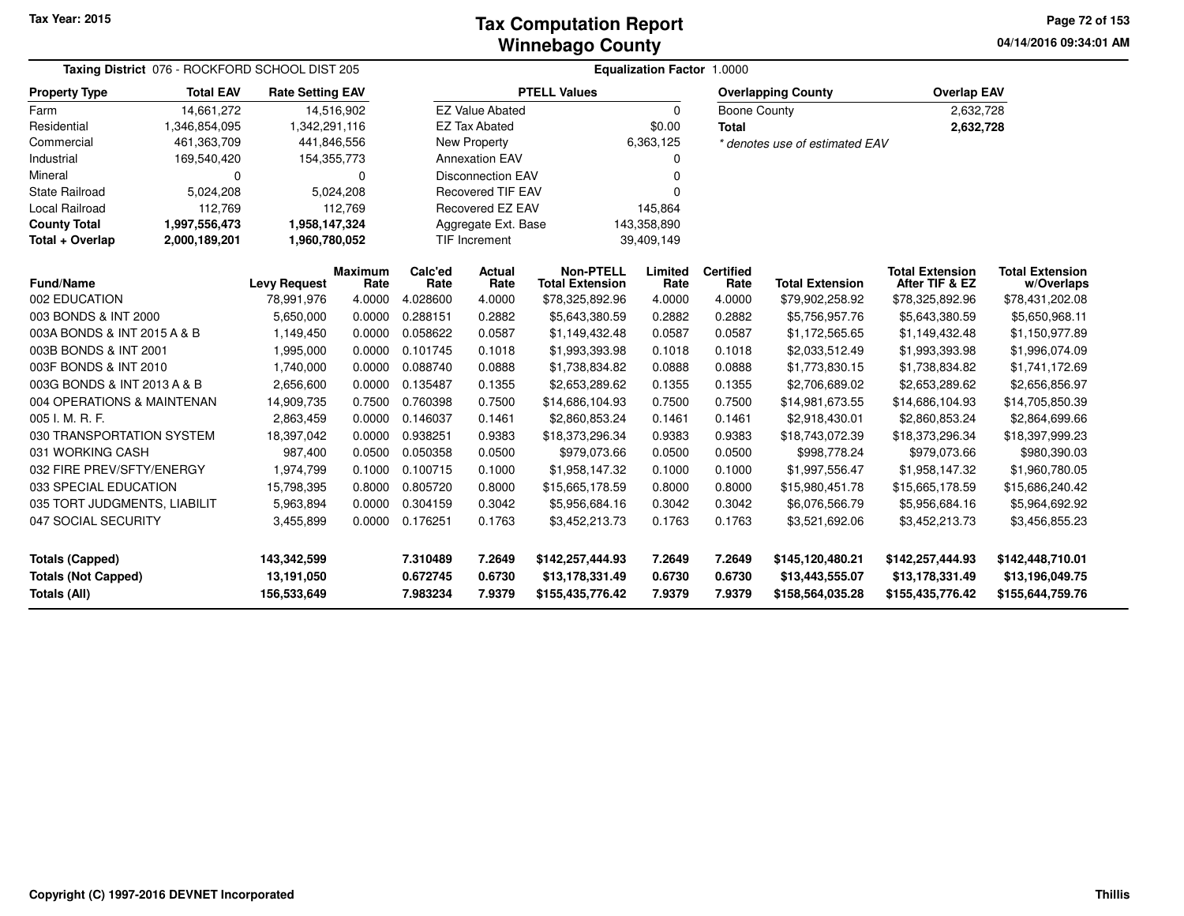**04/14/2016 09:34:01 AM Page 72 of 153**

| Taxing District 076 - ROCKFORD SCHOOL DIST 205 |                                             |                           |                                    | <b>Equalization Factor 1.0000</b> |                          |                                            |                           |                          |                                     |                                          |                                      |
|------------------------------------------------|---------------------------------------------|---------------------------|------------------------------------|-----------------------------------|--------------------------|--------------------------------------------|---------------------------|--------------------------|-------------------------------------|------------------------------------------|--------------------------------------|
| <b>Property Type</b>                           | <b>Total EAV</b><br><b>Rate Setting EAV</b> |                           |                                    | <b>PTELL Values</b>               |                          |                                            | <b>Overlapping County</b> |                          | <b>Overlap EAV</b>                  |                                          |                                      |
| Farm                                           | 14,661,272<br>14,516,902                    |                           | <b>EZ Value Abated</b><br>$\Omega$ |                                   |                          |                                            | <b>Boone County</b>       |                          | 2,632,728                           |                                          |                                      |
| Residential<br>1,346,854,095                   |                                             | 1,342,291,116             |                                    | <b>EZ Tax Abated</b>              |                          |                                            | \$0.00<br><b>Total</b>    |                          |                                     | 2,632,728                                |                                      |
| Commercial<br>461,363,709                      |                                             |                           | 441,846,556                        |                                   | New Property             |                                            | 6,363,125                 |                          | * denotes use of estimated EAV      |                                          |                                      |
| Industrial<br>169,540,420                      |                                             |                           | 154,355,773                        |                                   | <b>Annexation EAV</b>    |                                            |                           |                          |                                     |                                          |                                      |
| Mineral<br>0                                   |                                             | 0                         |                                    | <b>Disconnection EAV</b>          |                          |                                            |                           |                          |                                     |                                          |                                      |
| <b>State Railroad</b>                          | 5,024,208                                   |                           | 5,024,208                          |                                   | <b>Recovered TIF EAV</b> |                                            |                           |                          |                                     |                                          |                                      |
| Local Railroad                                 | 112,769                                     | 112,769                   |                                    |                                   | Recovered EZ EAV         |                                            | 145,864                   |                          |                                     |                                          |                                      |
| <b>County Total</b>                            | 1,997,556,473<br>1,958,147,324              |                           |                                    |                                   |                          | Aggregate Ext. Base                        |                           | 143,358,890              |                                     |                                          |                                      |
| Total + Overlap                                | 2,000,189,201                               |                           | 1,960,780,052                      |                                   | <b>TIF Increment</b>     |                                            | 39,409,149                |                          |                                     |                                          |                                      |
| <b>Fund/Name</b>                               |                                             | <b>Levy Request</b>       | <b>Maximum</b><br>Rate             | Calc'ed<br>Rate                   | <b>Actual</b><br>Rate    | <b>Non-PTELL</b><br><b>Total Extension</b> | Limited<br>Rate           | <b>Certified</b><br>Rate | <b>Total Extension</b>              | <b>Total Extension</b><br>After TIF & EZ | <b>Total Extension</b><br>w/Overlaps |
| 002 EDUCATION                                  |                                             | 78,991,976                | 4.0000                             | 4.028600                          | 4.0000                   | \$78,325,892.96                            | 4.0000                    | 4.0000                   | \$79,902,258.92                     | \$78,325,892.96                          | \$78,431,202.08                      |
| 003 BONDS & INT 2000                           |                                             | 5,650,000                 | 0.0000                             | 0.288151                          | 0.2882                   | \$5,643,380.59                             | 0.2882                    | 0.2882                   | \$5,756,957.76                      | \$5,643,380.59                           | \$5,650,968.11                       |
| 003A BONDS & INT 2015 A & B                    |                                             | 1,149,450                 | 0.0000                             | 0.058622                          | 0.0587                   | \$1,149,432.48                             | 0.0587                    | 0.0587                   | \$1,172,565.65                      | \$1,149,432.48                           | \$1,150,977.89                       |
| 003B BONDS & INT 2001                          |                                             | 1,995,000                 | 0.0000                             | 0.101745                          | 0.1018                   | \$1,993,393.98                             | 0.1018                    | 0.1018                   | \$2,033,512.49                      | \$1,993,393.98                           | \$1,996,074.09                       |
| 003F BONDS & INT 2010                          |                                             | 1,740,000                 | 0.0000                             | 0.088740                          | 0.0888                   | \$1,738,834.82                             | 0.0888                    | 0.0888                   | \$1,773,830.15                      | \$1,738,834.82                           | \$1,741,172.69                       |
| 003G BONDS & INT 2013 A & B                    |                                             | 2,656,600                 | 0.0000                             | 0.135487                          | 0.1355                   | \$2,653,289.62                             | 0.1355                    | 0.1355                   | \$2,706,689.02                      | \$2,653,289.62                           | \$2,656,856.97                       |
| 004 OPERATIONS & MAINTENAN                     |                                             | 14,909,735                | 0.7500                             | 0.760398                          | 0.7500                   | \$14,686,104.93                            | 0.7500                    | 0.7500                   | \$14,981,673.55                     | \$14,686,104.93                          | \$14,705,850.39                      |
| 005 I. M. R. F.                                |                                             | 2,863,459                 | 0.0000                             | 0.146037                          | 0.1461                   | \$2,860,853.24                             | 0.1461                    | 0.1461                   | \$2,918,430.01                      | \$2,860,853.24                           | \$2,864,699.66                       |
| 030 TRANSPORTATION SYSTEM                      |                                             | 18,397,042                | 0.0000                             | 0.938251                          | 0.9383                   | \$18,373,296.34                            | 0.9383                    | 0.9383                   | \$18,743,072.39                     | \$18,373,296.34                          | \$18,397,999.23                      |
| 031 WORKING CASH                               |                                             | 987,400                   | 0.0500                             | 0.050358                          | 0.0500                   | \$979,073.66                               | 0.0500                    | 0.0500                   | \$998,778.24                        | \$979,073.66                             | \$980,390.03                         |
| 032 FIRE PREV/SFTY/ENERGY                      |                                             | 1,974,799                 | 0.1000                             | 0.100715                          | 0.1000                   | \$1,958,147.32                             | 0.1000                    | 0.1000                   | \$1,997,556.47                      | \$1,958,147.32                           | \$1,960,780.05                       |
| 033 SPECIAL EDUCATION                          |                                             | 15,798,395                | 0.8000                             | 0.805720                          | 0.8000                   | \$15,665,178.59                            | 0.8000                    | 0.8000                   | \$15,980,451.78                     | \$15,665,178.59                          | \$15,686,240.42                      |
| 035 TORT JUDGMENTS, LIABILIT                   |                                             | 5,963,894                 | 0.0000                             | 0.304159                          | 0.3042                   | \$5,956,684.16                             | 0.3042                    | 0.3042                   | \$6,076,566.79                      | \$5,956,684.16                           | \$5,964,692.92                       |
| 047 SOCIAL SECURITY                            |                                             | 3,455,899                 | 0.0000                             | 0.176251                          | 0.1763                   | \$3,452,213.73                             | 0.1763                    | 0.1763                   | \$3,521,692.06                      | \$3,452,213.73                           | \$3,456,855.23                       |
| <b>Totals (Capped)</b>                         |                                             | 143,342,599               |                                    | 7.310489                          | 7.2649                   | \$142,257,444.93                           | 7.2649                    | 7.2649                   | \$145,120,480.21                    | \$142,257,444.93                         | \$142,448,710.01                     |
| <b>Totals (Not Capped)</b><br>Totals (All)     |                                             | 13,191,050<br>156,533,649 |                                    | 0.672745<br>7.983234              | 0.6730<br>7.9379         | \$13,178,331.49<br>\$155,435,776.42        | 0.6730<br>7.9379          | 0.6730<br>7.9379         | \$13,443,555.07<br>\$158,564,035.28 | \$13,178,331.49<br>\$155,435,776.42      | \$13,196,049.75<br>\$155,644,759.76  |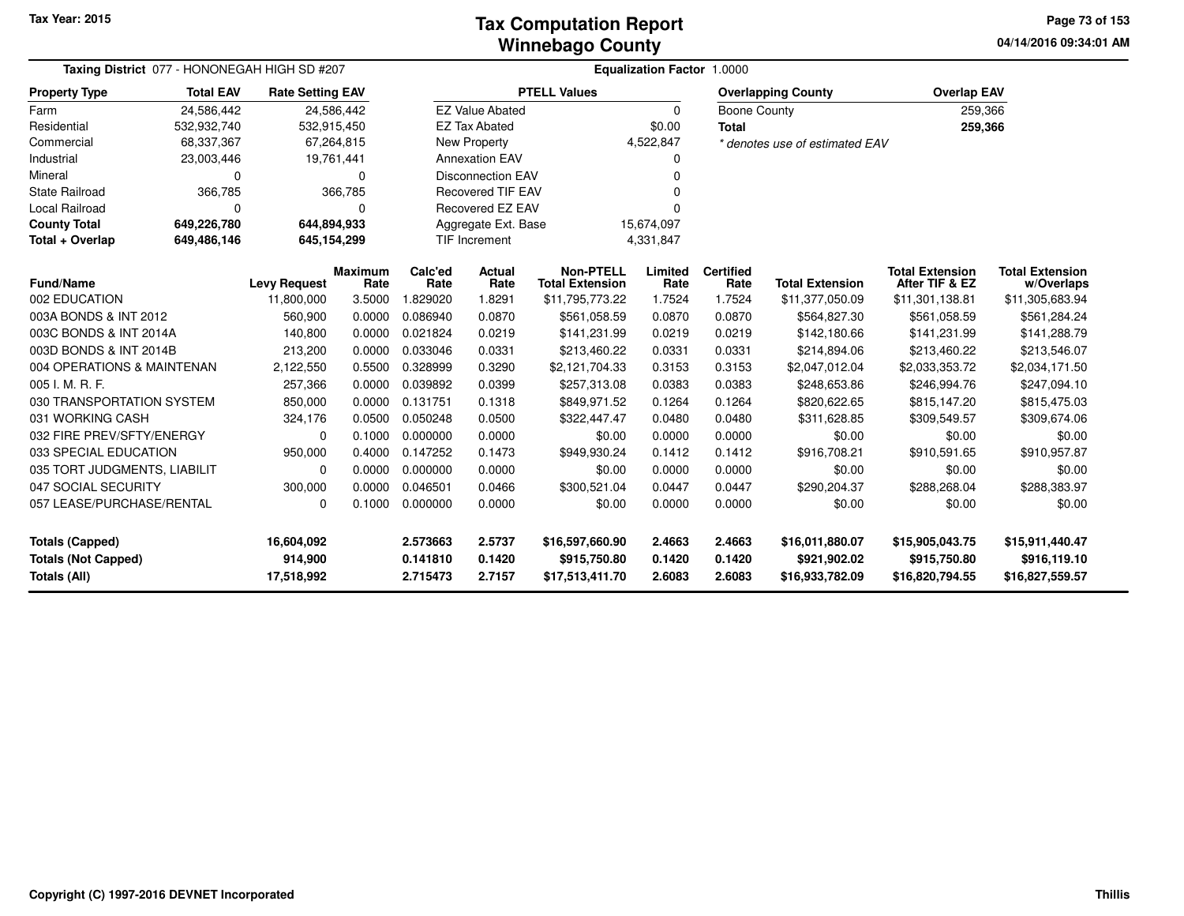#### **Winnebago CountyTax Computation Report**

**04/14/2016 09:34:01 AM Page 73 of 153**

| Taxing District 077 - HONONEGAH HIGH SD #207                                                                                                             |             | Equalization Factor 1.0000 |                        |                 |                          |                                            |                 |                          |                                |                                          |                                      |
|----------------------------------------------------------------------------------------------------------------------------------------------------------|-------------|----------------------------|------------------------|-----------------|--------------------------|--------------------------------------------|-----------------|--------------------------|--------------------------------|------------------------------------------|--------------------------------------|
| <b>Total EAV</b><br><b>PTELL Values</b><br><b>Property Type</b><br><b>Rate Setting EAV</b><br>Farm<br>24,586,442<br>24,586,442<br><b>EZ Value Abated</b> |             |                            |                        |                 |                          |                                            |                 |                          | <b>Overlapping County</b>      | <b>Overlap EAV</b>                       |                                      |
|                                                                                                                                                          |             |                            |                        |                 |                          |                                            | $\Omega$        | Boone County             |                                | 259,366                                  |                                      |
| Residential                                                                                                                                              | 532,932,740 | 532,915,450                |                        |                 | <b>EZ Tax Abated</b>     |                                            | \$0.00          | <b>Total</b>             |                                | 259,366                                  |                                      |
| Commercial                                                                                                                                               | 68,337,367  |                            | 67,264,815             |                 | New Property             |                                            | 4,522,847       |                          | * denotes use of estimated EAV |                                          |                                      |
| Industrial                                                                                                                                               | 23,003,446  |                            | 19,761,441             |                 | <b>Annexation EAV</b>    |                                            | 0               |                          |                                |                                          |                                      |
| Mineral                                                                                                                                                  | 0           |                            | $\Omega$               |                 | <b>Disconnection EAV</b> |                                            | $\Omega$        |                          |                                |                                          |                                      |
| <b>State Railroad</b>                                                                                                                                    | 366,785     |                            | 366,785                |                 | <b>Recovered TIF EAV</b> |                                            |                 |                          |                                |                                          |                                      |
| Local Railroad                                                                                                                                           | 0           |                            | 0                      |                 | Recovered EZ EAV         |                                            | 0               |                          |                                |                                          |                                      |
| <b>County Total</b>                                                                                                                                      | 649,226,780 | 644,894,933                |                        |                 | Aggregate Ext. Base      |                                            | 15,674,097      |                          |                                |                                          |                                      |
| Total + Overlap                                                                                                                                          | 649,486,146 | 645,154,299                |                        |                 | <b>TIF Increment</b>     |                                            | 4,331,847       |                          |                                |                                          |                                      |
| Fund/Name                                                                                                                                                |             | <b>Levy Request</b>        | <b>Maximum</b><br>Rate | Calc'ed<br>Rate | Actual<br>Rate           | <b>Non-PTELL</b><br><b>Total Extension</b> | Limited<br>Rate | <b>Certified</b><br>Rate | <b>Total Extension</b>         | <b>Total Extension</b><br>After TIF & EZ | <b>Total Extension</b><br>w/Overlaps |
| 002 EDUCATION                                                                                                                                            |             | 11,800,000                 | 3.5000                 | 1.829020        | 1.8291                   | \$11,795,773.22                            | 1.7524          | 1.7524                   | \$11,377,050.09                | \$11,301,138.81                          | \$11,305,683.94                      |
| 003A BONDS & INT 2012                                                                                                                                    |             | 560,900                    | 0.0000                 | 0.086940        | 0.0870                   | \$561,058.59                               | 0.0870          | 0.0870                   | \$564,827.30                   | \$561,058.59                             | \$561,284.24                         |
| 003C BONDS & INT 2014A                                                                                                                                   |             | 140,800                    | 0.0000                 | 0.021824        | 0.0219                   | \$141,231.99                               | 0.0219          | 0.0219                   | \$142,180.66                   | \$141,231.99                             | \$141,288.79                         |
| 003D BONDS & INT 2014B                                                                                                                                   |             | 213,200                    | 0.0000                 | 0.033046        | 0.0331                   | \$213,460.22                               | 0.0331          | 0.0331                   | \$214,894.06                   | \$213,460.22                             | \$213,546.07                         |
| 004 OPERATIONS & MAINTENAN                                                                                                                               |             | 2,122,550                  | 0.5500                 | 0.328999        | 0.3290                   | \$2,121,704.33                             | 0.3153          | 0.3153                   | \$2,047,012.04                 | \$2,033,353.72                           | \$2,034,171.50                       |
| 005 I. M. R. F.                                                                                                                                          |             | 257,366                    | 0.0000                 | 0.039892        | 0.0399                   | \$257,313.08                               | 0.0383          | 0.0383                   | \$248,653.86                   | \$246,994.76                             | \$247,094.10                         |
| 030 TRANSPORTATION SYSTEM                                                                                                                                |             | 850,000                    | 0.0000                 | 0.131751        | 0.1318                   | \$849,971.52                               | 0.1264          | 0.1264                   | \$820,622.65                   | \$815,147.20                             | \$815,475.03                         |
| 031 WORKING CASH                                                                                                                                         |             | 324,176                    | 0.0500                 | 0.050248        | 0.0500                   | \$322,447.47                               | 0.0480          | 0.0480                   | \$311,628.85                   | \$309,549.57                             | \$309,674.06                         |
| 032 FIRE PREV/SFTY/ENERGY                                                                                                                                |             | 0                          | 0.1000                 | 0.000000        | 0.0000                   | \$0.00                                     | 0.0000          | 0.0000                   | \$0.00                         | \$0.00                                   | \$0.00                               |
| 033 SPECIAL EDUCATION                                                                                                                                    |             | 950,000                    | 0.4000                 | 0.147252        | 0.1473                   | \$949,930.24                               | 0.1412          | 0.1412                   | \$916,708.21                   | \$910,591.65                             | \$910,957.87                         |
| 035 TORT JUDGMENTS, LIABILIT                                                                                                                             |             | 0                          | 0.0000                 | 0.000000        | 0.0000                   | \$0.00                                     | 0.0000          | 0.0000                   | \$0.00                         | \$0.00                                   | \$0.00                               |
| 047 SOCIAL SECURITY                                                                                                                                      |             | 300,000                    | 0.0000                 | 0.046501        | 0.0466                   | \$300,521.04                               | 0.0447          | 0.0447                   | \$290,204.37                   | \$288,268.04                             | \$288,383.97                         |
| 057 LEASE/PURCHASE/RENTAL                                                                                                                                |             | 0                          | 0.1000                 | 0.000000        | 0.0000                   | \$0.00                                     | 0.0000          | 0.0000                   | \$0.00                         | \$0.00                                   | \$0.00                               |
| <b>Totals (Capped)</b>                                                                                                                                   | 16,604,092  |                            | 2.573663               | 2.5737          | \$16,597,660.90          | 2.4663                                     | 2.4663          | \$16,011,880.07          | \$15,905,043.75                | \$15,911,440.47                          |                                      |
| <b>Totals (Not Capped)</b>                                                                                                                               |             | 914,900                    |                        | 0.141810        | 0.1420                   | \$915,750.80                               | 0.1420          | 0.1420                   | \$921,902.02                   | \$915,750.80                             | \$916,119.10                         |
| <b>Totals (All)</b>                                                                                                                                      | 17,518,992  |                            | 2.715473               | 2.7157          | \$17,513,411.70          | 2.6083                                     | 2.6083          | \$16,933,782.09          | \$16,820,794.55                | \$16,827,559.57                          |                                      |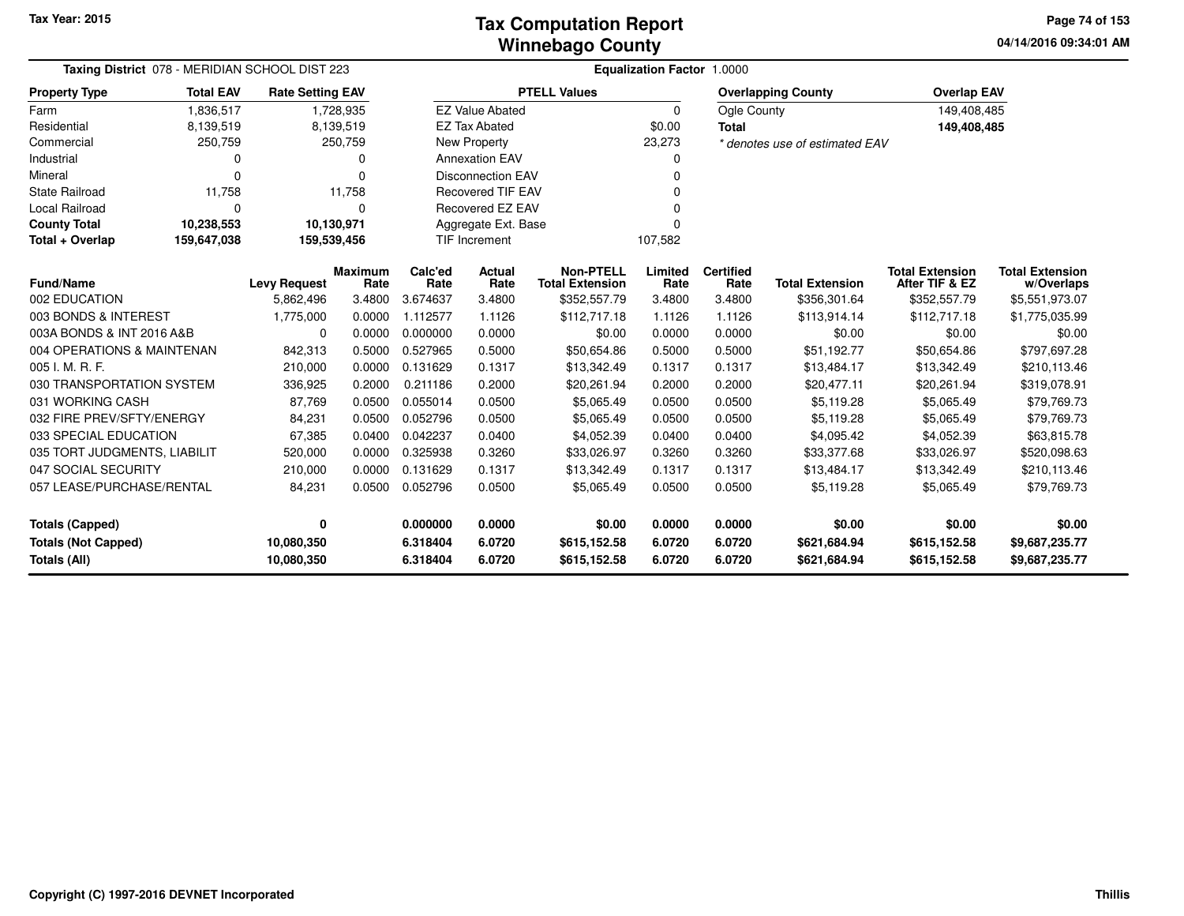**04/14/2016 09:34:01 AM Page 74 of 153**

| Taxing District 078 - MERIDIAN SCHOOL DIST 223 |                  |                         |                        |                 |                          |                                            | <b>Equalization Factor 1.0000</b> |                          |                                |                                          |                                      |
|------------------------------------------------|------------------|-------------------------|------------------------|-----------------|--------------------------|--------------------------------------------|-----------------------------------|--------------------------|--------------------------------|------------------------------------------|--------------------------------------|
| <b>Property Type</b>                           | <b>Total EAV</b> | <b>Rate Setting EAV</b> |                        |                 |                          | <b>PTELL Values</b>                        |                                   |                          | <b>Overlapping County</b>      | <b>Overlap EAV</b>                       |                                      |
| Farm                                           | 1,836,517        |                         | 1,728,935              |                 | <b>EZ Value Abated</b>   |                                            | $\mathbf 0$                       | Ogle County              |                                | 149,408,485                              |                                      |
| Residential                                    | 8,139,519        |                         | 8,139,519              |                 | <b>EZ Tax Abated</b>     |                                            | \$0.00                            | <b>Total</b>             |                                | 149,408,485                              |                                      |
| Commercial                                     | 250,759          |                         | 250,759                |                 | <b>New Property</b>      |                                            | 23,273                            |                          | * denotes use of estimated EAV |                                          |                                      |
| Industrial                                     | 0                |                         | 0                      |                 | <b>Annexation EAV</b>    |                                            | 0                                 |                          |                                |                                          |                                      |
| Mineral                                        | 0                |                         | $\Omega$               |                 | <b>Disconnection EAV</b> |                                            | $\Omega$                          |                          |                                |                                          |                                      |
| <b>State Railroad</b>                          | 11,758           |                         | 11,758                 |                 | <b>Recovered TIF EAV</b> |                                            |                                   |                          |                                |                                          |                                      |
| Local Railroad                                 | $\Omega$         |                         | 0                      |                 | <b>Recovered EZ EAV</b>  |                                            |                                   |                          |                                |                                          |                                      |
| <b>County Total</b>                            | 10,238,553       | 10,130,971              |                        |                 | Aggregate Ext. Base      |                                            | $\Omega$                          |                          |                                |                                          |                                      |
| Total + Overlap                                | 159,647,038      | 159,539,456             |                        |                 | <b>TIF Increment</b>     |                                            | 107,582                           |                          |                                |                                          |                                      |
| <b>Fund/Name</b>                               |                  | <b>Levy Request</b>     | <b>Maximum</b><br>Rate | Calc'ed<br>Rate | Actual<br>Rate           | <b>Non-PTELL</b><br><b>Total Extension</b> | Limited<br>Rate                   | <b>Certified</b><br>Rate | <b>Total Extension</b>         | <b>Total Extension</b><br>After TIF & EZ | <b>Total Extension</b><br>w/Overlaps |
| 002 EDUCATION                                  |                  | 5,862,496               | 3.4800                 | 3.674637        | 3.4800                   | \$352,557.79                               | 3.4800                            | 3.4800                   | \$356,301.64                   | \$352,557.79                             | \$5,551,973.07                       |
| 003 BONDS & INTEREST                           |                  | 1,775,000               | 0.0000                 | 1.112577        | 1.1126                   | \$112,717.18                               | 1.1126                            | 1.1126                   | \$113,914.14                   | \$112,717.18                             | \$1,775,035.99                       |
| 003A BONDS & INT 2016 A&B                      |                  | 0                       | 0.0000                 | 0.000000        | 0.0000                   | \$0.00                                     | 0.0000                            | 0.0000                   | \$0.00                         | \$0.00                                   | \$0.00                               |
| 004 OPERATIONS & MAINTENAN                     |                  | 842,313                 | 0.5000                 | 0.527965        | 0.5000                   | \$50,654.86                                | 0.5000                            | 0.5000                   | \$51,192.77                    | \$50,654.86                              | \$797,697.28                         |
| 005 I. M. R. F.                                |                  | 210,000                 | 0.0000                 | 0.131629        | 0.1317                   | \$13,342.49                                | 0.1317                            | 0.1317                   | \$13,484.17                    | \$13,342.49                              | \$210,113.46                         |
| 030 TRANSPORTATION SYSTEM                      |                  | 336,925                 | 0.2000                 | 0.211186        | 0.2000                   | \$20,261.94                                | 0.2000                            | 0.2000                   | \$20,477.11                    | \$20,261.94                              | \$319,078.91                         |
| 031 WORKING CASH                               |                  | 87,769                  | 0.0500                 | 0.055014        | 0.0500                   | \$5,065.49                                 | 0.0500                            | 0.0500                   | \$5,119.28                     | \$5,065.49                               | \$79,769.73                          |
| 032 FIRE PREV/SFTY/ENERGY                      |                  | 84,231                  | 0.0500                 | 0.052796        | 0.0500                   | \$5,065.49                                 | 0.0500                            | 0.0500                   | \$5,119.28                     | \$5,065.49                               | \$79,769.73                          |
| 033 SPECIAL EDUCATION                          |                  | 67,385                  | 0.0400                 | 0.042237        | 0.0400                   | \$4,052.39                                 | 0.0400                            | 0.0400                   | \$4,095.42                     | \$4,052.39                               | \$63,815.78                          |
| 035 TORT JUDGMENTS, LIABILIT                   |                  | 520,000                 | 0.0000                 | 0.325938        | 0.3260                   | \$33,026.97                                | 0.3260                            | 0.3260                   | \$33,377.68                    | \$33,026.97                              | \$520,098.63                         |
| 047 SOCIAL SECURITY                            |                  | 210,000                 | 0.0000                 | 0.131629        | 0.1317                   | \$13,342.49                                | 0.1317                            | 0.1317                   | \$13,484.17                    | \$13,342.49                              | \$210,113.46                         |
| 057 LEASE/PURCHASE/RENTAL                      |                  | 84,231                  | 0.0500                 | 0.052796        | 0.0500                   | \$5,065.49                                 | 0.0500                            | 0.0500                   | \$5,119.28                     | \$5,065.49                               | \$79,769.73                          |
| <b>Totals (Capped)</b>                         |                  | 0                       |                        | 0.000000        | 0.0000                   | \$0.00                                     | 0.0000                            | 0.0000                   | \$0.00                         | \$0.00                                   | \$0.00                               |
| <b>Totals (Not Capped)</b>                     |                  | 10,080,350              |                        | 6.318404        | 6.0720                   | \$615,152.58                               | 6.0720                            | 6.0720                   | \$621,684.94                   | \$615,152.58                             | \$9,687,235.77                       |
| Totals (All)                                   |                  | 10,080,350              |                        | 6.318404        | 6.0720                   | \$615,152.58                               | 6.0720                            | 6.0720                   | \$621,684.94                   | \$615,152.58                             | \$9,687,235.77                       |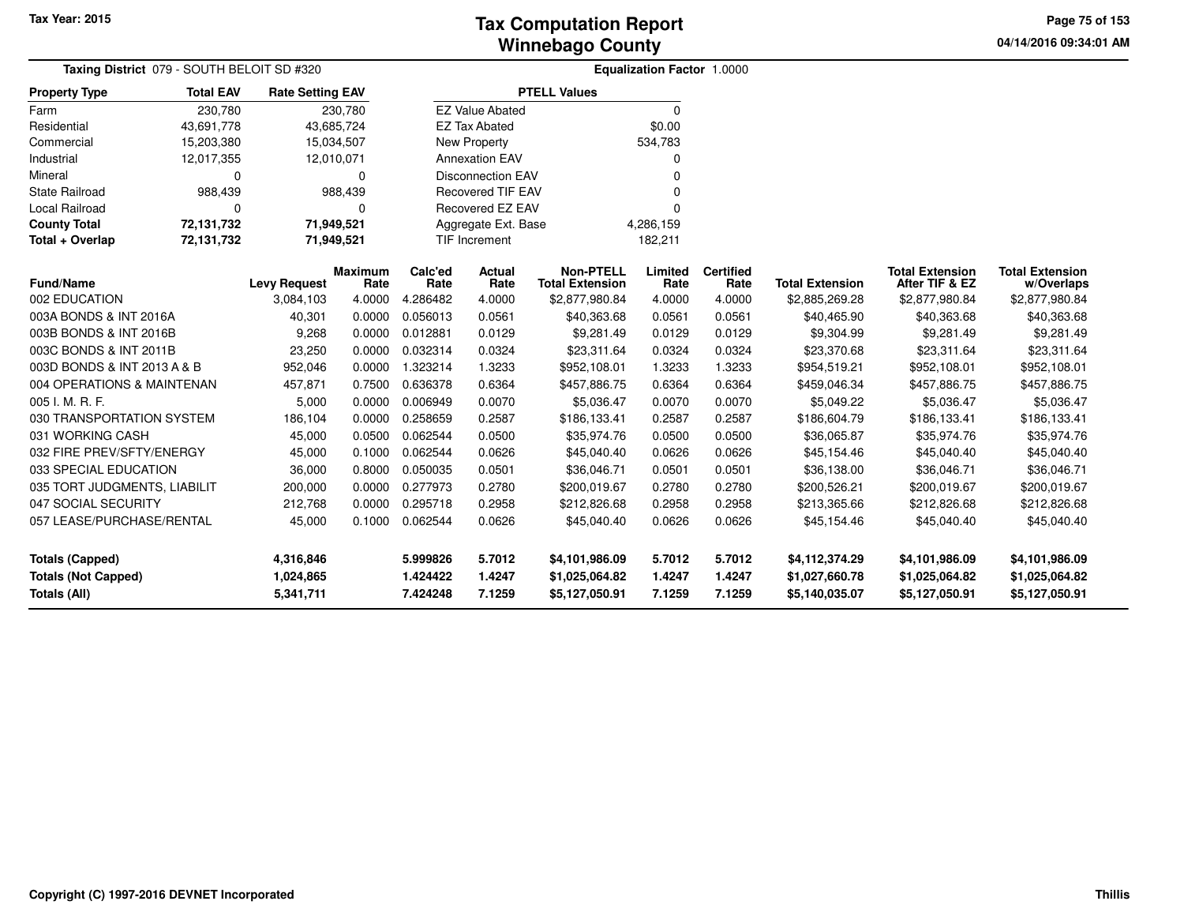**04/14/2016 09:34:01 AM Page 75 of 153**

|                              | <b>Taxing District</b> 079 - SOUTH BELOIT SD #320 |                         |                        |                 |                          |                                            | <b>Equalization Factor 1.0000</b> |                          |                        |                                          |                                      |
|------------------------------|---------------------------------------------------|-------------------------|------------------------|-----------------|--------------------------|--------------------------------------------|-----------------------------------|--------------------------|------------------------|------------------------------------------|--------------------------------------|
| <b>Property Type</b>         | <b>Total EAV</b>                                  | <b>Rate Setting EAV</b> |                        |                 |                          | <b>PTELL Values</b>                        |                                   |                          |                        |                                          |                                      |
| Farm                         | 230,780                                           |                         | 230,780                |                 | <b>EZ Value Abated</b>   |                                            | $\Omega$                          |                          |                        |                                          |                                      |
| Residential                  | 43,691,778                                        |                         | 43,685,724             |                 | <b>EZ Tax Abated</b>     |                                            | \$0.00                            |                          |                        |                                          |                                      |
| Commercial                   | 15,203,380                                        |                         | 15,034,507             |                 | <b>New Property</b>      |                                            | 534,783                           |                          |                        |                                          |                                      |
| Industrial                   | 12,017,355                                        | 12,010,071              |                        |                 | <b>Annexation EAV</b>    |                                            |                                   |                          |                        |                                          |                                      |
| Mineral                      | $\Omega$                                          |                         | $\Omega$               |                 | <b>Disconnection EAV</b> |                                            | O                                 |                          |                        |                                          |                                      |
| <b>State Railroad</b>        | 988,439                                           |                         | 988,439                |                 | Recovered TIF EAV        |                                            |                                   |                          |                        |                                          |                                      |
| <b>Local Railroad</b>        | $\mathbf 0$                                       |                         | 0                      |                 | Recovered EZ EAV         |                                            |                                   |                          |                        |                                          |                                      |
| <b>County Total</b>          | 72,131,732                                        |                         | 71,949,521             |                 | Aggregate Ext. Base      |                                            | 4,286,159                         |                          |                        |                                          |                                      |
| Total + Overlap              | 72,131,732                                        | 71,949,521              |                        |                 | <b>TIF Increment</b>     |                                            | 182,211                           |                          |                        |                                          |                                      |
| <b>Fund/Name</b>             |                                                   | <b>Levy Request</b>     | <b>Maximum</b><br>Rate | Calc'ed<br>Rate | Actual<br>Rate           | <b>Non-PTELL</b><br><b>Total Extension</b> | Limited<br>Rate                   | <b>Certified</b><br>Rate | <b>Total Extension</b> | <b>Total Extension</b><br>After TIF & EZ | <b>Total Extension</b><br>w/Overlaps |
| 002 EDUCATION                |                                                   | 3,084,103               | 4.0000                 | 4.286482        | 4.0000                   | \$2,877,980.84                             | 4.0000                            | 4.0000                   | \$2,885,269.28         | \$2,877,980.84                           | \$2,877,980.84                       |
| 003A BONDS & INT 2016A       |                                                   | 40,301                  | 0.0000                 | 0.056013        | 0.0561                   | \$40,363.68                                | 0.0561                            | 0.0561                   | \$40,465.90            | \$40,363.68                              | \$40,363.68                          |
| 003B BONDS & INT 2016B       |                                                   | 9,268                   | 0.0000                 | 0.012881        | 0.0129                   | \$9,281.49                                 | 0.0129                            | 0.0129                   | \$9,304.99             | \$9,281.49                               | \$9,281.49                           |
| 003C BONDS & INT 2011B       |                                                   | 23,250                  | 0.0000                 | 0.032314        | 0.0324                   | \$23,311.64                                | 0.0324                            | 0.0324                   | \$23,370.68            | \$23,311.64                              | \$23,311.64                          |
| 003D BONDS & INT 2013 A & B  |                                                   | 952,046                 | 0.0000                 | 1.323214        | 1.3233                   | \$952,108.01                               | 1.3233                            | 1.3233                   | \$954,519.21           | \$952,108.01                             | \$952,108.01                         |
| 004 OPERATIONS & MAINTENAN   |                                                   | 457,871                 | 0.7500                 | 0.636378        | 0.6364                   | \$457,886.75                               | 0.6364                            | 0.6364                   | \$459,046.34           | \$457,886.75                             | \$457,886.75                         |
| 005 I. M. R. F.              |                                                   | 5,000                   | 0.0000                 | 0.006949        | 0.0070                   | \$5,036.47                                 | 0.0070                            | 0.0070                   | \$5,049.22             | \$5,036.47                               | \$5,036.47                           |
| 030 TRANSPORTATION SYSTEM    |                                                   | 186,104                 | 0.0000                 | 0.258659        | 0.2587                   | \$186,133.41                               | 0.2587                            | 0.2587                   | \$186,604.79           | \$186,133.41                             | \$186,133.41                         |
| 031 WORKING CASH             |                                                   | 45,000                  | 0.0500                 | 0.062544        | 0.0500                   | \$35,974.76                                | 0.0500                            | 0.0500                   | \$36,065.87            | \$35,974.76                              | \$35,974.76                          |
| 032 FIRE PREV/SFTY/ENERGY    |                                                   | 45,000                  | 0.1000                 | 0.062544        | 0.0626                   | \$45,040.40                                | 0.0626                            | 0.0626                   | \$45,154.46            | \$45,040.40                              | \$45,040.40                          |
| 033 SPECIAL EDUCATION        |                                                   | 36,000                  | 0.8000                 | 0.050035        | 0.0501                   | \$36,046.71                                | 0.0501                            | 0.0501                   | \$36,138.00            | \$36,046.71                              | \$36,046.71                          |
| 035 TORT JUDGMENTS, LIABILIT |                                                   | 200,000                 | 0.0000                 | 0.277973        | 0.2780                   | \$200,019.67                               | 0.2780                            | 0.2780                   | \$200,526.21           | \$200,019.67                             | \$200,019.67                         |
| 047 SOCIAL SECURITY          |                                                   | 212,768                 | 0.0000                 | 0.295718        | 0.2958                   | \$212,826.68                               | 0.2958                            | 0.2958                   | \$213,365.66           | \$212,826.68                             | \$212,826.68                         |
| 057 LEASE/PURCHASE/RENTAL    |                                                   | 45,000                  | 0.1000                 | 0.062544        | 0.0626                   | \$45,040.40                                | 0.0626                            | 0.0626                   | \$45,154.46            | \$45,040.40                              | \$45,040.40                          |
| <b>Totals (Capped)</b>       |                                                   | 4,316,846               |                        | 5.999826        | 5.7012                   | \$4,101,986.09                             | 5.7012                            | 5.7012                   | \$4,112,374.29         | \$4,101,986.09                           | \$4,101,986.09                       |
| <b>Totals (Not Capped)</b>   |                                                   | 1,024,865               |                        | 1.424422        | 1.4247                   | \$1,025,064.82                             | 1.4247                            | 1.4247                   | \$1,027,660.78         | \$1,025,064.82                           | \$1,025,064.82                       |
| Totals (All)                 |                                                   | 5,341,711               |                        | 7.424248        | 7.1259                   | \$5,127,050.91                             | 7.1259                            | 7.1259                   | \$5,140,035.07         | \$5,127,050.91                           | \$5,127,050.91                       |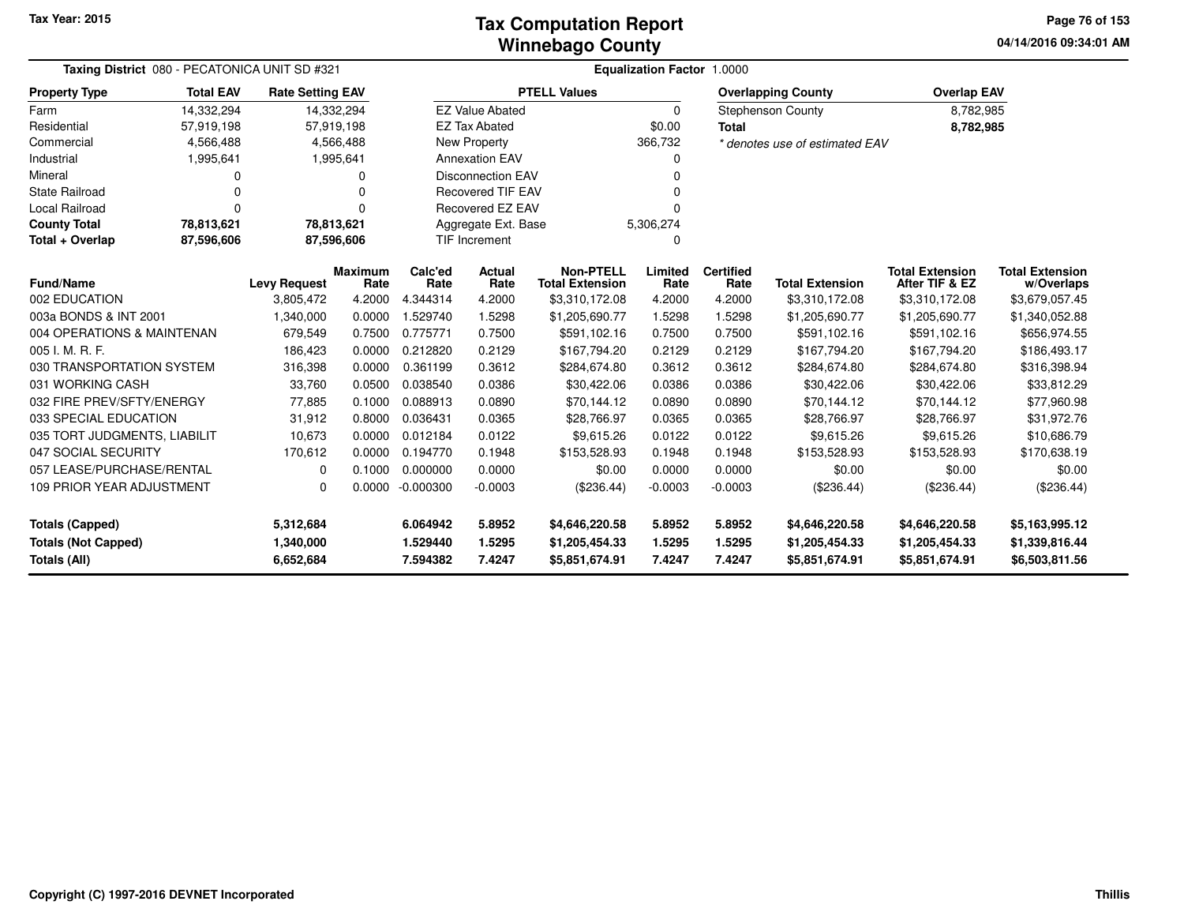#### **Winnebago CountyTax Computation Report**

**04/14/2016 09:34:01 AMPage 76 of 153**

| Taxing District 080 - PECATONICA UNIT SD #321 |                  |                         |                        |                 | <b>Equalization Factor 1.0000</b> |                                            |                 |                          |                                |                                          |                                      |
|-----------------------------------------------|------------------|-------------------------|------------------------|-----------------|-----------------------------------|--------------------------------------------|-----------------|--------------------------|--------------------------------|------------------------------------------|--------------------------------------|
| <b>Property Type</b>                          | <b>Total EAV</b> | <b>Rate Setting EAV</b> |                        |                 |                                   | <b>PTELL Values</b>                        |                 |                          | <b>Overlapping County</b>      | <b>Overlap EAV</b>                       |                                      |
| Farm                                          | 14,332,294       |                         | 14,332,294             |                 | <b>EZ Value Abated</b>            |                                            | $\Omega$        |                          | Stephenson County              | 8,782,985                                |                                      |
| Residential                                   | 57,919,198       |                         | 57,919,198             |                 | <b>EZ Tax Abated</b>              |                                            | \$0.00          | <b>Total</b>             |                                | 8,782,985                                |                                      |
| Commercial                                    | 4,566,488        |                         | 4,566,488              |                 | New Property                      |                                            | 366,732         |                          | * denotes use of estimated EAV |                                          |                                      |
| Industrial                                    | 1,995,641        |                         | 1,995,641              |                 | <b>Annexation EAV</b>             |                                            | 0               |                          |                                |                                          |                                      |
| Mineral                                       | 0                |                         | 0                      |                 | <b>Disconnection EAV</b>          |                                            | $\Omega$        |                          |                                |                                          |                                      |
| <b>State Railroad</b>                         | $\Omega$         |                         | 0                      |                 | <b>Recovered TIF EAV</b>          |                                            |                 |                          |                                |                                          |                                      |
| <b>Local Railroad</b>                         | $\Omega$         |                         | 0                      |                 | <b>Recovered EZ EAV</b>           |                                            | ŋ               |                          |                                |                                          |                                      |
| <b>County Total</b>                           | 78,813,621       | 78,813,621              |                        |                 | Aggregate Ext. Base               |                                            | 5,306,274       |                          |                                |                                          |                                      |
| Total + Overlap                               | 87,596,606       |                         | 87,596,606             |                 | <b>TIF Increment</b>              |                                            | 0               |                          |                                |                                          |                                      |
| <b>Fund/Name</b>                              |                  | <b>Levy Request</b>     | <b>Maximum</b><br>Rate | Calc'ed<br>Rate | Actual<br>Rate                    | <b>Non-PTELL</b><br><b>Total Extension</b> | Limited<br>Rate | <b>Certified</b><br>Rate | <b>Total Extension</b>         | <b>Total Extension</b><br>After TIF & EZ | <b>Total Extension</b><br>w/Overlaps |
| 002 EDUCATION                                 |                  | 3,805,472               | 4.2000                 | 4.344314        | 4.2000                            | \$3,310,172.08                             | 4.2000          | 4.2000                   | \$3,310,172.08                 | \$3,310,172.08                           | \$3,679,057.45                       |
| 003a BONDS & INT 2001                         |                  | 1,340,000               | 0.0000                 | 1.529740        | 1.5298                            | \$1,205,690.77                             | 1.5298          | 1.5298                   | \$1,205,690.77                 | \$1,205,690.77                           | \$1,340,052.88                       |
| 004 OPERATIONS & MAINTENAN                    |                  | 679,549                 | 0.7500                 | 0.775771        | 0.7500                            | \$591,102.16                               | 0.7500          | 0.7500                   | \$591,102.16                   | \$591,102.16                             | \$656,974.55                         |
| 005 I. M. R. F.                               |                  | 186,423                 | 0.0000                 | 0.212820        | 0.2129                            | \$167,794.20                               | 0.2129          | 0.2129                   | \$167,794.20                   | \$167,794.20                             | \$186,493.17                         |
| 030 TRANSPORTATION SYSTEM                     |                  | 316,398                 | 0.0000                 | 0.361199        | 0.3612                            | \$284,674.80                               | 0.3612          | 0.3612                   | \$284,674.80                   | \$284,674.80                             | \$316,398.94                         |
| 031 WORKING CASH                              |                  | 33,760                  | 0.0500                 | 0.038540        | 0.0386                            | \$30,422.06                                | 0.0386          | 0.0386                   | \$30,422.06                    | \$30,422.06                              | \$33,812.29                          |
| 032 FIRE PREV/SFTY/ENERGY                     |                  | 77,885                  | 0.1000                 | 0.088913        | 0.0890                            | \$70,144.12                                | 0.0890          | 0.0890                   | \$70,144.12                    | \$70,144.12                              | \$77,960.98                          |
| 033 SPECIAL EDUCATION                         |                  | 31,912                  | 0.8000                 | 0.036431        | 0.0365                            | \$28,766.97                                | 0.0365          | 0.0365                   | \$28,766.97                    | \$28,766.97                              | \$31,972.76                          |
| 035 TORT JUDGMENTS, LIABILIT                  |                  | 10,673                  | 0.0000                 | 0.012184        | 0.0122                            | \$9.615.26                                 | 0.0122          | 0.0122                   | \$9.615.26                     | \$9.615.26                               | \$10,686.79                          |
| 047 SOCIAL SECURITY                           |                  | 170,612                 | 0.0000                 | 0.194770        | 0.1948                            | \$153,528.93                               | 0.1948          | 0.1948                   | \$153,528.93                   | \$153,528.93                             | \$170,638.19                         |
| 057 LEASE/PURCHASE/RENTAL                     |                  | 0                       | 0.1000                 | 0.000000        | 0.0000                            | \$0.00                                     | 0.0000          | 0.0000                   | \$0.00                         | \$0.00                                   | \$0.00                               |
| 109 PRIOR YEAR ADJUSTMENT<br>$\Omega$         |                  | 0.0000                  | $-0.000300$            | $-0.0003$       | (\$236.44)                        | $-0.0003$                                  | $-0.0003$       | (\$236.44)               | (\$236.44)                     | (\$236.44)                               |                                      |
| <b>Totals (Capped)</b><br>5,312,684           |                  |                         | 6.064942               | 5.8952          | \$4,646,220.58                    | 5.8952                                     | 5.8952          | \$4,646,220.58           | \$4,646,220.58                 | \$5,163,995.12                           |                                      |
| <b>Totals (Not Capped)</b>                    |                  | 1,340,000               |                        | 1.529440        | 1.5295                            | \$1,205,454.33                             | 1.5295          | 1.5295                   | \$1,205,454.33                 | \$1,205,454.33                           | \$1,339,816.44                       |
| Totals (All)                                  |                  | 6,652,684               |                        | 7.594382        | 7.4247                            | \$5,851,674.91                             | 7.4247          | 7.4247                   | \$5,851,674.91                 | \$5,851,674.91                           | \$6,503,811.56                       |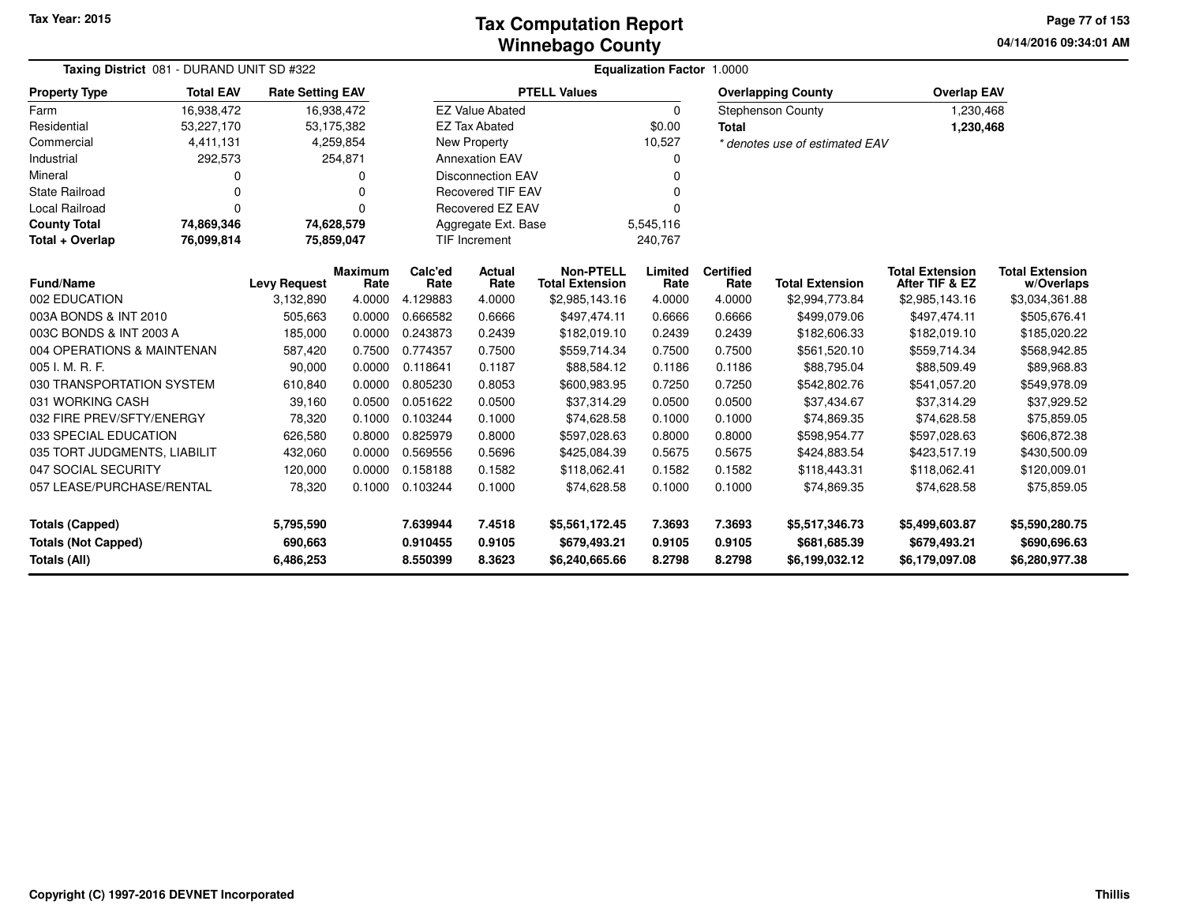**04/14/2016 09:34:01 AM Page 77 of 153**

| <b>Taxing District</b> 081 - DURAND UNIT SD #322<br><b>Equalization Factor 1.0000</b><br><b>Total EAV</b><br><b>PTELL Values</b><br><b>Property Type</b><br><b>Rate Setting EAV</b><br><b>Overlap EAV</b><br><b>Overlapping County</b> |            |                     |                        |                 |                          |                                            |                 |                          |                                |                                          |                                      |
|----------------------------------------------------------------------------------------------------------------------------------------------------------------------------------------------------------------------------------------|------------|---------------------|------------------------|-----------------|--------------------------|--------------------------------------------|-----------------|--------------------------|--------------------------------|------------------------------------------|--------------------------------------|
|                                                                                                                                                                                                                                        |            |                     |                        |                 |                          |                                            |                 |                          |                                |                                          |                                      |
| Farm                                                                                                                                                                                                                                   | 16,938,472 | 16,938,472          |                        |                 | <b>EZ Value Abated</b>   |                                            | 0               |                          | <b>Stephenson County</b>       | 1,230,468                                |                                      |
| Residential                                                                                                                                                                                                                            | 53,227,170 | 53,175,382          |                        |                 | <b>EZ Tax Abated</b>     |                                            | \$0.00          | <b>Total</b>             |                                | 1,230,468                                |                                      |
| Commercial                                                                                                                                                                                                                             | 4,411,131  |                     | 4,259,854              |                 | New Property             |                                            | 10,527          |                          | * denotes use of estimated EAV |                                          |                                      |
| Industrial                                                                                                                                                                                                                             | 292,573    |                     | 254,871                |                 | <b>Annexation EAV</b>    |                                            | 0               |                          |                                |                                          |                                      |
| Mineral                                                                                                                                                                                                                                |            |                     | O                      |                 | <b>Disconnection EAV</b> |                                            | n               |                          |                                |                                          |                                      |
| <b>State Railroad</b>                                                                                                                                                                                                                  |            |                     | n                      |                 | <b>Recovered TIF EAV</b> |                                            |                 |                          |                                |                                          |                                      |
| Local Railroad                                                                                                                                                                                                                         | 0          |                     | 0                      |                 | <b>Recovered EZ EAV</b>  |                                            |                 |                          |                                |                                          |                                      |
| <b>County Total</b>                                                                                                                                                                                                                    | 74,869,346 | 74,628,579          |                        |                 | Aggregate Ext. Base      |                                            | 5,545,116       |                          |                                |                                          |                                      |
| Total + Overlap                                                                                                                                                                                                                        | 76,099,814 | 75,859,047          |                        |                 | <b>TIF Increment</b>     |                                            | 240,767         |                          |                                |                                          |                                      |
| Fund/Name                                                                                                                                                                                                                              |            | <b>Levy Request</b> | <b>Maximum</b><br>Rate | Calc'ed<br>Rate | Actual<br>Rate           | <b>Non-PTELL</b><br><b>Total Extension</b> | Limited<br>Rate | <b>Certified</b><br>Rate | <b>Total Extension</b>         | <b>Total Extension</b><br>After TIF & EZ | <b>Total Extension</b><br>w/Overlaps |
| 002 EDUCATION                                                                                                                                                                                                                          |            | 3,132,890           | 4.0000                 | 4.129883        | 4.0000                   | \$2,985,143.16                             | 4.0000          | 4.0000                   | \$2,994,773.84                 | \$2,985,143.16                           | \$3,034,361.88                       |
| 003A BONDS & INT 2010                                                                                                                                                                                                                  |            | 505,663             | 0.0000                 | 0.666582        | 0.6666                   | \$497,474.11                               | 0.6666          | 0.6666                   | \$499,079.06                   | \$497,474.11                             | \$505,676.41                         |
| 003C BONDS & INT 2003 A                                                                                                                                                                                                                |            | 185,000             | 0.0000                 | 0.243873        | 0.2439                   | \$182,019.10                               | 0.2439          | 0.2439                   | \$182,606.33                   | \$182,019.10                             | \$185,020.22                         |
| 004 OPERATIONS & MAINTENAN                                                                                                                                                                                                             |            | 587,420             | 0.7500                 | 0.774357        | 0.7500                   | \$559,714.34                               | 0.7500          | 0.7500                   | \$561,520.10                   | \$559,714.34                             | \$568,942.85                         |
| 005 I. M. R. F.                                                                                                                                                                                                                        |            | 90,000              | 0.0000                 | 0.118641        | 0.1187                   | \$88,584.12                                | 0.1186          | 0.1186                   | \$88,795.04                    | \$88,509.49                              | \$89,968.83                          |
| 030 TRANSPORTATION SYSTEM                                                                                                                                                                                                              |            | 610,840             | 0.0000                 | 0.805230        | 0.8053                   | \$600,983.95                               | 0.7250          | 0.7250                   | \$542,802.76                   | \$541,057.20                             | \$549,978.09                         |
| 031 WORKING CASH                                                                                                                                                                                                                       |            | 39,160              | 0.0500                 | 0.051622        | 0.0500                   | \$37,314.29                                | 0.0500          | 0.0500                   | \$37,434.67                    | \$37,314.29                              | \$37,929.52                          |
| 032 FIRE PREV/SFTY/ENERGY                                                                                                                                                                                                              |            | 78,320              | 0.1000                 | 0.103244        | 0.1000                   | \$74,628.58                                | 0.1000          | 0.1000                   | \$74,869.35                    | \$74,628.58                              | \$75,859.05                          |
| 033 SPECIAL EDUCATION                                                                                                                                                                                                                  |            | 626,580             | 0.8000                 | 0.825979        | 0.8000                   | \$597,028.63                               | 0.8000          | 0.8000                   | \$598,954.77                   | \$597,028.63                             | \$606,872.38                         |
| 035 TORT JUDGMENTS, LIABILIT                                                                                                                                                                                                           |            | 432,060             | 0.0000                 | 0.569556        | 0.5696                   | \$425,084.39                               | 0.5675          | 0.5675                   | \$424,883.54                   | \$423,517.19                             | \$430,500.09                         |
| 047 SOCIAL SECURITY                                                                                                                                                                                                                    |            | 120,000             | 0.0000                 | 0.158188        | 0.1582                   | \$118,062.41                               | 0.1582          | 0.1582                   | \$118,443.31                   | \$118,062.41                             | \$120,009.01                         |
| 057 LEASE/PURCHASE/RENTAL                                                                                                                                                                                                              |            | 78,320              | 0.1000                 | 0.103244        | 0.1000                   | \$74,628.58                                | 0.1000          | 0.1000                   | \$74,869.35                    | \$74,628.58                              | \$75,859.05                          |
| <b>Totals (Capped)</b>                                                                                                                                                                                                                 |            | 5,795,590           |                        | 7.639944        | 7.4518                   | \$5,561,172.45                             | 7.3693          | 7.3693                   | \$5,517,346.73                 | \$5,499,603.87                           | \$5,590,280.75                       |
| <b>Totals (Not Capped)</b><br>690,663                                                                                                                                                                                                  |            |                     |                        | 0.910455        | 0.9105                   | \$679,493.21                               | 0.9105          | 0.9105                   | \$681,685.39                   | \$679,493.21                             | \$690,696.63                         |
| <b>Totals (All)</b>                                                                                                                                                                                                                    |            | 6,486,253           |                        | 8.550399        | 8.3623                   | \$6,240,665.66                             | 8.2798          | 8.2798                   | \$6,199,032.12                 | \$6,179,097.08                           | \$6,280,977.38                       |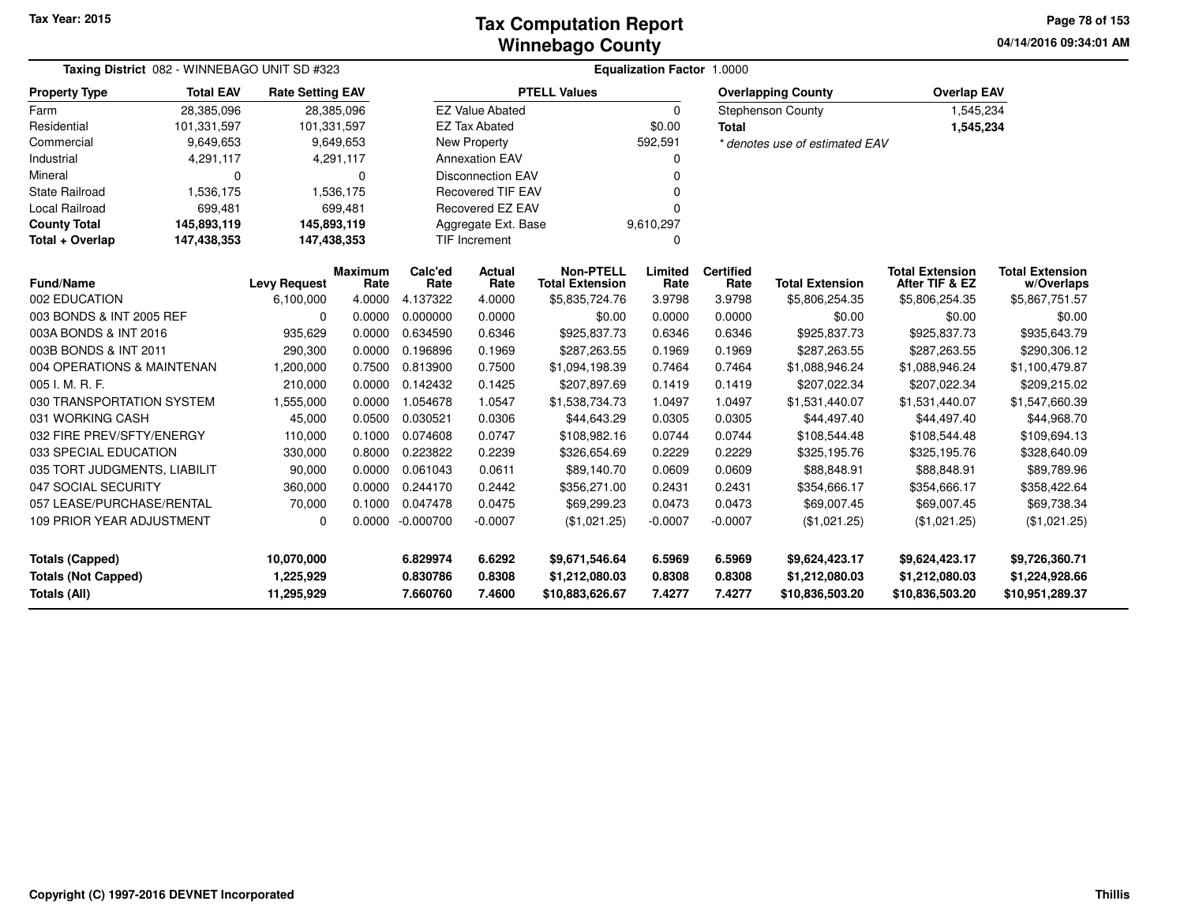#### **Winnebago CountyTax Computation Report**

**04/14/2016 09:34:01 AM Page 78 of 153**

| Taxing District 082 - WINNEBAGO UNIT SD #323 |                  |                         |                        |                      |                          |                                            | <b>Equalization Factor 1.0000</b> |                          |                                   |                                          |                                      |
|----------------------------------------------|------------------|-------------------------|------------------------|----------------------|--------------------------|--------------------------------------------|-----------------------------------|--------------------------|-----------------------------------|------------------------------------------|--------------------------------------|
| <b>Property Type</b>                         | <b>Total EAV</b> | <b>Rate Setting EAV</b> |                        |                      |                          | <b>PTELL Values</b>                        |                                   |                          | <b>Overlapping County</b>         | <b>Overlap EAV</b>                       |                                      |
| Farm                                         | 28,385,096       | 28,385,096              |                        |                      | <b>EZ Value Abated</b>   |                                            | 0                                 |                          | Stephenson County                 | 1,545,234                                |                                      |
| Residential                                  | 101,331,597      | 101,331,597             |                        |                      | <b>EZ Tax Abated</b>     |                                            | \$0.00                            | <b>Total</b>             |                                   | 1,545,234                                |                                      |
| Commercial                                   | 9,649,653        |                         | 9,649,653              |                      | New Property             |                                            | 592,591                           |                          | * denotes use of estimated EAV    |                                          |                                      |
| Industrial                                   | 4,291,117        |                         | 4,291,117              |                      | <b>Annexation EAV</b>    |                                            | 0                                 |                          |                                   |                                          |                                      |
| Mineral                                      | 0                |                         | 0                      |                      | <b>Disconnection EAV</b> |                                            |                                   |                          |                                   |                                          |                                      |
| <b>State Railroad</b>                        | 1,536,175        |                         | 1,536,175              |                      | <b>Recovered TIF EAV</b> |                                            |                                   |                          |                                   |                                          |                                      |
| Local Railroad                               | 699,481          |                         | 699,481                |                      | <b>Recovered EZ EAV</b>  |                                            |                                   |                          |                                   |                                          |                                      |
| <b>County Total</b>                          | 145,893,119      | 145,893,119             |                        |                      | Aggregate Ext. Base      |                                            | 9,610,297                         |                          |                                   |                                          |                                      |
| Total + Overlap                              | 147,438,353      | 147,438,353             |                        |                      | <b>TIF Increment</b>     |                                            | n                                 |                          |                                   |                                          |                                      |
| <b>Fund/Name</b>                             |                  | <b>Levy Request</b>     | <b>Maximum</b><br>Rate | Calc'ed<br>Rate      | <b>Actual</b><br>Rate    | <b>Non-PTELL</b><br><b>Total Extension</b> | Limited<br>Rate                   | <b>Certified</b><br>Rate | <b>Total Extension</b>            | <b>Total Extension</b><br>After TIF & EZ | <b>Total Extension</b><br>w/Overlaps |
| 002 EDUCATION                                |                  | 6,100,000               | 4.0000                 | 4.137322             | 4.0000                   | \$5,835,724.76                             | 3.9798                            | 3.9798                   | \$5,806,254.35                    | \$5,806,254.35                           | \$5,867,751.57                       |
| 003 BONDS & INT 2005 REF                     |                  | 0                       | 0.0000                 | 0.000000             | 0.0000                   | \$0.00                                     | 0.0000                            | 0.0000                   | \$0.00                            | \$0.00                                   | \$0.00                               |
| 003A BONDS & INT 2016                        |                  | 935,629                 | 0.0000                 | 0.634590             | 0.6346                   | \$925,837.73                               | 0.6346                            | 0.6346                   | \$925,837.73                      | \$925,837.73                             | \$935,643.79                         |
| 003B BONDS & INT 2011                        |                  | 290,300                 | 0.0000                 | 0.196896             | 0.1969                   | \$287,263.55                               | 0.1969                            | 0.1969                   | \$287,263.55                      | \$287,263.55                             | \$290,306.12                         |
| 004 OPERATIONS & MAINTENAN                   |                  | 1,200,000               | 0.7500                 | 0.813900             | 0.7500                   | \$1,094,198.39                             | 0.7464                            | 0.7464                   | \$1,088,946.24                    | \$1,088,946.24                           | \$1,100,479.87                       |
| 005 I. M. R. F.                              |                  | 210,000                 | 0.0000                 | 0.142432             | 0.1425                   | \$207,897.69                               | 0.1419                            | 0.1419                   | \$207,022.34                      | \$207,022.34                             | \$209,215.02                         |
| 030 TRANSPORTATION SYSTEM                    |                  | 1,555,000               | 0.0000                 | 1.054678             | 1.0547                   | \$1,538,734.73                             | 1.0497                            | 1.0497                   | \$1,531,440.07                    | \$1,531,440.07                           | \$1,547,660.39                       |
| 031 WORKING CASH                             |                  | 45,000                  | 0.0500                 | 0.030521             | 0.0306                   | \$44,643.29                                | 0.0305                            | 0.0305                   | \$44,497.40                       | \$44,497.40                              | \$44,968.70                          |
| 032 FIRE PREV/SFTY/ENERGY                    |                  | 110,000                 | 0.1000                 | 0.074608             | 0.0747                   | \$108,982.16                               | 0.0744                            | 0.0744                   | \$108,544.48                      | \$108,544.48                             | \$109,694.13                         |
| 033 SPECIAL EDUCATION                        |                  | 330,000                 | 0.8000                 | 0.223822             | 0.2239                   | \$326,654.69                               | 0.2229                            | 0.2229                   | \$325,195.76                      | \$325,195.76                             | \$328,640.09                         |
| 035 TORT JUDGMENTS, LIABILIT                 |                  | 90,000                  | 0.0000                 | 0.061043             | 0.0611                   | \$89,140.70                                | 0.0609                            | 0.0609                   | \$88,848.91                       | \$88,848.91                              | \$89,789.96                          |
| 047 SOCIAL SECURITY                          |                  | 360,000                 | 0.0000                 | 0.244170             | 0.2442                   | \$356,271.00                               | 0.2431                            | 0.2431                   | \$354,666.17                      | \$354,666.17                             | \$358,422.64                         |
| 057 LEASE/PURCHASE/RENTAL                    |                  | 70,000                  | 0.1000                 | 0.047478             | 0.0475                   | \$69,299.23                                | 0.0473                            | 0.0473                   | \$69,007.45                       | \$69,007.45                              | \$69,738.34                          |
| <b>109 PRIOR YEAR ADJUSTMENT</b>             |                  | 0                       |                        | 0.0000 -0.000700     | $-0.0007$                | (\$1,021.25)                               | $-0.0007$                         | $-0.0007$                | (\$1,021.25)                      | (\$1,021.25)                             | (\$1,021.25)                         |
| <b>Totals (Capped)</b>                       |                  | 10,070,000              |                        | 6.829974             | 6.6292                   | \$9,671,546.64                             | 6.5969                            | 6.5969                   | \$9,624,423.17                    | \$9,624,423.17                           | \$9,726,360.71                       |
| <b>Totals (Not Capped)</b><br>Totals (All)   |                  | 1,225,929<br>11,295,929 |                        | 0.830786<br>7.660760 | 0.8308<br>7.4600         | \$1,212,080.03<br>\$10,883,626.67          | 0.8308<br>7.4277                  | 0.8308<br>7.4277         | \$1,212,080.03<br>\$10,836,503.20 | \$1,212,080.03<br>\$10,836,503.20        | \$1,224,928.66<br>\$10,951,289.37    |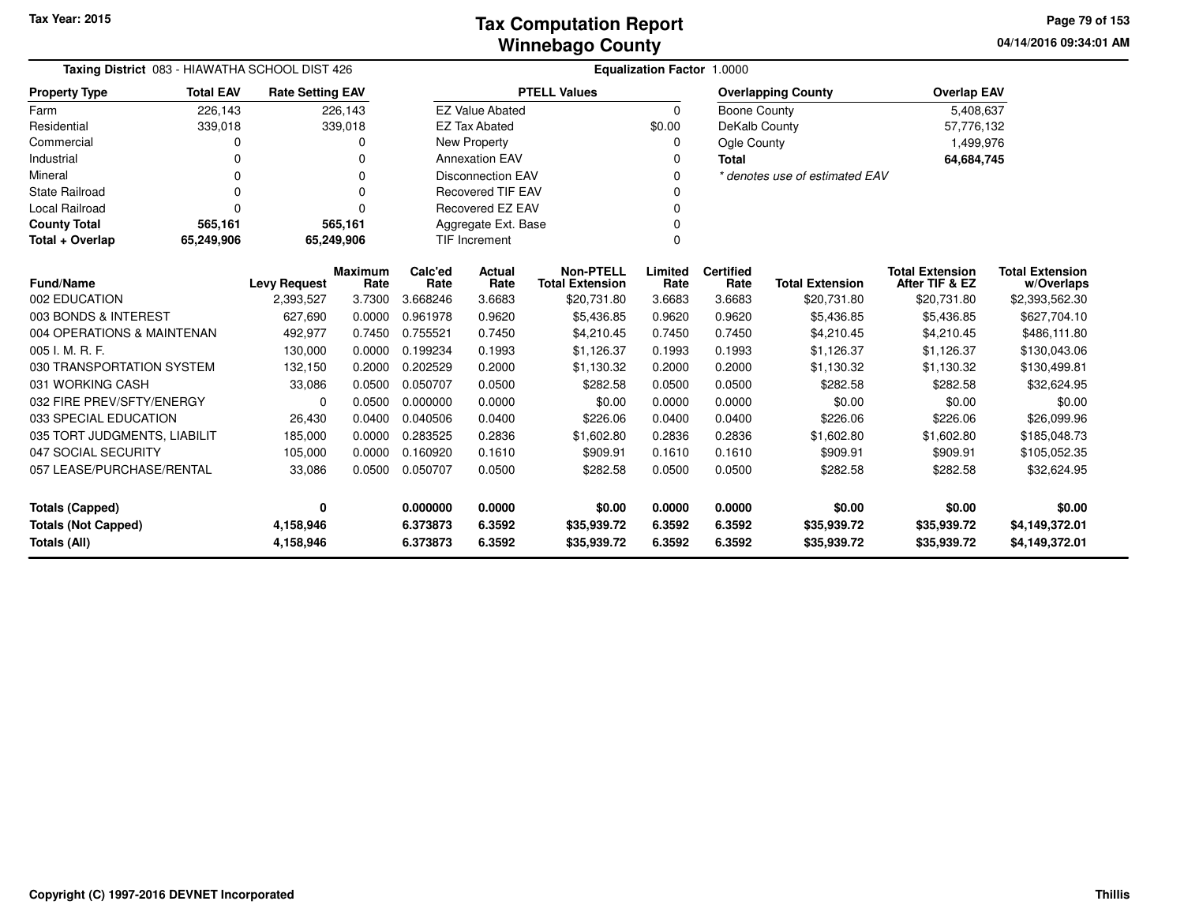| Taxing District 083 - HIAWATHA SCHOOL DIST 426 |                  |                         |                 |                 |                          |                                            | <b>Equalization Factor 1.0000</b> |                          |                                |                                          |                                      |
|------------------------------------------------|------------------|-------------------------|-----------------|-----------------|--------------------------|--------------------------------------------|-----------------------------------|--------------------------|--------------------------------|------------------------------------------|--------------------------------------|
| <b>Property Type</b>                           | <b>Total EAV</b> | <b>Rate Setting EAV</b> |                 |                 |                          | <b>PTELL Values</b>                        |                                   |                          | <b>Overlapping County</b>      | <b>Overlap EAV</b>                       |                                      |
| Farm                                           | 226,143          |                         | 226,143         |                 | <b>EZ Value Abated</b>   |                                            | $\mathbf 0$                       | <b>Boone County</b>      |                                | 5,408,637                                |                                      |
| Residential                                    | 339,018          |                         | 339,018         |                 | <b>EZ Tax Abated</b>     |                                            | \$0.00                            | DeKalb County            |                                | 57,776,132                               |                                      |
| Commercial                                     | 0                |                         |                 |                 | New Property             |                                            |                                   | Ogle County              |                                | 1,499,976                                |                                      |
| Industrial                                     |                  |                         |                 |                 | <b>Annexation EAV</b>    |                                            |                                   | Total                    |                                | 64,684,745                               |                                      |
| Mineral                                        | 0                |                         | 0               |                 | <b>Disconnection EAV</b> |                                            |                                   |                          | * denotes use of estimated EAV |                                          |                                      |
| <b>State Railroad</b>                          | 0                |                         | O               |                 | <b>Recovered TIF EAV</b> |                                            |                                   |                          |                                |                                          |                                      |
| Local Railroad                                 | 0                |                         | $\Omega$        |                 | Recovered EZ EAV         |                                            |                                   |                          |                                |                                          |                                      |
| <b>County Total</b>                            | 565,161          |                         | 565,161         |                 | Aggregate Ext. Base      |                                            | O                                 |                          |                                |                                          |                                      |
| Total + Overlap                                | 65,249,906       |                         | 65,249,906      |                 | TIF Increment            |                                            | $\Omega$                          |                          |                                |                                          |                                      |
| <b>Fund/Name</b>                               |                  | <b>Levy Request</b>     | Maximum<br>Rate | Calc'ed<br>Rate | <b>Actual</b><br>Rate    | <b>Non-PTELL</b><br><b>Total Extension</b> | Limited<br>Rate                   | <b>Certified</b><br>Rate | <b>Total Extension</b>         | <b>Total Extension</b><br>After TIF & EZ | <b>Total Extension</b><br>w/Overlaps |
| 002 EDUCATION                                  |                  | 2,393,527               | 3.7300          | 3.668246        | 3.6683                   | \$20,731.80                                | 3.6683                            | 3.6683                   | \$20,731.80                    | \$20,731.80                              | \$2,393,562.30                       |
| 003 BONDS & INTEREST                           |                  | 627,690                 | 0.0000          | 0.961978        | 0.9620                   | \$5,436.85                                 | 0.9620                            | 0.9620                   | \$5,436.85                     | \$5,436.85                               | \$627,704.10                         |
| 004 OPERATIONS & MAINTENAN                     |                  | 492,977                 | 0.7450          | 0.755521        | 0.7450                   | \$4,210.45                                 | 0.7450                            | 0.7450                   | \$4,210.45                     | \$4,210.45                               | \$486,111.80                         |
| 005 I. M. R. F.                                |                  | 130,000                 | 0.0000          | 0.199234        | 0.1993                   | \$1,126.37                                 | 0.1993                            | 0.1993                   | \$1,126.37                     | \$1,126.37                               | \$130,043.06                         |
| 030 TRANSPORTATION SYSTEM                      |                  | 132,150                 | 0.2000          | 0.202529        | 0.2000                   | \$1,130.32                                 | 0.2000                            | 0.2000                   | \$1,130.32                     | \$1,130.32                               | \$130,499.81                         |
| 031 WORKING CASH                               |                  | 33,086                  | 0.0500          | 0.050707        | 0.0500                   | \$282.58                                   | 0.0500                            | 0.0500                   | \$282.58                       | \$282.58                                 | \$32,624.95                          |
| 032 FIRE PREV/SFTY/ENERGY                      |                  | $\mathbf 0$             | 0.0500          | 0.000000        | 0.0000                   | \$0.00                                     | 0.0000                            | 0.0000                   | \$0.00                         | \$0.00                                   | \$0.00                               |
| 033 SPECIAL EDUCATION                          |                  | 26,430                  | 0.0400          | 0.040506        | 0.0400                   | \$226.06                                   | 0.0400                            | 0.0400                   | \$226.06                       | \$226.06                                 | \$26,099.96                          |
| 035 TORT JUDGMENTS, LIABILIT                   |                  | 185,000                 | 0.0000          | 0.283525        | 0.2836                   | \$1,602.80                                 | 0.2836                            | 0.2836                   | \$1,602.80                     | \$1,602.80                               | \$185,048.73                         |
| 047 SOCIAL SECURITY                            |                  | 105,000                 | 0.0000          | 0.160920        | 0.1610                   | \$909.91                                   | 0.1610                            | 0.1610                   | \$909.91                       | \$909.91                                 | \$105,052.35                         |
| 057 LEASE/PURCHASE/RENTAL                      |                  | 33,086                  | 0.0500          | 0.050707        | 0.0500                   | \$282.58                                   | 0.0500                            | 0.0500                   | \$282.58                       | \$282.58                                 | \$32,624.95                          |
| 0<br><b>Totals (Capped)</b>                    |                  | 0.000000                | 0.0000          | \$0.00          | 0.0000                   | 0.0000                                     | \$0.00                            | \$0.00                   | \$0.00                         |                                          |                                      |
| <b>Totals (Not Capped)</b>                     |                  |                         |                 | 6.373873        | 6.3592                   | \$35,939.72                                | 6.3592                            | 6.3592                   | \$35,939.72                    | \$35,939.72                              | \$4,149,372.01                       |
| 4,158,946<br><b>Totals (All)</b><br>4,158,946  |                  |                         |                 | 6.373873        | 6.3592                   | \$35,939.72                                | 6.3592                            | 6.3592                   | \$35,939.72                    | \$35,939.72                              | \$4,149,372.01                       |

-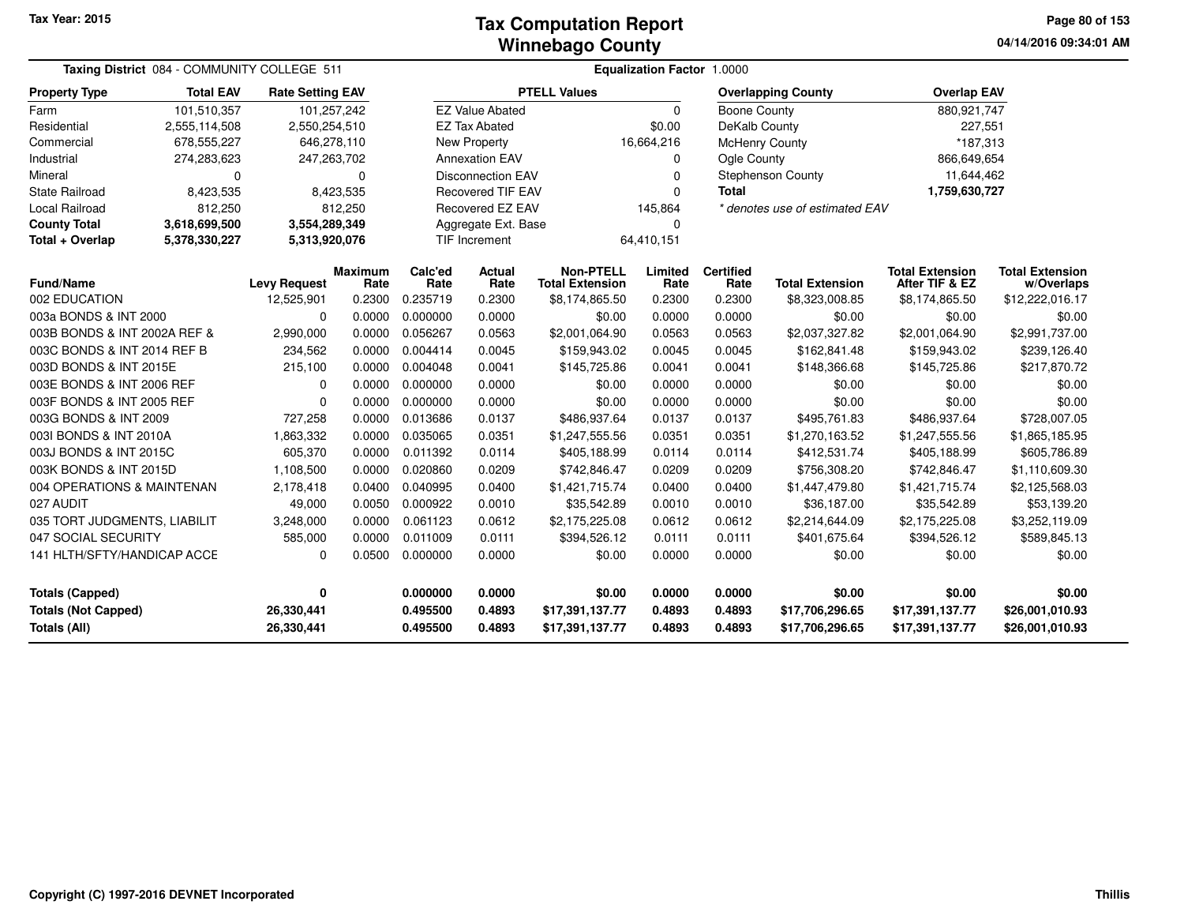**04/14/2016 09:34:01 AM Page 80 of 153**

|                              | Taxing District 084 - COMMUNITY COLLEGE 511 |                         |                        |                 |                          |                                            | Equalization Factor 1.0000 |                          |                                |                                          |                                      |
|------------------------------|---------------------------------------------|-------------------------|------------------------|-----------------|--------------------------|--------------------------------------------|----------------------------|--------------------------|--------------------------------|------------------------------------------|--------------------------------------|
| <b>Property Type</b>         | <b>Total EAV</b>                            | <b>Rate Setting EAV</b> |                        |                 |                          | <b>PTELL Values</b>                        |                            |                          | <b>Overlapping County</b>      | <b>Overlap EAV</b>                       |                                      |
| Farm                         | 101,510,357                                 | 101,257,242             |                        |                 | <b>EZ Value Abated</b>   |                                            | 0                          | Boone County             |                                | 880,921,747                              |                                      |
| Residential                  | 2,555,114,508                               | 2,550,254,510           |                        |                 | <b>EZ Tax Abated</b>     |                                            | \$0.00                     | DeKalb County            |                                | 227,551                                  |                                      |
| Commercial                   | 678,555,227                                 | 646,278,110             |                        |                 | <b>New Property</b>      |                                            | 16,664,216                 | <b>McHenry County</b>    |                                | *187,313                                 |                                      |
| Industrial                   | 274,283,623                                 | 247,263,702             |                        |                 | <b>Annexation EAV</b>    |                                            | 0                          | Ogle County              |                                | 866,649,654                              |                                      |
| Mineral                      | 0                                           |                         | $\Omega$               |                 | <b>Disconnection EAV</b> |                                            | 0                          |                          | Stephenson County              | 11,644,462                               |                                      |
| <b>State Railroad</b>        | 8,423,535                                   |                         | 8,423,535              |                 | <b>Recovered TIF EAV</b> |                                            | 0                          | <b>Total</b>             |                                | 1,759,630,727                            |                                      |
| Local Railroad               | 812,250                                     |                         | 812,250                |                 | Recovered EZ EAV         |                                            | 145,864                    |                          | * denotes use of estimated EAV |                                          |                                      |
| <b>County Total</b>          | 3,618,699,500                               | 3,554,289,349           |                        |                 | Aggregate Ext. Base      |                                            | $\Omega$                   |                          |                                |                                          |                                      |
| Total + Overlap              | 5,378,330,227                               | 5,313,920,076           |                        |                 | TIF Increment            |                                            | 64,410,151                 |                          |                                |                                          |                                      |
| <b>Fund/Name</b>             |                                             | <b>Levy Request</b>     | <b>Maximum</b><br>Rate | Calc'ed<br>Rate | <b>Actual</b><br>Rate    | <b>Non-PTELL</b><br><b>Total Extension</b> | Limited<br>Rate            | <b>Certified</b><br>Rate | <b>Total Extension</b>         | <b>Total Extension</b><br>After TIF & EZ | <b>Total Extension</b><br>w/Overlaps |
| 002 EDUCATION                |                                             | 12,525,901              | 0.2300                 | 0.235719        | 0.2300                   | \$8,174,865.50                             | 0.2300                     | 0.2300                   | \$8,323,008.85                 | \$8,174,865.50                           | \$12,222,016.17                      |
| 003a BONDS & INT 2000        |                                             | 0                       | 0.0000                 | 0.000000        | 0.0000                   | \$0.00                                     | 0.0000                     | 0.0000                   | \$0.00                         | \$0.00                                   | \$0.00                               |
| 003B BONDS & INT 2002A REF & |                                             | 2,990,000               | 0.0000                 | 0.056267        | 0.0563                   | \$2,001,064.90                             | 0.0563                     | 0.0563                   | \$2,037,327.82                 | \$2,001,064.90                           | \$2,991,737.00                       |
| 003C BONDS & INT 2014 REF B  |                                             | 234,562                 | 0.0000                 | 0.004414        | 0.0045                   | \$159,943.02                               | 0.0045                     | 0.0045                   | \$162,841.48                   | \$159,943.02                             | \$239,126.40                         |
| 003D BONDS & INT 2015E       |                                             | 215,100                 | 0.0000                 | 0.004048        | 0.0041                   | \$145,725.86                               | 0.0041                     | 0.0041                   | \$148,366.68                   | \$145,725.86                             | \$217,870.72                         |
| 003E BONDS & INT 2006 REF    |                                             | 0                       | 0.0000                 | 0.000000        | 0.0000                   | \$0.00                                     | 0.0000                     | 0.0000                   | \$0.00                         | \$0.00                                   | \$0.00                               |
| 003F BONDS & INT 2005 REF    |                                             | 0                       | 0.0000                 | 0.000000        | 0.0000                   | \$0.00                                     | 0.0000                     | 0.0000                   | \$0.00                         | \$0.00                                   | \$0.00                               |
| 003G BONDS & INT 2009        |                                             | 727,258                 | 0.0000                 | 0.013686        | 0.0137                   | \$486,937.64                               | 0.0137                     | 0.0137                   | \$495,761.83                   | \$486,937.64                             | \$728,007.05                         |
| 003I BONDS & INT 2010A       |                                             | 1,863,332               | 0.0000                 | 0.035065        | 0.0351                   | \$1,247,555.56                             | 0.0351                     | 0.0351                   | \$1,270,163.52                 | \$1,247,555.56                           | \$1,865,185.95                       |
| 003J BONDS & INT 2015C       |                                             | 605,370                 | 0.0000                 | 0.011392        | 0.0114                   | \$405,188.99                               | 0.0114                     | 0.0114                   | \$412,531.74                   | \$405,188.99                             | \$605,786.89                         |
| 003K BONDS & INT 2015D       |                                             | 1,108,500               | 0.0000                 | 0.020860        | 0.0209                   | \$742,846.47                               | 0.0209                     | 0.0209                   | \$756,308.20                   | \$742,846.47                             | \$1,110,609.30                       |
| 004 OPERATIONS & MAINTENAN   |                                             | 2,178,418               | 0.0400                 | 0.040995        | 0.0400                   | \$1,421,715.74                             | 0.0400                     | 0.0400                   | \$1,447,479.80                 | \$1,421,715.74                           | \$2,125,568.03                       |
| 027 AUDIT                    |                                             | 49,000                  | 0.0050                 | 0.000922        | 0.0010                   | \$35,542.89                                | 0.0010                     | 0.0010                   | \$36,187.00                    | \$35,542.89                              | \$53,139.20                          |
| 035 TORT JUDGMENTS, LIABILIT |                                             | 3,248,000               | 0.0000                 | 0.061123        | 0.0612                   | \$2,175,225.08                             | 0.0612                     | 0.0612                   | \$2,214,644.09                 | \$2,175,225.08                           | \$3,252,119.09                       |
| 047 SOCIAL SECURITY          |                                             | 585,000                 | 0.0000                 | 0.011009        | 0.0111                   | \$394,526.12                               | 0.0111                     | 0.0111                   | \$401,675.64                   | \$394,526.12                             | \$589,845.13                         |
| 141 HLTH/SFTY/HANDICAP ACCE  |                                             | 0                       | 0.0500                 | 0.000000        | 0.0000                   | \$0.00                                     | 0.0000                     | 0.0000                   | \$0.00                         | \$0.00                                   | \$0.00                               |
| <b>Totals (Capped)</b>       |                                             | 0                       |                        | 0.000000        | 0.0000                   | \$0.00                                     | 0.0000                     | 0.0000                   | \$0.00                         | \$0.00                                   | \$0.00                               |
| <b>Totals (Not Capped)</b>   |                                             | 26,330,441              |                        | 0.495500        | 0.4893                   | \$17,391,137.77                            | 0.4893                     | 0.4893                   | \$17,706,296.65                | \$17,391,137.77                          | \$26,001,010.93                      |
| Totals (All)                 |                                             | 26,330,441              |                        | 0.495500        | 0.4893                   | \$17,391,137.77                            | 0.4893                     | 0.4893                   | \$17,706,296.65                | \$17,391,137.77                          | \$26,001,010.93                      |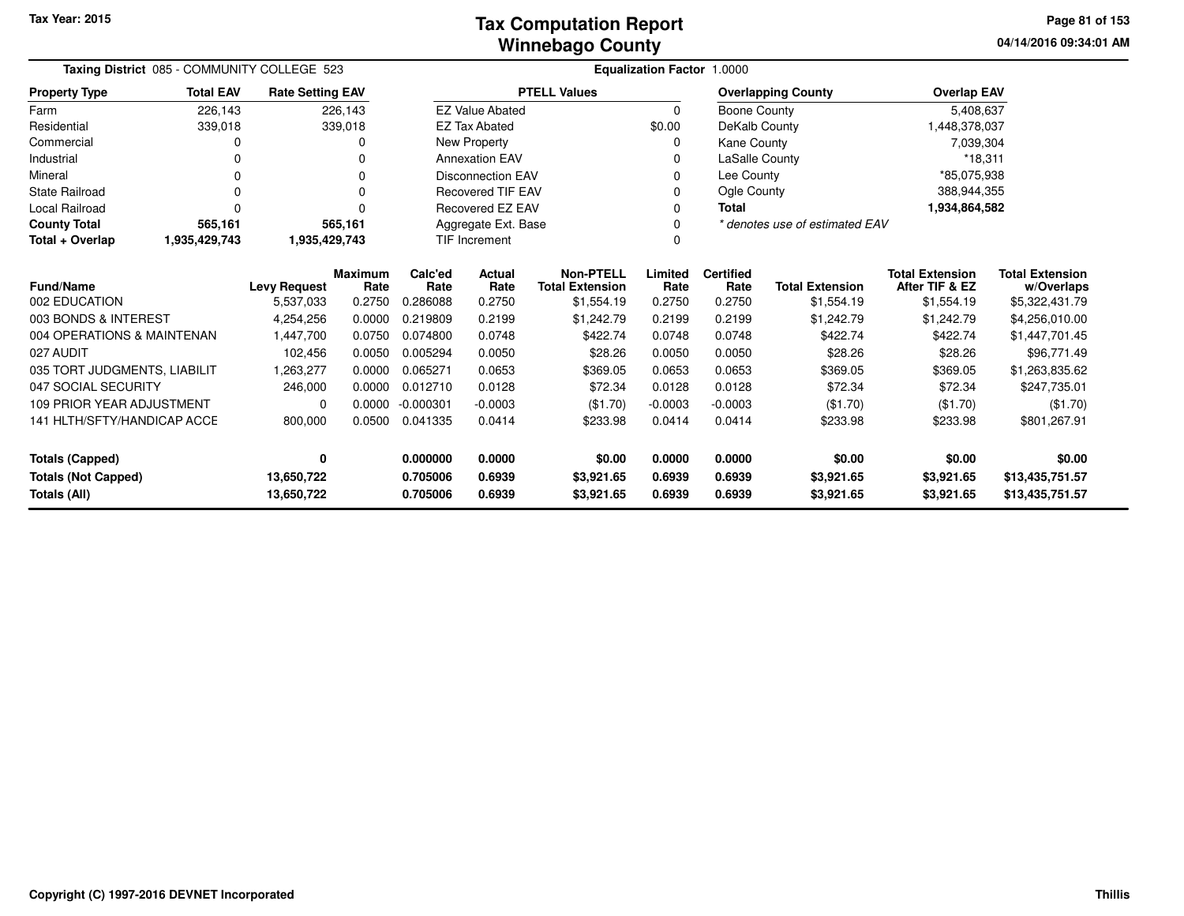**04/14/2016 09:34:01 AM Page 81 of 153**

| Taxing District 085 - COMMUNITY COLLEGE 523 |                  |                                                                                                 |                        |                 | Equalization Factor 1.0000 |                                            |                 |                          |                                |                                          |                                      |  |
|---------------------------------------------|------------------|-------------------------------------------------------------------------------------------------|------------------------|-----------------|----------------------------|--------------------------------------------|-----------------|--------------------------|--------------------------------|------------------------------------------|--------------------------------------|--|
| <b>Property Type</b>                        | <b>Total EAV</b> | <b>Rate Setting EAV</b>                                                                         |                        |                 |                            | <b>PTELL Values</b>                        |                 |                          | <b>Overlapping County</b>      | <b>Overlap EAV</b>                       |                                      |  |
| Farm                                        | 226.143          |                                                                                                 | 226,143                |                 | <b>EZ Value Abated</b>     |                                            | $\Omega$        | Boone County             |                                | 5,408,637                                |                                      |  |
| Residential                                 | 339,018          |                                                                                                 | 339,018                |                 | <b>EZ Tax Abated</b>       |                                            | \$0.00          | DeKalb County            |                                |                                          | 1,448,378,037                        |  |
| Commercial                                  |                  |                                                                                                 | 0                      |                 | New Property               |                                            | 0               | Kane County              |                                | 7,039,304                                |                                      |  |
| Industrial                                  |                  |                                                                                                 |                        |                 | <b>Annexation EAV</b>      |                                            | 0               | LaSalle County           |                                | $*18,311$                                |                                      |  |
| Mineral                                     |                  |                                                                                                 | $\Omega$               |                 | <b>Disconnection EAV</b>   |                                            | 0               | Lee County               |                                | *85,075,938                              |                                      |  |
| <b>State Railroad</b>                       | $\Omega$         |                                                                                                 | 0                      |                 | <b>Recovered TIF EAV</b>   |                                            | $\Omega$        | Ogle County              |                                | 388,944,355                              |                                      |  |
| <b>Local Railroad</b>                       | $\Omega$         |                                                                                                 | O                      |                 | <b>Recovered EZ EAV</b>    |                                            | 0               | <b>Total</b>             |                                | 1,934,864,582                            |                                      |  |
| <b>County Total</b>                         | 565,161          |                                                                                                 | 565,161                |                 | Aggregate Ext. Base        |                                            | $\Omega$        |                          | * denotes use of estimated EAV |                                          |                                      |  |
| Total + Overlap                             | 1,935,429,743    | 1,935,429,743                                                                                   |                        |                 | <b>TIF Increment</b>       |                                            | $\Omega$        |                          |                                |                                          |                                      |  |
| Fund/Name                                   |                  | <b>Levy Request</b>                                                                             | <b>Maximum</b><br>Rate | Calc'ed<br>Rate | Actual<br>Rate             | <b>Non-PTELL</b><br><b>Total Extension</b> | Limited<br>Rate | <b>Certified</b><br>Rate | <b>Total Extension</b>         | <b>Total Extension</b><br>After TIF & EZ | <b>Total Extension</b><br>w/Overlaps |  |
| 002 EDUCATION                               |                  | 5,537,033                                                                                       | 0.2750                 | 0.286088        | 0.2750                     | \$1,554.19                                 | 0.2750          | 0.2750                   | \$1,554.19                     | \$1,554.19                               | \$5,322,431.79                       |  |
| 003 BONDS & INTEREST                        |                  | 4,254,256                                                                                       | 0.0000                 | 0.219809        | 0.2199                     | \$1,242.79                                 | 0.2199          | 0.2199                   | \$1,242.79                     | \$1,242.79                               | \$4,256,010.00                       |  |
| 004 OPERATIONS & MAINTENAN                  |                  | 1,447,700                                                                                       | 0.0750                 | 0.074800        | 0.0748                     | \$422.74                                   | 0.0748          | 0.0748                   | \$422.74                       | \$422.74                                 | \$1,447,701.45                       |  |
| 027 AUDIT                                   |                  | 102,456                                                                                         | 0.0050                 | 0.005294        | 0.0050                     | \$28.26                                    | 0.0050          | 0.0050                   | \$28.26                        | \$28.26                                  | \$96,771.49                          |  |
| 035 TORT JUDGMENTS, LIABILIT                |                  | 1,263,277                                                                                       | 0.0000                 | 0.065271        | 0.0653                     | \$369.05                                   | 0.0653          | 0.0653                   | \$369.05                       | \$369.05                                 | \$1,263,835.62                       |  |
| 047 SOCIAL SECURITY                         |                  | 246,000                                                                                         | 0.0000                 | 0.012710        | 0.0128                     | \$72.34                                    | 0.0128          | 0.0128                   | \$72.34                        | \$72.34                                  | \$247,735.01                         |  |
| <b>109 PRIOR YEAR ADJUSTMENT</b>            |                  | 0                                                                                               | 0.0000                 | $-0.000301$     | $-0.0003$                  | (\$1.70)                                   | $-0.0003$       | $-0.0003$                | (\$1.70)                       | (\$1.70)                                 | (\$1.70)                             |  |
| 141 HLTH/SFTY/HANDICAP ACCE                 |                  | 800,000<br>0.0500<br>0.041335<br>0.0414<br>\$233.98<br>0.0414<br>0.0414<br>\$233.98<br>\$233.98 |                        |                 |                            |                                            | \$801,267.91    |                          |                                |                                          |                                      |  |
| <b>Totals (Capped)</b><br>0                 |                  |                                                                                                 |                        | 0.000000        | 0.0000                     | \$0.00                                     | 0.0000          | 0.0000                   | \$0.00                         | \$0.00                                   | \$0.00                               |  |
| 13,650,722<br><b>Totals (Not Capped)</b>    |                  |                                                                                                 |                        | 0.705006        | 0.6939                     | \$3,921.65                                 | 0.6939          | 0.6939                   | \$3,921.65                     | \$3,921.65                               | \$13,435,751.57                      |  |
| Totals (All)                                | 0.705006         | 0.6939                                                                                          | \$3,921.65             | 0.6939          | 0.6939                     | \$3,921.65                                 | \$3,921.65      | \$13,435,751.57          |                                |                                          |                                      |  |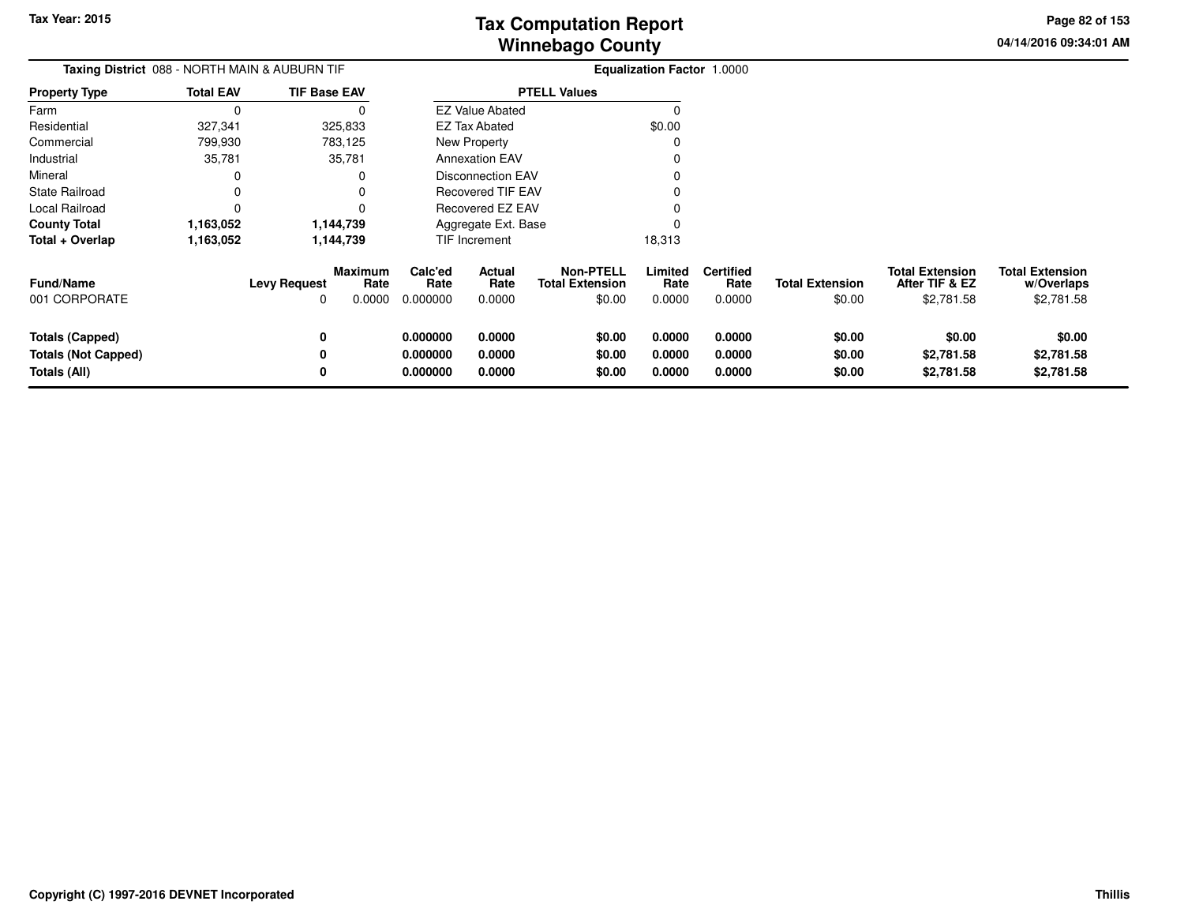**04/14/2016 09:34:01 AMPage 82 of 153**

> **w/Overlaps**\$2,781.58

| <b>Total Extension</b><br><b>Total Extension</b><br>After TIF & EZ<br>w/Overlaps<br>\$2,781.58<br>\$2,781.58 |
|--------------------------------------------------------------------------------------------------------------|
| \$0.00<br>\$0.00<br>\$2,781.58<br>\$2,781.58<br>\$2,781.58                                                   |
| \$2,781.58                                                                                                   |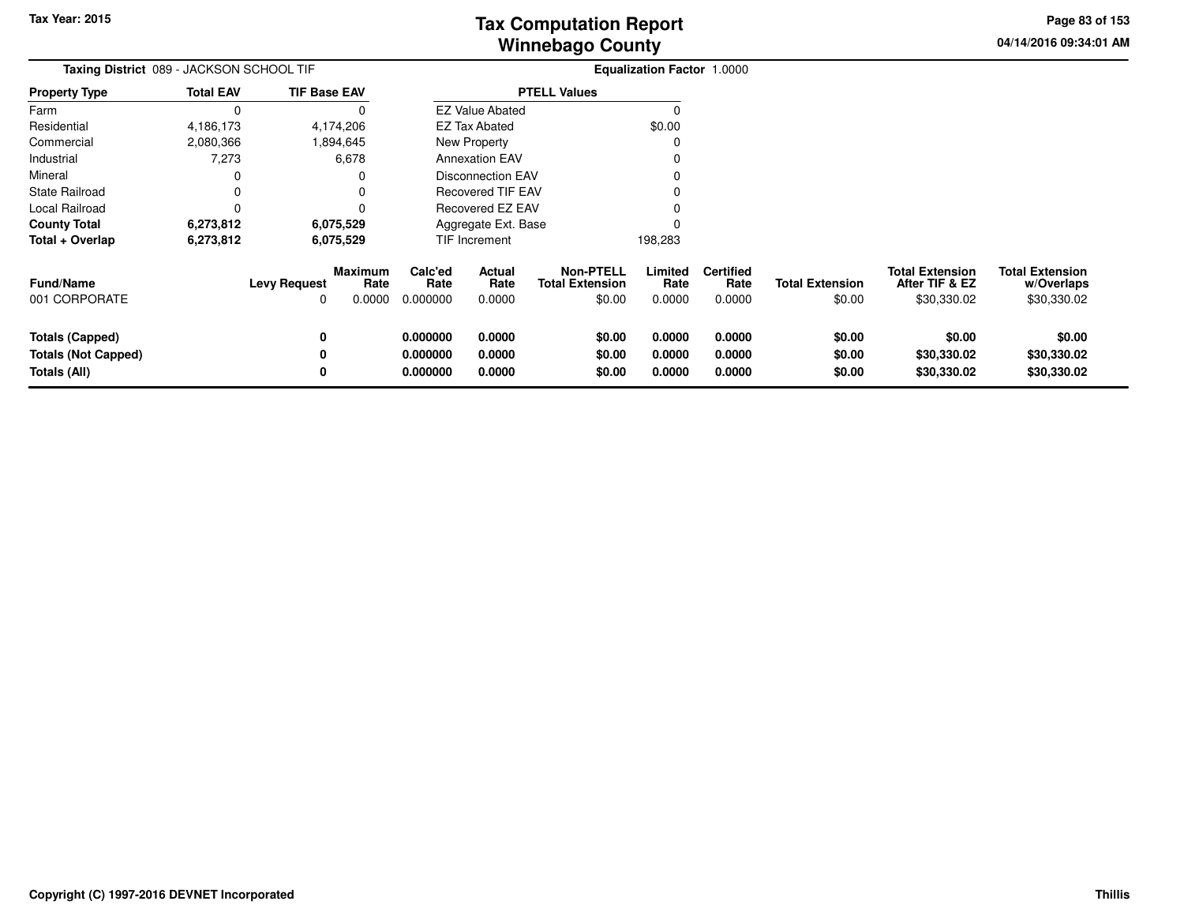**04/14/2016 09:34:01 AMPage 83 of 153**

| Taxing District 089 - JACKSON SCHOOL TIF                             |                  |                          |                                  |                                  |                            |                                                      | <b>Equalization Factor 1.0000</b> |                                    |                                  |                                                         |                                                     |
|----------------------------------------------------------------------|------------------|--------------------------|----------------------------------|----------------------------------|----------------------------|------------------------------------------------------|-----------------------------------|------------------------------------|----------------------------------|---------------------------------------------------------|-----------------------------------------------------|
| <b>Property Type</b>                                                 | <b>Total EAV</b> | <b>TIF Base EAV</b>      |                                  |                                  |                            | <b>PTELL Values</b>                                  |                                   |                                    |                                  |                                                         |                                                     |
| Farm                                                                 | 0                |                          |                                  |                                  | <b>EZ Value Abated</b>     |                                                      | 0                                 |                                    |                                  |                                                         |                                                     |
| Residential                                                          | 4,186,173        |                          | 4,174,206                        |                                  | <b>EZ Tax Abated</b>       |                                                      | \$0.00                            |                                    |                                  |                                                         |                                                     |
| Commercial                                                           | 2,080,366        |                          | 1,894,645                        |                                  | New Property               |                                                      |                                   |                                    |                                  |                                                         |                                                     |
| Industrial                                                           | 7,273            |                          | 6,678                            |                                  | <b>Annexation EAV</b>      |                                                      |                                   |                                    |                                  |                                                         |                                                     |
| Mineral                                                              |                  |                          |                                  |                                  | <b>Disconnection EAV</b>   |                                                      |                                   |                                    |                                  |                                                         |                                                     |
| <b>State Railroad</b>                                                | $\Omega$         |                          |                                  |                                  | Recovered TIF EAV          |                                                      |                                   |                                    |                                  |                                                         |                                                     |
| Local Railroad                                                       | $\Omega$         |                          |                                  |                                  | <b>Recovered EZ EAV</b>    |                                                      |                                   |                                    |                                  |                                                         |                                                     |
| <b>County Total</b>                                                  | 6,273,812        |                          | 6,075,529                        |                                  | Aggregate Ext. Base        |                                                      |                                   |                                    |                                  |                                                         |                                                     |
| Total + Overlap                                                      | 6,273,812        |                          | 6,075,529                        |                                  | TIF Increment              |                                                      | 198,283                           |                                    |                                  |                                                         |                                                     |
| <b>Fund/Name</b><br>001 CORPORATE                                    |                  | <b>Levy Request</b><br>0 | <b>Maximum</b><br>Rate<br>0.0000 | Calc'ed<br>Rate<br>0.000000      | Actual<br>Rate<br>0.0000   | <b>Non-PTELL</b><br><b>Total Extension</b><br>\$0.00 | Limited<br>Rate<br>0.0000         | <b>Certified</b><br>Rate<br>0.0000 | <b>Total Extension</b><br>\$0.00 | <b>Total Extension</b><br>After TIF & EZ<br>\$30,330.02 | <b>Total Extension</b><br>w/Overlaps<br>\$30,330.02 |
| <b>Totals (Capped)</b><br><b>Totals (Not Capped)</b><br>Totals (All) |                  | $\mathbf{0}$<br>0<br>0   |                                  | 0.000000<br>0.000000<br>0.000000 | 0.0000<br>0.0000<br>0.0000 | \$0.00<br>\$0.00<br>\$0.00                           | 0.0000<br>0.0000<br>0.0000        | 0.0000<br>0.0000<br>0.0000         | \$0.00<br>\$0.00<br>\$0.00       | \$0.00<br>\$30,330.02<br>\$30,330.02                    | \$0.00<br>\$30,330.02<br>\$30,330.02                |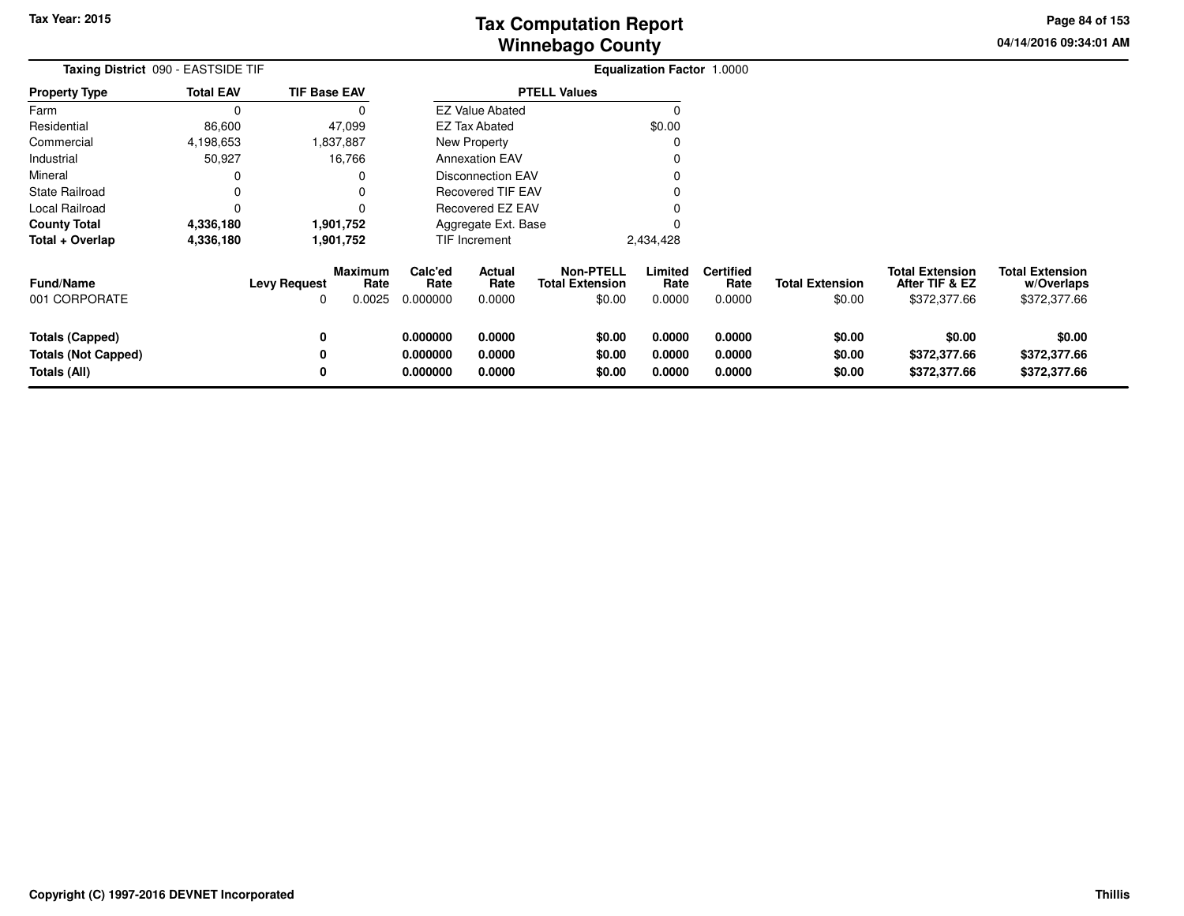**04/14/2016 09:34:01 AMPage 84 of 153**

| Taxing District 090 - EASTSIDE TIF |                  |                     |                           |                             |                          |                                                      | Equalization Factor 1.0000 |                                    |                                  |                                                          |                                                      |
|------------------------------------|------------------|---------------------|---------------------------|-----------------------------|--------------------------|------------------------------------------------------|----------------------------|------------------------------------|----------------------------------|----------------------------------------------------------|------------------------------------------------------|
| <b>Property Type</b>               | <b>Total EAV</b> | <b>TIF Base EAV</b> |                           |                             |                          | <b>PTELL Values</b>                                  |                            |                                    |                                  |                                                          |                                                      |
| Farm                               | $\Omega$         |                     | O                         |                             | <b>EZ Value Abated</b>   |                                                      | 0                          |                                    |                                  |                                                          |                                                      |
| Residential                        | 86,600           |                     | 47,099                    |                             | <b>EZ Tax Abated</b>     |                                                      | \$0.00                     |                                    |                                  |                                                          |                                                      |
| Commercial                         | 4,198,653        |                     | 1,837,887                 |                             | New Property             |                                                      | O                          |                                    |                                  |                                                          |                                                      |
| Industrial                         | 50,927           |                     | 16,766                    |                             | <b>Annexation EAV</b>    |                                                      |                            |                                    |                                  |                                                          |                                                      |
| Mineral                            |                  |                     | 0                         |                             | Disconnection EAV        |                                                      |                            |                                    |                                  |                                                          |                                                      |
| <b>State Railroad</b>              |                  |                     |                           |                             | <b>Recovered TIF EAV</b> |                                                      |                            |                                    |                                  |                                                          |                                                      |
| Local Railroad                     |                  |                     |                           |                             | Recovered EZ EAV         |                                                      |                            |                                    |                                  |                                                          |                                                      |
| <b>County Total</b>                | 4,336,180        |                     | 1,901,752                 |                             | Aggregate Ext. Base      |                                                      |                            |                                    |                                  |                                                          |                                                      |
| Total + Overlap                    | 4,336,180        |                     | 1,901,752                 |                             | TIF Increment            |                                                      | 2,434,428                  |                                    |                                  |                                                          |                                                      |
| <b>Fund/Name</b><br>001 CORPORATE  |                  | <b>Levy Request</b> | Maximum<br>Rate<br>0.0025 | Calc'ed<br>Rate<br>0.000000 | Actual<br>Rate<br>0.0000 | <b>Non-PTELL</b><br><b>Total Extension</b><br>\$0.00 | Limited<br>Rate<br>0.0000  | <b>Certified</b><br>Rate<br>0.0000 | <b>Total Extension</b><br>\$0.00 | <b>Total Extension</b><br>After TIF & EZ<br>\$372,377.66 | <b>Total Extension</b><br>w/Overlaps<br>\$372,377.66 |
| Totals (Capped)                    |                  |                     |                           | 0.000000                    | 0.0000                   | \$0.00                                               | 0.0000                     | 0.0000                             | \$0.00                           | \$0.00                                                   | \$0.00                                               |
| <b>Totals (Not Capped)</b>         |                  |                     |                           | 0.000000                    | 0.0000                   | \$0.00                                               | 0.0000                     | 0.0000                             | \$0.00                           | \$372,377.66                                             | \$372,377.66                                         |
| Totals (All)                       |                  |                     |                           | 0.000000                    | 0.0000                   | \$0.00                                               | 0.0000                     | 0.0000                             | \$0.00                           | \$372,377.66                                             | \$372,377.66                                         |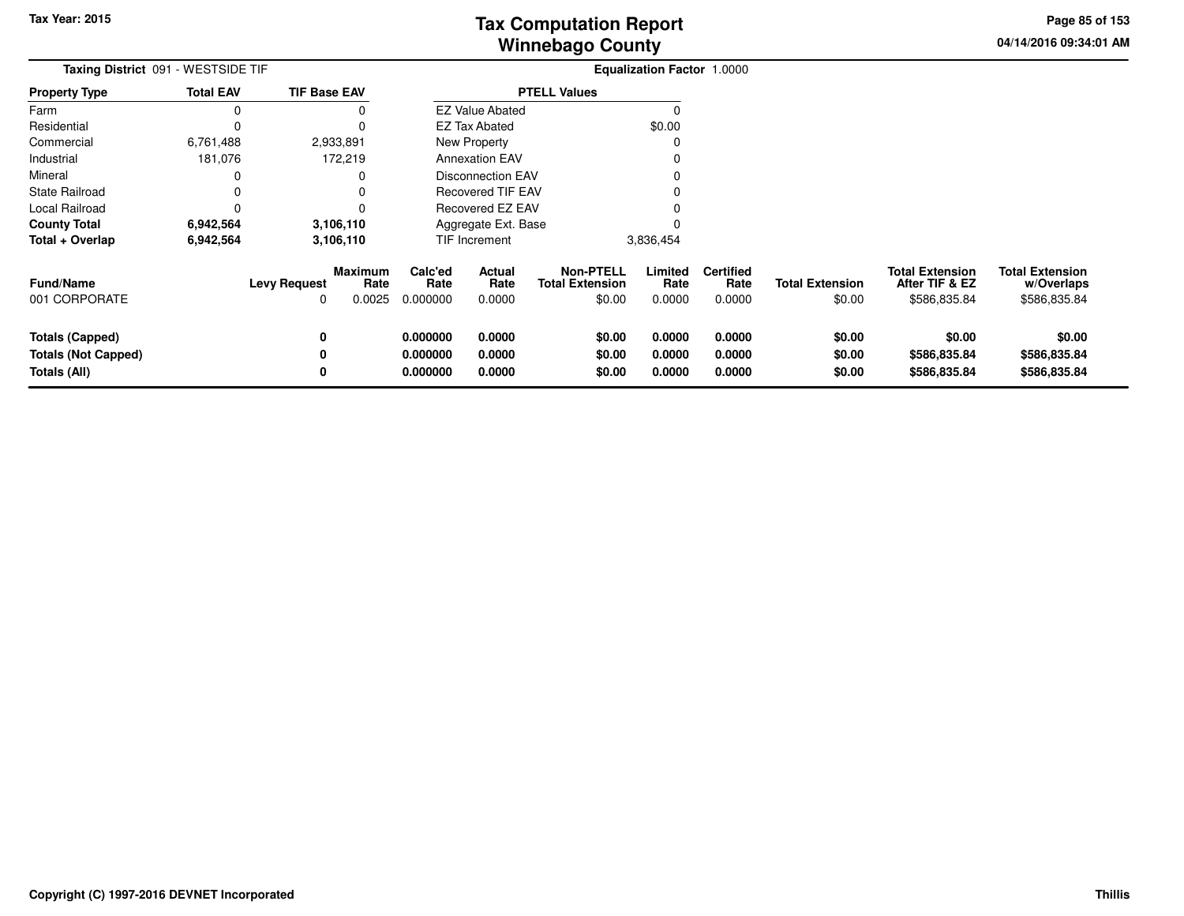**04/14/2016 09:34:01 AMPage 85 of 153**

| Taxing District 091 - WESTSIDE TIF                                   |                  |                          |                           |                                  | <b>Equalization Factor 1.0000</b> |                                               |                            |                                    |                                  |                                                          |                                                      |
|----------------------------------------------------------------------|------------------|--------------------------|---------------------------|----------------------------------|-----------------------------------|-----------------------------------------------|----------------------------|------------------------------------|----------------------------------|----------------------------------------------------------|------------------------------------------------------|
| <b>Property Type</b>                                                 | <b>Total EAV</b> | <b>TIF Base EAV</b>      |                           |                                  |                                   | <b>PTELL Values</b>                           |                            |                                    |                                  |                                                          |                                                      |
| Farm                                                                 | 0                |                          | 0                         |                                  | <b>EZ Value Abated</b>            |                                               | $\Omega$                   |                                    |                                  |                                                          |                                                      |
| Residential                                                          | 0                |                          |                           |                                  | EZ Tax Abated                     |                                               | \$0.00                     |                                    |                                  |                                                          |                                                      |
| Commercial                                                           | 6,761,488        |                          | 2,933,891                 |                                  | <b>New Property</b>               |                                               | $\Omega$                   |                                    |                                  |                                                          |                                                      |
| Industrial                                                           | 181,076          |                          | 172,219                   |                                  | <b>Annexation EAV</b>             |                                               |                            |                                    |                                  |                                                          |                                                      |
| Mineral                                                              | 0                |                          | 0                         |                                  | <b>Disconnection EAV</b>          |                                               |                            |                                    |                                  |                                                          |                                                      |
| <b>State Railroad</b>                                                | 0                |                          |                           |                                  | Recovered TIF EAV                 |                                               |                            |                                    |                                  |                                                          |                                                      |
| Local Railroad                                                       | 0                |                          |                           | Recovered EZ EAV                 |                                   |                                               |                            |                                    |                                  |                                                          |                                                      |
| <b>County Total</b>                                                  | 6,942,564        |                          | 3,106,110                 |                                  | Aggregate Ext. Base               |                                               |                            |                                    |                                  |                                                          |                                                      |
| Total + Overlap                                                      | 6,942,564        |                          | 3,106,110                 |                                  | TIF Increment                     |                                               | 3,836,454                  |                                    |                                  |                                                          |                                                      |
| <b>Fund/Name</b><br>001 CORPORATE                                    |                  | <b>Levy Request</b><br>O | Maximum<br>Rate<br>0.0025 | Calc'ed<br>Rate<br>0.000000      | Actual<br>Rate<br>0.0000          | Non-PTELL<br><b>Total Extension</b><br>\$0.00 | Limited<br>Rate<br>0.0000  | <b>Certified</b><br>Rate<br>0.0000 | <b>Total Extension</b><br>\$0.00 | <b>Total Extension</b><br>After TIF & EZ<br>\$586,835.84 | <b>Total Extension</b><br>w/Overlaps<br>\$586,835.84 |
| <b>Totals (Capped)</b><br><b>Totals (Not Capped)</b><br>Totals (All) |                  | 0<br>0<br>0              |                           | 0.000000<br>0.000000<br>0.000000 | 0.0000<br>0.0000<br>0.0000        | \$0.00<br>\$0.00<br>\$0.00                    | 0.0000<br>0.0000<br>0.0000 | 0.0000<br>0.0000<br>0.0000         | \$0.00<br>\$0.00<br>\$0.00       | \$0.00<br>\$586,835.84<br>\$586,835.84                   | \$0.00<br>\$586,835.84<br>\$586,835.84               |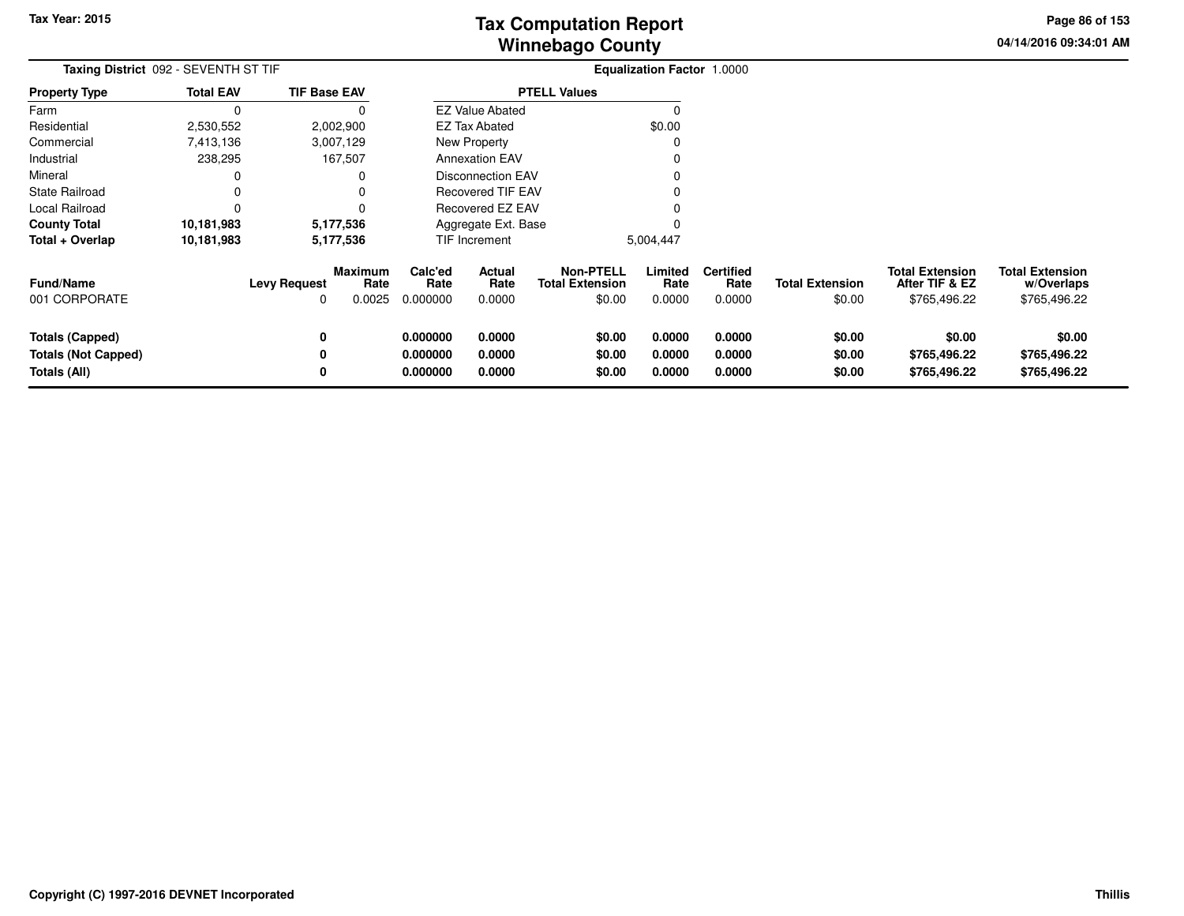**04/14/2016 09:34:01 AMPage 86 of 153**

> **w/Overlaps**\$765,496.22

| Taxing District 092 - SEVENTH ST TIF |                         |                     |                        |                  |                          |                                            | Equalization Factor 1.0000 |                          |                        |                                          |                                      |
|--------------------------------------|-------------------------|---------------------|------------------------|------------------|--------------------------|--------------------------------------------|----------------------------|--------------------------|------------------------|------------------------------------------|--------------------------------------|
| <b>Property Type</b>                 | <b>Total EAV</b>        | <b>TIF Base EAV</b> |                        |                  |                          | <b>PTELL Values</b>                        |                            |                          |                        |                                          |                                      |
| Farm                                 | 0                       |                     | O                      |                  | <b>EZ Value Abated</b>   |                                            |                            |                          |                        |                                          |                                      |
| Residential                          | 2,530,552               |                     | 2,002,900              |                  | <b>EZ Tax Abated</b>     |                                            | \$0.00                     |                          |                        |                                          |                                      |
| Commercial                           | 7,413,136               |                     | 3,007,129              |                  | <b>New Property</b>      |                                            |                            |                          |                        |                                          |                                      |
| Industrial                           | 238,295                 |                     | 167,507                |                  | <b>Annexation EAV</b>    |                                            |                            |                          |                        |                                          |                                      |
| Mineral                              | 0                       |                     |                        |                  | Disconnection EAV        |                                            |                            |                          |                        |                                          |                                      |
| State Railroad                       | 0                       |                     |                        |                  | <b>Recovered TIF EAV</b> |                                            |                            |                          |                        |                                          |                                      |
| Local Railroad                       |                         |                     |                        | Recovered EZ EAV |                          |                                            |                            |                          |                        |                                          |                                      |
| <b>County Total</b>                  | 10,181,983<br>5,177,536 |                     |                        |                  | Aggregate Ext. Base      |                                            |                            |                          |                        |                                          |                                      |
| Total + Overlap                      | 10,181,983              |                     | 5,177,536              |                  | TIF Increment            |                                            | 5,004,447                  |                          |                        |                                          |                                      |
| <b>Fund/Name</b>                     |                         | <b>Levy Request</b> | <b>Maximum</b><br>Rate | Calc'ed<br>Rate  | <b>Actual</b><br>Rate    | <b>Non-PTELL</b><br><b>Total Extension</b> | Limited<br>Rate            | <b>Certified</b><br>Rate | <b>Total Extension</b> | <b>Total Extension</b><br>After TIF & EZ | <b>Total Extension</b><br>w/Overlaps |
| 001 CORPORATE                        |                         |                     | 0.0025                 | 0.000000         | 0.0000                   | \$0.00                                     | 0.0000                     | 0.0000                   | \$0.00                 | \$765,496.22                             | \$765,496.22                         |
| Totals (Capped)                      |                         |                     |                        | 0.000000         | 0.0000                   | \$0.00                                     | 0.0000                     | 0.0000                   | \$0.00                 | \$0.00                                   | \$0.00                               |
| <b>Totals (Not Capped)</b>           |                         |                     |                        | 0.000000         | 0.0000                   | \$0.00                                     | 0.0000                     | 0.0000                   | \$0.00                 | \$765,496.22                             | \$765,496.22                         |
| Totals (All)                         |                         |                     |                        | 0.000000         | 0.0000                   | \$0.00                                     | 0.0000                     | 0.0000                   | \$0.00                 | \$765,496.22                             | \$765,496.22                         |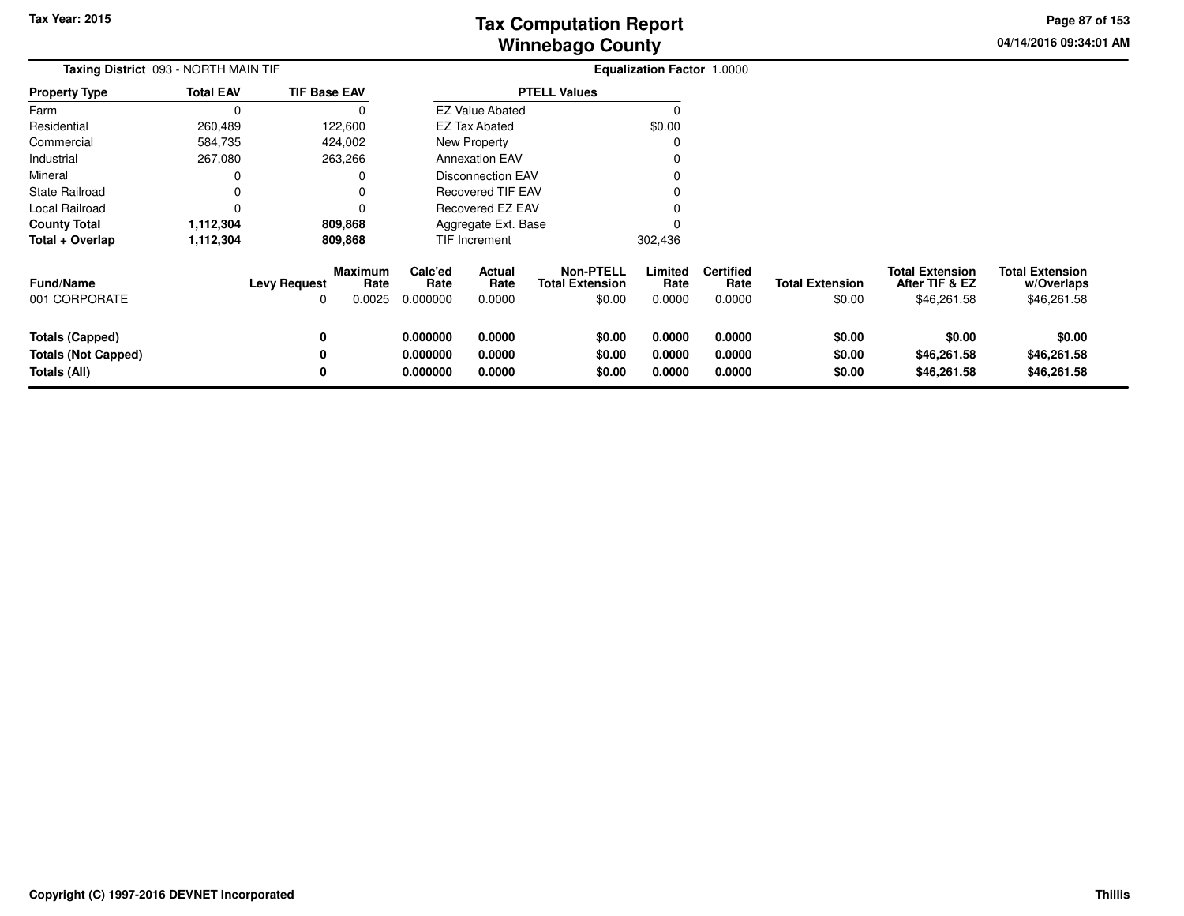**04/14/2016 09:34:01 AMPage 87 of 153**

| <b>Taxing District 093 - NORTH MAIN TIF</b>                   |                  |                          |                                  |                                  |                            |                                                      | <b>Equalization Factor 1.0000</b> |                                    |                                  |                                                         |                                                     |
|---------------------------------------------------------------|------------------|--------------------------|----------------------------------|----------------------------------|----------------------------|------------------------------------------------------|-----------------------------------|------------------------------------|----------------------------------|---------------------------------------------------------|-----------------------------------------------------|
| Property Type                                                 | <b>Total EAV</b> | <b>TIF Base EAV</b>      |                                  |                                  |                            | <b>PTELL Values</b>                                  |                                   |                                    |                                  |                                                         |                                                     |
| Farm                                                          | 0                |                          |                                  |                                  | <b>EZ Value Abated</b>     |                                                      | O                                 |                                    |                                  |                                                         |                                                     |
| Residential                                                   | 260,489          |                          | 122,600                          |                                  | <b>EZ Tax Abated</b>       |                                                      | \$0.00                            |                                    |                                  |                                                         |                                                     |
| Commercial                                                    | 584,735          |                          | 424,002                          |                                  | New Property               |                                                      |                                   |                                    |                                  |                                                         |                                                     |
| Industrial                                                    | 267,080          |                          | 263,266                          |                                  | <b>Annexation EAV</b>      |                                                      |                                   |                                    |                                  |                                                         |                                                     |
| Mineral                                                       | 0                |                          |                                  |                                  | <b>Disconnection EAV</b>   |                                                      |                                   |                                    |                                  |                                                         |                                                     |
| State Railroad                                                | 0                |                          |                                  |                                  | <b>Recovered TIF EAV</b>   |                                                      |                                   |                                    |                                  |                                                         |                                                     |
| Local Railroad                                                | 0                |                          |                                  |                                  | Recovered EZ EAV           |                                                      |                                   |                                    |                                  |                                                         |                                                     |
| County Total                                                  | 1,112,304        |                          | 809,868                          |                                  | Aggregate Ext. Base        |                                                      |                                   |                                    |                                  |                                                         |                                                     |
| Total + Overlap                                               | 1,112,304        |                          | 809,868                          |                                  | <b>TIF Increment</b>       |                                                      | 302,436                           |                                    |                                  |                                                         |                                                     |
| Fund/Name<br>001 CORPORATE                                    |                  | <b>Levy Request</b><br>0 | <b>Maximum</b><br>Rate<br>0.0025 | Calc'ed<br>Rate<br>0.000000      | Actual<br>Rate<br>0.0000   | <b>Non-PTELL</b><br><b>Total Extension</b><br>\$0.00 | Limited<br>Rate<br>0.0000         | <b>Certified</b><br>Rate<br>0.0000 | <b>Total Extension</b><br>\$0.00 | <b>Total Extension</b><br>After TIF & EZ<br>\$46,261.58 | <b>Total Extension</b><br>w/Overlaps<br>\$46,261.58 |
| Totals (Capped)<br><b>Totals (Not Capped)</b><br>Totals (All) |                  | 0<br>0<br>0              |                                  | 0.000000<br>0.000000<br>0.000000 | 0.0000<br>0.0000<br>0.0000 | \$0.00<br>\$0.00<br>\$0.00                           | 0.0000<br>0.0000<br>0.0000        | 0.0000<br>0.0000<br>0.0000         | \$0.00<br>\$0.00<br>\$0.00       | \$0.00<br>\$46,261.58<br>\$46,261.58                    | \$0.00<br>\$46,261.58<br>\$46,261.58                |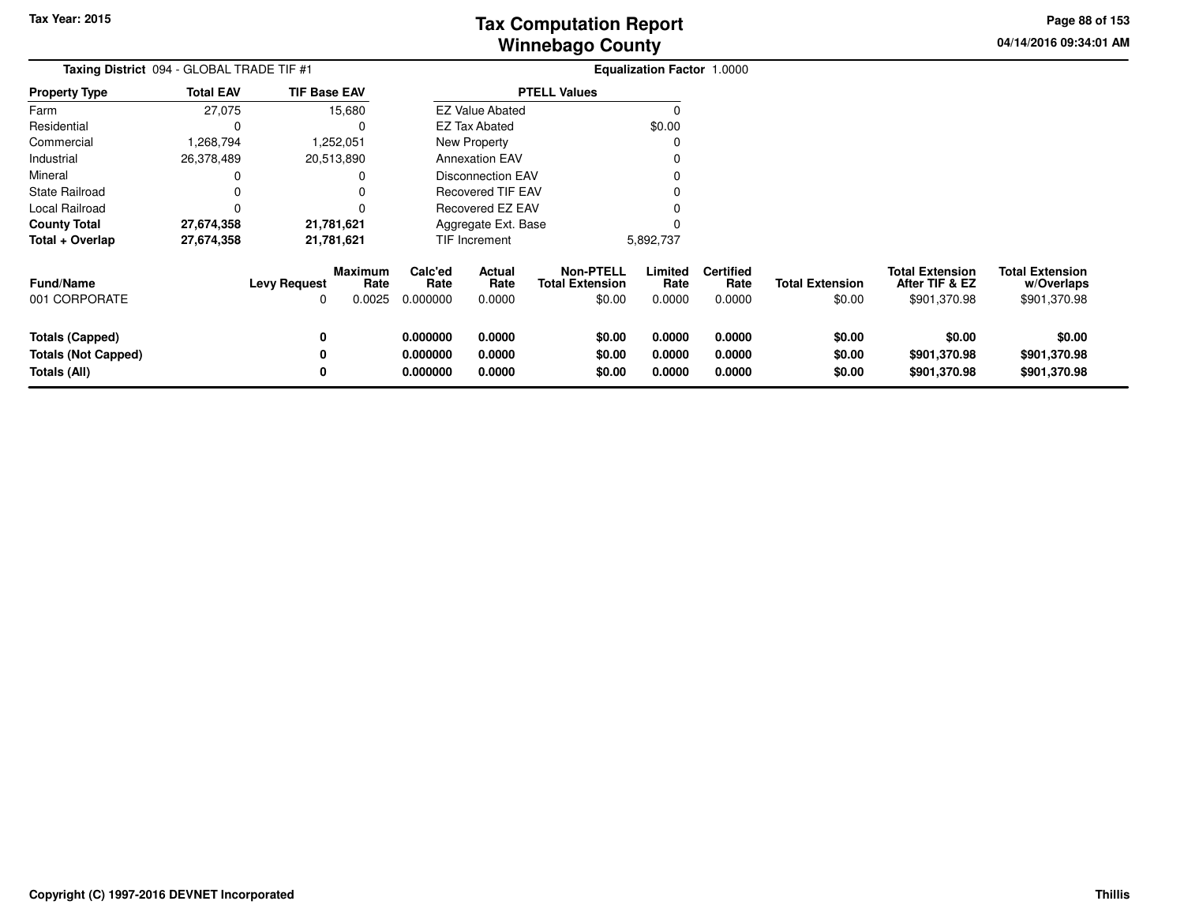**04/14/2016 09:34:01 AMPage 88 of 153**

| Taxing District 094 - GLOBAL TRADE TIF #1                            |                  |                          |                                  |                                  |                            |                                                      | Equalization Factor 1.0000 |                                    |                                  |                                                          |                                                      |
|----------------------------------------------------------------------|------------------|--------------------------|----------------------------------|----------------------------------|----------------------------|------------------------------------------------------|----------------------------|------------------------------------|----------------------------------|----------------------------------------------------------|------------------------------------------------------|
| <b>Property Type</b>                                                 | <b>Total EAV</b> | <b>TIF Base EAV</b>      |                                  |                                  |                            | <b>PTELL Values</b>                                  |                            |                                    |                                  |                                                          |                                                      |
| Farm                                                                 | 27,075           |                          | 15,680                           |                                  | <b>EZ Value Abated</b>     |                                                      | 0                          |                                    |                                  |                                                          |                                                      |
| Residential                                                          | C                |                          | 0                                |                                  | EZ Tax Abated              |                                                      | \$0.00                     |                                    |                                  |                                                          |                                                      |
| Commercial                                                           | 1,268,794        |                          | 1,252,051                        |                                  | New Property               |                                                      |                            |                                    |                                  |                                                          |                                                      |
| Industrial                                                           | 26,378,489       |                          | 20,513,890                       |                                  | <b>Annexation EAV</b>      |                                                      |                            |                                    |                                  |                                                          |                                                      |
| Mineral                                                              |                  |                          | 0                                |                                  | <b>Disconnection EAV</b>   |                                                      |                            |                                    |                                  |                                                          |                                                      |
| <b>State Railroad</b>                                                |                  |                          | 0                                |                                  | <b>Recovered TIF EAV</b>   |                                                      |                            |                                    |                                  |                                                          |                                                      |
| Local Railroad                                                       | $\Omega$         |                          |                                  |                                  | Recovered EZ EAV           |                                                      |                            |                                    |                                  |                                                          |                                                      |
| <b>County Total</b>                                                  | 27,674,358       |                          | 21,781,621                       |                                  | Aggregate Ext. Base        |                                                      |                            |                                    |                                  |                                                          |                                                      |
| Total + Overlap                                                      | 27,674,358       |                          | 21,781,621                       |                                  | TIF Increment              |                                                      | 5,892,737                  |                                    |                                  |                                                          |                                                      |
| <b>Fund/Name</b><br>001 CORPORATE                                    |                  | <b>Levy Request</b><br>0 | <b>Maximum</b><br>Rate<br>0.0025 | Calc'ed<br>Rate<br>0.000000      | Actual<br>Rate<br>0.0000   | <b>Non-PTELL</b><br><b>Total Extension</b><br>\$0.00 | Limited<br>Rate<br>0.0000  | <b>Certified</b><br>Rate<br>0.0000 | <b>Total Extension</b><br>\$0.00 | <b>Total Extension</b><br>After TIF & EZ<br>\$901,370.98 | <b>Total Extension</b><br>w/Overlaps<br>\$901,370.98 |
| <b>Totals (Capped)</b><br><b>Totals (Not Capped)</b><br>Totals (All) |                  | 0<br>0<br>0              |                                  | 0.000000<br>0.000000<br>0.000000 | 0.0000<br>0.0000<br>0.0000 | \$0.00<br>\$0.00<br>\$0.00                           | 0.0000<br>0.0000<br>0.0000 | 0.0000<br>0.0000<br>0.0000         | \$0.00<br>\$0.00<br>\$0.00       | \$0.00<br>\$901,370.98<br>\$901,370.98                   | \$0.00<br>\$901,370.98<br>\$901,370.98               |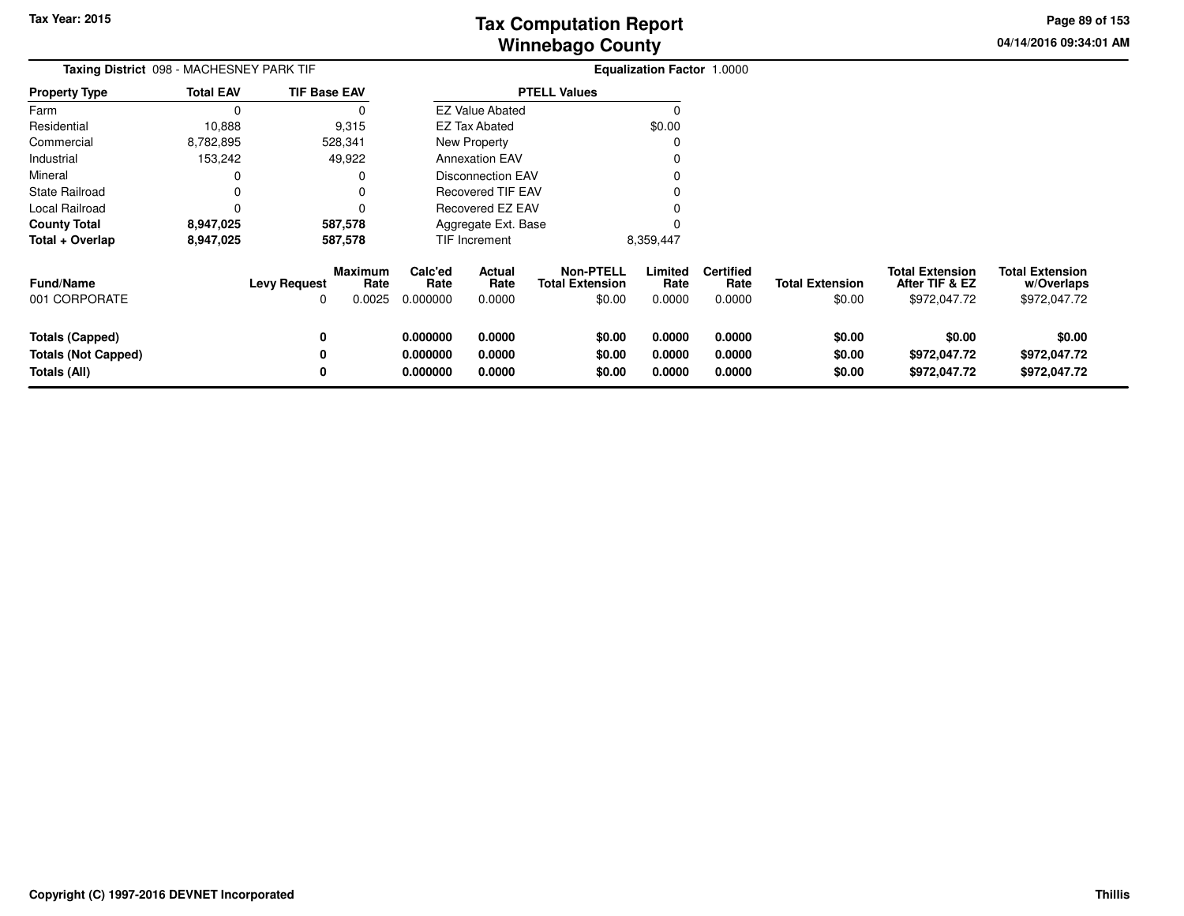**04/14/2016 09:34:01 AMPage 89 of 153**

| Taxing District 098 - MACHESNEY PARK TIF                             |                  |                          |                                  |                                  |                            |                                                      | <b>Equalization Factor 1.0000</b> |                                    |                                  |                                                          |                                                      |
|----------------------------------------------------------------------|------------------|--------------------------|----------------------------------|----------------------------------|----------------------------|------------------------------------------------------|-----------------------------------|------------------------------------|----------------------------------|----------------------------------------------------------|------------------------------------------------------|
| <b>Property Type</b>                                                 | <b>Total EAV</b> | <b>TIF Base EAV</b>      |                                  |                                  |                            | <b>PTELL Values</b>                                  |                                   |                                    |                                  |                                                          |                                                      |
| Farm                                                                 | 0                |                          |                                  |                                  | <b>EZ Value Abated</b>     |                                                      |                                   |                                    |                                  |                                                          |                                                      |
| Residential                                                          | 10,888           |                          | 9,315                            |                                  | EZ Tax Abated              |                                                      | \$0.00                            |                                    |                                  |                                                          |                                                      |
| Commercial                                                           | 8,782,895        |                          | 528,341                          |                                  | New Property               |                                                      |                                   |                                    |                                  |                                                          |                                                      |
| Industrial                                                           | 153,242          |                          | 49,922                           |                                  | <b>Annexation EAV</b>      |                                                      |                                   |                                    |                                  |                                                          |                                                      |
| Mineral                                                              |                  |                          |                                  |                                  | <b>Disconnection EAV</b>   |                                                      |                                   |                                    |                                  |                                                          |                                                      |
| State Railroad                                                       |                  |                          |                                  |                                  | <b>Recovered TIF EAV</b>   |                                                      |                                   |                                    |                                  |                                                          |                                                      |
| Local Railroad                                                       | 0                |                          |                                  | Recovered EZ EAV                 |                            |                                                      |                                   |                                    |                                  |                                                          |                                                      |
| <b>County Total</b>                                                  | 8,947,025        |                          | 587,578                          |                                  | Aggregate Ext. Base        |                                                      |                                   |                                    |                                  |                                                          |                                                      |
| Total + Overlap                                                      | 8,947,025        |                          | 587,578                          |                                  | TIF Increment              |                                                      | 8,359,447                         |                                    |                                  |                                                          |                                                      |
| <b>Fund/Name</b><br>001 CORPORATE                                    |                  | <b>Levy Request</b><br>0 | <b>Maximum</b><br>Rate<br>0.0025 | Calc'ed<br>Rate<br>0.000000      | Actual<br>Rate<br>0.0000   | <b>Non-PTELL</b><br><b>Total Extension</b><br>\$0.00 | Limited<br>Rate<br>0.0000         | <b>Certified</b><br>Rate<br>0.0000 | <b>Total Extension</b><br>\$0.00 | <b>Total Extension</b><br>After TIF & EZ<br>\$972,047.72 | <b>Total Extension</b><br>w/Overlaps<br>\$972,047.72 |
| <b>Totals (Capped)</b><br><b>Totals (Not Capped)</b><br>Totals (All) |                  | 0<br>0<br>0              |                                  | 0.000000<br>0.000000<br>0.000000 | 0.0000<br>0.0000<br>0.0000 | \$0.00<br>\$0.00<br>\$0.00                           | 0.0000<br>0.0000<br>0.0000        | 0.0000<br>0.0000<br>0.0000         | \$0.00<br>\$0.00<br>\$0.00       | \$0.00<br>\$972,047.72<br>\$972,047.72                   | \$0.00<br>\$972,047.72<br>\$972,047.72               |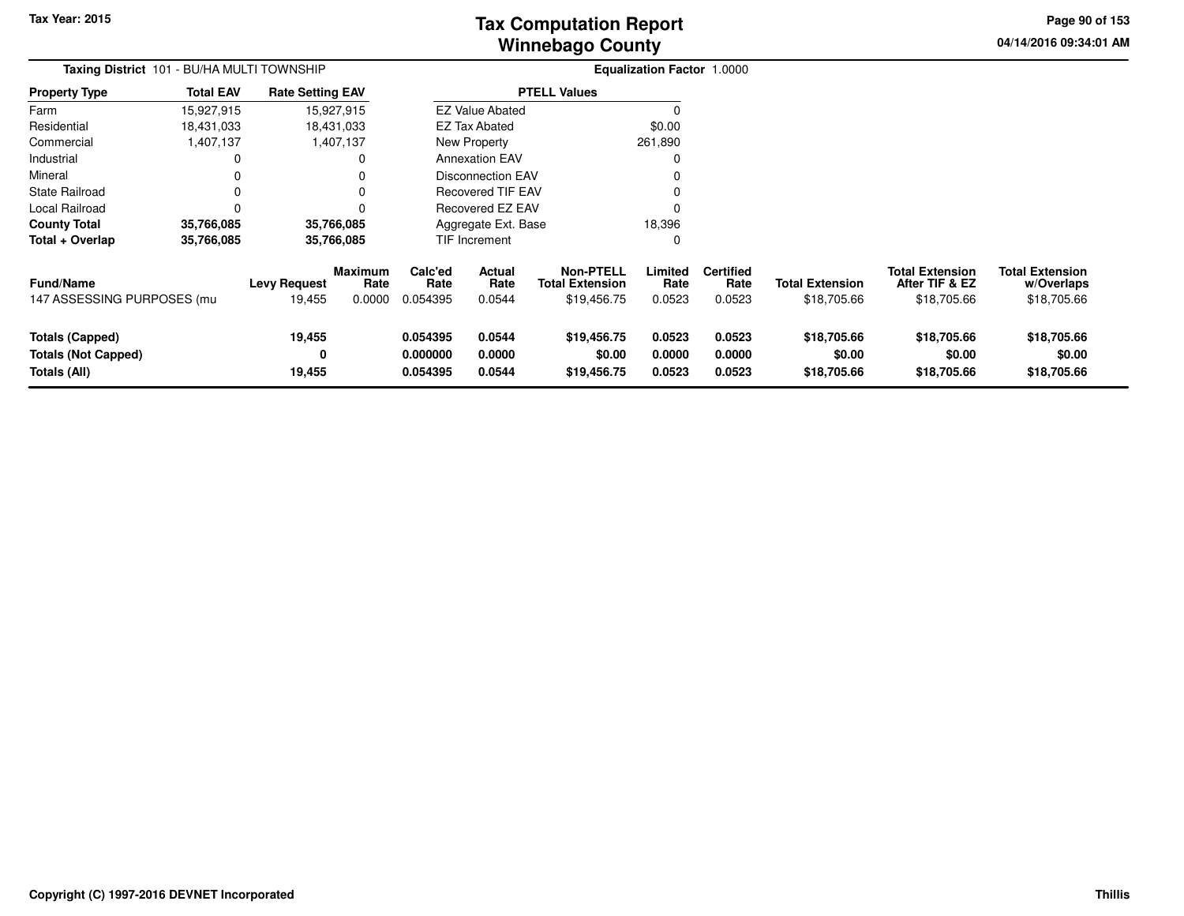# **Winnebago CountyTax Computation Report**

**04/14/2016 09:34:01 AM Page 90 of 153**

| Taxing District 101 - BU/HA MULTI TOWNSHIP                           |                  |                               |                                  | <b>Equalization Factor 1.0000</b> |                            |                                                           |                            |                                    |                                       |                                                         |                                                     |
|----------------------------------------------------------------------|------------------|-------------------------------|----------------------------------|-----------------------------------|----------------------------|-----------------------------------------------------------|----------------------------|------------------------------------|---------------------------------------|---------------------------------------------------------|-----------------------------------------------------|
| <b>Property Type</b>                                                 | <b>Total EAV</b> | <b>Rate Setting EAV</b>       |                                  |                                   |                            | <b>PTELL Values</b>                                       |                            |                                    |                                       |                                                         |                                                     |
| Farm                                                                 | 15,927,915       |                               | 15,927,915                       |                                   | <b>EZ Value Abated</b>     |                                                           |                            |                                    |                                       |                                                         |                                                     |
| Residential                                                          | 18,431,033       |                               | 18,431,033                       |                                   | <b>EZ Tax Abated</b>       |                                                           | \$0.00                     |                                    |                                       |                                                         |                                                     |
| Commercial                                                           | 1,407,137        |                               | 1,407,137                        |                                   | New Property               |                                                           | 261,890                    |                                    |                                       |                                                         |                                                     |
| Industrial                                                           |                  |                               |                                  |                                   | <b>Annexation EAV</b>      |                                                           | 0                          |                                    |                                       |                                                         |                                                     |
| Mineral                                                              |                  |                               |                                  |                                   | Disconnection EAV          |                                                           |                            |                                    |                                       |                                                         |                                                     |
| <b>State Railroad</b>                                                |                  |                               |                                  |                                   | <b>Recovered TIF EAV</b>   |                                                           |                            |                                    |                                       |                                                         |                                                     |
| Local Railroad                                                       |                  |                               |                                  |                                   | Recovered EZ EAV           |                                                           |                            |                                    |                                       |                                                         |                                                     |
| <b>County Total</b>                                                  | 35,766,085       |                               | 35,766,085                       |                                   | Aggregate Ext. Base        |                                                           | 18,396                     |                                    |                                       |                                                         |                                                     |
| Total + Overlap                                                      | 35,766,085       |                               | 35,766,085                       |                                   | <b>TIF Increment</b>       |                                                           | 0                          |                                    |                                       |                                                         |                                                     |
| Fund/Name<br>147 ASSESSING PURPOSES (mu                              |                  | <b>Levy Request</b><br>19,455 | <b>Maximum</b><br>Rate<br>0.0000 | Calc'ed<br>Rate<br>0.054395       | Actual<br>Rate<br>0.0544   | <b>Non-PTELL</b><br><b>Total Extension</b><br>\$19,456.75 | Limited<br>Rate<br>0.0523  | <b>Certified</b><br>Rate<br>0.0523 | <b>Total Extension</b><br>\$18,705.66 | <b>Total Extension</b><br>After TIF & EZ<br>\$18,705.66 | <b>Total Extension</b><br>w/Overlaps<br>\$18,705.66 |
| <b>Totals (Capped)</b><br><b>Totals (Not Capped)</b><br>Totals (All) |                  | 19,455<br>0<br>19,455         |                                  | 0.054395<br>0.000000<br>0.054395  | 0.0544<br>0.0000<br>0.0544 | \$19,456.75<br>\$0.00<br>\$19,456.75                      | 0.0523<br>0.0000<br>0.0523 | 0.0523<br>0.0000<br>0.0523         | \$18,705.66<br>\$0.00<br>\$18,705.66  | \$18,705.66<br>\$0.00<br>\$18,705.66                    | \$18,705.66<br>\$0.00<br>\$18,705.66                |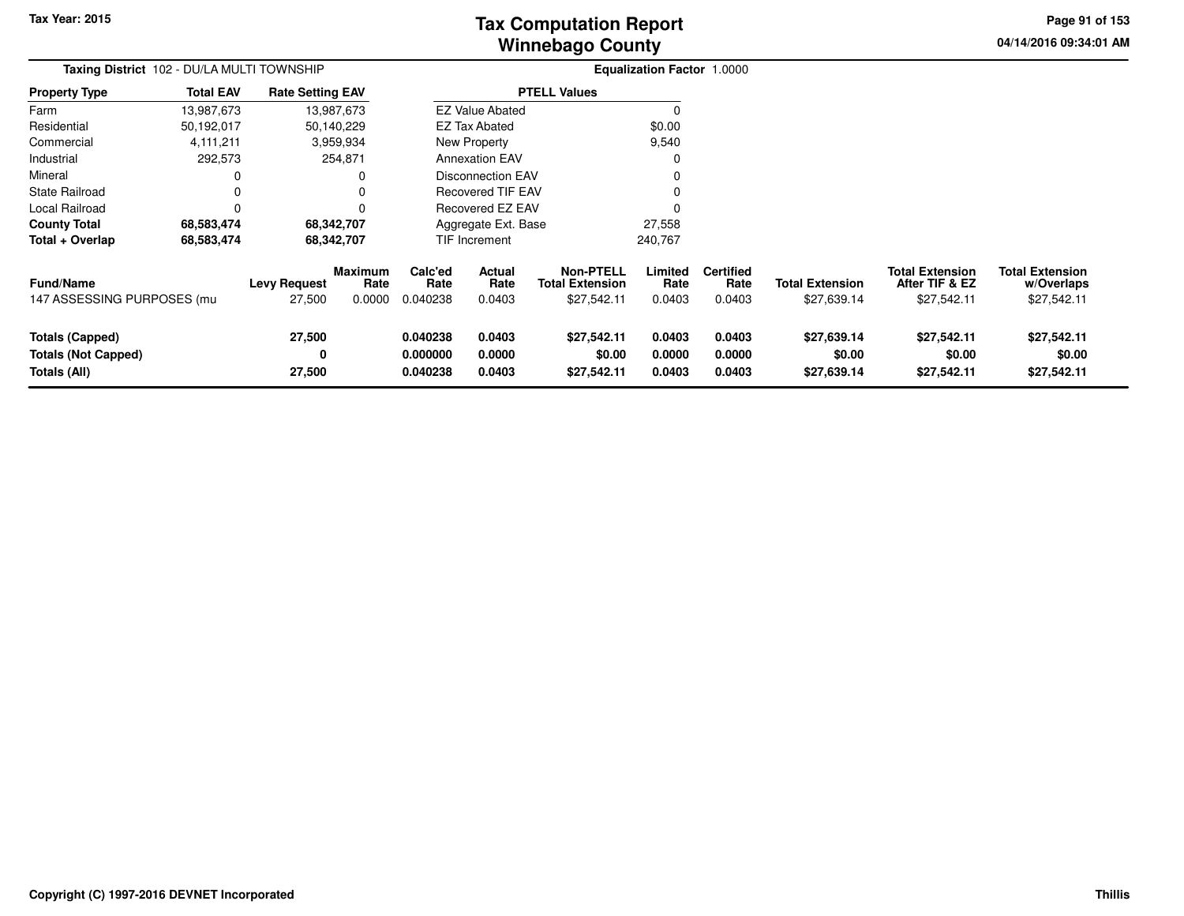# **Winnebago CountyTax Computation Report**

**04/14/2016 09:34:01 AM Page 91 of 153**

| Taxing District 102 - DU/LA MULTI TOWNSHIP                           |                  |                               |                           |                                                      |                            |                                                           | <b>Equalization Factor 1.0000</b> |                                    |                                       |                                                         |                                                     |
|----------------------------------------------------------------------|------------------|-------------------------------|---------------------------|------------------------------------------------------|----------------------------|-----------------------------------------------------------|-----------------------------------|------------------------------------|---------------------------------------|---------------------------------------------------------|-----------------------------------------------------|
| <b>Property Type</b>                                                 | <b>Total EAV</b> | <b>Rate Setting EAV</b>       |                           |                                                      |                            | <b>PTELL Values</b>                                       |                                   |                                    |                                       |                                                         |                                                     |
| Farm                                                                 | 13,987,673       |                               | 13,987,673                |                                                      | <b>EZ Value Abated</b>     |                                                           |                                   |                                    |                                       |                                                         |                                                     |
| Residential                                                          | 50,192,017       |                               | 50,140,229                |                                                      | <b>EZ Tax Abated</b>       |                                                           | \$0.00                            |                                    |                                       |                                                         |                                                     |
| Commercial                                                           | 4,111,211        |                               | 3,959,934                 |                                                      | New Property               |                                                           | 9,540                             |                                    |                                       |                                                         |                                                     |
| Industrial                                                           | 292,573          |                               | 254,871                   |                                                      | <b>Annexation EAV</b>      |                                                           |                                   |                                    |                                       |                                                         |                                                     |
| Mineral                                                              |                  |                               |                           | <b>Disconnection EAV</b><br><b>Recovered TIF EAV</b> |                            |                                                           |                                   |                                    |                                       |                                                         |                                                     |
| State Railroad                                                       |                  |                               |                           |                                                      |                            |                                                           |                                   |                                    |                                       |                                                         |                                                     |
| Local Railroad                                                       |                  |                               |                           | Recovered EZ EAV                                     |                            |                                                           |                                   |                                    |                                       |                                                         |                                                     |
| <b>County Total</b>                                                  | 68,583,474       |                               | 68,342,707                | Aggregate Ext. Base<br>27,558                        |                            |                                                           |                                   |                                    |                                       |                                                         |                                                     |
| Total + Overlap                                                      | 68,583,474       |                               | 68,342,707                |                                                      | TIF Increment              |                                                           | 240,767                           |                                    |                                       |                                                         |                                                     |
| Fund/Name<br>147 ASSESSING PURPOSES (mu                              |                  | <b>Levy Request</b><br>27,500 | Maximum<br>Rate<br>0.0000 | Calc'ed<br>Rate<br>0.040238                          | Actual<br>Rate<br>0.0403   | <b>Non-PTELL</b><br><b>Total Extension</b><br>\$27,542.11 | Limited<br>Rate<br>0.0403         | <b>Certified</b><br>Rate<br>0.0403 | <b>Total Extension</b><br>\$27,639.14 | <b>Total Extension</b><br>After TIF & EZ<br>\$27,542.11 | <b>Total Extension</b><br>w/Overlaps<br>\$27,542.11 |
| <b>Totals (Capped)</b><br><b>Totals (Not Capped)</b><br>Totals (All) |                  | 27,500<br>0<br>27,500         |                           | 0.040238<br>0.000000<br>0.040238                     | 0.0403<br>0.0000<br>0.0403 | \$27,542.11<br>\$0.00<br>\$27,542.11                      | 0.0403<br>0.0000<br>0.0403        | 0.0403<br>0.0000<br>0.0403         | \$27,639.14<br>\$0.00<br>\$27,639.14  | \$27,542.11<br>\$0.00<br>\$27,542.11                    | \$27,542.11<br>\$0.00<br>\$27,542.11                |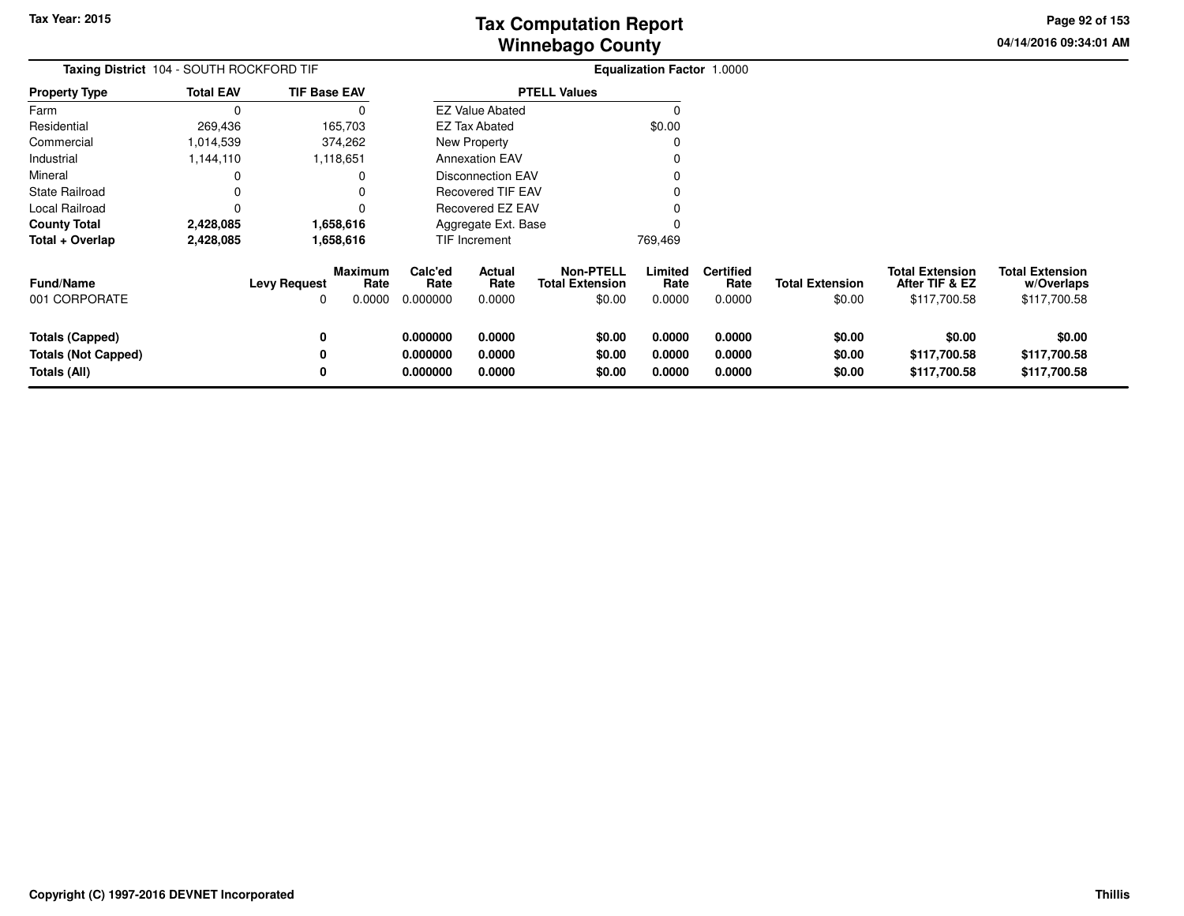**04/14/2016 09:34:01 AMPage 92 of 153**

| <b>Taxing District</b> 104 - SOUTH ROCKFORD TIF                      |                  |                     |                                  |                                  |                            |                                                      | <b>Equalization Factor 1.0000</b> |                                    |                                  |                                                          |                                                      |
|----------------------------------------------------------------------|------------------|---------------------|----------------------------------|----------------------------------|----------------------------|------------------------------------------------------|-----------------------------------|------------------------------------|----------------------------------|----------------------------------------------------------|------------------------------------------------------|
| <b>Property Type</b>                                                 | <b>Total EAV</b> | <b>TIF Base EAV</b> |                                  |                                  |                            | <b>PTELL Values</b>                                  |                                   |                                    |                                  |                                                          |                                                      |
| Farm                                                                 | $\Omega$         |                     |                                  |                                  | <b>EZ Value Abated</b>     |                                                      |                                   |                                    |                                  |                                                          |                                                      |
| Residential                                                          | 269,436          |                     | 165,703                          |                                  | <b>EZ Tax Abated</b>       |                                                      | \$0.00                            |                                    |                                  |                                                          |                                                      |
| Commercial                                                           | 1,014,539        |                     | 374,262                          |                                  | New Property               |                                                      |                                   |                                    |                                  |                                                          |                                                      |
| Industrial                                                           | 1,144,110        |                     | 1,118,651                        |                                  | <b>Annexation EAV</b>      |                                                      |                                   |                                    |                                  |                                                          |                                                      |
| Mineral                                                              |                  |                     |                                  |                                  | <b>Disconnection EAV</b>   |                                                      |                                   |                                    |                                  |                                                          |                                                      |
| State Railroad                                                       |                  |                     |                                  |                                  | Recovered TIF EAV          |                                                      |                                   |                                    |                                  |                                                          |                                                      |
| Local Railroad                                                       | 0                |                     |                                  | Recovered EZ EAV                 |                            |                                                      |                                   |                                    |                                  |                                                          |                                                      |
| <b>County Total</b>                                                  | 2,428,085        |                     | 1,658,616                        |                                  | Aggregate Ext. Base        |                                                      |                                   |                                    |                                  |                                                          |                                                      |
| Total + Overlap                                                      | 2,428,085        |                     | 1,658,616                        |                                  | TIF Increment              |                                                      | 769,469                           |                                    |                                  |                                                          |                                                      |
| <b>Fund/Name</b><br>001 CORPORATE                                    |                  | <b>Levy Request</b> | <b>Maximum</b><br>Rate<br>0.0000 | Calc'ed<br>Rate<br>0.000000      | Actual<br>Rate<br>0.0000   | <b>Non-PTELL</b><br><b>Total Extension</b><br>\$0.00 | Limited<br>Rate<br>0.0000         | <b>Certified</b><br>Rate<br>0.0000 | <b>Total Extension</b><br>\$0.00 | <b>Total Extension</b><br>After TIF & EZ<br>\$117,700.58 | <b>Total Extension</b><br>w/Overlaps<br>\$117,700.58 |
| <b>Totals (Capped)</b><br><b>Totals (Not Capped)</b><br>Totals (All) |                  | 0<br>0<br>0         |                                  | 0.000000<br>0.000000<br>0.000000 | 0.0000<br>0.0000<br>0.0000 | \$0.00<br>\$0.00<br>\$0.00                           | 0.0000<br>0.0000<br>0.0000        | 0.0000<br>0.0000<br>0.0000         | \$0.00<br>\$0.00<br>\$0.00       | \$0.00<br>\$117,700.58<br>\$117,700.58                   | \$0.00<br>\$117,700.58<br>\$117,700.58               |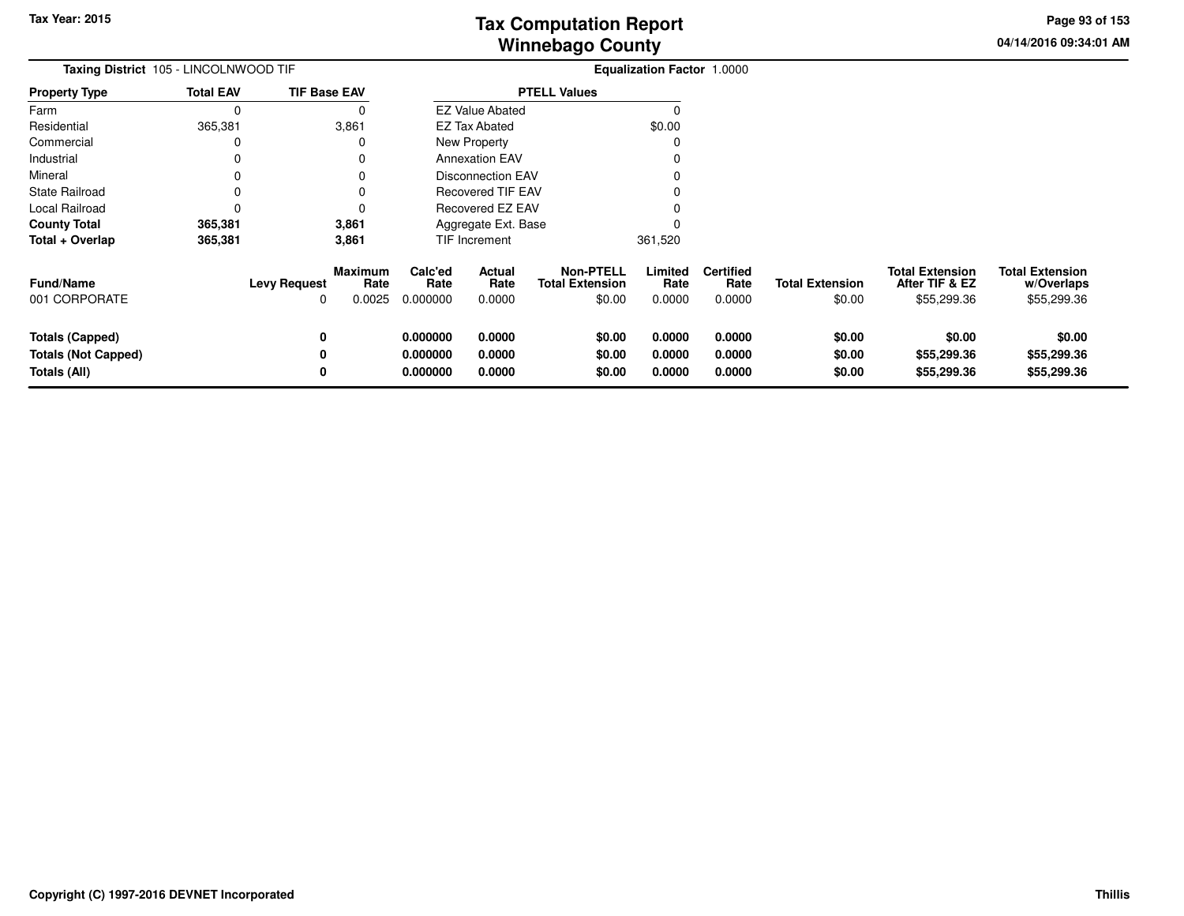**04/14/2016 09:34:01 AMPage 93 of 153**

| <b>Taxing District</b> 105 - LINCOLNWOOD TIF |                  |                                 |                                  |                             |                          |                                                      | <b>Equalization Factor 1.0000</b> |                                    |                                  |                                                         |                                                     |
|----------------------------------------------|------------------|---------------------------------|----------------------------------|-----------------------------|--------------------------|------------------------------------------------------|-----------------------------------|------------------------------------|----------------------------------|---------------------------------------------------------|-----------------------------------------------------|
| <b>Property Type</b>                         | <b>Total EAV</b> | <b>TIF Base EAV</b>             |                                  |                             |                          | <b>PTELL Values</b>                                  |                                   |                                    |                                  |                                                         |                                                     |
| Farm                                         | $\Omega$         |                                 |                                  |                             | <b>EZ Value Abated</b>   |                                                      |                                   |                                    |                                  |                                                         |                                                     |
| Residential                                  | 365,381          |                                 | 3,861                            |                             | <b>EZ Tax Abated</b>     |                                                      | \$0.00                            |                                    |                                  |                                                         |                                                     |
| Commercial                                   |                  |                                 |                                  |                             | New Property             |                                                      |                                   |                                    |                                  |                                                         |                                                     |
| Industrial                                   |                  |                                 |                                  |                             | <b>Annexation EAV</b>    |                                                      |                                   |                                    |                                  |                                                         |                                                     |
| Mineral                                      |                  |                                 |                                  |                             | <b>Disconnection EAV</b> |                                                      |                                   |                                    |                                  |                                                         |                                                     |
| State Railroad                               |                  |                                 |                                  |                             | <b>Recovered TIF EAV</b> |                                                      |                                   |                                    |                                  |                                                         |                                                     |
| Local Railroad                               |                  |                                 |                                  | Recovered EZ EAV            |                          |                                                      |                                   |                                    |                                  |                                                         |                                                     |
| <b>County Total</b>                          | 365,381          |                                 | 3,861                            |                             | Aggregate Ext. Base      |                                                      |                                   |                                    |                                  |                                                         |                                                     |
| Total + Overlap                              | 365,381          |                                 | 3,861                            |                             | <b>TIF Increment</b>     |                                                      | 361,520                           |                                    |                                  |                                                         |                                                     |
| <b>Fund/Name</b><br>001 CORPORATE            |                  | <b>Levy Request</b><br>$\Omega$ | <b>Maximum</b><br>Rate<br>0.0025 | Calc'ed<br>Rate<br>0.000000 | Actual<br>Rate<br>0.0000 | <b>Non-PTELL</b><br><b>Total Extension</b><br>\$0.00 | Limited<br>Rate<br>0.0000         | <b>Certified</b><br>Rate<br>0.0000 | <b>Total Extension</b><br>\$0.00 | <b>Total Extension</b><br>After TIF & EZ<br>\$55,299.36 | <b>Total Extension</b><br>w/Overlaps<br>\$55,299.36 |
| <b>Totals (Capped)</b>                       |                  | 0                               |                                  | 0.000000                    | 0.0000                   | \$0.00                                               | 0.0000                            | 0.0000                             | \$0.00                           | \$0.00                                                  | \$0.00                                              |
| <b>Totals (Not Capped)</b>                   |                  | 0                               |                                  | 0.000000                    | 0.0000                   | \$0.00                                               | 0.0000                            | 0.0000                             | \$0.00                           | \$55,299.36                                             | \$55,299.36                                         |
| Totals (All)                                 |                  | 0                               |                                  | 0.000000                    | 0.0000                   | \$0.00                                               | 0.0000                            | 0.0000                             | \$0.00                           | \$55,299.36                                             | \$55,299.36                                         |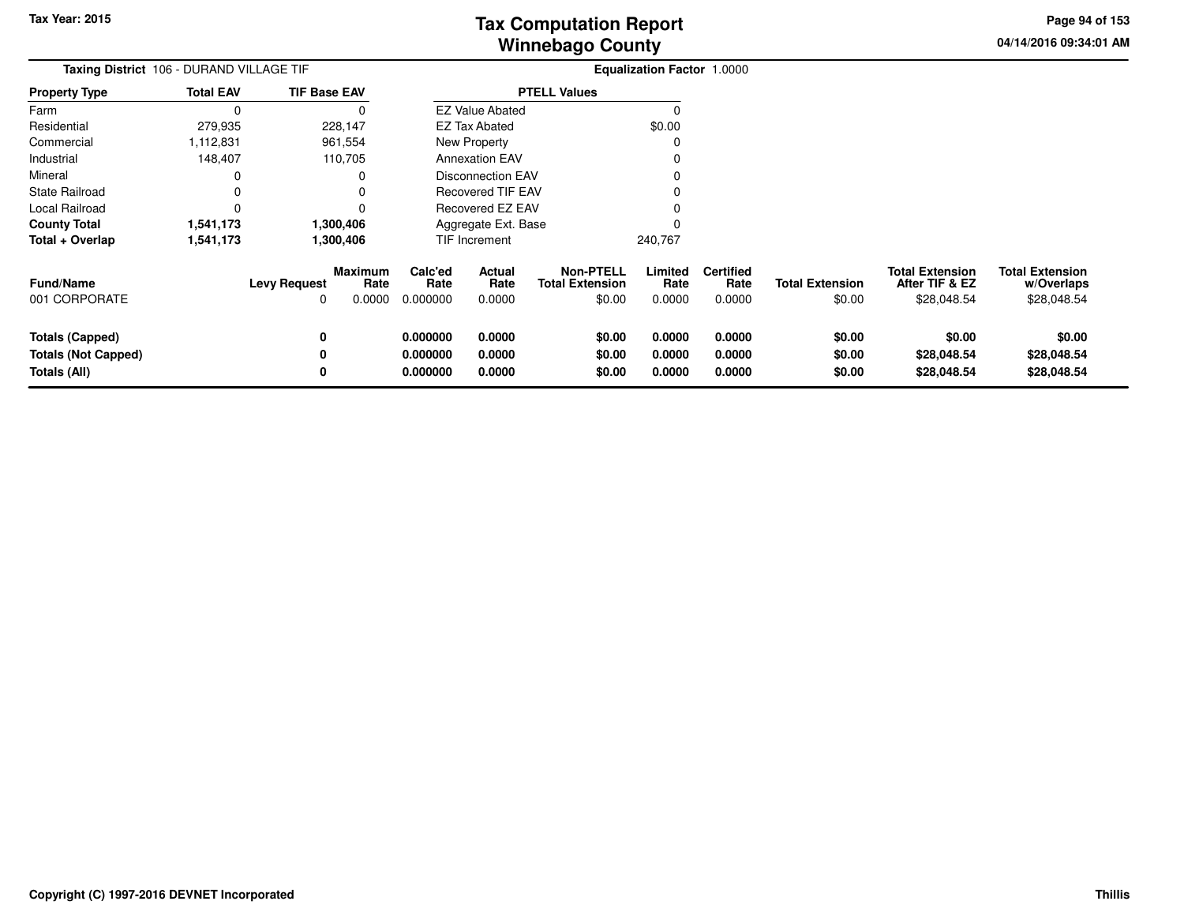**04/14/2016 09:34:01 AMPage 94 of 153**

> **w/Overlaps**\$28,048.54

| Taxing District 106 - DURAND VILLAGE TIF                             |                  |                          |                                  |                                  |                            |                                                      | <b>Equalization Factor 1.0000</b> |                                    |                                  |                                                         |                                                     |
|----------------------------------------------------------------------|------------------|--------------------------|----------------------------------|----------------------------------|----------------------------|------------------------------------------------------|-----------------------------------|------------------------------------|----------------------------------|---------------------------------------------------------|-----------------------------------------------------|
| <b>Property Type</b>                                                 | <b>Total EAV</b> | <b>TIF Base EAV</b>      |                                  |                                  |                            | <b>PTELL Values</b>                                  |                                   |                                    |                                  |                                                         |                                                     |
| Farm                                                                 |                  |                          |                                  |                                  | <b>EZ Value Abated</b>     |                                                      |                                   |                                    |                                  |                                                         |                                                     |
| Residential                                                          | 279,935          | 228,147                  |                                  |                                  | <b>EZ Tax Abated</b>       |                                                      | \$0.00                            |                                    |                                  |                                                         |                                                     |
| Commercial                                                           | 1,112,831        | 961,554                  |                                  |                                  | New Property               |                                                      |                                   |                                    |                                  |                                                         |                                                     |
| Industrial                                                           | 148,407          | 110,705                  |                                  |                                  | <b>Annexation EAV</b>      |                                                      |                                   |                                    |                                  |                                                         |                                                     |
| Mineral                                                              |                  |                          |                                  |                                  | <b>Disconnection EAV</b>   |                                                      |                                   |                                    |                                  |                                                         |                                                     |
| <b>State Railroad</b>                                                |                  |                          |                                  | Recovered TIF EAV                |                            |                                                      |                                   |                                    |                                  |                                                         |                                                     |
| Local Railroad                                                       |                  |                          |                                  |                                  | Recovered EZ EAV           |                                                      |                                   |                                    |                                  |                                                         |                                                     |
| 1,300,406<br><b>County Total</b><br>1,541,173                        |                  |                          |                                  |                                  | Aggregate Ext. Base        |                                                      |                                   |                                    |                                  |                                                         |                                                     |
| Total + Overlap                                                      | 1,541,173        | 1,300,406                |                                  |                                  | TIF Increment              |                                                      | 240,767                           |                                    |                                  |                                                         |                                                     |
| <b>Fund/Name</b><br>001 CORPORATE                                    |                  | <b>Levy Request</b><br>0 | <b>Maximum</b><br>Rate<br>0.0000 | Calc'ed<br>Rate<br>0.000000      | Actual<br>Rate<br>0.0000   | <b>Non-PTELL</b><br><b>Total Extension</b><br>\$0.00 | Limited<br>Rate<br>0.0000         | <b>Certified</b><br>Rate<br>0.0000 | <b>Total Extension</b><br>\$0.00 | <b>Total Extension</b><br>After TIF & EZ<br>\$28,048.54 | <b>Total Extension</b><br>w/Overlaps<br>\$28,048.54 |
| <b>Totals (Capped)</b><br><b>Totals (Not Capped)</b><br>Totals (All) |                  | 0                        |                                  | 0.000000<br>0.000000<br>0.000000 | 0.0000<br>0.0000<br>0.0000 | \$0.00<br>\$0.00<br>\$0.00                           | 0.0000<br>0.0000<br>0.0000        | 0.0000<br>0.0000<br>0.0000         | \$0.00<br>\$0.00<br>\$0.00       | \$0.00<br>\$28,048.54<br>\$28,048.54                    | \$0.00<br>\$28,048.54<br>\$28,048.54                |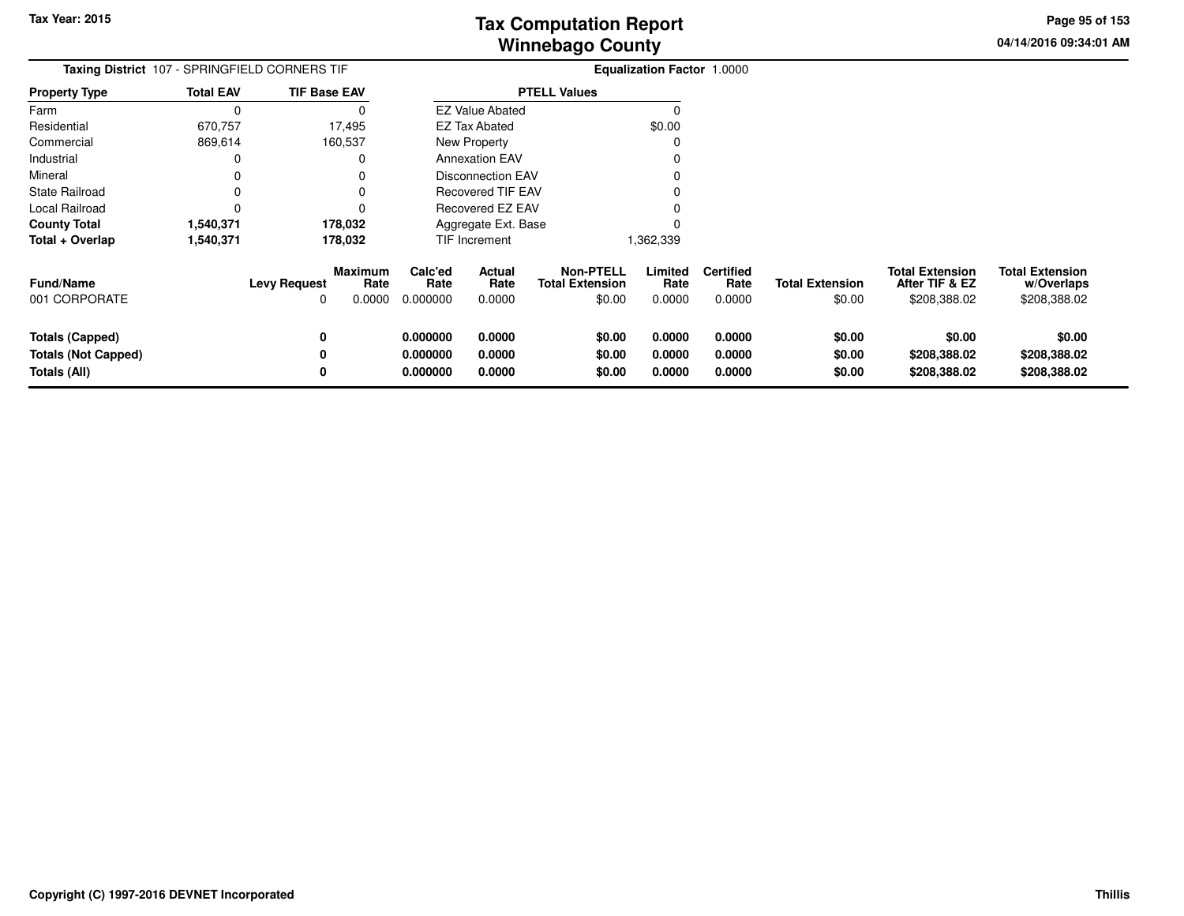**04/14/2016 09:34:01 AMPage 95 of 153**

| Taxing District 107 - SPRINGFIELD CORNERS TIF                        |                  |                          |                                  | <b>Equalization Factor 1.0000</b> |                            |                                                      |                            |                                    |                                  |                                                          |                                                      |
|----------------------------------------------------------------------|------------------|--------------------------|----------------------------------|-----------------------------------|----------------------------|------------------------------------------------------|----------------------------|------------------------------------|----------------------------------|----------------------------------------------------------|------------------------------------------------------|
| <b>Property Type</b>                                                 | <b>Total EAV</b> | <b>TIF Base EAV</b>      |                                  |                                   |                            | <b>PTELL Values</b>                                  |                            |                                    |                                  |                                                          |                                                      |
| Farm                                                                 | C                |                          | 0                                |                                   | <b>EZ Value Abated</b>     |                                                      | 0                          |                                    |                                  |                                                          |                                                      |
| Residential                                                          | 670,757          |                          | 17,495                           |                                   | EZ Tax Abated              |                                                      | \$0.00                     |                                    |                                  |                                                          |                                                      |
| Commercial                                                           | 869,614          |                          | 160,537                          |                                   | New Property               |                                                      |                            |                                    |                                  |                                                          |                                                      |
| Industrial                                                           | 0                |                          | 0                                |                                   | <b>Annexation EAV</b>      |                                                      |                            |                                    |                                  |                                                          |                                                      |
| Mineral                                                              | 0                |                          |                                  |                                   | <b>Disconnection EAV</b>   |                                                      |                            |                                    |                                  |                                                          |                                                      |
| State Railroad                                                       | 0                |                          | 0                                |                                   | <b>Recovered TIF EAV</b>   |                                                      |                            |                                    |                                  |                                                          |                                                      |
| Local Railroad                                                       | $\Omega$         |                          | 0                                | <b>Recovered EZ EAV</b>           |                            |                                                      |                            |                                    |                                  |                                                          |                                                      |
| <b>County Total</b>                                                  | 1,540,371        |                          | 178,032                          |                                   | Aggregate Ext. Base        |                                                      |                            |                                    |                                  |                                                          |                                                      |
| Total + Overlap                                                      | 1,540,371        |                          | 178,032                          |                                   | TIF Increment              |                                                      | 1,362,339                  |                                    |                                  |                                                          |                                                      |
| Fund/Name<br>001 CORPORATE                                           |                  | <b>Levy Request</b><br>0 | <b>Maximum</b><br>Rate<br>0.0000 | Calc'ed<br>Rate<br>0.000000       | Actual<br>Rate<br>0.0000   | <b>Non-PTELL</b><br><b>Total Extension</b><br>\$0.00 | Limited<br>Rate<br>0.0000  | <b>Certified</b><br>Rate<br>0.0000 | <b>Total Extension</b><br>\$0.00 | <b>Total Extension</b><br>After TIF & EZ<br>\$208,388.02 | <b>Total Extension</b><br>w/Overlaps<br>\$208,388.02 |
| <b>Totals (Capped)</b><br><b>Totals (Not Capped)</b><br>Totals (All) |                  | 0<br>0<br>0              |                                  | 0.000000<br>0.000000<br>0.000000  | 0.0000<br>0.0000<br>0.0000 | \$0.00<br>\$0.00<br>\$0.00                           | 0.0000<br>0.0000<br>0.0000 | 0.0000<br>0.0000<br>0.0000         | \$0.00<br>\$0.00<br>\$0.00       | \$0.00<br>\$208,388.02<br>\$208,388.02                   | \$0.00<br>\$208,388.02<br>\$208,388.02               |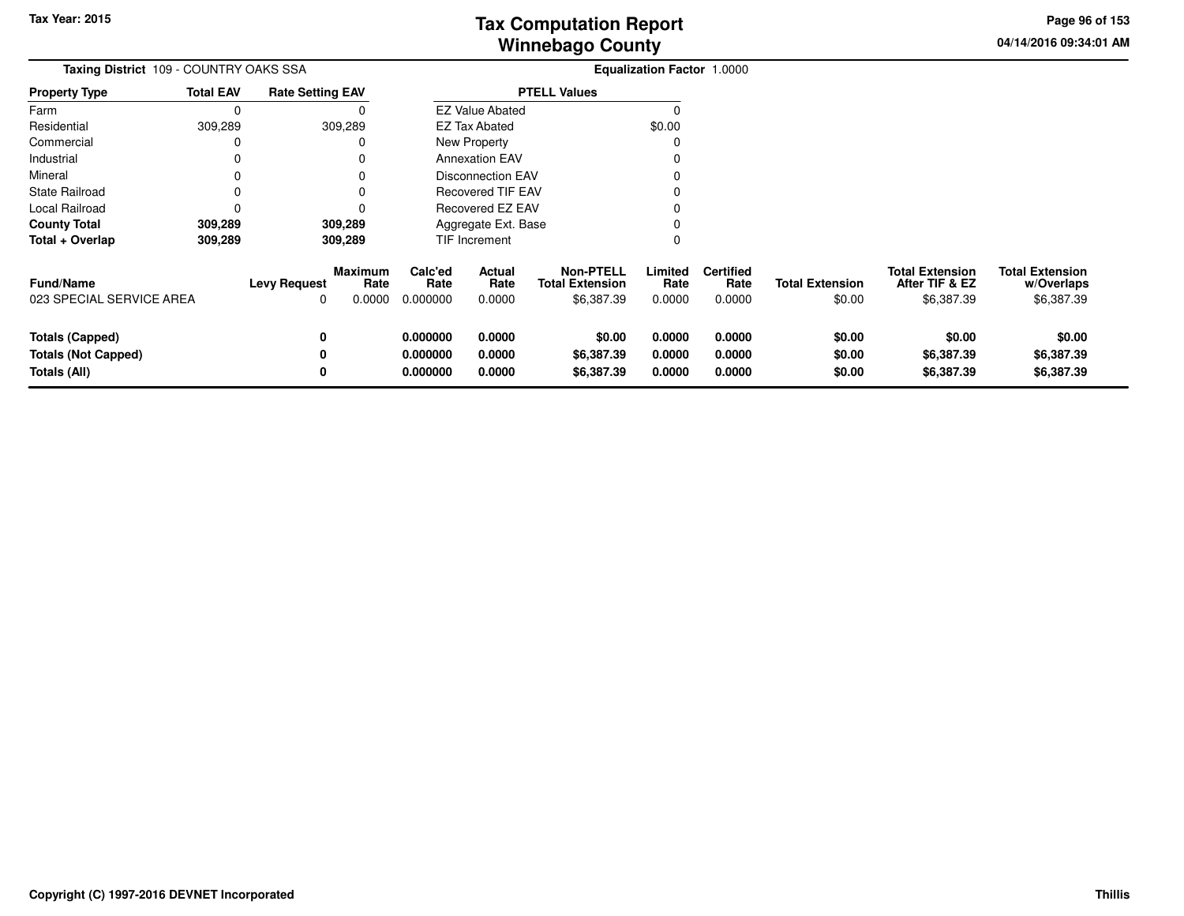**04/14/2016 09:34:01 AM Page 96 of 153**

| Taxing District 109 - COUNTRY OAKS SSA<br><b>Rate Setting EAV</b>    |                  |                          |                                  |                                  |                            |                                                          | Equalization Factor 1.0000 |                                    |                                  |                                                        |                                                    |
|----------------------------------------------------------------------|------------------|--------------------------|----------------------------------|----------------------------------|----------------------------|----------------------------------------------------------|----------------------------|------------------------------------|----------------------------------|--------------------------------------------------------|----------------------------------------------------|
| <b>Property Type</b>                                                 | <b>Total EAV</b> |                          |                                  |                                  |                            | <b>PTELL Values</b>                                      |                            |                                    |                                  |                                                        |                                                    |
| Farm                                                                 | 0                |                          |                                  |                                  | <b>EZ Value Abated</b>     |                                                          | 0                          |                                    |                                  |                                                        |                                                    |
| Residential                                                          | 309,289          |                          | 309,289                          |                                  | <b>EZ Tax Abated</b>       |                                                          | \$0.00                     |                                    |                                  |                                                        |                                                    |
| Commercial                                                           | 0                |                          | 0                                |                                  | New Property               |                                                          |                            |                                    |                                  |                                                        |                                                    |
| Industrial                                                           | 0                |                          | 0                                |                                  | <b>Annexation EAV</b>      |                                                          |                            |                                    |                                  |                                                        |                                                    |
| Mineral                                                              | 0                |                          |                                  |                                  | <b>Disconnection EAV</b>   |                                                          |                            |                                    |                                  |                                                        |                                                    |
| <b>State Railroad</b>                                                | 0                |                          |                                  |                                  | <b>Recovered TIF EAV</b>   |                                                          |                            |                                    |                                  |                                                        |                                                    |
| Local Railroad                                                       | 0                |                          |                                  |                                  | <b>Recovered EZ EAV</b>    |                                                          |                            |                                    |                                  |                                                        |                                                    |
| <b>County Total</b>                                                  | 309,289          |                          | 309,289                          |                                  | Aggregate Ext. Base        |                                                          |                            |                                    |                                  |                                                        |                                                    |
| Total + Overlap                                                      | 309,289          |                          | 309,289                          |                                  | TIF Increment              |                                                          | 0                          |                                    |                                  |                                                        |                                                    |
| Fund/Name<br>023 SPECIAL SERVICE AREA                                |                  | <b>Levy Request</b><br>0 | <b>Maximum</b><br>Rate<br>0.0000 | Calc'ed<br>Rate<br>0.000000      | Actual<br>Rate<br>0.0000   | <b>Non-PTELL</b><br><b>Total Extension</b><br>\$6,387.39 | Limited<br>Rate<br>0.0000  | <b>Certified</b><br>Rate<br>0.0000 | <b>Total Extension</b><br>\$0.00 | <b>Total Extension</b><br>After TIF & EZ<br>\$6,387.39 | <b>Total Extension</b><br>w/Overlaps<br>\$6,387.39 |
| <b>Totals (Capped)</b><br><b>Totals (Not Capped)</b><br>Totals (All) |                  | 0<br>0<br>0              |                                  | 0.000000<br>0.000000<br>0.000000 | 0.0000<br>0.0000<br>0.0000 | \$0.00<br>\$6,387.39<br>\$6,387.39                       | 0.0000<br>0.0000<br>0.0000 | 0.0000<br>0.0000<br>0.0000         | \$0.00<br>\$0.00<br>\$0.00       | \$0.00<br>\$6,387.39<br>\$6,387.39                     | \$0.00<br>\$6,387.39<br>\$6,387.39                 |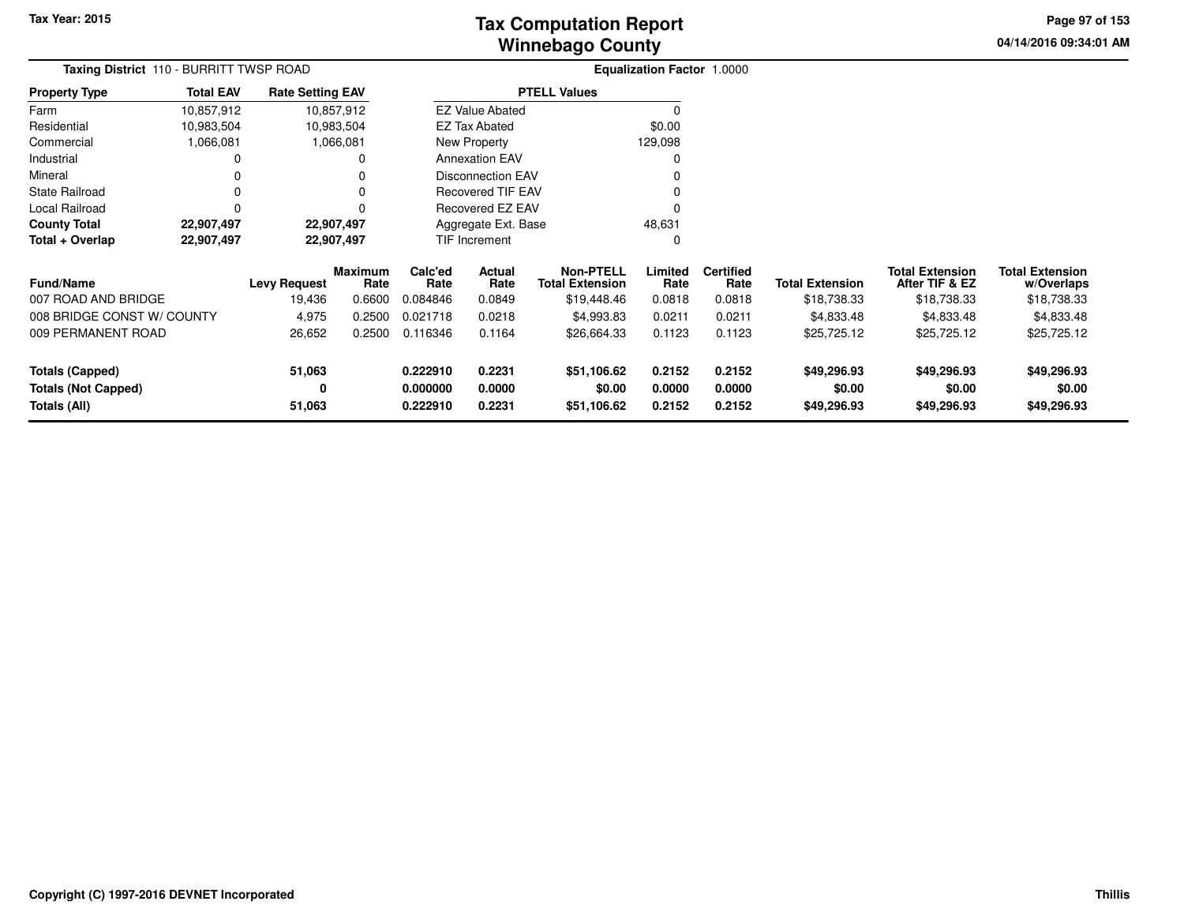**04/14/2016 09:34:01 AM Page 97 of 153**

|                                            | <b>Taxing District</b> 110 - BURRITT TWSP ROAD |                         |                 |                                   |                          |                                            | <b>Equalization Factor 1.0000</b> |                          |                        |                                          |                                      |
|--------------------------------------------|------------------------------------------------|-------------------------|-----------------|-----------------------------------|--------------------------|--------------------------------------------|-----------------------------------|--------------------------|------------------------|------------------------------------------|--------------------------------------|
| <b>Property Type</b>                       | <b>Total EAV</b>                               | <b>Rate Setting EAV</b> |                 |                                   |                          | <b>PTELL Values</b>                        |                                   |                          |                        |                                          |                                      |
| Farm                                       | 10,857,912                                     |                         | 10,857,912      |                                   | <b>EZ Value Abated</b>   |                                            |                                   |                          |                        |                                          |                                      |
| Residential                                | 10,983,504                                     |                         | 10,983,504      | <b>EZ Tax Abated</b>              |                          |                                            | \$0.00                            |                          |                        |                                          |                                      |
| Commercial                                 | 1,066,081                                      |                         | 1,066,081       | New Property                      |                          |                                            | 129,098                           |                          |                        |                                          |                                      |
| Industrial                                 |                                                |                         |                 |                                   | <b>Annexation EAV</b>    |                                            |                                   |                          |                        |                                          |                                      |
| Mineral                                    |                                                |                         |                 |                                   | <b>Disconnection EAV</b> |                                            |                                   |                          |                        |                                          |                                      |
| <b>State Railroad</b>                      | 0                                              |                         |                 |                                   | Recovered TIF EAV        |                                            |                                   |                          |                        |                                          |                                      |
| Local Railroad                             | O                                              |                         |                 |                                   | Recovered EZ EAV         |                                            |                                   |                          |                        |                                          |                                      |
| <b>County Total</b>                        | 22,907,497                                     |                         | 22,907,497      |                                   | Aggregate Ext. Base      |                                            | 48,631                            |                          |                        |                                          |                                      |
| Total + Overlap                            | 22,907,497                                     |                         | 22,907,497      |                                   | TIF Increment            |                                            | 0                                 |                          |                        |                                          |                                      |
| <b>Fund/Name</b>                           |                                                | <b>Levy Request</b>     | Maximum<br>Rate | Calc'ed<br>Actual<br>Rate<br>Rate |                          | <b>Non-PTELL</b><br><b>Total Extension</b> | Limited<br>Rate                   | <b>Certified</b><br>Rate | <b>Total Extension</b> | <b>Total Extension</b><br>After TIF & EZ | <b>Total Extension</b><br>w/Overlaps |
| 007 ROAD AND BRIDGE                        |                                                | 19,436                  | 0.6600          | 0.084846                          | 0.0849                   | \$19,448.46                                | 0.0818                            | 0.0818                   | \$18,738.33            | \$18,738.33                              | \$18,738.33                          |
| 008 BRIDGE CONST W/ COUNTY                 |                                                | 4,975                   | 0.2500          | 0.021718                          | 0.0218                   | \$4,993.83                                 | 0.0211                            | 0.0211                   | \$4,833.48             | \$4,833.48                               | \$4,833.48                           |
| 009 PERMANENT ROAD                         |                                                | 26,652                  | 0.2500          | 0.116346                          | 0.1164                   | \$26,664.33                                | 0.1123                            | 0.1123                   | \$25,725.12            | \$25,725.12                              | \$25,725.12                          |
| 51,063<br><b>Totals (Capped)</b>           |                                                |                         | 0.222910        | 0.2231                            | \$51,106.62              | 0.2152                                     | 0.2152                            | \$49,296.93              | \$49,296.93            | \$49,296.93                              |                                      |
| <b>Totals (Not Capped)</b><br>Totals (All) |                                                | 0<br>51,063             |                 | 0.000000<br>0.222910              | 0.0000<br>0.2231         | \$0.00<br>\$51,106.62                      | 0.0000<br>0.2152                  | 0.0000<br>0.2152         | \$0.00<br>\$49,296.93  | \$0.00<br>\$49,296.93                    | \$0.00<br>\$49,296.93                |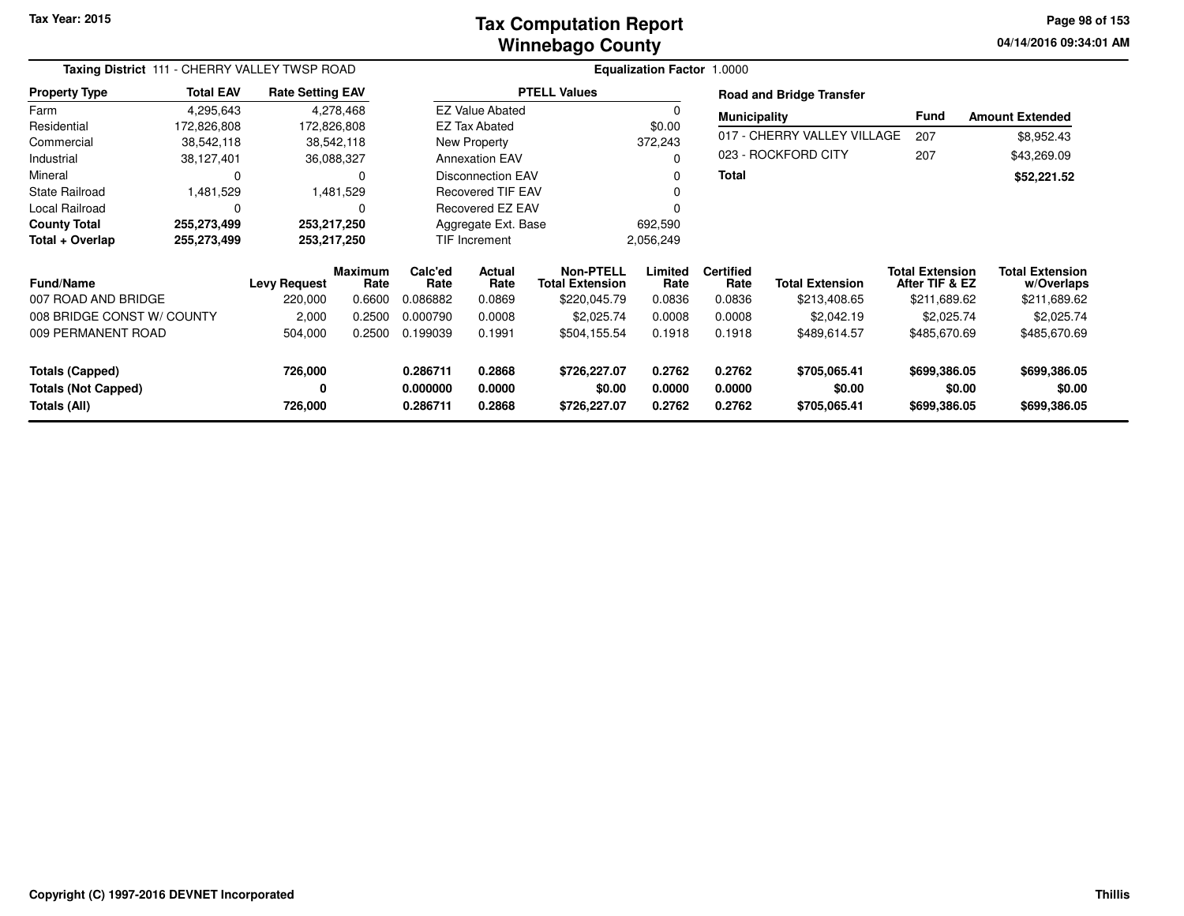#### **Winnebago CountyTax Computation Report**

**04/14/2016 09:34:01 AM Page 98 of 153**

| Taxing District 111 - CHERRY VALLEY TWSP ROAD                 |                  |                         |                        |                                   |                            |                                            | <b>Equalization Factor 1.0000</b> |                            |                                        |                                          |                                        |
|---------------------------------------------------------------|------------------|-------------------------|------------------------|-----------------------------------|----------------------------|--------------------------------------------|-----------------------------------|----------------------------|----------------------------------------|------------------------------------------|----------------------------------------|
| <b>Property Type</b>                                          | <b>Total EAV</b> | <b>Rate Setting EAV</b> |                        |                                   |                            | <b>PTELL Values</b>                        |                                   |                            | <b>Road and Bridge Transfer</b>        |                                          |                                        |
| Farm                                                          | 4,295,643        |                         | 4,278,468              |                                   | <b>EZ Value Abated</b>     |                                            |                                   | <b>Municipality</b>        |                                        | <b>Fund</b>                              | <b>Amount Extended</b>                 |
| Residential                                                   | 172,826,808      | 172,826,808             |                        |                                   | <b>EZ Tax Abated</b>       |                                            | \$0.00                            |                            |                                        |                                          |                                        |
| Commercial                                                    | 38,542,118       |                         | 38,542,118             |                                   | New Property               |                                            | 372,243                           |                            | 017 - CHERRY VALLEY VILLAGE            | 207                                      | \$8,952.43                             |
| Industrial                                                    | 38,127,401       | 36,088,327              |                        |                                   | <b>Annexation EAV</b>      |                                            |                                   |                            | 023 - ROCKFORD CITY                    | 207                                      | \$43,269.09                            |
| Mineral                                                       | $\Omega$         |                         | 0                      |                                   | <b>Disconnection EAV</b>   |                                            |                                   | <b>Total</b>               |                                        |                                          | \$52,221.52                            |
| <b>State Railroad</b>                                         | 1,481,529        |                         | 1,481,529              |                                   | <b>Recovered TIF EAV</b>   |                                            |                                   |                            |                                        |                                          |                                        |
| Local Railroad                                                | $\Omega$         |                         | $\Omega$               |                                   | Recovered EZ EAV           |                                            |                                   |                            |                                        |                                          |                                        |
| <b>County Total</b>                                           | 255,273,499      | 253,217,250             |                        |                                   | Aggregate Ext. Base        |                                            | 692,590                           |                            |                                        |                                          |                                        |
| Total + Overlap                                               | 255,273,499      | 253,217,250             |                        |                                   | TIF Increment              |                                            | 2,056,249                         |                            |                                        |                                          |                                        |
| <b>Fund/Name</b>                                              |                  | <b>Levy Request</b>     | <b>Maximum</b><br>Rate | Calc'ed<br>Actual<br>Rate<br>Rate |                            | <b>Non-PTELL</b><br><b>Total Extension</b> | Limited<br>Rate                   | <b>Certified</b><br>Rate   | <b>Total Extension</b>                 | <b>Total Extension</b><br>After TIF & EZ | <b>Total Extension</b><br>w/Overlaps   |
| 007 ROAD AND BRIDGE                                           |                  | 220,000                 | 0.6600                 | 0.086882                          | 0.0869                     | \$220,045.79                               | 0.0836                            | 0.0836                     | \$213,408.65                           | \$211,689.62                             | \$211,689.62                           |
| 008 BRIDGE CONST W/ COUNTY                                    |                  | 2,000                   | 0.2500                 | 0.000790                          | 0.0008                     | \$2,025.74                                 | 0.0008                            | 0.0008                     | \$2,042.19                             | \$2,025.74                               | \$2,025.74                             |
| 009 PERMANENT ROAD                                            |                  | 504,000                 | 0.2500                 | 0.199039                          | 0.1991                     | \$504,155.54                               | 0.1918                            | 0.1918                     | \$489,614.57                           | \$485,670.69                             | \$485,670.69                           |
| Totals (Capped)<br><b>Totals (Not Capped)</b><br>Totals (All) |                  | 726,000<br>0<br>726,000 |                        | 0.286711<br>0.000000<br>0.286711  | 0.2868<br>0.0000<br>0.2868 | \$726,227.07<br>\$0.00<br>\$726,227.07     | 0.2762<br>0.0000<br>0.2762        | 0.2762<br>0.0000<br>0.2762 | \$705,065.41<br>\$0.00<br>\$705,065.41 | \$699,386.05<br>\$0.00<br>\$699,386.05   | \$699,386.05<br>\$0.00<br>\$699,386.05 |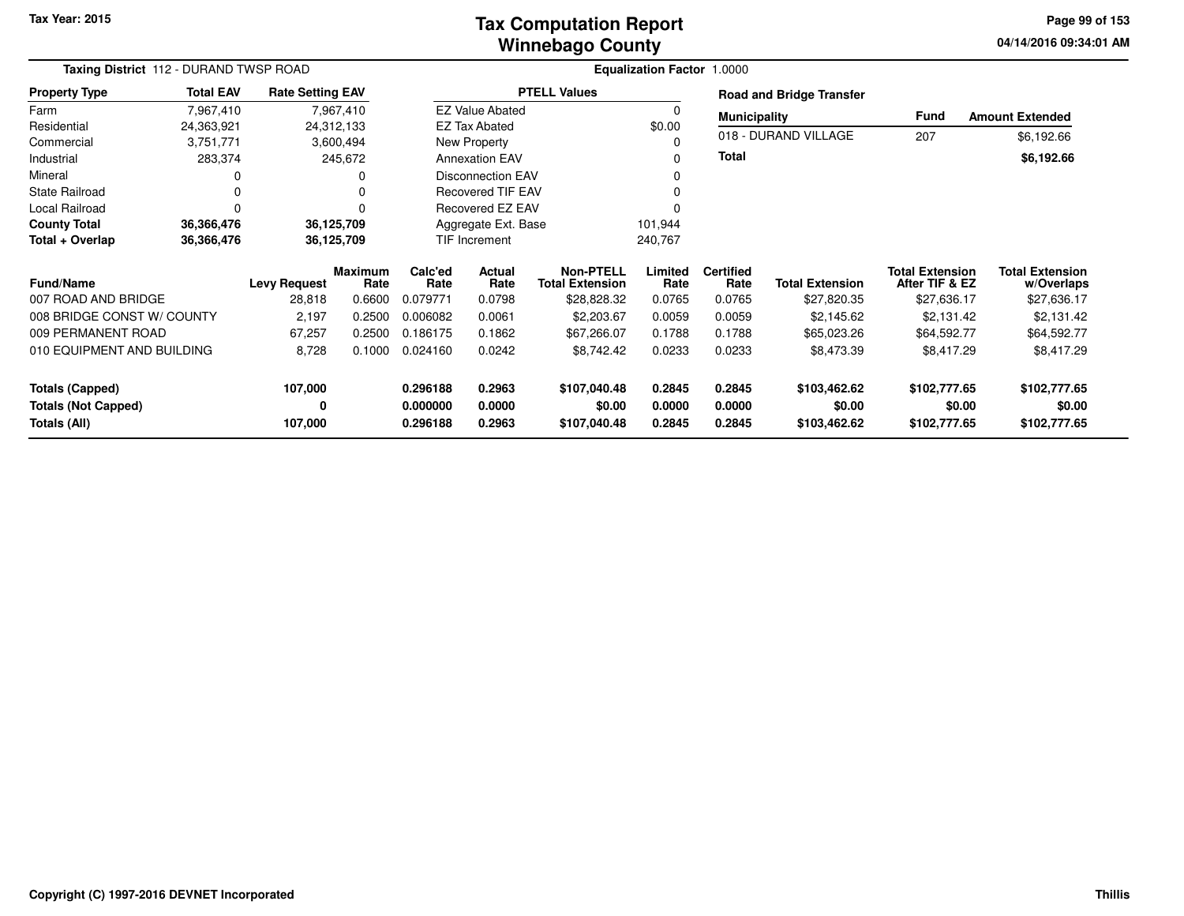#### **Winnebago CountyTax Computation Report**

**04/14/2016 09:34:01 AM Page 99 of 153**

|                                            | Taxing District 112 - DURAND TWSP ROAD |                         |                        |                                          |                          |                                            | <b>Equalization Factor 1.0000</b> |                          |                                 |                                          |                                      |
|--------------------------------------------|----------------------------------------|-------------------------|------------------------|------------------------------------------|--------------------------|--------------------------------------------|-----------------------------------|--------------------------|---------------------------------|------------------------------------------|--------------------------------------|
| <b>Property Type</b>                       | <b>Total EAV</b>                       | <b>Rate Setting EAV</b> |                        |                                          |                          | <b>PTELL Values</b>                        |                                   |                          | <b>Road and Bridge Transfer</b> |                                          |                                      |
| Farm                                       | 7,967,410                              |                         | 7,967,410              |                                          | <b>EZ Value Abated</b>   |                                            |                                   | <b>Municipality</b>      |                                 | Fund                                     | <b>Amount Extended</b>               |
| Residential                                | 24,363,921                             | 24,312,133              |                        |                                          | <b>EZ Tax Abated</b>     |                                            | \$0.00                            |                          |                                 |                                          |                                      |
| Commercial                                 | 3,751,771                              |                         | 3,600,494              |                                          | New Property             |                                            |                                   |                          | 018 - DURAND VILLAGE            | 207                                      | \$6,192.66                           |
| Industrial                                 | 283,374                                |                         | 245,672                | <b>Annexation EAV</b>                    |                          |                                            |                                   | <b>Total</b>             |                                 |                                          | \$6,192.66                           |
| Mineral                                    | 0                                      |                         |                        |                                          | <b>Disconnection EAV</b> |                                            |                                   |                          |                                 |                                          |                                      |
| <b>State Railroad</b>                      | 0                                      |                         | O                      |                                          | Recovered TIF EAV        |                                            |                                   |                          |                                 |                                          |                                      |
| <b>Local Railroad</b>                      | 0                                      |                         |                        |                                          | <b>Recovered EZ EAV</b>  |                                            |                                   |                          |                                 |                                          |                                      |
| <b>County Total</b>                        | 36,366,476                             | 36,125,709              |                        |                                          | Aggregate Ext. Base      |                                            | 101,944                           |                          |                                 |                                          |                                      |
| Total + Overlap                            | 36,366,476                             | 36,125,709              |                        |                                          | TIF Increment            |                                            | 240,767                           |                          |                                 |                                          |                                      |
| <b>Fund/Name</b>                           |                                        | <b>Levy Request</b>     | <b>Maximum</b><br>Rate | Calc'ed<br><b>Actual</b><br>Rate<br>Rate |                          | <b>Non-PTELL</b><br><b>Total Extension</b> | Limited<br>Rate                   | <b>Certified</b><br>Rate | <b>Total Extension</b>          | <b>Total Extension</b><br>After TIF & EZ | <b>Total Extension</b><br>w/Overlaps |
| 007 ROAD AND BRIDGE                        |                                        | 28,818                  | 0.6600                 | 0.079771                                 | 0.0798                   | \$28,828.32                                | 0.0765                            | 0.0765                   | \$27,820.35                     | \$27,636.17                              | \$27,636.17                          |
| 008 BRIDGE CONST W/ COUNTY                 |                                        | 2,197                   | 0.2500                 | 0.006082                                 | 0.0061                   | \$2,203.67                                 | 0.0059                            | 0.0059                   | \$2,145.62                      | \$2,131.42                               | \$2,131.42                           |
| 009 PERMANENT ROAD                         |                                        | 67,257                  | 0.2500                 | 0.186175                                 | 0.1862                   | \$67,266.07                                | 0.1788                            | 0.1788                   | \$65,023.26                     | \$64,592.77                              | \$64,592.77                          |
| 010 EQUIPMENT AND BUILDING                 |                                        | 8,728                   | 0.1000                 | 0.024160<br>0.0242                       |                          | \$8,742.42                                 | 0.0233                            | 0.0233                   | \$8,473.39                      | \$8,417.29                               | \$8,417.29                           |
| 107,000<br><b>Totals (Capped)</b>          |                                        |                         | 0.296188               | 0.2963                                   | \$107,040.48             | 0.2845                                     | 0.2845                            | \$103,462.62             | \$102,777.65                    | \$102,777.65                             |                                      |
| <b>Totals (Not Capped)</b><br>Totals (All) |                                        | 0<br>107,000            |                        | 0.000000<br>0.296188                     | 0.0000<br>0.2963         | \$0.00<br>\$107,040.48                     | 0.0000<br>0.2845                  | 0.0000<br>0.2845         | \$0.00<br>\$103,462.62          | \$0.00<br>\$102,777.65                   | \$0.00<br>\$102,777.65               |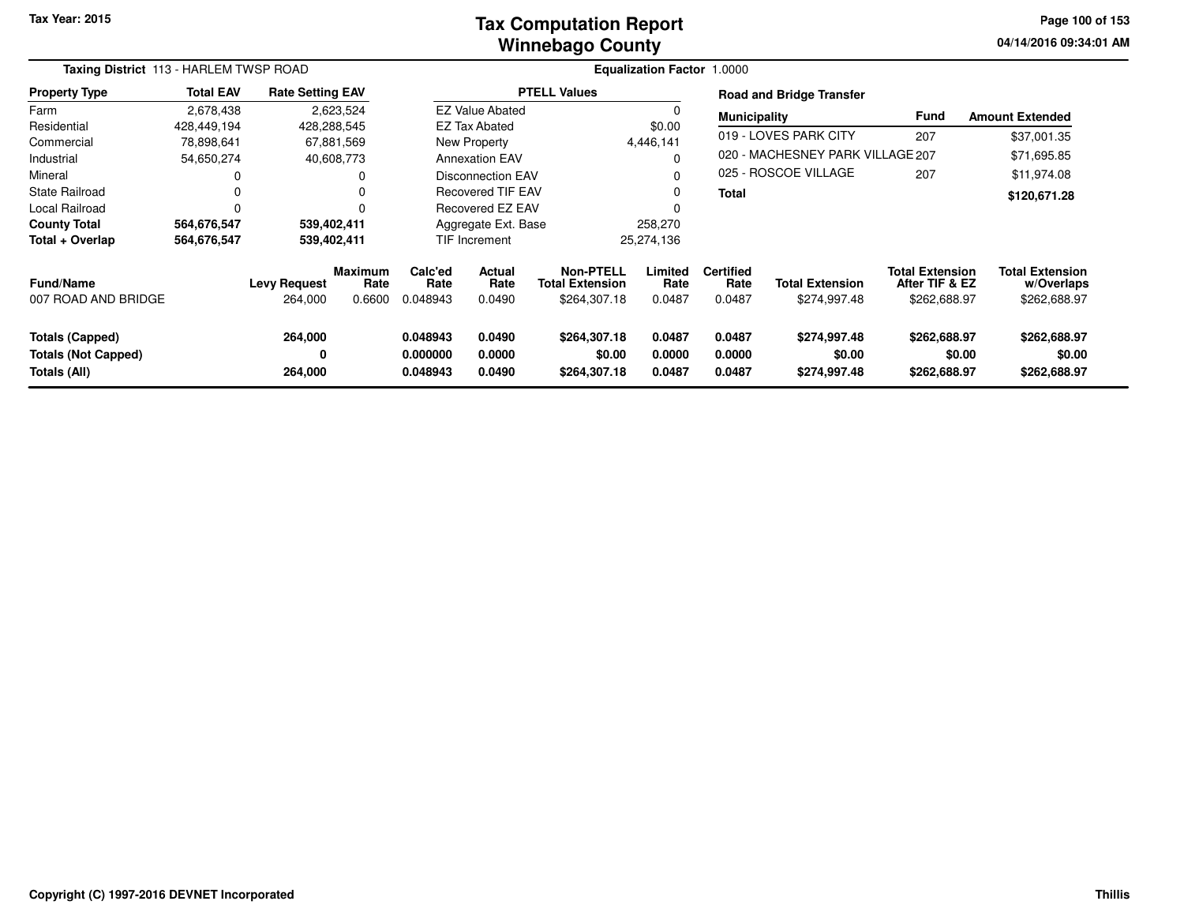#### **Winnebago CountyTax Computation Report**

**04/14/2016 09:34:01 AM Page 100 of 153**

|                                                               | Taxing District 113 - HARLEM TWSP ROAD |                                |                                  |                                  |                                 |                                                            | <b>Equalization Factor 1.0000</b> |                                    |                                        |                                                          |                                                      |
|---------------------------------------------------------------|----------------------------------------|--------------------------------|----------------------------------|----------------------------------|---------------------------------|------------------------------------------------------------|-----------------------------------|------------------------------------|----------------------------------------|----------------------------------------------------------|------------------------------------------------------|
| <b>Property Type</b>                                          | <b>Total EAV</b>                       | <b>Rate Setting EAV</b>        |                                  |                                  |                                 | <b>PTELL Values</b>                                        |                                   |                                    | <b>Road and Bridge Transfer</b>        |                                                          |                                                      |
| Farm                                                          | 2,678,438                              |                                | 2,623,524                        |                                  | <b>EZ Value Abated</b>          |                                                            |                                   | <b>Municipality</b>                |                                        | <b>Fund</b>                                              | <b>Amount Extended</b>                               |
| Residential                                                   | 428,449,194                            |                                | 428,288,545                      |                                  | <b>EZ Tax Abated</b>            |                                                            | \$0.00                            |                                    |                                        |                                                          |                                                      |
| Commercial                                                    | 78,898,641                             |                                | 67,881,569                       |                                  | New Property                    |                                                            | 4,446,141                         |                                    | 019 - LOVES PARK CITY                  | 207                                                      | \$37,001.35                                          |
| Industrial                                                    | 54,650,274                             |                                | 40,608,773                       |                                  | <b>Annexation EAV</b>           |                                                            | $\Omega$                          |                                    | 020 - MACHESNEY PARK VILLAGE 207       |                                                          | \$71,695.85                                          |
| Mineral                                                       |                                        |                                |                                  | <b>Disconnection EAV</b>         |                                 |                                                            | O                                 |                                    | 025 - ROSCOE VILLAGE                   | 207                                                      | \$11,974.08                                          |
| <b>State Railroad</b>                                         |                                        |                                |                                  | <b>Recovered TIF EAV</b>         |                                 |                                                            | 0                                 | Total                              |                                        |                                                          | \$120,671.28                                         |
| Local Railroad                                                |                                        |                                |                                  | Recovered EZ EAV                 |                                 |                                                            |                                   |                                    |                                        |                                                          |                                                      |
| <b>County Total</b>                                           | 564,676,547                            |                                | 539,402,411                      |                                  | Aggregate Ext. Base             |                                                            | 258,270                           |                                    |                                        |                                                          |                                                      |
| Total + Overlap                                               | 564,676,547                            |                                | 539,402,411                      |                                  | TIF Increment                   |                                                            | 25,274,136                        |                                    |                                        |                                                          |                                                      |
| <b>Fund/Name</b><br>007 ROAD AND BRIDGE                       |                                        | <b>Levy Request</b><br>264,000 | <b>Maximum</b><br>Rate<br>0.6600 | Calc'ed<br>Rate<br>0.048943      | <b>Actual</b><br>Rate<br>0.0490 | <b>Non-PTELL</b><br><b>Total Extension</b><br>\$264,307.18 | Limited<br>Rate<br>0.0487         | <b>Certified</b><br>Rate<br>0.0487 | <b>Total Extension</b><br>\$274,997.48 | <b>Total Extension</b><br>After TIF & EZ<br>\$262,688.97 | <b>Total Extension</b><br>w/Overlaps<br>\$262,688.97 |
| Totals (Capped)<br><b>Totals (Not Capped)</b><br>Totals (All) |                                        | 264,000<br>0<br>264,000        |                                  | 0.048943<br>0.000000<br>0.048943 | 0.0490<br>0.0000<br>0.0490      | \$264,307.18<br>\$0.00<br>\$264,307.18                     | 0.0487<br>0.0000<br>0.0487        | 0.0487<br>0.0000<br>0.0487         | \$274,997.48<br>\$0.00<br>\$274,997.48 | \$262,688.97<br>\$0.00<br>\$262,688.97                   | \$262,688.97<br>\$0.00<br>\$262,688.97               |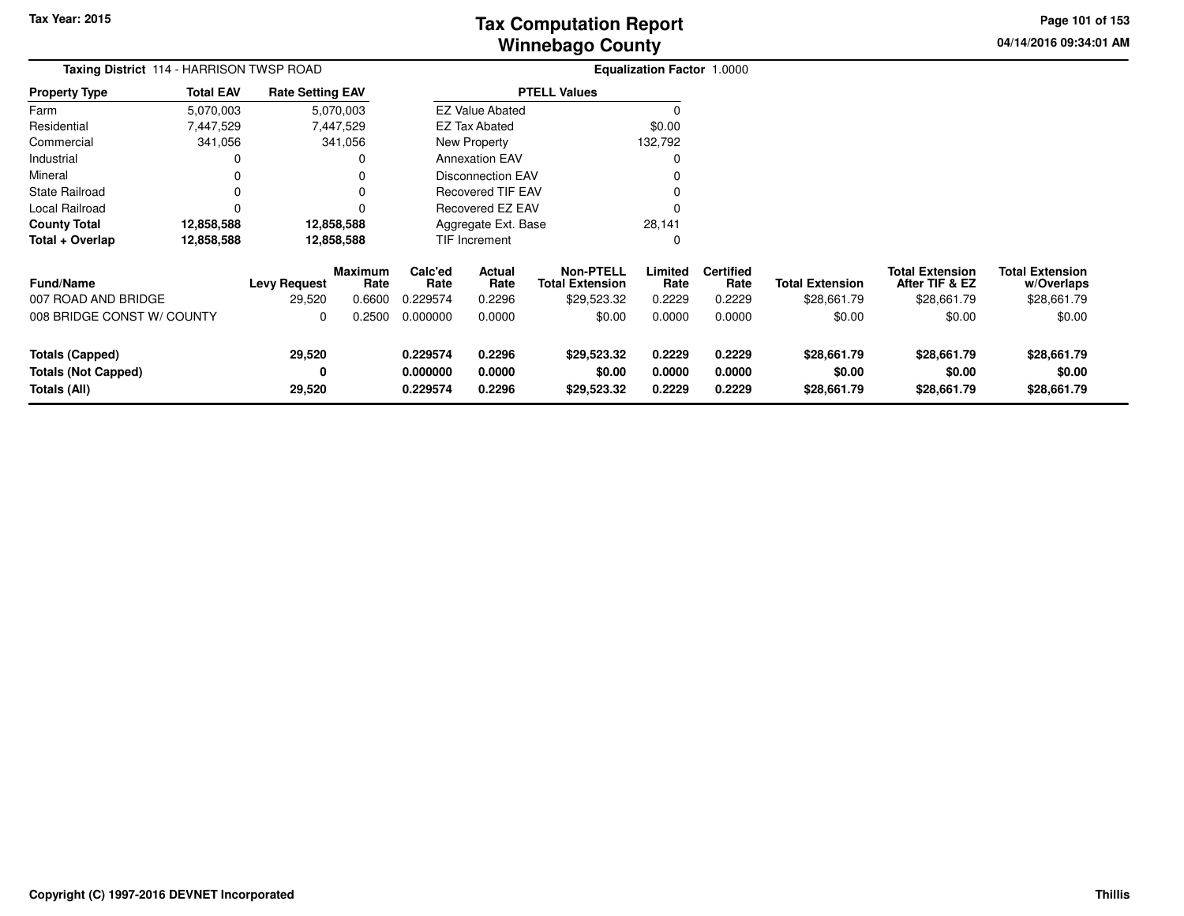# **Winnebago CountyTax Computation Report**

**04/14/2016 09:34:01 AM Page 101 of 153**

|                                                               | Taxing District 114 - HARRISON TWSP ROAD |                               |                           |                                                                |                            |                                                           | <b>Equalization Factor 1.0000</b> |                                    |                                       |                                                         |                                                     |  |
|---------------------------------------------------------------|------------------------------------------|-------------------------------|---------------------------|----------------------------------------------------------------|----------------------------|-----------------------------------------------------------|-----------------------------------|------------------------------------|---------------------------------------|---------------------------------------------------------|-----------------------------------------------------|--|
| <b>Property Type</b>                                          | <b>Total EAV</b>                         | <b>Rate Setting EAV</b>       |                           |                                                                |                            | <b>PTELL Values</b>                                       |                                   |                                    |                                       |                                                         |                                                     |  |
| Farm                                                          | 5,070,003                                |                               | 5,070,003                 |                                                                | <b>EZ Value Abated</b>     |                                                           |                                   |                                    |                                       |                                                         |                                                     |  |
| Residential                                                   | 7,447,529                                |                               | 7,447,529                 |                                                                | <b>EZ Tax Abated</b>       |                                                           | \$0.00                            |                                    |                                       |                                                         |                                                     |  |
| Commercial                                                    | 341,056                                  |                               | 341,056                   | New Property                                                   |                            |                                                           | 132,792                           |                                    |                                       |                                                         |                                                     |  |
| Industrial                                                    | 0                                        |                               | 0                         | <b>Annexation EAV</b>                                          |                            |                                                           | 0                                 |                                    |                                       |                                                         |                                                     |  |
| Mineral                                                       | 0                                        |                               |                           |                                                                | Disconnection EAV          |                                                           |                                   |                                    |                                       |                                                         |                                                     |  |
| <b>State Railroad</b>                                         | 0                                        |                               | 0                         | <b>Recovered TIF EAV</b>                                       |                            |                                                           | 0                                 |                                    |                                       |                                                         |                                                     |  |
| Local Railroad                                                | 0                                        |                               | 0                         |                                                                | Recovered EZ EAV           |                                                           | $\Omega$                          |                                    |                                       |                                                         |                                                     |  |
| <b>County Total</b>                                           | 12,858,588                               |                               | 12,858,588                |                                                                | Aggregate Ext. Base        |                                                           | 28,141                            |                                    |                                       |                                                         |                                                     |  |
| Total + Overlap                                               | 12,858,588                               |                               | 12,858,588                |                                                                | <b>TIF Increment</b>       |                                                           | 0                                 |                                    |                                       |                                                         |                                                     |  |
| <b>Fund/Name</b><br>007 ROAD AND BRIDGE                       |                                          | <b>Levy Request</b><br>29,520 | Maximum<br>Rate<br>0.6600 | Calc'ed<br><b>Actual</b><br>Rate<br>Rate<br>0.229574<br>0.2296 |                            | <b>Non-PTELL</b><br><b>Total Extension</b><br>\$29,523.32 | Limited<br>Rate<br>0.2229         | <b>Certified</b><br>Rate<br>0.2229 | <b>Total Extension</b><br>\$28,661.79 | <b>Total Extension</b><br>After TIF & EZ<br>\$28,661.79 | <b>Total Extension</b><br>w/Overlaps<br>\$28,661.79 |  |
|                                                               | 008 BRIDGE CONST W/ COUNTY<br>0          |                               | 0.2500                    | 0.000000                                                       | 0.0000                     | \$0.00                                                    | 0.0000                            | 0.0000                             | \$0.00                                | \$0.00                                                  | \$0.00                                              |  |
| Totals (Capped)<br><b>Totals (Not Capped)</b><br>Totals (All) |                                          | 29,520<br>0<br>29,520         |                           | 0.229574<br>0.000000<br>0.229574                               | 0.2296<br>0.0000<br>0.2296 | \$29,523.32<br>\$0.00<br>\$29,523.32                      | 0.2229<br>0.0000<br>0.2229        | 0.2229<br>0.0000<br>0.2229         | \$28,661.79<br>\$0.00<br>\$28,661.79  | \$28,661.79<br>\$0.00<br>\$28,661.79                    | \$28,661.79<br>\$0.00<br>\$28,661.79                |  |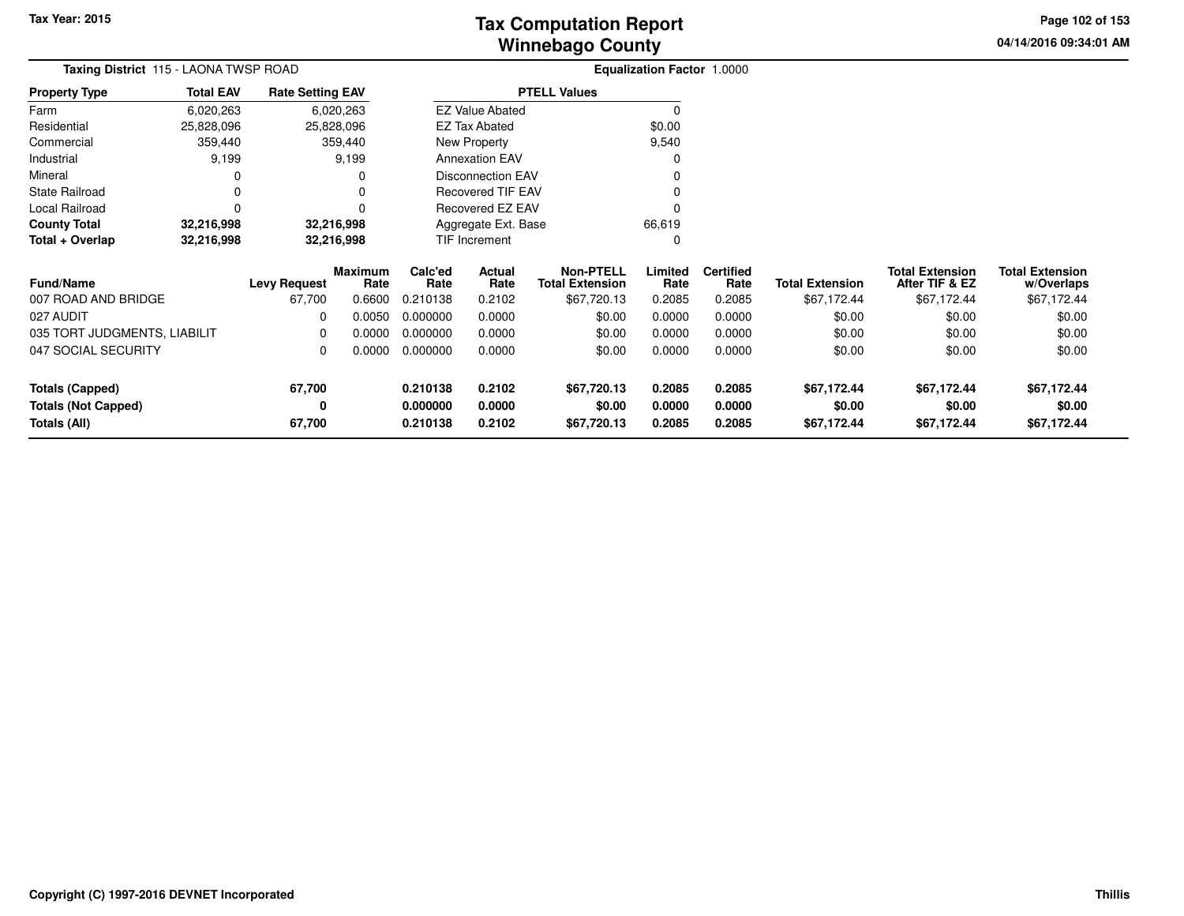# **Winnebago CountyTax Computation Report**

**04/14/2016 09:34:01 AM Page 102 of 153**

|                              | Taxing District 115 - LAONA TWSP ROAD |                         |                 |                          |                        |                                            | Equalization Factor 1.0000 |                          |                        |                                          |                                      |  |
|------------------------------|---------------------------------------|-------------------------|-----------------|--------------------------|------------------------|--------------------------------------------|----------------------------|--------------------------|------------------------|------------------------------------------|--------------------------------------|--|
| <b>Property Type</b>         | <b>Total EAV</b>                      | <b>Rate Setting EAV</b> |                 |                          |                        | <b>PTELL Values</b>                        |                            |                          |                        |                                          |                                      |  |
| Farm                         | 6,020,263                             |                         | 6,020,263       |                          | <b>EZ Value Abated</b> |                                            | $\Omega$                   |                          |                        |                                          |                                      |  |
| Residential                  | 25,828,096                            |                         | 25,828,096      |                          | <b>EZ Tax Abated</b>   |                                            | \$0.00                     |                          |                        |                                          |                                      |  |
| Commercial                   | 359,440                               |                         | 359,440         | New Property             |                        |                                            | 9,540                      |                          |                        |                                          |                                      |  |
| Industrial                   | 9,199                                 |                         | 9,199           | <b>Annexation EAV</b>    |                        |                                            | $\Omega$                   |                          |                        |                                          |                                      |  |
| Mineral                      | O                                     |                         |                 | <b>Disconnection EAV</b> |                        |                                            | $\Omega$                   |                          |                        |                                          |                                      |  |
| <b>State Railroad</b>        | 0                                     |                         |                 | <b>Recovered TIF EAV</b> |                        |                                            | 0                          |                          |                        |                                          |                                      |  |
| Local Railroad               | $\Omega$                              |                         |                 |                          | Recovered EZ EAV       |                                            | $\Omega$                   |                          |                        |                                          |                                      |  |
| <b>County Total</b>          | 32,216,998                            |                         | 32,216,998      |                          | Aggregate Ext. Base    |                                            | 66,619                     |                          |                        |                                          |                                      |  |
| Total + Overlap              | 32,216,998                            |                         | 32,216,998      |                          | TIF Increment          |                                            | 0                          |                          |                        |                                          |                                      |  |
| Fund/Name                    |                                       | <b>Levy Request</b>     | Maximum<br>Rate | Calc'ed<br>Rate          | Actual<br>Rate         | <b>Non-PTELL</b><br><b>Total Extension</b> | Limited<br>Rate            | <b>Certified</b><br>Rate | <b>Total Extension</b> | <b>Total Extension</b><br>After TIF & EZ | <b>Total Extension</b><br>w/Overlaps |  |
| 007 ROAD AND BRIDGE          |                                       | 67,700                  | 0.6600          | 0.210138                 | 0.2102                 | \$67,720.13                                | 0.2085                     | 0.2085                   | \$67,172.44            | \$67,172.44                              | \$67,172.44                          |  |
| 027 AUDIT                    |                                       | 0                       | 0.0050          | 0.000000                 | 0.0000                 | \$0.00                                     | 0.0000                     | 0.0000                   | \$0.00                 | \$0.00                                   | \$0.00                               |  |
| 035 TORT JUDGMENTS, LIABILIT |                                       | $\Omega$                | 0.0000          | 0.000000                 | 0.0000                 | \$0.00                                     | 0.0000                     | 0.0000                   | \$0.00                 | \$0.00                                   | \$0.00                               |  |
| 047 SOCIAL SECURITY          |                                       | 0                       | 0.0000          | 0.0000<br>0.000000       |                        | \$0.00                                     | 0.0000                     | 0.0000                   | \$0.00                 | \$0.00                                   | \$0.00                               |  |
| <b>Totals (Capped)</b>       |                                       | 67,700                  |                 | 0.2102<br>0.210138       |                        | \$67,720.13                                | 0.2085                     | 0.2085                   | \$67,172.44            | \$67,172.44                              | \$67,172.44                          |  |
| <b>Totals (Not Capped)</b>   |                                       | 0                       |                 | 0.000000                 | 0.0000                 | \$0.00                                     | 0.0000                     | 0.0000                   | \$0.00                 | \$0.00                                   | \$0.00                               |  |
| Totals (All)                 |                                       | 67,700                  |                 | 0.210138                 | 0.2102                 | \$67,720.13                                | 0.2085                     | 0.2085                   | \$67,172.44            | \$67,172.44                              | \$67,172.44                          |  |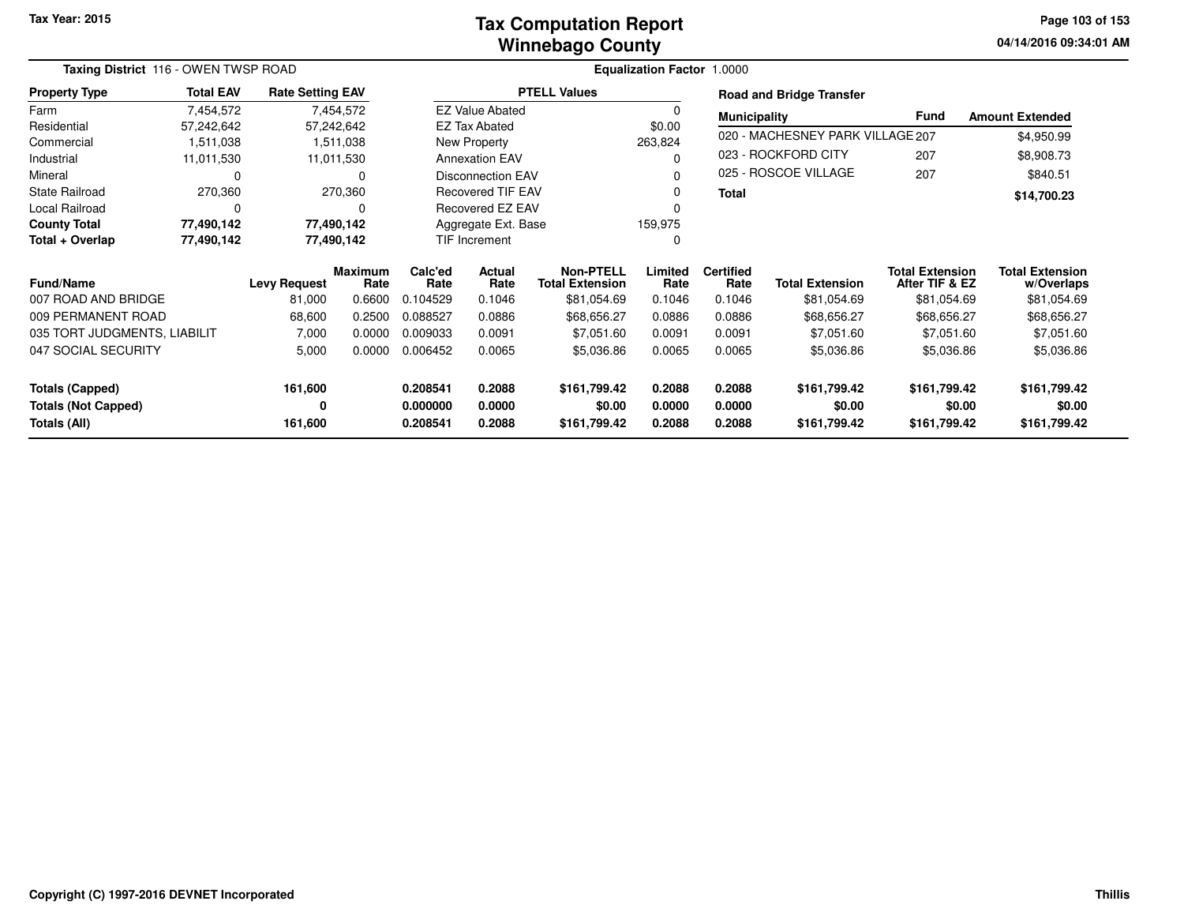#### **Winnebago CountyTax Computation Report**

**04/14/2016 09:34:01 AM Page 103 of 153**

|                              | Taxing District 116 - OWEN TWSP ROAD |                         |                        |                                          |                          |                                            | Equalization Factor 1.0000 |                          |                                  |                                          |                                      |
|------------------------------|--------------------------------------|-------------------------|------------------------|------------------------------------------|--------------------------|--------------------------------------------|----------------------------|--------------------------|----------------------------------|------------------------------------------|--------------------------------------|
| <b>Property Type</b>         | <b>Total EAV</b>                     | <b>Rate Setting EAV</b> |                        |                                          |                          | <b>PTELL Values</b>                        |                            |                          | <b>Road and Bridge Transfer</b>  |                                          |                                      |
| Farm                         | 7,454,572                            |                         | 7,454,572              |                                          | <b>EZ Value Abated</b>   |                                            | 0                          | <b>Municipality</b>      |                                  | Fund                                     | <b>Amount Extended</b>               |
| Residential                  | 57,242,642                           | 57,242,642              |                        |                                          | <b>EZ Tax Abated</b>     |                                            | \$0.00                     |                          |                                  |                                          |                                      |
| Commercial                   | 1,511,038                            |                         | 1,511,038              |                                          | <b>New Property</b>      |                                            | 263,824                    |                          | 020 - MACHESNEY PARK VILLAGE 207 |                                          | \$4,950.99                           |
| Industrial                   | 11,011,530                           |                         | 11,011,530             |                                          | <b>Annexation EAV</b>    |                                            | 0                          |                          | 023 - ROCKFORD CITY              | 207                                      | \$8,908.73                           |
| Mineral                      | 0                                    |                         | $\Omega$               |                                          | <b>Disconnection EAV</b> |                                            | 0                          |                          | 025 - ROSCOE VILLAGE             | 207                                      | \$840.51                             |
| <b>State Railroad</b>        | 270,360                              |                         | 270,360                |                                          | <b>Recovered TIF EAV</b> |                                            | 0                          | <b>Total</b>             |                                  |                                          | \$14,700.23                          |
| <b>Local Railroad</b>        | 0                                    |                         | 0                      |                                          | Recovered EZ EAV         |                                            |                            |                          |                                  |                                          |                                      |
| <b>County Total</b>          | 77,490,142                           | 77,490,142              |                        |                                          | Aggregate Ext. Base      |                                            | 159,975                    |                          |                                  |                                          |                                      |
| Total + Overlap              | 77,490,142                           | 77,490,142              |                        |                                          | TIF Increment            |                                            | 0                          |                          |                                  |                                          |                                      |
| <b>Fund/Name</b>             |                                      | <b>Levy Request</b>     | <b>Maximum</b><br>Rate | Calc'ed<br><b>Actual</b><br>Rate<br>Rate |                          | <b>Non-PTELL</b><br><b>Total Extension</b> | Limited<br>Rate            | <b>Certified</b><br>Rate | <b>Total Extension</b>           | <b>Total Extension</b><br>After TIF & EZ | <b>Total Extension</b><br>w/Overlaps |
| 007 ROAD AND BRIDGE          |                                      | 81,000                  | 0.6600                 | 0.104529                                 | 0.1046                   | \$81,054.69                                | 0.1046                     | 0.1046                   | \$81,054.69                      | \$81,054.69                              | \$81,054.69                          |
| 009 PERMANENT ROAD           |                                      | 68,600                  | 0.2500                 | 0.088527                                 | 0.0886                   | \$68,656.27                                | 0.0886                     | 0.0886                   | \$68,656.27                      | \$68,656.27                              | \$68,656.27                          |
| 035 TORT JUDGMENTS, LIABILIT |                                      | 7,000                   | 0.0000                 | 0.009033                                 | 0.0091                   | \$7,051.60                                 | 0.0091                     | 0.0091                   | \$7,051.60                       | \$7,051.60                               | \$7,051.60                           |
| 047 SOCIAL SECURITY          |                                      | 5,000                   | 0.0000                 | 0.006452                                 | 0.0065                   | \$5,036.86                                 | 0.0065                     | 0.0065                   | \$5,036.86                       | \$5,036.86                               | \$5,036.86                           |
| 161,600<br>Totals (Capped)   |                                      |                         | 0.208541               | 0.2088                                   | \$161,799.42             | 0.2088                                     | 0.2088                     | \$161,799.42             | \$161,799.42                     | \$161,799.42                             |                                      |
| <b>Totals (Not Capped)</b>   |                                      | 0                       |                        | 0.000000                                 | 0.0000                   | \$0.00                                     | 0.0000                     | 0.0000                   | \$0.00                           | \$0.00                                   | \$0.00                               |
| Totals (All)                 |                                      | 161,600                 |                        | 0.208541                                 | 0.2088                   | \$161,799.42                               | 0.2088                     | 0.2088                   | \$161,799.42                     | \$161,799.42                             | \$161,799.42                         |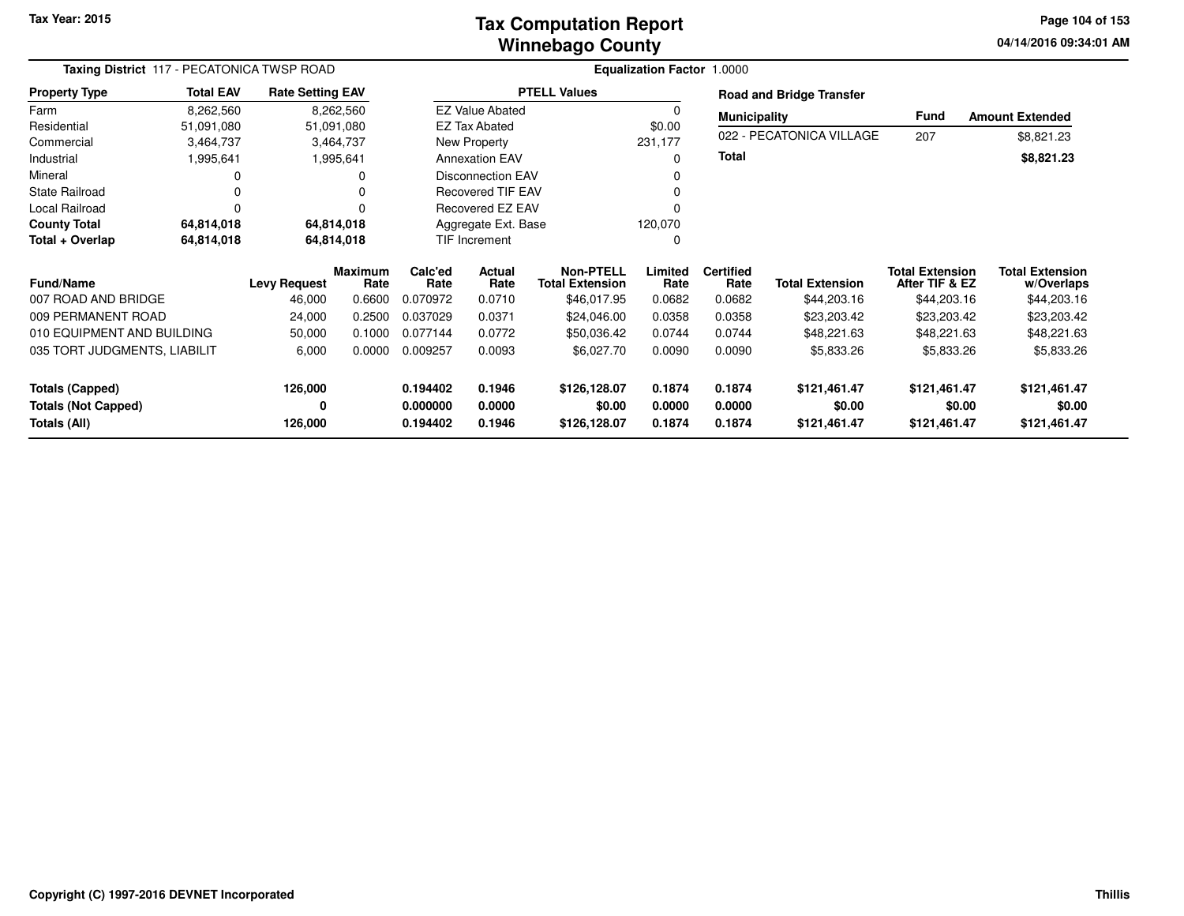#### **Winnebago CountyTax Computation Report**

**04/14/2016 09:34:01 AM Page 104 of 153**

| Taxing District 117 - PECATONICA TWSP ROAD |                                               |                         |                 |                      |                                            |                        | <b>Equalization Factor 1.0000</b> |                        |                                          |                                      |                        |
|--------------------------------------------|-----------------------------------------------|-------------------------|-----------------|----------------------|--------------------------------------------|------------------------|-----------------------------------|------------------------|------------------------------------------|--------------------------------------|------------------------|
| <b>Property Type</b>                       | <b>Total EAV</b>                              | <b>Rate Setting EAV</b> |                 |                      |                                            | <b>PTELL Values</b>    |                                   |                        | <b>Road and Bridge Transfer</b>          |                                      |                        |
| Farm                                       | 8,262,560                                     |                         | 8,262,560       |                      | <b>EZ Value Abated</b>                     |                        |                                   | <b>Municipality</b>    |                                          | <b>Fund</b>                          | <b>Amount Extended</b> |
| Residential                                | 51,091,080                                    |                         | 51,091,080      |                      | EZ Tax Abated                              |                        | \$0.00                            |                        |                                          |                                      |                        |
| Commercial                                 | 3,464,737                                     |                         | 3,464,737       |                      | New Property                               |                        | 231,177                           |                        | 022 - PECATONICA VILLAGE                 | 207                                  | \$8,821.23             |
| Industrial                                 | 1,995,641                                     |                         | 1,995,641       |                      | <b>Annexation EAV</b>                      |                        | 0                                 | <b>Total</b>           |                                          |                                      | \$8,821.23             |
| Mineral                                    |                                               |                         | 0               |                      | <b>Disconnection EAV</b>                   |                        |                                   |                        |                                          |                                      |                        |
| <b>State Railroad</b>                      |                                               |                         |                 |                      | <b>Recovered TIF EAV</b>                   |                        | 0                                 |                        |                                          |                                      |                        |
| Local Railroad                             | $\Omega$                                      |                         |                 |                      | Recovered EZ EAV                           |                        |                                   |                        |                                          |                                      |                        |
| <b>County Total</b>                        | 64,814,018                                    |                         | 64,814,018      |                      | Aggregate Ext. Base                        |                        | 120,070                           |                        |                                          |                                      |                        |
| Total + Overlap                            | 64,814,018                                    |                         | 64,814,018      |                      | TIF Increment                              |                        | 0                                 |                        |                                          |                                      |                        |
| <b>Fund/Name</b>                           | <b>Maximum</b><br><b>Levy Request</b><br>Rate |                         | Calc'ed<br>Rate | Actual<br>Rate       | <b>Non-PTELL</b><br><b>Total Extension</b> | Limited<br>Rate        | <b>Certified</b><br>Rate          | <b>Total Extension</b> | <b>Total Extension</b><br>After TIF & EZ | <b>Total Extension</b><br>w/Overlaps |                        |
| 007 ROAD AND BRIDGE                        |                                               | 46,000                  | 0.6600          | 0.070972             | 0.0710                                     | \$46,017.95            | 0.0682                            | 0.0682                 | \$44,203.16                              | \$44,203.16                          | \$44,203.16            |
| 009 PERMANENT ROAD                         |                                               | 24,000                  | 0.2500          | 0.037029             | 0.0371                                     | \$24,046.00            | 0.0358                            | 0.0358                 | \$23,203.42                              | \$23,203.42                          | \$23,203.42            |
| 010 EQUIPMENT AND BUILDING                 |                                               | 50,000                  | 0.1000          | 0.077144             | 0.0772                                     | \$50,036.42            | 0.0744                            | 0.0744                 | \$48,221.63                              | \$48,221.63                          | \$48,221.63            |
| 035 TORT JUDGMENTS, LIABILIT               |                                               | 6,000                   | 0.0000          | 0.009257             | 0.0093                                     | \$6,027.70             | 0.0090                            | 0.0090                 | \$5,833.26                               | \$5,833.26                           | \$5,833.26             |
| <b>Totals (Capped)</b>                     |                                               | 126,000                 |                 | 0.194402             | 0.1946                                     | \$126,128.07           | 0.1874                            | 0.1874                 | \$121,461.47                             | \$121,461.47                         | \$121,461.47           |
| <b>Totals (Not Capped)</b><br>Totals (All) |                                               | 0<br>126,000            |                 | 0.000000<br>0.194402 | 0.0000<br>0.1946                           | \$0.00<br>\$126,128.07 | 0.0000<br>0.1874                  | 0.0000<br>0.1874       | \$0.00<br>\$121,461.47                   | \$0.00<br>\$121,461.47               | \$0.00<br>\$121,461.47 |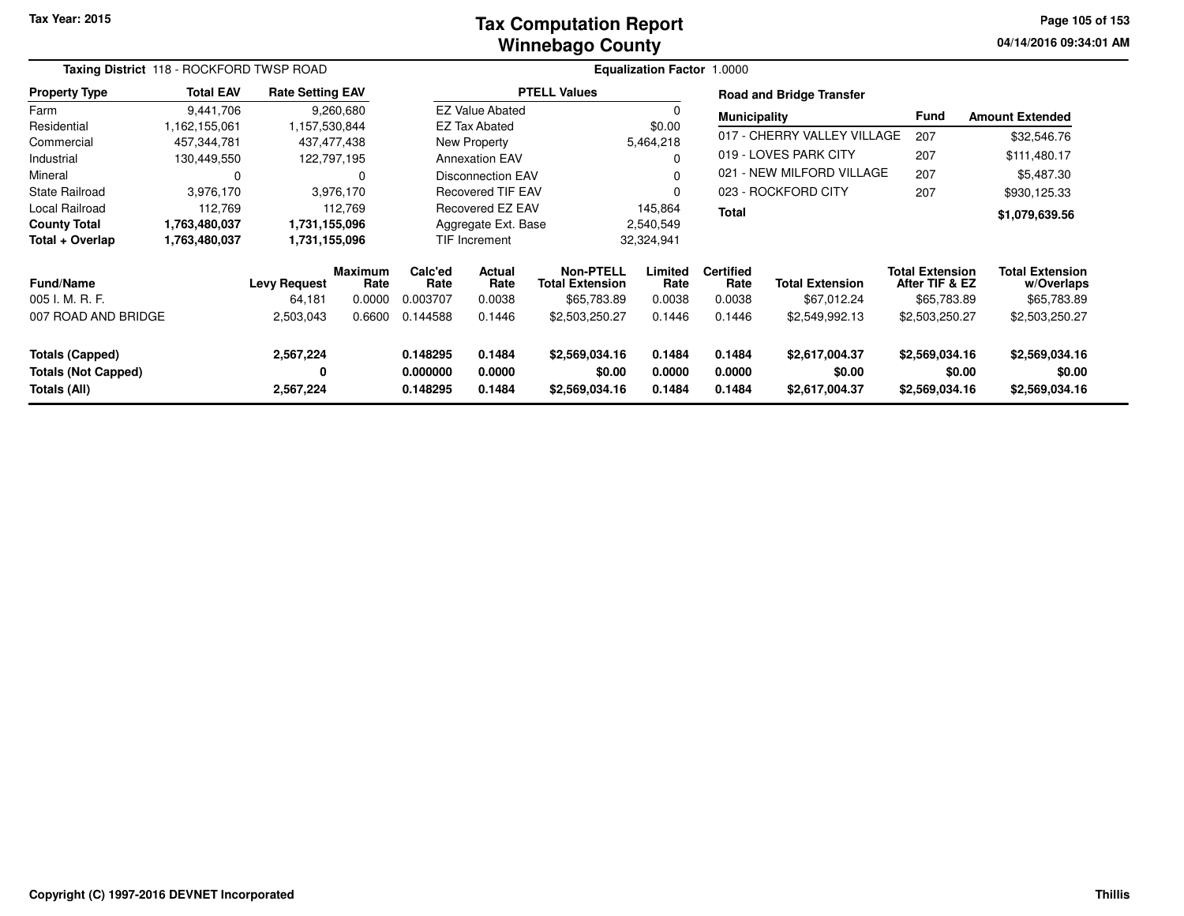#### **Winnebago CountyTax Computation Report**

**04/14/2016 09:34:01 AM Page 105 of 153**

|                                                      | Taxing District 118 - ROCKFORD TWSP ROAD |                               |                           |                             |                          |                                                    | <b>Equalization Factor 1.0000</b> |                                    |                                       |                                                         |                                                     |
|------------------------------------------------------|------------------------------------------|-------------------------------|---------------------------|-----------------------------|--------------------------|----------------------------------------------------|-----------------------------------|------------------------------------|---------------------------------------|---------------------------------------------------------|-----------------------------------------------------|
| <b>Property Type</b>                                 | <b>Total EAV</b>                         | <b>Rate Setting EAV</b>       |                           |                             |                          | <b>PTELL Values</b>                                |                                   |                                    | <b>Road and Bridge Transfer</b>       |                                                         |                                                     |
| Farm                                                 | 9,441,706                                |                               | 9,260,680                 |                             | <b>EZ Value Abated</b>   |                                                    |                                   | <b>Municipality</b>                |                                       | <b>Fund</b>                                             | <b>Amount Extended</b>                              |
| Residential                                          | 1,162,155,061                            | 1,157,530,844                 |                           |                             | <b>EZ Tax Abated</b>     |                                                    | \$0.00                            |                                    |                                       |                                                         |                                                     |
| Commercial                                           | 457,344,781                              | 437,477,438                   |                           |                             | New Property             |                                                    | 5,464,218                         |                                    | 017 - CHERRY VALLEY VILLAGE           | 207                                                     | \$32,546.76                                         |
| Industrial                                           | 130,449,550                              |                               | 122,797,195               |                             | <b>Annexation EAV</b>    |                                                    |                                   |                                    | 019 - LOVES PARK CITY                 | 207                                                     | \$111,480.17                                        |
| Mineral                                              | 0                                        |                               | 0                         |                             | <b>Disconnection EAV</b> |                                                    |                                   |                                    | 021 - NEW MILFORD VILLAGE             | 207                                                     | \$5,487.30                                          |
| <b>State Railroad</b>                                | 3,976,170                                |                               | 3,976,170                 | <b>Recovered TIF EAV</b>    |                          |                                                    | $\Omega$                          |                                    | 023 - ROCKFORD CITY                   | 207                                                     | \$930,125.33                                        |
| Local Railroad                                       | 112,769                                  |                               | 112,769                   | Recovered EZ EAV            |                          |                                                    | 145,864                           | <b>Total</b>                       |                                       |                                                         | \$1,079,639.56                                      |
| <b>County Total</b>                                  | 1,763,480,037                            | 1,731,155,096                 |                           | Aggregate Ext. Base         |                          |                                                    | 2,540,549                         |                                    |                                       |                                                         |                                                     |
| Total + Overlap                                      | 1,763,480,037                            | 1,731,155,096                 |                           |                             | <b>TIF Increment</b>     |                                                    | 32,324,941                        |                                    |                                       |                                                         |                                                     |
| Fund/Name<br>005 I. M. R. F.                         |                                          | <b>Levy Request</b><br>64,181 | Maximum<br>Rate<br>0.0000 | Calc'ed<br>Rate<br>0.003707 | Actual<br>Rate<br>0.0038 | Non-PTELL<br><b>Total Extension</b><br>\$65,783.89 | Limited<br>Rate<br>0.0038         | <b>Certified</b><br>Rate<br>0.0038 | <b>Total Extension</b><br>\$67,012.24 | <b>Total Extension</b><br>After TIF & EZ<br>\$65,783.89 | <b>Total Extension</b><br>w/Overlaps<br>\$65,783.89 |
| 007 ROAD AND BRIDGE                                  |                                          | 2,503,043                     | 0.6600                    | 0.144588                    | 0.1446                   | \$2,503,250.27                                     | 0.1446                            | 0.1446                             | \$2,549,992.13                        | \$2,503,250.27                                          | \$2,503,250.27                                      |
| <b>Totals (Capped)</b><br><b>Totals (Not Capped)</b> |                                          | 2,567,224<br>0                |                           | 0.148295<br>0.000000        | 0.1484<br>0.0000         | \$2,569,034.16<br>\$0.00                           | 0.1484<br>0.0000                  | 0.1484<br>0.0000                   | \$2,617,004.37<br>\$0.00              | \$2,569,034.16                                          | \$2,569,034.16<br>\$0.00<br>\$0.00                  |
| Totals (All)                                         |                                          | 2,567,224                     |                           | 0.148295                    | 0.1484                   | \$2,569,034.16                                     | 0.1484                            | 0.1484                             | \$2,617,004.37                        | \$2,569,034.16                                          | \$2,569,034.16                                      |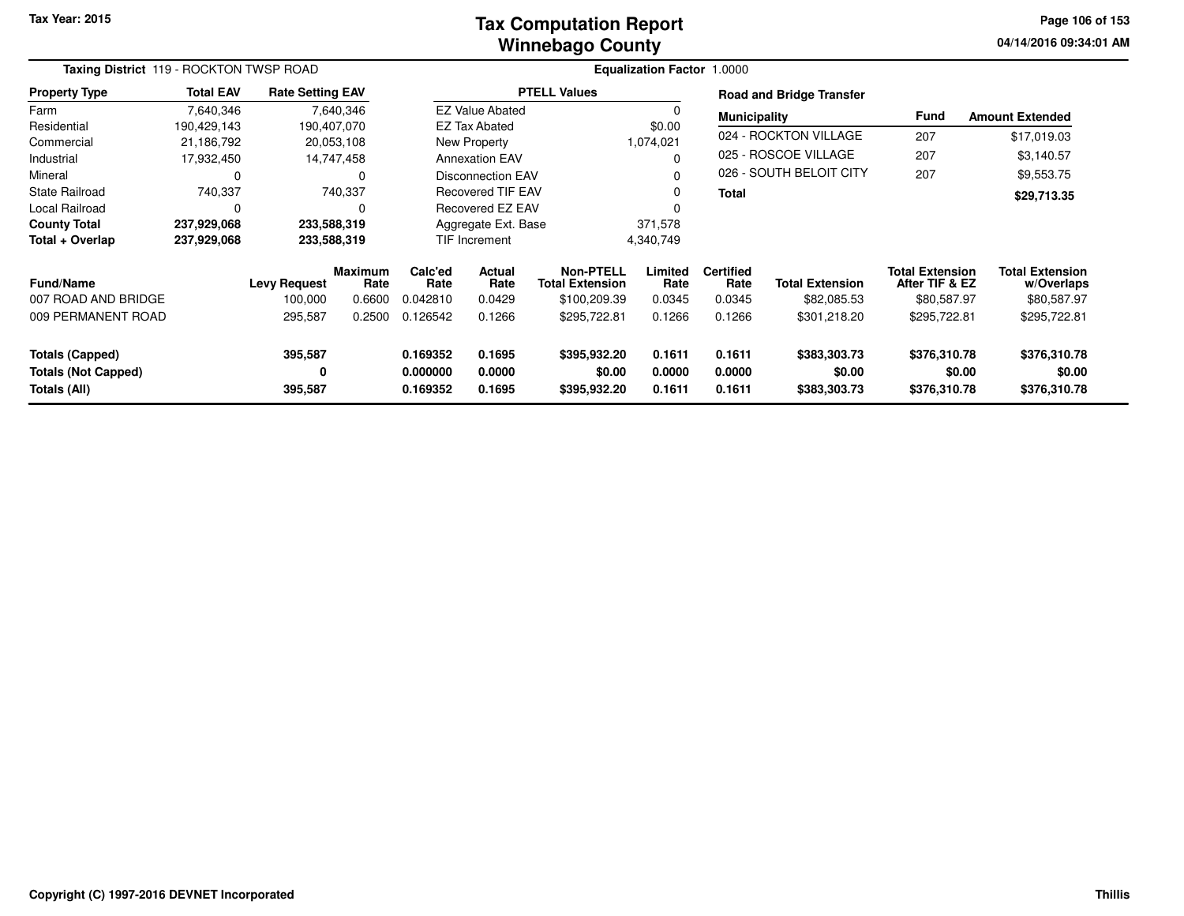#### **Winnebago CountyTax Computation Report**

**04/14/2016 09:34:01 AM Page 106 of 153**

|                                                               | Taxing District 119 - ROCKTON TWSP ROAD |                                |                           |                                                                |                          |                                                            | <b>Equalization Factor 1.0000</b> |                                    |                                        |                                                         |                                                     |
|---------------------------------------------------------------|-----------------------------------------|--------------------------------|---------------------------|----------------------------------------------------------------|--------------------------|------------------------------------------------------------|-----------------------------------|------------------------------------|----------------------------------------|---------------------------------------------------------|-----------------------------------------------------|
| <b>Property Type</b>                                          | <b>Total EAV</b>                        | <b>Rate Setting EAV</b>        |                           |                                                                |                          | <b>PTELL Values</b>                                        |                                   |                                    | <b>Road and Bridge Transfer</b>        |                                                         |                                                     |
| Farm                                                          | 7,640,346                               |                                | 7,640,346                 |                                                                | <b>EZ Value Abated</b>   |                                                            | $\Omega$                          | <b>Municipality</b>                |                                        | <b>Fund</b>                                             | <b>Amount Extended</b>                              |
| Residential                                                   | 190,429,143                             |                                | 190,407,070               |                                                                | <b>EZ Tax Abated</b>     |                                                            | \$0.00                            |                                    |                                        |                                                         |                                                     |
| Commercial                                                    | 21,186,792                              |                                | 20,053,108                |                                                                | New Property             |                                                            | 1,074,021                         |                                    | 024 - ROCKTON VILLAGE                  | 207                                                     | \$17,019.03                                         |
| Industrial                                                    | 17,932,450                              |                                | 14,747,458                |                                                                | <b>Annexation EAV</b>    |                                                            | $\Omega$                          |                                    | 025 - ROSCOE VILLAGE                   | 207                                                     | \$3,140.57                                          |
| Mineral                                                       | 0                                       |                                | 0                         |                                                                | <b>Disconnection EAV</b> |                                                            | $\Omega$                          |                                    | 026 - SOUTH BELOIT CITY                | 207                                                     | \$9,553.75                                          |
| <b>State Railroad</b>                                         | 740,337                                 |                                | 740,337                   | <b>Recovered TIF EAV</b>                                       |                          |                                                            | 0                                 | <b>Total</b>                       |                                        |                                                         | \$29,713.35                                         |
| Local Railroad                                                | $\Omega$                                |                                |                           | Recovered EZ EAV                                               |                          |                                                            | $\Omega$                          |                                    |                                        |                                                         |                                                     |
| <b>County Total</b>                                           | 237,929,068                             |                                | 233,588,319               | Aggregate Ext. Base                                            |                          |                                                            | 371,578                           |                                    |                                        |                                                         |                                                     |
| Total + Overlap                                               | 237,929,068                             |                                | 233,588,319               |                                                                | <b>TIF Increment</b>     |                                                            | 4,340,749                         |                                    |                                        |                                                         |                                                     |
| <b>Fund/Name</b><br>007 ROAD AND BRIDGE                       |                                         | <b>Levy Request</b><br>100,000 | Maximum<br>Rate<br>0.6600 | Calc'ed<br>Rate<br>0.042810                                    | Actual<br>Rate<br>0.0429 | <b>Non-PTELL</b><br><b>Total Extension</b><br>\$100,209.39 | Limited<br>Rate<br>0.0345         | <b>Certified</b><br>Rate<br>0.0345 | <b>Total Extension</b><br>\$82,085.53  | <b>Total Extension</b><br>After TIF & EZ<br>\$80,587.97 | <b>Total Extension</b><br>w/Overlaps<br>\$80,587.97 |
| 009 PERMANENT ROAD                                            |                                         | 295,587                        | 0.2500                    | 0.126542                                                       | 0.1266                   | \$295,722.81                                               | 0.1266                            | 0.1266                             | \$301,218.20                           | \$295,722.81                                            | \$295,722.81                                        |
| Totals (Capped)<br><b>Totals (Not Capped)</b><br>Totals (All) |                                         | 395,587<br>0<br>395,587        |                           | 0.169352<br>0.1695<br>0.0000<br>0.000000<br>0.1695<br>0.169352 |                          | \$395,932.20<br>\$0.00<br>\$395,932.20                     | 0.1611<br>0.0000<br>0.1611        | 0.1611<br>0.0000<br>0.1611         | \$383,303.73<br>\$0.00<br>\$383,303.73 | \$376,310.78<br>\$0.00<br>\$376,310.78                  | \$376,310.78<br>\$0.00<br>\$376,310.78              |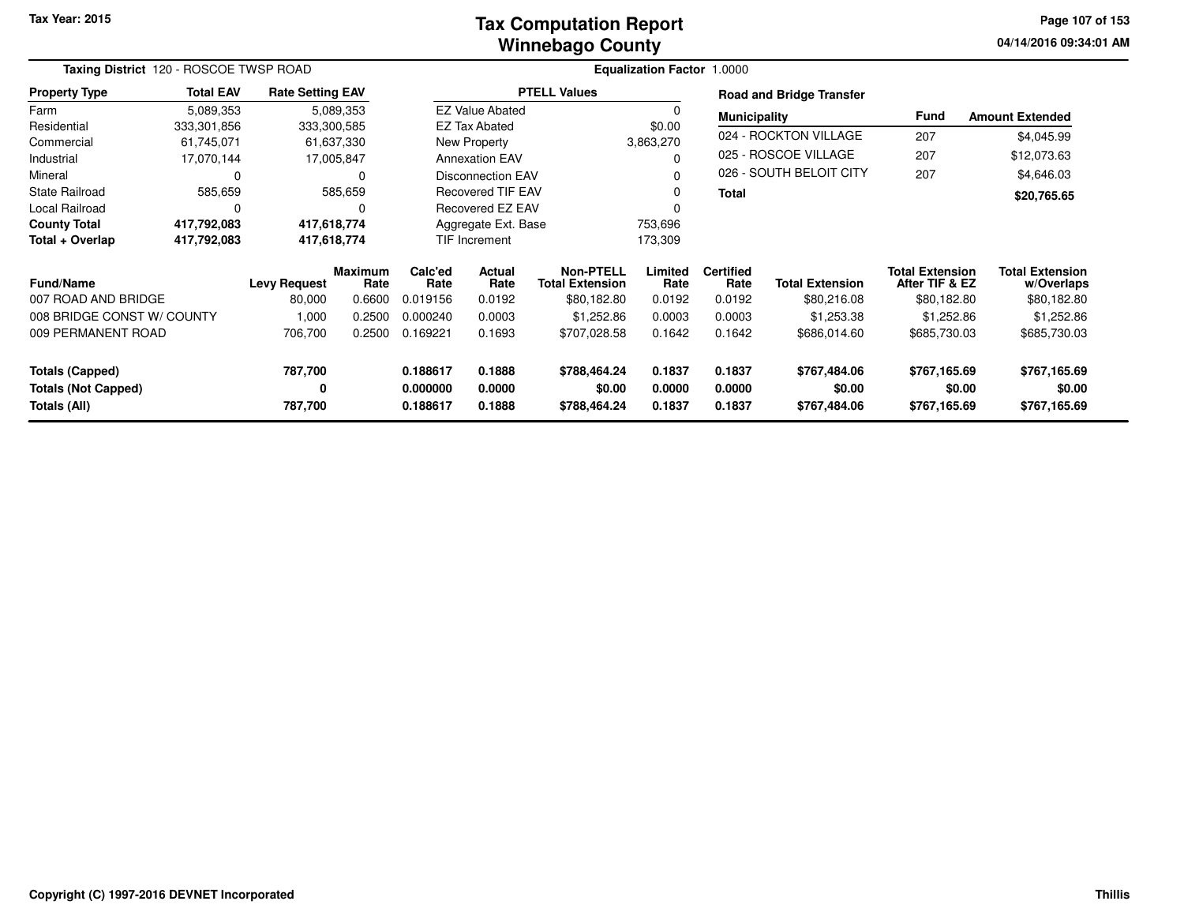#### **Winnebago CountyTax Computation Report**

**04/14/2016 09:34:01 AM Page 107 of 153**

| Taxing District 120 - ROSCOE TWSP ROAD |                  |                         |                 | <b>Equalization Factor 1.0000</b>        |                          |                                     |                 |                          |                                 |                                          |                                      |
|----------------------------------------|------------------|-------------------------|-----------------|------------------------------------------|--------------------------|-------------------------------------|-----------------|--------------------------|---------------------------------|------------------------------------------|--------------------------------------|
| <b>Property Type</b>                   | <b>Total EAV</b> | <b>Rate Setting EAV</b> |                 |                                          |                          | <b>PTELL Values</b>                 |                 |                          | <b>Road and Bridge Transfer</b> |                                          |                                      |
| Farm                                   | 5,089,353        |                         | 5,089,353       |                                          | <b>EZ Value Abated</b>   |                                     |                 | <b>Municipality</b>      |                                 | <b>Fund</b>                              | <b>Amount Extended</b>               |
| Residential                            | 333,301,856      | 333,300,585             |                 |                                          | EZ Tax Abated            |                                     | \$0.00          |                          |                                 |                                          |                                      |
| Commercial                             | 61,745,071       |                         | 61,637,330      |                                          | New Property             |                                     | 3,863,270       |                          | 024 - ROCKTON VILLAGE           | 207                                      | \$4,045.99                           |
| Industrial                             | 17,070,144       |                         | 17,005,847      |                                          | <b>Annexation EAV</b>    |                                     |                 |                          | 025 - ROSCOE VILLAGE            | 207                                      | \$12,073.63                          |
| Mineral                                | 0                |                         | 0               |                                          | <b>Disconnection EAV</b> |                                     |                 |                          | 026 - SOUTH BELOIT CITY         | 207                                      | \$4,646.03                           |
| <b>State Railroad</b>                  | 585,659          |                         | 585,659         |                                          | <b>Recovered TIF EAV</b> |                                     |                 | <b>Total</b>             |                                 |                                          | \$20,765.65                          |
| Local Railroad                         | 0                |                         |                 |                                          | Recovered EZ EAV         |                                     |                 |                          |                                 |                                          |                                      |
| <b>County Total</b>                    | 417,792,083      | 417,618,774             |                 |                                          | Aggregate Ext. Base      |                                     | 753,696         |                          |                                 |                                          |                                      |
| Total + Overlap                        | 417,792,083      | 417,618,774             |                 |                                          | TIF Increment            |                                     | 173,309         |                          |                                 |                                          |                                      |
| <b>Fund/Name</b>                       |                  | <b>Levy Request</b>     | Maximum<br>Rate | Calc'ed<br><b>Actual</b><br>Rate<br>Rate |                          | Non-PTELL<br><b>Total Extension</b> | Limited<br>Rate | <b>Certified</b><br>Rate | <b>Total Extension</b>          | <b>Total Extension</b><br>After TIF & EZ | <b>Total Extension</b><br>w/Overlaps |
| 007 ROAD AND BRIDGE                    |                  | 80,000                  | 0.6600          | 0.019156                                 | 0.0192                   | \$80,182.80                         | 0.0192          | 0.0192                   | \$80,216.08                     | \$80,182.80                              | \$80,182.80                          |
| 008 BRIDGE CONST W/ COUNTY             |                  | 1,000                   | 0.2500          | 0.000240                                 | 0.0003                   | \$1,252.86                          | 0.0003          | 0.0003                   | \$1,253.38                      | \$1,252.86                               | \$1,252.86                           |
| 009 PERMANENT ROAD                     |                  | 706,700                 | 0.2500          | 0.169221                                 | 0.1693                   | \$707,028.58                        | 0.1642          | 0.1642                   | \$686,014.60                    | \$685,730.03                             | \$685,730.03                         |
| <b>Totals (Capped)</b>                 |                  | 787,700                 |                 | 0.188617                                 | 0.1888                   | \$788,464.24                        | 0.1837          | 0.1837                   | \$767,484.06                    | \$767,165.69                             | \$767,165.69                         |
| <b>Totals (Not Capped)</b>             |                  | 0                       |                 | 0.000000                                 | 0.0000                   | \$0.00                              | 0.0000          | 0.0000                   | \$0.00                          | \$0.00                                   | \$0.00                               |
| Totals (All)                           |                  | 787,700                 |                 | 0.188617                                 | 0.1888                   | \$788,464.24                        | 0.1837          | 0.1837                   | \$767,484.06                    | \$767,165.69                             | \$767,165.69                         |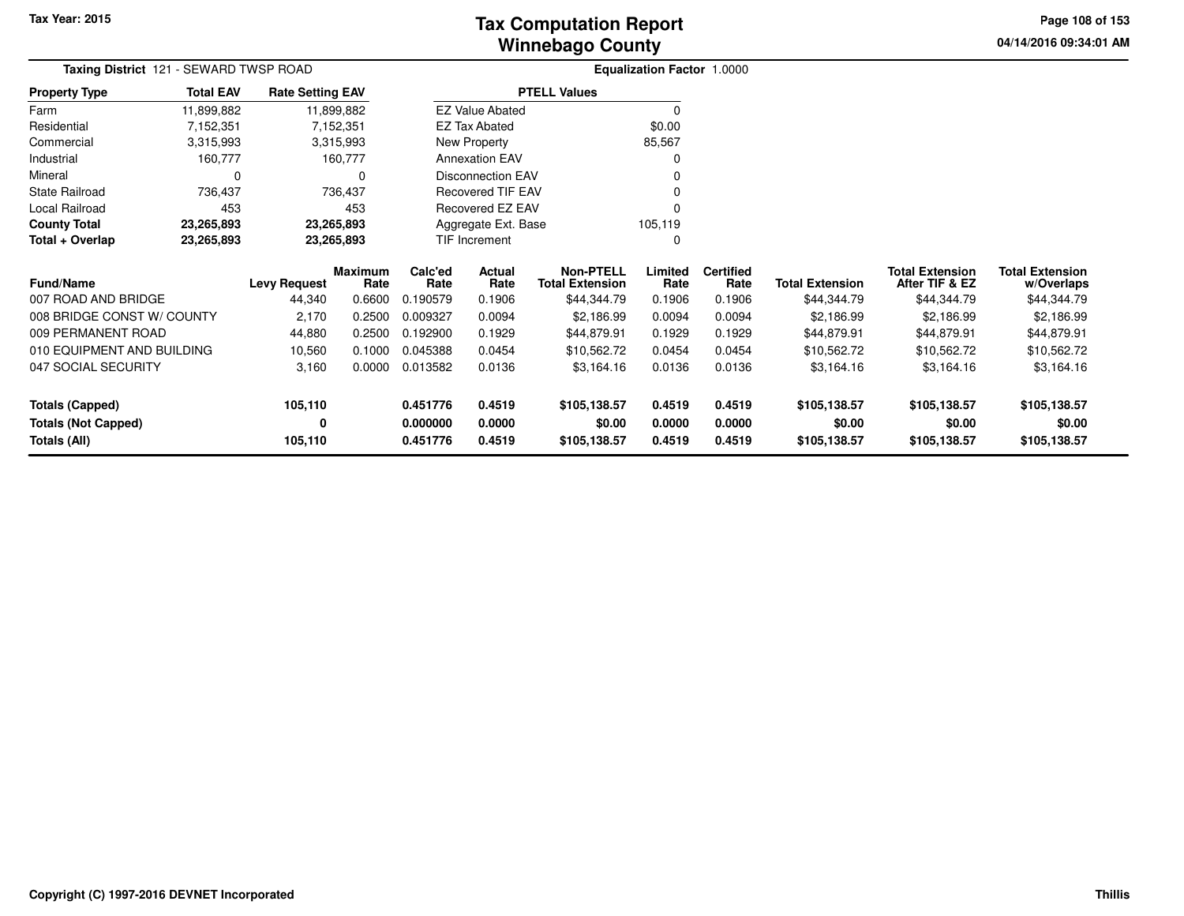**04/14/2016 09:34:01 AM Page 108 of 153**

| Taxing District 121 - SEWARD TWSP ROAD |                          |                         |                 |                 |                          |                                            | <b>Equalization Factor 1.0000</b> |                          |                        |                                          |                                      |  |
|----------------------------------------|--------------------------|-------------------------|-----------------|-----------------|--------------------------|--------------------------------------------|-----------------------------------|--------------------------|------------------------|------------------------------------------|--------------------------------------|--|
| <b>Property Type</b>                   | <b>Total EAV</b>         | <b>Rate Setting EAV</b> |                 |                 |                          | <b>PTELL Values</b>                        |                                   |                          |                        |                                          |                                      |  |
| Farm                                   | 11,899,882               | 11,899,882              |                 |                 | <b>EZ Value Abated</b>   |                                            | $\Omega$                          |                          |                        |                                          |                                      |  |
| Residential                            | 7,152,351                |                         | 7,152,351       |                 | <b>EZ Tax Abated</b>     |                                            | \$0.00                            |                          |                        |                                          |                                      |  |
| Commercial                             | 3,315,993                |                         | 3,315,993       |                 | New Property             |                                            | 85,567                            |                          |                        |                                          |                                      |  |
| Industrial                             | 160,777                  |                         | 160,777         |                 | <b>Annexation EAV</b>    |                                            | 0                                 |                          |                        |                                          |                                      |  |
| Mineral                                | 0                        |                         |                 |                 | <b>Disconnection EAV</b> |                                            | 0                                 |                          |                        |                                          |                                      |  |
| <b>State Railroad</b>                  | 736,437                  |                         | 736,437         |                 | <b>Recovered TIF EAV</b> |                                            | 0                                 |                          |                        |                                          |                                      |  |
| Local Railroad                         | 453                      |                         | 453             |                 | <b>Recovered EZ EAV</b>  |                                            | $\Omega$                          |                          |                        |                                          |                                      |  |
| <b>County Total</b>                    | 23,265,893               | 23,265,893              |                 |                 | Aggregate Ext. Base      |                                            | 105,119                           |                          |                        |                                          |                                      |  |
| Total + Overlap                        | 23,265,893<br>23,265,893 |                         |                 |                 | TIF Increment            |                                            | 0                                 |                          |                        |                                          |                                      |  |
| Fund/Name                              |                          | <b>Levy Request</b>     | Maximum<br>Rate | Calc'ed<br>Rate | Actual<br>Rate           | <b>Non-PTELL</b><br><b>Total Extension</b> | Limited<br>Rate                   | <b>Certified</b><br>Rate | <b>Total Extension</b> | <b>Total Extension</b><br>After TIF & EZ | <b>Total Extension</b><br>w/Overlaps |  |
| 007 ROAD AND BRIDGE                    |                          | 44,340                  | 0.6600          | 0.190579        | 0.1906                   | \$44,344.79                                | 0.1906                            | 0.1906                   | \$44,344.79            | \$44,344.79                              | \$44,344.79                          |  |
| 008 BRIDGE CONST W/ COUNTY             |                          | 2,170                   | 0.2500          | 0.009327        | 0.0094                   | \$2,186.99                                 | 0.0094                            | 0.0094                   | \$2,186.99             | \$2,186.99                               | \$2,186.99                           |  |
| 009 PERMANENT ROAD                     |                          | 44,880                  | 0.2500          | 0.192900        | 0.1929                   | \$44,879.91                                | 0.1929                            | 0.1929                   | \$44,879.91            | \$44,879.91                              | \$44,879.91                          |  |
| 010 EQUIPMENT AND BUILDING             |                          | 10,560                  | 0.1000          | 0.045388        | 0.0454                   | \$10,562.72                                | 0.0454                            | 0.0454                   | \$10,562.72            | \$10,562.72                              | \$10,562.72                          |  |
| 047 SOCIAL SECURITY                    |                          | 3,160                   | 0.0000          | 0.013582        | 0.0136                   | \$3,164.16                                 | 0.0136                            | 0.0136                   | \$3,164.16             | \$3,164.16                               | \$3,164.16                           |  |
| Totals (Capped)                        |                          | 105,110                 |                 | 0.451776        | 0.4519                   | \$105,138.57                               | 0.4519                            | 0.4519                   | \$105,138.57           | \$105,138.57                             | \$105,138.57                         |  |
| <b>Totals (Not Capped)</b>             |                          | 0                       |                 | 0.000000        | 0.0000                   | \$0.00                                     | 0.0000                            | 0.0000                   | \$0.00                 | \$0.00                                   | \$0.00                               |  |
| <b>Totals (All)</b>                    |                          | 105,110                 |                 | 0.451776        | 0.4519                   | \$105,138.57                               | 0.4519                            | 0.4519                   | \$105,138.57           | \$105,138.57                             | \$105,138.57                         |  |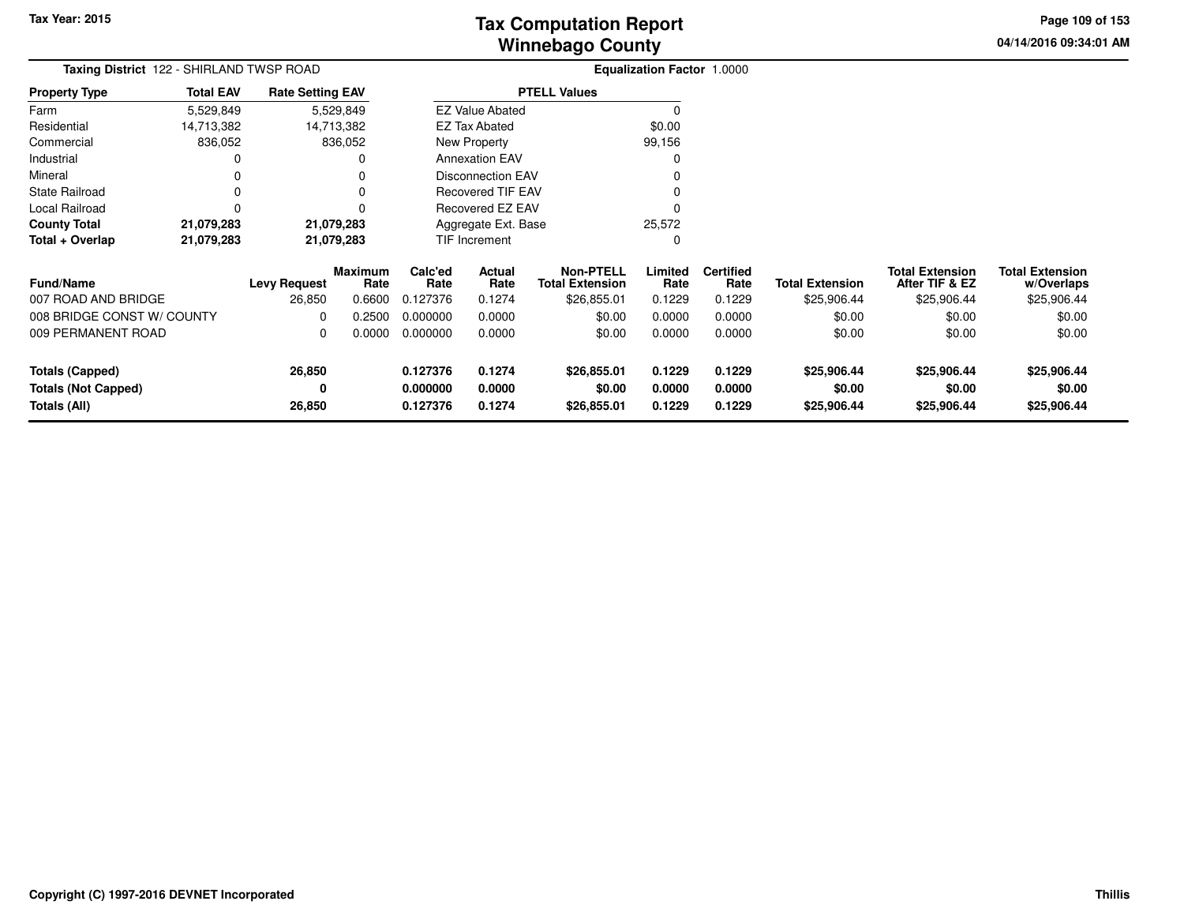**04/14/2016 09:34:01 AM Page 109 of 153**

| <b>Taxing District</b> 122 - SHIRLAND TWSP ROAD   |                  |                         |                        |                      |                          |                                            | <b>Equalization Factor 1.0000</b> |                          |                        |                                          |                                      |
|---------------------------------------------------|------------------|-------------------------|------------------------|----------------------|--------------------------|--------------------------------------------|-----------------------------------|--------------------------|------------------------|------------------------------------------|--------------------------------------|
| <b>Property Type</b>                              | <b>Total EAV</b> | <b>Rate Setting EAV</b> |                        |                      |                          | <b>PTELL Values</b>                        |                                   |                          |                        |                                          |                                      |
| Farm                                              | 5,529,849        |                         | 5,529,849              |                      | <b>EZ Value Abated</b>   |                                            |                                   |                          |                        |                                          |                                      |
| Residential                                       | 14,713,382       | 14,713,382              |                        |                      | <b>EZ Tax Abated</b>     |                                            | \$0.00                            |                          |                        |                                          |                                      |
| Commercial                                        | 836,052          |                         | 836,052                |                      | New Property             |                                            | 99,156                            |                          |                        |                                          |                                      |
| Industrial                                        |                  |                         |                        |                      | <b>Annexation EAV</b>    |                                            |                                   |                          |                        |                                          |                                      |
| Mineral                                           |                  |                         |                        |                      | <b>Disconnection EAV</b> |                                            |                                   |                          |                        |                                          |                                      |
| <b>State Railroad</b>                             |                  |                         |                        |                      | Recovered TIF EAV        |                                            |                                   |                          |                        |                                          |                                      |
| Local Railroad                                    | 0                |                         |                        |                      | Recovered EZ EAV         |                                            |                                   |                          |                        |                                          |                                      |
| <b>County Total</b>                               | 21,079,283       | 21,079,283              |                        |                      | Aggregate Ext. Base      |                                            | 25,572                            |                          |                        |                                          |                                      |
| Total + Overlap                                   | 21,079,283       | 21,079,283              |                        |                      | <b>TIF Increment</b>     |                                            | 0                                 |                          |                        |                                          |                                      |
| <b>Fund/Name</b>                                  |                  | <b>Levy Request</b>     | <b>Maximum</b><br>Rate | Calc'ed<br>Rate      | Actual<br>Rate           | <b>Non-PTELL</b><br><b>Total Extension</b> | Limited<br>Rate                   | <b>Certified</b><br>Rate | <b>Total Extension</b> | <b>Total Extension</b><br>After TIF & EZ | <b>Total Extension</b><br>w/Overlaps |
| 007 ROAD AND BRIDGE                               |                  | 26,850                  | 0.6600                 | 0.127376             | 0.1274                   | \$26,855.01                                | 0.1229                            | 0.1229                   | \$25,906.44            | \$25,906.44                              | \$25,906.44                          |
| 008 BRIDGE CONST W/ COUNTY                        |                  | 0                       | 0.2500                 | 0.000000             | 0.0000                   | \$0.00                                     | 0.0000                            | 0.0000                   | \$0.00                 | \$0.00                                   | \$0.00                               |
| 009 PERMANENT ROAD                                |                  | 0                       | 0.0000                 | 0.000000             | 0.0000                   | \$0.00                                     | 0.0000                            | 0.0000                   | \$0.00                 | \$0.00                                   | \$0.00                               |
| <b>Totals (Capped)</b>                            |                  | 26,850                  |                        | 0.127376             | 0.1274                   | \$26,855.01                                | 0.1229                            | 0.1229                   | \$25,906.44            | \$25,906.44                              | \$25,906.44                          |
| <b>Totals (Not Capped)</b><br><b>Totals (All)</b> |                  | 0<br>26,850             |                        | 0.000000<br>0.127376 | 0.0000<br>0.1274         | \$0.00<br>\$26,855.01                      | 0.0000<br>0.1229                  | 0.0000<br>0.1229         | \$0.00<br>\$25,906.44  | \$0.00<br>\$25,906.44                    | \$0.00<br>\$25,906.44                |
|                                                   |                  |                         |                        |                      |                          |                                            |                                   |                          |                        |                                          |                                      |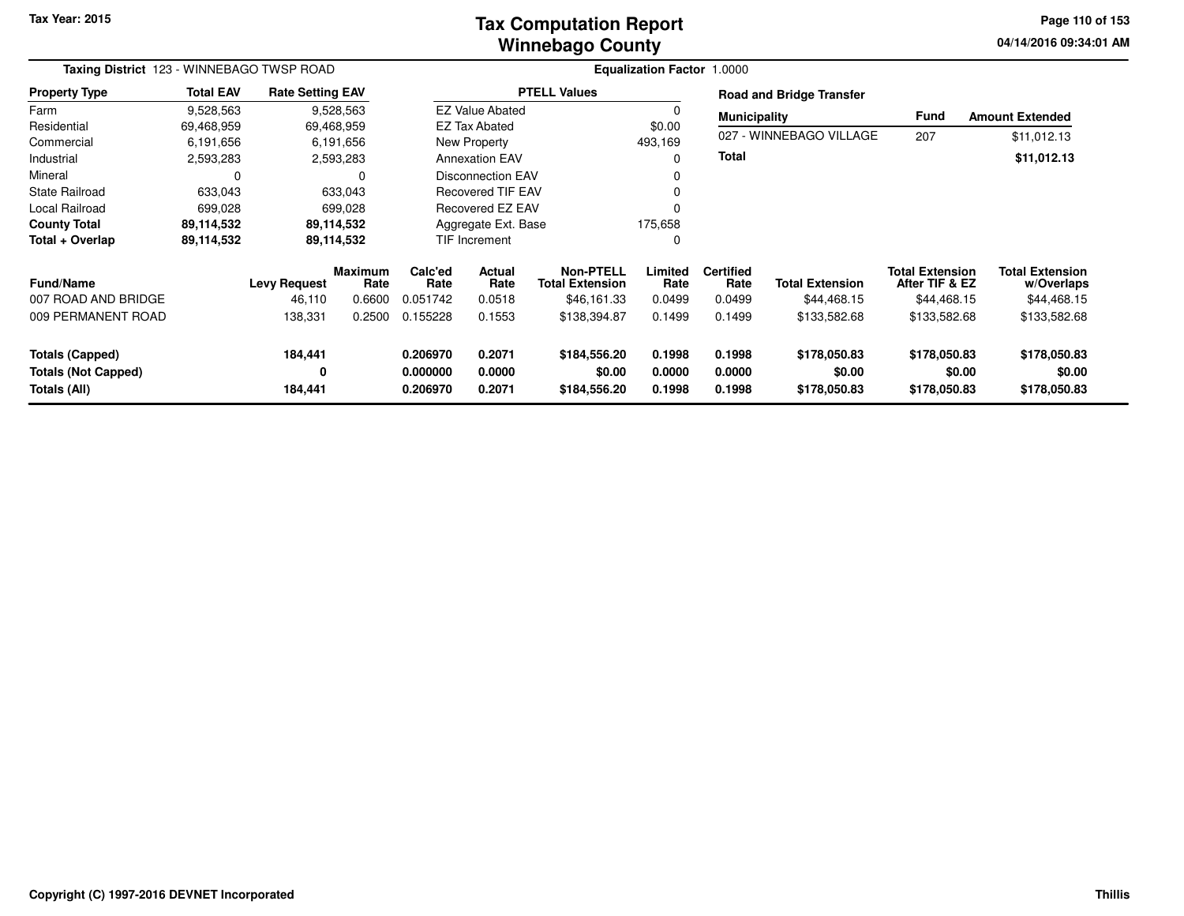**Tax Year: 2015**

### **Winnebago CountyTax Computation Report**

**04/14/2016 09:34:01 AM Page 110 of 153**

| Taxing District 123 - WINNEBAGO TWSP ROAD  |                  |                               |                                  | Equalization Factor 1.0000  |                                 |                                                           |                           |                                    |                                       |                                                         |                                                     |
|--------------------------------------------|------------------|-------------------------------|----------------------------------|-----------------------------|---------------------------------|-----------------------------------------------------------|---------------------------|------------------------------------|---------------------------------------|---------------------------------------------------------|-----------------------------------------------------|
| <b>Property Type</b>                       | <b>Total EAV</b> | <b>Rate Setting EAV</b>       |                                  |                             |                                 | <b>PTELL Values</b>                                       |                           |                                    | <b>Road and Bridge Transfer</b>       |                                                         |                                                     |
| Farm                                       | 9,528,563        |                               | 9,528,563                        |                             | <b>EZ Value Abated</b>          |                                                           | 0                         | <b>Municipality</b>                |                                       | <b>Fund</b>                                             | <b>Amount Extended</b>                              |
| Residential                                | 69,468,959       |                               | 69,468,959                       |                             | <b>EZ Tax Abated</b>            |                                                           | \$0.00                    |                                    |                                       |                                                         |                                                     |
| Commercial                                 | 6,191,656        |                               | 6,191,656                        |                             | New Property                    |                                                           | 493,169                   |                                    | 027 - WINNEBAGO VILLAGE               | 207                                                     | \$11,012.13                                         |
| Industrial                                 | 2,593,283        |                               | 2,593,283                        |                             | <b>Annexation EAV</b>           |                                                           | 0                         | <b>Total</b>                       |                                       |                                                         | \$11,012.13                                         |
| Mineral                                    |                  |                               | $\Omega$                         |                             | <b>Disconnection EAV</b>        |                                                           | 0                         |                                    |                                       |                                                         |                                                     |
| <b>State Railroad</b>                      | 633,043          |                               | 633,043                          |                             | <b>Recovered TIF EAV</b>        |                                                           | 0                         |                                    |                                       |                                                         |                                                     |
| Local Railroad                             | 699,028          |                               | 699,028                          |                             | Recovered EZ EAV                |                                                           | $\mathbf 0$               |                                    |                                       |                                                         |                                                     |
| <b>County Total</b>                        | 89,114,532       |                               | 89,114,532                       |                             | Aggregate Ext. Base             |                                                           | 175,658                   |                                    |                                       |                                                         |                                                     |
| Total + Overlap                            | 89,114,532       |                               | 89,114,532                       |                             | <b>TIF Increment</b>            |                                                           | $\mathbf 0$               |                                    |                                       |                                                         |                                                     |
| <b>Fund/Name</b><br>007 ROAD AND BRIDGE    |                  | <b>Levy Request</b><br>46,110 | <b>Maximum</b><br>Rate<br>0.6600 | Calc'ed<br>Rate<br>0.051742 | <b>Actual</b><br>Rate<br>0.0518 | <b>Non-PTELL</b><br><b>Total Extension</b><br>\$46,161.33 | Limited<br>Rate<br>0.0499 | <b>Certified</b><br>Rate<br>0.0499 | <b>Total Extension</b><br>\$44,468.15 | <b>Total Extension</b><br>After TIF & EZ<br>\$44,468.15 | <b>Total Extension</b><br>w/Overlaps<br>\$44,468.15 |
|                                            |                  |                               |                                  |                             |                                 |                                                           |                           |                                    |                                       |                                                         |                                                     |
| 009 PERMANENT ROAD                         |                  | 138,331                       | 0.2500                           | 0.155228                    | 0.1553                          | \$138,394.87                                              | 0.1499                    | 0.1499                             | \$133,582.68                          | \$133,582.68                                            | \$133,582.68                                        |
| <b>Totals (Capped)</b>                     |                  | 184,441                       |                                  | 0.206970                    | 0.2071                          | \$184,556.20                                              | 0.1998                    | 0.1998                             | \$178,050.83                          | \$178,050.83                                            | \$178,050.83                                        |
| <b>Totals (Not Capped)</b><br>Totals (All) |                  | 0<br>184,441                  |                                  | 0.000000<br>0.206970        | 0.0000<br>0.2071                | \$0.00<br>\$184,556.20                                    | 0.0000<br>0.1998          | 0.0000<br>0.1998                   | \$0.00<br>\$178,050.83                | \$0.00<br>\$178,050.83                                  | \$0.00<br>\$178,050.83                              |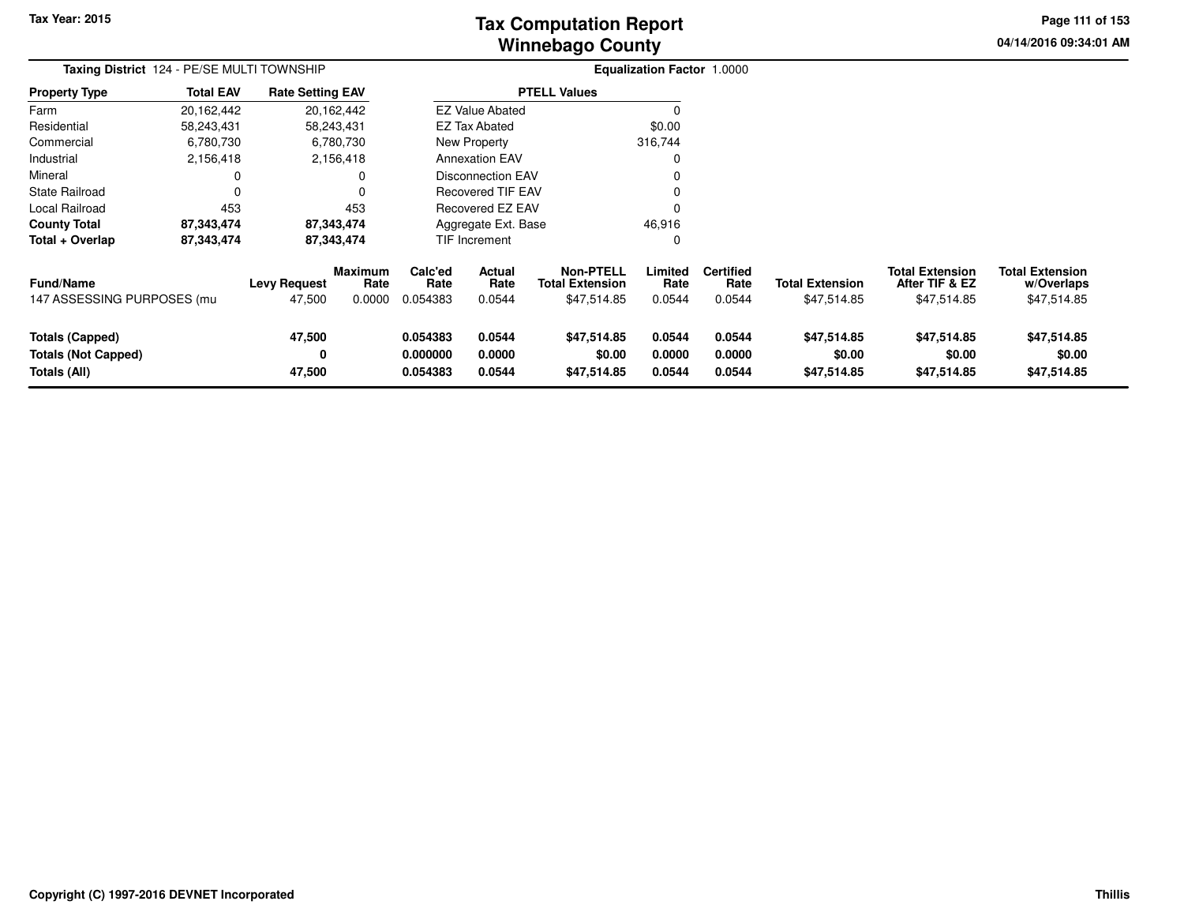**Tax Year: 2015**

# **Winnebago CountyTax Computation Report**

**04/14/2016 09:34:01 AM Page 111 of 153**

| Taxing District 124 - PE/SE MULTI TOWNSHIP                    |                  |                               |                                  |                                  | Equalization Factor 1.0000      |                                                           |                            |                                    |                                       |                                                         |                                                     |
|---------------------------------------------------------------|------------------|-------------------------------|----------------------------------|----------------------------------|---------------------------------|-----------------------------------------------------------|----------------------------|------------------------------------|---------------------------------------|---------------------------------------------------------|-----------------------------------------------------|
| <b>Property Type</b>                                          | <b>Total EAV</b> | <b>Rate Setting EAV</b>       |                                  |                                  | <b>PTELL Values</b>             |                                                           |                            |                                    |                                       |                                                         |                                                     |
| Farm                                                          | 20,162,442       |                               | 20,162,442                       |                                  | <b>EZ Value Abated</b>          |                                                           |                            |                                    |                                       |                                                         |                                                     |
| Residential                                                   | 58,243,431       |                               | 58,243,431                       |                                  | <b>EZ Tax Abated</b>            |                                                           | \$0.00                     |                                    |                                       |                                                         |                                                     |
| Commercial                                                    | 6,780,730        |                               | 6,780,730                        |                                  | New Property                    |                                                           | 316,744                    |                                    |                                       |                                                         |                                                     |
| Industrial                                                    | 2,156,418        |                               | 2,156,418                        |                                  | <b>Annexation EAV</b>           |                                                           |                            |                                    |                                       |                                                         |                                                     |
| Mineral                                                       |                  |                               |                                  |                                  | <b>Disconnection EAV</b>        |                                                           |                            |                                    |                                       |                                                         |                                                     |
| State Railroad                                                | 0                |                               |                                  |                                  | <b>Recovered TIF EAV</b>        |                                                           |                            |                                    |                                       |                                                         |                                                     |
| Local Railroad                                                | 453              |                               | 453                              | Recovered EZ EAV                 |                                 |                                                           |                            |                                    |                                       |                                                         |                                                     |
| <b>County Total</b>                                           | 87,343,474       |                               | 87,343,474                       | 46,916<br>Aggregate Ext. Base    |                                 |                                                           |                            |                                    |                                       |                                                         |                                                     |
| Total + Overlap                                               | 87,343,474       |                               | 87,343,474                       |                                  | TIF Increment                   |                                                           |                            |                                    |                                       |                                                         |                                                     |
| <b>Fund/Name</b><br>147 ASSESSING PURPOSES (mu                |                  | <b>Levy Request</b><br>47,500 | <b>Maximum</b><br>Rate<br>0.0000 | Calc'ed<br>Rate<br>0.054383      | <b>Actual</b><br>Rate<br>0.0544 | <b>Non-PTELL</b><br><b>Total Extension</b><br>\$47,514.85 | Limited<br>Rate<br>0.0544  | <b>Certified</b><br>Rate<br>0.0544 | <b>Total Extension</b><br>\$47,514.85 | <b>Total Extension</b><br>After TIF & EZ<br>\$47,514.85 | <b>Total Extension</b><br>w/Overlaps<br>\$47,514.85 |
| Totals (Capped)<br><b>Totals (Not Capped)</b><br>Totals (All) |                  | 47,500<br>0<br>47,500         |                                  | 0.054383<br>0.000000<br>0.054383 | 0.0544<br>0.0000<br>0.0544      | \$47,514.85<br>\$0.00<br>\$47,514.85                      | 0.0544<br>0.0000<br>0.0544 | 0.0544<br>0.0000<br>0.0544         | \$47,514.85<br>\$0.00<br>\$47,514.85  | \$47,514.85<br>\$0.00<br>\$47,514.85                    | \$47,514.85<br>\$0.00<br>\$47,514.85                |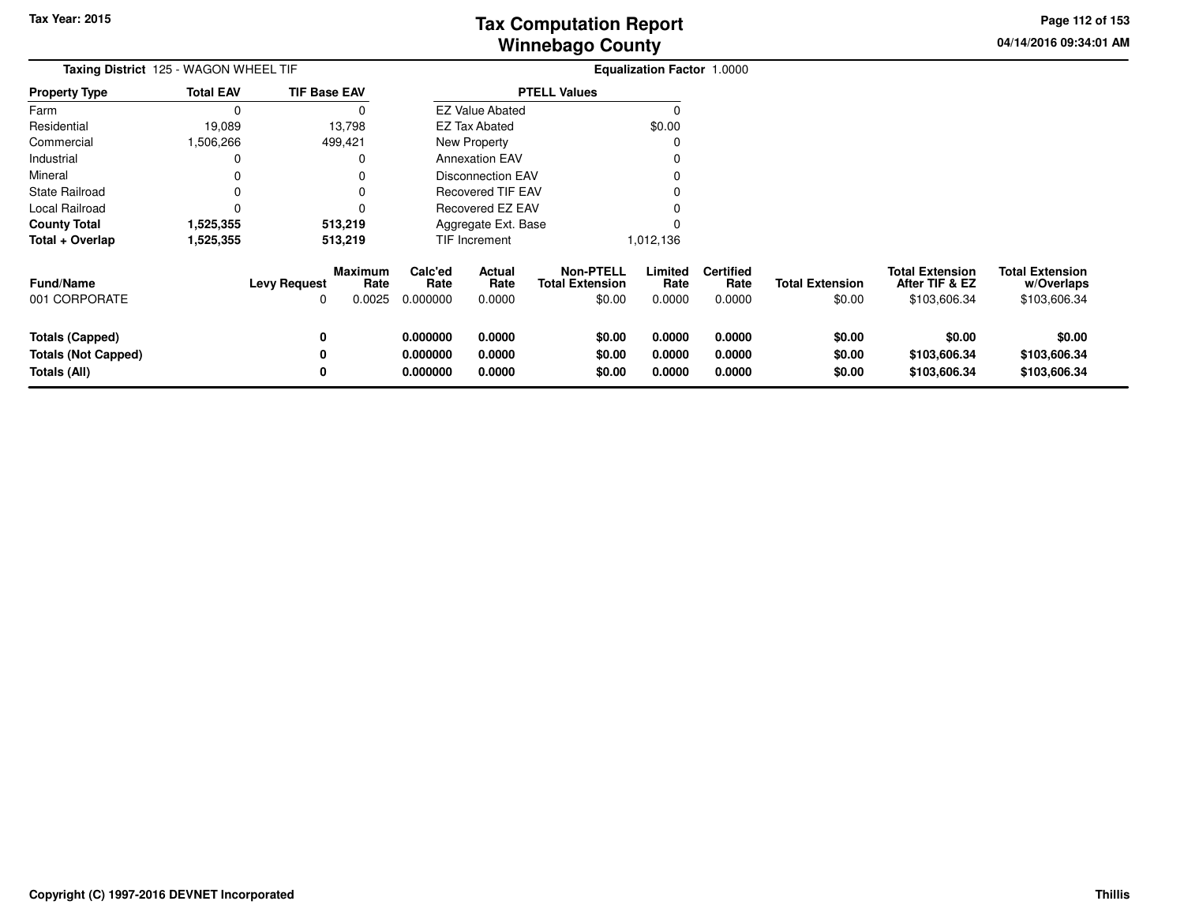**04/14/2016 09:34:01 AMPage 112 of 153**

| <b>Taxing District</b> 125 - WAGON WHEEL TIF |                  |                                               |                 | Equalization Factor 1.0000 |                                            |                 |                          |                        |                                          |                                      |
|----------------------------------------------|------------------|-----------------------------------------------|-----------------|----------------------------|--------------------------------------------|-----------------|--------------------------|------------------------|------------------------------------------|--------------------------------------|
| <b>Property Type</b>                         | <b>Total EAV</b> | <b>TIF Base EAV</b>                           |                 |                            | <b>PTELL Values</b>                        |                 |                          |                        |                                          |                                      |
| Farm                                         | $\Omega$         | 0                                             |                 | <b>EZ Value Abated</b>     |                                            | $\Omega$        |                          |                        |                                          |                                      |
| Residential                                  | 19,089           | 13,798                                        |                 | <b>EZ Tax Abated</b>       |                                            | \$0.00          |                          |                        |                                          |                                      |
| Commercial                                   | ,506,266         | 499,421                                       |                 | <b>New Property</b>        |                                            | C               |                          |                        |                                          |                                      |
| Industrial                                   | 0                | 0                                             |                 | <b>Annexation EAV</b>      |                                            |                 |                          |                        |                                          |                                      |
| Mineral                                      | 0                |                                               |                 | <b>Disconnection EAV</b>   |                                            |                 |                          |                        |                                          |                                      |
| State Railroad                               | 0                | 0                                             |                 | Recovered TIF EAV          |                                            |                 |                          |                        |                                          |                                      |
| Local Railroad                               | 0                |                                               |                 | Recovered EZ EAV           |                                            |                 |                          |                        |                                          |                                      |
| <b>County Total</b>                          | 1,525,355        | 513,219                                       |                 | Aggregate Ext. Base        |                                            |                 |                          |                        |                                          |                                      |
| Total + Overlap                              | 1,525,355        | 513,219                                       |                 | TIF Increment              |                                            | 1,012,136       |                          |                        |                                          |                                      |
| <b>Fund/Name</b>                             |                  | <b>Maximum</b><br><b>Levy Request</b><br>Rate | Calc'ed<br>Rate | Actual<br>Rate             | <b>Non-PTELL</b><br><b>Total Extension</b> | Limited<br>Rate | <b>Certified</b><br>Rate | <b>Total Extension</b> | <b>Total Extension</b><br>After TIF & EZ | <b>Total Extension</b><br>w/Overlaps |
| 001 CORPORATE                                |                  | 0.0025<br>0                                   | 0.000000        | 0.0000                     | \$0.00                                     | 0.0000          | 0.0000                   | \$0.00                 | \$103,606.34                             | \$103,606.34                         |
| <b>Totals (Capped)</b>                       |                  | 0                                             | 0.000000        | 0.0000                     | \$0.00                                     | 0.0000          | 0.0000                   | \$0.00                 | \$0.00                                   | \$0.00                               |
| <b>Totals (Not Capped)</b>                   |                  | 0                                             | 0.000000        | 0.0000                     | \$0.00                                     | 0.0000          | 0.0000                   | \$0.00                 | \$103,606.34                             | \$103,606.34                         |
| Totals (All)                                 |                  | 0                                             | 0.000000        | 0.0000                     | \$0.00                                     | 0.0000          | 0.0000                   | \$0.00                 | \$103,606.34                             | \$103,606.34                         |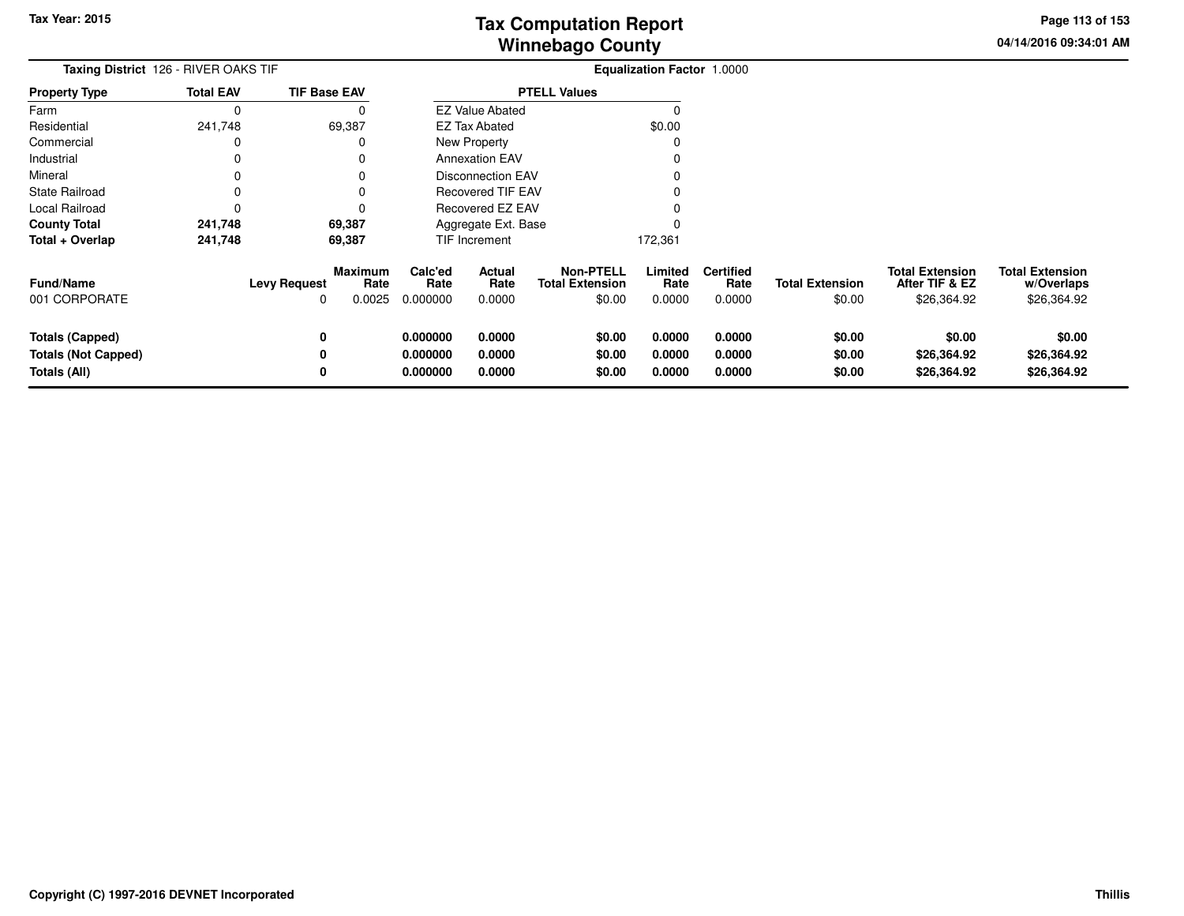**04/14/2016 09:34:01 AMPage 113 of 153**

| <b>Taxing District</b> 126 - RIVER OAKS TIF                   |                  |                          |                           |                                  |                            |                                                      | <b>Equalization Factor 1.0000</b> |                                    |                                  |                                                         |                                                     |  |
|---------------------------------------------------------------|------------------|--------------------------|---------------------------|----------------------------------|----------------------------|------------------------------------------------------|-----------------------------------|------------------------------------|----------------------------------|---------------------------------------------------------|-----------------------------------------------------|--|
| Property Type                                                 | <b>Total EAV</b> | <b>TIF Base EAV</b>      |                           |                                  |                            | <b>PTELL Values</b>                                  |                                   |                                    |                                  |                                                         |                                                     |  |
| Farm                                                          | 0                |                          | O                         |                                  | <b>EZ Value Abated</b>     |                                                      |                                   |                                    |                                  |                                                         |                                                     |  |
| Residential                                                   | 241,748          |                          | 69,387                    |                                  | <b>EZ Tax Abated</b>       |                                                      | \$0.00                            |                                    |                                  |                                                         |                                                     |  |
| Commercial                                                    | 0                |                          |                           |                                  | New Property               |                                                      |                                   |                                    |                                  |                                                         |                                                     |  |
| Industrial                                                    | 0                |                          |                           |                                  | <b>Annexation EAV</b>      |                                                      |                                   |                                    |                                  |                                                         |                                                     |  |
| Mineral                                                       |                  |                          |                           |                                  | <b>Disconnection EAV</b>   |                                                      |                                   |                                    |                                  |                                                         |                                                     |  |
| State Railroad                                                |                  |                          |                           |                                  | <b>Recovered TIF EAV</b>   |                                                      |                                   |                                    |                                  |                                                         |                                                     |  |
| Local Railroad                                                | 0                |                          |                           |                                  | Recovered EZ EAV           |                                                      |                                   |                                    |                                  |                                                         |                                                     |  |
| <b>County Total</b>                                           | 241,748          |                          | 69,387                    |                                  | Aggregate Ext. Base        |                                                      |                                   |                                    |                                  |                                                         |                                                     |  |
| Total + Overlap                                               | 241,748          |                          | 69,387                    |                                  | <b>TIF Increment</b>       |                                                      | 172,361                           |                                    |                                  |                                                         |                                                     |  |
| <b>Fund/Name</b><br>001 CORPORATE                             |                  | <b>Levy Request</b><br>0 | Maximum<br>Rate<br>0.0025 | Calc'ed<br>Rate<br>0.000000      | Actual<br>Rate<br>0.0000   | <b>Non-PTELL</b><br><b>Total Extension</b><br>\$0.00 | Limited<br>Rate<br>0.0000         | <b>Certified</b><br>Rate<br>0.0000 | <b>Total Extension</b><br>\$0.00 | <b>Total Extension</b><br>After TIF & EZ<br>\$26,364.92 | <b>Total Extension</b><br>w/Overlaps<br>\$26,364.92 |  |
| Totals (Capped)<br><b>Totals (Not Capped)</b><br>Totals (All) |                  | 0<br>0<br>0              |                           | 0.000000<br>0.000000<br>0.000000 | 0.0000<br>0.0000<br>0.0000 | \$0.00<br>\$0.00<br>\$0.00                           | 0.0000<br>0.0000<br>0.0000        | 0.0000<br>0.0000<br>0.0000         | \$0.00<br>\$0.00<br>\$0.00       | \$0.00<br>\$26,364.92<br>\$26,364.92                    | \$0.00<br>\$26,364.92<br>\$26,364.92                |  |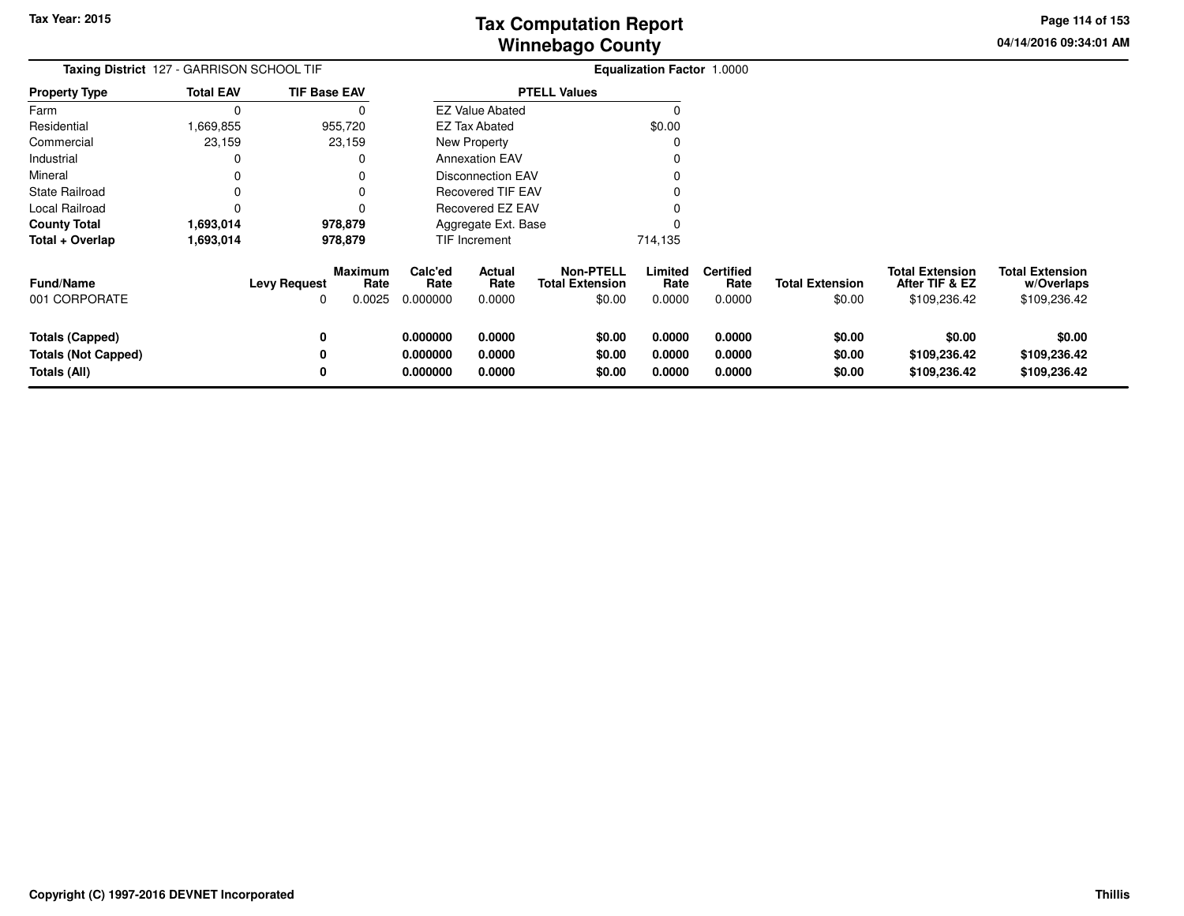**04/14/2016 09:34:01 AMPage 114 of 153**

| Taxing District 127 - GARRISON SCHOOL TIF                            |                  |                          |                           | Equalization Factor 1.0000       |                            |                                                      |                            |                                    |                                  |                                                          |                                                      |
|----------------------------------------------------------------------|------------------|--------------------------|---------------------------|----------------------------------|----------------------------|------------------------------------------------------|----------------------------|------------------------------------|----------------------------------|----------------------------------------------------------|------------------------------------------------------|
| <b>Property Type</b>                                                 | <b>Total EAV</b> | <b>TIF Base EAV</b>      |                           |                                  |                            | <b>PTELL Values</b>                                  |                            |                                    |                                  |                                                          |                                                      |
| Farm                                                                 | 0                |                          | 0                         |                                  | <b>EZ Value Abated</b>     |                                                      | $\Omega$                   |                                    |                                  |                                                          |                                                      |
| Residential                                                          | ,669,855         | 955,720                  |                           |                                  | <b>EZ Tax Abated</b>       |                                                      | \$0.00                     |                                    |                                  |                                                          |                                                      |
| Commercial                                                           | 23,159           | 23,159                   |                           |                                  | <b>New Property</b>        |                                                      | $\Omega$                   |                                    |                                  |                                                          |                                                      |
| Industrial                                                           | 0                |                          | 0                         |                                  | <b>Annexation EAV</b>      |                                                      |                            |                                    |                                  |                                                          |                                                      |
| Mineral                                                              | 0                |                          |                           |                                  | <b>Disconnection EAV</b>   |                                                      |                            |                                    |                                  |                                                          |                                                      |
| <b>State Railroad</b>                                                | 0                |                          |                           |                                  | <b>Recovered TIF EAV</b>   |                                                      |                            |                                    |                                  |                                                          |                                                      |
| Local Railroad                                                       | 0                |                          | 0                         |                                  | Recovered EZ EAV           |                                                      |                            |                                    |                                  |                                                          |                                                      |
| <b>County Total</b>                                                  | 1,693,014        | 978,879                  |                           |                                  | Aggregate Ext. Base        |                                                      |                            |                                    |                                  |                                                          |                                                      |
| Total + Overlap                                                      | 1,693,014        | 978,879                  |                           |                                  | TIF Increment              |                                                      | 714,135                    |                                    |                                  |                                                          |                                                      |
| <b>Fund/Name</b><br>001 CORPORATE                                    |                  | <b>Levy Request</b><br>O | Maximum<br>Rate<br>0.0025 | Calc'ed<br>Rate<br>0.000000      | Actual<br>Rate<br>0.0000   | <b>Non-PTELL</b><br><b>Total Extension</b><br>\$0.00 | Limited<br>Rate<br>0.0000  | <b>Certified</b><br>Rate<br>0.0000 | <b>Total Extension</b><br>\$0.00 | <b>Total Extension</b><br>After TIF & EZ<br>\$109,236.42 | <b>Total Extension</b><br>w/Overlaps<br>\$109,236.42 |
| <b>Totals (Capped)</b><br><b>Totals (Not Capped)</b><br>Totals (All) |                  | 0<br>0<br>0              |                           | 0.000000<br>0.000000<br>0.000000 | 0.0000<br>0.0000<br>0.0000 | \$0.00<br>\$0.00<br>\$0.00                           | 0.0000<br>0.0000<br>0.0000 | 0.0000<br>0.0000<br>0.0000         | \$0.00<br>\$0.00<br>\$0.00       | \$0.00<br>\$109,236.42<br>\$109,236.42                   | \$0.00<br>\$109,236.42<br>\$109,236.42               |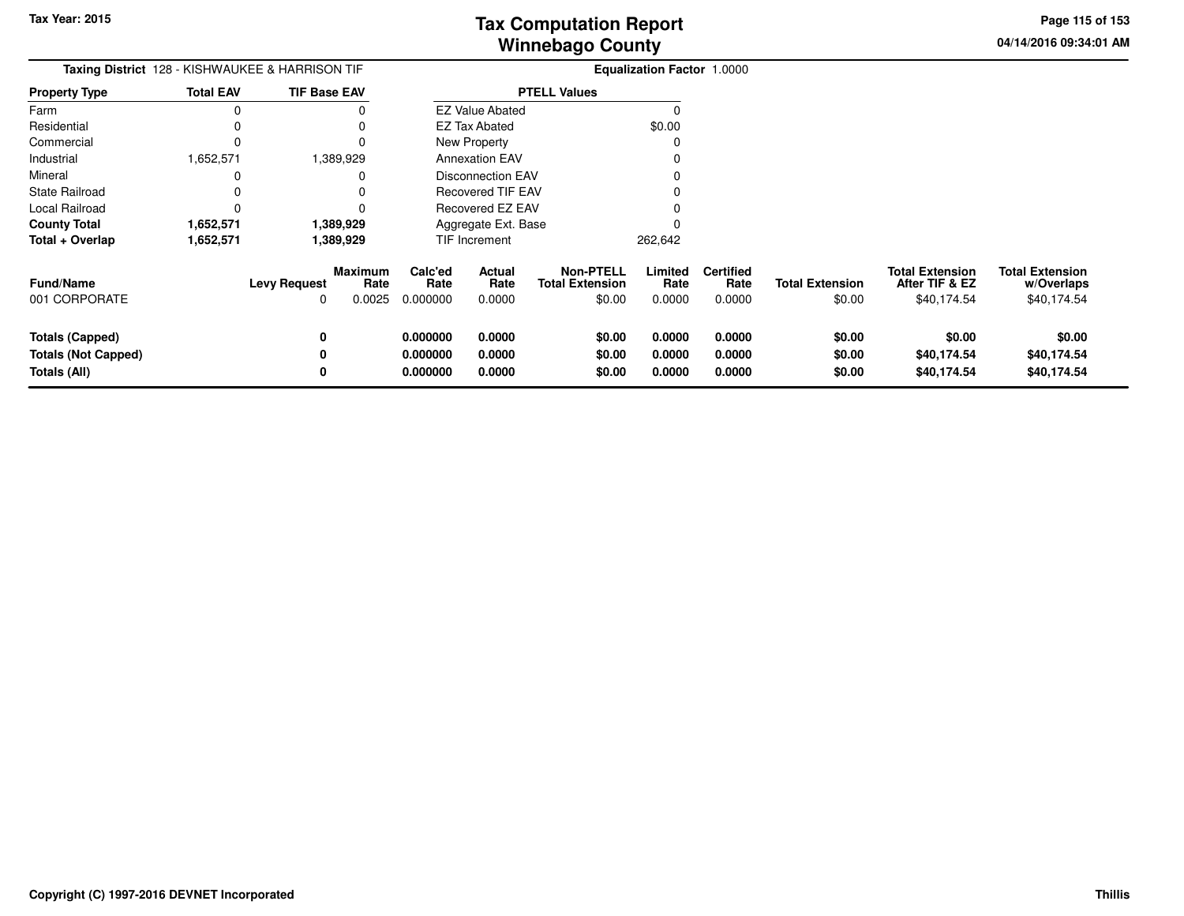**04/14/2016 09:34:01 AMPage 115 of 153**

| <b>Taxing District</b> 128 - KISHWAUKEE & HARRISON TIF |                  |                     |                           | <b>Equalization Factor 1.0000</b> |                          |                                                      |                           |                                    |                                  |                                                         |                                                     |
|--------------------------------------------------------|------------------|---------------------|---------------------------|-----------------------------------|--------------------------|------------------------------------------------------|---------------------------|------------------------------------|----------------------------------|---------------------------------------------------------|-----------------------------------------------------|
| <b>Property Type</b>                                   | <b>Total EAV</b> | <b>TIF Base EAV</b> |                           |                                   |                          | <b>PTELL Values</b>                                  |                           |                                    |                                  |                                                         |                                                     |
| Farm                                                   |                  |                     |                           |                                   | <b>EZ Value Abated</b>   |                                                      |                           |                                    |                                  |                                                         |                                                     |
| Residential                                            |                  |                     |                           |                                   | <b>EZ Tax Abated</b>     |                                                      | \$0.00                    |                                    |                                  |                                                         |                                                     |
| Commercial                                             |                  |                     |                           |                                   | <b>New Property</b>      |                                                      |                           |                                    |                                  |                                                         |                                                     |
| Industrial                                             | 1,652,571        |                     | 1,389,929                 |                                   | <b>Annexation EAV</b>    |                                                      |                           |                                    |                                  |                                                         |                                                     |
| Mineral                                                |                  |                     |                           |                                   | <b>Disconnection EAV</b> |                                                      |                           |                                    |                                  |                                                         |                                                     |
| <b>State Railroad</b>                                  |                  |                     |                           |                                   | <b>Recovered TIF EAV</b> |                                                      |                           |                                    |                                  |                                                         |                                                     |
| Local Railroad                                         |                  |                     |                           |                                   | <b>Recovered EZ EAV</b>  |                                                      |                           |                                    |                                  |                                                         |                                                     |
| <b>County Total</b>                                    | 1,652,571        |                     | 1,389,929                 |                                   | Aggregate Ext. Base      |                                                      |                           |                                    |                                  |                                                         |                                                     |
| Total + Overlap                                        | 1,652,571        |                     | 1,389,929                 |                                   | TIF Increment            |                                                      | 262,642                   |                                    |                                  |                                                         |                                                     |
| <b>Fund/Name</b><br>001 CORPORATE                      |                  | <b>Levy Request</b> | Maximum<br>Rate<br>0.0025 | Calc'ed<br>Rate<br>0.000000       | Actual<br>Rate<br>0.0000 | <b>Non-PTELL</b><br><b>Total Extension</b><br>\$0.00 | Limited<br>Rate<br>0.0000 | <b>Certified</b><br>Rate<br>0.0000 | <b>Total Extension</b><br>\$0.00 | <b>Total Extension</b><br>After TIF & EZ<br>\$40,174.54 | <b>Total Extension</b><br>w/Overlaps<br>\$40,174.54 |
| <b>Totals (Capped)</b>                                 |                  |                     |                           | 0.000000                          | 0.0000                   | \$0.00                                               | 0.0000                    | 0.0000                             | \$0.00                           | \$0.00                                                  | \$0.00                                              |
| <b>Totals (Not Capped)</b>                             |                  |                     |                           | 0.000000                          | 0.0000                   | \$0.00                                               | 0.0000                    | 0.0000                             | \$0.00                           | \$40,174.54                                             | \$40,174.54                                         |
| Totals (All)                                           |                  |                     |                           | 0.000000                          | 0.0000                   | \$0.00                                               | 0.0000                    | 0.0000                             | \$0.00                           | \$40,174.54                                             | \$40,174.54                                         |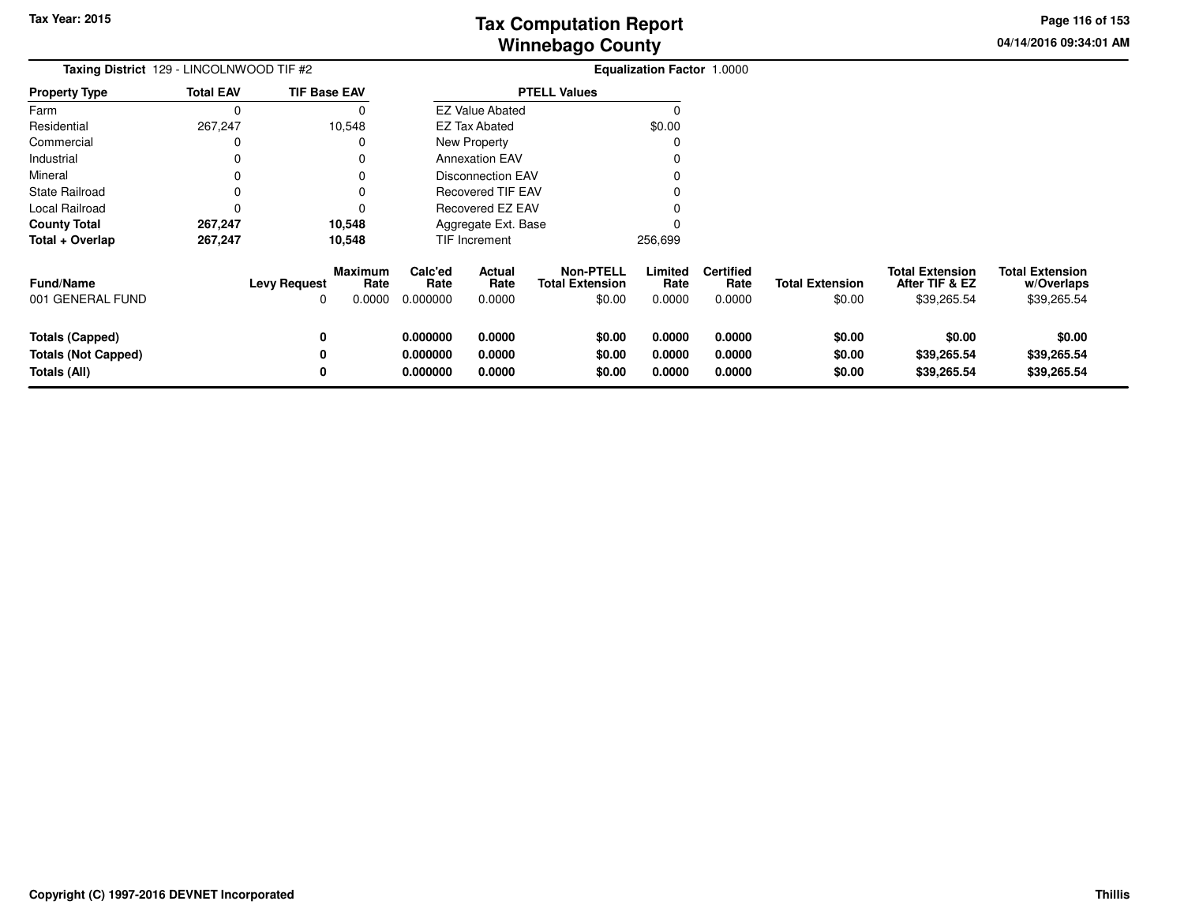**04/14/2016 09:34:01 AMPage 116 of 153**

| Taxing District 129 - LINCOLNWOOD TIF #2 |                  |                                     |                           | Equalization Factor 1.0000  |                          |                                                      |                           |                                    |                                  |                                                         |                                                     |
|------------------------------------------|------------------|-------------------------------------|---------------------------|-----------------------------|--------------------------|------------------------------------------------------|---------------------------|------------------------------------|----------------------------------|---------------------------------------------------------|-----------------------------------------------------|
| <b>Property Type</b>                     | <b>Total EAV</b> | <b>TIF Base EAV</b>                 |                           |                             |                          | <b>PTELL Values</b>                                  |                           |                                    |                                  |                                                         |                                                     |
| Farm                                     | 0                |                                     | 0                         |                             | <b>EZ Value Abated</b>   |                                                      | $\Omega$                  |                                    |                                  |                                                         |                                                     |
| Residential                              | 267,247          |                                     | 10,548                    |                             | EZ Tax Abated            |                                                      | \$0.00                    |                                    |                                  |                                                         |                                                     |
| Commercial                               | 0                |                                     | 0                         |                             | <b>New Property</b>      |                                                      | $\Omega$                  |                                    |                                  |                                                         |                                                     |
| Industrial                               | 0                |                                     | 0                         |                             | <b>Annexation EAV</b>    |                                                      |                           |                                    |                                  |                                                         |                                                     |
| Mineral                                  | 0                |                                     | 0                         |                             | <b>Disconnection EAV</b> |                                                      |                           |                                    |                                  |                                                         |                                                     |
| <b>State Railroad</b>                    |                  |                                     |                           |                             | <b>Recovered TIF EAV</b> |                                                      |                           |                                    |                                  |                                                         |                                                     |
| Local Railroad                           |                  |                                     | 0                         |                             | Recovered EZ EAV         |                                                      |                           |                                    |                                  |                                                         |                                                     |
| <b>County Total</b>                      | 267,247          |                                     | 10,548                    |                             | Aggregate Ext. Base      |                                                      |                           |                                    |                                  |                                                         |                                                     |
| Total + Overlap                          | 267,247          |                                     | 10,548                    |                             | TIF Increment            |                                                      | 256,699                   |                                    |                                  |                                                         |                                                     |
| <b>Fund/Name</b><br>001 GENERAL FUND     |                  | <b>Levy Request</b><br><sup>0</sup> | Maximum<br>Rate<br>0.0000 | Calc'ed<br>Rate<br>0.000000 | Actual<br>Rate<br>0.0000 | <b>Non-PTELL</b><br><b>Total Extension</b><br>\$0.00 | Limited<br>Rate<br>0.0000 | <b>Certified</b><br>Rate<br>0.0000 | <b>Total Extension</b><br>\$0.00 | <b>Total Extension</b><br>After TIF & EZ<br>\$39,265.54 | <b>Total Extension</b><br>w/Overlaps<br>\$39,265.54 |
| <b>Totals (Capped)</b>                   |                  | 0                                   |                           | 0.000000                    | 0.0000                   | \$0.00                                               | 0.0000                    | 0.0000                             | \$0.00                           | \$0.00                                                  | \$0.00                                              |
| <b>Totals (Not Capped)</b>               |                  | 0                                   |                           | 0.000000                    | 0.0000                   | \$0.00                                               | 0.0000                    | 0.0000                             | \$0.00                           | \$39,265.54                                             | \$39,265.54                                         |
| Totals (All)                             |                  | 0                                   |                           | 0.000000                    | 0.0000                   | \$0.00                                               | 0.0000                    | 0.0000                             | \$0.00                           | \$39,265.54                                             | \$39,265.54                                         |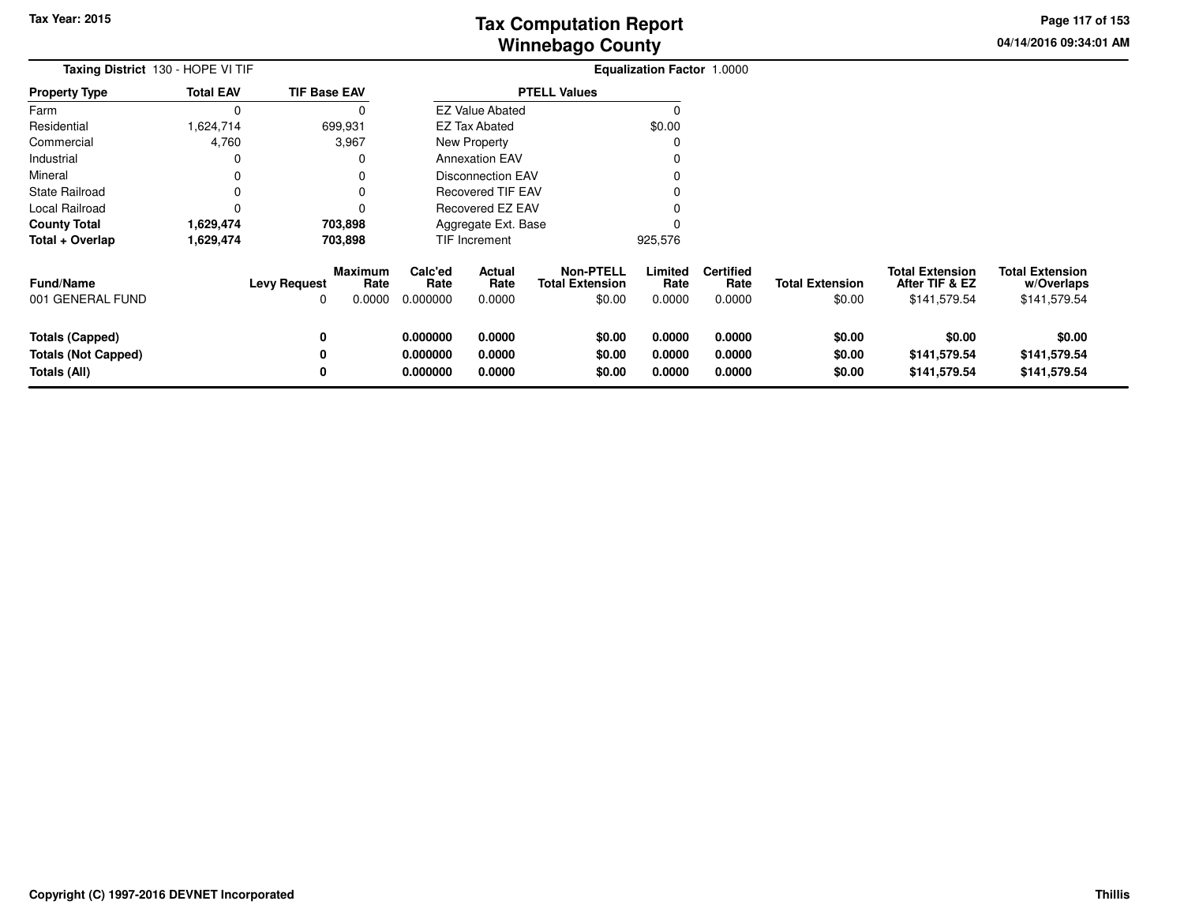**04/14/2016 09:34:01 AMPage 117 of 153**

| Taxing District 130 - HOPE VI TIF |                  |                     |                        | Equalization Factor 1.0000 |                          |                                            |                 |                          |                        |                                          |                                      |
|-----------------------------------|------------------|---------------------|------------------------|----------------------------|--------------------------|--------------------------------------------|-----------------|--------------------------|------------------------|------------------------------------------|--------------------------------------|
| <b>Property Type</b>              | <b>Total EAV</b> | <b>TIF Base EAV</b> |                        |                            |                          | <b>PTELL Values</b>                        |                 |                          |                        |                                          |                                      |
| Farm                              | 0                |                     | 0                      |                            | <b>EZ Value Abated</b>   |                                            | 0               |                          |                        |                                          |                                      |
| Residential                       | .624,714         | 699,931             |                        |                            | EZ Tax Abated            |                                            | \$0.00          |                          |                        |                                          |                                      |
| Commercial                        | 4,760            |                     | 3,967                  |                            | <b>New Property</b>      |                                            | 0               |                          |                        |                                          |                                      |
| Industrial                        | 0                |                     | 0                      |                            | <b>Annexation EAV</b>    |                                            | O               |                          |                        |                                          |                                      |
| Mineral                           | 0                |                     |                        |                            | <b>Disconnection EAV</b> |                                            |                 |                          |                        |                                          |                                      |
| <b>State Railroad</b>             | 0                |                     |                        |                            | <b>Recovered TIF EAV</b> |                                            |                 |                          |                        |                                          |                                      |
| Local Railroad                    | 0                |                     | 0                      |                            | Recovered EZ EAV         |                                            |                 |                          |                        |                                          |                                      |
| <b>County Total</b>               | 1,629,474        |                     | 703,898                |                            | Aggregate Ext. Base      |                                            |                 |                          |                        |                                          |                                      |
| Total + Overlap                   | 1,629,474        |                     | 703,898                |                            | TIF Increment            |                                            | 925,576         |                          |                        |                                          |                                      |
| <b>Fund/Name</b>                  |                  | <b>Levy Request</b> | <b>Maximum</b><br>Rate | Calc'ed<br>Rate            | Actual<br>Rate           | <b>Non-PTELL</b><br><b>Total Extension</b> | Limited<br>Rate | <b>Certified</b><br>Rate | <b>Total Extension</b> | <b>Total Extension</b><br>After TIF & EZ | <b>Total Extension</b><br>w/Overlaps |
| 001 GENERAL FUND                  |                  | 0                   | 0.0000                 | 0.000000                   | 0.0000                   | \$0.00                                     | 0.0000          | 0.0000                   | \$0.00                 | \$141,579.54                             | \$141,579.54                         |
| <b>Totals (Capped)</b>            |                  | 0                   |                        | 0.000000                   | 0.0000                   | \$0.00                                     | 0.0000          | 0.0000                   | \$0.00                 | \$0.00                                   | \$0.00                               |
| <b>Totals (Not Capped)</b>        |                  | 0                   |                        | 0.000000                   | 0.0000                   | \$0.00                                     | 0.0000          | 0.0000                   | \$0.00                 | \$141,579.54                             | \$141,579.54                         |
| Totals (All)                      |                  | 0                   |                        | 0.000000                   | 0.0000                   | \$0.00                                     | 0.0000          | 0.0000                   | \$0.00                 | \$141,579.54                             | \$141,579.54                         |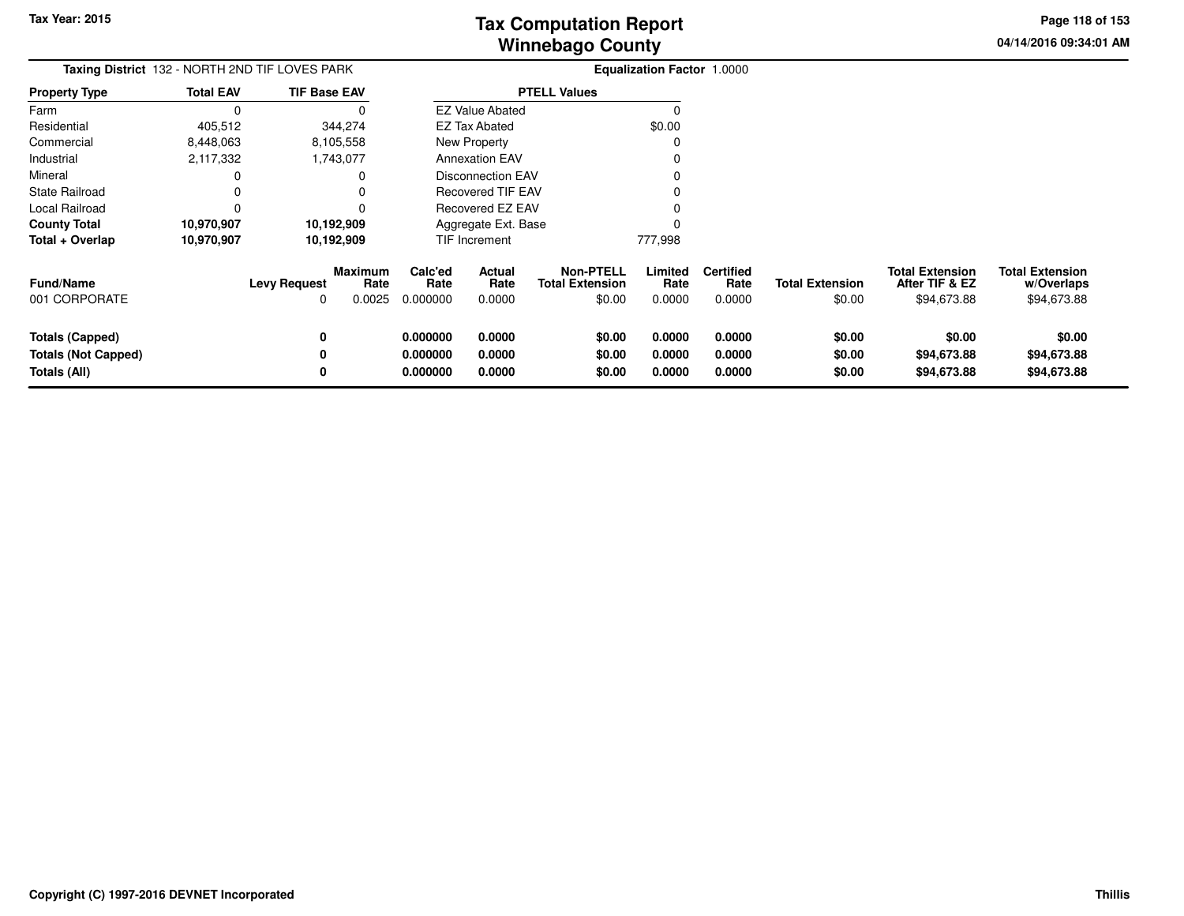**04/14/2016 09:34:01 AMPage 118 of 153**

> **w/Overlaps**\$94,673.88

| Taxing District 132 - NORTH 2ND TIF LOVES PARK                |                  |                          |                           |                                  |                            | <b>Equalization Factor 1.0000</b>             |                            |                                    |                                  |                                                         |                                                     |
|---------------------------------------------------------------|------------------|--------------------------|---------------------------|----------------------------------|----------------------------|-----------------------------------------------|----------------------------|------------------------------------|----------------------------------|---------------------------------------------------------|-----------------------------------------------------|
| <b>Property Type</b>                                          | <b>Total EAV</b> | <b>TIF Base EAV</b>      |                           |                                  |                            | <b>PTELL Values</b>                           |                            |                                    |                                  |                                                         |                                                     |
| Farm                                                          |                  |                          |                           |                                  | <b>EZ Value Abated</b>     |                                               |                            |                                    |                                  |                                                         |                                                     |
| Residential                                                   | 405,512          |                          | 344,274                   |                                  | <b>EZ Tax Abated</b>       |                                               | \$0.00                     |                                    |                                  |                                                         |                                                     |
| Commercial                                                    | 8,448,063        |                          | 8,105,558                 |                                  | New Property               |                                               |                            |                                    |                                  |                                                         |                                                     |
| Industrial                                                    | 2,117,332        |                          | 1,743,077                 |                                  | <b>Annexation EAV</b>      |                                               |                            |                                    |                                  |                                                         |                                                     |
| Mineral                                                       |                  |                          |                           |                                  | <b>Disconnection EAV</b>   |                                               |                            |                                    |                                  |                                                         |                                                     |
| <b>State Railroad</b>                                         |                  |                          |                           |                                  | <b>Recovered TIF EAV</b>   |                                               |                            |                                    |                                  |                                                         |                                                     |
| Local Railroad                                                |                  |                          |                           |                                  | Recovered EZ EAV           |                                               |                            |                                    |                                  |                                                         |                                                     |
| <b>County Total</b>                                           | 10,970,907       |                          | 10,192,909                |                                  | Aggregate Ext. Base        |                                               |                            |                                    |                                  |                                                         |                                                     |
| Total + Overlap                                               | 10,970,907       |                          | 10,192,909                |                                  | TIF Increment              |                                               | 777,998                    |                                    |                                  |                                                         |                                                     |
| <b>Fund/Name</b><br>001 CORPORATE                             |                  | <b>Levy Request</b><br>0 | Maximum<br>Rate<br>0.0025 | Calc'ed<br>Rate<br>0.000000      | Actual<br>Rate<br>0.0000   | Non-PTELL<br><b>Total Extension</b><br>\$0.00 | Limited<br>Rate<br>0.0000  | <b>Certified</b><br>Rate<br>0.0000 | <b>Total Extension</b><br>\$0.00 | <b>Total Extension</b><br>After TIF & EZ<br>\$94,673.88 | <b>Total Extension</b><br>w/Overlaps<br>\$94,673.88 |
| Totals (Capped)<br><b>Totals (Not Capped)</b><br>Totals (All) |                  | 0                        |                           | 0.000000<br>0.000000<br>0.000000 | 0.0000<br>0.0000<br>0.0000 | \$0.00<br>\$0.00<br>\$0.00                    | 0.0000<br>0.0000<br>0.0000 | 0.0000<br>0.0000<br>0.0000         | \$0.00<br>\$0.00<br>\$0.00       | \$0.00<br>\$94,673.88<br>\$94,673.88                    | \$0.00<br>\$94,673.88<br>\$94,673.88                |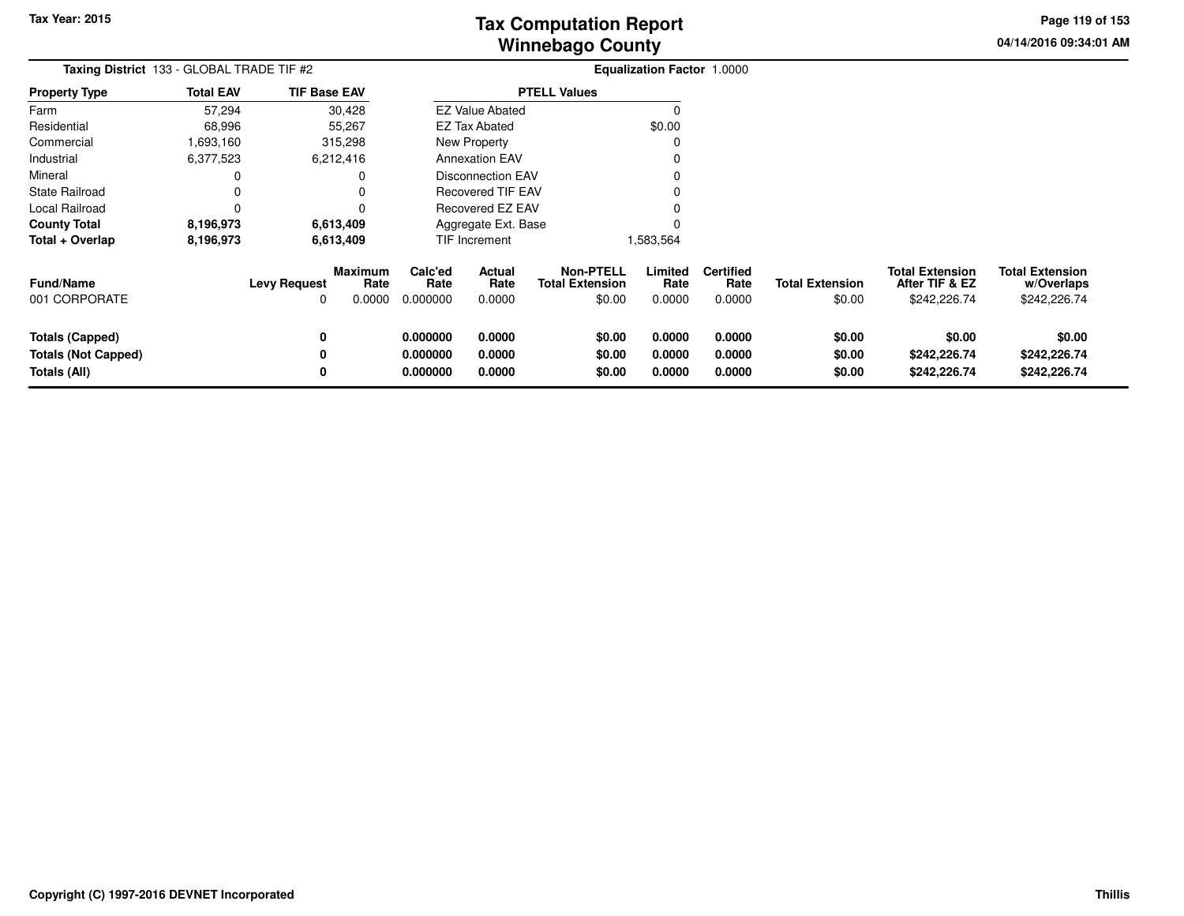**04/14/2016 09:34:01 AMPage 119 of 153**

| Taxing District 133 - GLOBAL TRADE TIF #2                     |                  |                          |                           |                                  | <b>Equalization Factor 1.0000</b> |                                                      |                            |                                    |                                  |                                                          |                                                      |
|---------------------------------------------------------------|------------------|--------------------------|---------------------------|----------------------------------|-----------------------------------|------------------------------------------------------|----------------------------|------------------------------------|----------------------------------|----------------------------------------------------------|------------------------------------------------------|
| <b>Property Type</b>                                          | <b>Total EAV</b> | <b>TIF Base EAV</b>      |                           |                                  |                                   | <b>PTELL Values</b>                                  |                            |                                    |                                  |                                                          |                                                      |
| Farm                                                          | 57,294           |                          | 30,428                    |                                  | <b>EZ Value Abated</b>            |                                                      | O                          |                                    |                                  |                                                          |                                                      |
| Residential                                                   | 68,996           |                          | 55,267                    |                                  | <b>EZ Tax Abated</b>              |                                                      | \$0.00                     |                                    |                                  |                                                          |                                                      |
| Commercial                                                    | 1,693,160        |                          | 315,298                   |                                  | New Property                      |                                                      |                            |                                    |                                  |                                                          |                                                      |
| Industrial                                                    | 6,377,523        |                          | 6,212,416                 |                                  | <b>Annexation EAV</b>             |                                                      |                            |                                    |                                  |                                                          |                                                      |
| Mineral                                                       | 0                |                          |                           |                                  | <b>Disconnection EAV</b>          |                                                      |                            |                                    |                                  |                                                          |                                                      |
| State Railroad                                                | 0                |                          |                           |                                  | <b>Recovered TIF EAV</b>          |                                                      |                            |                                    |                                  |                                                          |                                                      |
| Local Railroad                                                | 0                |                          |                           |                                  | Recovered EZ EAV                  |                                                      |                            |                                    |                                  |                                                          |                                                      |
| <b>County Total</b>                                           | 8,196,973        |                          | 6,613,409                 |                                  | Aggregate Ext. Base               |                                                      |                            |                                    |                                  |                                                          |                                                      |
| Total + Overlap                                               | 8,196,973        |                          | 6,613,409                 |                                  | <b>TIF Increment</b>              |                                                      | 1,583,564                  |                                    |                                  |                                                          |                                                      |
| <b>Fund/Name</b><br>001 CORPORATE                             |                  | <b>Levy Request</b><br>O | Maximum<br>Rate<br>0.0000 | Calc'ed<br>Rate<br>0.000000      | Actual<br>Rate<br>0.0000          | <b>Non-PTELL</b><br><b>Total Extension</b><br>\$0.00 | Limited<br>Rate<br>0.0000  | <b>Certified</b><br>Rate<br>0.0000 | <b>Total Extension</b><br>\$0.00 | <b>Total Extension</b><br>After TIF & EZ<br>\$242,226.74 | <b>Total Extension</b><br>w/Overlaps<br>\$242,226.74 |
| Totals (Capped)<br><b>Totals (Not Capped)</b><br>Totals (All) |                  | 0<br>0<br>0              |                           | 0.000000<br>0.000000<br>0.000000 | 0.0000<br>0.0000<br>0.0000        | \$0.00<br>\$0.00<br>\$0.00                           | 0.0000<br>0.0000<br>0.0000 | 0.0000<br>0.0000<br>0.0000         | \$0.00<br>\$0.00<br>\$0.00       | \$0.00<br>\$242,226.74<br>\$242,226.74                   | \$0.00<br>\$242,226.74<br>\$242,226.74               |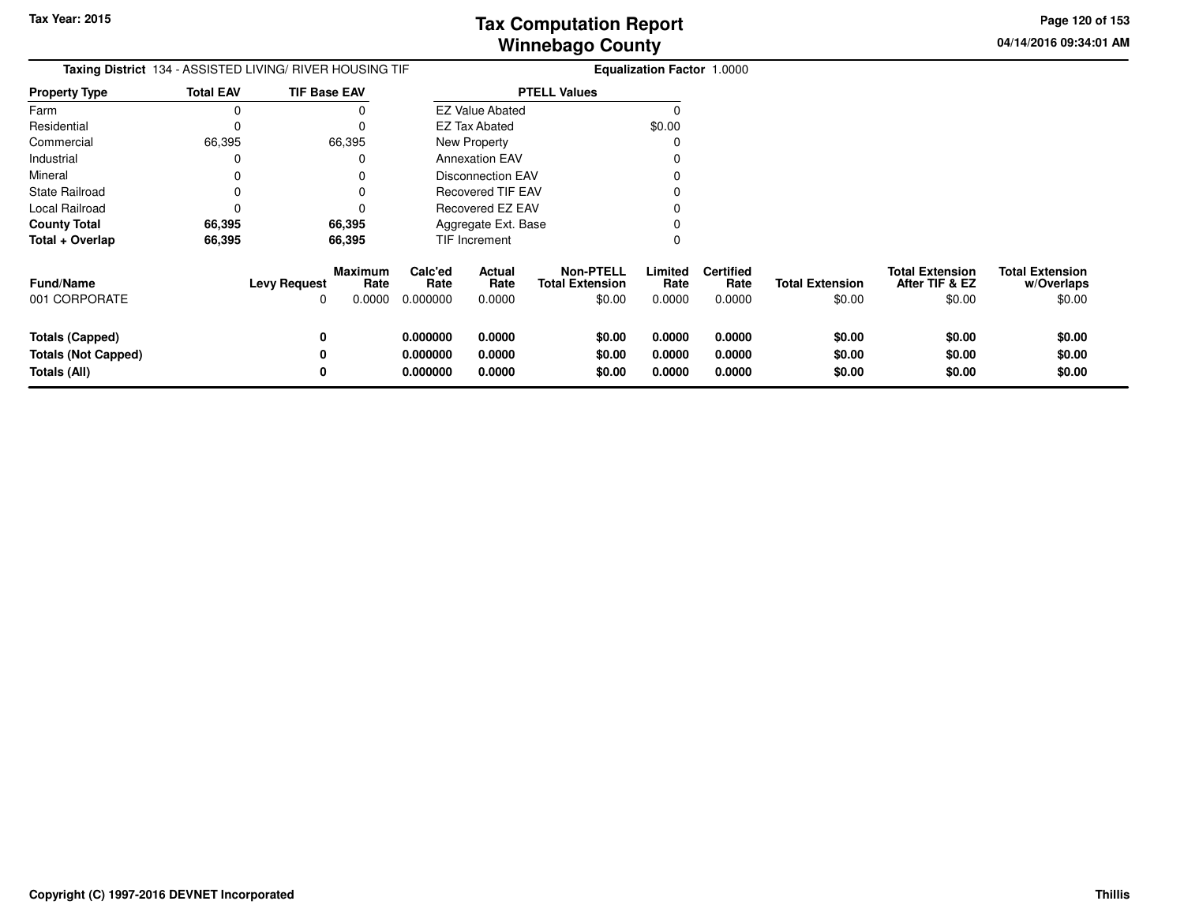**04/14/2016 09:34:01 AMPage 120 of 153**

| <b>Taxing District</b> 134 - ASSISTED LIVING/ RIVER HOUSING TIF      |                  |                                                              |                                  | <b>Equalization Factor 1.0000</b> |                                                      |                            |                                    |                                  |                                                    |                                                |
|----------------------------------------------------------------------|------------------|--------------------------------------------------------------|----------------------------------|-----------------------------------|------------------------------------------------------|----------------------------|------------------------------------|----------------------------------|----------------------------------------------------|------------------------------------------------|
| <b>Property Type</b>                                                 | <b>Total EAV</b> | <b>TIF Base EAV</b>                                          |                                  |                                   | <b>PTELL Values</b>                                  |                            |                                    |                                  |                                                    |                                                |
| Farm                                                                 | 0                |                                                              |                                  | <b>EZ Value Abated</b>            |                                                      |                            |                                    |                                  |                                                    |                                                |
| Residential                                                          | 0                | 0                                                            |                                  | EZ Tax Abated                     |                                                      | \$0.00                     |                                    |                                  |                                                    |                                                |
| Commercial                                                           | 66,395           | 66,395                                                       |                                  | New Property                      |                                                      |                            |                                    |                                  |                                                    |                                                |
| Industrial                                                           | 0                | 0                                                            |                                  | <b>Annexation EAV</b>             |                                                      |                            |                                    |                                  |                                                    |                                                |
| Mineral                                                              | 0                | 0                                                            |                                  | <b>Disconnection EAV</b>          |                                                      |                            |                                    |                                  |                                                    |                                                |
| <b>State Railroad</b>                                                | 0                | 0                                                            |                                  | <b>Recovered TIF EAV</b>          |                                                      |                            |                                    |                                  |                                                    |                                                |
| Local Railroad                                                       | 0                | 0                                                            |                                  | Recovered EZ EAV                  |                                                      |                            |                                    |                                  |                                                    |                                                |
| <b>County Total</b>                                                  | 66,395           | 66,395                                                       |                                  | Aggregate Ext. Base               |                                                      |                            |                                    |                                  |                                                    |                                                |
| Total + Overlap                                                      | 66,395           | 66,395                                                       |                                  | TIF Increment                     |                                                      |                            |                                    |                                  |                                                    |                                                |
| <b>Fund/Name</b><br>001 CORPORATE                                    |                  | <b>Maximum</b><br><b>Levy Request</b><br>Rate<br>0.0000<br>0 | Calc'ed<br>Rate<br>0.000000      | Actual<br>Rate<br>0.0000          | <b>Non-PTELL</b><br><b>Total Extension</b><br>\$0.00 | Limited<br>Rate<br>0.0000  | <b>Certified</b><br>Rate<br>0.0000 | <b>Total Extension</b><br>\$0.00 | <b>Total Extension</b><br>After TIF & EZ<br>\$0.00 | <b>Total Extension</b><br>w/Overlaps<br>\$0.00 |
| <b>Totals (Capped)</b><br><b>Totals (Not Capped)</b><br>Totals (All) |                  | 0<br>0<br>0                                                  | 0.000000<br>0.000000<br>0.000000 | 0.0000<br>0.0000<br>0.0000        | \$0.00<br>\$0.00<br>\$0.00                           | 0.0000<br>0.0000<br>0.0000 | 0.0000<br>0.0000<br>0.0000         | \$0.00<br>\$0.00<br>\$0.00       | \$0.00<br>\$0.00<br>\$0.00                         | \$0.00<br>\$0.00<br>\$0.00                     |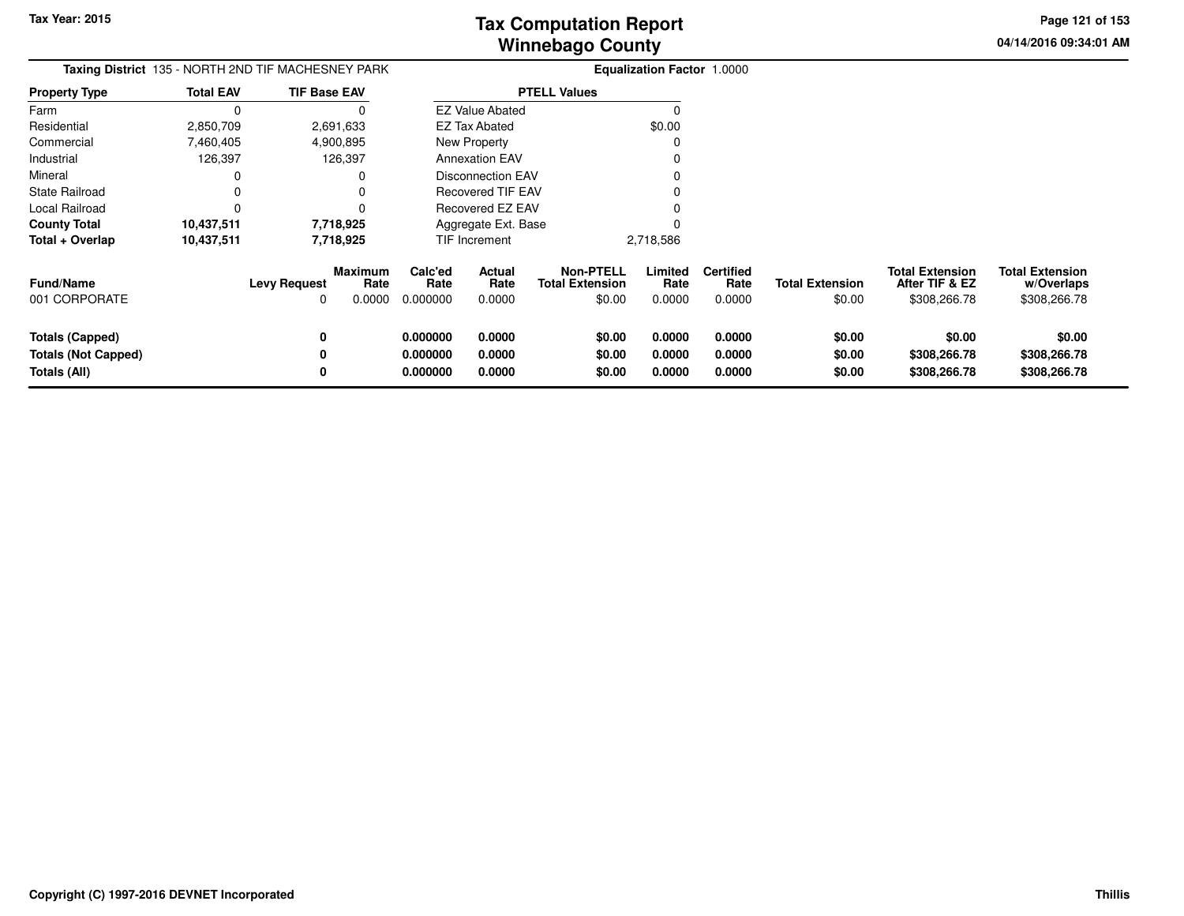**04/14/2016 09:34:01 AMPage 121 of 153**

| <b>Taxing District</b> 135 - NORTH 2ND TIF MACHESNEY PARK     |                  |                     |                           |                                  |                            | <b>Equalization Factor 1.0000</b>             |                            |                                    |                                  |                                                          |                                                      |
|---------------------------------------------------------------|------------------|---------------------|---------------------------|----------------------------------|----------------------------|-----------------------------------------------|----------------------------|------------------------------------|----------------------------------|----------------------------------------------------------|------------------------------------------------------|
| <b>Property Type</b>                                          | <b>Total EAV</b> | <b>TIF Base EAV</b> |                           |                                  |                            | <b>PTELL Values</b>                           |                            |                                    |                                  |                                                          |                                                      |
| Farm                                                          |                  |                     |                           |                                  | <b>EZ Value Abated</b>     |                                               |                            |                                    |                                  |                                                          |                                                      |
| Residential                                                   | 2,850,709        |                     | 2,691,633                 |                                  | <b>EZ Tax Abated</b>       |                                               | \$0.00                     |                                    |                                  |                                                          |                                                      |
| Commercial                                                    | 7,460,405        |                     | 4,900,895                 |                                  | New Property               |                                               |                            |                                    |                                  |                                                          |                                                      |
| Industrial                                                    | 126,397          |                     | 126,397                   |                                  | <b>Annexation EAV</b>      |                                               |                            |                                    |                                  |                                                          |                                                      |
| Mineral                                                       |                  |                     |                           |                                  | <b>Disconnection EAV</b>   |                                               |                            |                                    |                                  |                                                          |                                                      |
| <b>State Railroad</b>                                         |                  |                     |                           |                                  | <b>Recovered TIF EAV</b>   |                                               |                            |                                    |                                  |                                                          |                                                      |
| Local Railroad                                                |                  |                     |                           |                                  | Recovered EZ EAV           |                                               |                            |                                    |                                  |                                                          |                                                      |
| <b>County Total</b>                                           | 10,437,511       |                     | 7,718,925                 |                                  | Aggregate Ext. Base        |                                               |                            |                                    |                                  |                                                          |                                                      |
| Total + Overlap                                               | 10,437,511       |                     | 7,718,925                 |                                  | TIF Increment              |                                               | 2,718,586                  |                                    |                                  |                                                          |                                                      |
| <b>Fund/Name</b><br>001 CORPORATE                             |                  | <b>Levy Request</b> | Maximum<br>Rate<br>0.0000 | Calc'ed<br>Rate<br>0.000000      | Actual<br>Rate<br>0.0000   | Non-PTELL<br><b>Total Extension</b><br>\$0.00 | Limited<br>Rate<br>0.0000  | <b>Certified</b><br>Rate<br>0.0000 | <b>Total Extension</b><br>\$0.00 | <b>Total Extension</b><br>After TIF & EZ<br>\$308,266.78 | <b>Total Extension</b><br>w/Overlaps<br>\$308,266.78 |
| Totals (Capped)<br><b>Totals (Not Capped)</b><br>Totals (All) |                  | 0                   |                           | 0.000000<br>0.000000<br>0.000000 | 0.0000<br>0.0000<br>0.0000 | \$0.00<br>\$0.00<br>\$0.00                    | 0.0000<br>0.0000<br>0.0000 | 0.0000<br>0.0000<br>0.0000         | \$0.00<br>\$0.00<br>\$0.00       | \$0.00<br>\$308,266.78<br>\$308,266.78                   | \$0.00<br>\$308,266.78<br>\$308,266.78               |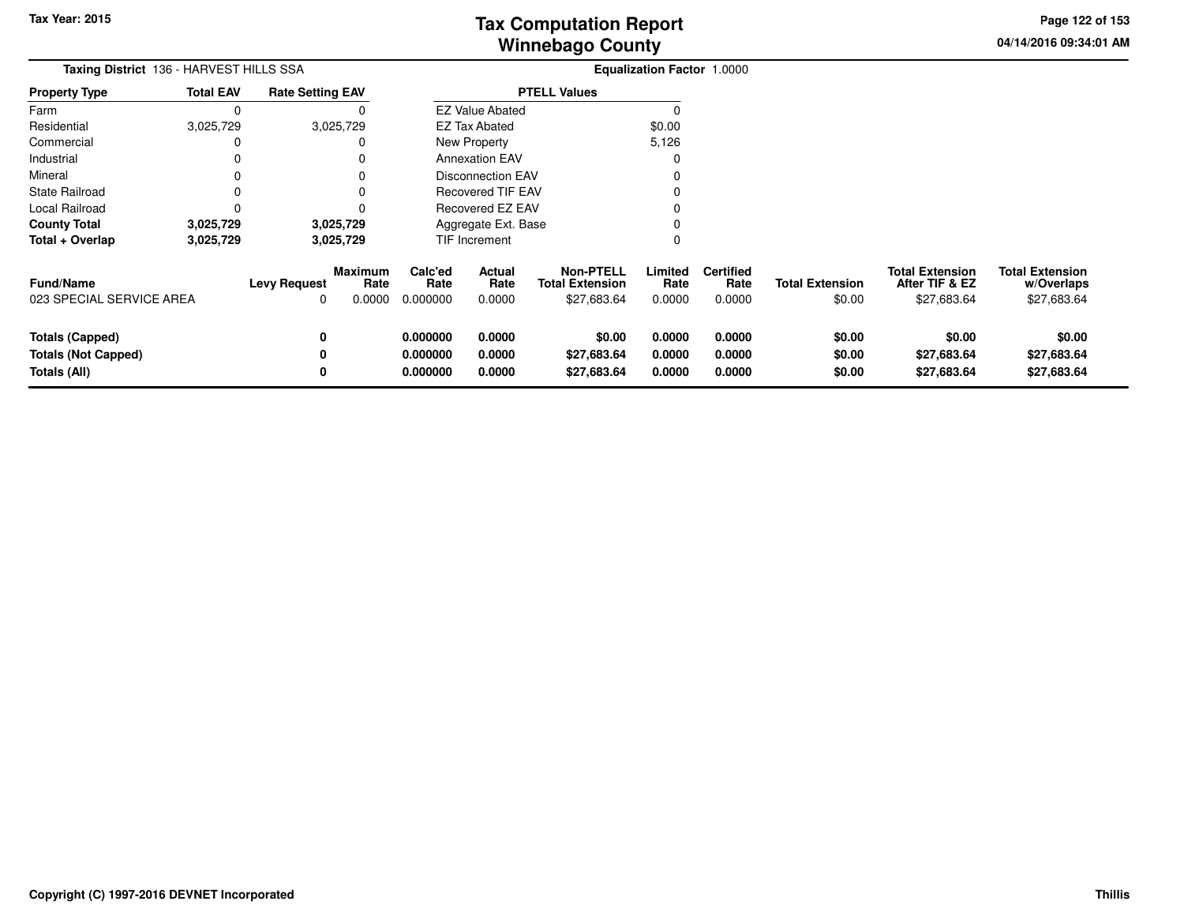**04/14/2016 09:34:01 AM Page 122 of 153**

| Taxing District 136 - HARVEST HILLS SSA<br><b>Rate Setting EAV</b>   |                  |                          |                                  | Equalization Factor 1.0000                    |                            |                                                           |                            |                                    |                                  |                                                         |                                                     |
|----------------------------------------------------------------------|------------------|--------------------------|----------------------------------|-----------------------------------------------|----------------------------|-----------------------------------------------------------|----------------------------|------------------------------------|----------------------------------|---------------------------------------------------------|-----------------------------------------------------|
| <b>Property Type</b>                                                 | <b>Total EAV</b> |                          |                                  | <b>PTELL Values</b><br><b>EZ Value Abated</b> |                            |                                                           |                            |                                    |                                  |                                                         |                                                     |
| Farm                                                                 |                  |                          |                                  |                                               |                            |                                                           |                            |                                    |                                  |                                                         |                                                     |
| Residential                                                          | 3,025,729        |                          | 3,025,729                        |                                               | <b>EZ Tax Abated</b>       |                                                           | \$0.00                     |                                    |                                  |                                                         |                                                     |
| Commercial                                                           |                  |                          |                                  |                                               | New Property               |                                                           | 5,126                      |                                    |                                  |                                                         |                                                     |
| Industrial                                                           |                  |                          |                                  |                                               | <b>Annexation EAV</b>      |                                                           |                            |                                    |                                  |                                                         |                                                     |
| Mineral                                                              |                  |                          |                                  |                                               | <b>Disconnection EAV</b>   |                                                           |                            |                                    |                                  |                                                         |                                                     |
| State Railroad                                                       |                  |                          |                                  |                                               | <b>Recovered TIF EAV</b>   |                                                           |                            |                                    |                                  |                                                         |                                                     |
| Local Railroad                                                       |                  |                          |                                  |                                               | <b>Recovered EZ EAV</b>    |                                                           |                            |                                    |                                  |                                                         |                                                     |
| <b>County Total</b>                                                  | 3,025,729        |                          | 3,025,729                        | Aggregate Ext. Base                           |                            |                                                           |                            |                                    |                                  |                                                         |                                                     |
| Total + Overlap                                                      | 3,025,729        |                          | 3,025,729                        |                                               | TIF Increment              |                                                           |                            |                                    |                                  |                                                         |                                                     |
| Fund/Name<br>023 SPECIAL SERVICE AREA                                |                  | <b>Levy Request</b><br>0 | <b>Maximum</b><br>Rate<br>0.0000 | Calc'ed<br>Rate<br>0.000000                   | Actual<br>Rate<br>0.0000   | <b>Non-PTELL</b><br><b>Total Extension</b><br>\$27,683.64 | Limited<br>Rate<br>0.0000  | <b>Certified</b><br>Rate<br>0.0000 | <b>Total Extension</b><br>\$0.00 | <b>Total Extension</b><br>After TIF & EZ<br>\$27,683.64 | <b>Total Extension</b><br>w/Overlaps<br>\$27,683.64 |
| <b>Totals (Capped)</b><br><b>Totals (Not Capped)</b><br>Totals (All) |                  | 0<br>0                   |                                  | 0.000000<br>0.000000<br>0.000000              | 0.0000<br>0.0000<br>0.0000 | \$0.00<br>\$27,683.64<br>\$27,683.64                      | 0.0000<br>0.0000<br>0.0000 | 0.0000<br>0.0000<br>0.0000         | \$0.00<br>\$0.00<br>\$0.00       | \$0.00<br>\$27,683.64<br>\$27,683.64                    | \$0.00<br>\$27,683.64<br>\$27,683.64                |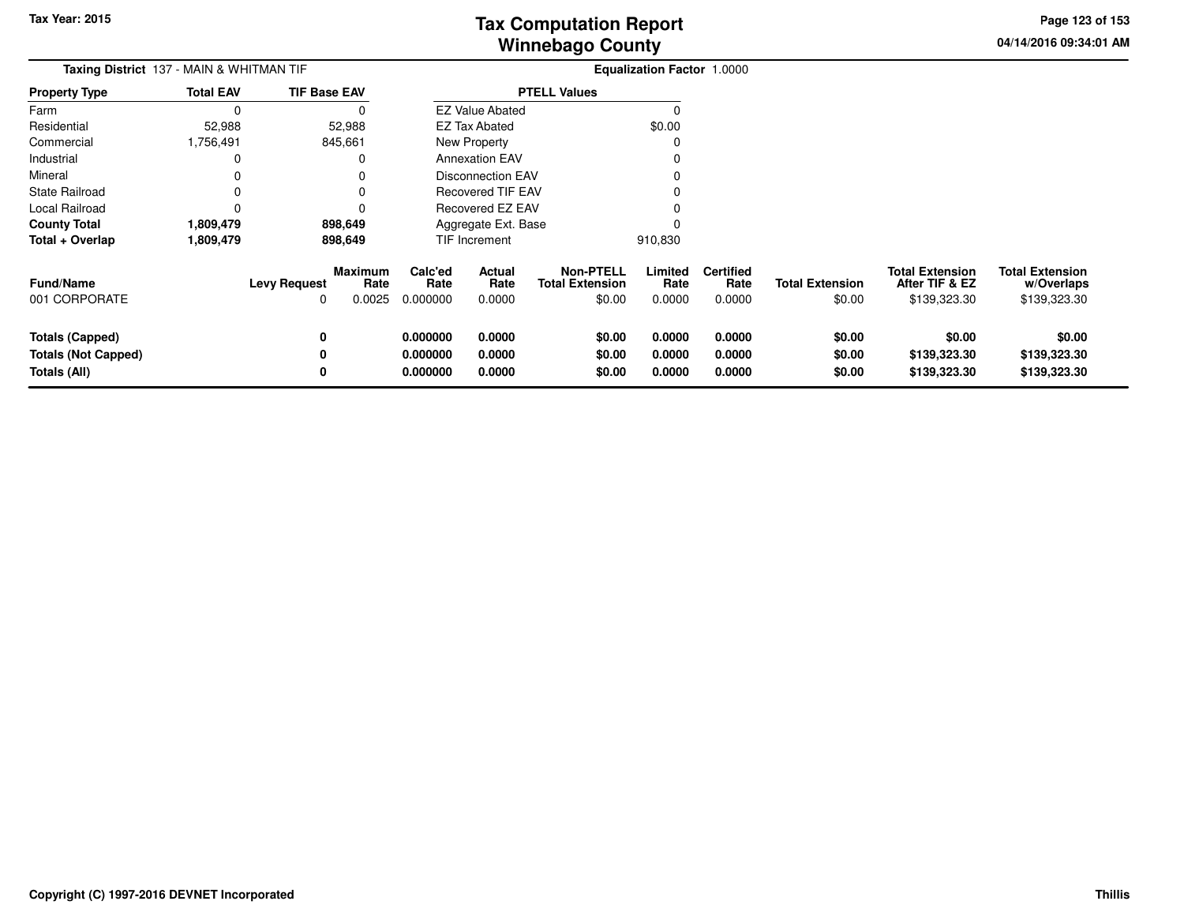**04/14/2016 09:34:01 AMPage 123 of 153**

| <b>Taxing District</b> 137 - MAIN & WHITMAN TIF                      |                  |                          |                           |                                  |                            |                                                      | Equalization Factor 1.0000 |                                    |                                  |                                                          |                                                      |
|----------------------------------------------------------------------|------------------|--------------------------|---------------------------|----------------------------------|----------------------------|------------------------------------------------------|----------------------------|------------------------------------|----------------------------------|----------------------------------------------------------|------------------------------------------------------|
| <b>Property Type</b>                                                 | <b>Total EAV</b> | <b>TIF Base EAV</b>      |                           |                                  |                            | <b>PTELL Values</b>                                  |                            |                                    |                                  |                                                          |                                                      |
| Farm                                                                 | $\Omega$         |                          | 0                         |                                  | <b>EZ Value Abated</b>     |                                                      | $\Omega$                   |                                    |                                  |                                                          |                                                      |
| Residential                                                          | 52,988           |                          | 52,988                    |                                  | EZ Tax Abated              |                                                      | \$0.00                     |                                    |                                  |                                                          |                                                      |
| Commercial                                                           | 1,756,491        |                          | 845,661                   |                                  | New Property               |                                                      | $\Omega$                   |                                    |                                  |                                                          |                                                      |
| Industrial                                                           | 0                |                          | 0                         |                                  | <b>Annexation EAV</b>      |                                                      | O                          |                                    |                                  |                                                          |                                                      |
| Mineral                                                              | 0                |                          | 0                         |                                  | <b>Disconnection EAV</b>   |                                                      |                            |                                    |                                  |                                                          |                                                      |
| <b>State Railroad</b>                                                |                  |                          |                           |                                  | <b>Recovered TIF EAV</b>   |                                                      |                            |                                    |                                  |                                                          |                                                      |
| Local Railroad                                                       | 0                |                          | 0                         |                                  | Recovered EZ EAV           |                                                      |                            |                                    |                                  |                                                          |                                                      |
| <b>County Total</b>                                                  | 1,809,479        |                          | 898,649                   |                                  | Aggregate Ext. Base        |                                                      |                            |                                    |                                  |                                                          |                                                      |
| Total + Overlap                                                      | 1,809,479        |                          | 898,649                   |                                  | TIF Increment              |                                                      | 910,830                    |                                    |                                  |                                                          |                                                      |
| <b>Fund/Name</b><br>001 CORPORATE                                    |                  | <b>Levy Request</b><br>O | Maximum<br>Rate<br>0.0025 | Calc'ed<br>Rate<br>0.000000      | Actual<br>Rate<br>0.0000   | <b>Non-PTELL</b><br><b>Total Extension</b><br>\$0.00 | Limited<br>Rate<br>0.0000  | <b>Certified</b><br>Rate<br>0.0000 | <b>Total Extension</b><br>\$0.00 | <b>Total Extension</b><br>After TIF & EZ<br>\$139,323.30 | <b>Total Extension</b><br>w/Overlaps<br>\$139,323.30 |
| <b>Totals (Capped)</b><br><b>Totals (Not Capped)</b><br>Totals (All) |                  | 0<br>0<br>0              |                           | 0.000000<br>0.000000<br>0.000000 | 0.0000<br>0.0000<br>0.0000 | \$0.00<br>\$0.00<br>\$0.00                           | 0.0000<br>0.0000<br>0.0000 | 0.0000<br>0.0000<br>0.0000         | \$0.00<br>\$0.00<br>\$0.00       | \$0.00<br>\$139,323.30<br>\$139,323.30                   | \$0.00<br>\$139,323.30<br>\$139,323.30               |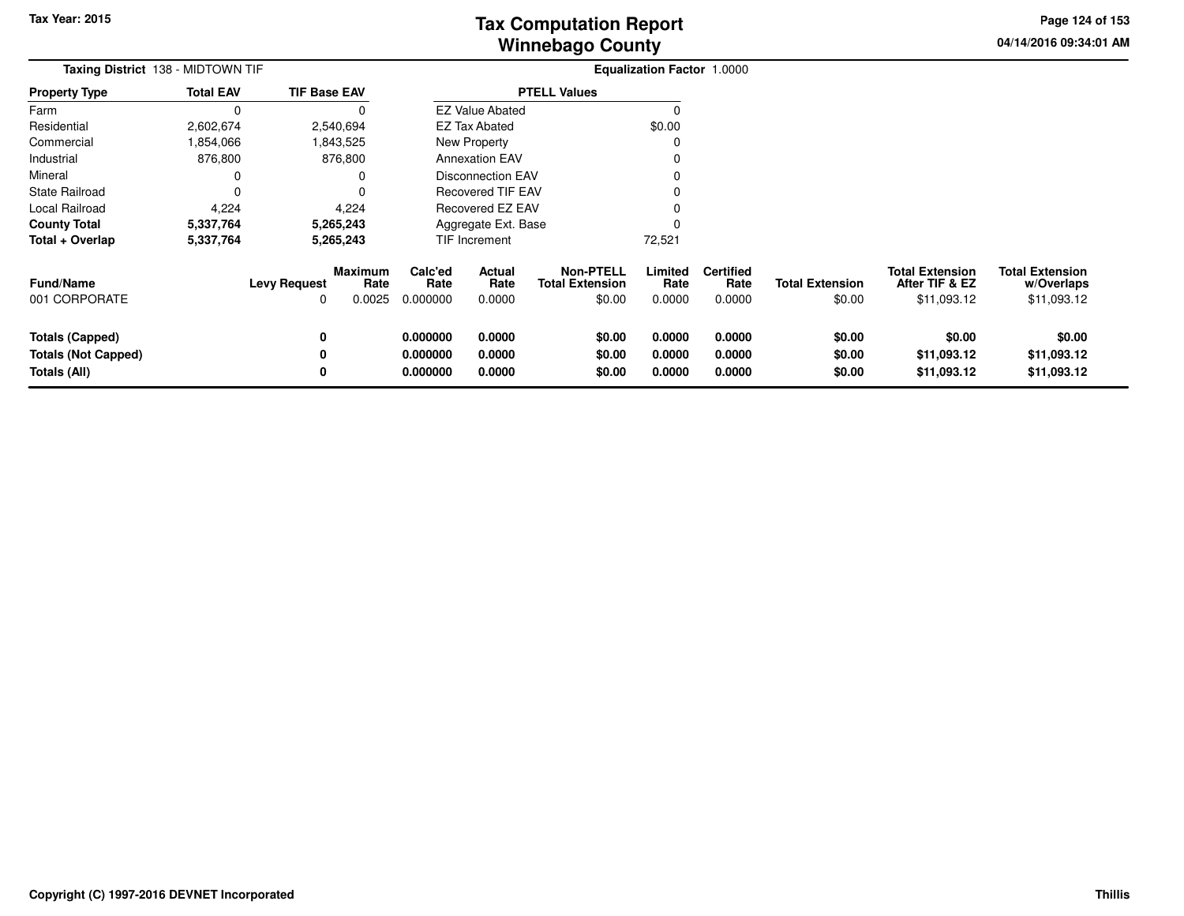**04/14/2016 09:34:01 AMPage 124 of 153**

> **w/Overlaps**\$11,093.12

|                                                                      | Taxing District 138 - MIDTOWN TIF |                                                       |                                  |                            |                                                      | Equalization Factor 1.0000 |                                    |                                  |                                                         |                                                     |
|----------------------------------------------------------------------|-----------------------------------|-------------------------------------------------------|----------------------------------|----------------------------|------------------------------------------------------|----------------------------|------------------------------------|----------------------------------|---------------------------------------------------------|-----------------------------------------------------|
| <b>Property Type</b>                                                 | <b>Total EAV</b>                  | <b>TIF Base EAV</b>                                   |                                  |                            | <b>PTELL Values</b>                                  |                            |                                    |                                  |                                                         |                                                     |
| Farm                                                                 |                                   |                                                       |                                  | <b>EZ Value Abated</b>     |                                                      |                            |                                    |                                  |                                                         |                                                     |
| Residential                                                          | 2,602,674                         | 2,540,694                                             |                                  | <b>EZ Tax Abated</b>       |                                                      | \$0.00                     |                                    |                                  |                                                         |                                                     |
| Commercial                                                           | 1,854,066                         | 843,525.                                              |                                  | New Property               |                                                      |                            |                                    |                                  |                                                         |                                                     |
| Industrial                                                           | 876,800                           | 876,800                                               |                                  | <b>Annexation EAV</b>      |                                                      |                            |                                    |                                  |                                                         |                                                     |
| Mineral                                                              |                                   |                                                       |                                  | <b>Disconnection EAV</b>   |                                                      |                            |                                    |                                  |                                                         |                                                     |
| <b>State Railroad</b>                                                |                                   |                                                       |                                  | <b>Recovered TIF EAV</b>   |                                                      |                            |                                    |                                  |                                                         |                                                     |
| Local Railroad                                                       | 4,224                             | 4,224                                                 |                                  | Recovered EZ EAV           |                                                      |                            |                                    |                                  |                                                         |                                                     |
| <b>County Total</b>                                                  | 5,337,764                         | 5,265,243                                             |                                  | Aggregate Ext. Base        |                                                      |                            |                                    |                                  |                                                         |                                                     |
| Total + Overlap                                                      | 5,337,764                         | 5,265,243                                             |                                  | TIF Increment              |                                                      | 72,521                     |                                    |                                  |                                                         |                                                     |
| <b>Fund/Name</b><br>001 CORPORATE                                    |                                   | Maximum<br>Rate<br><b>Levy Request</b><br>0.0025<br>0 | Calc'ed<br>Rate<br>0.000000      | Actual<br>Rate<br>0.0000   | <b>Non-PTELL</b><br><b>Total Extension</b><br>\$0.00 | Limited<br>Rate<br>0.0000  | <b>Certified</b><br>Rate<br>0.0000 | <b>Total Extension</b><br>\$0.00 | <b>Total Extension</b><br>After TIF & EZ<br>\$11,093.12 | <b>Total Extension</b><br>w/Overlaps<br>\$11,093.12 |
| <b>Totals (Capped)</b><br><b>Totals (Not Capped)</b><br>Totals (All) |                                   | 0<br>0<br>0                                           | 0.000000<br>0.000000<br>0.000000 | 0.0000<br>0.0000<br>0.0000 | \$0.00<br>\$0.00<br>\$0.00                           | 0.0000<br>0.0000<br>0.0000 | 0.0000<br>0.0000<br>0.0000         | \$0.00<br>\$0.00<br>\$0.00       | \$0.00<br>\$11,093.12<br>\$11,093.12                    | \$0.00<br>\$11,093.12<br>\$11,093.12                |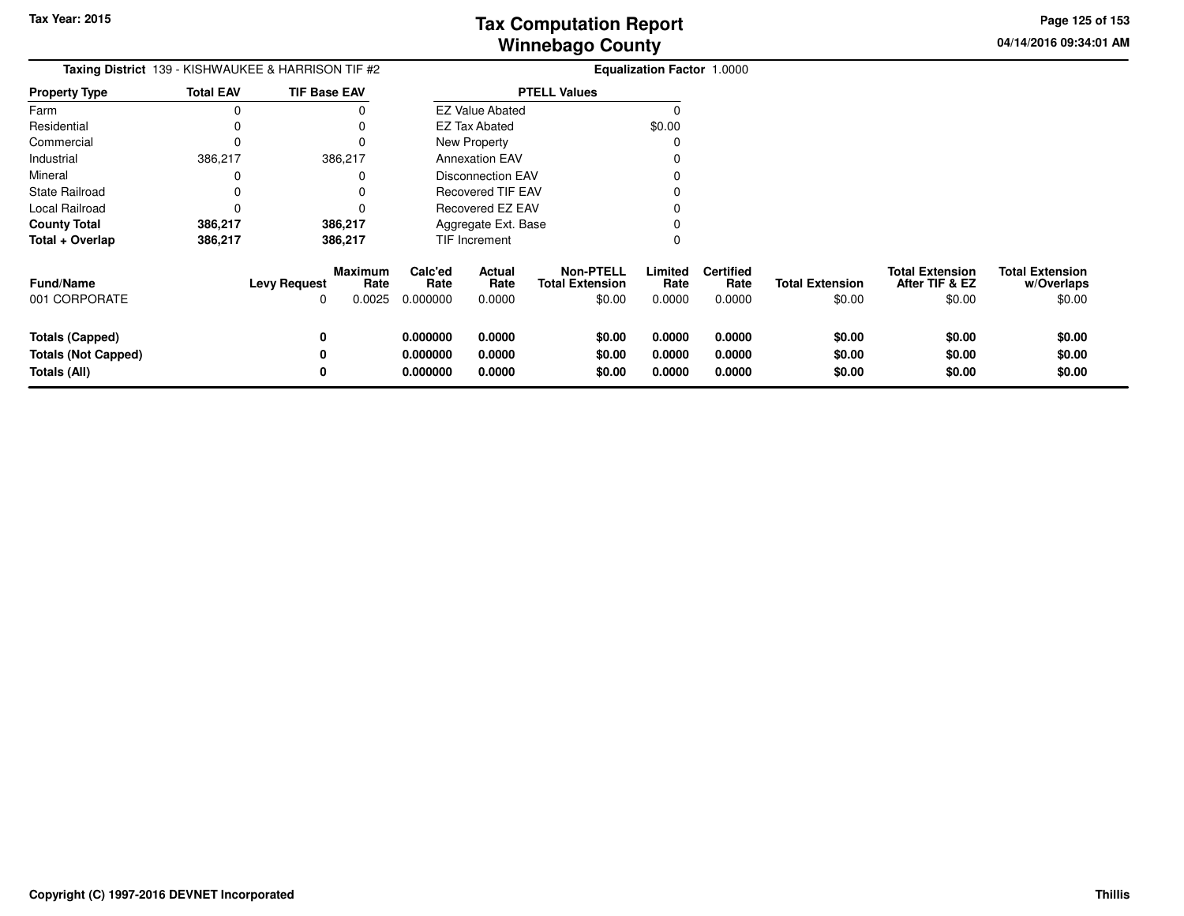**04/14/2016 09:34:01 AM Page 125 of 153**

| <b>Taxing District</b> 139 - KISHWAUKEE & HARRISON TIF #2            |                  |                          |                                  |                                  |                            |                                                      | Equalization Factor 1.0000 |                                    |                                  |                                                    |                                                |
|----------------------------------------------------------------------|------------------|--------------------------|----------------------------------|----------------------------------|----------------------------|------------------------------------------------------|----------------------------|------------------------------------|----------------------------------|----------------------------------------------------|------------------------------------------------|
| <b>Property Type</b>                                                 | <b>Total EAV</b> | <b>TIF Base EAV</b>      |                                  |                                  |                            | <b>PTELL Values</b>                                  |                            |                                    |                                  |                                                    |                                                |
| Farm                                                                 | $\Omega$         |                          |                                  |                                  | <b>EZ Value Abated</b>     |                                                      |                            |                                    |                                  |                                                    |                                                |
| Residential                                                          |                  |                          |                                  |                                  | <b>EZ Tax Abated</b>       |                                                      | \$0.00                     |                                    |                                  |                                                    |                                                |
| Commercial                                                           | 0                |                          |                                  |                                  | New Property               |                                                      |                            |                                    |                                  |                                                    |                                                |
| Industrial                                                           | 386,217          |                          | 386,217                          |                                  | <b>Annexation EAV</b>      |                                                      |                            |                                    |                                  |                                                    |                                                |
| Mineral                                                              |                  |                          |                                  |                                  | <b>Disconnection EAV</b>   |                                                      |                            |                                    |                                  |                                                    |                                                |
| State Railroad                                                       | 0                |                          |                                  |                                  | Recovered TIF EAV          |                                                      |                            |                                    |                                  |                                                    |                                                |
| Local Railroad                                                       | 0                |                          |                                  |                                  | Recovered EZ EAV           |                                                      |                            |                                    |                                  |                                                    |                                                |
| <b>County Total</b>                                                  | 386,217          |                          | 386,217                          |                                  | Aggregate Ext. Base        |                                                      |                            |                                    |                                  |                                                    |                                                |
| Total + Overlap                                                      | 386,217          |                          | 386,217                          |                                  | TIF Increment              |                                                      |                            |                                    |                                  |                                                    |                                                |
| <b>Fund/Name</b><br>001 CORPORATE                                    |                  | <b>Levy Request</b><br>0 | <b>Maximum</b><br>Rate<br>0.0025 | Calc'ed<br>Rate<br>0.000000      | Actual<br>Rate<br>0.0000   | <b>Non-PTELL</b><br><b>Total Extension</b><br>\$0.00 | Limited<br>Rate<br>0.0000  | <b>Certified</b><br>Rate<br>0.0000 | <b>Total Extension</b><br>\$0.00 | <b>Total Extension</b><br>After TIF & EZ<br>\$0.00 | <b>Total Extension</b><br>w/Overlaps<br>\$0.00 |
| <b>Totals (Capped)</b><br><b>Totals (Not Capped)</b><br>Totals (All) |                  | 0<br>0                   |                                  | 0.000000<br>0.000000<br>0.000000 | 0.0000<br>0.0000<br>0.0000 | \$0.00<br>\$0.00<br>\$0.00                           | 0.0000<br>0.0000<br>0.0000 | 0.0000<br>0.0000<br>0.0000         | \$0.00<br>\$0.00<br>\$0.00       | \$0.00<br>\$0.00<br>\$0.00                         | \$0.00<br>\$0.00<br>\$0.00                     |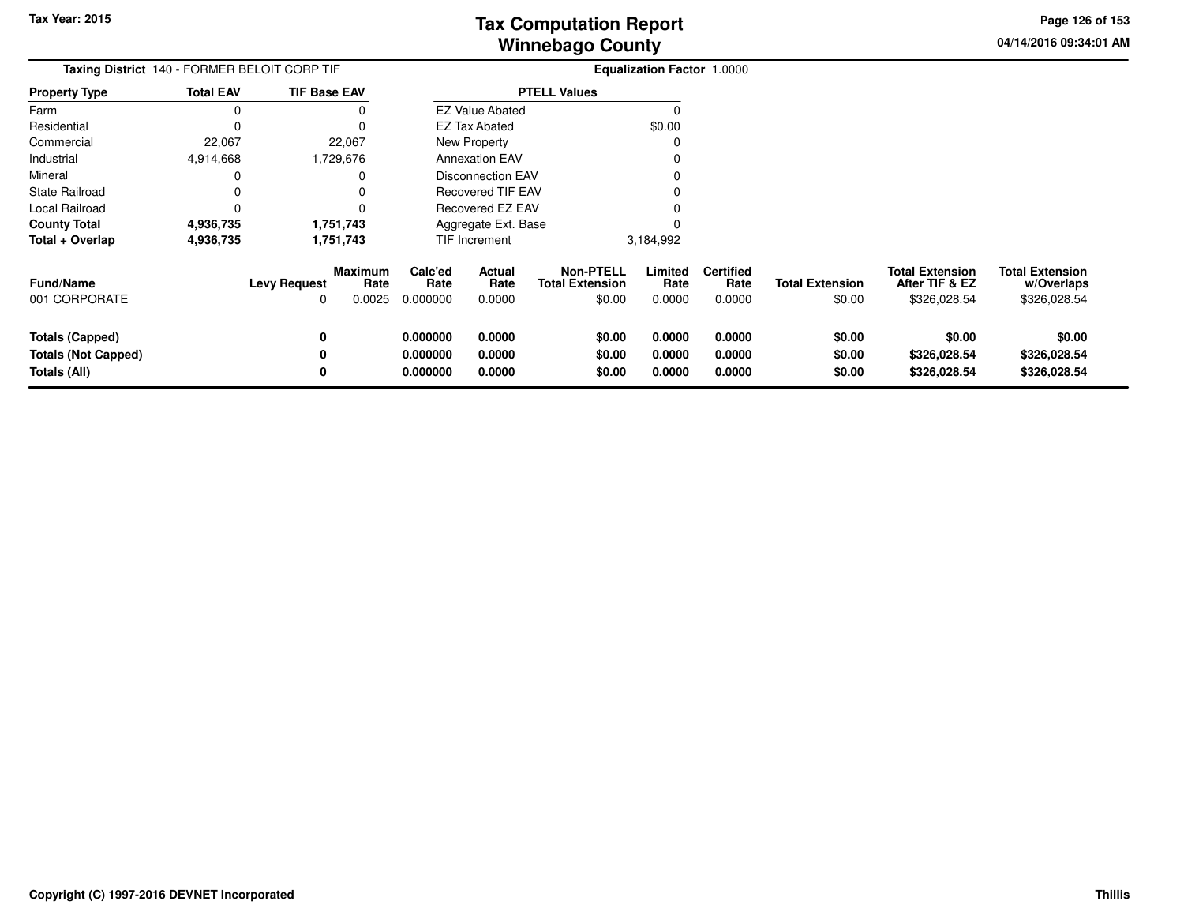**04/14/2016 09:34:01 AMPage 126 of 153**

| <b>Taxing District</b> 140 - FORMER BELOIT CORP TIF           |                  |                          |                                  |                                  |                            |                                                      | <b>Equalization Factor 1.0000</b> |                                    |                                  |                                                          |                                                      |
|---------------------------------------------------------------|------------------|--------------------------|----------------------------------|----------------------------------|----------------------------|------------------------------------------------------|-----------------------------------|------------------------------------|----------------------------------|----------------------------------------------------------|------------------------------------------------------|
| Property Type                                                 | <b>Total EAV</b> | <b>TIF Base EAV</b>      |                                  |                                  |                            | <b>PTELL Values</b>                                  |                                   |                                    |                                  |                                                          |                                                      |
| Farm                                                          | 0                |                          |                                  |                                  | <b>EZ Value Abated</b>     |                                                      | O                                 |                                    |                                  |                                                          |                                                      |
| Residential                                                   | 0                |                          |                                  |                                  | <b>EZ Tax Abated</b>       |                                                      | \$0.00                            |                                    |                                  |                                                          |                                                      |
| Commercial                                                    | 22,067           |                          | 22,067                           |                                  | New Property               |                                                      |                                   |                                    |                                  |                                                          |                                                      |
| Industrial                                                    | 4,914,668        |                          | 1,729,676                        |                                  | <b>Annexation EAV</b>      |                                                      |                                   |                                    |                                  |                                                          |                                                      |
| Mineral                                                       | 0                |                          |                                  |                                  | <b>Disconnection EAV</b>   |                                                      |                                   |                                    |                                  |                                                          |                                                      |
| State Railroad                                                | 0                |                          |                                  |                                  | <b>Recovered TIF EAV</b>   |                                                      |                                   |                                    |                                  |                                                          |                                                      |
| Local Railroad                                                | 0                |                          |                                  |                                  | Recovered EZ EAV           |                                                      |                                   |                                    |                                  |                                                          |                                                      |
| County Total                                                  | 4,936,735        |                          | 1,751,743                        |                                  | Aggregate Ext. Base        |                                                      |                                   |                                    |                                  |                                                          |                                                      |
| Total + Overlap                                               | 4,936,735        |                          | 1,751,743                        |                                  | <b>TIF Increment</b>       |                                                      | 3,184,992                         |                                    |                                  |                                                          |                                                      |
| Fund/Name<br>001 CORPORATE                                    |                  | <b>Levy Request</b><br>O | <b>Maximum</b><br>Rate<br>0.0025 | Calc'ed<br>Rate<br>0.000000      | Actual<br>Rate<br>0.0000   | <b>Non-PTELL</b><br><b>Total Extension</b><br>\$0.00 | Limited<br>Rate<br>0.0000         | <b>Certified</b><br>Rate<br>0.0000 | <b>Total Extension</b><br>\$0.00 | <b>Total Extension</b><br>After TIF & EZ<br>\$326,028.54 | <b>Total Extension</b><br>w/Overlaps<br>\$326,028.54 |
| Totals (Capped)<br><b>Totals (Not Capped)</b><br>Totals (All) |                  | 0<br>0<br>0              |                                  | 0.000000<br>0.000000<br>0.000000 | 0.0000<br>0.0000<br>0.0000 | \$0.00<br>\$0.00<br>\$0.00                           | 0.0000<br>0.0000<br>0.0000        | 0.0000<br>0.0000<br>0.0000         | \$0.00<br>\$0.00<br>\$0.00       | \$0.00<br>\$326,028.54<br>\$326,028.54                   | \$0.00<br>\$326,028.54<br>\$326,028.54               |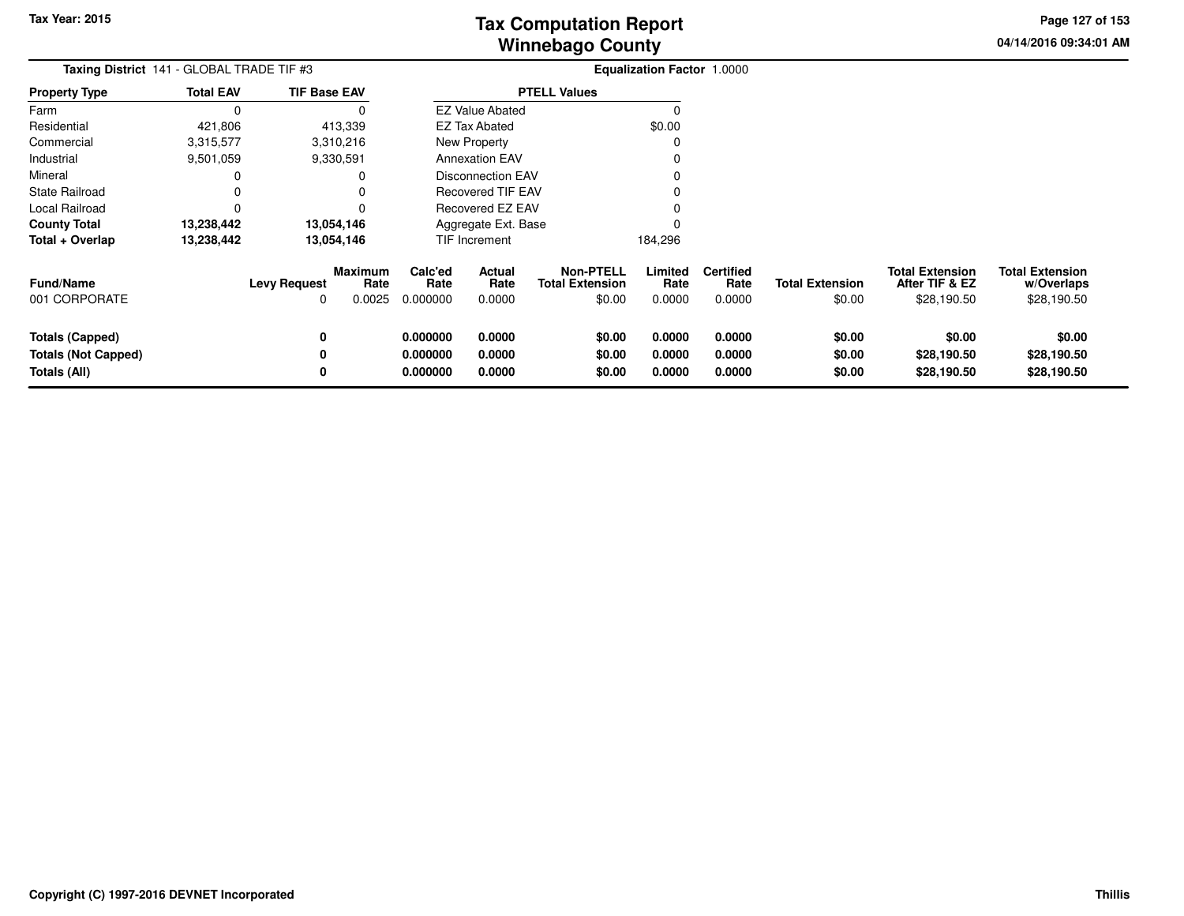**04/14/2016 09:34:01 AMPage 127 of 153**

| Taxing District 141 - GLOBAL TRADE TIF #3                            |                  |                          |                                  | Equalization Factor 1.0000       |                            |                                                      |                            |                                    |                                  |                                                         |                                                     |
|----------------------------------------------------------------------|------------------|--------------------------|----------------------------------|----------------------------------|----------------------------|------------------------------------------------------|----------------------------|------------------------------------|----------------------------------|---------------------------------------------------------|-----------------------------------------------------|
| <b>Property Type</b>                                                 | <b>Total EAV</b> | <b>TIF Base EAV</b>      |                                  |                                  |                            | <b>PTELL Values</b>                                  |                            |                                    |                                  |                                                         |                                                     |
| Farm                                                                 | $\Omega$         |                          | 0                                |                                  | <b>EZ Value Abated</b>     |                                                      | $\Omega$                   |                                    |                                  |                                                         |                                                     |
| Residential                                                          | 421,806          |                          | 413,339                          |                                  | EZ Tax Abated              |                                                      | \$0.00                     |                                    |                                  |                                                         |                                                     |
| Commercial                                                           | 3,315,577        |                          | 3,310,216                        |                                  | <b>New Property</b>        |                                                      | 0                          |                                    |                                  |                                                         |                                                     |
| Industrial                                                           | 9,501,059        |                          | 9,330,591                        |                                  | <b>Annexation EAV</b>      |                                                      |                            |                                    |                                  |                                                         |                                                     |
| Mineral                                                              | 0                |                          | 0                                |                                  | <b>Disconnection EAV</b>   |                                                      |                            |                                    |                                  |                                                         |                                                     |
| State Railroad                                                       | 0                |                          | 0                                |                                  | Recovered TIF EAV          |                                                      |                            |                                    |                                  |                                                         |                                                     |
| Local Railroad                                                       | $\Omega$         |                          |                                  |                                  | Recovered EZ EAV           |                                                      |                            |                                    |                                  |                                                         |                                                     |
| <b>County Total</b>                                                  | 13,238,442       |                          | 13,054,146                       |                                  | Aggregate Ext. Base        |                                                      |                            |                                    |                                  |                                                         |                                                     |
| Total + Overlap                                                      | 13,238,442       |                          | 13,054,146                       |                                  | TIF Increment              |                                                      | 184,296                    |                                    |                                  |                                                         |                                                     |
| <b>Fund/Name</b><br>001 CORPORATE                                    |                  | <b>Levy Request</b><br>0 | <b>Maximum</b><br>Rate<br>0.0025 | Calc'ed<br>Rate<br>0.000000      | Actual<br>Rate<br>0.0000   | <b>Non-PTELL</b><br><b>Total Extension</b><br>\$0.00 | Limited<br>Rate<br>0.0000  | <b>Certified</b><br>Rate<br>0.0000 | <b>Total Extension</b><br>\$0.00 | <b>Total Extension</b><br>After TIF & EZ<br>\$28,190.50 | <b>Total Extension</b><br>w/Overlaps<br>\$28,190.50 |
| <b>Totals (Capped)</b><br><b>Totals (Not Capped)</b><br>Totals (All) |                  | 0<br>0<br>0              |                                  | 0.000000<br>0.000000<br>0.000000 | 0.0000<br>0.0000<br>0.0000 | \$0.00<br>\$0.00<br>\$0.00                           | 0.0000<br>0.0000<br>0.0000 | 0.0000<br>0.0000<br>0.0000         | \$0.00<br>\$0.00<br>\$0.00       | \$0.00<br>\$28,190.50<br>\$28,190.50                    | \$0.00<br>\$28,190.50<br>\$28,190.50                |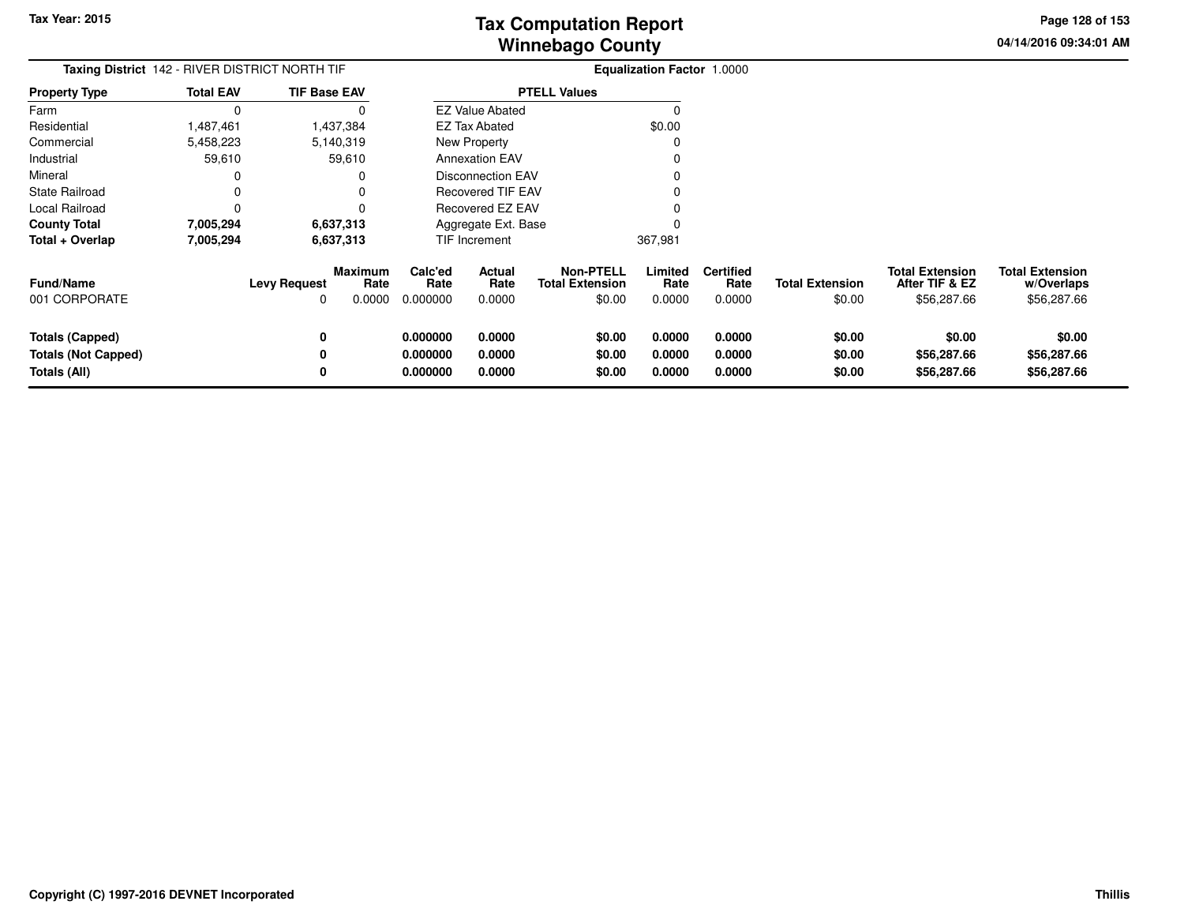**04/14/2016 09:34:01 AMPage 128 of 153**

> **w/Overlaps**\$56,287.66

| Taxing District 142 - RIVER DISTRICT NORTH TIF                |                  |                     |                           | <b>Equalization Factor 1.0000</b> |                            |                                                      |                            |                                    |                                  |                                                         |                                                     |
|---------------------------------------------------------------|------------------|---------------------|---------------------------|-----------------------------------|----------------------------|------------------------------------------------------|----------------------------|------------------------------------|----------------------------------|---------------------------------------------------------|-----------------------------------------------------|
| <b>Property Type</b>                                          | <b>Total EAV</b> | <b>TIF Base EAV</b> |                           |                                   |                            | <b>PTELL Values</b>                                  |                            |                                    |                                  |                                                         |                                                     |
| Farm                                                          | 0                |                     |                           |                                   | <b>EZ Value Abated</b>     |                                                      |                            |                                    |                                  |                                                         |                                                     |
| Residential                                                   | 1,487,461        |                     | 1,437,384                 |                                   | <b>EZ Tax Abated</b>       |                                                      | \$0.00                     |                                    |                                  |                                                         |                                                     |
| Commercial                                                    | 5,458,223        |                     | 5,140,319                 |                                   | <b>New Property</b>        |                                                      |                            |                                    |                                  |                                                         |                                                     |
| Industrial                                                    | 59,610           |                     | 59,610                    |                                   | <b>Annexation EAV</b>      |                                                      |                            |                                    |                                  |                                                         |                                                     |
| Mineral                                                       | 0                |                     |                           |                                   | Disconnection EAV          |                                                      |                            |                                    |                                  |                                                         |                                                     |
| <b>State Railroad</b>                                         | 0                |                     |                           |                                   | <b>Recovered TIF EAV</b>   |                                                      |                            |                                    |                                  |                                                         |                                                     |
| Local Railroad                                                | 0                |                     |                           |                                   | Recovered EZ EAV           |                                                      |                            |                                    |                                  |                                                         |                                                     |
| <b>County Total</b>                                           | 7,005,294        |                     | 6,637,313                 |                                   | Aggregate Ext. Base        |                                                      |                            |                                    |                                  |                                                         |                                                     |
| Total + Overlap                                               | 7,005,294        | 6,637,313           |                           |                                   | TIF Increment              |                                                      | 367,981                    |                                    |                                  |                                                         |                                                     |
| <b>Fund/Name</b><br>001 CORPORATE                             |                  | <b>Levy Request</b> | Maximum<br>Rate<br>0.0000 | Calc'ed<br>Rate<br>0.000000       | Actual<br>Rate<br>0.0000   | <b>Non-PTELL</b><br><b>Total Extension</b><br>\$0.00 | Limited<br>Rate<br>0.0000  | <b>Certified</b><br>Rate<br>0.0000 | <b>Total Extension</b><br>\$0.00 | <b>Total Extension</b><br>After TIF & EZ<br>\$56,287.66 | <b>Total Extension</b><br>w/Overlaps<br>\$56,287.66 |
| Totals (Capped)<br><b>Totals (Not Capped)</b><br>Totals (All) |                  | 0                   |                           | 0.000000<br>0.000000<br>0.000000  | 0.0000<br>0.0000<br>0.0000 | \$0.00<br>\$0.00<br>\$0.00                           | 0.0000<br>0.0000<br>0.0000 | 0.0000<br>0.0000<br>0.0000         | \$0.00<br>\$0.00<br>\$0.00       | \$0.00<br>\$56,287.66<br>\$56,287.66                    | \$0.00<br>\$56,287.66<br>\$56,287.66                |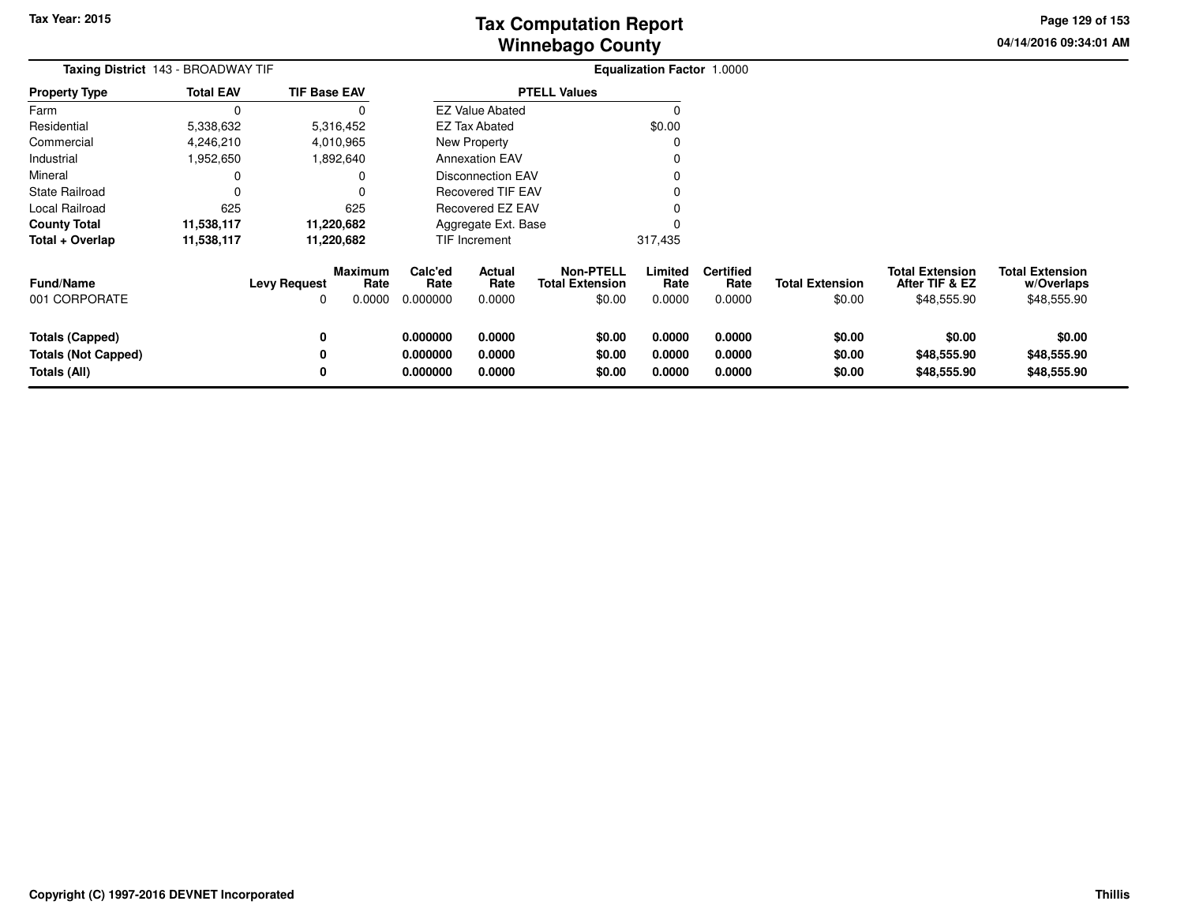**04/14/2016 09:34:01 AMPage 129 of 153**

| Taxing District 143 - BROADWAY TIF                                   |                  |                          |                                  | <b>Equalization Factor 1.0000</b> |                            |                                                      |                            |                                    |                                  |                                                         |                                                     |
|----------------------------------------------------------------------|------------------|--------------------------|----------------------------------|-----------------------------------|----------------------------|------------------------------------------------------|----------------------------|------------------------------------|----------------------------------|---------------------------------------------------------|-----------------------------------------------------|
| <b>Property Type</b>                                                 | <b>Total EAV</b> | <b>TIF Base EAV</b>      |                                  |                                   |                            | <b>PTELL Values</b>                                  |                            |                                    |                                  |                                                         |                                                     |
| Farm                                                                 | $\Omega$         |                          |                                  |                                   | <b>EZ Value Abated</b>     |                                                      |                            |                                    |                                  |                                                         |                                                     |
| Residential                                                          | 5,338,632        |                          | 5,316,452                        |                                   | <b>EZ Tax Abated</b>       |                                                      | \$0.00                     |                                    |                                  |                                                         |                                                     |
| Commercial                                                           | 4,246,210        |                          | 4,010,965                        |                                   | New Property               |                                                      |                            |                                    |                                  |                                                         |                                                     |
| Industrial                                                           | 1,952,650        |                          | 1,892,640                        |                                   | <b>Annexation EAV</b>      |                                                      |                            |                                    |                                  |                                                         |                                                     |
| Mineral                                                              |                  |                          |                                  |                                   | <b>Disconnection EAV</b>   |                                                      |                            |                                    |                                  |                                                         |                                                     |
| State Railroad                                                       |                  |                          |                                  |                                   | <b>Recovered TIF EAV</b>   |                                                      |                            |                                    |                                  |                                                         |                                                     |
| Local Railroad                                                       | 625              |                          | 625                              |                                   | Recovered EZ EAV           |                                                      |                            |                                    |                                  |                                                         |                                                     |
| <b>County Total</b>                                                  | 11,538,117       |                          | 11,220,682                       |                                   | Aggregate Ext. Base        |                                                      |                            |                                    |                                  |                                                         |                                                     |
| Total + Overlap                                                      | 11,538,117       |                          | 11,220,682                       |                                   | TIF Increment              |                                                      | 317,435                    |                                    |                                  |                                                         |                                                     |
| Fund/Name<br>001 CORPORATE                                           |                  | <b>Levy Request</b><br>0 | <b>Maximum</b><br>Rate<br>0.0000 | Calc'ed<br>Rate<br>0.000000       | Actual<br>Rate<br>0.0000   | <b>Non-PTELL</b><br><b>Total Extension</b><br>\$0.00 | Limited<br>Rate<br>0.0000  | <b>Certified</b><br>Rate<br>0.0000 | <b>Total Extension</b><br>\$0.00 | <b>Total Extension</b><br>After TIF & EZ<br>\$48,555.90 | <b>Total Extension</b><br>w/Overlaps<br>\$48,555.90 |
| <b>Totals (Capped)</b><br><b>Totals (Not Capped)</b><br>Totals (All) |                  | 0<br>0<br>0              |                                  | 0.000000<br>0.000000<br>0.000000  | 0.0000<br>0.0000<br>0.0000 | \$0.00<br>\$0.00<br>\$0.00                           | 0.0000<br>0.0000<br>0.0000 | 0.0000<br>0.0000<br>0.0000         | \$0.00<br>\$0.00<br>\$0.00       | \$0.00<br>\$48,555.90<br>\$48,555.90                    | \$0.00<br>\$48,555.90<br>\$48,555.90                |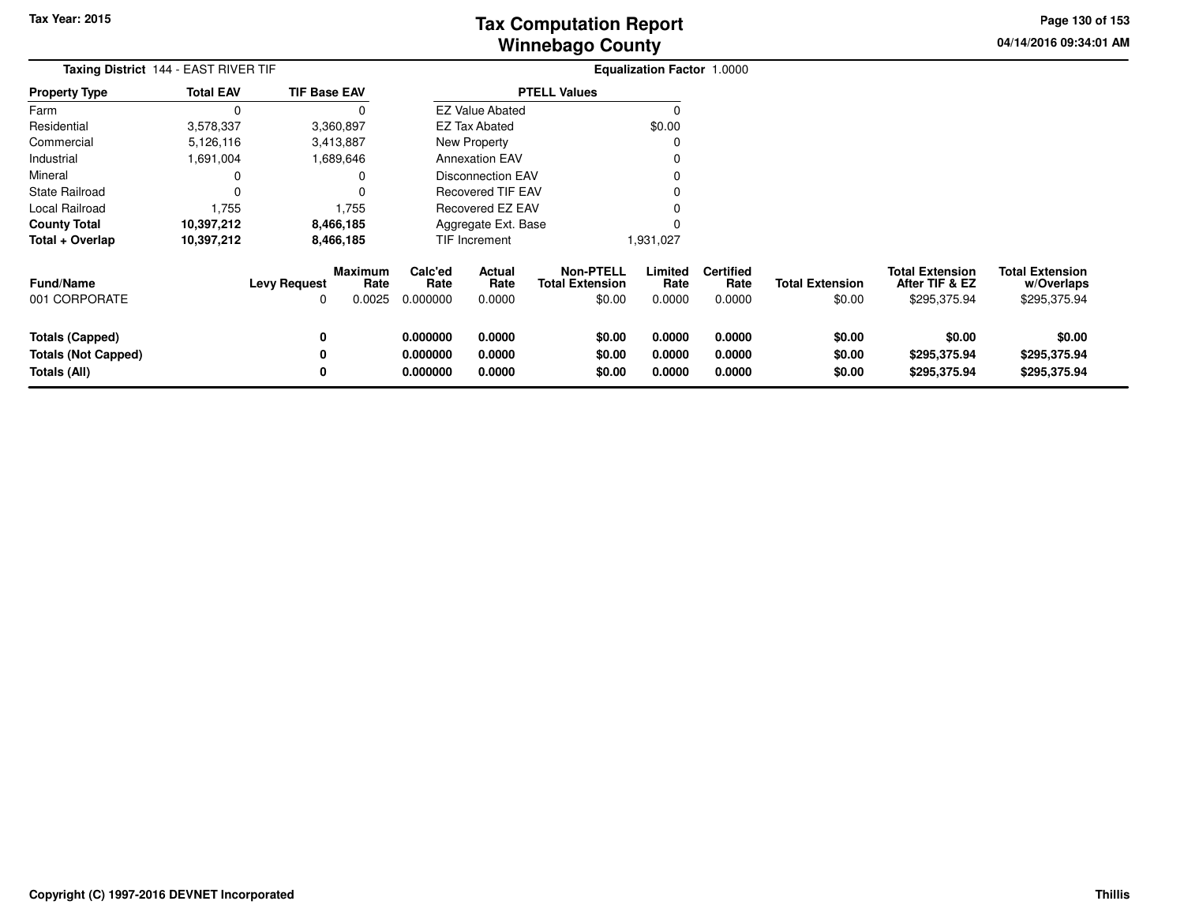**04/14/2016 09:34:01 AMPage 130 of 153**

| Taxing District 144 - EAST RIVER TIF                          |                  |                     |                           |                                  |                            |                                                      | <b>Equalization Factor 1.0000</b> |                                    |                                  |                                                          |                                                      |
|---------------------------------------------------------------|------------------|---------------------|---------------------------|----------------------------------|----------------------------|------------------------------------------------------|-----------------------------------|------------------------------------|----------------------------------|----------------------------------------------------------|------------------------------------------------------|
| <b>Property Type</b>                                          | <b>Total EAV</b> | <b>TIF Base EAV</b> |                           |                                  |                            | <b>PTELL Values</b>                                  |                                   |                                    |                                  |                                                          |                                                      |
| Farm                                                          |                  |                     |                           |                                  | <b>EZ Value Abated</b>     |                                                      |                                   |                                    |                                  |                                                          |                                                      |
| Residential                                                   | 3,578,337        | 3,360,897           |                           |                                  | <b>EZ Tax Abated</b>       |                                                      | \$0.00                            |                                    |                                  |                                                          |                                                      |
| Commercial                                                    | 5,126,116        | 3,413,887           |                           |                                  | New Property               |                                                      |                                   |                                    |                                  |                                                          |                                                      |
| Industrial                                                    | 1,691,004        | 1,689,646           |                           |                                  | <b>Annexation EAV</b>      |                                                      |                                   |                                    |                                  |                                                          |                                                      |
| Mineral                                                       |                  |                     |                           |                                  | Disconnection EAV          |                                                      |                                   |                                    |                                  |                                                          |                                                      |
| <b>State Railroad</b>                                         |                  |                     |                           |                                  | Recovered TIF EAV          |                                                      |                                   |                                    |                                  |                                                          |                                                      |
| Local Railroad                                                | 1,755            |                     | 1,755                     |                                  | Recovered EZ EAV           |                                                      |                                   |                                    |                                  |                                                          |                                                      |
| <b>County Total</b>                                           | 10,397,212       | 8,466,185           |                           |                                  | Aggregate Ext. Base        |                                                      |                                   |                                    |                                  |                                                          |                                                      |
| Total + Overlap                                               | 10,397,212       | 8,466,185           |                           |                                  | <b>TIF Increment</b>       |                                                      | 1,931,027                         |                                    |                                  |                                                          |                                                      |
| <b>Fund/Name</b><br>001 CORPORATE                             |                  | <b>Levy Request</b> | Maximum<br>Rate<br>0.0025 | Calc'ed<br>Rate<br>0.000000      | Actual<br>Rate<br>0.0000   | <b>Non-PTELL</b><br><b>Total Extension</b><br>\$0.00 | Limited<br>Rate<br>0.0000         | <b>Certified</b><br>Rate<br>0.0000 | <b>Total Extension</b><br>\$0.00 | <b>Total Extension</b><br>After TIF & EZ<br>\$295,375.94 | <b>Total Extension</b><br>w/Overlaps<br>\$295,375.94 |
| Totals (Capped)<br><b>Totals (Not Capped)</b><br>Totals (All) |                  | 0                   |                           | 0.000000<br>0.000000<br>0.000000 | 0.0000<br>0.0000<br>0.0000 | \$0.00<br>\$0.00<br>\$0.00                           | 0.0000<br>0.0000<br>0.0000        | 0.0000<br>0.0000<br>0.0000         | \$0.00<br>\$0.00<br>\$0.00       | \$0.00<br>\$295,375.94<br>\$295,375.94                   | \$0.00<br>\$295,375.94<br>\$295,375.94               |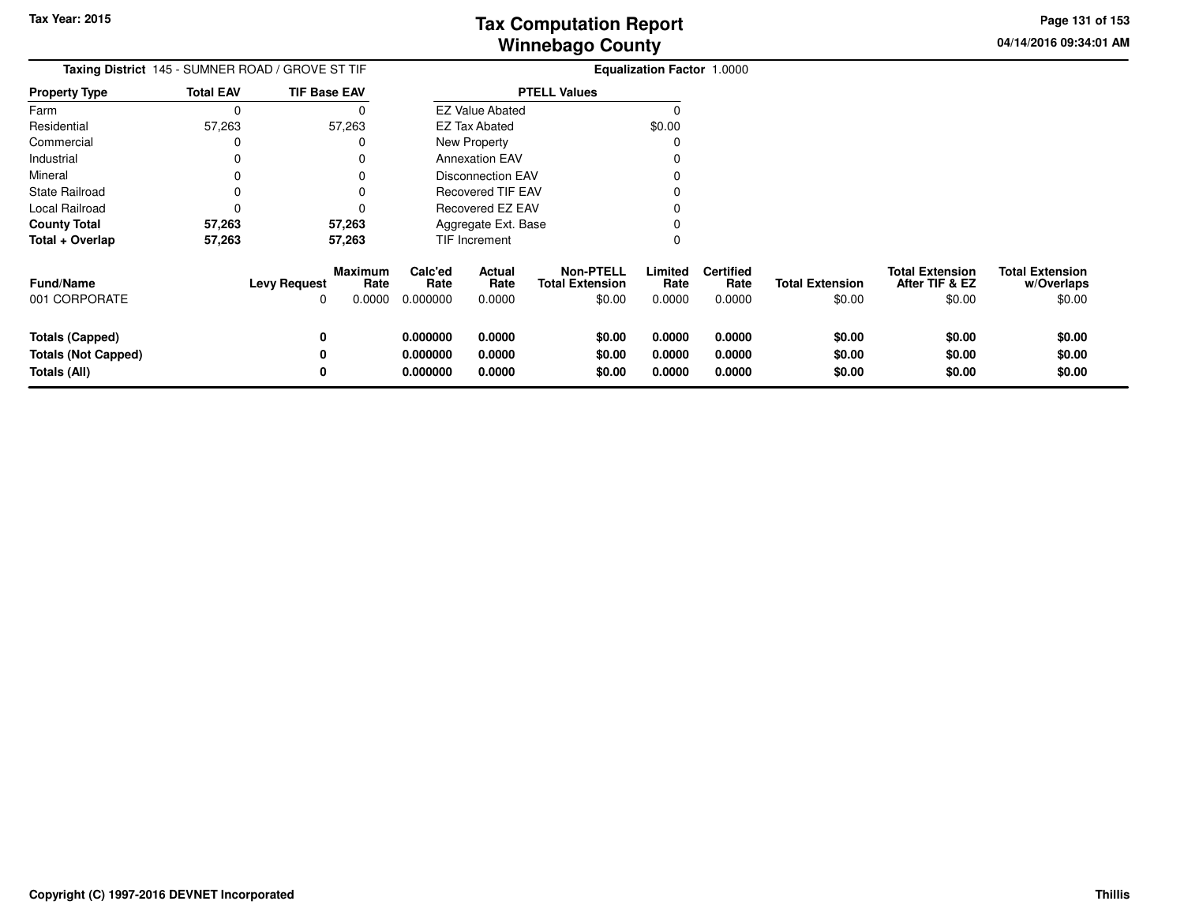**04/14/2016 09:34:01 AM Page 131 of 153**

|                                                                      | Taxing District 145 - SUMNER ROAD / GROVE ST TIF |                           | <b>Equalization Factor 1.0000</b> |                            |                                                      |                            |                                    |                                  |                                                    |                                                |
|----------------------------------------------------------------------|--------------------------------------------------|---------------------------|-----------------------------------|----------------------------|------------------------------------------------------|----------------------------|------------------------------------|----------------------------------|----------------------------------------------------|------------------------------------------------|
| <b>Property Type</b>                                                 | <b>Total EAV</b>                                 | <b>TIF Base EAV</b>       |                                   |                            | <b>PTELL Values</b>                                  |                            |                                    |                                  |                                                    |                                                |
| Farm                                                                 | $\Omega$                                         |                           |                                   | <b>EZ Value Abated</b>     |                                                      | O                          |                                    |                                  |                                                    |                                                |
| Residential                                                          | 57,263                                           | 57,263                    |                                   | <b>EZ Tax Abated</b>       |                                                      | \$0.00                     |                                    |                                  |                                                    |                                                |
| Commercial                                                           |                                                  |                           |                                   | New Property               |                                                      | 0                          |                                    |                                  |                                                    |                                                |
| Industrial                                                           |                                                  |                           |                                   | <b>Annexation EAV</b>      |                                                      |                            |                                    |                                  |                                                    |                                                |
| Mineral                                                              |                                                  |                           |                                   | <b>Disconnection EAV</b>   |                                                      |                            |                                    |                                  |                                                    |                                                |
| State Railroad                                                       |                                                  |                           |                                   | <b>Recovered TIF EAV</b>   |                                                      |                            |                                    |                                  |                                                    |                                                |
| Local Railroad                                                       |                                                  |                           |                                   | <b>Recovered EZ EAV</b>    |                                                      |                            |                                    |                                  |                                                    |                                                |
| <b>County Total</b>                                                  | 57,263                                           | 57,263                    |                                   | Aggregate Ext. Base        |                                                      |                            |                                    |                                  |                                                    |                                                |
| Total + Overlap                                                      | 57,263                                           | 57,263                    |                                   | <b>TIF Increment</b>       |                                                      | 0                          |                                    |                                  |                                                    |                                                |
| Fund/Name<br>001 CORPORATE                                           | <b>Levy Request</b>                              | Maximum<br>Rate<br>0.0000 | Calc'ed<br>Rate<br>0.000000       | Actual<br>Rate<br>0.0000   | <b>Non-PTELL</b><br><b>Total Extension</b><br>\$0.00 | Limited<br>Rate<br>0.0000  | <b>Certified</b><br>Rate<br>0.0000 | <b>Total Extension</b><br>\$0.00 | <b>Total Extension</b><br>After TIF & EZ<br>\$0.00 | <b>Total Extension</b><br>w/Overlaps<br>\$0.00 |
| <b>Totals (Capped)</b><br><b>Totals (Not Capped)</b><br>Totals (All) |                                                  | 0<br>0<br>0               | 0.000000<br>0.000000<br>0.000000  | 0.0000<br>0.0000<br>0.0000 | \$0.00<br>\$0.00<br>\$0.00                           | 0.0000<br>0.0000<br>0.0000 | 0.0000<br>0.0000<br>0.0000         | \$0.00<br>\$0.00<br>\$0.00       | \$0.00<br>\$0.00<br>\$0.00                         | \$0.00<br>\$0.00<br>\$0.00                     |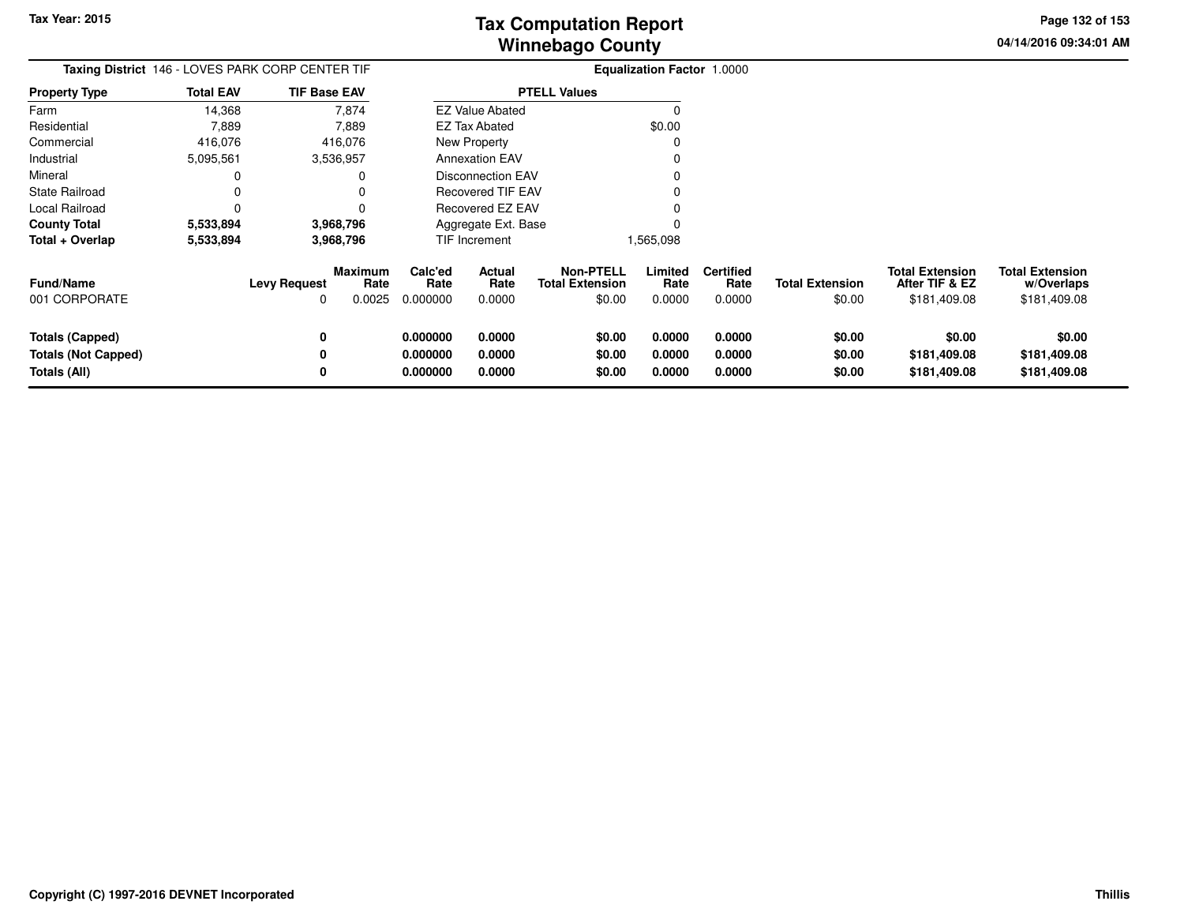**04/14/2016 09:34:01 AMPage 132 of 153**

|                                                               |                  | Taxing District 146 - LOVES PARK CORP CENTER TIF             |                                  |                            |                                                      | <b>Equalization Factor 1.0000</b> |                                    |                                  |                                                          |                                                      |
|---------------------------------------------------------------|------------------|--------------------------------------------------------------|----------------------------------|----------------------------|------------------------------------------------------|-----------------------------------|------------------------------------|----------------------------------|----------------------------------------------------------|------------------------------------------------------|
| <b>Property Type</b>                                          | <b>Total EAV</b> | <b>TIF Base EAV</b>                                          |                                  |                            | <b>PTELL Values</b>                                  |                                   |                                    |                                  |                                                          |                                                      |
| Farm                                                          | 14,368           | 7,874                                                        |                                  | <b>EZ Value Abated</b>     |                                                      |                                   |                                    |                                  |                                                          |                                                      |
| Residential                                                   | 7,889            | 7,889                                                        |                                  | <b>EZ Tax Abated</b>       |                                                      | \$0.00                            |                                    |                                  |                                                          |                                                      |
| Commercial                                                    | 416,076          | 416,076                                                      |                                  | New Property               |                                                      | 0                                 |                                    |                                  |                                                          |                                                      |
| Industrial                                                    | 5,095,561        | 3,536,957                                                    |                                  | <b>Annexation EAV</b>      |                                                      |                                   |                                    |                                  |                                                          |                                                      |
| Mineral                                                       | 0                |                                                              |                                  | <b>Disconnection EAV</b>   |                                                      |                                   |                                    |                                  |                                                          |                                                      |
| <b>State Railroad</b>                                         | $\Omega$         |                                                              |                                  | <b>Recovered TIF EAV</b>   |                                                      |                                   |                                    |                                  |                                                          |                                                      |
| Local Railroad                                                | n                |                                                              |                                  | Recovered EZ EAV           |                                                      |                                   |                                    |                                  |                                                          |                                                      |
| <b>County Total</b>                                           | 5,533,894        | 3,968,796                                                    |                                  | Aggregate Ext. Base        |                                                      |                                   |                                    |                                  |                                                          |                                                      |
| Total + Overlap                                               | 5,533,894        | 3,968,796                                                    |                                  | TIF Increment              |                                                      | 1,565,098                         |                                    |                                  |                                                          |                                                      |
| <b>Fund/Name</b><br>001 CORPORATE                             |                  | <b>Maximum</b><br>Rate<br><b>Levy Request</b><br>0.0025<br>0 | Calc'ed<br>Rate<br>0.000000      | Actual<br>Rate<br>0.0000   | <b>Non-PTELL</b><br><b>Total Extension</b><br>\$0.00 | Limited<br>Rate<br>0.0000         | <b>Certified</b><br>Rate<br>0.0000 | <b>Total Extension</b><br>\$0.00 | <b>Total Extension</b><br>After TIF & EZ<br>\$181,409.08 | <b>Total Extension</b><br>w/Overlaps<br>\$181,409.08 |
| Totals (Capped)<br><b>Totals (Not Capped)</b><br>Totals (All) |                  | 0<br>$\bf{0}$<br>0                                           | 0.000000<br>0.000000<br>0.000000 | 0.0000<br>0.0000<br>0.0000 | \$0.00<br>\$0.00<br>\$0.00                           | 0.0000<br>0.0000<br>0.0000        | 0.0000<br>0.0000<br>0.0000         | \$0.00<br>\$0.00<br>\$0.00       | \$0.00<br>\$181,409.08<br>\$181,409.08                   | \$0.00<br>\$181,409.08<br>\$181,409.08               |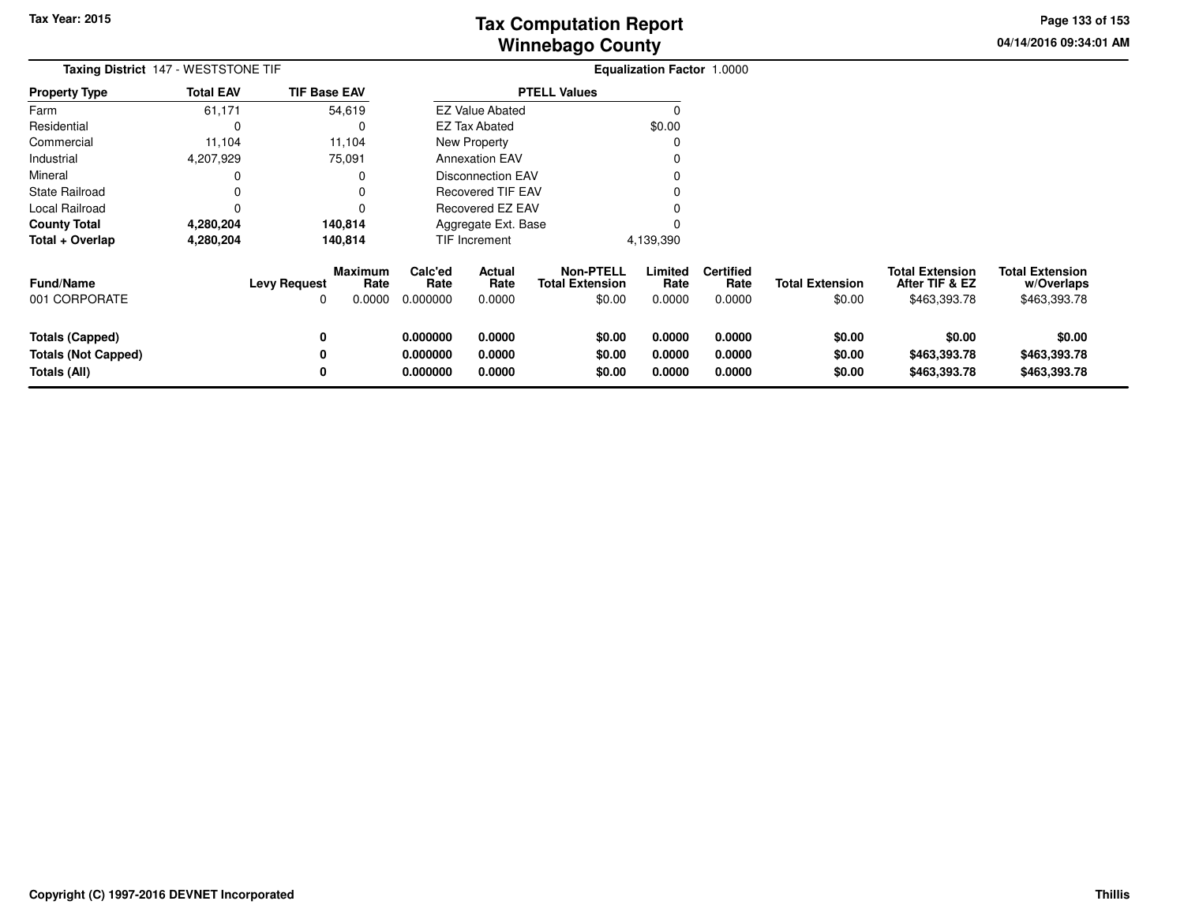**04/14/2016 09:34:01 AMPage 133 of 153**

| <b>Taxing District 147 - WESTSTONE TIF</b>                           |                  |                          |                           | Equalization Factor 1.0000       |                            |                                                      |                            |                                    |                                  |                                                          |                                                      |
|----------------------------------------------------------------------|------------------|--------------------------|---------------------------|----------------------------------|----------------------------|------------------------------------------------------|----------------------------|------------------------------------|----------------------------------|----------------------------------------------------------|------------------------------------------------------|
| <b>Property Type</b>                                                 | <b>Total EAV</b> | <b>TIF Base EAV</b>      |                           |                                  |                            | <b>PTELL Values</b>                                  |                            |                                    |                                  |                                                          |                                                      |
| Farm                                                                 | 61,171           | 54,619                   |                           |                                  | <b>EZ Value Abated</b>     |                                                      | $\Omega$                   |                                    |                                  |                                                          |                                                      |
| Residential                                                          | 0                |                          | $\Omega$                  |                                  | EZ Tax Abated              |                                                      | \$0.00                     |                                    |                                  |                                                          |                                                      |
| Commercial                                                           | 11,104           | 11,104                   |                           |                                  | <b>New Property</b>        |                                                      | 0                          |                                    |                                  |                                                          |                                                      |
| Industrial                                                           | 4,207,929        | 75,091                   |                           |                                  | <b>Annexation EAV</b>      |                                                      | O                          |                                    |                                  |                                                          |                                                      |
| Mineral                                                              | 0                |                          | 0                         |                                  | <b>Disconnection EAV</b>   |                                                      |                            |                                    |                                  |                                                          |                                                      |
| <b>State Railroad</b>                                                | 0                |                          | 0                         |                                  | <b>Recovered TIF EAV</b>   |                                                      |                            |                                    |                                  |                                                          |                                                      |
| Local Railroad                                                       | 0                |                          | 0                         |                                  | Recovered EZ EAV           |                                                      |                            |                                    |                                  |                                                          |                                                      |
| <b>County Total</b>                                                  | 4,280,204        | 140,814                  |                           |                                  | Aggregate Ext. Base        |                                                      |                            |                                    |                                  |                                                          |                                                      |
| Total + Overlap                                                      | 4,280,204        | 140,814                  |                           |                                  | TIF Increment              |                                                      | 4,139,390                  |                                    |                                  |                                                          |                                                      |
| <b>Fund/Name</b><br>001 CORPORATE                                    |                  | <b>Levy Request</b><br>0 | Maximum<br>Rate<br>0.0000 | Calc'ed<br>Rate<br>0.000000      | Actual<br>Rate<br>0.0000   | <b>Non-PTELL</b><br><b>Total Extension</b><br>\$0.00 | Limited<br>Rate<br>0.0000  | <b>Certified</b><br>Rate<br>0.0000 | <b>Total Extension</b><br>\$0.00 | <b>Total Extension</b><br>After TIF & EZ<br>\$463,393.78 | <b>Total Extension</b><br>w/Overlaps<br>\$463,393.78 |
| <b>Totals (Capped)</b><br><b>Totals (Not Capped)</b><br>Totals (All) |                  | 0<br>0<br>0              |                           | 0.000000<br>0.000000<br>0.000000 | 0.0000<br>0.0000<br>0.0000 | \$0.00<br>\$0.00<br>\$0.00                           | 0.0000<br>0.0000<br>0.0000 | 0.0000<br>0.0000<br>0.0000         | \$0.00<br>\$0.00<br>\$0.00       | \$0.00<br>\$463,393.78<br>\$463,393.78                   | \$0.00<br>\$463,393.78<br>\$463,393.78               |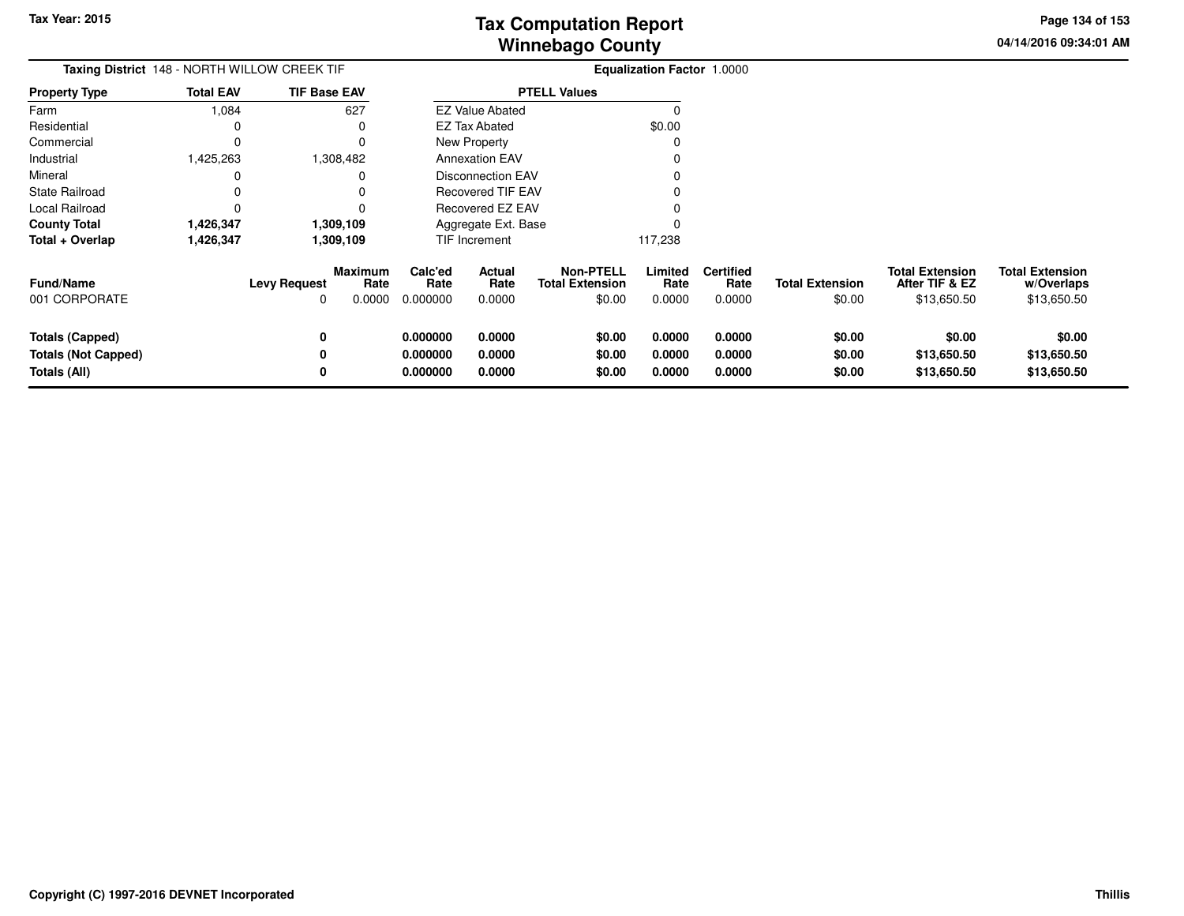**04/14/2016 09:34:01 AMPage 134 of 153**

| Taxing District 148 - NORTH WILLOW CREEK TIF                  |                  |                          |                                  |                                  |                            |                                                      | Equalization Factor 1.0000 |                                    |                                  |                                                         |                                                     |
|---------------------------------------------------------------|------------------|--------------------------|----------------------------------|----------------------------------|----------------------------|------------------------------------------------------|----------------------------|------------------------------------|----------------------------------|---------------------------------------------------------|-----------------------------------------------------|
| Property Type                                                 | <b>Total EAV</b> | <b>TIF Base EAV</b>      |                                  |                                  |                            | <b>PTELL Values</b>                                  |                            |                                    |                                  |                                                         |                                                     |
| Farm                                                          | 1,084            |                          | 627                              |                                  | <b>EZ Value Abated</b>     |                                                      | O                          |                                    |                                  |                                                         |                                                     |
| Residential                                                   | 0                |                          |                                  |                                  | <b>EZ Tax Abated</b>       |                                                      | \$0.00                     |                                    |                                  |                                                         |                                                     |
| Commercial                                                    | 0                |                          |                                  |                                  | New Property               |                                                      |                            |                                    |                                  |                                                         |                                                     |
| Industrial                                                    | 1,425,263        |                          | 1,308,482                        |                                  | <b>Annexation EAV</b>      |                                                      |                            |                                    |                                  |                                                         |                                                     |
| Mineral                                                       |                  |                          |                                  |                                  | <b>Disconnection EAV</b>   |                                                      |                            |                                    |                                  |                                                         |                                                     |
| State Railroad                                                |                  |                          |                                  |                                  | <b>Recovered TIF EAV</b>   |                                                      |                            |                                    |                                  |                                                         |                                                     |
| Local Railroad                                                |                  |                          |                                  |                                  | Recovered EZ EAV           |                                                      |                            |                                    |                                  |                                                         |                                                     |
| <b>County Total</b>                                           | 1,426,347        |                          | 1,309,109                        |                                  | Aggregate Ext. Base        |                                                      |                            |                                    |                                  |                                                         |                                                     |
| Total + Overlap                                               | 1,426,347        |                          | 1,309,109                        |                                  | <b>TIF Increment</b>       |                                                      | 117,238                    |                                    |                                  |                                                         |                                                     |
| <b>Fund/Name</b><br>001 CORPORATE                             |                  | <b>Levy Request</b><br>0 | <b>Maximum</b><br>Rate<br>0.0000 | Calc'ed<br>Rate<br>0.000000      | Actual<br>Rate<br>0.0000   | <b>Non-PTELL</b><br><b>Total Extension</b><br>\$0.00 | Limited<br>Rate<br>0.0000  | <b>Certified</b><br>Rate<br>0.0000 | <b>Total Extension</b><br>\$0.00 | <b>Total Extension</b><br>After TIF & EZ<br>\$13,650.50 | <b>Total Extension</b><br>w/Overlaps<br>\$13,650.50 |
| Totals (Capped)<br><b>Totals (Not Capped)</b><br>Totals (All) |                  | 0<br>0<br>0              |                                  | 0.000000<br>0.000000<br>0.000000 | 0.0000<br>0.0000<br>0.0000 | \$0.00<br>\$0.00<br>\$0.00                           | 0.0000<br>0.0000<br>0.0000 | 0.0000<br>0.0000<br>0.0000         | \$0.00<br>\$0.00<br>\$0.00       | \$0.00<br>\$13,650.50<br>\$13,650.50                    | \$0.00<br>\$13,650.50<br>\$13,650.50                |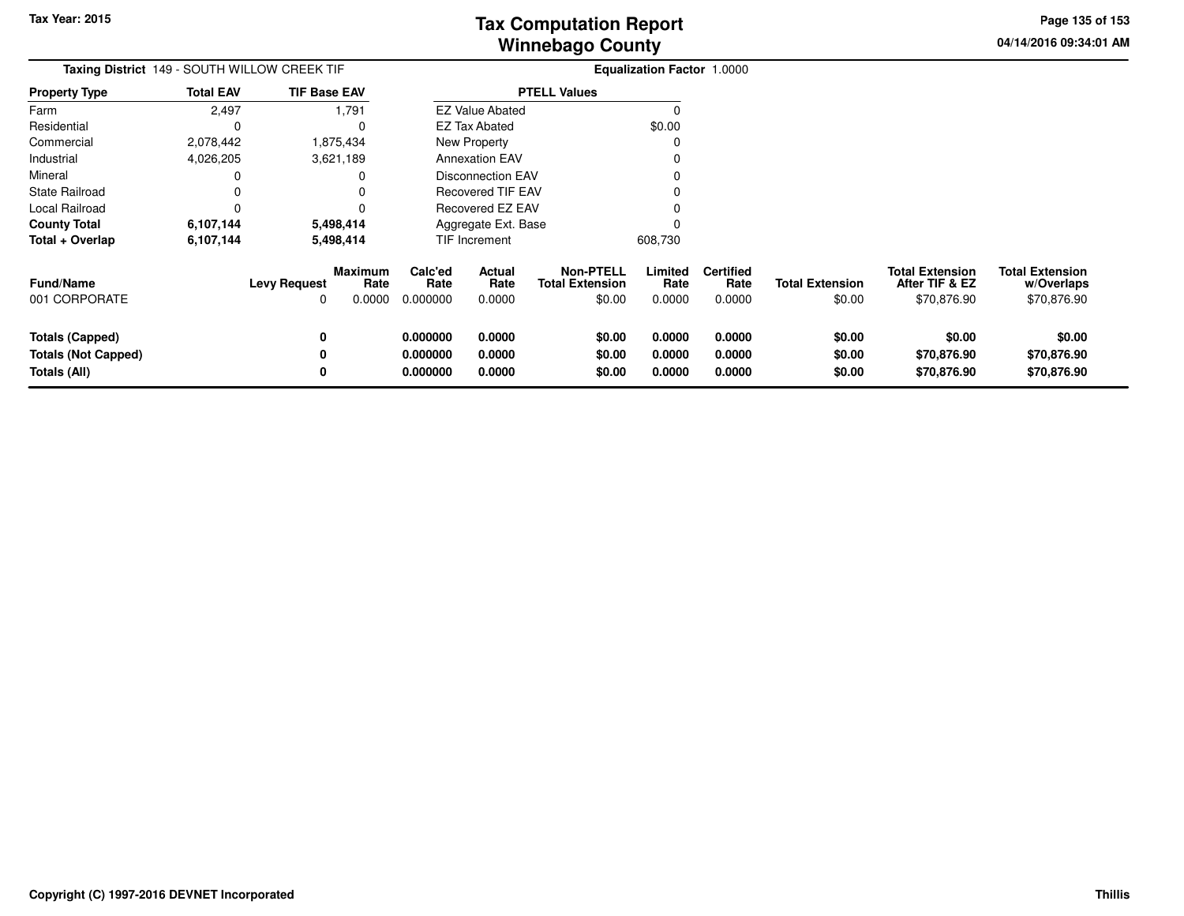**04/14/2016 09:34:01 AMPage 135 of 153**

| Taxing District 149 - SOUTH WILLOW CREEK TIF                         |                  |                     | <b>Equalization Factor 1.0000</b> |                                  |                            |                                                      |                            |                                    |                                  |                                                         |                                                     |
|----------------------------------------------------------------------|------------------|---------------------|-----------------------------------|----------------------------------|----------------------------|------------------------------------------------------|----------------------------|------------------------------------|----------------------------------|---------------------------------------------------------|-----------------------------------------------------|
| <b>Property Type</b>                                                 | <b>Total EAV</b> | <b>TIF Base EAV</b> |                                   |                                  |                            | <b>PTELL Values</b>                                  |                            |                                    |                                  |                                                         |                                                     |
| Farm                                                                 | 2,497            |                     | 1,791                             |                                  | <b>EZ Value Abated</b>     |                                                      | $\Omega$                   |                                    |                                  |                                                         |                                                     |
| Residential                                                          | C                |                     | 0                                 |                                  | EZ Tax Abated              |                                                      | \$0.00                     |                                    |                                  |                                                         |                                                     |
| Commercial                                                           | 2,078,442        |                     | 1,875,434                         |                                  | New Property               |                                                      | 0                          |                                    |                                  |                                                         |                                                     |
| Industrial                                                           | 4,026,205        |                     | 3,621,189                         |                                  | <b>Annexation EAV</b>      |                                                      |                            |                                    |                                  |                                                         |                                                     |
| Mineral                                                              |                  |                     | 0                                 |                                  | <b>Disconnection EAV</b>   |                                                      |                            |                                    |                                  |                                                         |                                                     |
| State Railroad                                                       |                  |                     | 0                                 |                                  | <b>Recovered TIF EAV</b>   |                                                      |                            |                                    |                                  |                                                         |                                                     |
| Local Railroad                                                       | C                |                     |                                   |                                  | Recovered EZ EAV           |                                                      |                            |                                    |                                  |                                                         |                                                     |
| <b>County Total</b>                                                  | 6,107,144        |                     | 5,498,414                         |                                  | Aggregate Ext. Base        |                                                      |                            |                                    |                                  |                                                         |                                                     |
| Total + Overlap                                                      | 6,107,144        |                     | 5,498,414                         |                                  | TIF Increment              |                                                      | 608,730                    |                                    |                                  |                                                         |                                                     |
| <b>Fund/Name</b><br>001 CORPORATE                                    |                  | <b>Levy Request</b> | <b>Maximum</b><br>Rate<br>0.0000  | Calc'ed<br>Rate<br>0.000000      | Actual<br>Rate<br>0.0000   | <b>Non-PTELL</b><br><b>Total Extension</b><br>\$0.00 | Limited<br>Rate<br>0.0000  | <b>Certified</b><br>Rate<br>0.0000 | <b>Total Extension</b><br>\$0.00 | <b>Total Extension</b><br>After TIF & EZ<br>\$70,876.90 | <b>Total Extension</b><br>w/Overlaps<br>\$70,876.90 |
| <b>Totals (Capped)</b><br><b>Totals (Not Capped)</b><br>Totals (All) |                  | 0<br>0<br>0         |                                   | 0.000000<br>0.000000<br>0.000000 | 0.0000<br>0.0000<br>0.0000 | \$0.00<br>\$0.00<br>\$0.00                           | 0.0000<br>0.0000<br>0.0000 | 0.0000<br>0.0000<br>0.0000         | \$0.00<br>\$0.00<br>\$0.00       | \$0.00<br>\$70,876.90<br>\$70,876.90                    | \$0.00<br>\$70,876.90<br>\$70,876.90                |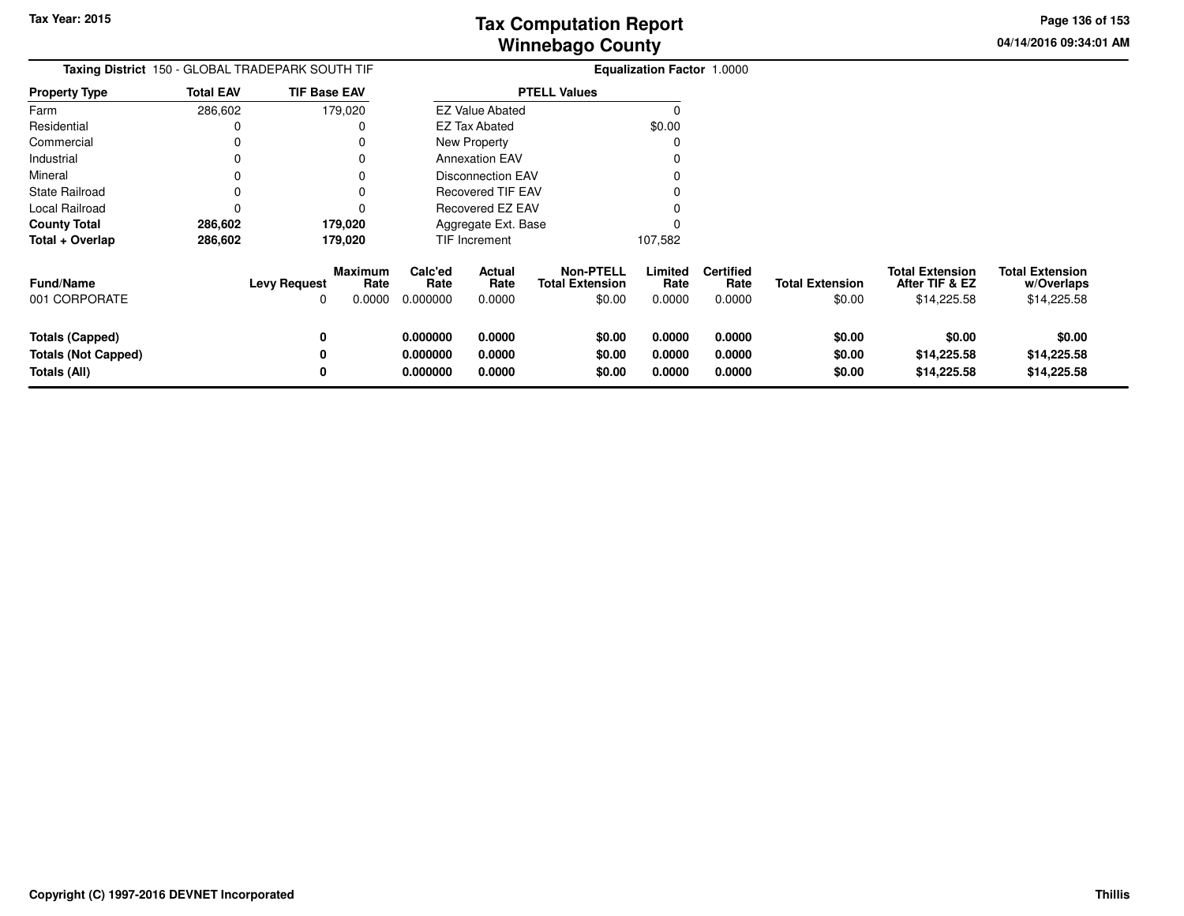**04/14/2016 09:34:01 AMPage 136 of 153**

|                                                                      |                  | <b>Taxing District</b> 150 - GLOBAL TRADEPARK SOUTH TIF      | <b>Equalization Factor 1.0000</b> |                            |                                                      |                            |                                    |                                  |                                                         |                                                     |
|----------------------------------------------------------------------|------------------|--------------------------------------------------------------|-----------------------------------|----------------------------|------------------------------------------------------|----------------------------|------------------------------------|----------------------------------|---------------------------------------------------------|-----------------------------------------------------|
| <b>Property Type</b>                                                 | <b>Total EAV</b> | <b>TIF Base EAV</b>                                          |                                   |                            | <b>PTELL Values</b>                                  |                            |                                    |                                  |                                                         |                                                     |
| Farm                                                                 | 286,602          | 179,020                                                      |                                   | <b>EZ Value Abated</b>     |                                                      |                            |                                    |                                  |                                                         |                                                     |
| Residential                                                          | 0                |                                                              |                                   | <b>EZ Tax Abated</b>       |                                                      | \$0.00                     |                                    |                                  |                                                         |                                                     |
| Commercial                                                           | 0                |                                                              |                                   | New Property               |                                                      |                            |                                    |                                  |                                                         |                                                     |
| Industrial                                                           |                  |                                                              |                                   | <b>Annexation EAV</b>      |                                                      |                            |                                    |                                  |                                                         |                                                     |
| Mineral                                                              |                  |                                                              |                                   | <b>Disconnection EAV</b>   |                                                      |                            |                                    |                                  |                                                         |                                                     |
| State Railroad                                                       |                  |                                                              |                                   | Recovered TIF EAV          |                                                      |                            |                                    |                                  |                                                         |                                                     |
| Local Railroad                                                       | 0                |                                                              |                                   | Recovered EZ EAV           |                                                      |                            |                                    |                                  |                                                         |                                                     |
| <b>County Total</b>                                                  | 286,602          | 179,020                                                      |                                   | Aggregate Ext. Base        |                                                      |                            |                                    |                                  |                                                         |                                                     |
| Total + Overlap                                                      | 286,602          | 179,020                                                      |                                   | <b>TIF Increment</b>       |                                                      | 107,582                    |                                    |                                  |                                                         |                                                     |
| Fund/Name<br>001 CORPORATE                                           |                  | <b>Maximum</b><br><b>Levy Request</b><br>Rate<br>0.0000<br>0 | Calc'ed<br>Rate<br>0.000000       | Actual<br>Rate<br>0.0000   | <b>Non-PTELL</b><br><b>Total Extension</b><br>\$0.00 | Limited<br>Rate<br>0.0000  | <b>Certified</b><br>Rate<br>0.0000 | <b>Total Extension</b><br>\$0.00 | <b>Total Extension</b><br>After TIF & EZ<br>\$14,225.58 | <b>Total Extension</b><br>w/Overlaps<br>\$14,225.58 |
| <b>Totals (Capped)</b><br><b>Totals (Not Capped)</b><br>Totals (All) |                  | 0<br>0<br>0                                                  | 0.000000<br>0.000000<br>0.000000  | 0.0000<br>0.0000<br>0.0000 | \$0.00<br>\$0.00<br>\$0.00                           | 0.0000<br>0.0000<br>0.0000 | 0.0000<br>0.0000<br>0.0000         | \$0.00<br>\$0.00<br>\$0.00       | \$0.00<br>\$14,225.58<br>\$14,225.58                    | \$0.00<br>\$14,225.58<br>\$14,225.58                |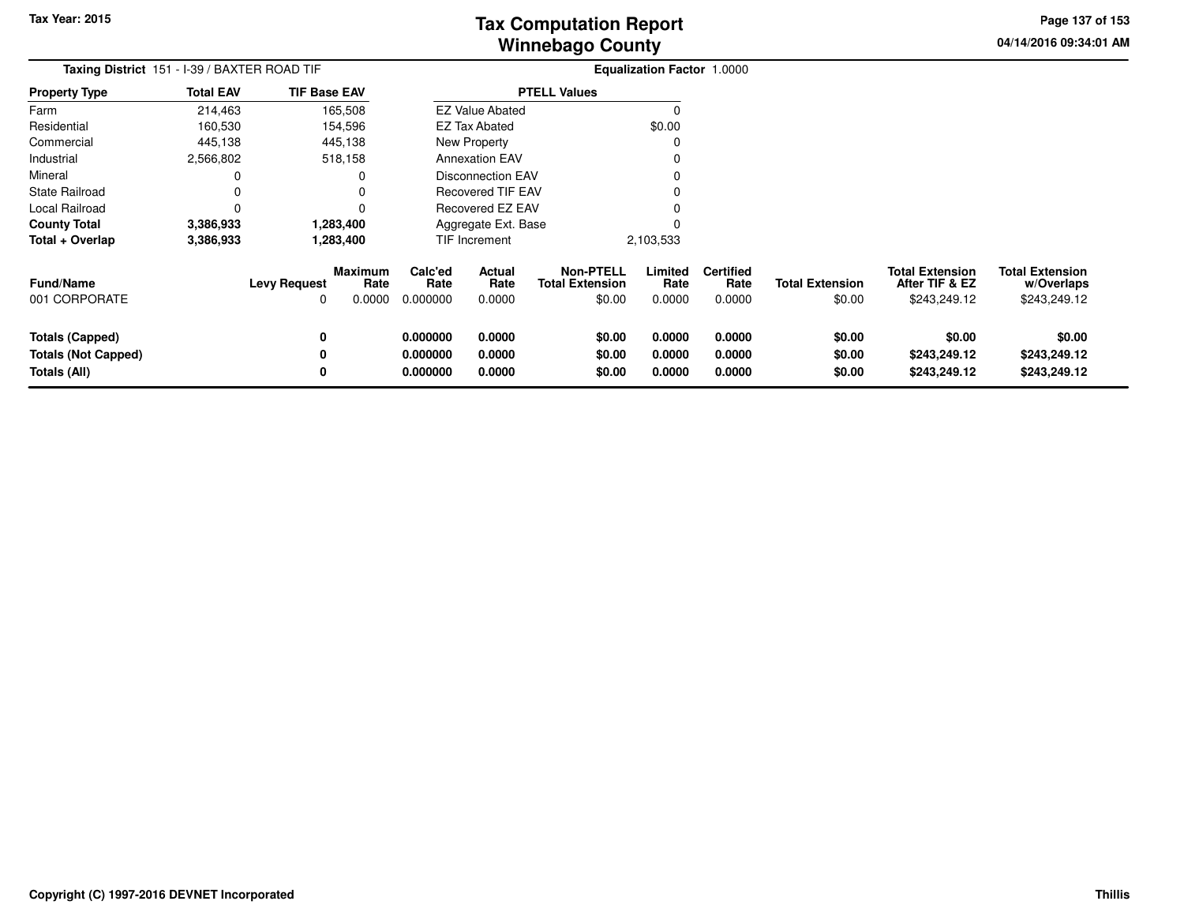**04/14/2016 09:34:01 AMPage 137 of 153**

| Taxing District 151 - I-39 / BAXTER ROAD TIF                                |                  |                                     |                           |                                  |                            |                                                      | Equalization Factor 1.0000 |                                    |                                  |                                                          |                                                      |
|-----------------------------------------------------------------------------|------------------|-------------------------------------|---------------------------|----------------------------------|----------------------------|------------------------------------------------------|----------------------------|------------------------------------|----------------------------------|----------------------------------------------------------|------------------------------------------------------|
| <b>Property Type</b>                                                        | <b>Total EAV</b> | <b>TIF Base EAV</b>                 |                           |                                  |                            | <b>PTELL Values</b>                                  |                            |                                    |                                  |                                                          |                                                      |
| Farm                                                                        | 214,463          |                                     | 165,508                   |                                  | <b>EZ Value Abated</b>     |                                                      |                            |                                    |                                  |                                                          |                                                      |
| Residential                                                                 | 160,530          |                                     | 154,596                   |                                  | <b>EZ Tax Abated</b>       |                                                      | \$0.00                     |                                    |                                  |                                                          |                                                      |
| Commercial                                                                  | 445,138          |                                     | 445,138                   |                                  | New Property               |                                                      |                            |                                    |                                  |                                                          |                                                      |
| Industrial                                                                  | 2,566,802        |                                     | 518,158                   |                                  | <b>Annexation EAV</b>      |                                                      |                            |                                    |                                  |                                                          |                                                      |
| Mineral                                                                     | 0                |                                     |                           |                                  | <b>Disconnection EAV</b>   |                                                      |                            |                                    |                                  |                                                          |                                                      |
| State Railroad                                                              | 0                |                                     |                           |                                  | Recovered TIF EAV          |                                                      |                            |                                    |                                  |                                                          |                                                      |
| Local Railroad                                                              | 0                |                                     |                           |                                  | Recovered EZ EAV           |                                                      |                            |                                    |                                  |                                                          |                                                      |
| <b>County Total</b>                                                         | 3,386,933        |                                     | 1,283,400                 |                                  | Aggregate Ext. Base        |                                                      |                            |                                    |                                  |                                                          |                                                      |
| Total + Overlap                                                             | 3,386,933        |                                     | 1,283,400                 |                                  | <b>TIF Increment</b>       |                                                      | 2,103,533                  |                                    |                                  |                                                          |                                                      |
| Fund/Name<br>001 CORPORATE                                                  |                  | <b>Levy Request</b><br><sup>0</sup> | Maximum<br>Rate<br>0.0000 | Calc'ed<br>Rate<br>0.000000      | Actual<br>Rate<br>0.0000   | <b>Non-PTELL</b><br><b>Total Extension</b><br>\$0.00 | Limited<br>Rate<br>0.0000  | <b>Certified</b><br>Rate<br>0.0000 | <b>Total Extension</b><br>\$0.00 | <b>Total Extension</b><br>After TIF & EZ<br>\$243,249.12 | <b>Total Extension</b><br>w/Overlaps<br>\$243,249.12 |
| <b>Totals (Capped)</b><br><b>Totals (Not Capped)</b><br><b>Totals (All)</b> |                  | 0<br>0<br>0                         |                           | 0.000000<br>0.000000<br>0.000000 | 0.0000<br>0.0000<br>0.0000 | \$0.00<br>\$0.00<br>\$0.00                           | 0.0000<br>0.0000<br>0.0000 | 0.0000<br>0.0000<br>0.0000         | \$0.00<br>\$0.00<br>\$0.00       | \$0.00<br>\$243,249.12<br>\$243,249.12                   | \$0.00<br>\$243,249.12<br>\$243,249.12               |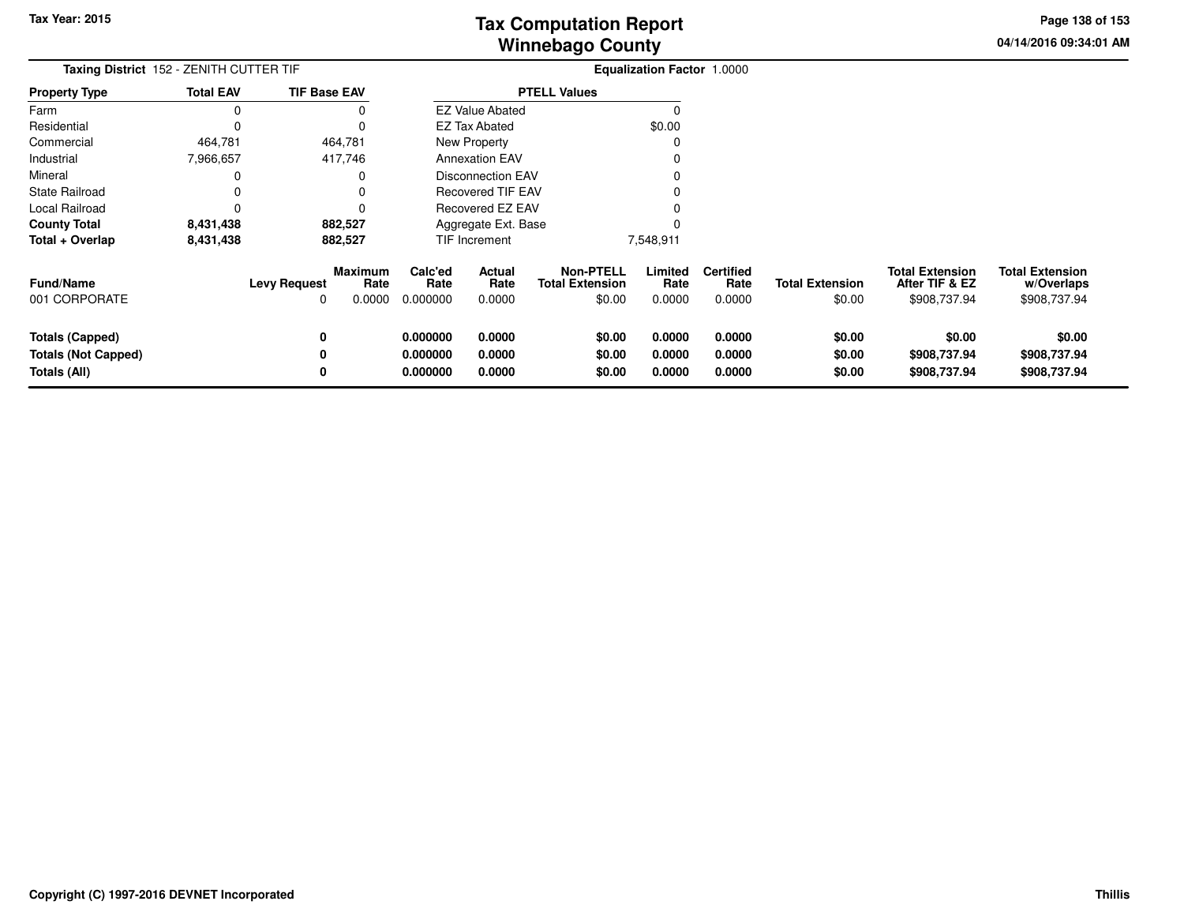**04/14/2016 09:34:01 AMPage 138 of 153**

| <b>Taxing District</b> 152 - ZENITH CUTTER TIF                       |                  |                          |                                  | <b>Equalization Factor 1.0000</b> |                            |                                                      |                            |                                    |                                  |                                                          |                                                      |
|----------------------------------------------------------------------|------------------|--------------------------|----------------------------------|-----------------------------------|----------------------------|------------------------------------------------------|----------------------------|------------------------------------|----------------------------------|----------------------------------------------------------|------------------------------------------------------|
| <b>Property Type</b>                                                 | <b>Total EAV</b> | <b>TIF Base EAV</b>      |                                  |                                   |                            | <b>PTELL Values</b>                                  |                            |                                    |                                  |                                                          |                                                      |
| Farm                                                                 | <sup>0</sup>     |                          |                                  |                                   | <b>EZ Value Abated</b>     |                                                      |                            |                                    |                                  |                                                          |                                                      |
| Residential                                                          |                  |                          |                                  |                                   | <b>EZ Tax Abated</b>       |                                                      | \$0.00                     |                                    |                                  |                                                          |                                                      |
| Commercial                                                           | 464,781          |                          | 464,781                          |                                   | New Property               |                                                      |                            |                                    |                                  |                                                          |                                                      |
| Industrial                                                           | 7,966,657        |                          | 417,746                          |                                   | <b>Annexation EAV</b>      |                                                      |                            |                                    |                                  |                                                          |                                                      |
| Mineral                                                              |                  |                          |                                  |                                   | <b>Disconnection EAV</b>   |                                                      |                            |                                    |                                  |                                                          |                                                      |
| State Railroad                                                       |                  |                          |                                  |                                   | <b>Recovered TIF EAV</b>   |                                                      |                            |                                    |                                  |                                                          |                                                      |
| Local Railroad                                                       |                  |                          |                                  |                                   | Recovered EZ EAV           |                                                      |                            |                                    |                                  |                                                          |                                                      |
| <b>County Total</b>                                                  | 8,431,438        |                          | 882,527                          |                                   | Aggregate Ext. Base        |                                                      |                            |                                    |                                  |                                                          |                                                      |
| Total + Overlap                                                      | 8,431,438        |                          | 882,527                          |                                   | <b>TIF Increment</b>       |                                                      | 7,548,911                  |                                    |                                  |                                                          |                                                      |
| <b>Fund/Name</b><br>001 CORPORATE                                    |                  | <b>Levy Request</b><br>0 | <b>Maximum</b><br>Rate<br>0.0000 | Calc'ed<br>Rate<br>0.000000       | Actual<br>Rate<br>0.0000   | <b>Non-PTELL</b><br><b>Total Extension</b><br>\$0.00 | Limited<br>Rate<br>0.0000  | <b>Certified</b><br>Rate<br>0.0000 | <b>Total Extension</b><br>\$0.00 | <b>Total Extension</b><br>After TIF & EZ<br>\$908,737.94 | <b>Total Extension</b><br>w/Overlaps<br>\$908,737.94 |
| <b>Totals (Capped)</b><br><b>Totals (Not Capped)</b><br>Totals (All) |                  | 0<br>0<br>0              |                                  | 0.000000<br>0.000000<br>0.000000  | 0.0000<br>0.0000<br>0.0000 | \$0.00<br>\$0.00<br>\$0.00                           | 0.0000<br>0.0000<br>0.0000 | 0.0000<br>0.0000<br>0.0000         | \$0.00<br>\$0.00<br>\$0.00       | \$0.00<br>\$908,737.94<br>\$908,737.94                   | \$0.00<br>\$908,737.94<br>\$908,737.94               |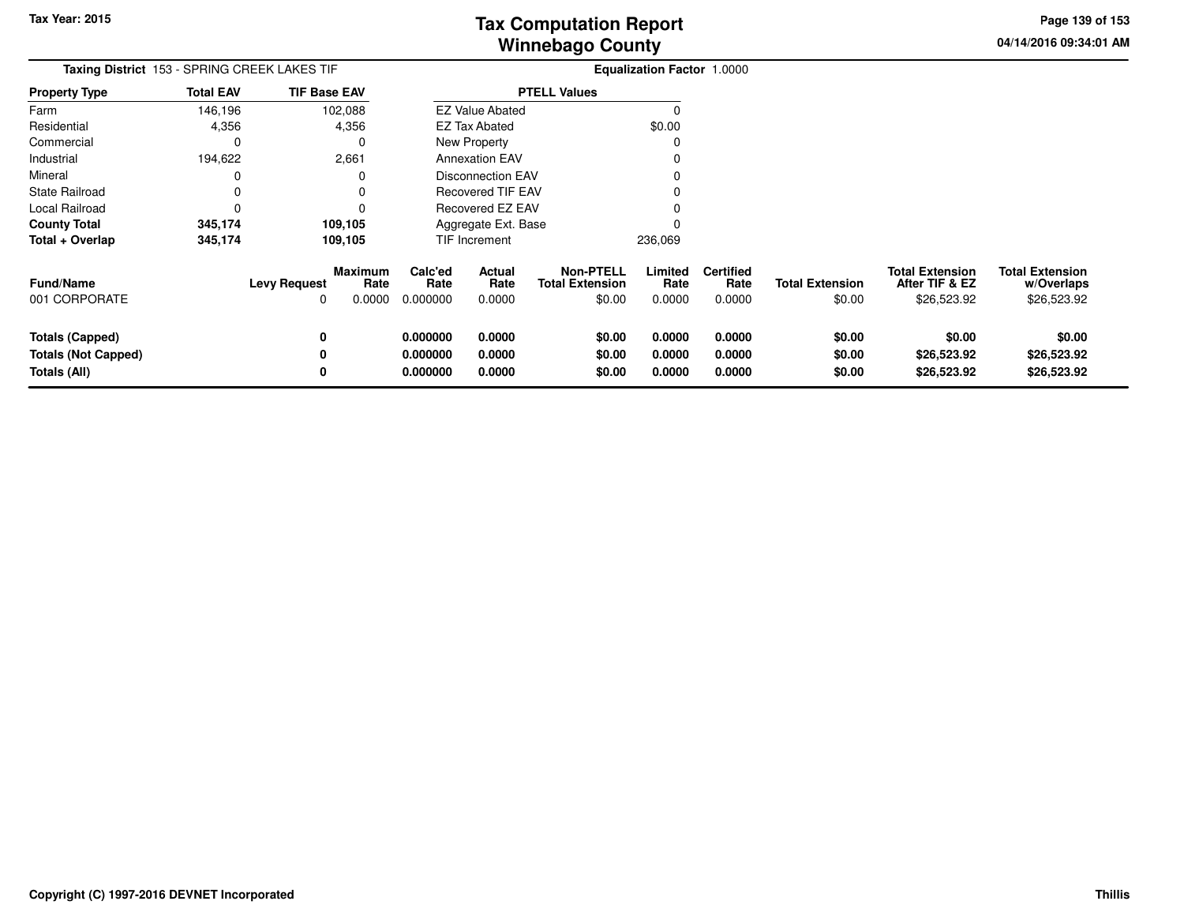**04/14/2016 09:34:01 AMPage 139 of 153**

| Taxing District 153 - SPRING CREEK LAKES TIF                  |                  |                                                         | Equalization Factor 1.0000       |                            |                                                      |                            |                                    |                                  |                                                         |                                                     |
|---------------------------------------------------------------|------------------|---------------------------------------------------------|----------------------------------|----------------------------|------------------------------------------------------|----------------------------|------------------------------------|----------------------------------|---------------------------------------------------------|-----------------------------------------------------|
| <b>Property Type</b>                                          | <b>Total EAV</b> | <b>TIF Base EAV</b>                                     |                                  |                            | <b>PTELL Values</b>                                  |                            |                                    |                                  |                                                         |                                                     |
| Farm                                                          | 146,196          | 102,088                                                 |                                  | <b>EZ Value Abated</b>     |                                                      | O                          |                                    |                                  |                                                         |                                                     |
| Residential                                                   | 4,356            | 4,356                                                   |                                  | <b>EZ Tax Abated</b>       |                                                      | \$0.00                     |                                    |                                  |                                                         |                                                     |
| Commercial                                                    | $\Omega$         | 0                                                       |                                  | New Property               |                                                      | 0                          |                                    |                                  |                                                         |                                                     |
| Industrial                                                    | 194,622          | 2,661                                                   |                                  | <b>Annexation EAV</b>      |                                                      |                            |                                    |                                  |                                                         |                                                     |
| Mineral                                                       |                  | O                                                       |                                  | <b>Disconnection EAV</b>   |                                                      |                            |                                    |                                  |                                                         |                                                     |
| <b>State Railroad</b>                                         |                  | $\Omega$                                                |                                  | <b>Recovered TIF EAV</b>   |                                                      |                            |                                    |                                  |                                                         |                                                     |
| Local Railroad                                                |                  | 0                                                       |                                  | <b>Recovered EZ EAV</b>    |                                                      |                            |                                    |                                  |                                                         |                                                     |
| <b>County Total</b>                                           | 345,174          | 109,105                                                 |                                  | Aggregate Ext. Base        |                                                      |                            |                                    |                                  |                                                         |                                                     |
| Total + Overlap                                               | 345,174          | 109,105                                                 |                                  | TIF Increment              |                                                      | 236,069                    |                                    |                                  |                                                         |                                                     |
| <b>Fund/Name</b><br>001 CORPORATE                             |                  | <b>Maximum</b><br><b>Levy Request</b><br>Rate<br>0.0000 | Calc'ed<br>Rate<br>0.000000      | Actual<br>Rate<br>0.0000   | <b>Non-PTELL</b><br><b>Total Extension</b><br>\$0.00 | Limited<br>Rate<br>0.0000  | <b>Certified</b><br>Rate<br>0.0000 | <b>Total Extension</b><br>\$0.00 | <b>Total Extension</b><br>After TIF & EZ<br>\$26,523.92 | <b>Total Extension</b><br>w/Overlaps<br>\$26,523.92 |
| Totals (Capped)<br><b>Totals (Not Capped)</b><br>Totals (All) |                  | 0                                                       | 0.000000<br>0.000000<br>0.000000 | 0.0000<br>0.0000<br>0.0000 | \$0.00<br>\$0.00<br>\$0.00                           | 0.0000<br>0.0000<br>0.0000 | 0.0000<br>0.0000<br>0.0000         | \$0.00<br>\$0.00<br>\$0.00       | \$0.00<br>\$26,523.92<br>\$26,523.92                    | \$0.00<br>\$26,523.92<br>\$26,523.92                |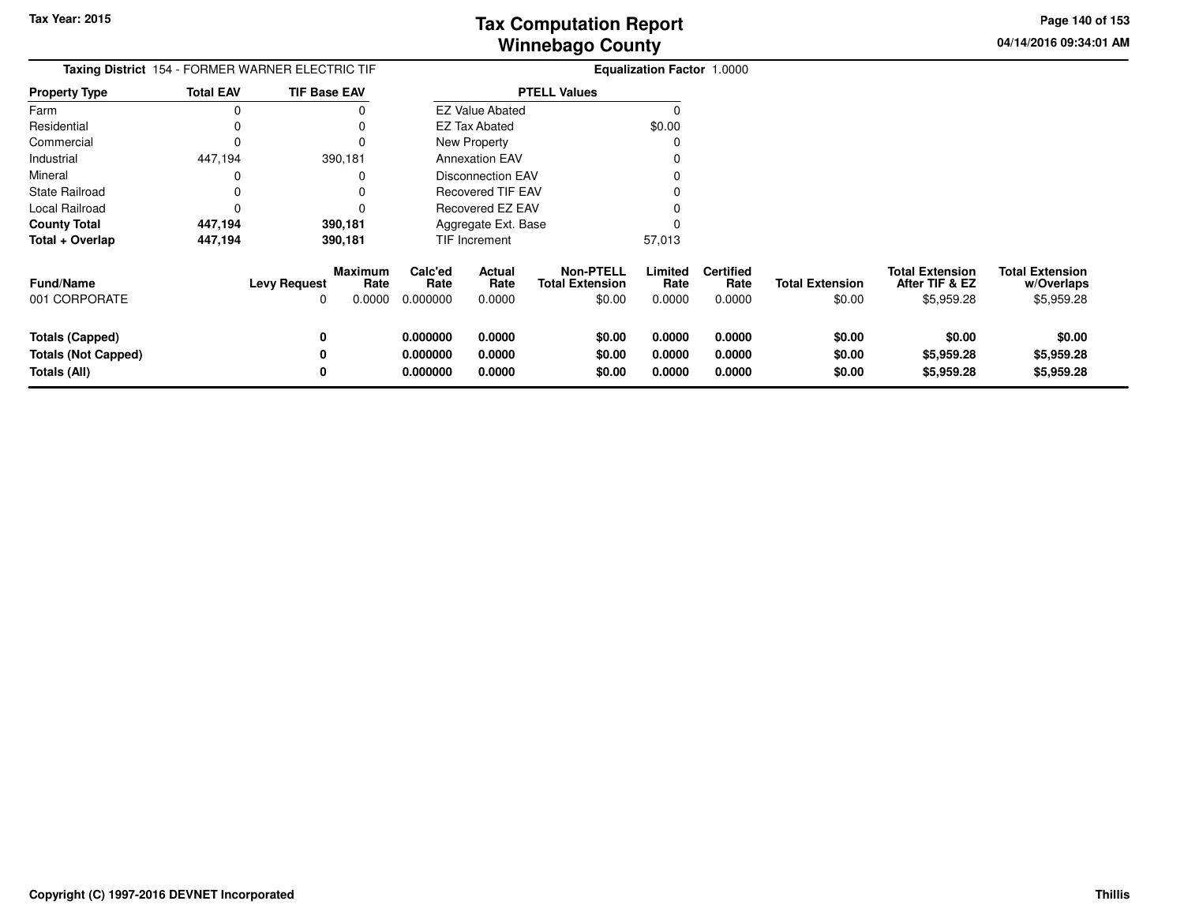**04/14/2016 09:34:01 AMPage 140 of 153**

|                                   |                  | <b>Taxing District</b> 154 - FORMER WARNER ELECTRIC TIF      |                             |                          |                                                      | <b>Equalization Factor 1.0000</b> |                                    |                                  |                                                        |                                                    |
|-----------------------------------|------------------|--------------------------------------------------------------|-----------------------------|--------------------------|------------------------------------------------------|-----------------------------------|------------------------------------|----------------------------------|--------------------------------------------------------|----------------------------------------------------|
| <b>Property Type</b>              | <b>Total EAV</b> | <b>TIF Base EAV</b>                                          |                             |                          | <b>PTELL Values</b>                                  |                                   |                                    |                                  |                                                        |                                                    |
| Farm                              | 0                |                                                              |                             | <b>EZ Value Abated</b>   |                                                      |                                   |                                    |                                  |                                                        |                                                    |
| Residential                       | 0                |                                                              |                             | EZ Tax Abated            |                                                      | \$0.00                            |                                    |                                  |                                                        |                                                    |
| Commercial                        | 0                | 0                                                            |                             | New Property             |                                                      | $\Omega$                          |                                    |                                  |                                                        |                                                    |
| Industrial                        | 447,194          | 390,181                                                      |                             | <b>Annexation EAV</b>    |                                                      |                                   |                                    |                                  |                                                        |                                                    |
| Mineral                           | 0                |                                                              |                             | <b>Disconnection EAV</b> |                                                      |                                   |                                    |                                  |                                                        |                                                    |
| <b>State Railroad</b>             | 0                |                                                              |                             | <b>Recovered TIF EAV</b> |                                                      |                                   |                                    |                                  |                                                        |                                                    |
| Local Railroad                    | 0                |                                                              |                             | Recovered EZ EAV         |                                                      |                                   |                                    |                                  |                                                        |                                                    |
| <b>County Total</b>               | 447,194          | 390,181                                                      |                             | Aggregate Ext. Base      |                                                      |                                   |                                    |                                  |                                                        |                                                    |
| Total + Overlap                   | 447,194          | 390,181                                                      |                             | <b>TIF Increment</b>     |                                                      | 57,013                            |                                    |                                  |                                                        |                                                    |
| <b>Fund/Name</b><br>001 CORPORATE |                  | <b>Maximum</b><br>Rate<br><b>Levy Request</b><br>0.0000<br>0 | Calc'ed<br>Rate<br>0.000000 | Actual<br>Rate<br>0.0000 | <b>Non-PTELL</b><br><b>Total Extension</b><br>\$0.00 | Limited<br>Rate<br>0.0000         | <b>Certified</b><br>Rate<br>0.0000 | <b>Total Extension</b><br>\$0.00 | <b>Total Extension</b><br>After TIF & EZ<br>\$5,959.28 | <b>Total Extension</b><br>w/Overlaps<br>\$5,959.28 |
| <b>Totals (Capped)</b>            |                  | 0                                                            | 0.000000                    | 0.0000                   | \$0.00                                               | 0.0000                            | 0.0000                             | \$0.00                           | \$0.00                                                 | \$0.00                                             |
| <b>Totals (Not Capped)</b>        |                  |                                                              | 0.000000                    | 0.0000                   | \$0.00                                               | 0.0000                            | 0.0000                             | \$0.00                           | \$5,959.28                                             | \$5,959.28                                         |
| Totals (All)                      |                  | 0                                                            | 0.000000                    | 0.0000                   | \$0.00                                               | 0.0000                            | 0.0000                             | \$0.00                           | \$5,959.28                                             | \$5,959.28                                         |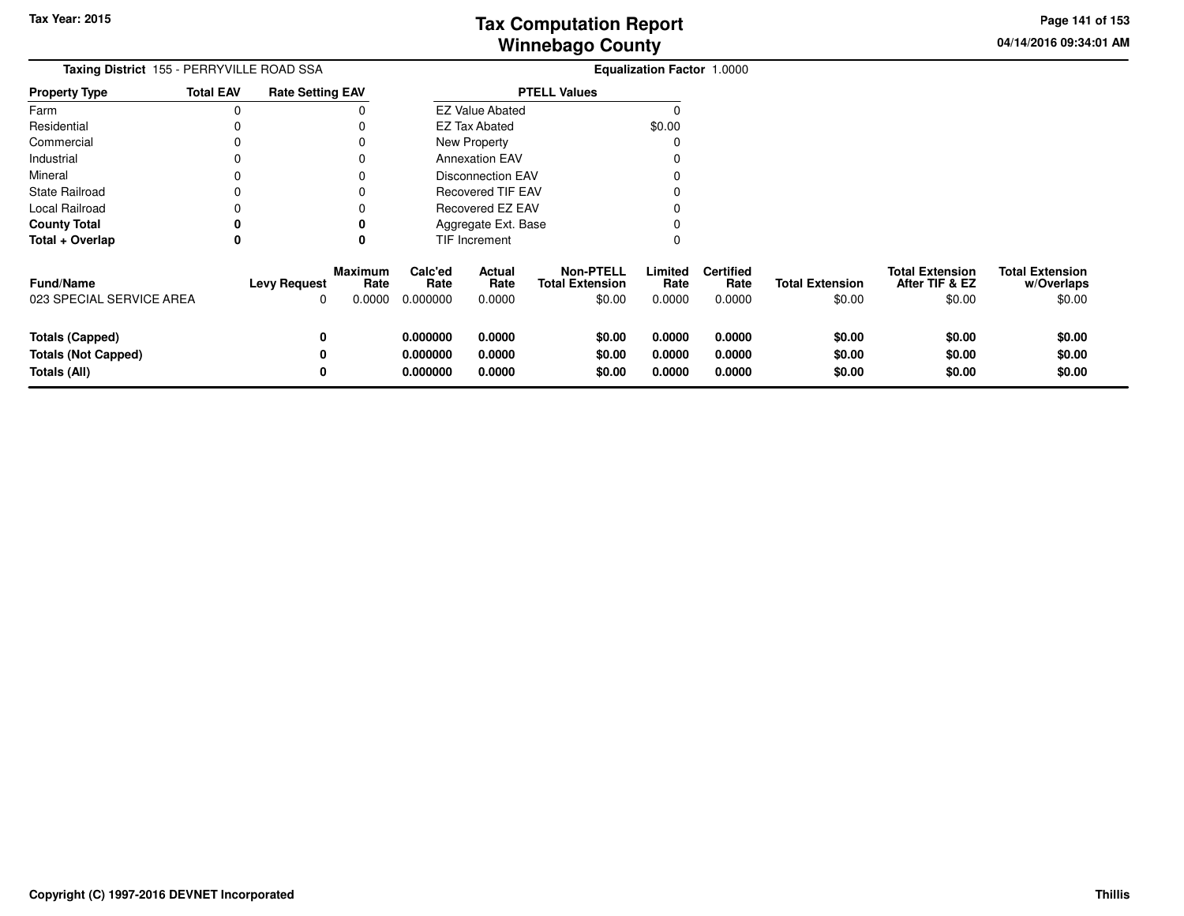**04/14/2016 09:34:01 AM Page 141 of 153**

| Taxing District 155 - PERRYVILLE ROAD SSA    |                  |                          |                           |                             |                          |                                                      | Equalization Factor 1.0000 |                                    |                                  |                                                    |                                                |
|----------------------------------------------|------------------|--------------------------|---------------------------|-----------------------------|--------------------------|------------------------------------------------------|----------------------------|------------------------------------|----------------------------------|----------------------------------------------------|------------------------------------------------|
| <b>Property Type</b>                         | <b>Total EAV</b> | <b>Rate Setting EAV</b>  |                           |                             |                          | <b>PTELL Values</b>                                  |                            |                                    |                                  |                                                    |                                                |
| Farm                                         | 0                |                          | 0                         |                             | <b>EZ Value Abated</b>   |                                                      | $\Omega$                   |                                    |                                  |                                                    |                                                |
| Residential                                  | 0                |                          |                           |                             | EZ Tax Abated            |                                                      | \$0.00                     |                                    |                                  |                                                    |                                                |
| Commercial                                   | 0                |                          |                           |                             | New Property             |                                                      | O                          |                                    |                                  |                                                    |                                                |
| Industrial                                   | 0                |                          | 0                         |                             | <b>Annexation EAV</b>    |                                                      |                            |                                    |                                  |                                                    |                                                |
| Mineral                                      | 0                |                          |                           |                             | <b>Disconnection EAV</b> |                                                      |                            |                                    |                                  |                                                    |                                                |
| <b>State Railroad</b>                        |                  |                          |                           |                             | <b>Recovered TIF EAV</b> |                                                      |                            |                                    |                                  |                                                    |                                                |
| Local Railroad                               |                  |                          |                           |                             | Recovered EZ EAV         |                                                      |                            |                                    |                                  |                                                    |                                                |
| <b>County Total</b>                          | 0                |                          |                           |                             | Aggregate Ext. Base      |                                                      |                            |                                    |                                  |                                                    |                                                |
| Total + Overlap                              | 0                |                          | 0                         |                             | TIF Increment            |                                                      |                            |                                    |                                  |                                                    |                                                |
| <b>Fund/Name</b><br>023 SPECIAL SERVICE AREA |                  | <b>Levy Request</b><br>O | Maximum<br>Rate<br>0.0000 | Calc'ed<br>Rate<br>0.000000 | Actual<br>Rate<br>0.0000 | <b>Non-PTELL</b><br><b>Total Extension</b><br>\$0.00 | Limited<br>Rate<br>0.0000  | <b>Certified</b><br>Rate<br>0.0000 | <b>Total Extension</b><br>\$0.00 | <b>Total Extension</b><br>After TIF & EZ<br>\$0.00 | <b>Total Extension</b><br>w/Overlaps<br>\$0.00 |
| <b>Totals (Capped)</b>                       |                  | 0                        |                           | 0.000000                    | 0.0000                   | \$0.00                                               | 0.0000                     | 0.0000                             | \$0.00                           | \$0.00                                             | \$0.00                                         |
| <b>Totals (Not Capped)</b>                   |                  |                          |                           | 0.000000                    | 0.0000                   | \$0.00                                               | 0.0000                     | 0.0000                             | \$0.00                           | \$0.00                                             | \$0.00                                         |
| Totals (All)                                 |                  | 0                        |                           | 0.000000                    | 0.0000                   | \$0.00                                               | 0.0000                     | 0.0000                             | \$0.00                           | \$0.00                                             | \$0.00                                         |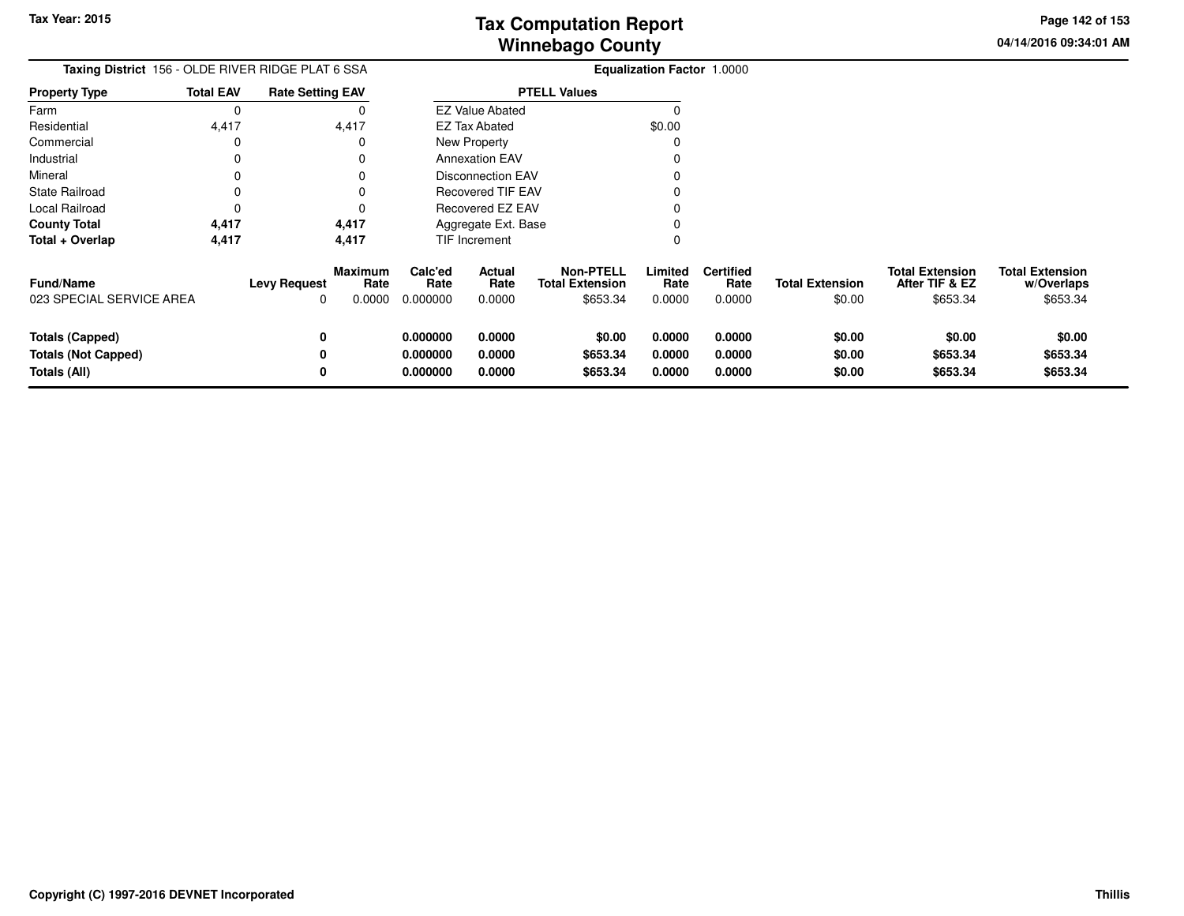**04/14/2016 09:34:01 AM Page 142 of 153**

| Taxing District 156 - OLDE RIVER RIDGE PLAT 6 SSA                    |                  |                          |                                  |                                  |                            |                                                        | Equalization Factor 1.0000 |                                    |                                  |                                                      |                                                  |
|----------------------------------------------------------------------|------------------|--------------------------|----------------------------------|----------------------------------|----------------------------|--------------------------------------------------------|----------------------------|------------------------------------|----------------------------------|------------------------------------------------------|--------------------------------------------------|
| <b>Property Type</b>                                                 | <b>Total EAV</b> | <b>Rate Setting EAV</b>  |                                  |                                  |                            | <b>PTELL Values</b>                                    |                            |                                    |                                  |                                                      |                                                  |
| Farm                                                                 | 0                |                          |                                  |                                  | <b>EZ Value Abated</b>     |                                                        | $\Omega$                   |                                    |                                  |                                                      |                                                  |
| Residential                                                          | 4,417            |                          | 4,417                            |                                  | EZ Tax Abated              |                                                        | \$0.00                     |                                    |                                  |                                                      |                                                  |
| Commercial                                                           | 0                |                          |                                  |                                  | New Property               |                                                        |                            |                                    |                                  |                                                      |                                                  |
| Industrial                                                           | 0                |                          | 0                                |                                  | <b>Annexation EAV</b>      |                                                        |                            |                                    |                                  |                                                      |                                                  |
| Mineral                                                              | 0                |                          |                                  |                                  | <b>Disconnection EAV</b>   |                                                        |                            |                                    |                                  |                                                      |                                                  |
| <b>State Railroad</b>                                                | 0                |                          |                                  |                                  | <b>Recovered TIF EAV</b>   |                                                        |                            |                                    |                                  |                                                      |                                                  |
| Local Railroad                                                       | 0                |                          |                                  |                                  | Recovered EZ EAV           |                                                        |                            |                                    |                                  |                                                      |                                                  |
| <b>County Total</b>                                                  | 4,417            |                          | 4,417                            | Aggregate Ext. Base              |                            |                                                        |                            |                                    |                                  |                                                      |                                                  |
| Total + Overlap                                                      | 4,417            |                          | 4,417                            |                                  | TIF Increment              |                                                        |                            |                                    |                                  |                                                      |                                                  |
| <b>Fund/Name</b><br>023 SPECIAL SERVICE AREA                         |                  | <b>Levy Request</b><br>0 | <b>Maximum</b><br>Rate<br>0.0000 | Calc'ed<br>Rate<br>0.000000      | Actual<br>Rate<br>0.0000   | <b>Non-PTELL</b><br><b>Total Extension</b><br>\$653.34 | Limited<br>Rate<br>0.0000  | <b>Certified</b><br>Rate<br>0.0000 | <b>Total Extension</b><br>\$0.00 | <b>Total Extension</b><br>After TIF & EZ<br>\$653.34 | <b>Total Extension</b><br>w/Overlaps<br>\$653.34 |
| <b>Totals (Capped)</b><br><b>Totals (Not Capped)</b><br>Totals (All) |                  | 0<br>0<br>0              |                                  | 0.000000<br>0.000000<br>0.000000 | 0.0000<br>0.0000<br>0.0000 | \$0.00<br>\$653.34<br>\$653.34                         | 0.0000<br>0.0000<br>0.0000 | 0.0000<br>0.0000<br>0.0000         | \$0.00<br>\$0.00<br>\$0.00       | \$0.00<br>\$653.34<br>\$653.34                       | \$0.00<br>\$653.34<br>\$653.34                   |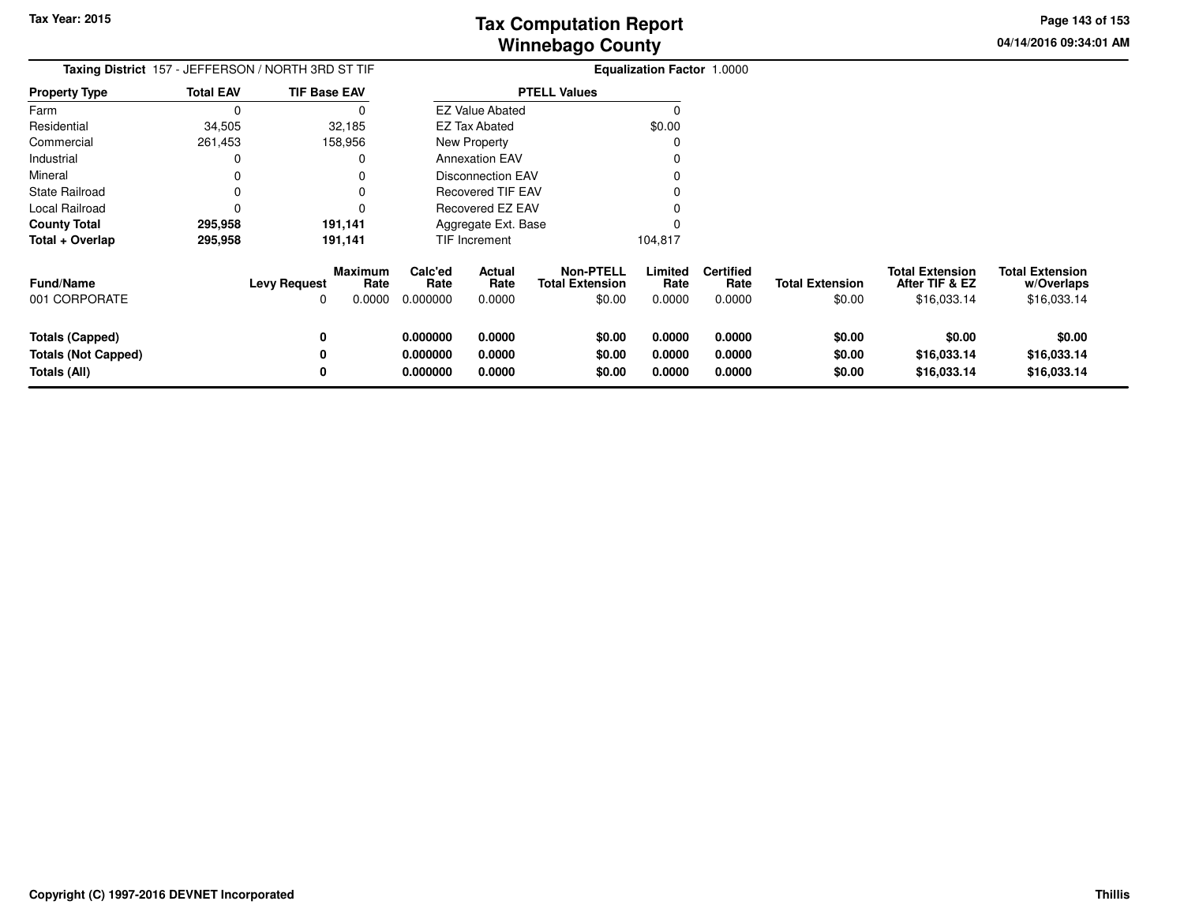**04/14/2016 09:34:01 AMPage 143 of 153**

| Taxing District 157 - JEFFERSON / NORTH 3RD ST TIF |                  |                                                              |                             | Equalization Factor 1.0000 |                                                      |                           |                                    |                                  |                                                         |                                                     |
|----------------------------------------------------|------------------|--------------------------------------------------------------|-----------------------------|----------------------------|------------------------------------------------------|---------------------------|------------------------------------|----------------------------------|---------------------------------------------------------|-----------------------------------------------------|
| <b>Property Type</b>                               | <b>Total EAV</b> | <b>TIF Base EAV</b>                                          |                             |                            | <b>PTELL Values</b>                                  |                           |                                    |                                  |                                                         |                                                     |
| Farm                                               | $\Omega$         | 0                                                            |                             | <b>EZ Value Abated</b>     |                                                      | $\Omega$                  |                                    |                                  |                                                         |                                                     |
| Residential                                        | 34,505           | 32,185                                                       |                             | <b>EZ Tax Abated</b>       |                                                      | \$0.00                    |                                    |                                  |                                                         |                                                     |
| Commercial                                         | 261,453          | 158,956                                                      |                             | New Property               |                                                      | 0                         |                                    |                                  |                                                         |                                                     |
| Industrial                                         | 0                | 0                                                            |                             | <b>Annexation EAV</b>      |                                                      | O                         |                                    |                                  |                                                         |                                                     |
| Mineral                                            | 0                | 0                                                            |                             | <b>Disconnection EAV</b>   |                                                      |                           |                                    |                                  |                                                         |                                                     |
| <b>State Railroad</b>                              | 0                |                                                              |                             | <b>Recovered TIF EAV</b>   |                                                      |                           |                                    |                                  |                                                         |                                                     |
| Local Railroad                                     | 0                |                                                              |                             | Recovered EZ EAV           |                                                      |                           |                                    |                                  |                                                         |                                                     |
| <b>County Total</b>                                | 295,958          | 191,141                                                      |                             | Aggregate Ext. Base        |                                                      |                           |                                    |                                  |                                                         |                                                     |
| Total + Overlap                                    | 295,958          | 191,141                                                      |                             | TIF Increment              |                                                      | 104,817                   |                                    |                                  |                                                         |                                                     |
| <b>Fund/Name</b><br>001 CORPORATE                  |                  | <b>Maximum</b><br>Rate<br><b>Levy Request</b><br>0.0000<br>O | Calc'ed<br>Rate<br>0.000000 | Actual<br>Rate<br>0.0000   | <b>Non-PTELL</b><br><b>Total Extension</b><br>\$0.00 | Limited<br>Rate<br>0.0000 | <b>Certified</b><br>Rate<br>0.0000 | <b>Total Extension</b><br>\$0.00 | <b>Total Extension</b><br>After TIF & EZ<br>\$16,033.14 | <b>Total Extension</b><br>w/Overlaps<br>\$16,033.14 |
| <b>Totals (Capped)</b>                             |                  | 0                                                            | 0.000000                    | 0.0000                     | \$0.00                                               | 0.0000                    | 0.0000                             | \$0.00                           | \$0.00                                                  | \$0.00                                              |
| <b>Totals (Not Capped)</b>                         |                  | 0                                                            | 0.000000                    | 0.0000                     | \$0.00                                               | 0.0000                    | 0.0000                             | \$0.00                           | \$16,033.14                                             | \$16,033.14                                         |
| Totals (All)                                       |                  | 0                                                            | 0.000000                    | 0.0000                     | \$0.00                                               | 0.0000                    | 0.0000                             | \$0.00                           | \$16,033.14                                             | \$16,033.14                                         |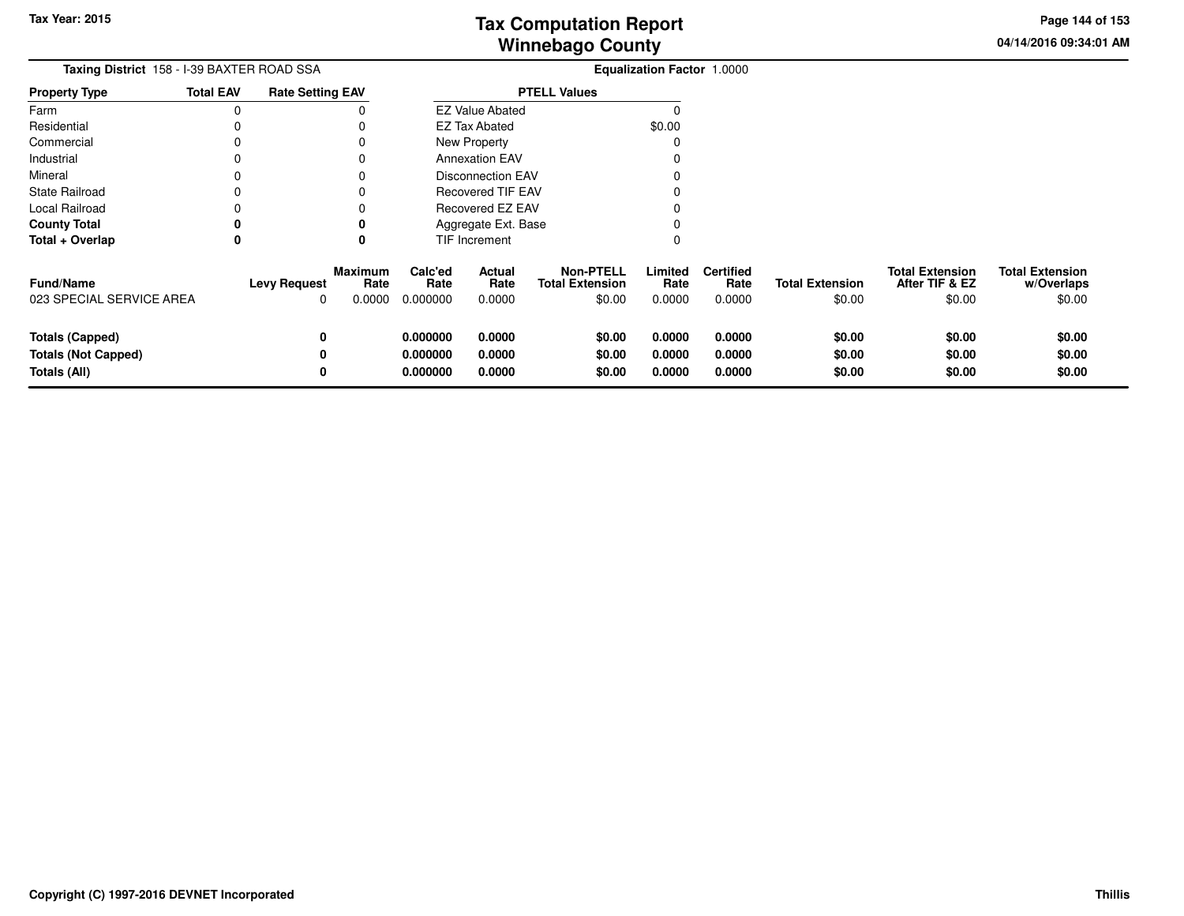**04/14/2016 09:34:01 AMPage 144 of 153**

 $$0.00$ 

| <b>Taxing District</b> 158 - I-39 BAXTER ROAD SSA |                  |                         |                                  | <b>Equalization Factor 1.0000</b>             |                          |                                                      |                           |                                    |                                  |                                                    |                                                |
|---------------------------------------------------|------------------|-------------------------|----------------------------------|-----------------------------------------------|--------------------------|------------------------------------------------------|---------------------------|------------------------------------|----------------------------------|----------------------------------------------------|------------------------------------------------|
| <b>Property Type</b>                              | <b>Total EAV</b> | <b>Rate Setting EAV</b> |                                  | <b>PTELL Values</b><br><b>EZ Value Abated</b> |                          |                                                      |                           |                                    |                                  |                                                    |                                                |
| Farm                                              | 0                |                         |                                  |                                               |                          |                                                      |                           |                                    |                                  |                                                    |                                                |
| Residential                                       |                  |                         |                                  |                                               | <b>EZ Tax Abated</b>     |                                                      | \$0.00                    |                                    |                                  |                                                    |                                                |
| Commercial                                        |                  |                         |                                  |                                               | New Property             |                                                      |                           |                                    |                                  |                                                    |                                                |
| Industrial                                        |                  |                         |                                  |                                               | <b>Annexation EAV</b>    |                                                      |                           |                                    |                                  |                                                    |                                                |
| Mineral                                           |                  |                         |                                  |                                               | <b>Disconnection EAV</b> |                                                      |                           |                                    |                                  |                                                    |                                                |
| <b>State Railroad</b>                             |                  |                         |                                  |                                               | <b>Recovered TIF EAV</b> |                                                      |                           |                                    |                                  |                                                    |                                                |
| Local Railroad                                    |                  |                         |                                  |                                               | Recovered EZ EAV         |                                                      |                           |                                    |                                  |                                                    |                                                |
| <b>County Total</b>                               |                  |                         |                                  |                                               | Aggregate Ext. Base      |                                                      |                           |                                    |                                  |                                                    |                                                |
| Total + Overlap                                   | 0                |                         | 0                                |                                               | TIF Increment            |                                                      | 0                         |                                    |                                  |                                                    |                                                |
| <b>Fund/Name</b><br>023 SPECIAL SERVICE AREA      |                  | <b>Levy Request</b>     | <b>Maximum</b><br>Rate<br>0.0000 | Calc'ed<br>Rate<br>0.000000                   | Actual<br>Rate<br>0.0000 | <b>Non-PTELL</b><br><b>Total Extension</b><br>\$0.00 | Limited<br>Rate<br>0.0000 | <b>Certified</b><br>Rate<br>0.0000 | <b>Total Extension</b><br>\$0.00 | <b>Total Extension</b><br>After TIF & EZ<br>\$0.00 | <b>Total Extension</b><br>w/Overlaps<br>\$0.00 |
|                                                   |                  |                         |                                  |                                               |                          |                                                      |                           |                                    |                                  |                                                    |                                                |
| <b>Totals (Capped)</b>                            |                  | 0                       |                                  | 0.000000                                      | 0.0000                   | \$0.00                                               | 0.0000                    | 0.0000                             | \$0.00                           | \$0.00                                             | \$0.00                                         |
| <b>Totals (Not Capped)</b>                        |                  |                         |                                  | 0.000000                                      | 0.0000                   | \$0.00                                               | 0.0000                    | 0.0000                             | \$0.00                           | \$0.00                                             | \$0.00                                         |
| Totals (All)                                      |                  |                         |                                  | 0.000000                                      | 0.0000                   | \$0.00                                               | 0.0000                    | 0.0000                             | \$0.00                           | \$0.00                                             | \$0.00                                         |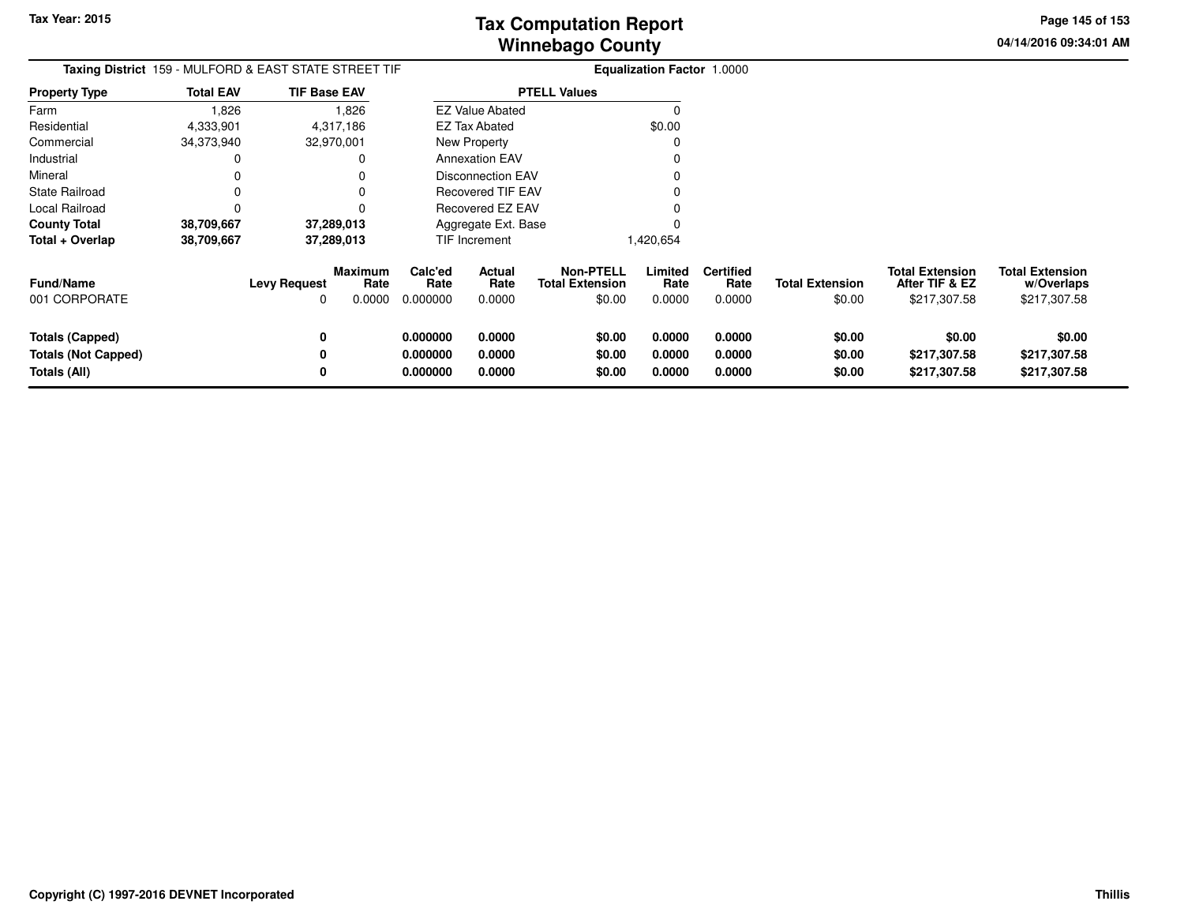**04/14/2016 09:34:01 AMPage 145 of 153**

| Taxing District 159 - MULFORD & EAST STATE STREET TIF         |                  |                          |                                  |                                  |                            |                                                      | <b>Equalization Factor 1.0000</b> |                                    |                                  |                                                          |                                                      |
|---------------------------------------------------------------|------------------|--------------------------|----------------------------------|----------------------------------|----------------------------|------------------------------------------------------|-----------------------------------|------------------------------------|----------------------------------|----------------------------------------------------------|------------------------------------------------------|
| Property Type                                                 | <b>Total EAV</b> | <b>TIF Base EAV</b>      |                                  |                                  |                            | <b>PTELL Values</b>                                  |                                   |                                    |                                  |                                                          |                                                      |
| Farm                                                          | 1,826            |                          | 1,826                            |                                  | <b>EZ Value Abated</b>     |                                                      | O                                 |                                    |                                  |                                                          |                                                      |
| Residential                                                   | 4,333,901        |                          | 4,317,186                        |                                  | <b>EZ Tax Abated</b>       |                                                      | \$0.00                            |                                    |                                  |                                                          |                                                      |
| Commercial                                                    | 34,373,940       |                          | 32,970,001                       |                                  | New Property               |                                                      |                                   |                                    |                                  |                                                          |                                                      |
| Industrial                                                    | 0                |                          |                                  |                                  | <b>Annexation EAV</b>      |                                                      |                                   |                                    |                                  |                                                          |                                                      |
| Mineral                                                       |                  |                          |                                  |                                  | Disconnection EAV          |                                                      |                                   |                                    |                                  |                                                          |                                                      |
| State Railroad                                                |                  |                          |                                  |                                  | Recovered TIF EAV          |                                                      |                                   |                                    |                                  |                                                          |                                                      |
| Local Railroad                                                | 0                |                          |                                  |                                  | Recovered EZ EAV           |                                                      |                                   |                                    |                                  |                                                          |                                                      |
| <b>County Total</b>                                           | 38,709,667       |                          | 37,289,013                       |                                  | Aggregate Ext. Base        |                                                      |                                   |                                    |                                  |                                                          |                                                      |
| Total + Overlap                                               | 38,709,667       |                          | 37,289,013                       |                                  | TIF Increment              |                                                      | 1,420,654                         |                                    |                                  |                                                          |                                                      |
| <b>Fund/Name</b><br>001 CORPORATE                             |                  | <b>Levy Request</b><br>0 | <b>Maximum</b><br>Rate<br>0.0000 | Calc'ed<br>Rate<br>0.000000      | Actual<br>Rate<br>0.0000   | <b>Non-PTELL</b><br><b>Total Extension</b><br>\$0.00 | Limited<br>Rate<br>0.0000         | <b>Certified</b><br>Rate<br>0.0000 | <b>Total Extension</b><br>\$0.00 | <b>Total Extension</b><br>After TIF & EZ<br>\$217,307.58 | <b>Total Extension</b><br>w/Overlaps<br>\$217,307.58 |
| Totals (Capped)<br><b>Totals (Not Capped)</b><br>Totals (All) |                  | 0<br>0<br>0              |                                  | 0.000000<br>0.000000<br>0.000000 | 0.0000<br>0.0000<br>0.0000 | \$0.00<br>\$0.00<br>\$0.00                           | 0.0000<br>0.0000<br>0.0000        | 0.0000<br>0.0000<br>0.0000         | \$0.00<br>\$0.00<br>\$0.00       | \$0.00<br>\$217,307.58<br>\$217,307.58                   | \$0.00<br>\$217,307.58<br>\$217,307.58               |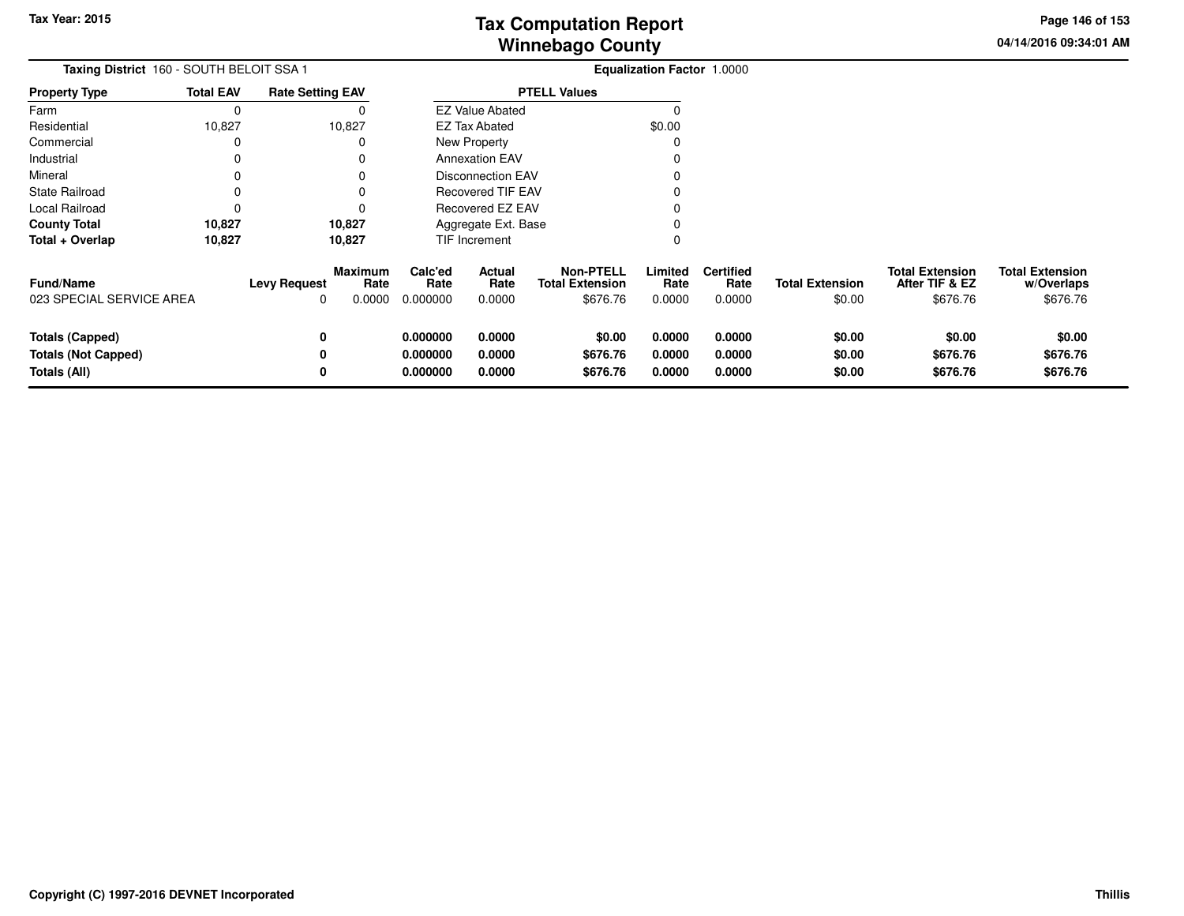**04/14/2016 09:34:01 AMPage 146 of 153**

| Taxing District 160 - SOUTH BELOIT SSA 1                             |                  |                          |                                  |                                  |                                 |                                                        | Equalization Factor 1.0000 |                                    |                                  |                                                      |                                                  |
|----------------------------------------------------------------------|------------------|--------------------------|----------------------------------|----------------------------------|---------------------------------|--------------------------------------------------------|----------------------------|------------------------------------|----------------------------------|------------------------------------------------------|--------------------------------------------------|
| <b>Property Type</b>                                                 | <b>Total EAV</b> | <b>Rate Setting EAV</b>  |                                  |                                  | <b>PTELL Values</b>             |                                                        |                            |                                    |                                  |                                                      |                                                  |
| Farm                                                                 | 0                |                          |                                  |                                  | <b>EZ Value Abated</b>          |                                                        | 0                          |                                    |                                  |                                                      |                                                  |
| Residential                                                          | 10,827           |                          | 10,827                           |                                  | EZ Tax Abated                   |                                                        | \$0.00                     |                                    |                                  |                                                      |                                                  |
| Commercial                                                           | 0                |                          | 0                                | New Property                     |                                 |                                                        |                            |                                    |                                  |                                                      |                                                  |
| Industrial                                                           | 0                |                          | 0                                |                                  | <b>Annexation EAV</b>           |                                                        |                            |                                    |                                  |                                                      |                                                  |
| Mineral                                                              | 0                |                          | 0                                |                                  | <b>Disconnection EAV</b>        |                                                        |                            |                                    |                                  |                                                      |                                                  |
| <b>State Railroad</b>                                                | 0                |                          | 0                                | <b>Recovered TIF EAV</b>         |                                 |                                                        |                            |                                    |                                  |                                                      |                                                  |
| Local Railroad                                                       | 0                |                          | 0                                | Recovered EZ EAV                 |                                 |                                                        |                            |                                    |                                  |                                                      |                                                  |
| <b>County Total</b>                                                  | 10,827           |                          | 10,827                           | Aggregate Ext. Base              |                                 |                                                        |                            |                                    |                                  |                                                      |                                                  |
| Total + Overlap                                                      | 10,827           |                          | 10,827                           |                                  | TIF Increment                   |                                                        | O                          |                                    |                                  |                                                      |                                                  |
| <b>Fund/Name</b><br>023 SPECIAL SERVICE AREA                         |                  | <b>Levy Request</b><br>0 | <b>Maximum</b><br>Rate<br>0.0000 | Calc'ed<br>Rate<br>0.000000      | <b>Actual</b><br>Rate<br>0.0000 | <b>Non-PTELL</b><br><b>Total Extension</b><br>\$676.76 | Limited<br>Rate<br>0.0000  | <b>Certified</b><br>Rate<br>0.0000 | <b>Total Extension</b><br>\$0.00 | <b>Total Extension</b><br>After TIF & EZ<br>\$676.76 | <b>Total Extension</b><br>w/Overlaps<br>\$676.76 |
| <b>Totals (Capped)</b><br><b>Totals (Not Capped)</b><br>Totals (All) |                  | 0<br>0<br>0              |                                  | 0.000000<br>0.000000<br>0.000000 | 0.0000<br>0.0000<br>0.0000      | \$0.00<br>\$676.76<br>\$676.76                         | 0.0000<br>0.0000<br>0.0000 | 0.0000<br>0.0000<br>0.0000         | \$0.00<br>\$0.00<br>\$0.00       | \$0.00<br>\$676.76<br>\$676.76                       | \$0.00<br>\$676.76<br>\$676.76                   |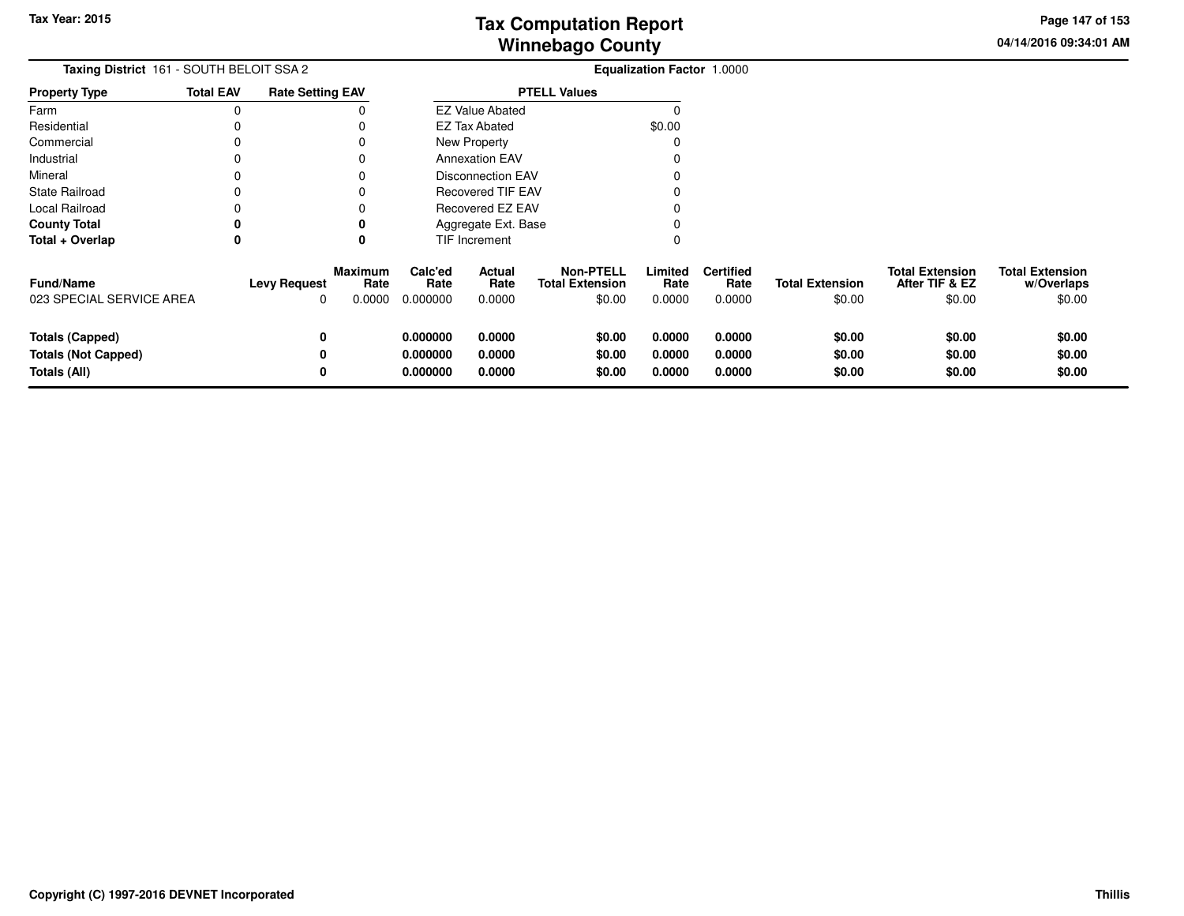**04/14/2016 09:34:01 AMPage 147 of 153**

| Taxing District 161 - SOUTH BELOIT SSA 2                             |                  |                                 |                                  | <b>Equalization Factor 1.0000</b> |                            |                                                      |                            |                                    |                                  |                                                    |                                                |
|----------------------------------------------------------------------|------------------|---------------------------------|----------------------------------|-----------------------------------|----------------------------|------------------------------------------------------|----------------------------|------------------------------------|----------------------------------|----------------------------------------------------|------------------------------------------------|
| <b>Property Type</b>                                                 | <b>Total EAV</b> | <b>Rate Setting EAV</b>         |                                  |                                   |                            | <b>PTELL Values</b>                                  |                            |                                    |                                  |                                                    |                                                |
| Farm                                                                 | 0                |                                 |                                  |                                   | <b>EZ Value Abated</b>     |                                                      |                            |                                    |                                  |                                                    |                                                |
| Residential                                                          | 0                |                                 |                                  |                                   | <b>EZ Tax Abated</b>       |                                                      | \$0.00                     |                                    |                                  |                                                    |                                                |
| Commercial                                                           | 0                |                                 | 0                                |                                   | New Property               |                                                      |                            |                                    |                                  |                                                    |                                                |
| Industrial                                                           | 0                |                                 | 0                                |                                   | <b>Annexation EAV</b>      |                                                      |                            |                                    |                                  |                                                    |                                                |
| Mineral                                                              | $\mathbf 0$      |                                 | 0                                |                                   | <b>Disconnection EAV</b>   |                                                      |                            |                                    |                                  |                                                    |                                                |
| <b>State Railroad</b>                                                | 0                |                                 |                                  |                                   | Recovered TIF EAV          |                                                      |                            |                                    |                                  |                                                    |                                                |
| Local Railroad                                                       | $\Omega$         |                                 |                                  |                                   | Recovered EZ EAV           |                                                      |                            |                                    |                                  |                                                    |                                                |
| <b>County Total</b><br>0<br>0                                        |                  |                                 |                                  | Aggregate Ext. Base               |                            |                                                      |                            |                                    |                                  |                                                    |                                                |
| Total + Overlap                                                      | 0                |                                 | 0                                |                                   | TIF Increment              |                                                      |                            |                                    |                                  |                                                    |                                                |
| <b>Fund/Name</b><br>023 SPECIAL SERVICE AREA                         |                  | <b>Levy Request</b><br>$\Omega$ | <b>Maximum</b><br>Rate<br>0.0000 | Calc'ed<br>Rate<br>0.000000       | Actual<br>Rate<br>0.0000   | <b>Non-PTELL</b><br><b>Total Extension</b><br>\$0.00 | Limited<br>Rate<br>0.0000  | <b>Certified</b><br>Rate<br>0.0000 | <b>Total Extension</b><br>\$0.00 | <b>Total Extension</b><br>After TIF & EZ<br>\$0.00 | <b>Total Extension</b><br>w/Overlaps<br>\$0.00 |
| <b>Totals (Capped)</b><br><b>Totals (Not Capped)</b><br>Totals (All) |                  | 0<br>0<br>0                     |                                  | 0.000000<br>0.000000<br>0.000000  | 0.0000<br>0.0000<br>0.0000 | \$0.00<br>\$0.00<br>\$0.00                           | 0.0000<br>0.0000<br>0.0000 | 0.0000<br>0.0000<br>0.0000         | \$0.00<br>\$0.00<br>\$0.00       | \$0.00<br>\$0.00<br>\$0.00                         | \$0.00<br>\$0.00<br>\$0.00                     |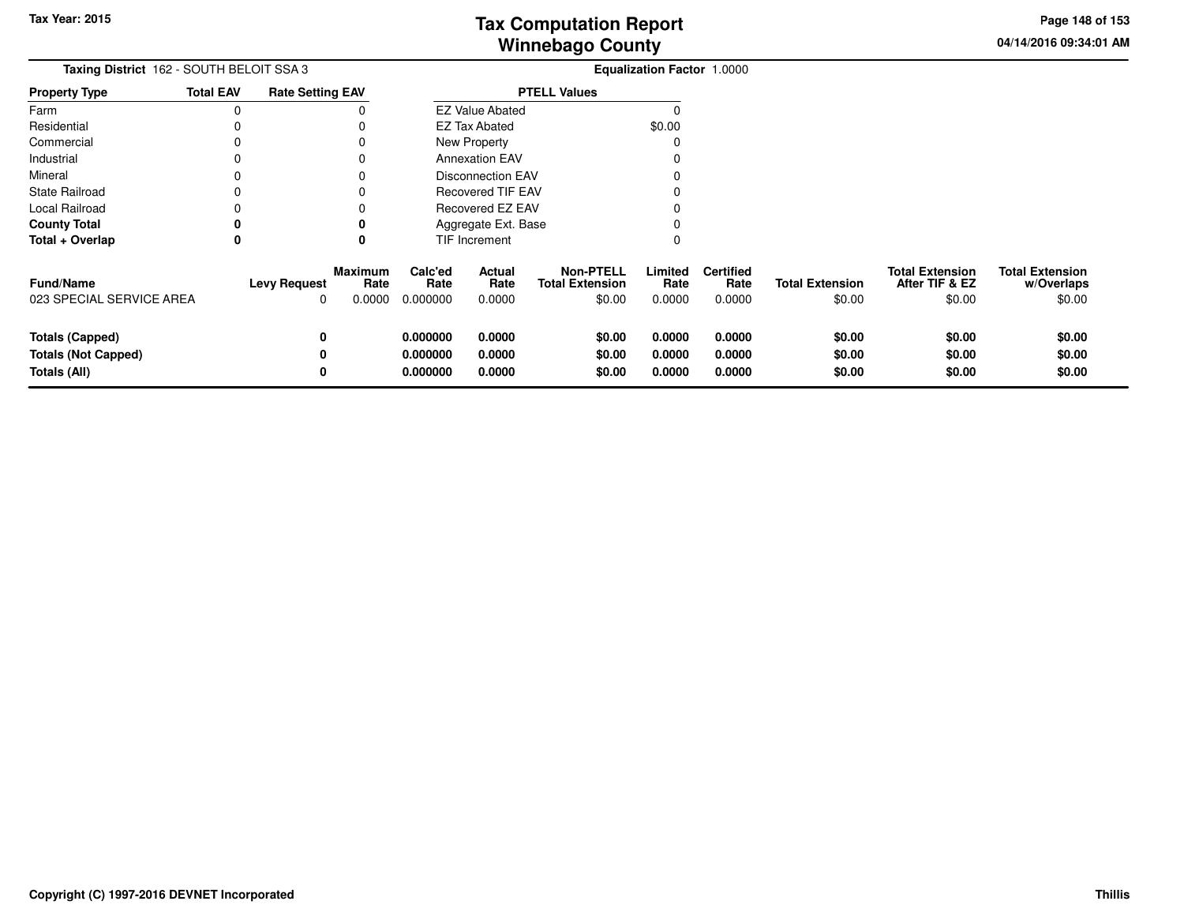**04/14/2016 09:34:01 AM Page 148 of 153**

| Taxing District 162 - SOUTH BELOIT SSA 3                             |                  |                          |                                  |                                  |                                |                                                      | Equalization Factor 1.0000 |                                    |                                  |                                                    |                                                |
|----------------------------------------------------------------------|------------------|--------------------------|----------------------------------|----------------------------------|--------------------------------|------------------------------------------------------|----------------------------|------------------------------------|----------------------------------|----------------------------------------------------|------------------------------------------------|
| <b>Property Type</b>                                                 | <b>Total EAV</b> | <b>Rate Setting EAV</b>  |                                  |                                  |                                | <b>PTELL Values</b>                                  |                            |                                    |                                  |                                                    |                                                |
| Farm                                                                 | 0                |                          |                                  |                                  | <b>EZ Value Abated</b>         |                                                      |                            |                                    |                                  |                                                    |                                                |
| Residential                                                          |                  |                          |                                  |                                  | \$0.00<br><b>EZ Tax Abated</b> |                                                      |                            |                                    |                                  |                                                    |                                                |
| Commercial                                                           |                  |                          |                                  |                                  | New Property                   |                                                      |                            |                                    |                                  |                                                    |                                                |
| Industrial                                                           |                  |                          |                                  |                                  | <b>Annexation EAV</b>          |                                                      |                            |                                    |                                  |                                                    |                                                |
| Mineral                                                              |                  |                          |                                  |                                  | <b>Disconnection EAV</b>       |                                                      |                            |                                    |                                  |                                                    |                                                |
| State Railroad                                                       |                  |                          |                                  |                                  | <b>Recovered TIF EAV</b>       |                                                      |                            |                                    |                                  |                                                    |                                                |
| Local Railroad                                                       |                  |                          |                                  |                                  | Recovered EZ EAV               |                                                      |                            |                                    |                                  |                                                    |                                                |
| <b>County Total</b>                                                  | 0                |                          | 0                                |                                  | Aggregate Ext. Base            |                                                      |                            |                                    |                                  |                                                    |                                                |
| Total + Overlap                                                      | 0                |                          | 0                                |                                  | TIF Increment                  |                                                      |                            |                                    |                                  |                                                    |                                                |
| Fund/Name<br>023 SPECIAL SERVICE AREA                                |                  | <b>Levy Request</b><br>0 | <b>Maximum</b><br>Rate<br>0.0000 | Calc'ed<br>Rate<br>0.000000      | Actual<br>Rate<br>0.0000       | <b>Non-PTELL</b><br><b>Total Extension</b><br>\$0.00 | Limited<br>Rate<br>0.0000  | <b>Certified</b><br>Rate<br>0.0000 | <b>Total Extension</b><br>\$0.00 | <b>Total Extension</b><br>After TIF & EZ<br>\$0.00 | <b>Total Extension</b><br>w/Overlaps<br>\$0.00 |
| <b>Totals (Capped)</b><br><b>Totals (Not Capped)</b><br>Totals (All) |                  | 0<br>0<br>0              |                                  | 0.000000<br>0.000000<br>0.000000 | 0.0000<br>0.0000<br>0.0000     | \$0.00<br>\$0.00<br>\$0.00                           | 0.0000<br>0.0000<br>0.0000 | 0.0000<br>0.0000<br>0.0000         | \$0.00<br>\$0.00<br>\$0.00       | \$0.00<br>\$0.00<br>\$0.00                         | \$0.00<br>\$0.00<br>\$0.00                     |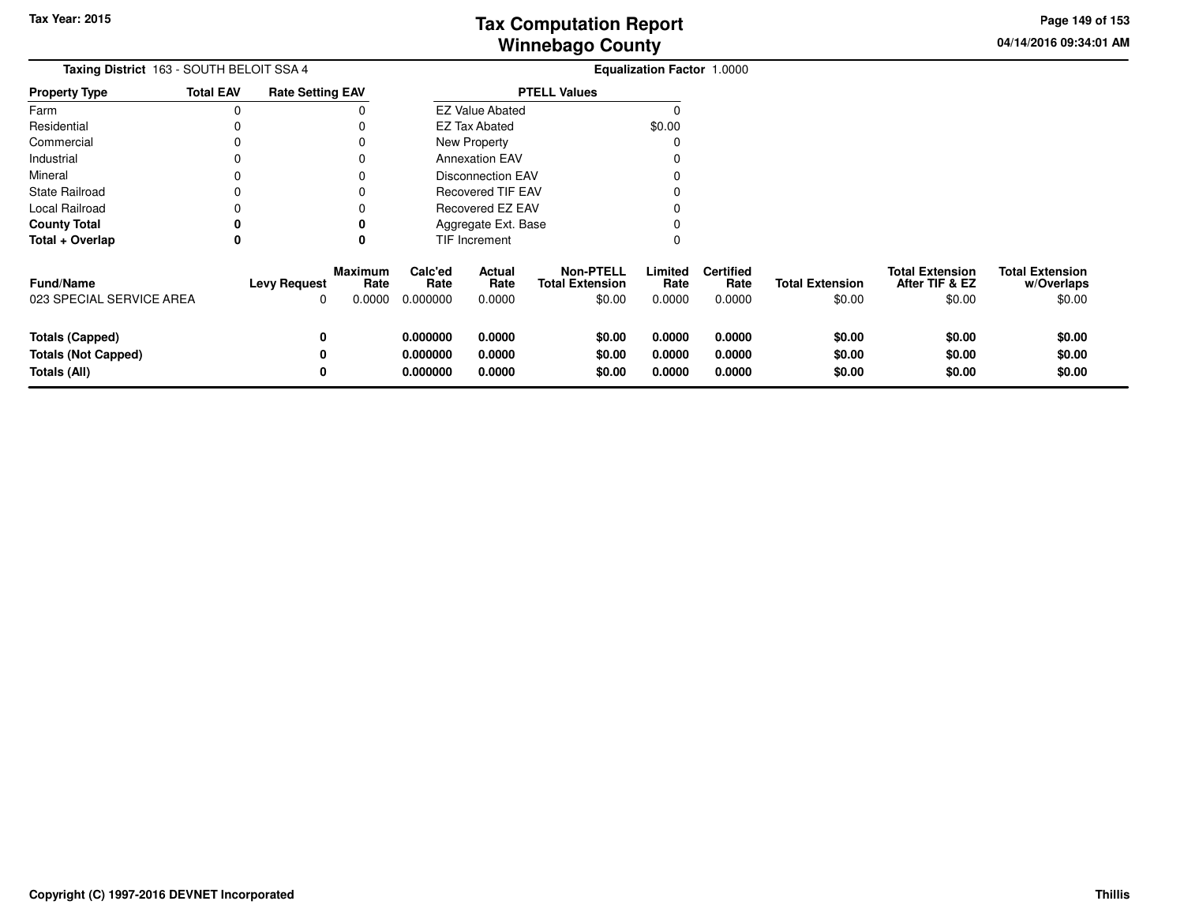**04/14/2016 09:34:01 AMPage 149 of 153**

| Taxing District 163 - SOUTH BELOIT SSA 4                             |                  |                          |                                  |                                  | Equalization Factor 1.0000 |                                                      |                            |                                    |                                  |                                                    |                                                |
|----------------------------------------------------------------------|------------------|--------------------------|----------------------------------|----------------------------------|----------------------------|------------------------------------------------------|----------------------------|------------------------------------|----------------------------------|----------------------------------------------------|------------------------------------------------|
| <b>Property Type</b>                                                 | <b>Total EAV</b> | <b>Rate Setting EAV</b>  |                                  | <b>PTELL Values</b>              |                            |                                                      |                            |                                    |                                  |                                                    |                                                |
| Farm                                                                 | $\mathbf 0$      |                          |                                  |                                  | <b>EZ Value Abated</b>     |                                                      |                            |                                    |                                  |                                                    |                                                |
| Residential                                                          |                  |                          |                                  |                                  | <b>EZ Tax Abated</b>       |                                                      | \$0.00                     |                                    |                                  |                                                    |                                                |
| Commercial                                                           | 0                |                          |                                  |                                  | New Property               |                                                      |                            |                                    |                                  |                                                    |                                                |
| Industrial                                                           | 0                |                          |                                  |                                  | <b>Annexation EAV</b>      |                                                      |                            |                                    |                                  |                                                    |                                                |
| Mineral                                                              | $\Omega$         |                          |                                  |                                  | <b>Disconnection EAV</b>   |                                                      |                            |                                    |                                  |                                                    |                                                |
| <b>State Railroad</b>                                                | 0                |                          |                                  |                                  | <b>Recovered TIF EAV</b>   |                                                      |                            |                                    |                                  |                                                    |                                                |
| Local Railroad                                                       | 0                |                          |                                  | Recovered EZ EAV                 |                            |                                                      |                            |                                    |                                  |                                                    |                                                |
| <b>County Total</b>                                                  | 0                |                          |                                  |                                  | Aggregate Ext. Base        |                                                      |                            |                                    |                                  |                                                    |                                                |
| Total + Overlap                                                      | 0                |                          | 0                                |                                  | TIF Increment              |                                                      |                            |                                    |                                  |                                                    |                                                |
| <b>Fund/Name</b><br>023 SPECIAL SERVICE AREA                         |                  | <b>Levy Request</b><br>0 | <b>Maximum</b><br>Rate<br>0.0000 | Calc'ed<br>Rate<br>0.000000      | Actual<br>Rate<br>0.0000   | <b>Non-PTELL</b><br><b>Total Extension</b><br>\$0.00 | Limited<br>Rate<br>0.0000  | <b>Certified</b><br>Rate<br>0.0000 | <b>Total Extension</b><br>\$0.00 | <b>Total Extension</b><br>After TIF & EZ<br>\$0.00 | <b>Total Extension</b><br>w/Overlaps<br>\$0.00 |
| <b>Totals (Capped)</b><br><b>Totals (Not Capped)</b><br>Totals (All) |                  | 0<br>0<br>0              |                                  | 0.000000<br>0.000000<br>0.000000 | 0.0000<br>0.0000<br>0.0000 | \$0.00<br>\$0.00<br>\$0.00                           | 0.0000<br>0.0000<br>0.0000 | 0.0000<br>0.0000<br>0.0000         | \$0.00<br>\$0.00<br>\$0.00       | \$0.00<br>\$0.00<br>\$0.00                         | \$0.00<br>\$0.00<br>\$0.00                     |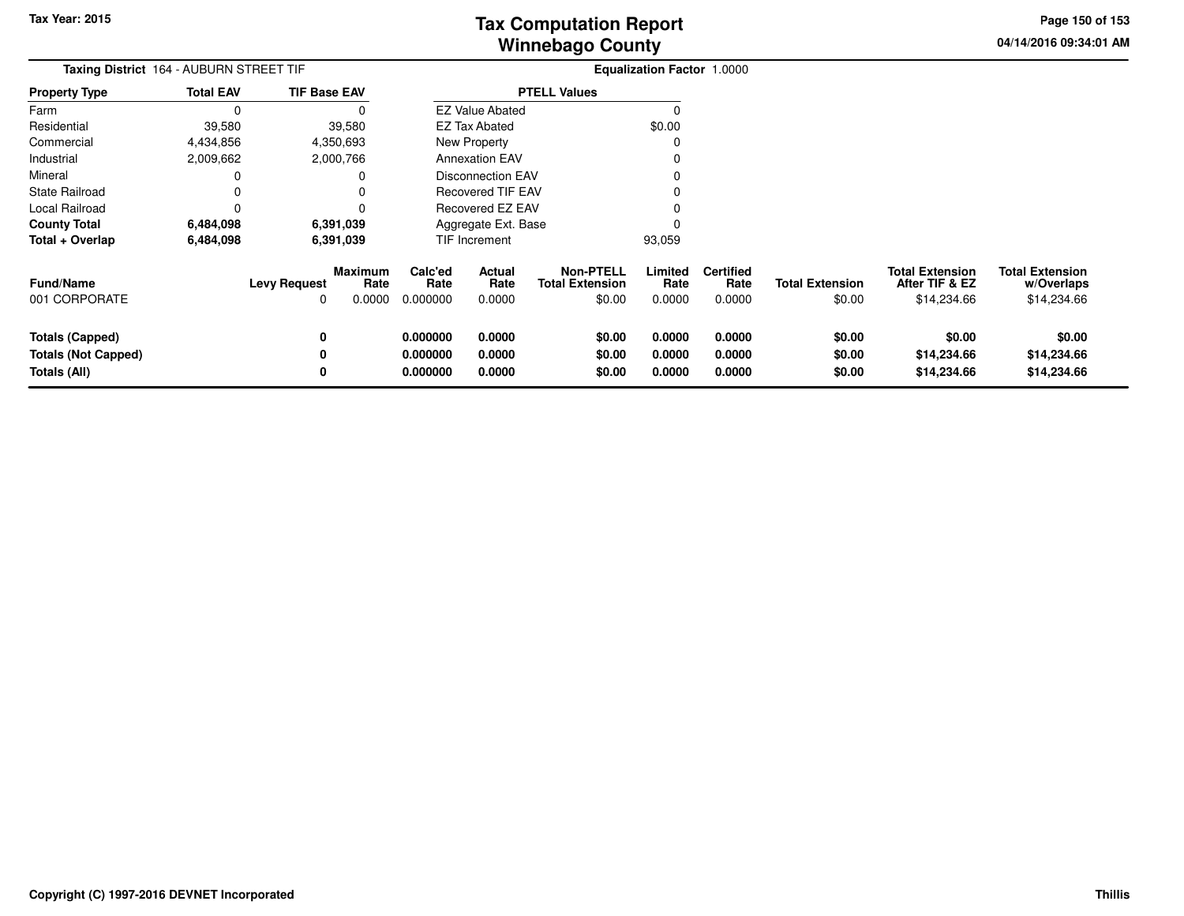**04/14/2016 09:34:01 AMPage 150 of 153**

|                            | Taxing District 164 - AUBURN STREET TIF |                     |                        |                 |                          |                                            | <b>Equalization Factor 1.0000</b> |                          |                        |                                          |                                      |
|----------------------------|-----------------------------------------|---------------------|------------------------|-----------------|--------------------------|--------------------------------------------|-----------------------------------|--------------------------|------------------------|------------------------------------------|--------------------------------------|
| <b>Property Type</b>       | <b>Total EAV</b>                        | <b>TIF Base EAV</b> |                        |                 |                          | <b>PTELL Values</b>                        |                                   |                          |                        |                                          |                                      |
| Farm                       | $\Omega$                                |                     | 0                      |                 | <b>EZ Value Abated</b>   |                                            | ∩                                 |                          |                        |                                          |                                      |
| Residential                | 39,580                                  |                     | 39,580                 |                 | EZ Tax Abated            |                                            | \$0.00                            |                          |                        |                                          |                                      |
| Commercial                 | 4,434,856                               |                     | 4,350,693              |                 | New Property             |                                            | C                                 |                          |                        |                                          |                                      |
| Industrial                 | 2,009,662                               |                     | 2,000,766              |                 | <b>Annexation EAV</b>    |                                            |                                   |                          |                        |                                          |                                      |
| Mineral                    | 0                                       |                     | 0                      |                 | <b>Disconnection EAV</b> |                                            |                                   |                          |                        |                                          |                                      |
| <b>State Railroad</b>      | 0                                       |                     | $\Omega$               |                 | <b>Recovered TIF EAV</b> |                                            |                                   |                          |                        |                                          |                                      |
| Local Railroad             | 0                                       |                     | 0                      |                 | Recovered EZ EAV         |                                            |                                   |                          |                        |                                          |                                      |
| <b>County Total</b>        | 6,484,098                               |                     | 6,391,039              |                 | Aggregate Ext. Base      |                                            |                                   |                          |                        |                                          |                                      |
| Total + Overlap            | 6,484,098                               |                     | 6,391,039              |                 | TIF Increment            |                                            | 93,059                            |                          |                        |                                          |                                      |
| <b>Fund/Name</b>           |                                         | <b>Levy Request</b> | <b>Maximum</b><br>Rate | Calc'ed<br>Rate | Actual<br>Rate           | <b>Non-PTELL</b><br><b>Total Extension</b> | Limited<br>Rate                   | <b>Certified</b><br>Rate | <b>Total Extension</b> | <b>Total Extension</b><br>After TIF & EZ | <b>Total Extension</b><br>w/Overlaps |
| 001 CORPORATE              |                                         | 0                   | 0.0000                 | 0.000000        | 0.0000                   | \$0.00                                     | 0.0000                            | 0.0000                   | \$0.00                 | \$14,234.66                              | \$14,234.66                          |
| <b>Totals (Capped)</b>     |                                         | 0                   |                        | 0.000000        | 0.0000                   | \$0.00                                     | 0.0000                            | 0.0000                   | \$0.00                 | \$0.00                                   | \$0.00                               |
| <b>Totals (Not Capped)</b> |                                         | 0                   |                        | 0.000000        | 0.0000                   | \$0.00                                     | 0.0000                            | 0.0000                   | \$0.00                 | \$14,234.66                              | \$14,234.66                          |
| Totals (All)               |                                         | 0                   |                        | 0.000000        | 0.0000                   | \$0.00                                     | 0.0000                            | 0.0000                   | \$0.00                 | \$14,234.66                              | \$14,234.66                          |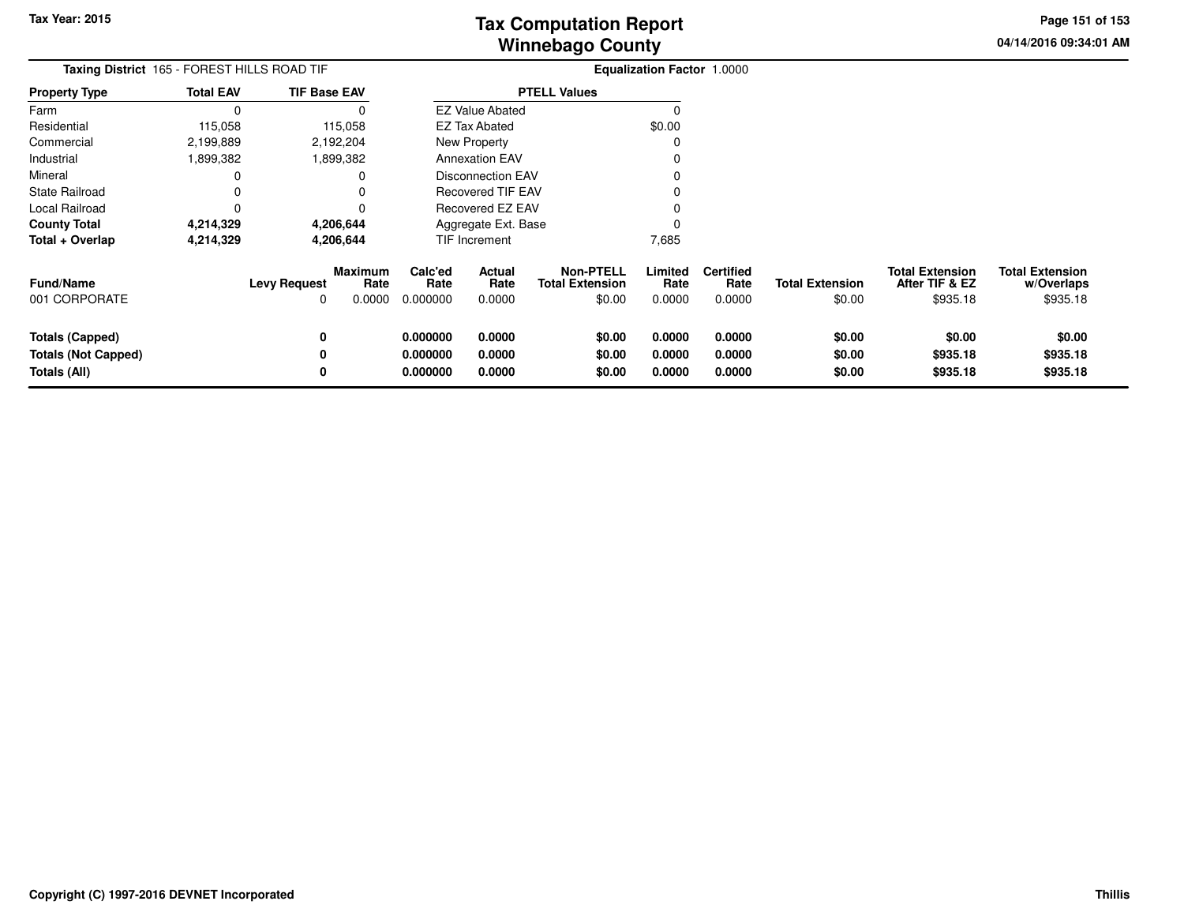**04/14/2016 09:34:01 AMPage 151 of 153**

| Taxing District 165 - FOREST HILLS ROAD TIF                          |                  |                     | <b>Equalization Factor 1.0000</b> |                                  |                            |                                                      |                            |                                    |                                  |                                                      |                                                  |
|----------------------------------------------------------------------|------------------|---------------------|-----------------------------------|----------------------------------|----------------------------|------------------------------------------------------|----------------------------|------------------------------------|----------------------------------|------------------------------------------------------|--------------------------------------------------|
| <b>Property Type</b>                                                 | <b>Total EAV</b> | <b>TIF Base EAV</b> |                                   |                                  |                            | <b>PTELL Values</b>                                  |                            |                                    |                                  |                                                      |                                                  |
| Farm                                                                 | <sup>-</sup>     |                     | 0                                 |                                  | <b>EZ Value Abated</b>     |                                                      |                            |                                    |                                  |                                                      |                                                  |
| Residential                                                          | 115,058          | 115,058             |                                   |                                  | EZ Tax Abated              |                                                      | \$0.00                     |                                    |                                  |                                                      |                                                  |
| Commercial                                                           | 2,199,889        | 2,192,204           |                                   |                                  | New Property               |                                                      |                            |                                    |                                  |                                                      |                                                  |
| Industrial                                                           | 1,899,382        | 1,899,382           |                                   |                                  | <b>Annexation EAV</b>      |                                                      |                            |                                    |                                  |                                                      |                                                  |
| Mineral                                                              |                  |                     | 0                                 |                                  | <b>Disconnection EAV</b>   |                                                      |                            |                                    |                                  |                                                      |                                                  |
| <b>State Railroad</b>                                                | 0                |                     | 0                                 |                                  | <b>Recovered TIF EAV</b>   |                                                      |                            |                                    |                                  |                                                      |                                                  |
| Local Railroad                                                       | 0                |                     |                                   |                                  | Recovered EZ EAV           |                                                      |                            |                                    |                                  |                                                      |                                                  |
| <b>County Total</b>                                                  | 4,214,329        | 4,206,644           |                                   |                                  | Aggregate Ext. Base        |                                                      |                            |                                    |                                  |                                                      |                                                  |
| Total + Overlap                                                      | 4,214,329        | 4,206,644           |                                   |                                  | TIF Increment              |                                                      | 7,685                      |                                    |                                  |                                                      |                                                  |
| Fund/Name<br>001 CORPORATE                                           |                  | <b>Levy Request</b> | <b>Maximum</b><br>Rate<br>0.0000  | Calc'ed<br>Rate<br>0.000000      | Actual<br>Rate<br>0.0000   | <b>Non-PTELL</b><br><b>Total Extension</b><br>\$0.00 | Limited<br>Rate<br>0.0000  | <b>Certified</b><br>Rate<br>0.0000 | <b>Total Extension</b><br>\$0.00 | <b>Total Extension</b><br>After TIF & EZ<br>\$935.18 | <b>Total Extension</b><br>w/Overlaps<br>\$935.18 |
| <b>Totals (Capped)</b><br><b>Totals (Not Capped)</b><br>Totals (All) |                  | 0<br>0<br>0         |                                   | 0.000000<br>0.000000<br>0.000000 | 0.0000<br>0.0000<br>0.0000 | \$0.00<br>\$0.00<br>\$0.00                           | 0.0000<br>0.0000<br>0.0000 | 0.0000<br>0.0000<br>0.0000         | \$0.00<br>\$0.00<br>\$0.00       | \$0.00<br>\$935.18<br>\$935.18                       | \$0.00<br>\$935.18<br>\$935.18                   |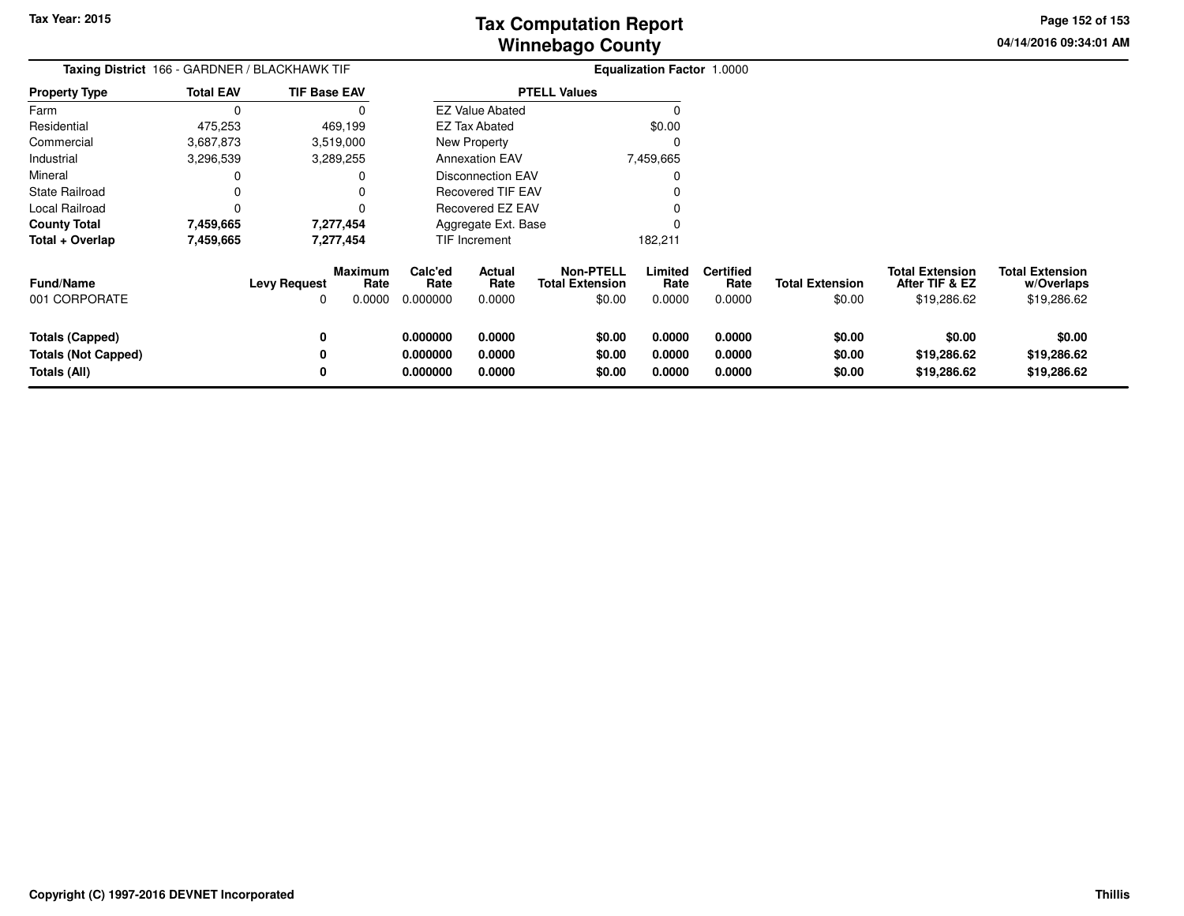**04/14/2016 09:34:01 AM Page 152 of 153**

|                                                                      | Taxing District 166 - GARDNER / BLACKHAWK TIF |                     |                           |                                  |                            |                                               | <b>Equalization Factor 1.0000</b> |                                    |                                  |                                                         |                                                     |
|----------------------------------------------------------------------|-----------------------------------------------|---------------------|---------------------------|----------------------------------|----------------------------|-----------------------------------------------|-----------------------------------|------------------------------------|----------------------------------|---------------------------------------------------------|-----------------------------------------------------|
| <b>Property Type</b>                                                 | <b>Total EAV</b>                              | <b>TIF Base EAV</b> |                           |                                  |                            | <b>PTELL Values</b>                           |                                   |                                    |                                  |                                                         |                                                     |
| Farm                                                                 |                                               |                     |                           |                                  | <b>EZ Value Abated</b>     |                                               |                                   |                                    |                                  |                                                         |                                                     |
| Residential                                                          | 475,253                                       |                     | 469,199                   |                                  | <b>EZ Tax Abated</b>       |                                               | \$0.00                            |                                    |                                  |                                                         |                                                     |
| Commercial                                                           | 3,687,873                                     |                     | 3,519,000                 |                                  | New Property               |                                               | 0                                 |                                    |                                  |                                                         |                                                     |
| Industrial                                                           | 3,296,539                                     |                     | 3,289,255                 |                                  | <b>Annexation EAV</b>      |                                               | 7,459,665                         |                                    |                                  |                                                         |                                                     |
| Mineral                                                              |                                               |                     |                           |                                  | Disconnection EAV          |                                               | 0                                 |                                    |                                  |                                                         |                                                     |
| <b>State Railroad</b>                                                |                                               |                     |                           |                                  | Recovered TIF EAV          |                                               |                                   |                                    |                                  |                                                         |                                                     |
| Local Railroad                                                       |                                               |                     |                           |                                  | Recovered EZ EAV           |                                               |                                   |                                    |                                  |                                                         |                                                     |
| <b>County Total</b>                                                  | 7,459,665                                     |                     | 7,277,454                 |                                  | Aggregate Ext. Base        |                                               |                                   |                                    |                                  |                                                         |                                                     |
| Total + Overlap                                                      | 7,459,665                                     |                     | 7,277,454                 |                                  | <b>TIF Increment</b>       |                                               | 182,211                           |                                    |                                  |                                                         |                                                     |
| <b>Fund/Name</b><br>001 CORPORATE                                    |                                               | <b>Levy Request</b> | Maximum<br>Rate<br>0.0000 | Calc'ed<br>Rate<br>0.000000      | Actual<br>Rate<br>0.0000   | Non-PTELL<br><b>Total Extension</b><br>\$0.00 | Limited<br>Rate<br>0.0000         | <b>Certified</b><br>Rate<br>0.0000 | <b>Total Extension</b><br>\$0.00 | <b>Total Extension</b><br>After TIF & EZ<br>\$19,286.62 | <b>Total Extension</b><br>w/Overlaps<br>\$19,286.62 |
| <b>Totals (Capped)</b><br><b>Totals (Not Capped)</b><br>Totals (All) |                                               | 0<br>0              |                           | 0.000000<br>0.000000<br>0.000000 | 0.0000<br>0.0000<br>0.0000 | \$0.00<br>\$0.00<br>\$0.00                    | 0.0000<br>0.0000<br>0.0000        | 0.0000<br>0.0000<br>0.0000         | \$0.00<br>\$0.00<br>\$0.00       | \$0.00<br>\$19,286.62<br>\$19,286.62                    | \$0.00<br>\$19,286.62<br>\$19,286.62                |